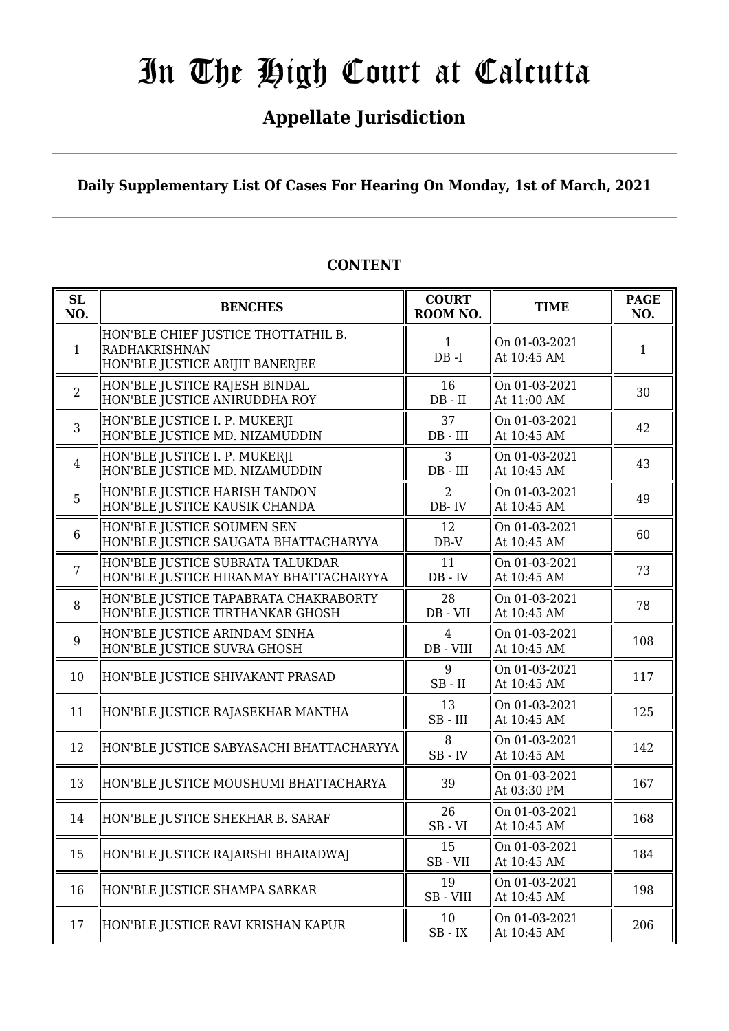# In The High Court at Calcutta

# **Appellate Jurisdiction**

**Daily Supplementary List Of Cases For Hearing On Monday, 1st of March, 2021**

| SL<br>NO.      | <b>BENCHES</b>                                                                                 | <b>COURT</b><br>ROOM NO.      | <b>TIME</b>                  | <b>PAGE</b><br>NO. |
|----------------|------------------------------------------------------------------------------------------------|-------------------------------|------------------------------|--------------------|
| $\mathbf{1}$   | HON'BLE CHIEF JUSTICE THOTTATHIL B.<br><b>RADHAKRISHNAN</b><br>HON'BLE JUSTICE ARIJIT BANERJEE | $\mathbf{1}$<br>$DB - I$      | On 01-03-2021<br>At 10:45 AM | 1                  |
| $\overline{2}$ | HON'BLE JUSTICE RAJESH BINDAL<br>HON'BLE JUSTICE ANIRUDDHA ROY                                 | 16<br>$DB$ - $II$             | On 01-03-2021<br>At 11:00 AM | 30                 |
| 3              | HON'BLE JUSTICE I. P. MUKERJI<br>HON'BLE JUSTICE MD. NIZAMUDDIN                                | 37<br>$DB$ - $III$            | On 01-03-2021<br>At 10:45 AM | 42                 |
| $\overline{4}$ | HON'BLE JUSTICE I. P. MUKERJI<br>HON'BLE JUSTICE MD. NIZAMUDDIN                                | 3<br>$DB$ - $III$             | On 01-03-2021<br>At 10:45 AM | 43                 |
| 5              | HON'BLE JUSTICE HARISH TANDON<br>HON'BLE JUSTICE KAUSIK CHANDA                                 | $\overline{2}$<br>DB-IV       | On 01-03-2021<br>At 10:45 AM | 49                 |
| $6\phantom{1}$ | HON'BLE JUSTICE SOUMEN SEN<br>HON'BLE JUSTICE SAUGATA BHATTACHARYYA                            | 12<br>$DB-V$                  | On 01-03-2021<br>At 10:45 AM | 60                 |
| $\overline{7}$ | HON'BLE JUSTICE SUBRATA TALUKDAR<br>HON'BLE JUSTICE HIRANMAY BHATTACHARYYA                     | 11<br>$DB - IV$               | On 01-03-2021<br>At 10:45 AM | 73                 |
| 8              | HON'BLE JUSTICE TAPABRATA CHAKRABORTY<br>HON'BLE JUSTICE TIRTHANKAR GHOSH                      | 28<br>DB - VII                | On 01-03-2021<br>At 10:45 AM | 78                 |
| 9              | HON'BLE JUSTICE ARINDAM SINHA<br>HON'BLE JUSTICE SUVRA GHOSH                                   | $\overline{4}$<br>$DB - VIII$ | On 01-03-2021<br>At 10:45 AM | 108                |
| 10             | HON'BLE JUSTICE SHIVAKANT PRASAD                                                               | 9<br>$SB$ - $II$              | On 01-03-2021<br>At 10:45 AM | 117                |
| 11             | HON'BLE JUSTICE RAJASEKHAR MANTHA                                                              | 13<br>$SB$ - $III$            | On 01-03-2021<br>At 10:45 AM | 125                |
| 12             | HON'BLE JUSTICE SABYASACHI BHATTACHARYYA                                                       | 8<br>$SB$ - $IV$              | On 01-03-2021<br>At 10:45 AM | 142                |
| 13             | HON'BLE JUSTICE MOUSHUMI BHATTACHARYA                                                          | 39                            | On 01-03-2021<br>At 03:30 PM | 167                |
| 14             | HON'BLE JUSTICE SHEKHAR B. SARAF                                                               | 26<br>$SB - VI$               | On 01-03-2021<br>At 10:45 AM | 168                |
| 15             | HON'BLE JUSTICE RAJARSHI BHARADWAJ                                                             | 15<br>SB-VII                  | On 01-03-2021<br>At 10:45 AM | 184                |
| 16             | HON'BLE JUSTICE SHAMPA SARKAR                                                                  | 19<br>SB-VIII                 | On 01-03-2021<br>At 10:45 AM | 198                |
| 17             | HON'BLE JUSTICE RAVI KRISHAN KAPUR                                                             | 10<br>$\rm SB$ - $\rm IX$     | On 01-03-2021<br>At 10:45 AM | 206                |

### **CONTENT**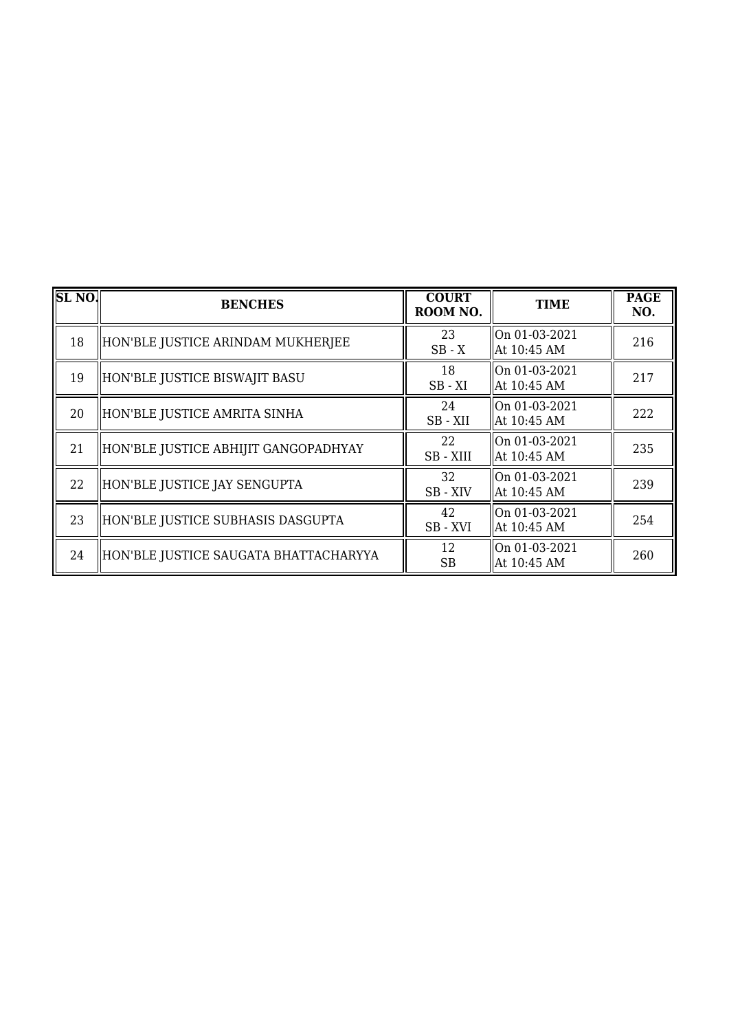| SL <sub>NO</sub> . | <b>BENCHES</b>                        | <b>COURT</b><br>ROOM NO. | <b>TIME</b>                    | <b>PAGE</b><br>NO. |
|--------------------|---------------------------------------|--------------------------|--------------------------------|--------------------|
| 18                 | HON'BLE JUSTICE ARINDAM MUKHERJEE     | 23<br>$SB - X$           | On 01-03-2021<br>At 10:45 AM   | 216                |
| 19                 | HON'BLE JUSTICE BISWAJIT BASU         | 18<br>$SB - XI$          | On 01-03-2021<br>  At 10:45 AM | 217                |
| 20                 | HON'BLE JUSTICE AMRITA SINHA          | 24<br>SB-XII             | On 01-03-2021<br>At 10:45 AM   | 222                |
| 21                 | HON'BLE JUSTICE ABHIJIT GANGOPADHYAY  | 22<br>SB-XIII            | On 01-03-2021<br>  At 10:45 AM | 235                |
| 22                 | HON'BLE JUSTICE JAY SENGUPTA          | 32<br>SB - XIV           | On 01-03-2021<br>  At 10:45 AM | 239                |
| 23                 | HON'BLE JUSTICE SUBHASIS DASGUPTA     | 42<br>SB-XVI             | On 01-03-2021<br>  At 10:45 AM | 254                |
| 24                 | HON'BLE JUSTICE SAUGATA BHATTACHARYYA | 12<br><b>SB</b>          | On 01-03-2021<br>  At 10:45 AM | 260                |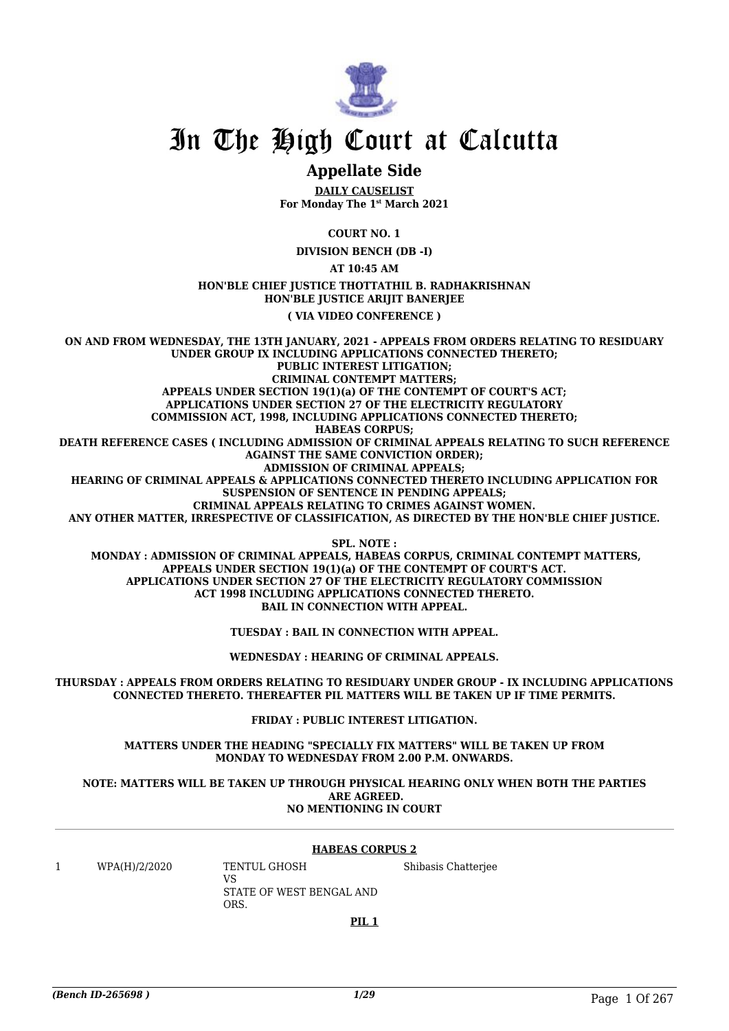

# In The High Court at Calcutta

### **Appellate Side**

**DAILY CAUSELIST For Monday The 1st March 2021**

**COURT NO. 1**

**DIVISION BENCH (DB -I)**

**AT 10:45 AM**

### **HON'BLE CHIEF JUSTICE THOTTATHIL B. RADHAKRISHNAN HON'BLE JUSTICE ARIJIT BANERJEE**

**( VIA VIDEO CONFERENCE )**

**ON AND FROM WEDNESDAY, THE 13TH JANUARY, 2021 - APPEALS FROM ORDERS RELATING TO RESIDUARY UNDER GROUP IX INCLUDING APPLICATIONS CONNECTED THERETO; PUBLIC INTEREST LITIGATION; CRIMINAL CONTEMPT MATTERS; APPEALS UNDER SECTION 19(1)(a) OF THE CONTEMPT OF COURT'S ACT; APPLICATIONS UNDER SECTION 27 OF THE ELECTRICITY REGULATORY COMMISSION ACT, 1998, INCLUDING APPLICATIONS CONNECTED THERETO; HABEAS CORPUS; DEATH REFERENCE CASES ( INCLUDING ADMISSION OF CRIMINAL APPEALS RELATING TO SUCH REFERENCE AGAINST THE SAME CONVICTION ORDER); ADMISSION OF CRIMINAL APPEALS; HEARING OF CRIMINAL APPEALS & APPLICATIONS CONNECTED THERETO INCLUDING APPLICATION FOR SUSPENSION OF SENTENCE IN PENDING APPEALS; CRIMINAL APPEALS RELATING TO CRIMES AGAINST WOMEN. ANY OTHER MATTER, IRRESPECTIVE OF CLASSIFICATION, AS DIRECTED BY THE HON'BLE CHIEF JUSTICE. SPL. NOTE :**

 **MONDAY : ADMISSION OF CRIMINAL APPEALS, HABEAS CORPUS, CRIMINAL CONTEMPT MATTERS, APPEALS UNDER SECTION 19(1)(a) OF THE CONTEMPT OF COURT'S ACT. APPLICATIONS UNDER SECTION 27 OF THE ELECTRICITY REGULATORY COMMISSION ACT 1998 INCLUDING APPLICATIONS CONNECTED THERETO. BAIL IN CONNECTION WITH APPEAL.**

**TUESDAY : BAIL IN CONNECTION WITH APPEAL.**

**WEDNESDAY : HEARING OF CRIMINAL APPEALS.**

**THURSDAY : APPEALS FROM ORDERS RELATING TO RESIDUARY UNDER GROUP - IX INCLUDING APPLICATIONS CONNECTED THERETO. THEREAFTER PIL MATTERS WILL BE TAKEN UP IF TIME PERMITS.**

**FRIDAY : PUBLIC INTEREST LITIGATION.**

**MATTERS UNDER THE HEADING "SPECIALLY FIX MATTERS" WILL BE TAKEN UP FROM MONDAY TO WEDNESDAY FROM 2.00 P.M. ONWARDS.**

#### **NOTE: MATTERS WILL BE TAKEN UP THROUGH PHYSICAL HEARING ONLY WHEN BOTH THE PARTIES ARE AGREED. NO MENTIONING IN COURT**

#### **HABEAS CORPUS 2**

1 WPA(H)/2/2020 TENTUL GHOSH

VS STATE OF WEST BENGAL AND ORS.

Shibasis Chatterjee

**PIL 1**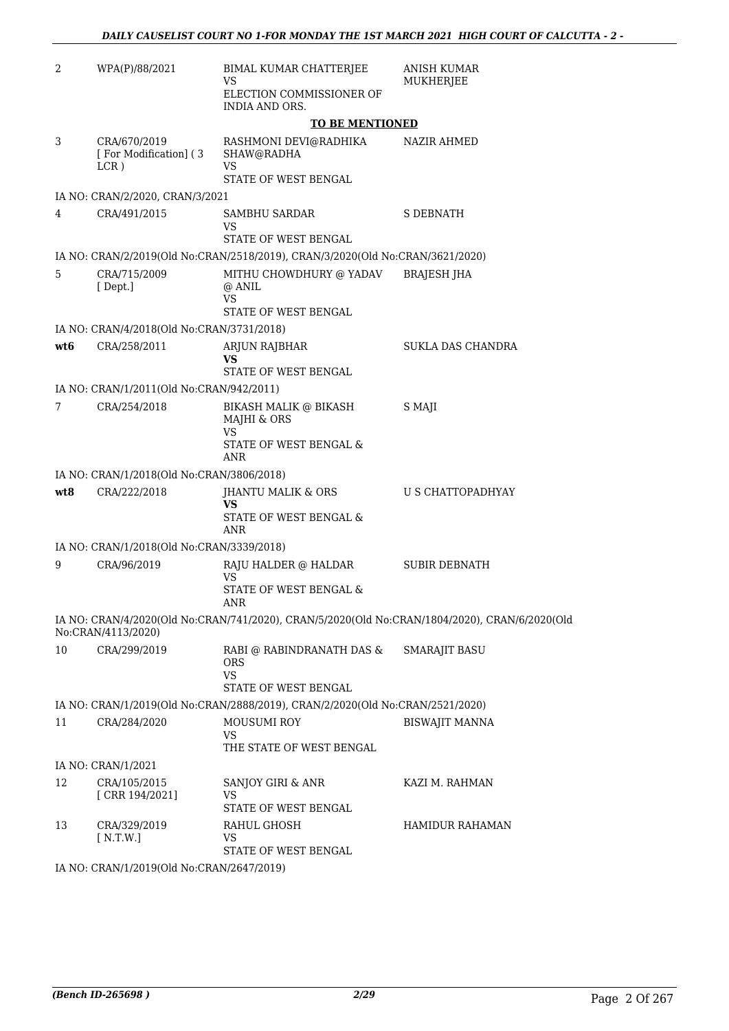| 2   | WPA(P)/88/2021                                    | BIMAL KUMAR CHATTERJEE<br>VS                                                                                                                     | <b>ANISH KUMAR</b><br><b>MUKHERJEE</b> |
|-----|---------------------------------------------------|--------------------------------------------------------------------------------------------------------------------------------------------------|----------------------------------------|
|     |                                                   | ELECTION COMMISSIONER OF<br>INDIA AND ORS.                                                                                                       |                                        |
|     |                                                   | <b>TO BE MENTIONED</b>                                                                                                                           |                                        |
| 3   | CRA/670/2019<br>[For Modification] (3)<br>$LCR$ ) | RASHMONI DEVI@RADHIKA<br>SHAW@RADHA<br>VS<br>STATE OF WEST BENGAL                                                                                | <b>NAZIR AHMED</b>                     |
|     | IA NO: CRAN/2/2020, CRAN/3/2021                   |                                                                                                                                                  |                                        |
| 4   | CRA/491/2015                                      | SAMBHU SARDAR<br>VS                                                                                                                              | <b>S DEBNATH</b>                       |
|     |                                                   | STATE OF WEST BENGAL                                                                                                                             |                                        |
| 5   | CRA/715/2009<br>[Dept.]                           | IA NO: CRAN/2/2019(Old No:CRAN/2518/2019), CRAN/3/2020(Old No:CRAN/3621/2020)<br>MITHU CHOWDHURY @ YADAV<br>@ ANIL<br>VS<br>STATE OF WEST BENGAL | BRAJESH JHA                            |
|     | IA NO: CRAN/4/2018(Old No:CRAN/3731/2018)         |                                                                                                                                                  |                                        |
| wt6 | CRA/258/2011                                      | ARJUN RAJBHAR<br>VS                                                                                                                              | SUKLA DAS CHANDRA                      |
|     |                                                   | STATE OF WEST BENGAL                                                                                                                             |                                        |
|     | IA NO: CRAN/1/2011(Old No:CRAN/942/2011)          |                                                                                                                                                  |                                        |
| 7   | CRA/254/2018                                      | <b>BIKASH MALIK @ BIKASH</b><br>MAJHI & ORS<br>VS                                                                                                | S MAJI                                 |
|     |                                                   | STATE OF WEST BENGAL &<br>ANR                                                                                                                    |                                        |
|     | IA NO: CRAN/1/2018(Old No:CRAN/3806/2018)         |                                                                                                                                                  |                                        |
| wt8 | CRA/222/2018                                      | JHANTU MALIK & ORS<br>VS<br>STATE OF WEST BENGAL &                                                                                               | U S CHATTOPADHYAY                      |
|     | IA NO: CRAN/1/2018(Old No:CRAN/3339/2018)         | ANR                                                                                                                                              |                                        |
| 9   | CRA/96/2019                                       | RAJU HALDER @ HALDAR                                                                                                                             | SUBIR DEBNATH                          |
|     |                                                   | VS<br>STATE OF WEST BENGAL &                                                                                                                     |                                        |
|     |                                                   | ANR                                                                                                                                              |                                        |
|     | No:CRAN/4113/2020)                                | IA NO: CRAN/4/2020(Old No:CRAN/741/2020), CRAN/5/2020(Old No:CRAN/1804/2020), CRAN/6/2020(Old                                                    |                                        |
| 10  | CRA/299/2019                                      | RABI @ RABINDRANATH DAS &<br>ORS.<br>VS<br>STATE OF WEST BENGAL                                                                                  | <b>SMARAJIT BASU</b>                   |
|     |                                                   | IA NO: CRAN/1/2019(Old No:CRAN/2888/2019), CRAN/2/2020(Old No:CRAN/2521/2020)                                                                    |                                        |
| 11  | CRA/284/2020                                      | <b>MOUSUMI ROY</b><br><b>VS</b>                                                                                                                  | <b>BISWAJIT MANNA</b>                  |
|     |                                                   | THE STATE OF WEST BENGAL                                                                                                                         |                                        |
|     | IA NO: CRAN/1/2021                                |                                                                                                                                                  |                                        |
| 12  | CRA/105/2015<br>[CRR 194/2021]                    | SANJOY GIRI & ANR<br>VS<br>STATE OF WEST BENGAL                                                                                                  | KAZI M. RAHMAN                         |
| 13  | CRA/329/2019<br>[N.T.W.]                          | RAHUL GHOSH<br>VS                                                                                                                                | HAMIDUR RAHAMAN                        |
|     |                                                   | STATE OF WEST BENGAL                                                                                                                             |                                        |

IA NO: CRAN/1/2019(Old No:CRAN/2647/2019)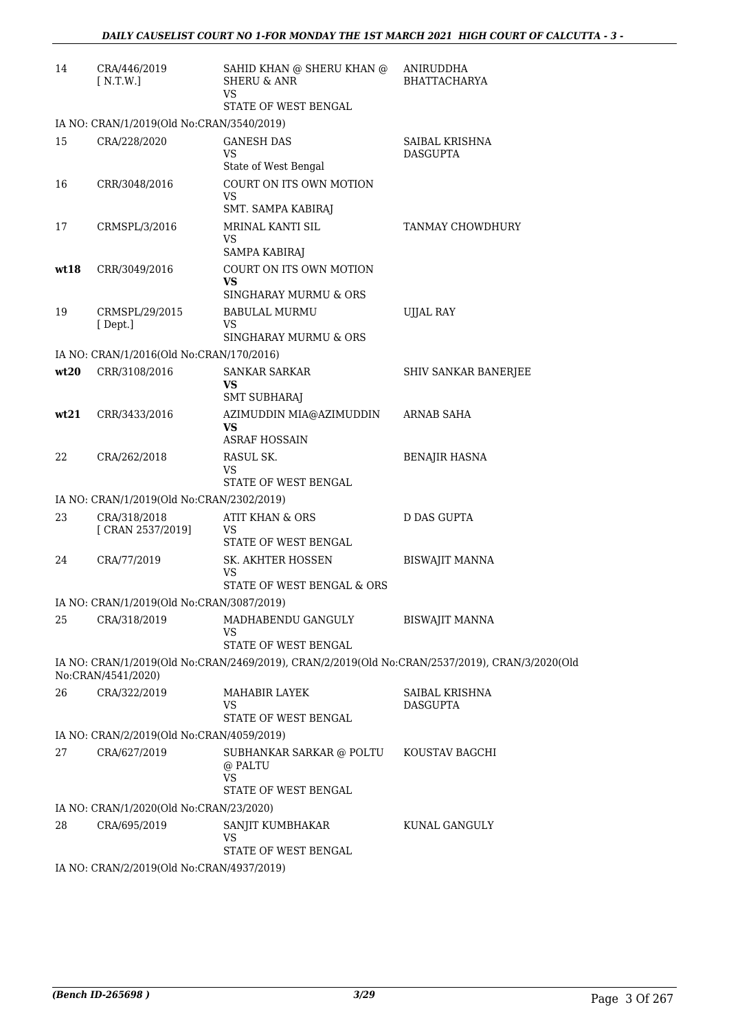| 14   | CRA/446/2019<br>[ N.T.W.]                 | SAHID KHAN @ SHERU KHAN @<br><b>SHERU &amp; ANR</b><br>VS                                      | ANIRUDDHA<br><b>BHATTACHARYA</b>         |
|------|-------------------------------------------|------------------------------------------------------------------------------------------------|------------------------------------------|
|      |                                           | STATE OF WEST BENGAL                                                                           |                                          |
|      | IA NO: CRAN/1/2019(Old No:CRAN/3540/2019) |                                                                                                |                                          |
| 15   | CRA/228/2020                              | <b>GANESH DAS</b><br><b>VS</b><br>State of West Bengal                                         | SAIBAL KRISHNA<br><b>DASGUPTA</b>        |
| 16   | CRR/3048/2016                             | COURT ON ITS OWN MOTION<br><b>VS</b><br>SMT. SAMPA KABIRAJ                                     |                                          |
| 17   | CRMSPL/3/2016                             | MRINAL KANTI SIL<br><b>VS</b><br>SAMPA KABIRAJ                                                 | <b>TANMAY CHOWDHURY</b>                  |
| wt18 | CRR/3049/2016                             | COURT ON ITS OWN MOTION<br>VS<br>SINGHARAY MURMU & ORS                                         |                                          |
| 19   | CRMSPL/29/2015<br>[Dept.]                 | <b>BABULAL MURMU</b><br>VS<br>SINGHARAY MURMU & ORS                                            | <b>UJJAL RAY</b>                         |
|      | IA NO: CRAN/1/2016(Old No:CRAN/170/2016)  |                                                                                                |                                          |
| wt20 | CRR/3108/2016                             | <b>SANKAR SARKAR</b><br><b>VS</b><br><b>SMT SUBHARAJ</b>                                       | SHIV SANKAR BANERJEE                     |
| wt21 | CRR/3433/2016                             | AZIMUDDIN MIA@AZIMUDDIN<br><b>VS</b><br><b>ASRAF HOSSAIN</b>                                   | ARNAB SAHA                               |
| 22   | CRA/262/2018                              | RASUL SK.<br>VS<br>STATE OF WEST BENGAL                                                        | <b>BENAJIR HASNA</b>                     |
|      | IA NO: CRAN/1/2019(Old No:CRAN/2302/2019) |                                                                                                |                                          |
| 23   | CRA/318/2018<br>[ CRAN 2537/2019]         | ATIT KHAN & ORS<br>VS<br>STATE OF WEST BENGAL                                                  | <b>D DAS GUPTA</b>                       |
| 24   | CRA/77/2019                               | SK. AKHTER HOSSEN<br>VS<br>STATE OF WEST BENGAL & ORS                                          | BISWAJIT MANNA                           |
|      | IA NO: CRAN/1/2019(Old No:CRAN/3087/2019) |                                                                                                |                                          |
| 25   | CRA/318/2019                              | MADHABENDU GANGULY<br>VS<br>STATE OF WEST BENGAL                                               | <b>BISWAJIT MANNA</b>                    |
|      | No:CRAN/4541/2020)                        | IA NO: CRAN/1/2019(Old No:CRAN/2469/2019), CRAN/2/2019(Old No:CRAN/2537/2019), CRAN/3/2020(Old |                                          |
| 26   | CRA/322/2019                              | MAHABIR LAYEK<br>VS<br>STATE OF WEST BENGAL                                                    | <b>SAIBAL KRISHNA</b><br><b>DASGUPTA</b> |
|      | IA NO: CRAN/2/2019(Old No:CRAN/4059/2019) |                                                                                                |                                          |
| 27   | CRA/627/2019                              | SUBHANKAR SARKAR @ POLTU                                                                       | KOUSTAV BAGCHI                           |
|      |                                           | @ PALTU<br><b>VS</b><br>STATE OF WEST BENGAL                                                   |                                          |
|      | IA NO: CRAN/1/2020(Old No:CRAN/23/2020)   |                                                                                                |                                          |
| 28   | CRA/695/2019                              | SANJIT KUMBHAKAR<br><b>VS</b><br>STATE OF WEST BENGAL                                          | KUNAL GANGULY                            |
|      | IA NO: CRAN/2/2019(Old No:CRAN/4937/2019) |                                                                                                |                                          |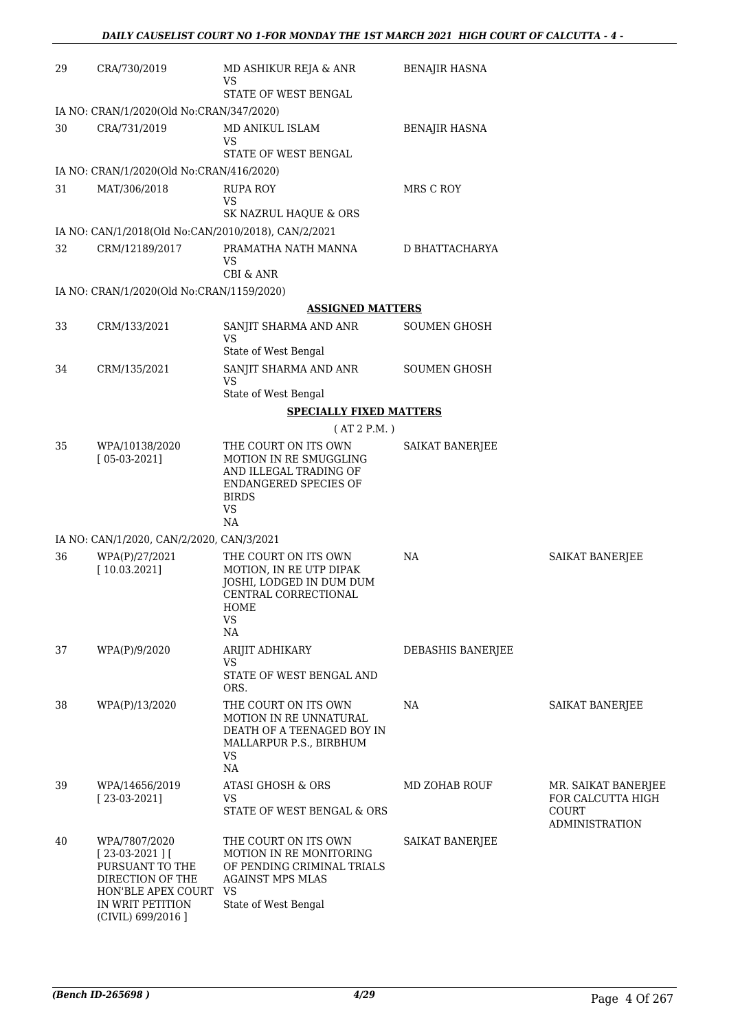| 29 | CRA/730/2019                                                                                                                           | MD ASHIKUR REJA & ANR<br><b>VS</b>                                                                                                            | <b>BENAJIR HASNA</b> |                                                                            |
|----|----------------------------------------------------------------------------------------------------------------------------------------|-----------------------------------------------------------------------------------------------------------------------------------------------|----------------------|----------------------------------------------------------------------------|
|    |                                                                                                                                        | STATE OF WEST BENGAL                                                                                                                          |                      |                                                                            |
| 30 | IA NO: CRAN/1/2020(Old No:CRAN/347/2020)<br>CRA/731/2019                                                                               | MD ANIKUL ISLAM                                                                                                                               |                      |                                                                            |
|    |                                                                                                                                        | VS                                                                                                                                            | <b>BENAJIR HASNA</b> |                                                                            |
|    |                                                                                                                                        | STATE OF WEST BENGAL                                                                                                                          |                      |                                                                            |
|    | IA NO: CRAN/1/2020(Old No:CRAN/416/2020)                                                                                               |                                                                                                                                               |                      |                                                                            |
| 31 | MAT/306/2018                                                                                                                           | <b>RUPA ROY</b>                                                                                                                               | MRS C ROY            |                                                                            |
|    |                                                                                                                                        | <b>VS</b><br>SK NAZRUL HAQUE & ORS                                                                                                            |                      |                                                                            |
|    | IA NO: CAN/1/2018(Old No:CAN/2010/2018), CAN/2/2021                                                                                    |                                                                                                                                               |                      |                                                                            |
| 32 | CRM/12189/2017                                                                                                                         | PRAMATHA NATH MANNA<br><b>VS</b><br><b>CBI &amp; ANR</b>                                                                                      | D BHATTACHARYA       |                                                                            |
|    | IA NO: CRAN/1/2020(Old No:CRAN/1159/2020)                                                                                              |                                                                                                                                               |                      |                                                                            |
|    |                                                                                                                                        | <b>ASSIGNED MATTERS</b>                                                                                                                       |                      |                                                                            |
| 33 | CRM/133/2021                                                                                                                           | SANJIT SHARMA AND ANR                                                                                                                         | <b>SOUMEN GHOSH</b>  |                                                                            |
|    |                                                                                                                                        | <b>VS</b><br>State of West Bengal                                                                                                             |                      |                                                                            |
| 34 | CRM/135/2021                                                                                                                           | SANJIT SHARMA AND ANR<br><b>VS</b>                                                                                                            | <b>SOUMEN GHOSH</b>  |                                                                            |
|    |                                                                                                                                        | State of West Bengal                                                                                                                          |                      |                                                                            |
|    |                                                                                                                                        | <b>SPECIALLY FIXED MATTERS</b>                                                                                                                |                      |                                                                            |
|    |                                                                                                                                        | (AT 2 P.M.)                                                                                                                                   |                      |                                                                            |
| 35 | WPA/10138/2020<br>$[05-03-2021]$                                                                                                       | THE COURT ON ITS OWN<br>MOTION IN RE SMUGGLING<br>AND ILLEGAL TRADING OF<br>ENDANGERED SPECIES OF<br><b>BIRDS</b><br><b>VS</b><br>NA          | SAIKAT BANERJEE      |                                                                            |
|    | IA NO: CAN/1/2020, CAN/2/2020, CAN/3/2021                                                                                              |                                                                                                                                               |                      |                                                                            |
| 36 | WPA(P)/27/2021<br>[10.03.2021]                                                                                                         | THE COURT ON ITS OWN<br>MOTION, IN RE UTP DIPAK<br>JOSHI, LODGED IN DUM DUM<br>CENTRAL CORRECTIONAL<br>HOME<br><b>VS</b><br>NA                | NA                   | <b>SAIKAT BANERJEE</b>                                                     |
| 37 | WPA(P)/9/2020                                                                                                                          | ARIJIT ADHIKARY                                                                                                                               | DEBASHIS BANERJEE    |                                                                            |
|    |                                                                                                                                        | <b>VS</b><br>STATE OF WEST BENGAL AND<br>ORS.                                                                                                 |                      |                                                                            |
| 38 | WPA(P)/13/2020                                                                                                                         | THE COURT ON ITS OWN<br>MOTION IN RE UNNATURAL<br>DEATH OF A TEENAGED BOY IN<br>MALLARPUR P.S., BIRBHUM<br><b>VS</b><br>NA                    | NA                   | <b>SAIKAT BANERJEE</b>                                                     |
| 39 | WPA/14656/2019<br>$[23-03-2021]$                                                                                                       | ATASI GHOSH & ORS<br>VS<br>STATE OF WEST BENGAL & ORS                                                                                         | MD ZOHAB ROUF        | MR. SAIKAT BANERJEE<br>FOR CALCUTTA HIGH<br>COURT<br><b>ADMINISTRATION</b> |
| 40 | WPA/7807/2020<br>$[23-03-2021]$<br>PURSUANT TO THE<br>DIRECTION OF THE<br>HON'BLE APEX COURT<br>IN WRIT PETITION<br>(CIVIL) 699/2016 ] | THE COURT ON ITS OWN<br>MOTION IN RE MONITORING<br>OF PENDING CRIMINAL TRIALS<br><b>AGAINST MPS MLAS</b><br><b>VS</b><br>State of West Bengal | SAIKAT BANERJEE      |                                                                            |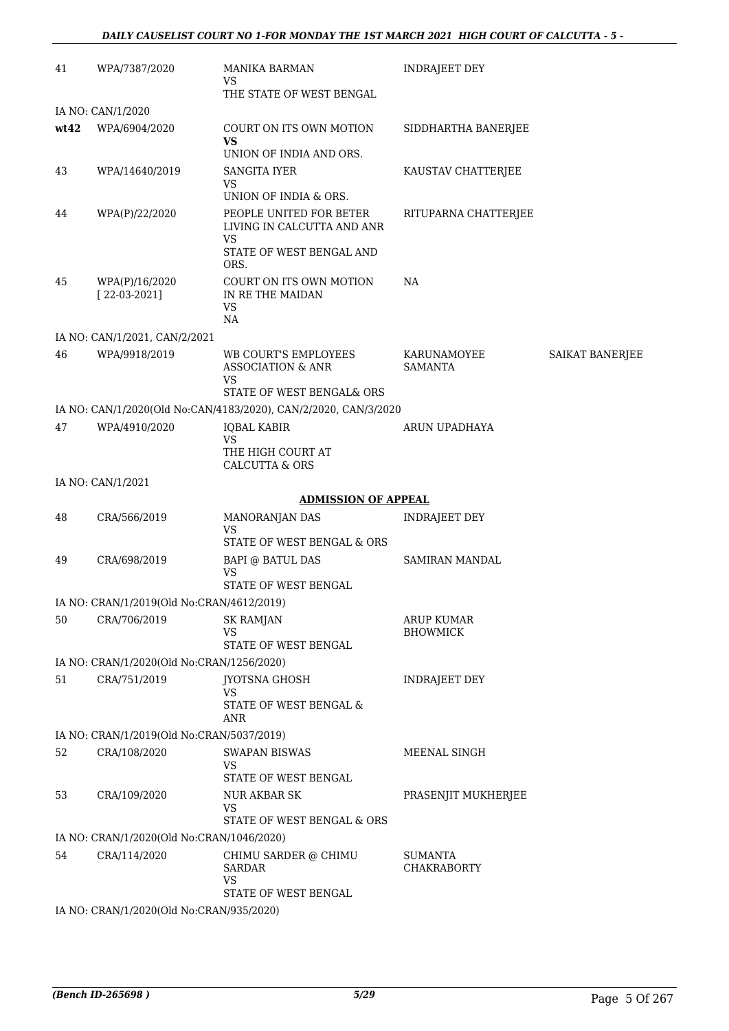| 41   | WPA/7387/2020                             | <b>MANIKA BARMAN</b><br>VS                                      | <b>INDRAJEET DEY</b>          |                        |
|------|-------------------------------------------|-----------------------------------------------------------------|-------------------------------|------------------------|
|      |                                           | THE STATE OF WEST BENGAL                                        |                               |                        |
|      | IA NO: CAN/1/2020                         |                                                                 |                               |                        |
| wt42 | WPA/6904/2020                             | COURT ON ITS OWN MOTION<br><b>VS</b>                            | SIDDHARTHA BANERJEE           |                        |
|      |                                           | UNION OF INDIA AND ORS.                                         |                               |                        |
| 43   | WPA/14640/2019                            | <b>SANGITA IYER</b><br><b>VS</b>                                | KAUSTAV CHATTERJEE            |                        |
|      |                                           | UNION OF INDIA & ORS.                                           |                               |                        |
| 44   | WPA(P)/22/2020                            | PEOPLE UNITED FOR BETER<br>LIVING IN CALCUTTA AND ANR<br>VS     | RITUPARNA CHATTERJEE          |                        |
|      |                                           | STATE OF WEST BENGAL AND<br>ORS.                                |                               |                        |
| 45   | WPA(P)/16/2020<br>$[22-03-2021]$          | COURT ON ITS OWN MOTION<br>IN RE THE MAIDAN<br>VS<br><b>NA</b>  | NA                            |                        |
|      | IA NO: CAN/1/2021, CAN/2/2021             |                                                                 |                               |                        |
| 46   | WPA/9918/2019                             | WB COURT'S EMPLOYEES<br><b>ASSOCIATION &amp; ANR</b>            | KARUNAMOYEE<br><b>SAMANTA</b> | <b>SAIKAT BANERJEE</b> |
|      |                                           | VS<br>STATE OF WEST BENGAL& ORS                                 |                               |                        |
|      |                                           | IA NO: CAN/1/2020(Old No:CAN/4183/2020), CAN/2/2020, CAN/3/2020 |                               |                        |
| 47   | WPA/4910/2020                             | <b>IQBAL KABIR</b><br><b>VS</b>                                 | ARUN UPADHAYA                 |                        |
|      |                                           | THE HIGH COURT AT<br><b>CALCUTTA &amp; ORS</b>                  |                               |                        |
|      | IA NO: CAN/1/2021                         |                                                                 |                               |                        |
|      |                                           | <b>ADMISSION OF APPEAL</b>                                      |                               |                        |
| 48   | CRA/566/2019                              | MANORANJAN DAS<br><b>VS</b>                                     | INDRAJEET DEY                 |                        |
|      |                                           | STATE OF WEST BENGAL & ORS                                      |                               |                        |
| 49   | CRA/698/2019                              | <b>BAPI @ BATUL DAS</b><br><b>VS</b><br>STATE OF WEST BENGAL    | SAMIRAN MANDAL                |                        |
|      | IA NO: CRAN/1/2019(Old No:CRAN/4612/2019) |                                                                 |                               |                        |
| 50   | CRA/706/2019                              | <b>SK RAMJAN</b>                                                | <b>ARUP KUMAR</b>             |                        |
|      |                                           | VS                                                              | <b>BHOWMICK</b>               |                        |
|      |                                           | STATE OF WEST BENGAL                                            |                               |                        |
|      | IA NO: CRAN/1/2020(Old No:CRAN/1256/2020) |                                                                 |                               |                        |
| 51   | CRA/751/2019                              | <b>JYOTSNA GHOSH</b><br>VS                                      | <b>INDRAJEET DEY</b>          |                        |
|      |                                           | STATE OF WEST BENGAL &<br>ANR                                   |                               |                        |
|      | IA NO: CRAN/1/2019(Old No:CRAN/5037/2019) |                                                                 |                               |                        |
| 52   | CRA/108/2020                              | <b>SWAPAN BISWAS</b><br>VS                                      | MEENAL SINGH                  |                        |
|      |                                           | STATE OF WEST BENGAL                                            |                               |                        |
| 53   | CRA/109/2020                              | NUR AKBAR SK<br><b>VS</b><br>STATE OF WEST BENGAL & ORS         | PRASENJIT MUKHERJEE           |                        |
|      | IA NO: CRAN/1/2020(Old No:CRAN/1046/2020) |                                                                 |                               |                        |
| 54   | CRA/114/2020                              | CHIMU SARDER @ CHIMU                                            | <b>SUMANTA</b>                |                        |
|      |                                           | <b>SARDAR</b><br><b>VS</b>                                      | <b>CHAKRABORTY</b>            |                        |
|      |                                           | STATE OF WEST BENGAL                                            |                               |                        |
|      | IA NO: CRAN/1/2020(Old No:CRAN/935/2020)  |                                                                 |                               |                        |

*(Bench ID-265698 ) 5/29* Page 5 Of 267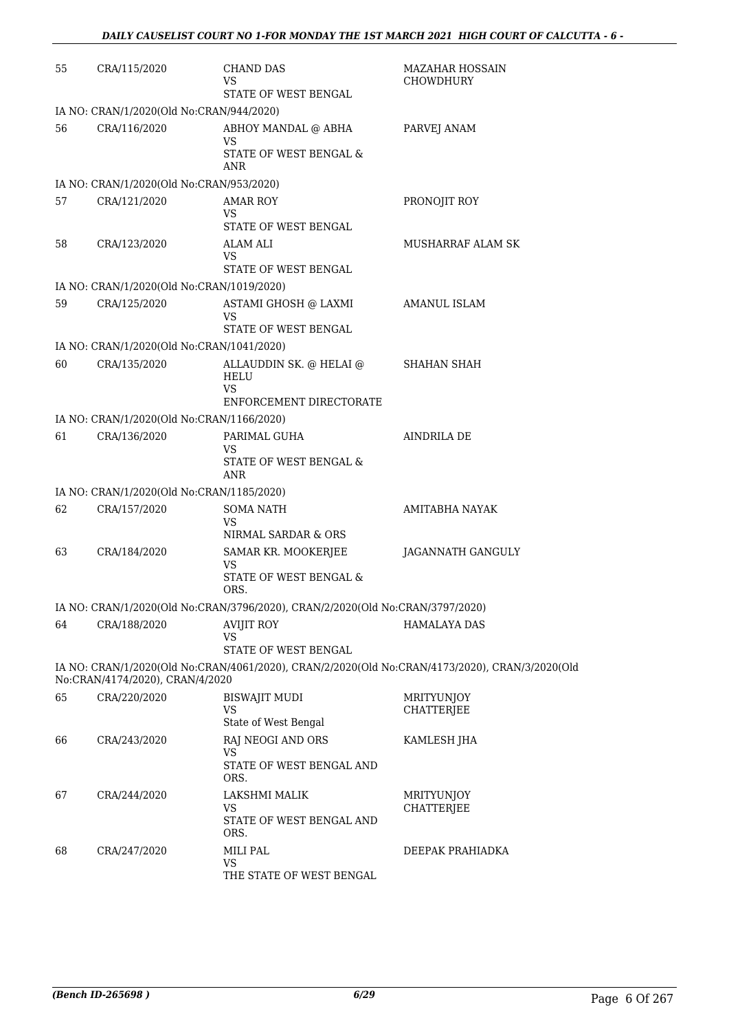| 55 | CRA/115/2020                              | <b>CHAND DAS</b><br>VS<br>STATE OF WEST BENGAL                                | <b>MAZAHAR HOSSAIN</b><br>CHOWDHURY                                                            |
|----|-------------------------------------------|-------------------------------------------------------------------------------|------------------------------------------------------------------------------------------------|
|    | IA NO: CRAN/1/2020(Old No:CRAN/944/2020)  |                                                                               |                                                                                                |
| 56 | CRA/116/2020                              | ABHOY MANDAL @ ABHA<br>VS<br>STATE OF WEST BENGAL &<br>ANR                    | PARVEJ ANAM                                                                                    |
|    | IA NO: CRAN/1/2020(Old No:CRAN/953/2020)  |                                                                               |                                                                                                |
| 57 | CRA/121/2020                              | <b>AMAR ROY</b><br>VS.<br>STATE OF WEST BENGAL                                | PRONOJIT ROY                                                                                   |
| 58 | CRA/123/2020                              | ALAM ALI<br>VS.<br>STATE OF WEST BENGAL                                       | MUSHARRAF ALAM SK                                                                              |
|    | IA NO: CRAN/1/2020(Old No:CRAN/1019/2020) |                                                                               |                                                                                                |
| 59 | CRA/125/2020                              | ASTAMI GHOSH @ LAXMI<br>VS<br>STATE OF WEST BENGAL                            | AMANUL ISLAM                                                                                   |
|    | IA NO: CRAN/1/2020(Old No:CRAN/1041/2020) |                                                                               |                                                                                                |
| 60 | CRA/135/2020                              | ALLAUDDIN SK. @ HELAI @<br><b>HELU</b><br>VS<br>ENFORCEMENT DIRECTORATE       | <b>SHAHAN SHAH</b>                                                                             |
|    | IA NO: CRAN/1/2020(Old No:CRAN/1166/2020) |                                                                               |                                                                                                |
| 61 | CRA/136/2020                              | PARIMAL GUHA<br>VS<br>STATE OF WEST BENGAL &<br>ANR                           | AINDRILA DE                                                                                    |
|    | IA NO: CRAN/1/2020(Old No:CRAN/1185/2020) |                                                                               |                                                                                                |
| 62 | CRA/157/2020                              | <b>SOMA NATH</b>                                                              | AMITABHA NAYAK                                                                                 |
|    |                                           | VS<br>NIRMAL SARDAR & ORS                                                     |                                                                                                |
| 63 | CRA/184/2020                              | SAMAR KR. MOOKERJEE<br>VS<br>STATE OF WEST BENGAL &<br>ORS.                   | JAGANNATH GANGULY                                                                              |
|    |                                           | IA NO: CRAN/1/2020(Old No:CRAN/3796/2020), CRAN/2/2020(Old No:CRAN/3797/2020) |                                                                                                |
| 64 | CRA/188/2020                              | AVIJIT ROY<br>VS<br>STATE OF WEST BENGAL                                      | <b>HAMALAYA DAS</b>                                                                            |
|    | No:CRAN/4174/2020), CRAN/4/2020           |                                                                               | IA NO: CRAN/1/2020(Old No:CRAN/4061/2020), CRAN/2/2020(Old No:CRAN/4173/2020), CRAN/3/2020(Old |
| 65 | CRA/220/2020                              | BISWAJIT MUDI<br>VS<br>State of West Bengal                                   | <b>MRITYUNJOY</b><br><b>CHATTERJEE</b>                                                         |
| 66 | CRA/243/2020                              | RAJ NEOGI AND ORS<br>VS<br>STATE OF WEST BENGAL AND                           | KAMLESH JHA                                                                                    |
|    |                                           | ORS.                                                                          |                                                                                                |
| 67 | CRA/244/2020                              | LAKSHMI MALIK<br><b>VS</b><br>STATE OF WEST BENGAL AND<br>ORS.                | MRITYUNJOY<br>CHATTERJEE                                                                       |
| 68 | CRA/247/2020                              | MILI PAL<br><b>VS</b><br>THE STATE OF WEST BENGAL                             | DEEPAK PRAHIADKA                                                                               |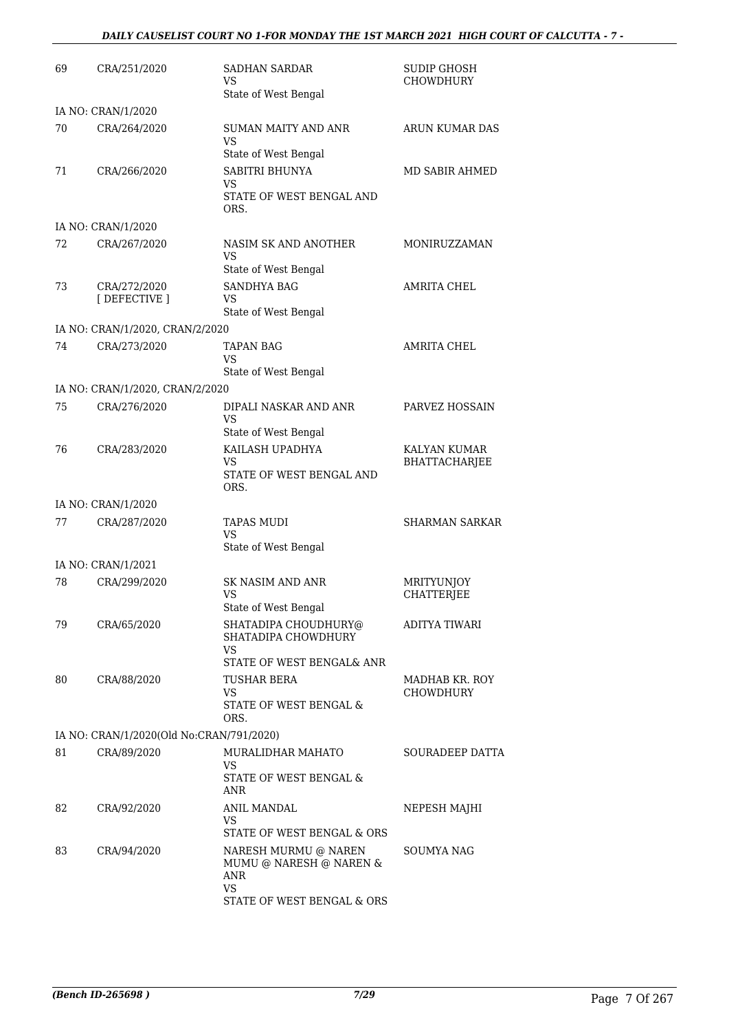| 69 | CRA/251/2020                             | <b>SADHAN SARDAR</b><br>VS<br>State of West Bengal                             | SUDIP GHOSH<br><b>CHOWDHURY</b> |
|----|------------------------------------------|--------------------------------------------------------------------------------|---------------------------------|
|    | IA NO: CRAN/1/2020                       |                                                                                |                                 |
| 70 | CRA/264/2020                             | SUMAN MAITY AND ANR<br>VS                                                      | <b>ARUN KUMAR DAS</b>           |
| 71 | CRA/266/2020                             | State of West Bengal<br>SABITRI BHUNYA<br>VS                                   | MD SABIR AHMED                  |
|    |                                          | STATE OF WEST BENGAL AND<br>ORS.                                               |                                 |
|    | IA NO: CRAN/1/2020                       |                                                                                |                                 |
| 72 | CRA/267/2020                             | NASIM SK AND ANOTHER<br><b>VS</b><br>State of West Bengal                      | MONIRUZZAMAN                    |
| 73 | CRA/272/2020<br>[DEFECTIVE ]             | <b>SANDHYA BAG</b><br>VS<br>State of West Bengal                               | <b>AMRITA CHEL</b>              |
|    | IA NO: CRAN/1/2020, CRAN/2/2020          |                                                                                |                                 |
| 74 | CRA/273/2020                             | <b>TAPAN BAG</b>                                                               | AMRITA CHEL                     |
|    |                                          | <b>VS</b><br>State of West Bengal                                              |                                 |
|    | IA NO: CRAN/1/2020, CRAN/2/2020          |                                                                                |                                 |
| 75 | CRA/276/2020                             | DIPALI NASKAR AND ANR<br>VS<br>State of West Bengal                            | PARVEZ HOSSAIN                  |
| 76 | CRA/283/2020                             | KAILASH UPADHYA                                                                | KALYAN KUMAR                    |
|    |                                          | VS<br>STATE OF WEST BENGAL AND<br>ORS.                                         | <b>BHATTACHARJEE</b>            |
|    | IA NO: CRAN/1/2020                       |                                                                                |                                 |
| 77 | CRA/287/2020                             | <b>TAPAS MUDI</b><br>VS                                                        | <b>SHARMAN SARKAR</b>           |
|    |                                          | State of West Bengal                                                           |                                 |
|    | IA NO: CRAN/1/2021                       |                                                                                |                                 |
| 78 | CRA/299/2020                             | <b>SK NASIM AND ANR</b><br>VS<br>State of West Bengal                          | MRITYUNJOY<br><b>CHATTERJEE</b> |
| 79 | CRA/65/2020                              | SHATADIPA CHOUDHURY@<br>SHATADIPA CHOWDHURY<br>VS<br>STATE OF WEST BENGAL& ANR | ADITYA TIWARI                   |
| 80 | CRA/88/2020                              | TUSHAR BERA                                                                    | MADHAB KR. ROY                  |
|    |                                          | VS.<br>STATE OF WEST BENGAL &<br>ORS.                                          | CHOWDHURY                       |
|    | IA NO: CRAN/1/2020(Old No:CRAN/791/2020) |                                                                                |                                 |
| 81 | CRA/89/2020                              | MURALIDHAR MAHATO<br>VS.                                                       | SOURADEEP DATTA                 |
|    |                                          | STATE OF WEST BENGAL &<br>ANR                                                  |                                 |
| 82 | CRA/92/2020                              | <b>ANIL MANDAL</b><br>VS.<br>STATE OF WEST BENGAL & ORS                        | NEPESH MAJHI                    |
| 83 | CRA/94/2020                              | NARESH MURMU @ NAREN<br>MUMU @ NARESH @ NAREN &<br>ANR<br>VS                   | SOUMYA NAG                      |
|    |                                          | STATE OF WEST BENGAL & ORS                                                     |                                 |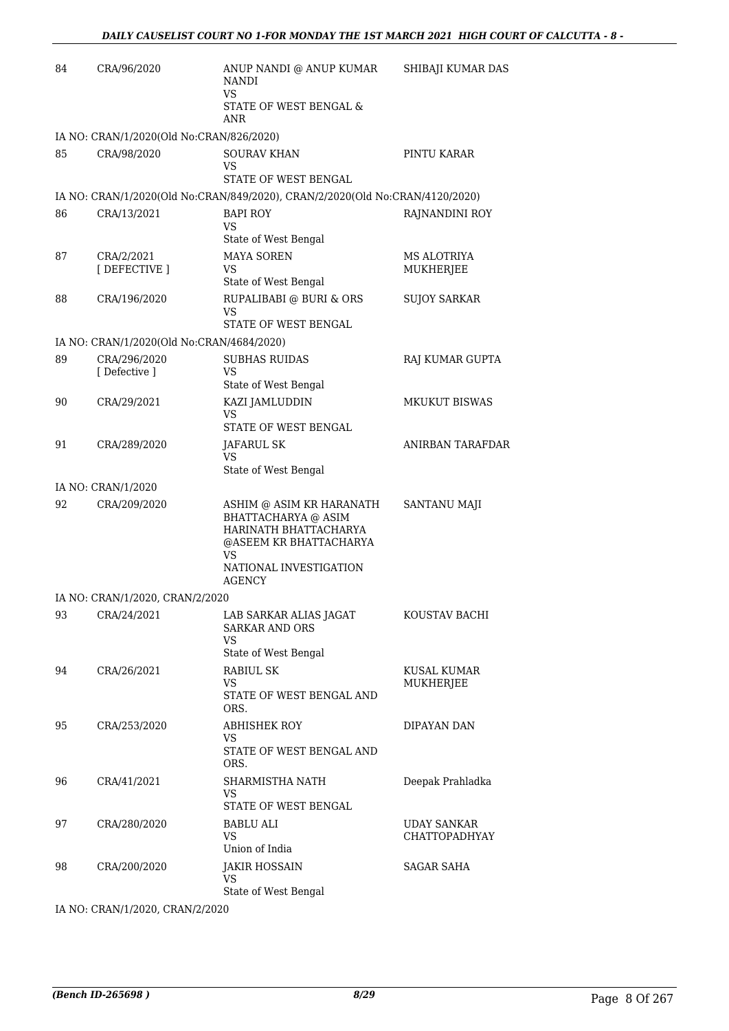| 84 | CRA/96/2020                               | ANUP NANDI @ ANUP KUMAR<br><b>NANDI</b><br>VS<br>STATE OF WEST BENGAL &<br>ANR                                                                             | SHIBAJI KUMAR DAS                          |
|----|-------------------------------------------|------------------------------------------------------------------------------------------------------------------------------------------------------------|--------------------------------------------|
|    | IA NO: CRAN/1/2020(Old No:CRAN/826/2020)  |                                                                                                                                                            |                                            |
| 85 | CRA/98/2020                               | <b>SOURAV KHAN</b><br>VS<br>STATE OF WEST BENGAL                                                                                                           | PINTU KARAR                                |
|    |                                           | IA NO: CRAN/1/2020(Old No:CRAN/849/2020), CRAN/2/2020(Old No:CRAN/4120/2020)                                                                               |                                            |
| 86 | CRA/13/2021                               | <b>BAPI ROY</b>                                                                                                                                            | RAJNANDINI ROY                             |
|    |                                           | <b>VS</b><br>State of West Bengal                                                                                                                          |                                            |
| 87 | CRA/2/2021<br>[DEFECTIVE ]                | <b>MAYA SOREN</b><br>VS<br>State of West Bengal                                                                                                            | MS ALOTRIYA<br>MUKHERJEE                   |
| 88 | CRA/196/2020                              | RUPALIBABI @ BURI & ORS<br>VS<br>STATE OF WEST BENGAL                                                                                                      | <b>SUJOY SARKAR</b>                        |
|    | IA NO: CRAN/1/2020(Old No:CRAN/4684/2020) |                                                                                                                                                            |                                            |
| 89 | CRA/296/2020<br>[ Defective ]             | <b>SUBHAS RUIDAS</b><br>VS                                                                                                                                 | RAJ KUMAR GUPTA                            |
|    |                                           | State of West Bengal                                                                                                                                       |                                            |
| 90 | CRA/29/2021                               | KAZI JAMLUDDIN<br>VS<br>STATE OF WEST BENGAL                                                                                                               | <b>MKUKUT BISWAS</b>                       |
| 91 | CRA/289/2020                              | JAFARUL SK<br>VS                                                                                                                                           | <b>ANIRBAN TARAFDAR</b>                    |
|    |                                           | State of West Bengal                                                                                                                                       |                                            |
| 92 | IA NO: CRAN/1/2020                        |                                                                                                                                                            |                                            |
|    | CRA/209/2020                              | ASHIM @ ASIM KR HARANATH<br><b>BHATTACHARYA</b> @ ASIM<br>HARINATH BHATTACHARYA<br>@ASEEM KR BHATTACHARYA<br><b>VS</b><br>NATIONAL INVESTIGATION<br>AGENCY | SANTANU MAJI                               |
|    | IA NO: CRAN/1/2020, CRAN/2/2020           |                                                                                                                                                            |                                            |
| 93 | CRA/24/2021                               | LAB SARKAR ALIAS JAGAT<br><b>SARKAR AND ORS</b><br>VS                                                                                                      | KOUSTAV BACHI                              |
| 94 |                                           | State of West Bengal<br><b>RABIUL SK</b>                                                                                                                   | KUSAL KUMAR                                |
|    | CRA/26/2021                               | VS<br>STATE OF WEST BENGAL AND<br>ORS.                                                                                                                     | MUKHERJEE                                  |
| 95 | CRA/253/2020                              | ABHISHEK ROY<br>VS<br>STATE OF WEST BENGAL AND<br>ORS.                                                                                                     | DIPAYAN DAN                                |
| 96 | CRA/41/2021                               | SHARMISTHA NATH<br>VS<br>STATE OF WEST BENGAL                                                                                                              | Deepak Prahladka                           |
| 97 | CRA/280/2020                              | <b>BABLU ALI</b><br>VS<br>Union of India                                                                                                                   | <b>UDAY SANKAR</b><br><b>CHATTOPADHYAY</b> |
| 98 | CRA/200/2020                              | <b>JAKIR HOSSAIN</b><br>VS<br>State of West Bengal                                                                                                         | <b>SAGAR SAHA</b>                          |

IA NO: CRAN/1/2020, CRAN/2/2020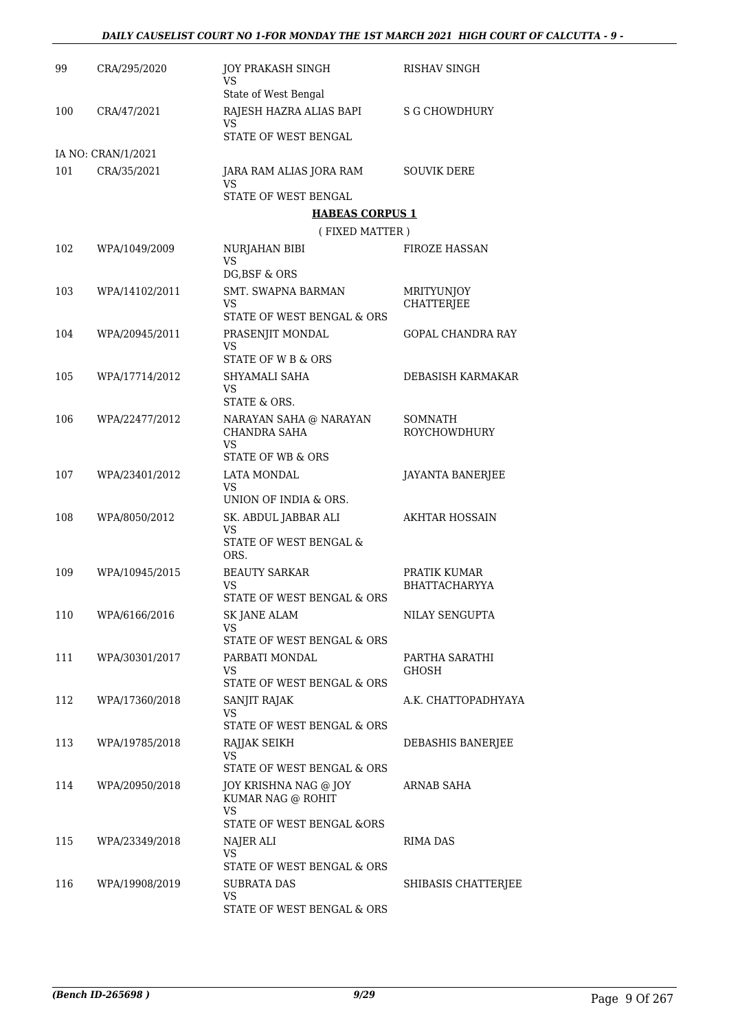| 99  | CRA/295/2020       | JOY PRAKASH SINGH<br>VS                       | <b>RISHAV SINGH</b>                    |
|-----|--------------------|-----------------------------------------------|----------------------------------------|
|     |                    | State of West Bengal                          |                                        |
| 100 | CRA/47/2021        | RAJESH HAZRA ALIAS BAPI<br>VS                 | <b>S G CHOWDHURY</b>                   |
|     |                    | STATE OF WEST BENGAL                          |                                        |
|     | IA NO: CRAN/1/2021 |                                               |                                        |
| 101 | CRA/35/2021        | JARA RAM ALIAS JORA RAM<br>VS                 | <b>SOUVIK DERE</b>                     |
|     |                    | STATE OF WEST BENGAL                          |                                        |
|     |                    | <b>HABEAS CORPUS 1</b>                        |                                        |
|     |                    | (FIXED MATTER)                                |                                        |
| 102 | WPA/1049/2009      | NURJAHAN BIBI<br><b>VS</b>                    | <b>FIROZE HASSAN</b>                   |
|     |                    | DG, BSF & ORS                                 |                                        |
| 103 | WPA/14102/2011     | <b>SMT. SWAPNA BARMAN</b><br>VS               | <b>MRITYUNJOY</b><br><b>CHATTERJEE</b> |
|     |                    | STATE OF WEST BENGAL & ORS                    |                                        |
| 104 | WPA/20945/2011     | PRASENJIT MONDAL<br>VS                        | GOPAL CHANDRA RAY                      |
|     |                    | STATE OF W B & ORS                            |                                        |
| 105 | WPA/17714/2012     | SHYAMALI SAHA<br>VS<br>STATE & ORS.           | DEBASISH KARMAKAR                      |
| 106 | WPA/22477/2012     |                                               | SOMNATH                                |
|     |                    | NARAYAN SAHA @ NARAYAN<br>CHANDRA SAHA<br>VS. | ROYCHOWDHURY                           |
|     |                    | STATE OF WB & ORS                             |                                        |
| 107 | WPA/23401/2012     | <b>LATA MONDAL</b>                            | JAYANTA BANERJEE                       |
|     |                    | VS<br>UNION OF INDIA & ORS.                   |                                        |
| 108 | WPA/8050/2012      | SK. ABDUL JABBAR ALI                          | <b>AKHTAR HOSSAIN</b>                  |
|     |                    | <b>VS</b><br>STATE OF WEST BENGAL &           |                                        |
|     |                    | ORS.                                          |                                        |
| 109 | WPA/10945/2015     | <b>BEAUTY SARKAR</b><br><b>VS</b>             | PRATIK KUMAR<br><b>BHATTACHARYYA</b>   |
|     |                    | STATE OF WEST BENGAL & ORS                    |                                        |
| 110 | WPA/6166/2016      | <b>SK JANE ALAM</b>                           | NILAY SENGUPTA                         |
|     |                    | VS.                                           |                                        |
|     |                    | STATE OF WEST BENGAL & ORS                    |                                        |
| 111 | WPA/30301/2017     | PARBATI MONDAL<br>VS                          | PARTHA SARATHI<br>GHOSH                |
|     |                    | STATE OF WEST BENGAL & ORS                    |                                        |
| 112 | WPA/17360/2018     | SANJIT RAJAK<br><b>VS</b>                     | A.K. CHATTOPADHYAYA                    |
|     |                    | STATE OF WEST BENGAL & ORS                    |                                        |
| 113 | WPA/19785/2018     | RAJJAK SEIKH<br>VS                            | DEBASHIS BANERJEE                      |
|     |                    | STATE OF WEST BENGAL & ORS                    |                                        |
| 114 | WPA/20950/2018     | JOY KRISHNA NAG @ JOY                         | ARNAB SAHA                             |
|     |                    | KUMAR NAG @ ROHIT<br>VS                       |                                        |
|     |                    | STATE OF WEST BENGAL &ORS                     |                                        |
| 115 | WPA/23349/2018     | NAJER ALI                                     | RIMA DAS                               |
|     |                    | VS                                            |                                        |
|     |                    | STATE OF WEST BENGAL & ORS                    |                                        |
| 116 | WPA/19908/2019     | <b>SUBRATA DAS</b><br>VS                      | SHIBASIS CHATTERJEE                    |
|     |                    | STATE OF WEST BENGAL & ORS                    |                                        |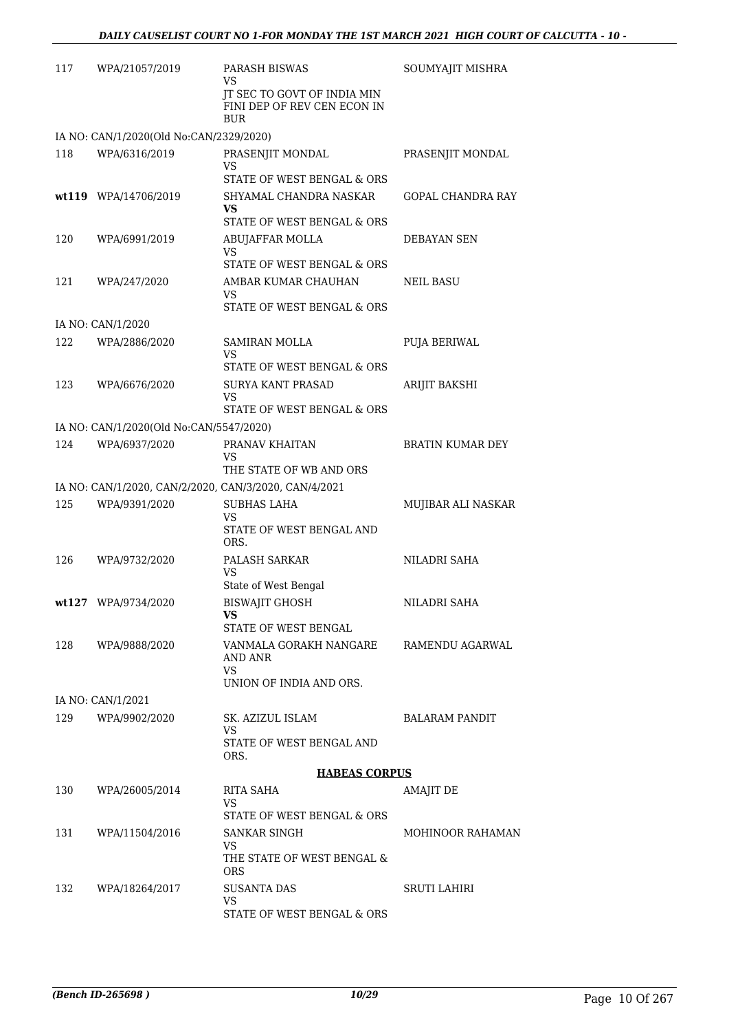| 117 | WPA/21057/2019                                        | PARASH BISWAS<br>VS                                                      | SOUMYAJIT MISHRA         |
|-----|-------------------------------------------------------|--------------------------------------------------------------------------|--------------------------|
|     |                                                       | JT SEC TO GOVT OF INDIA MIN<br>FINI DEP OF REV CEN ECON IN<br><b>BUR</b> |                          |
|     | IA NO: CAN/1/2020(Old No:CAN/2329/2020)               |                                                                          |                          |
| 118 | WPA/6316/2019                                         | PRASENJIT MONDAL<br>VS                                                   | PRASENJIT MONDAL         |
|     |                                                       | STATE OF WEST BENGAL & ORS                                               |                          |
|     | wt119 WPA/14706/2019                                  | SHYAMAL CHANDRA NASKAR<br>VS<br>STATE OF WEST BENGAL & ORS               | <b>GOPAL CHANDRA RAY</b> |
| 120 | WPA/6991/2019                                         | ABUJAFFAR MOLLA<br>VS                                                    | DEBAYAN SEN              |
|     |                                                       | STATE OF WEST BENGAL & ORS                                               |                          |
| 121 | WPA/247/2020                                          | AMBAR KUMAR CHAUHAN<br>VS                                                | <b>NEIL BASU</b>         |
|     |                                                       | STATE OF WEST BENGAL & ORS                                               |                          |
|     | IA NO: CAN/1/2020                                     |                                                                          |                          |
| 122 | WPA/2886/2020                                         | <b>SAMIRAN MOLLA</b><br>VS<br>STATE OF WEST BENGAL & ORS                 | <b>PUJA BERIWAL</b>      |
| 123 | WPA/6676/2020                                         | <b>SURYA KANT PRASAD</b><br>VS                                           | <b>ARIJIT BAKSHI</b>     |
|     |                                                       | STATE OF WEST BENGAL & ORS                                               |                          |
|     | IA NO: CAN/1/2020(Old No:CAN/5547/2020)               |                                                                          |                          |
| 124 | WPA/6937/2020                                         | PRANAV KHAITAN<br>VS                                                     | <b>BRATIN KUMAR DEY</b>  |
|     | IA NO: CAN/1/2020, CAN/2/2020, CAN/3/2020, CAN/4/2021 | THE STATE OF WB AND ORS                                                  |                          |
| 125 | WPA/9391/2020                                         | <b>SUBHAS LAHA</b><br>VS                                                 | MUJIBAR ALI NASKAR       |
|     |                                                       | STATE OF WEST BENGAL AND<br>ORS.                                         |                          |
| 126 | WPA/9732/2020                                         | PALASH SARKAR<br>VS                                                      | NILADRI SAHA             |
|     |                                                       | State of West Bengal                                                     |                          |
|     | wt127 WPA/9734/2020                                   | <b>BISWAJIT GHOSH</b><br>VS<br>STATE OF WEST BENGAL                      | NILADRI SAHA             |
| 128 | WPA/9888/2020                                         | VANMALA GORAKH NANGARE                                                   | RAMENDU AGARWAL          |
|     |                                                       | AND ANR<br>VS                                                            |                          |
|     |                                                       | UNION OF INDIA AND ORS.                                                  |                          |
|     | IA NO: CAN/1/2021                                     |                                                                          |                          |
| 129 | WPA/9902/2020                                         | SK. AZIZUL ISLAM<br>VS                                                   | <b>BALARAM PANDIT</b>    |
|     |                                                       | STATE OF WEST BENGAL AND<br>ORS.                                         |                          |
|     |                                                       | <b>HABEAS CORPUS</b>                                                     |                          |
| 130 | WPA/26005/2014                                        | RITA SAHA<br>VS                                                          | AMAJIT DE                |
| 131 | WPA/11504/2016                                        | STATE OF WEST BENGAL & ORS<br>SANKAR SINGH                               | MOHINOOR RAHAMAN         |
|     |                                                       | VS<br>THE STATE OF WEST BENGAL &                                         |                          |
|     |                                                       | <b>ORS</b>                                                               |                          |
| 132 | WPA/18264/2017                                        | SUSANTA DAS<br>VS                                                        | <b>SRUTI LAHIRI</b>      |
|     |                                                       | STATE OF WEST BENGAL & ORS                                               |                          |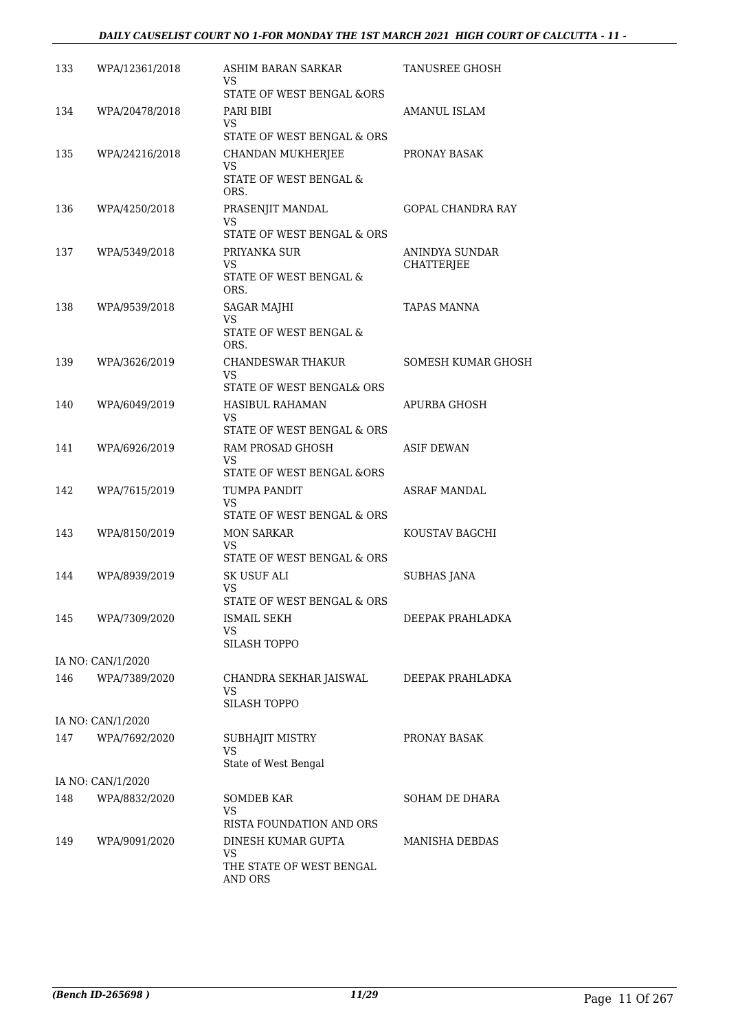#### *DAILY CAUSELIST COURT NO 1-FOR MONDAY THE 1ST MARCH 2021 HIGH COURT OF CALCUTTA - 11 -*

| 133 | WPA/12361/2018    | ASHIM BARAN SARKAR<br>VS                                    | TANUSREE GHOSH           |
|-----|-------------------|-------------------------------------------------------------|--------------------------|
|     |                   | STATE OF WEST BENGAL & ORS                                  |                          |
| 134 | WPA/20478/2018    | PARI BIBI<br>VS                                             | AMANUL ISLAM             |
|     |                   | STATE OF WEST BENGAL & ORS                                  |                          |
| 135 | WPA/24216/2018    | CHANDAN MUKHERJEE<br>VS<br>STATE OF WEST BENGAL &           | PRONAY BASAK             |
|     |                   | ORS.                                                        | <b>GOPAL CHANDRA RAY</b> |
| 136 | WPA/4250/2018     | PRASENJIT MANDAL<br><b>VS</b><br>STATE OF WEST BENGAL & ORS |                          |
| 137 | WPA/5349/2018     | PRIYANKA SUR                                                | ANINDYA SUNDAR           |
|     |                   | VS<br>STATE OF WEST BENGAL &<br>ORS.                        | <b>CHATTERJEE</b>        |
| 138 | WPA/9539/2018     | <b>SAGAR MAJHI</b>                                          | <b>TAPAS MANNA</b>       |
|     |                   | VS<br>STATE OF WEST BENGAL &<br>ORS.                        |                          |
| 139 | WPA/3626/2019     | CHANDESWAR THAKUR<br>VS                                     | SOMESH KUMAR GHOSH       |
|     |                   | STATE OF WEST BENGAL& ORS                                   |                          |
| 140 | WPA/6049/2019     | HASIBUL RAHAMAN<br>VS<br>STATE OF WEST BENGAL & ORS         | APURBA GHOSH             |
| 141 | WPA/6926/2019     | RAM PROSAD GHOSH                                            | ASIF DEWAN               |
|     |                   | VS<br>STATE OF WEST BENGAL &ORS                             |                          |
| 142 | WPA/7615/2019     | TUMPA PANDIT<br>VS.                                         | ASRAF MANDAL             |
|     |                   | STATE OF WEST BENGAL & ORS                                  |                          |
| 143 | WPA/8150/2019     | <b>MON SARKAR</b><br>VS<br>STATE OF WEST BENGAL & ORS       | KOUSTAV BAGCHI           |
| 144 | WPA/8939/2019     | SK USUF ALI                                                 | <b>SUBHAS JANA</b>       |
|     |                   | VS.                                                         |                          |
| 145 |                   | STATE OF WEST BENGAL & ORS<br><b>ISMAIL SEKH</b>            | DEEPAK PRAHLADKA         |
|     | WPA/7309/2020     | VS<br><b>SILASH TOPPO</b>                                   |                          |
|     | IA NO: CAN/1/2020 |                                                             |                          |
| 146 | WPA/7389/2020     | CHANDRA SEKHAR JAISWAL<br>VS<br><b>SILASH TOPPO</b>         | DEEPAK PRAHLADKA         |
|     | IA NO: CAN/1/2020 |                                                             |                          |
| 147 | WPA/7692/2020     | SUBHAJIT MISTRY<br>VS                                       | PRONAY BASAK             |
|     |                   | State of West Bengal                                        |                          |
|     | IA NO: CAN/1/2020 |                                                             |                          |
| 148 | WPA/8832/2020     | <b>SOMDEB KAR</b><br>VS                                     | SOHAM DE DHARA           |
|     |                   | RISTA FOUNDATION AND ORS<br>DINESH KUMAR GUPTA              | <b>MANISHA DEBDAS</b>    |
| 149 | WPA/9091/2020     | VS<br>THE STATE OF WEST BENGAL<br>AND ORS                   |                          |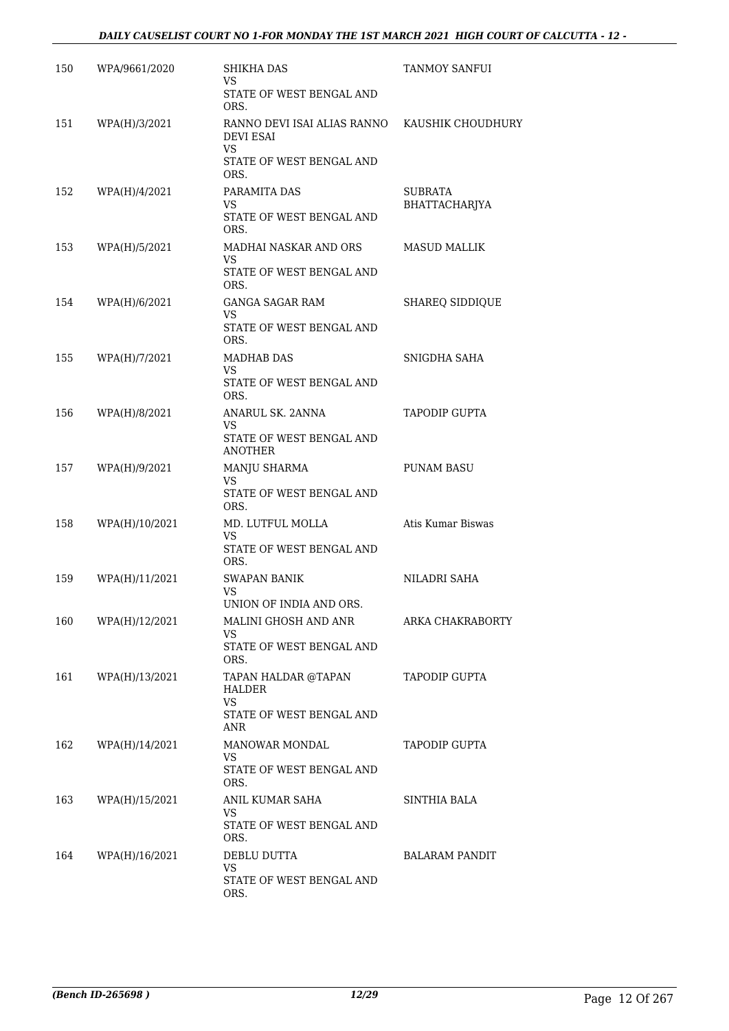| 150 | WPA/9661/2020  | SHIKHA DAS<br>VS                                                                           | <b>TANMOY SANFUI</b>            |
|-----|----------------|--------------------------------------------------------------------------------------------|---------------------------------|
|     |                | STATE OF WEST BENGAL AND<br>ORS.                                                           |                                 |
| 151 | WPA(H)/3/2021  | RANNO DEVI ISAI ALIAS RANNO<br><b>DEVI ESAI</b><br>VS.<br>STATE OF WEST BENGAL AND<br>ORS. | KAUSHIK CHOUDHURY               |
| 152 | WPA(H)/4/2021  | PARAMITA DAS<br>VS.<br>STATE OF WEST BENGAL AND<br>ORS.                                    | <b>SUBRATA</b><br>BHATTACHARJYA |
| 153 | WPA(H)/5/2021  | MADHAI NASKAR AND ORS<br>VS.<br>STATE OF WEST BENGAL AND<br>ORS.                           | <b>MASUD MALLIK</b>             |
| 154 | WPA(H)/6/2021  | <b>GANGA SAGAR RAM</b><br>VS<br>STATE OF WEST BENGAL AND<br>ORS.                           | <b>SHAREQ SIDDIQUE</b>          |
| 155 | WPA(H)/7/2021  | <b>MADHAB DAS</b><br>VS.<br>STATE OF WEST BENGAL AND<br>ORS.                               | SNIGDHA SAHA                    |
| 156 | WPA(H)/8/2021  | ANARUL SK. 2ANNA<br>VS<br>STATE OF WEST BENGAL AND<br><b>ANOTHER</b>                       | <b>TAPODIP GUPTA</b>            |
| 157 | WPA(H)/9/2021  | MANJU SHARMA<br>VS<br>STATE OF WEST BENGAL AND<br>ORS.                                     | PUNAM BASU                      |
| 158 | WPA(H)/10/2021 | MD. LUTFUL MOLLA<br>VS<br>STATE OF WEST BENGAL AND<br>ORS.                                 | Atis Kumar Biswas               |
| 159 | WPA(H)/11/2021 | <b>SWAPAN BANIK</b><br>VS<br>UNION OF INDIA AND ORS                                        | NILADRI SAHA                    |
| 160 | WPA(H)/12/2021 | MALINI GHOSH AND ANR<br>VS<br>STATE OF WEST BENGAL AND<br>ORS.                             | ARKA CHAKRABORTY                |
| 161 | WPA(H)/13/2021 | TAPAN HALDAR @TAPAN<br><b>HALDER</b><br><b>VS</b><br>STATE OF WEST BENGAL AND<br>ANR       | <b>TAPODIP GUPTA</b>            |
| 162 | WPA(H)/14/2021 | <b>MANOWAR MONDAL</b><br>VS<br>STATE OF WEST BENGAL AND<br>ORS.                            | <b>TAPODIP GUPTA</b>            |
| 163 | WPA(H)/15/2021 | ANIL KUMAR SAHA<br>VS<br>STATE OF WEST BENGAL AND<br>ORS.                                  | SINTHIA BALA                    |
| 164 | WPA(H)/16/2021 | DEBLU DUTTA<br>VS<br>STATE OF WEST BENGAL AND<br>ORS.                                      | BALARAM PANDIT                  |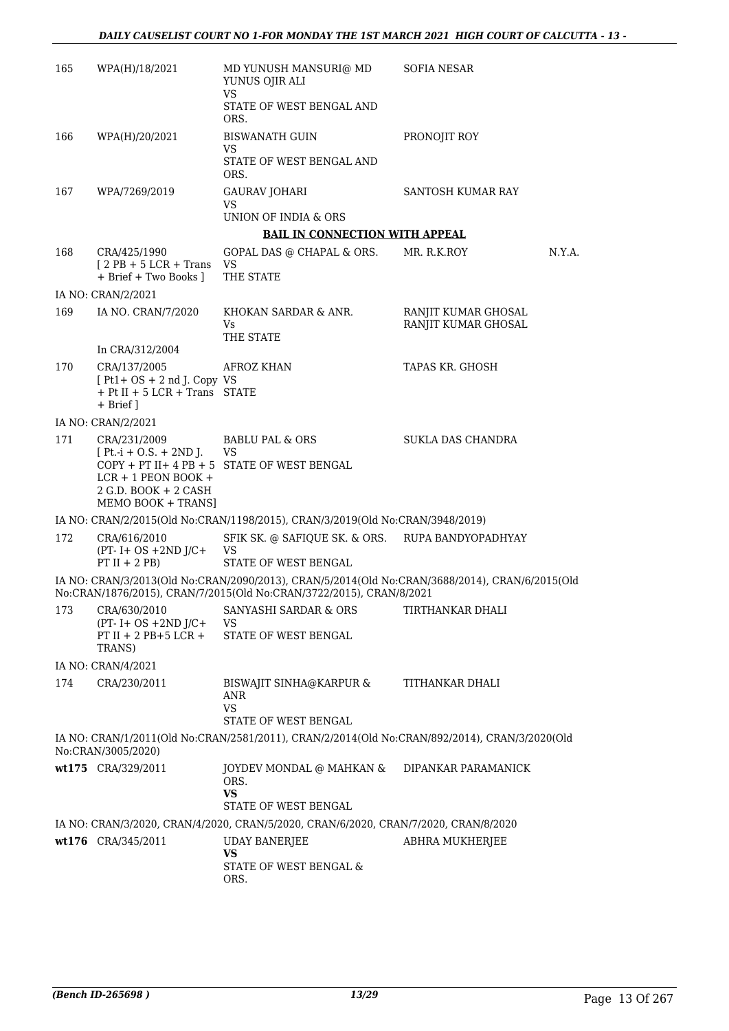| 165 | WPA(H)/18/2021                                                                                                     | MD YUNUSH MANSURI@ MD<br>YUNUS OJIR ALI                                                                                                                               | <b>SOFIA NESAR</b>                         |  |
|-----|--------------------------------------------------------------------------------------------------------------------|-----------------------------------------------------------------------------------------------------------------------------------------------------------------------|--------------------------------------------|--|
|     |                                                                                                                    | <b>VS</b><br>STATE OF WEST BENGAL AND<br>ORS.                                                                                                                         |                                            |  |
| 166 | WPA(H)/20/2021                                                                                                     | <b>BISWANATH GUIN</b>                                                                                                                                                 | PRONOJIT ROY                               |  |
|     |                                                                                                                    | VS<br>STATE OF WEST BENGAL AND<br>ORS.                                                                                                                                |                                            |  |
| 167 | WPA/7269/2019                                                                                                      | <b>GAURAV JOHARI</b><br>VS<br>UNION OF INDIA & ORS                                                                                                                    | <b>SANTOSH KUMAR RAY</b>                   |  |
|     |                                                                                                                    | <b>BAIL IN CONNECTION WITH APPEAL</b>                                                                                                                                 |                                            |  |
| 168 | CRA/425/1990                                                                                                       | GOPAL DAS @ CHAPAL & ORS.                                                                                                                                             | MR. R.K.ROY<br>N.Y.A.                      |  |
|     | $[2PB + 5 LCR + Trans$<br>+ Brief + Two Books ]                                                                    | VS<br>THE STATE                                                                                                                                                       |                                            |  |
|     | IA NO: CRAN/2/2021                                                                                                 |                                                                                                                                                                       |                                            |  |
| 169 | IA NO. CRAN/7/2020                                                                                                 | KHOKAN SARDAR & ANR.<br>Vs<br>THE STATE                                                                                                                               | RANJIT KUMAR GHOSAL<br>RANJIT KUMAR GHOSAL |  |
|     | In CRA/312/2004                                                                                                    |                                                                                                                                                                       |                                            |  |
| 170 | CRA/137/2005<br>$[Pt1 + OS + 2 nd J$ . Copy VS<br>$+$ Pt II + 5 LCR + Trans STATE<br>+ Brief ]                     | AFROZ KHAN                                                                                                                                                            | TAPAS KR. GHOSH                            |  |
|     | IA NO: CRAN/2/2021                                                                                                 |                                                                                                                                                                       |                                            |  |
| 171 | CRA/231/2009<br>$[Pt.-i + O.S. + 2ND].$<br>$LCR + 1$ PEON BOOK +<br>$2$ G.D. BOOK + $2$ CASH<br>MEMO BOOK + TRANS] | <b>BABLU PAL &amp; ORS</b><br>VS<br>$COPY + PT II + 4 PB + 5$ STATE OF WEST BENGAL                                                                                    | SUKLA DAS CHANDRA                          |  |
|     |                                                                                                                    | IA NO: CRAN/2/2015(Old No:CRAN/1198/2015), CRAN/3/2019(Old No:CRAN/3948/2019)                                                                                         |                                            |  |
| 172 | CRA/616/2010<br>$(PT - I + OS + 2ND J/C +$<br>$PT II + 2 PB$                                                       | SFIK SK. @ SAFIQUE SK. & ORS. RUPA BANDYOPADHYAY<br>VS<br>STATE OF WEST BENGAL                                                                                        |                                            |  |
|     |                                                                                                                    | IA NO: CRAN/3/2013(Old No:CRAN/2090/2013), CRAN/5/2014(Old No:CRAN/3688/2014), CRAN/6/2015(Old<br>No:CRAN/1876/2015), CRAN/7/2015(Old No:CRAN/3722/2015), CRAN/8/2021 |                                            |  |
| 173 | CRA/630/2010<br>$(PT - I + OS + 2ND J/C +$<br>PT II + 2 PB+5 LCR +<br>TRANS)                                       | SANYASHI SARDAR & ORS<br>VS<br>STATE OF WEST BENGAL                                                                                                                   | TIRTHANKAR DHALI                           |  |
|     | IA NO: CRAN/4/2021                                                                                                 |                                                                                                                                                                       |                                            |  |
| 174 | CRA/230/2011                                                                                                       | BISWAJIT SINHA@KARPUR &<br>ANR<br><b>VS</b><br>STATE OF WEST BENGAL                                                                                                   | TITHANKAR DHALI                            |  |
|     | No:CRAN/3005/2020)                                                                                                 | IA NO: CRAN/1/2011(Old No:CRAN/2581/2011), CRAN/2/2014(Old No:CRAN/892/2014), CRAN/3/2020(Old                                                                         |                                            |  |
|     | wt175 CRA/329/2011                                                                                                 | JOYDEV MONDAL @ MAHKAN &<br>ORS.<br>VS.<br>STATE OF WEST BENGAL                                                                                                       | DIPANKAR PARAMANICK                        |  |
|     |                                                                                                                    | IA NO: CRAN/3/2020, CRAN/4/2020, CRAN/5/2020, CRAN/6/2020, CRAN/7/2020, CRAN/8/2020                                                                                   |                                            |  |
|     | wt176 CRA/345/2011                                                                                                 | <b>UDAY BANERJEE</b>                                                                                                                                                  | ABHRA MUKHERJEE                            |  |
|     |                                                                                                                    | <b>VS</b><br>STATE OF WEST BENGAL &<br>ORS.                                                                                                                           |                                            |  |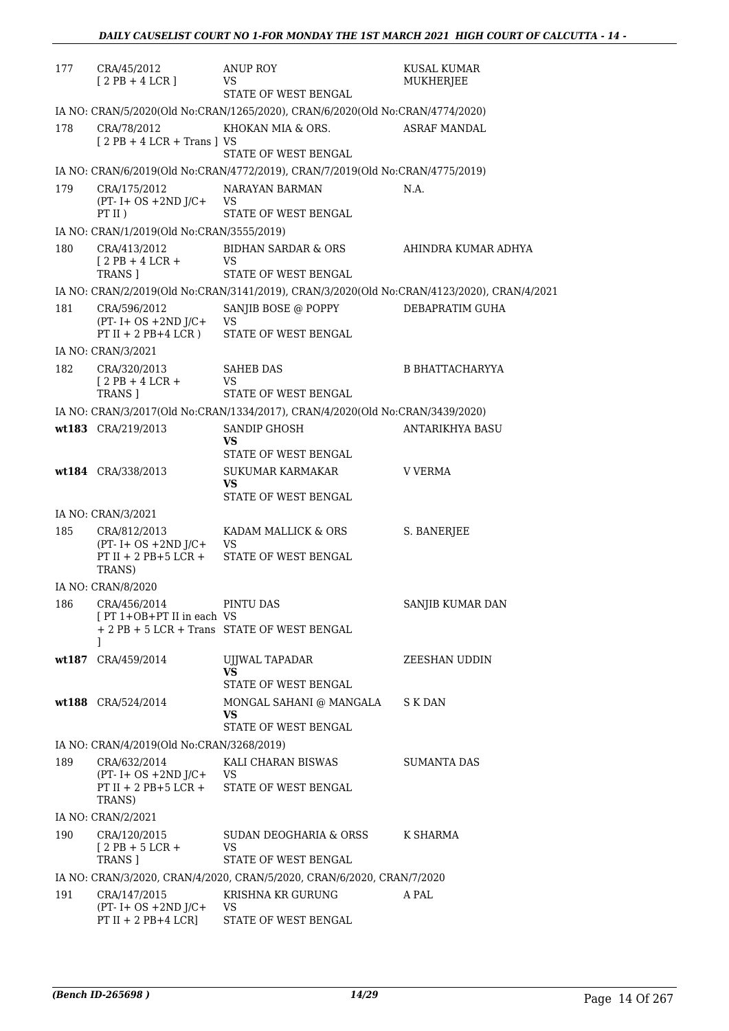| 177 | CRA/45/2012<br>$[2PB+4LCR]$                                                      | <b>ANUP ROY</b><br>VS<br>STATE OF WEST BENGAL                                              | KUSAL KUMAR<br>MUKHERJEE |
|-----|----------------------------------------------------------------------------------|--------------------------------------------------------------------------------------------|--------------------------|
|     |                                                                                  | IA NO: CRAN/5/2020(Old No:CRAN/1265/2020), CRAN/6/2020(Old No:CRAN/4774/2020)              |                          |
| 178 | CRA/78/2012<br>$[2PB + 4LCR + Trans]VS$                                          | KHOKAN MIA & ORS.<br>STATE OF WEST BENGAL                                                  | <b>ASRAF MANDAL</b>      |
|     |                                                                                  | IA NO: CRAN/6/2019(Old No:CRAN/4772/2019), CRAN/7/2019(Old No:CRAN/4775/2019)              |                          |
| 179 | CRA/175/2012<br>$(PT - I + OS + 2ND J/C +$<br>$PT$ II)                           | NARAYAN BARMAN<br>VS.<br>STATE OF WEST BENGAL                                              | N.A.                     |
|     | IA NO: CRAN/1/2019(Old No:CRAN/3555/2019)                                        |                                                                                            |                          |
| 180 | CRA/413/2012<br>$12$ PB + 4 LCR +<br>TRANS ]                                     | BIDHAN SARDAR & ORS<br>VS<br>STATE OF WEST BENGAL                                          | AHINDRA KUMAR ADHYA      |
|     |                                                                                  | IA NO: CRAN/2/2019(Old No:CRAN/3141/2019), CRAN/3/2020(Old No:CRAN/4123/2020), CRAN/4/2021 |                          |
| 181 | CRA/596/2012<br>$(PT - I + OS + 2ND J/C +$<br>$PT II + 2 PB + 4 LCR$ )           | SANJIB BOSE @ POPPY<br>VS<br>STATE OF WEST BENGAL                                          | DEBAPRATIM GUHA          |
|     | IA NO: CRAN/3/2021                                                               |                                                                                            |                          |
| 182 | CRA/320/2013<br>$[2PB+4LCR+$<br>TRANS ]                                          | <b>SAHEB DAS</b><br><b>VS</b><br>STATE OF WEST BENGAL                                      | B BHATTACHARYYA          |
|     |                                                                                  | IA NO: CRAN/3/2017(Old No:CRAN/1334/2017), CRAN/4/2020(Old No:CRAN/3439/2020)              |                          |
|     | wt183 CRA/219/2013                                                               | SANDIP GHOSH<br>VS                                                                         | ANTARIKHYA BASU          |
|     | wt184 CRA/338/2013                                                               | STATE OF WEST BENGAL<br>SUKUMAR KARMAKAR<br>VS.<br>STATE OF WEST BENGAL                    | V VERMA                  |
|     | IA NO: CRAN/3/2021                                                               |                                                                                            |                          |
| 185 | CRA/812/2013<br>$(PT - I + OS + 2ND J/C +$<br>$PT II + 2 PB + 5 LCR +$<br>TRANS) | KADAM MALLICK & ORS<br>VS<br>STATE OF WEST BENGAL                                          | S. BANERJEE              |
|     | IA NO: CRAN/8/2020                                                               |                                                                                            |                          |
|     | 186 CRA/456/2014<br>[PT 1+OB+PT II in each VS<br>1                               | PINTU DAS<br>+ 2 PB + 5 LCR + Trans STATE OF WEST BENGAL                                   | SANJIB KUMAR DAN         |
|     | wt187 CRA/459/2014                                                               | UJJWAL TAPADAR<br><b>VS</b>                                                                | ZEESHAN UDDIN            |
|     | wt188 CRA/524/2014                                                               | STATE OF WEST BENGAL<br>MONGAL SAHANI @ MANGALA<br>VS<br>STATE OF WEST BENGAL              | S K DAN                  |
|     | IA NO: CRAN/4/2019(Old No:CRAN/3268/2019)                                        |                                                                                            |                          |
| 189 | CRA/632/2014<br>$(PT - I + OS + 2ND J/C + VS)$<br>PT II + 2 PB+5 LCR +<br>TRANS) | KALI CHARAN BISWAS<br>STATE OF WEST BENGAL                                                 | <b>SUMANTA DAS</b>       |
|     | IA NO: CRAN/2/2021                                                               |                                                                                            |                          |
| 190 | CRA/120/2015<br>$12$ PB + 5 LCR +<br>TRANS 1                                     | SUDAN DEOGHARIA & ORSS<br><b>VS</b><br>STATE OF WEST BENGAL                                | K SHARMA                 |
|     |                                                                                  | IA NO: CRAN/3/2020, CRAN/4/2020, CRAN/5/2020, CRAN/6/2020, CRAN/7/2020                     |                          |
| 191 | CRA/147/2015<br>$(PT - I + OS + 2ND J/C +$<br>PT II + 2 PB+4 LCR]                | KRISHNA KR GURUNG<br>VS<br>STATE OF WEST BENGAL                                            | A PAL                    |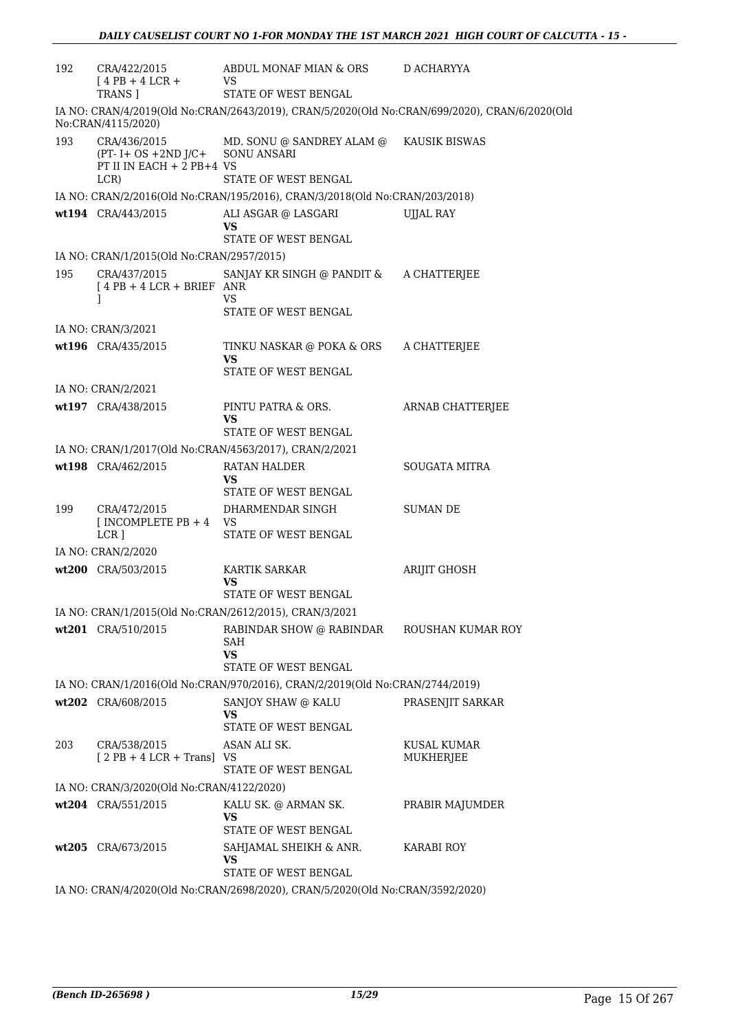| 192 | CRA/422/2015<br>$[4PB + 4LCR +$<br><b>TRANS 1</b>                                          | ABDUL MONAF MIAN & ORS<br>VS.<br>STATE OF WEST BENGAL                                                 | D ACHARYYA                                                                                    |
|-----|--------------------------------------------------------------------------------------------|-------------------------------------------------------------------------------------------------------|-----------------------------------------------------------------------------------------------|
|     | No:CRAN/4115/2020)                                                                         |                                                                                                       | IA NO: CRAN/4/2019(Old No:CRAN/2643/2019), CRAN/5/2020(Old No:CRAN/699/2020), CRAN/6/2020(Old |
| 193 | CRA/436/2015<br>(PT- I+ OS +2ND J/C+ SONU ANSARI<br>PT II IN EACH $+$ 2 PB $+4$ VS<br>LCR) | MD. SONU @ SANDREY ALAM @<br>STATE OF WEST BENGAL                                                     | KAUSIK BISWAS                                                                                 |
|     |                                                                                            | IA NO: CRAN/2/2016(Old No:CRAN/195/2016), CRAN/3/2018(Old No:CRAN/203/2018)                           |                                                                                               |
|     | wt194 CRA/443/2015                                                                         | ALI ASGAR @ LASGARI<br>VS<br>STATE OF WEST BENGAL                                                     | UJJAL RAY                                                                                     |
|     | IA NO: CRAN/1/2015(Old No:CRAN/2957/2015)                                                  |                                                                                                       |                                                                                               |
| 195 | CRA/437/2015<br>$[4PB + 4LCR + BRIEF ANR]$<br>J                                            | SANJAY KR SINGH @ PANDIT & A CHATTERJEE<br>VS<br>STATE OF WEST BENGAL                                 |                                                                                               |
|     | IA NO: CRAN/3/2021                                                                         |                                                                                                       |                                                                                               |
|     | wt196 CRA/435/2015                                                                         | TINKU NASKAR @ POKA & ORS<br>VS<br>STATE OF WEST BENGAL                                               | A CHATTERJEE                                                                                  |
|     | IA NO: CRAN/2/2021                                                                         |                                                                                                       |                                                                                               |
|     | wt197 CRA/438/2015                                                                         | PINTU PATRA & ORS.<br>VS<br>STATE OF WEST BENGAL                                                      | ARNAB CHATTERJEE                                                                              |
|     |                                                                                            | IA NO: CRAN/1/2017(Old No:CRAN/4563/2017), CRAN/2/2021                                                |                                                                                               |
|     | wt198 CRA/462/2015                                                                         | RATAN HALDER<br>VS<br>STATE OF WEST BENGAL                                                            | <b>SOUGATA MITRA</b>                                                                          |
| 199 | CRA/472/2015<br>[INCOMPLETE PB $+4$ VS<br>LCR ]                                            | DHARMENDAR SINGH<br>STATE OF WEST BENGAL                                                              | <b>SUMAN DE</b>                                                                               |
|     | IA NO: CRAN/2/2020                                                                         |                                                                                                       |                                                                                               |
|     | wt200 CRA/503/2015                                                                         | <b>KARTIK SARKAR</b><br>VS<br>STATE OF WEST BENGAL                                                    | ARIJIT GHOSH                                                                                  |
|     |                                                                                            | IA NO: CRAN/1/2015(Old No:CRAN/2612/2015), CRAN/3/2021                                                |                                                                                               |
|     | wt201 CRA/510/2015                                                                         | RABINDAR SHOW @ RABINDAR<br>SAH<br>VS                                                                 | ROUSHAN KUMAR ROY                                                                             |
|     |                                                                                            | STATE OF WEST BENGAL                                                                                  |                                                                                               |
|     |                                                                                            | IA NO: CRAN/1/2016(Old No:CRAN/970/2016), CRAN/2/2019(Old No:CRAN/2744/2019)                          |                                                                                               |
|     | wt202 CRA/608/2015                                                                         | SANJOY SHAW @ KALU<br>VS<br>STATE OF WEST BENGAL                                                      | PRASENJIT SARKAR                                                                              |
| 203 | CRA/538/2015<br>$[2PB + 4LCR + Trans]$ VS                                                  | ASAN ALI SK.<br>STATE OF WEST BENGAL                                                                  | KUSAL KUMAR<br>MUKHERJEE                                                                      |
|     | IA NO: CRAN/3/2020(Old No:CRAN/4122/2020)                                                  |                                                                                                       |                                                                                               |
|     | wt204 CRA/551/2015                                                                         | KALU SK. @ ARMAN SK.<br>VS<br>STATE OF WEST BENGAL                                                    | PRABIR MAJUMDER                                                                               |
|     | wt205 CRA/673/2015                                                                         | SAHJAMAL SHEIKH & ANR.<br>VS                                                                          | <b>KARABI ROY</b>                                                                             |
|     |                                                                                            | STATE OF WEST BENGAL<br>IA NO: CRAN/4/2020(Old No:CRAN/2698/2020), CRAN/5/2020(Old No:CRAN/3592/2020) |                                                                                               |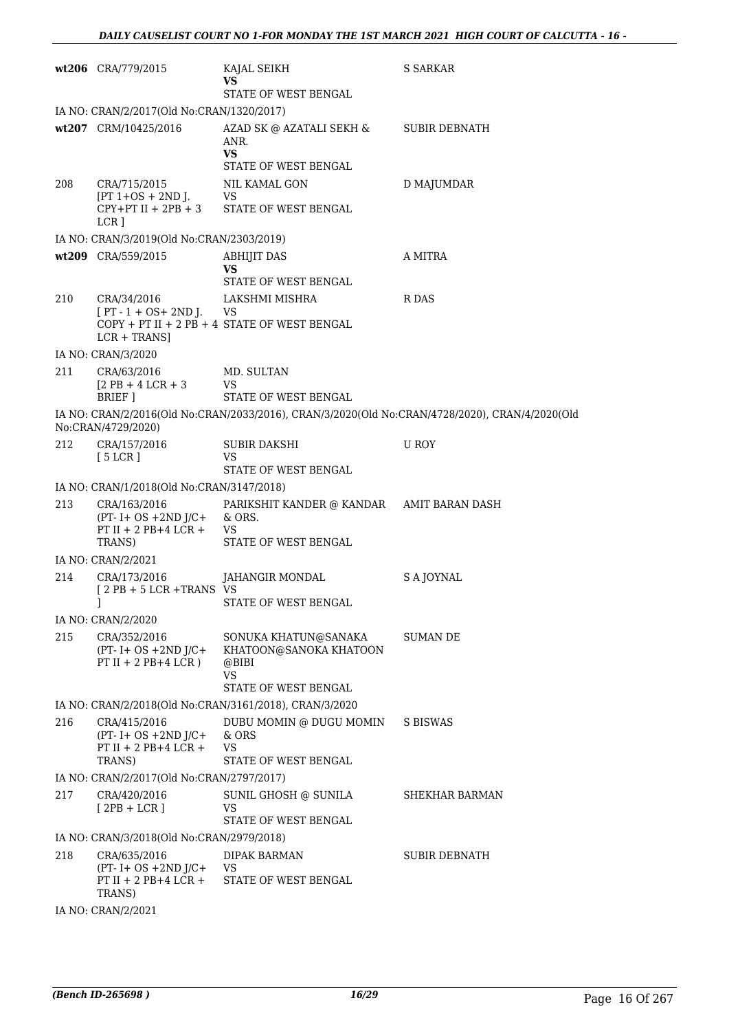|     | wt206 CRA/779/2015                                                                       | KAJAL SEIKH<br>VS<br>STATE OF WEST BENGAL                                                        | <b>S SARKAR</b>                                                                                |  |  |
|-----|------------------------------------------------------------------------------------------|--------------------------------------------------------------------------------------------------|------------------------------------------------------------------------------------------------|--|--|
|     | IA NO: CRAN/2/2017(Old No:CRAN/1320/2017)                                                |                                                                                                  |                                                                                                |  |  |
|     | wt207 CRM/10425/2016                                                                     | AZAD SK @ AZATALI SEKH &<br>ANR.<br><b>VS</b><br>STATE OF WEST BENGAL                            | SUBIR DEBNATH                                                                                  |  |  |
| 208 | CRA/715/2015<br>$[PT 1+OS + 2ND J.$<br>LCR ]                                             | NIL KAMAL GON<br><b>VS</b><br>$[PT 1+OS + 2ND J.$ VS<br>CPY+PT II + 2PB + 3 STATE OF WEST BENGAL | D MAJUMDAR                                                                                     |  |  |
|     | IA NO: CRAN/3/2019(Old No:CRAN/2303/2019)                                                |                                                                                                  |                                                                                                |  |  |
|     | wt209 CRA/559/2015                                                                       | <b>ABHIJIT DAS</b><br>VS<br>STATE OF WEST BENGAL                                                 | A MITRA                                                                                        |  |  |
| 210 | CRA/34/2016<br>$[PT - 1 + OS + 2ND ]$ . VS<br>$LCR + TRANSI$                             | LAKSHMI MISHRA<br>$COPY + PT II + 2 PB + 4 STATE OF WEST BENGAL$                                 | R DAS                                                                                          |  |  |
|     | IA NO: CRAN/3/2020                                                                       |                                                                                                  |                                                                                                |  |  |
| 211 | CRA/63/2016<br>$[2PB + 4LCR + 3]$<br>BRIEF 1                                             | MD. SULTAN<br>VS<br><b>STATE OF WEST BENGAL</b>                                                  |                                                                                                |  |  |
|     | No:CRAN/4729/2020)                                                                       |                                                                                                  | IA NO: CRAN/2/2016(Old No:CRAN/2033/2016), CRAN/3/2020(Old No:CRAN/4728/2020), CRAN/4/2020(Old |  |  |
| 212 | CRA/157/2016<br>[5 LCR]                                                                  | SUBIR DAKSHI<br>VS<br>STATE OF WEST BENGAL                                                       | U ROY                                                                                          |  |  |
|     | IA NO: CRAN/1/2018(Old No:CRAN/3147/2018)                                                |                                                                                                  |                                                                                                |  |  |
| 213 | CRA/163/2016<br>$(PT - I + OS + 2ND J/C + \& ORS)$<br>$PT II + 2 PB + 4 LCR +$<br>TRANS) | PARIKSHIT KANDER @ KANDAR      AMIT BARAN DASH<br>VS<br>STATE OF WEST BENGAL                     |                                                                                                |  |  |
|     | IA NO: CRAN/2/2021                                                                       |                                                                                                  |                                                                                                |  |  |
| 214 | CRA/173/2016<br>[2 PB + 5 LCR +TRANS VS                                                  | JAHANGIR MONDAL<br>STATE OF WEST BENGAL                                                          | S A JOYNAL                                                                                     |  |  |
|     | IA NO: CRAN/2/2020                                                                       |                                                                                                  |                                                                                                |  |  |
| 215 | CRA/352/2016<br>$(PT - I + OS + 2ND J/C +$<br>PT II + 2 PB+4 LCR)                        | SONUKA KHATUN@SANAKA<br>KHATOON@SANOKA KHATOON<br>@BIBI<br><b>VS</b><br>STATE OF WEST BENGAL     | SUMAN DE                                                                                       |  |  |
|     |                                                                                          | IA NO: CRAN/2/2018(Old No:CRAN/3161/2018), CRAN/3/2020                                           |                                                                                                |  |  |
| 216 | CRA/415/2016<br>$(PT - I + OS + 2ND J/C +$<br>PT II + 2 PB+4 LCR +<br>TRANS)             | DUBU MOMIN @ DUGU MOMIN<br>& ORS<br>VS<br>STATE OF WEST BENGAL                                   | S BISWAS                                                                                       |  |  |
|     | IA NO: CRAN/2/2017(Old No:CRAN/2797/2017)                                                |                                                                                                  |                                                                                                |  |  |
| 217 | CRA/420/2016<br>$[2PB + LCR]$                                                            | SUNIL GHOSH @ SUNILA<br>VS<br>STATE OF WEST BENGAL                                               | SHEKHAR BARMAN                                                                                 |  |  |
|     | IA NO: CRAN/3/2018(Old No:CRAN/2979/2018)                                                |                                                                                                  |                                                                                                |  |  |
| 218 | CRA/635/2016<br>$(PT - I + OS + 2ND J/C +$<br>PT II + 2 PB+4 LCR +<br>TRANS)             | <b>DIPAK BARMAN</b><br>VS<br>STATE OF WEST BENGAL                                                | <b>SUBIR DEBNATH</b>                                                                           |  |  |
|     | IA NO: CRAN/2/2021                                                                       |                                                                                                  |                                                                                                |  |  |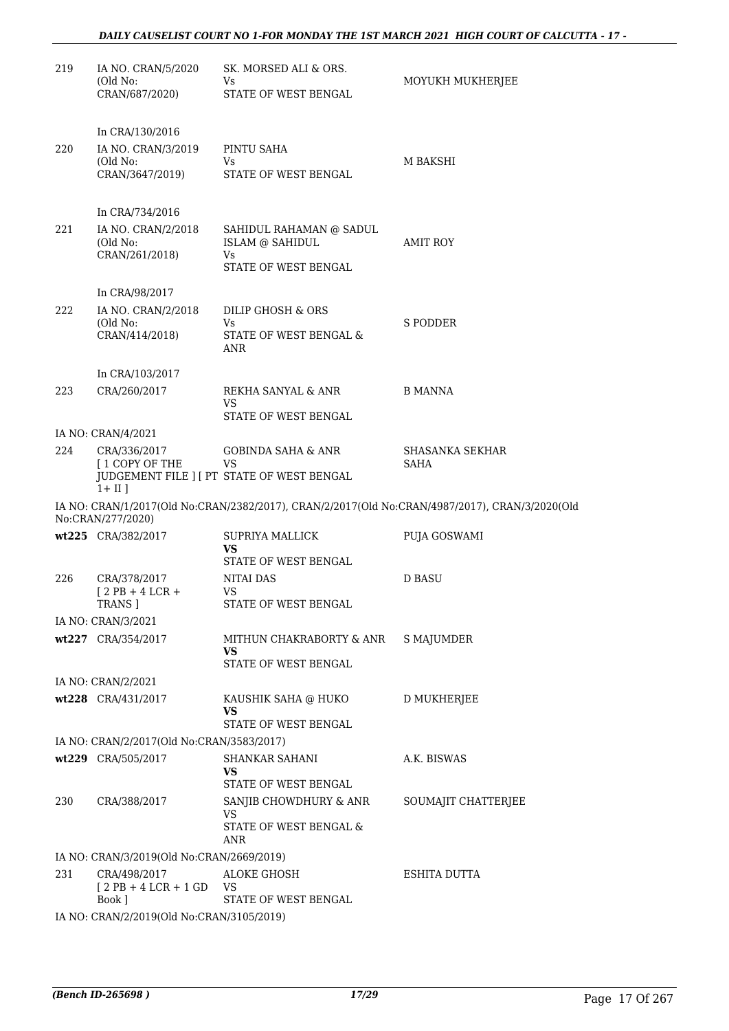| 219 | IA NO. CRAN/5/2020<br>(Old No:<br>CRAN/687/2020)                     | SK. MORSED ALI & ORS.<br>Vs<br>STATE OF WEST BENGAL       | MOYUKH MUKHERJEE                                                                               |
|-----|----------------------------------------------------------------------|-----------------------------------------------------------|------------------------------------------------------------------------------------------------|
|     |                                                                      |                                                           |                                                                                                |
| 220 | In CRA/130/2016<br>IA NO. CRAN/3/2019<br>(Old No:<br>CRAN/3647/2019) | PINTU SAHA<br>Vs<br>STATE OF WEST BENGAL                  | M BAKSHI                                                                                       |
|     |                                                                      |                                                           |                                                                                                |
|     | In CRA/734/2016                                                      |                                                           |                                                                                                |
| 221 | IA NO. CRAN/2/2018<br>(Old No:<br>CRAN/261/2018)                     | SAHIDUL RAHAMAN @ SADUL<br>ISLAM @ SAHIDUL<br>Vs          | AMIT ROY                                                                                       |
|     |                                                                      | STATE OF WEST BENGAL                                      |                                                                                                |
|     | In CRA/98/2017                                                       |                                                           |                                                                                                |
| 222 | IA NO. CRAN/2/2018<br>(Old No:<br>CRAN/414/2018)                     | DILIP GHOSH & ORS<br>Vs.<br>STATE OF WEST BENGAL &<br>ANR | S PODDER                                                                                       |
|     |                                                                      |                                                           |                                                                                                |
| 223 | In CRA/103/2017<br>CRA/260/2017                                      | REKHA SANYAL & ANR                                        | <b>B MANNA</b>                                                                                 |
|     |                                                                      | VS                                                        |                                                                                                |
|     |                                                                      | STATE OF WEST BENGAL                                      |                                                                                                |
| 224 | IA NO: CRAN/4/2021<br>CRA/336/2017                                   | <b>GOBINDA SAHA &amp; ANR</b>                             | SHASANKA SEKHAR                                                                                |
|     | [1 COPY OF THE<br>$1 + II$ ]                                         | VS<br>JUDGEMENT FILE ] [ PT STATE OF WEST BENGAL          | SAHA                                                                                           |
|     | No:CRAN/277/2020)                                                    |                                                           | IA NO: CRAN/1/2017(Old No:CRAN/2382/2017), CRAN/2/2017(Old No:CRAN/4987/2017), CRAN/3/2020(Old |
|     | wt225 CRA/382/2017                                                   | <b>SUPRIYA MALLICK</b><br>VS<br>STATE OF WEST BENGAL      | PUJA GOSWAMI                                                                                   |
| 226 | CRA/378/2017<br>$12$ PB + 4 LCR +                                    | <b>NITAI DAS</b><br>VS                                    | <b>D BASU</b>                                                                                  |
|     | TRANS ]<br>IA NO: CRAN/3/2021                                        | STATE OF WEST BENGAL                                      |                                                                                                |
|     | wt227 CRA/354/2017                                                   | MITHUN CHAKRABORTY & ANR<br>VS                            | S MAJUMDER                                                                                     |
|     |                                                                      | STATE OF WEST BENGAL                                      |                                                                                                |
|     | IA NO: CRAN/2/2021<br>wt228 CRA/431/2017                             | KAUSHIK SAHA @ HUKO                                       | <b>D MUKHERJEE</b>                                                                             |
|     |                                                                      | VS<br>STATE OF WEST BENGAL                                |                                                                                                |
|     | IA NO: CRAN/2/2017(Old No:CRAN/3583/2017)                            |                                                           |                                                                                                |
|     | wt229 CRA/505/2017                                                   | SHANKAR SAHANI<br>VS<br>STATE OF WEST BENGAL              | A.K. BISWAS                                                                                    |
| 230 | CRA/388/2017                                                         | SANJIB CHOWDHURY & ANR<br>VS                              | SOUMAJIT CHATTERJEE                                                                            |
|     |                                                                      | STATE OF WEST BENGAL &<br>ANR                             |                                                                                                |
|     | IA NO: CRAN/3/2019(Old No:CRAN/2669/2019)                            |                                                           |                                                                                                |
| 231 | CRA/498/2017<br>$[2PB+4LCR+1GD]$<br>Book ]                           | ALOKE GHOSH<br>VS<br>STATE OF WEST BENGAL                 | <b>ESHITA DUTTA</b>                                                                            |
|     | IA NO: CRAN/2/2019(Old No:CRAN/3105/2019)                            |                                                           |                                                                                                |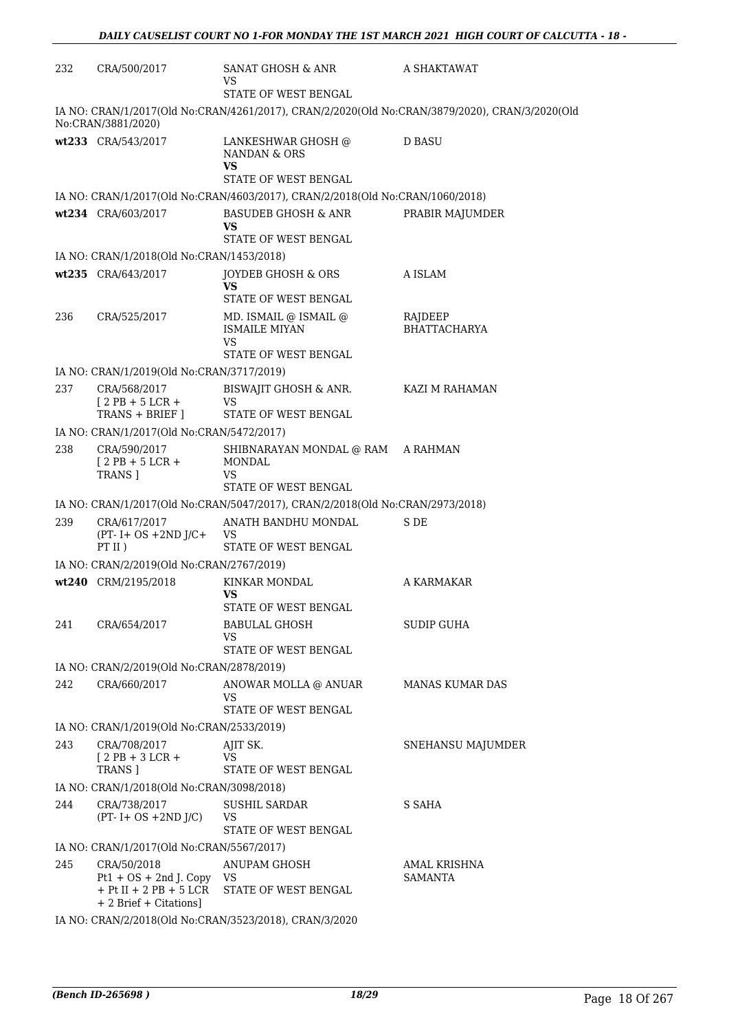| 232 | CRA/500/2017                                                             | SANAT GHOSH & ANR<br>VS.                                                      | A SHAKTAWAT                                                                                    |  |  |
|-----|--------------------------------------------------------------------------|-------------------------------------------------------------------------------|------------------------------------------------------------------------------------------------|--|--|
|     |                                                                          | STATE OF WEST BENGAL                                                          |                                                                                                |  |  |
|     | No:CRAN/3881/2020)                                                       |                                                                               | IA NO: CRAN/1/2017(Old No:CRAN/4261/2017), CRAN/2/2020(Old No:CRAN/3879/2020), CRAN/3/2020(Old |  |  |
|     | wt233 CRA/543/2017                                                       | LANKESHWAR GHOSH @<br>NANDAN & ORS<br>VS.<br>STATE OF WEST BENGAL             | <b>D BASU</b>                                                                                  |  |  |
|     |                                                                          | IA NO: CRAN/1/2017(Old No:CRAN/4603/2017), CRAN/2/2018(Old No:CRAN/1060/2018) |                                                                                                |  |  |
|     | wt234 CRA/603/2017                                                       | <b>BASUDEB GHOSH &amp; ANR</b>                                                | PRABIR MAJUMDER                                                                                |  |  |
|     |                                                                          | VS<br>STATE OF WEST BENGAL                                                    |                                                                                                |  |  |
|     | IA NO: CRAN/1/2018(Old No:CRAN/1453/2018)                                |                                                                               |                                                                                                |  |  |
|     | wt235 CRA/643/2017                                                       | JOYDEB GHOSH & ORS<br>VS.<br>STATE OF WEST BENGAL                             | A ISLAM                                                                                        |  |  |
| 236 | CRA/525/2017                                                             | MD. ISMAIL @ ISMAIL @<br><b>ISMAILE MIYAN</b><br>VS.                          | RAJDEEP<br><b>BHATTACHARYA</b>                                                                 |  |  |
|     |                                                                          | STATE OF WEST BENGAL                                                          |                                                                                                |  |  |
|     | IA NO: CRAN/1/2019(Old No:CRAN/3717/2019)                                |                                                                               |                                                                                                |  |  |
| 237 | CRA/568/2017<br>$[2PB + 5LCR +$<br>TRANS + BRIEF ]                       | BISWAJIT GHOSH & ANR.<br>VS<br>STATE OF WEST BENGAL                           | KAZI M RAHAMAN                                                                                 |  |  |
|     | IA NO: CRAN/1/2017(Old No:CRAN/5472/2017)                                |                                                                               |                                                                                                |  |  |
| 238 | CRA/590/2017                                                             | SHIBNARAYAN MONDAL @ RAM A RAHMAN                                             |                                                                                                |  |  |
|     | $[2PB + 5LCR +$<br>TRANS ]                                               | MONDAL<br>VS.<br>STATE OF WEST BENGAL                                         |                                                                                                |  |  |
|     |                                                                          | IA NO: CRAN/1/2017(Old No:CRAN/5047/2017), CRAN/2/2018(Old No:CRAN/2973/2018) |                                                                                                |  |  |
| 239 | CRA/617/2017                                                             | ANATH BANDHU MONDAL                                                           | S DE                                                                                           |  |  |
|     | $(PT - I + OS + 2ND J/C +$<br>PT II)                                     | VS.<br>STATE OF WEST BENGAL                                                   |                                                                                                |  |  |
|     | IA NO: CRAN/2/2019(Old No:CRAN/2767/2019)                                |                                                                               |                                                                                                |  |  |
|     | wt240 CRM/2195/2018                                                      | KINKAR MONDAL<br>VS                                                           | A KARMAKAR                                                                                     |  |  |
| 241 | CRA/654/2017                                                             | STATE OF WEST BENGAL<br>BABULAL GHOSH<br>VS                                   | <b>SUDIP GUHA</b>                                                                              |  |  |
|     |                                                                          | STATE OF WEST BENGAL                                                          |                                                                                                |  |  |
|     | IA NO: CRAN/2/2019(Old No:CRAN/2878/2019)                                |                                                                               |                                                                                                |  |  |
| 242 | CRA/660/2017                                                             | ANOWAR MOLLA @ ANUAR<br>VS                                                    | <b>MANAS KUMAR DAS</b>                                                                         |  |  |
|     |                                                                          | STATE OF WEST BENGAL                                                          |                                                                                                |  |  |
|     | IA NO: CRAN/1/2019(Old No:CRAN/2533/2019)                                |                                                                               |                                                                                                |  |  |
| 243 | CRA/708/2017<br>$[2PB+3LCR+$<br>TRANS ]                                  | AJIT SK.<br><b>VS</b><br>STATE OF WEST BENGAL                                 | SNEHANSU MAJUMDER                                                                              |  |  |
|     | IA NO: CRAN/1/2018(Old No:CRAN/3098/2018)                                |                                                                               |                                                                                                |  |  |
| 244 | CRA/738/2017<br>$(PT - I + OS + 2ND J/C)$                                | <b>SUSHIL SARDAR</b><br>VS                                                    | S SAHA                                                                                         |  |  |
|     |                                                                          | STATE OF WEST BENGAL                                                          |                                                                                                |  |  |
|     | IA NO: CRAN/1/2017(Old No:CRAN/5567/2017)                                |                                                                               |                                                                                                |  |  |
| 245 | CRA/50/2018<br>$Pt1 + OS + 2nd J$ . Copy<br>$+$ Pt II $+$ 2 PB $+$ 5 LCR | ANUPAM GHOSH<br>VS<br>STATE OF WEST BENGAL                                    | AMAL KRISHNA<br>SAMANTA                                                                        |  |  |
|     | + 2 Brief + Citations]                                                   |                                                                               |                                                                                                |  |  |
|     | IA NO: CRAN/2/2018(Old No:CRAN/3523/2018), CRAN/3/2020                   |                                                                               |                                                                                                |  |  |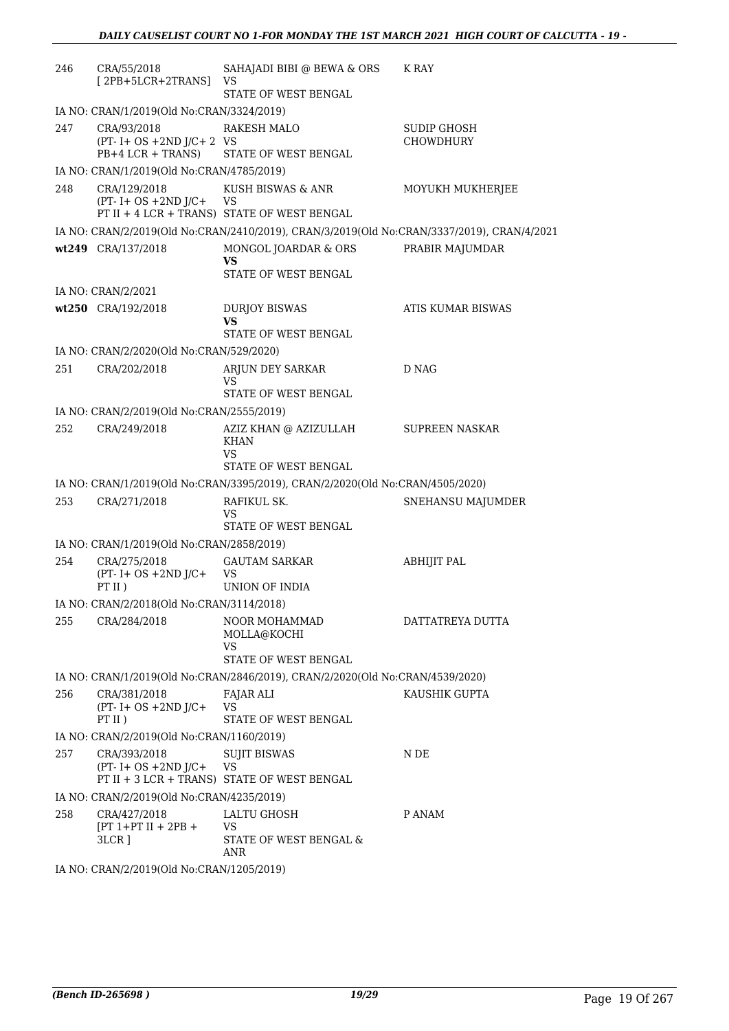| 246 | CRA/55/2018<br>$[2PB+5LCR+2TRANS]$                       | SAHAJADI BIBI @ BEWA & ORS<br>VS                                                           | K RAY                 |
|-----|----------------------------------------------------------|--------------------------------------------------------------------------------------------|-----------------------|
|     | IA NO: CRAN/1/2019(Old No:CRAN/3324/2019)                | STATE OF WEST BENGAL                                                                       |                       |
| 247 | CRA/93/2018                                              | <b>RAKESH MALO</b>                                                                         | <b>SUDIP GHOSH</b>    |
|     | $(PT - I + OS + 2ND J/C + 2 VS$<br>$PB+4 LCR + TRANS$    | STATE OF WEST BENGAL                                                                       | <b>CHOWDHURY</b>      |
|     | IA NO: CRAN/1/2019(Old No:CRAN/4785/2019)                |                                                                                            |                       |
| 248 | CRA/129/2018<br>$(PT - I + OS + 2ND J/C +$               | KUSH BISWAS & ANR<br>VS<br>PT II + 4 LCR + TRANS) STATE OF WEST BENGAL                     | MOYUKH MUKHERJEE      |
|     |                                                          | IA NO: CRAN/2/2019(Old No:CRAN/2410/2019), CRAN/3/2019(Old No:CRAN/3337/2019), CRAN/4/2021 |                       |
|     | wt249 CRA/137/2018                                       | MONGOL JOARDAR & ORS<br>VS                                                                 | PRABIR MAJUMDAR       |
|     |                                                          | STATE OF WEST BENGAL                                                                       |                       |
|     | IA NO: CRAN/2/2021                                       |                                                                                            |                       |
|     | wt250 CRA/192/2018                                       | <b>DURJOY BISWAS</b><br>VS<br>STATE OF WEST BENGAL                                         | ATIS KUMAR BISWAS     |
|     |                                                          |                                                                                            |                       |
| 251 | IA NO: CRAN/2/2020(Old No:CRAN/529/2020)<br>CRA/202/2018 | ARJUN DEY SARKAR                                                                           | D NAG                 |
|     |                                                          | VS<br>STATE OF WEST BENGAL                                                                 |                       |
|     | IA NO: CRAN/2/2019(Old No:CRAN/2555/2019)                |                                                                                            |                       |
| 252 | CRA/249/2018                                             | AZIZ KHAN @ AZIZULLAH<br><b>KHAN</b><br>VS<br>STATE OF WEST BENGAL                         | <b>SUPREEN NASKAR</b> |
|     |                                                          | IA NO: CRAN/1/2019(Old No:CRAN/3395/2019), CRAN/2/2020(Old No:CRAN/4505/2020)              |                       |
| 253 | CRA/271/2018                                             | RAFIKUL SK.<br>VS                                                                          | SNEHANSU MAJUMDER     |
|     |                                                          | STATE OF WEST BENGAL                                                                       |                       |
|     | IA NO: CRAN/1/2019(Old No:CRAN/2858/2019)                |                                                                                            |                       |
| 254 | CRA/275/2018<br>$(PT - I + OS + 2ND J/C +$<br>PT II)     | <b>GAUTAM SARKAR</b><br>VS<br>UNION OF INDIA                                               | <b>ABHIJIT PAL</b>    |
|     | IA NO: CRAN/2/2018(Old No:CRAN/3114/2018)                |                                                                                            |                       |
| 255 | CRA/284/2018                                             | NOOR MOHAMMAD<br>MOLLA@KOCHI<br>VS                                                         | DATTATREYA DUTTA      |
|     |                                                          | STATE OF WEST BENGAL                                                                       |                       |
|     |                                                          | IA NO: CRAN/1/2019(Old No:CRAN/2846/2019), CRAN/2/2020(Old No:CRAN/4539/2020)              |                       |
| 256 | CRA/381/2018<br>$(PT - I + OS + 2ND J/C +$<br>PT II $)$  | FAJAR ALI<br><b>VS</b><br>STATE OF WEST BENGAL                                             | KAUSHIK GUPTA         |
|     | IA NO: CRAN/2/2019(Old No:CRAN/1160/2019)                |                                                                                            |                       |
| 257 | CRA/393/2018<br>$(PT - I + OS + 2ND J/C +$               | <b>SUJIT BISWAS</b><br>VS<br>PT II + 3 LCR + TRANS) STATE OF WEST BENGAL                   | N DE                  |
|     | IA NO: CRAN/2/2019(Old No:CRAN/4235/2019)                |                                                                                            |                       |
| 258 | CRA/427/2018<br>$[PT 1+PT II + 2PB +$<br>3LCR ]          | LALTU GHOSH<br>VS<br>STATE OF WEST BENGAL &<br>ANR                                         | P ANAM                |

IA NO: CRAN/2/2019(Old No:CRAN/1205/2019)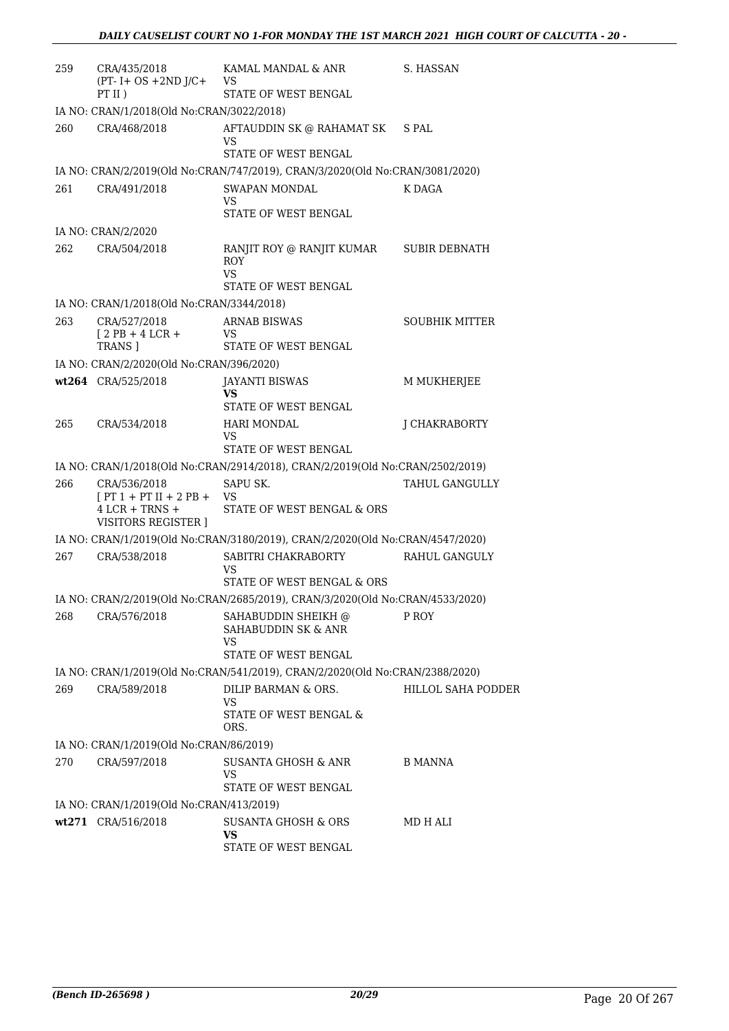| 259 | CRA/435/2018<br>$(PT - I + OS + 2ND J/C +$                                             | KAMAL MANDAL & ANR<br>VS.                                                     | S. HASSAN                 |
|-----|----------------------------------------------------------------------------------------|-------------------------------------------------------------------------------|---------------------------|
|     | PT II)                                                                                 | STATE OF WEST BENGAL                                                          |                           |
|     | IA NO: CRAN/1/2018(Old No:CRAN/3022/2018)                                              |                                                                               |                           |
| 260 | CRA/468/2018                                                                           | AFTAUDDIN SK @ RAHAMAT SK<br>VS                                               | S PAL                     |
|     |                                                                                        | STATE OF WEST BENGAL                                                          |                           |
|     |                                                                                        | IA NO: CRAN/2/2019(Old No:CRAN/747/2019), CRAN/3/2020(Old No:CRAN/3081/2020)  |                           |
| 261 | CRA/491/2018                                                                           | SWAPAN MONDAL<br>VS<br>STATE OF WEST BENGAL                                   | K DAGA                    |
|     | IA NO: CRAN/2/2020                                                                     |                                                                               |                           |
| 262 | CRA/504/2018                                                                           | RANJIT ROY @ RANJIT KUMAR<br><b>ROY</b><br>VS                                 | <b>SUBIR DEBNATH</b>      |
|     |                                                                                        | STATE OF WEST BENGAL                                                          |                           |
|     | IA NO: CRAN/1/2018(Old No:CRAN/3344/2018)                                              |                                                                               |                           |
| 263 | CRA/527/2018<br>$12PB + 4LCR +$<br>TRANS ]                                             | <b>ARNAB BISWAS</b><br>VS.<br>STATE OF WEST BENGAL                            | <b>SOUBHIK MITTER</b>     |
|     | IA NO: CRAN/2/2020(Old No:CRAN/396/2020)                                               |                                                                               |                           |
|     | wt264 CRA/525/2018                                                                     | JAYANTI BISWAS                                                                | M MUKHERJEE               |
|     |                                                                                        | <b>VS</b><br>STATE OF WEST BENGAL                                             |                           |
| 265 | CRA/534/2018                                                                           | <b>HARI MONDAL</b><br>VS                                                      | J CHAKRABORTY             |
|     |                                                                                        | STATE OF WEST BENGAL                                                          |                           |
|     |                                                                                        | IA NO: CRAN/1/2018(Old No:CRAN/2914/2018), CRAN/2/2019(Old No:CRAN/2502/2019) |                           |
| 266 | CRA/536/2018<br>$[PT 1 + PT II + 2 PB + VS$<br>$4$ LCR + TRNS +<br>VISITORS REGISTER ] | SAPU SK.<br>STATE OF WEST BENGAL & ORS                                        | TAHUL GANGULLY            |
|     |                                                                                        | IA NO: CRAN/1/2019(Old No:CRAN/3180/2019), CRAN/2/2020(Old No:CRAN/4547/2020) |                           |
| 267 | CRA/538/2018                                                                           | SABITRI CHAKRABORTY RAHUL GANGULY<br>VS                                       |                           |
|     |                                                                                        | STATE OF WEST BENGAL & ORS                                                    |                           |
|     |                                                                                        | IA NO: CRAN/2/2019(Old No:CRAN/2685/2019), CRAN/3/2020(Old No:CRAN/4533/2020) |                           |
| 268 | CRA/576/2018                                                                           | SAHABUDDIN SHEIKH @<br>SAHABUDDIN SK & ANR<br>VS<br>STATE OF WEST BENGAL      | P ROY                     |
|     |                                                                                        | IA NO: CRAN/1/2019(Old No:CRAN/541/2019), CRAN/2/2020(Old No:CRAN/2388/2020)  |                           |
| 269 | CRA/589/2018                                                                           | DILIP BARMAN & ORS.                                                           | <b>HILLOL SAHA PODDER</b> |
|     |                                                                                        | VS<br>STATE OF WEST BENGAL &<br>ORS.                                          |                           |
|     | IA NO: CRAN/1/2019(Old No:CRAN/86/2019)                                                |                                                                               |                           |
| 270 | CRA/597/2018                                                                           | SUSANTA GHOSH & ANR                                                           | <b>B MANNA</b>            |
|     |                                                                                        | VS<br>STATE OF WEST BENGAL                                                    |                           |
|     | IA NO: CRAN/1/2019(Old No:CRAN/413/2019)                                               |                                                                               |                           |
|     | wt271 CRA/516/2018                                                                     | <b>SUSANTA GHOSH &amp; ORS</b><br><b>VS</b>                                   | MD H ALI                  |
|     |                                                                                        | STATE OF WEST BENGAL                                                          |                           |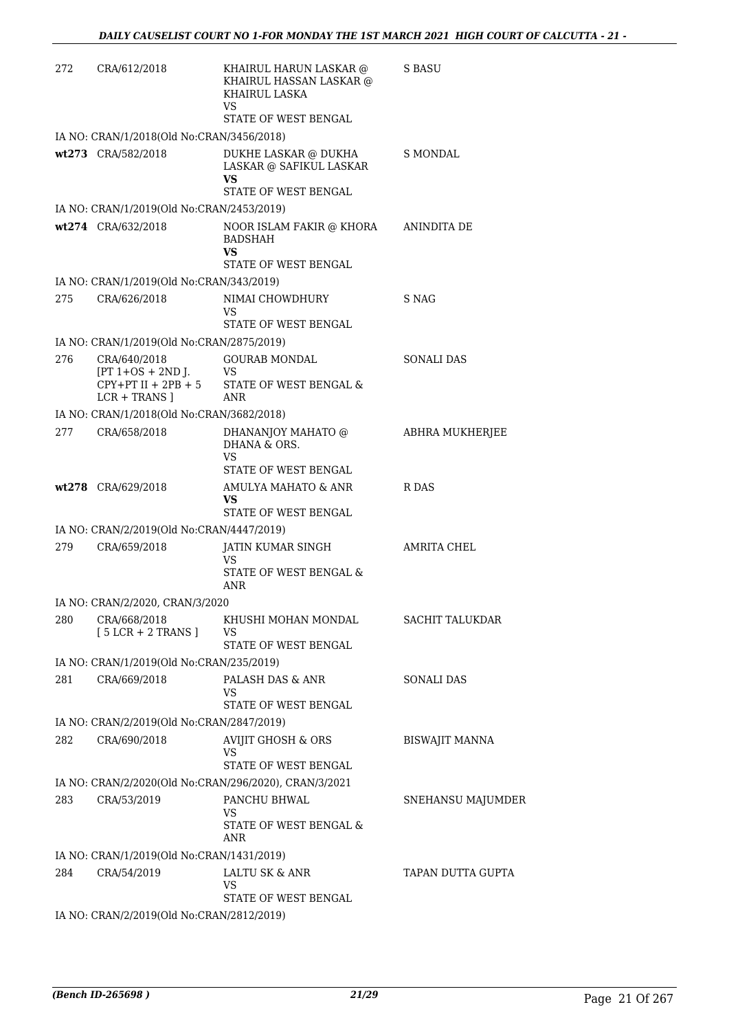| 272 | CRA/612/2018                                                                    | KHAIRUL HARUN LASKAR @<br>KHAIRUL HASSAN LASKAR @<br>KHAIRUL LASKA<br>VS<br>STATE OF WEST BENGAL | <b>S BASU</b>          |
|-----|---------------------------------------------------------------------------------|--------------------------------------------------------------------------------------------------|------------------------|
|     | IA NO: CRAN/1/2018(Old No:CRAN/3456/2018)                                       |                                                                                                  |                        |
|     | wt273 CRA/582/2018                                                              | DUKHE LASKAR @ DUKHA<br>LASKAR @ SAFIKUL LASKAR<br>VS<br>STATE OF WEST BENGAL                    | <b>S MONDAL</b>        |
|     | IA NO: CRAN/1/2019(Old No:CRAN/2453/2019)                                       |                                                                                                  |                        |
|     | wt274 CRA/632/2018                                                              | NOOR ISLAM FAKIR @ KHORA<br><b>BADSHAH</b><br>VS<br>STATE OF WEST BENGAL                         | ANINDITA DE            |
|     | IA NO: CRAN/1/2019(Old No:CRAN/343/2019)                                        |                                                                                                  |                        |
| 275 | CRA/626/2018                                                                    | NIMAI CHOWDHURY                                                                                  | S NAG                  |
|     |                                                                                 | VS<br>STATE OF WEST BENGAL                                                                       |                        |
|     | IA NO: CRAN/1/2019(Old No:CRAN/2875/2019)                                       |                                                                                                  |                        |
| 276 | CRA/640/2018<br>$[PT 1+OS + 2ND$ J.<br>$CPY+PT II + 2PB + 5$<br>$LCR + TRANS$ ] | <b>GOURAB MONDAL</b><br>VS<br>STATE OF WEST BENGAL &<br><b>ANR</b>                               | SONALI DAS             |
|     | IA NO: CRAN/1/2018(Old No:CRAN/3682/2018)                                       |                                                                                                  |                        |
| 277 | CRA/658/2018                                                                    | DHANANJOY MAHATO @<br>DHANA & ORS.<br>VS                                                         | ABHRA MUKHERJEE        |
|     |                                                                                 | STATE OF WEST BENGAL                                                                             |                        |
|     | wt278 CRA/629/2018                                                              | AMULYA MAHATO & ANR<br>VS<br>STATE OF WEST BENGAL                                                | R DAS                  |
|     | IA NO: CRAN/2/2019(Old No:CRAN/4447/2019)                                       |                                                                                                  |                        |
| 279 | CRA/659/2018                                                                    | JATIN KUMAR SINGH<br>VS<br>STATE OF WEST BENGAL &                                                | AMRITA CHEL            |
|     |                                                                                 | ANR                                                                                              |                        |
|     | IA NO: CRAN/2/2020, CRAN/3/2020                                                 |                                                                                                  |                        |
| 280 | CRA/668/2018<br>$[5 LCR + 2 TRANS]$                                             | KHUSHI MOHAN MONDAL<br>VS<br>STATE OF WEST BENGAL                                                | <b>SACHIT TALUKDAR</b> |
|     | IA NO: CRAN/1/2019(Old No:CRAN/235/2019)                                        |                                                                                                  |                        |
| 281 | CRA/669/2018                                                                    | PALASH DAS & ANR<br>VS<br>STATE OF WEST BENGAL                                                   | <b>SONALI DAS</b>      |
|     | IA NO: CRAN/2/2019(Old No:CRAN/2847/2019)                                       |                                                                                                  |                        |
| 282 | CRA/690/2018                                                                    | AVIJIT GHOSH & ORS                                                                               | <b>BISWAJIT MANNA</b>  |
|     |                                                                                 | VS<br>STATE OF WEST BENGAL                                                                       |                        |
|     |                                                                                 | IA NO: CRAN/2/2020(Old No:CRAN/296/2020), CRAN/3/2021                                            |                        |
| 283 | CRA/53/2019                                                                     | PANCHU BHWAL<br><b>VS</b><br>STATE OF WEST BENGAL &<br>ANR                                       | SNEHANSU MAJUMDER      |
|     | IA NO: CRAN/1/2019(Old No:CRAN/1431/2019)                                       |                                                                                                  |                        |
| 284 | CRA/54/2019                                                                     | LALTU SK & ANR<br><b>VS</b>                                                                      | TAPAN DUTTA GUPTA      |
|     | IA NO: CRAN/2/2019(Old No:CRAN/2812/2019)                                       | STATE OF WEST BENGAL                                                                             |                        |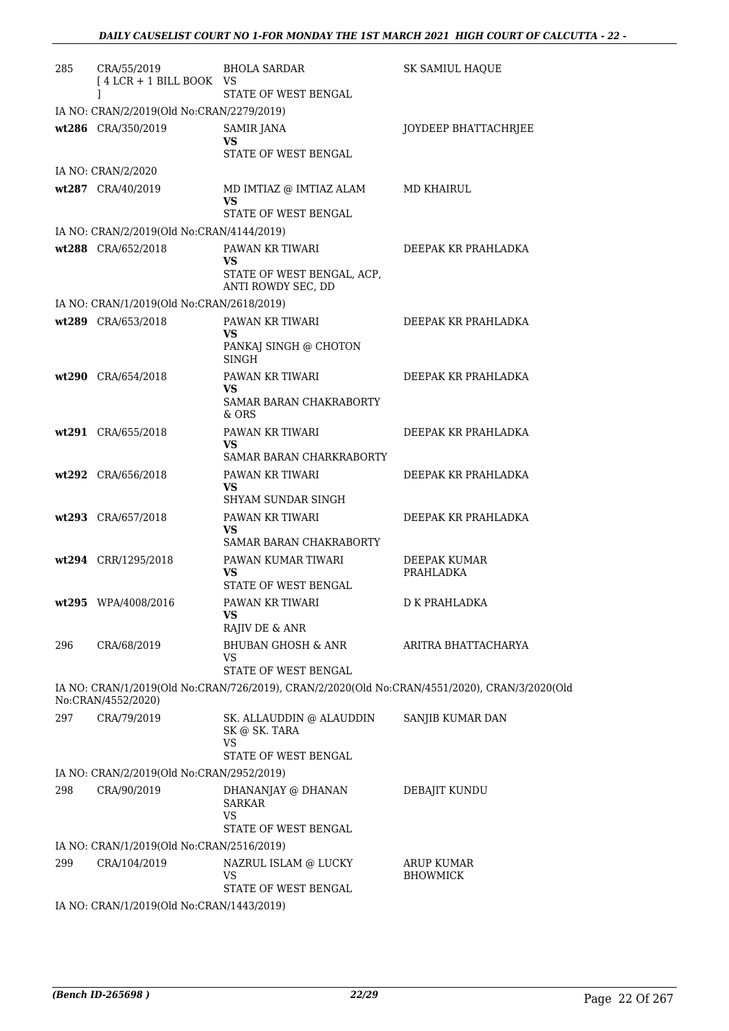| 285 | CRA/55/2019<br>$[4 LCR + 1 BILL BOOK VS$<br>1 | BHOLA SARDAR<br>STATE OF WEST BENGAL                                                          | <b>SK SAMIUL HAQUE</b>               |
|-----|-----------------------------------------------|-----------------------------------------------------------------------------------------------|--------------------------------------|
|     | IA NO: CRAN/2/2019(Old No:CRAN/2279/2019)     |                                                                                               |                                      |
|     | wt286 CRA/350/2019                            | SAMIR JANA<br>VS<br>STATE OF WEST BENGAL                                                      | JOYDEEP BHATTACHRJEE                 |
|     | IA NO: CRAN/2/2020                            |                                                                                               |                                      |
|     | wt287 CRA/40/2019                             | MD IMTIAZ @ IMTIAZ ALAM<br><b>VS</b>                                                          | MD KHAIRUL                           |
|     | IA NO: CRAN/2/2019(Old No:CRAN/4144/2019)     | STATE OF WEST BENGAL                                                                          |                                      |
|     | wt288 CRA/652/2018                            | PAWAN KR TIWARI<br>VS<br>STATE OF WEST BENGAL, ACP,<br>ANTI ROWDY SEC, DD                     | DEEPAK KR PRAHLADKA                  |
|     | IA NO: CRAN/1/2019(Old No:CRAN/2618/2019)     |                                                                                               |                                      |
|     | wt289 CRA/653/2018                            | PAWAN KR TIWARI<br>VS<br>PANKAJ SINGH @ CHOTON<br><b>SINGH</b>                                | DEEPAK KR PRAHLADKA                  |
|     | wt290 CRA/654/2018                            | PAWAN KR TIWARI<br>VS<br>SAMAR BARAN CHAKRABORTY<br>& ORS                                     | DEEPAK KR PRAHLADKA                  |
|     | wt291 CRA/655/2018                            | PAWAN KR TIWARI<br><b>VS</b><br>SAMAR BARAN CHARKRABORTY                                      | DEEPAK KR PRAHLADKA                  |
|     | wt292 CRA/656/2018                            | PAWAN KR TIWARI<br><b>VS</b><br>SHYAM SUNDAR SINGH                                            | DEEPAK KR PRAHLADKA                  |
|     | wt293 CRA/657/2018                            | PAWAN KR TIWARI<br><b>VS</b><br>SAMAR BARAN CHAKRABORTY                                       | DEEPAK KR PRAHLADKA                  |
|     | wt294 CRR/1295/2018                           | PAWAN KUMAR TIWARI<br>VS<br>STATE OF WEST BENGAL                                              | <b>DEEPAK KUMAR</b><br>PRAHLADKA     |
|     | wt295 WPA/4008/2016                           | PAWAN KR TIWARI<br><b>VS</b><br>RAJIV DE & ANR                                                | D K PRAHLADKA                        |
| 296 | CRA/68/2019                                   | BHUBAN GHOSH & ANR<br><b>VS</b><br>STATE OF WEST BENGAL                                       | ARITRA BHATTACHARYA                  |
|     | No:CRAN/4552/2020)                            | IA NO: CRAN/1/2019(Old No:CRAN/726/2019), CRAN/2/2020(Old No:CRAN/4551/2020), CRAN/3/2020(Old |                                      |
| 297 | CRA/79/2019                                   | SK. ALLAUDDIN $\circledcirc$ ALAUDDIN<br>SK @ SK. TARA<br>VS<br>STATE OF WEST BENGAL          | SANJIB KUMAR DAN                     |
|     | IA NO: CRAN/2/2019(Old No:CRAN/2952/2019)     |                                                                                               |                                      |
| 298 | CRA/90/2019                                   | DHANANJAY @ DHANAN<br><b>SARKAR</b><br>VS<br>STATE OF WEST BENGAL                             | DEBAJIT KUNDU                        |
|     | IA NO: CRAN/1/2019(Old No:CRAN/2516/2019)     |                                                                                               |                                      |
| 299 | CRA/104/2019                                  | NAZRUL ISLAM @ LUCKY<br>VS<br>STATE OF WEST BENGAL                                            | <b>ARUP KUMAR</b><br><b>BHOWMICK</b> |
|     | IA NO: CRAN/1/2019(Old No:CRAN/1443/2019)     |                                                                                               |                                      |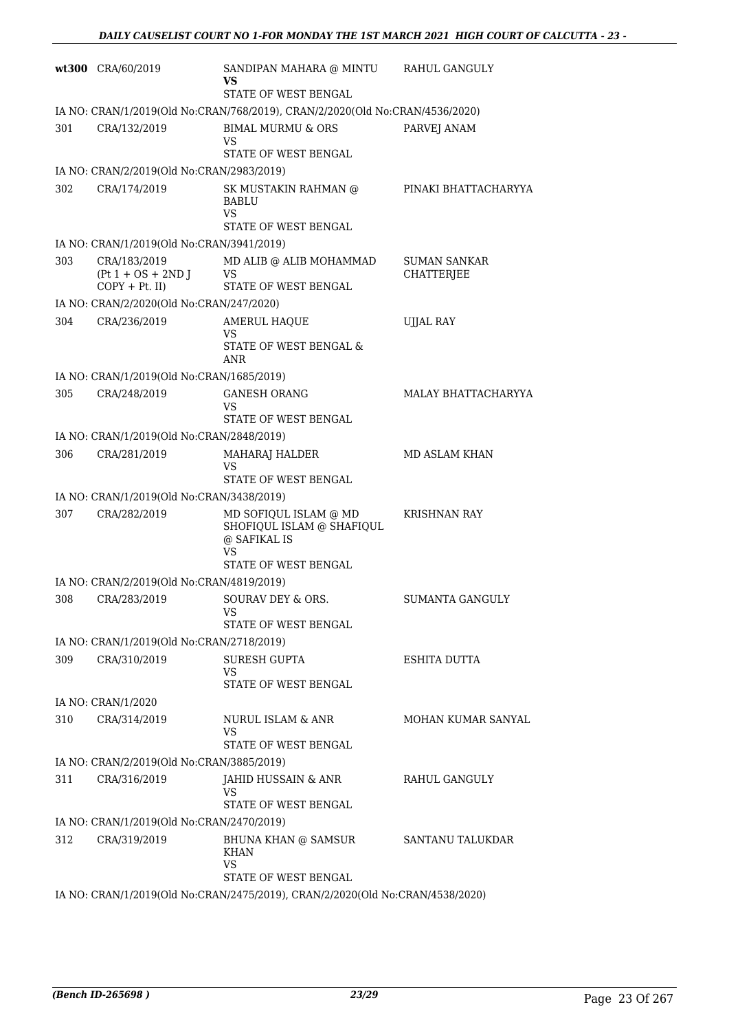|     | wt300 CRA/60/2019                                         | SANDIPAN MAHARA @ MINTU<br>VS<br>STATE OF WEST BENGAL                         | RAHUL GANGULY                            |
|-----|-----------------------------------------------------------|-------------------------------------------------------------------------------|------------------------------------------|
|     |                                                           | IA NO: CRAN/1/2019(Old No:CRAN/768/2019), CRAN/2/2020(Old No:CRAN/4536/2020)  |                                          |
| 301 | CRA/132/2019                                              | <b>BIMAL MURMU &amp; ORS</b><br>VS                                            | PARVEJ ANAM                              |
|     |                                                           | STATE OF WEST BENGAL                                                          |                                          |
|     | IA NO: CRAN/2/2019(Old No:CRAN/2983/2019)                 |                                                                               |                                          |
| 302 | CRA/174/2019                                              | SK MUSTAKIN RAHMAN @<br><b>BABLU</b><br>VS                                    | PINAKI BHATTACHARYYA                     |
|     |                                                           | STATE OF WEST BENGAL                                                          |                                          |
|     | IA NO: CRAN/1/2019(Old No:CRAN/3941/2019)                 |                                                                               |                                          |
| 303 | CRA/183/2019<br>$(Pt 1 + OS + 2ND J)$<br>$COPY + Pt.$ II) | MD ALIB @ ALIB MOHAMMAD<br>VS<br>STATE OF WEST BENGAL                         | <b>SUMAN SANKAR</b><br><b>CHATTERJEE</b> |
|     | IA NO: CRAN/2/2020(Old No:CRAN/247/2020)                  |                                                                               |                                          |
| 304 | CRA/236/2019                                              | <b>AMERUL HAQUE</b><br>VS<br>STATE OF WEST BENGAL &                           | <b>UJJAL RAY</b>                         |
|     |                                                           | ANR                                                                           |                                          |
|     | IA NO: CRAN/1/2019(Old No:CRAN/1685/2019)                 |                                                                               |                                          |
| 305 | CRA/248/2019                                              | <b>GANESH ORANG</b><br>VS<br>STATE OF WEST BENGAL                             | MALAY BHATTACHARYYA                      |
|     | IA NO: CRAN/1/2019(Old No:CRAN/2848/2019)                 |                                                                               |                                          |
| 306 | CRA/281/2019                                              | MAHARAJ HALDER                                                                | MD ASLAM KHAN                            |
|     |                                                           | VS<br>STATE OF WEST BENGAL                                                    |                                          |
|     | IA NO: CRAN/1/2019(Old No:CRAN/3438/2019)                 |                                                                               |                                          |
| 307 | CRA/282/2019                                              | MD SOFIQUL ISLAM @ MD<br>SHOFIQUL ISLAM @ SHAFIQUL<br>@ SAFIKAL IS<br>VS      | KRISHNAN RAY                             |
|     |                                                           | STATE OF WEST BENGAL                                                          |                                          |
|     | IA NO: CRAN/2/2019(Old No:CRAN/4819/2019)                 |                                                                               |                                          |
| 308 | CRA/283/2019                                              | SOURAV DEY & ORS.<br>VS<br>STATE OF WEST BENGAL                               | <b>SUMANTA GANGULY</b>                   |
|     | IA NO: CRAN/1/2019(Old No:CRAN/2718/2019)                 |                                                                               |                                          |
| 309 | CRA/310/2019                                              | <b>SURESH GUPTA</b>                                                           | ESHITA DUTTA                             |
|     |                                                           | VS<br>STATE OF WEST BENGAL                                                    |                                          |
|     | IA NO: CRAN/1/2020                                        |                                                                               |                                          |
| 310 | CRA/314/2019                                              | NURUL ISLAM & ANR<br>VS<br>STATE OF WEST BENGAL                               | MOHAN KUMAR SANYAL                       |
|     | IA NO: CRAN/2/2019(Old No:CRAN/3885/2019)                 |                                                                               |                                          |
| 311 | CRA/316/2019                                              | JAHID HUSSAIN & ANR                                                           | RAHUL GANGULY                            |
|     |                                                           | VS<br>STATE OF WEST BENGAL                                                    |                                          |
|     | IA NO: CRAN/1/2019(Old No:CRAN/2470/2019)                 |                                                                               |                                          |
| 312 | CRA/319/2019                                              | BHUNA KHAN @ SAMSUR<br><b>KHAN</b><br>VS                                      | SANTANU TALUKDAR                         |
|     |                                                           | STATE OF WEST BENGAL                                                          |                                          |
|     |                                                           | IA NO: CRAN/1/2019(Old No:CRAN/2475/2019), CRAN/2/2020(Old No:CRAN/4538/2020) |                                          |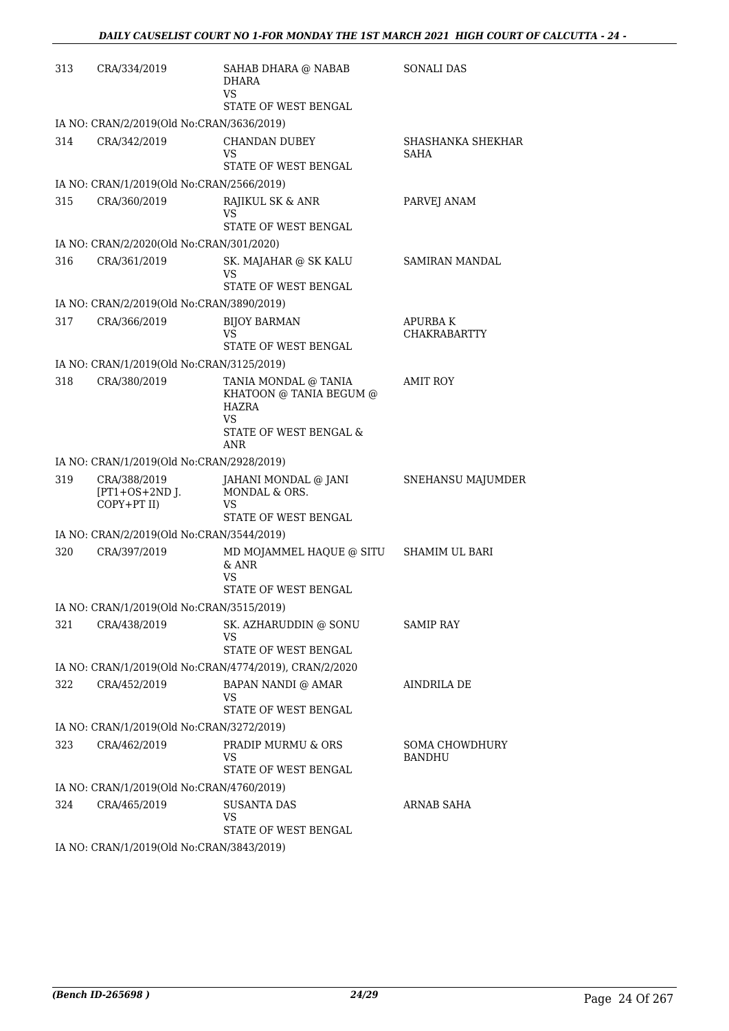| 313 | CRA/334/2019                                    | SAHAB DHARA @ NABAB<br><b>DHARA</b><br>VS<br>STATE OF WEST BENGAL                                             | <b>SONALI DAS</b>                     |
|-----|-------------------------------------------------|---------------------------------------------------------------------------------------------------------------|---------------------------------------|
|     | IA NO: CRAN/2/2019(Old No:CRAN/3636/2019)       |                                                                                                               |                                       |
| 314 | CRA/342/2019                                    | <b>CHANDAN DUBEY</b><br>VS<br>STATE OF WEST BENGAL                                                            | SHASHANKA SHEKHAR<br>SAHA             |
|     | IA NO: CRAN/1/2019(Old No:CRAN/2566/2019)       |                                                                                                               |                                       |
| 315 | CRA/360/2019                                    | RAJIKUL SK & ANR<br>VS<br>STATE OF WEST BENGAL                                                                | PARVEJ ANAM                           |
|     | IA NO: CRAN/2/2020(Old No:CRAN/301/2020)        |                                                                                                               |                                       |
| 316 | CRA/361/2019                                    | SK. MAJAHAR @ SK KALU<br>VS<br>STATE OF WEST BENGAL                                                           | SAMIRAN MANDAL                        |
|     | IA NO: CRAN/2/2019(Old No:CRAN/3890/2019)       |                                                                                                               |                                       |
| 317 | CRA/366/2019                                    | <b>BIJOY BARMAN</b><br>VS<br>STATE OF WEST BENGAL                                                             | <b>APURBAK</b><br><b>CHAKRABARTTY</b> |
|     | IA NO: CRAN/1/2019(Old No:CRAN/3125/2019)       |                                                                                                               |                                       |
| 318 | CRA/380/2019                                    | TANIA MONDAL @ TANIA<br>KHATOON @ TANIA BEGUM @<br><b>HAZRA</b><br>VS<br>STATE OF WEST BENGAL &<br><b>ANR</b> | <b>AMIT ROY</b>                       |
|     | IA NO: CRAN/1/2019(Old No:CRAN/2928/2019)       |                                                                                                               |                                       |
| 319 | CRA/388/2019<br>$[PT1+OS+2ND$ J.<br>COPY+PT II) | JAHANI MONDAL @ JANI<br>MONDAL & ORS.<br>VS<br>STATE OF WEST BENGAL                                           | SNEHANSU MAJUMDER                     |
|     | IA NO: CRAN/2/2019(Old No:CRAN/3544/2019)       |                                                                                                               |                                       |
| 320 | CRA/397/2019                                    | MD MOJAMMEL HAQUE @ SITU SHAMIM UL BARI<br>$&$ ANR<br>VS<br>STATE OF WEST BENGAL                              |                                       |
|     | IA NO: CRAN/1/2019(Old No:CRAN/3515/2019)       |                                                                                                               |                                       |
| 321 | CRA/438/2019                                    | SK. AZHARUDDIN @ SONU<br>VS<br>STATE OF WEST BENGAL                                                           | <b>SAMIP RAY</b>                      |
|     |                                                 | IA NO: CRAN/1/2019(Old No:CRAN/4774/2019), CRAN/2/2020                                                        |                                       |
| 322 | CRA/452/2019                                    | <b>BAPAN NANDI @ AMAR</b><br>VS<br>STATE OF WEST BENGAL                                                       | <b>AINDRILA DE</b>                    |
|     | IA NO: CRAN/1/2019(Old No:CRAN/3272/2019)       |                                                                                                               |                                       |
| 323 | CRA/462/2019                                    | PRADIP MURMU & ORS<br>VS<br>STATE OF WEST BENGAL                                                              | <b>SOMA CHOWDHURY</b><br>BANDHU       |
|     | IA NO: CRAN/1/2019(Old No:CRAN/4760/2019)       |                                                                                                               |                                       |
| 324 | CRA/465/2019                                    | <b>SUSANTA DAS</b><br>VS<br>STATE OF WEST BENGAL                                                              | ARNAB SAHA                            |
|     | IA NO: CRAN/1/2019(Old No:CRAN/3843/2019)       |                                                                                                               |                                       |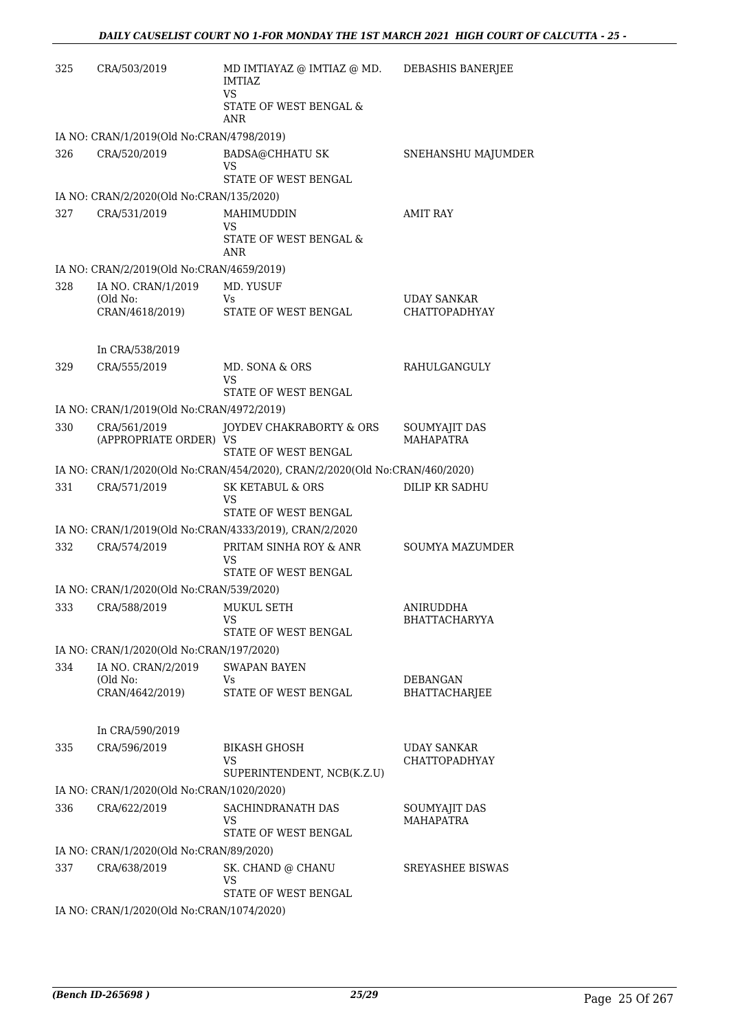| 325 | CRA/503/2019                                             | MD IMTIAYAZ @ IMTIAZ @ MD.<br>IMTIAZ<br><b>VS</b>                           | DEBASHIS BANERJEE                 |
|-----|----------------------------------------------------------|-----------------------------------------------------------------------------|-----------------------------------|
|     |                                                          | STATE OF WEST BENGAL &<br>ANR                                               |                                   |
|     | IA NO: CRAN/1/2019(Old No:CRAN/4798/2019)                |                                                                             |                                   |
| 326 | CRA/520/2019                                             | <b>BADSA@CHHATU SK</b><br>VS                                                | SNEHANSHU MAJUMDER                |
|     |                                                          | STATE OF WEST BENGAL                                                        |                                   |
| 327 | IA NO: CRAN/2/2020(Old No:CRAN/135/2020)<br>CRA/531/2019 | MAHIMUDDIN                                                                  | <b>AMIT RAY</b>                   |
|     |                                                          | VS<br>STATE OF WEST BENGAL &<br>ANR                                         |                                   |
|     | IA NO: CRAN/2/2019(Old No:CRAN/4659/2019)                |                                                                             |                                   |
| 328 | IA NO. CRAN/1/2019                                       | MD. YUSUF                                                                   |                                   |
|     | (Old No:                                                 | Vs                                                                          | <b>UDAY SANKAR</b>                |
|     | CRAN/4618/2019)                                          | STATE OF WEST BENGAL                                                        | <b>CHATTOPADHYAY</b>              |
|     | In CRA/538/2019                                          |                                                                             |                                   |
| 329 | CRA/555/2019                                             | MD. SONA & ORS                                                              | RAHULGANGULY                      |
|     |                                                          | VS                                                                          |                                   |
|     |                                                          | STATE OF WEST BENGAL                                                        |                                   |
|     | IA NO: CRAN/1/2019(Old No:CRAN/4972/2019)                |                                                                             |                                   |
| 330 | CRA/561/2019<br>(APPROPRIATE ORDER) VS                   | JOYDEV CHAKRABORTY & ORS<br>STATE OF WEST BENGAL                            | SOUMYAJIT DAS<br><b>MAHAPATRA</b> |
|     |                                                          | IA NO: CRAN/1/2020(Old No:CRAN/454/2020), CRAN/2/2020(Old No:CRAN/460/2020) |                                   |
| 331 | CRA/571/2019                                             | <b>SK KETABUL &amp; ORS</b><br>VS<br>STATE OF WEST BENGAL                   | <b>DILIP KR SADHU</b>             |
|     |                                                          | IA NO: CRAN/1/2019(Old No:CRAN/4333/2019), CRAN/2/2020                      |                                   |
| 332 | CRA/574/2019                                             | PRITAM SINHA ROY & ANR                                                      | <b>SOUMYA MAZUMDER</b>            |
|     |                                                          | VS<br>STATE OF WEST BENGAL                                                  |                                   |
|     | IA NO: CRAN/1/2020(Old No:CRAN/539/2020)                 |                                                                             |                                   |
|     | 333 CRA/588/2019 MUKUL SETH                              |                                                                             | ANIRUDDHA                         |
|     |                                                          | VS<br>STATE OF WEST BENGAL                                                  | <b>BHATTACHARYYA</b>              |
|     | IA NO: CRAN/1/2020(Old No:CRAN/197/2020)                 |                                                                             |                                   |
| 334 | IA NO. CRAN/2/2019                                       | <b>SWAPAN BAYEN</b>                                                         |                                   |
|     | (Old No:                                                 | Vs.                                                                         | <b>DEBANGAN</b>                   |
|     | CRAN/4642/2019)                                          | STATE OF WEST BENGAL                                                        | <b>BHATTACHARJEE</b>              |
|     | In CRA/590/2019                                          |                                                                             |                                   |
| 335 | CRA/596/2019                                             | <b>BIKASH GHOSH</b>                                                         | <b>UDAY SANKAR</b>                |
|     |                                                          | VS<br>SUPERINTENDENT, NCB(K.Z.U)                                            | <b>CHATTOPADHYAY</b>              |
|     | IA NO: CRAN/1/2020(Old No:CRAN/1020/2020)                |                                                                             |                                   |
| 336 | CRA/622/2019                                             | SACHINDRANATH DAS<br>VS<br>STATE OF WEST BENGAL                             | SOUMYAJIT DAS<br><b>MAHAPATRA</b> |
|     | IA NO: CRAN/1/2020(Old No:CRAN/89/2020)                  |                                                                             |                                   |
| 337 | CRA/638/2019                                             | SK. CHAND @ CHANU                                                           | <b>SREYASHEE BISWAS</b>           |
|     |                                                          | VS<br>STATE OF WEST BENGAL                                                  |                                   |
|     | IA NO: CRAN/1/2020(Old No:CRAN/1074/2020)                |                                                                             |                                   |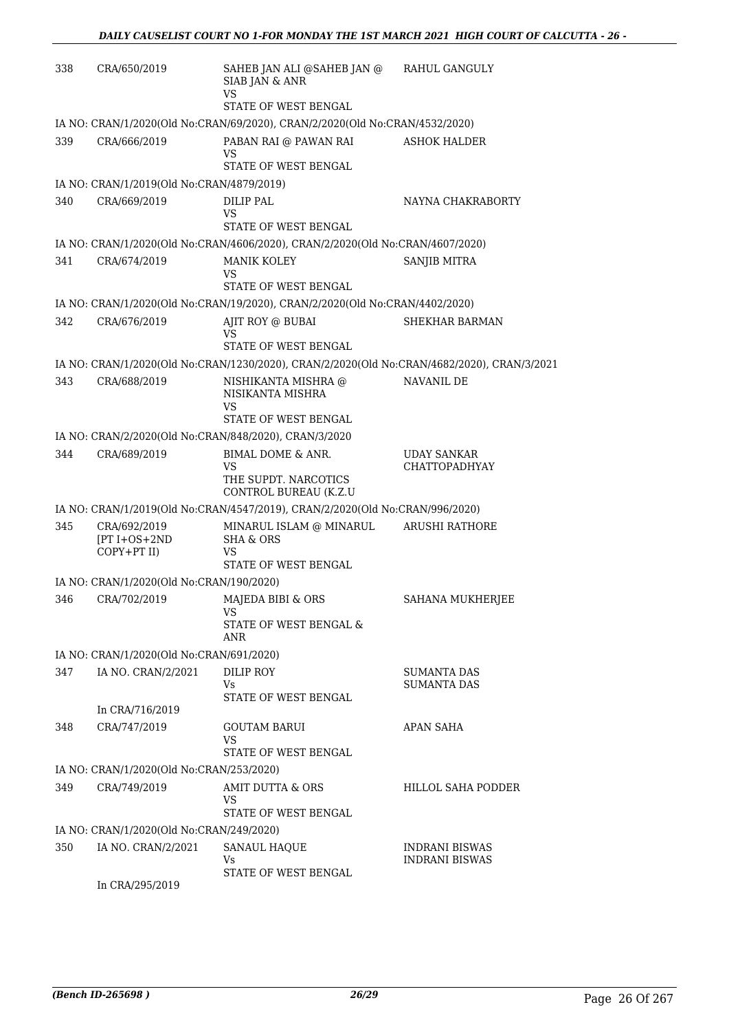| 338 | CRA/650/2019                                      | SAHEB JAN ALI @SAHEB JAN @<br>SIAB JAN & ANR<br>VS                                         | RAHUL GANGULY                                  |
|-----|---------------------------------------------------|--------------------------------------------------------------------------------------------|------------------------------------------------|
|     |                                                   | STATE OF WEST BENGAL                                                                       |                                                |
|     |                                                   | IA NO: CRAN/1/2020(Old No:CRAN/69/2020), CRAN/2/2020(Old No:CRAN/4532/2020)                |                                                |
| 339 | CRA/666/2019                                      | PABAN RAI @ PAWAN RAI<br>VS<br>STATE OF WEST BENGAL                                        | <b>ASHOK HALDER</b>                            |
|     | IA NO: CRAN/1/2019(Old No:CRAN/4879/2019)         |                                                                                            |                                                |
| 340 | CRA/669/2019                                      | DILIP PAL<br>VS                                                                            | NAYNA CHAKRABORTY                              |
|     |                                                   | STATE OF WEST BENGAL                                                                       |                                                |
|     |                                                   | IA NO: CRAN/1/2020(Old No:CRAN/4606/2020), CRAN/2/2020(Old No:CRAN/4607/2020)              |                                                |
| 341 | CRA/674/2019                                      | <b>MANIK KOLEY</b><br>VS<br>STATE OF WEST BENGAL                                           | SANJIB MITRA                                   |
|     |                                                   | IA NO: CRAN/1/2020(Old No:CRAN/19/2020), CRAN/2/2020(Old No:CRAN/4402/2020)                |                                                |
| 342 | CRA/676/2019                                      | AJIT ROY @ BUBAI<br>VS                                                                     | <b>SHEKHAR BARMAN</b>                          |
|     |                                                   | STATE OF WEST BENGAL                                                                       |                                                |
|     |                                                   | IA NO: CRAN/1/2020(Old No:CRAN/1230/2020), CRAN/2/2020(Old No:CRAN/4682/2020), CRAN/3/2021 |                                                |
| 343 | CRA/688/2019                                      | NISHIKANTA MISHRA @<br>NISIKANTA MISHRA<br>VS                                              | NAVANIL DE                                     |
|     |                                                   | STATE OF WEST BENGAL                                                                       |                                                |
|     |                                                   | IA NO: CRAN/2/2020(Old No:CRAN/848/2020), CRAN/3/2020                                      |                                                |
| 344 | CRA/689/2019                                      | BIMAL DOME & ANR.<br>VS<br>THE SUPDT. NARCOTICS                                            | <b>UDAY SANKAR</b><br><b>CHATTOPADHYAY</b>     |
|     |                                                   | CONTROL BUREAU (K.Z.U                                                                      |                                                |
|     |                                                   | IA NO: CRAN/1/2019(Old No:CRAN/4547/2019), CRAN/2/2020(Old No:CRAN/996/2020)               |                                                |
| 345 | CRA/692/2019<br>$[PT I + OS + 2ND$<br>COPY+PT II) | MINARUL ISLAM @ MINARUL<br><b>SHA &amp; ORS</b><br>VS<br>STATE OF WEST BENGAL              | ARUSHI RATHORE                                 |
|     | IA NO: CRAN/1/2020(Old No:CRAN/190/2020)          |                                                                                            |                                                |
| 346 | CRA/702/2019                                      | MAJEDA BIBI & ORS<br>VS                                                                    | SAHANA MUKHERJEE                               |
|     |                                                   | STATE OF WEST BENGAL &<br>ANR                                                              |                                                |
|     | IA NO: CRAN/1/2020(Old No:CRAN/691/2020)          |                                                                                            |                                                |
| 347 | IA NO. CRAN/2/2021                                | DILIP ROY                                                                                  | <b>SUMANTA DAS</b>                             |
|     |                                                   | Vs<br>STATE OF WEST BENGAL                                                                 | SUMANTA DAS                                    |
|     | In CRA/716/2019                                   |                                                                                            |                                                |
| 348 | CRA/747/2019                                      | <b>GOUTAM BARUI</b>                                                                        | <b>APAN SAHA</b>                               |
|     |                                                   | VS<br>STATE OF WEST BENGAL                                                                 |                                                |
|     | IA NO: CRAN/1/2020(Old No:CRAN/253/2020)          |                                                                                            |                                                |
| 349 | CRA/749/2019                                      | AMIT DUTTA & ORS<br>VS                                                                     | HILLOL SAHA PODDER                             |
|     |                                                   | STATE OF WEST BENGAL                                                                       |                                                |
|     | IA NO: CRAN/1/2020(Old No:CRAN/249/2020)          |                                                                                            |                                                |
| 350 | IA NO. CRAN/2/2021                                | SANAUL HAQUE<br>Vs.                                                                        | <b>INDRANI BISWAS</b><br><b>INDRANI BISWAS</b> |
|     | In CRA/295/2019                                   | STATE OF WEST BENGAL                                                                       |                                                |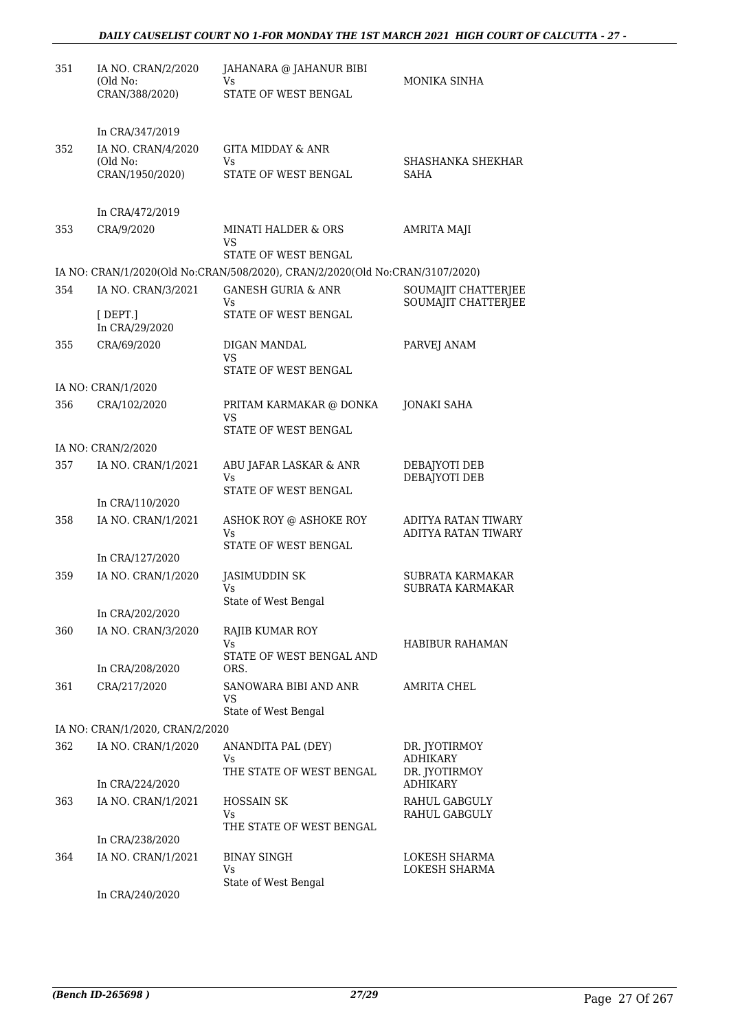| 351 | IA NO. CRAN/2/2020<br>(Old No:<br>CRAN/388/2020)      | JAHANARA @ JAHANUR BIBI<br>Vs<br>STATE OF WEST BENGAL                                                         | MONIKA SINHA                               |
|-----|-------------------------------------------------------|---------------------------------------------------------------------------------------------------------------|--------------------------------------------|
|     | In CRA/347/2019                                       |                                                                                                               |                                            |
| 352 | IA NO. CRAN/4/2020<br>(Old No:                        | <b>GITA MIDDAY &amp; ANR</b><br>Vs                                                                            | SHASHANKA SHEKHAR                          |
|     | CRAN/1950/2020)                                       | STATE OF WEST BENGAL                                                                                          | SAHA                                       |
|     | In CRA/472/2019                                       |                                                                                                               |                                            |
| 353 | CRA/9/2020                                            | <b>MINATI HALDER &amp; ORS</b><br>VS                                                                          | <b>AMRITA MAJI</b>                         |
|     |                                                       | STATE OF WEST BENGAL                                                                                          |                                            |
| 354 | IA NO. CRAN/3/2021                                    | IA NO: CRAN/1/2020(Old No:CRAN/508/2020), CRAN/2/2020(Old No:CRAN/3107/2020)<br><b>GANESH GURIA &amp; ANR</b> | SOUMAJIT CHATTERJEE                        |
|     |                                                       | Vs.                                                                                                           | SOUMAJIT CHATTERJEE                        |
|     | $[$ DEPT.]<br>In CRA/29/2020                          | STATE OF WEST BENGAL                                                                                          |                                            |
| 355 | CRA/69/2020                                           | DIGAN MANDAL<br>VS                                                                                            | PARVEJ ANAM                                |
|     |                                                       | STATE OF WEST BENGAL                                                                                          |                                            |
|     | IA NO: CRAN/1/2020                                    |                                                                                                               |                                            |
| 356 | CRA/102/2020                                          | PRITAM KARMAKAR @ DONKA<br><b>VS</b>                                                                          | JONAKI SAHA                                |
|     |                                                       | STATE OF WEST BENGAL                                                                                          |                                            |
| 357 | IA NO: CRAN/2/2020<br>IA NO. CRAN/1/2021              | ABU JAFAR LASKAR & ANR                                                                                        | DEBAJYOTI DEB                              |
|     |                                                       | Vs.<br>STATE OF WEST BENGAL                                                                                   | DEBAJYOTI DEB                              |
|     | In CRA/110/2020                                       |                                                                                                               |                                            |
| 358 | IA NO. CRAN/1/2021                                    | ASHOK ROY @ ASHOKE ROY<br>Vs                                                                                  | ADITYA RATAN TIWARY<br>ADITYA RATAN TIWARY |
|     | In CRA/127/2020                                       | STATE OF WEST BENGAL                                                                                          |                                            |
| 359 | IA NO. CRAN/1/2020                                    | JASIMUDDIN SK<br>Vs                                                                                           | SUBRATA KARMAKAR<br>SUBRATA KARMAKAR       |
|     |                                                       | State of West Bengal                                                                                          |                                            |
| 360 | In CRA/202/2020<br>IA NO. CRAN/3/2020                 | RAJIB KUMAR ROY                                                                                               |                                            |
|     |                                                       | Vs                                                                                                            | <b>HABIBUR RAHAMAN</b>                     |
|     | In CRA/208/2020                                       | STATE OF WEST BENGAL AND<br>ORS.                                                                              |                                            |
| 361 | CRA/217/2020                                          | SANOWARA BIBI AND ANR<br>VS                                                                                   | AMRITA CHEL                                |
|     |                                                       | State of West Bengal                                                                                          |                                            |
| 362 | IA NO: CRAN/1/2020, CRAN/2/2020<br>IA NO. CRAN/1/2020 |                                                                                                               |                                            |
|     |                                                       | ANANDITA PAL (DEY)<br>Vs<br>THE STATE OF WEST BENGAL                                                          | DR. JYOTIRMOY<br>ADHIKARY<br>DR. JYOTIRMOY |
|     | In CRA/224/2020                                       |                                                                                                               | ADHIKARY                                   |
| 363 | IA NO. CRAN/1/2021                                    | HOSSAIN SK<br>Vs                                                                                              | RAHUL GABGULY<br>RAHUL GABGULY             |
|     | In CRA/238/2020                                       | THE STATE OF WEST BENGAL                                                                                      |                                            |
| 364 | IA NO. CRAN/1/2021                                    | <b>BINAY SINGH</b><br>Vs                                                                                      | LOKESH SHARMA<br>LOKESH SHARMA             |
|     | In CRA/240/2020                                       | State of West Bengal                                                                                          |                                            |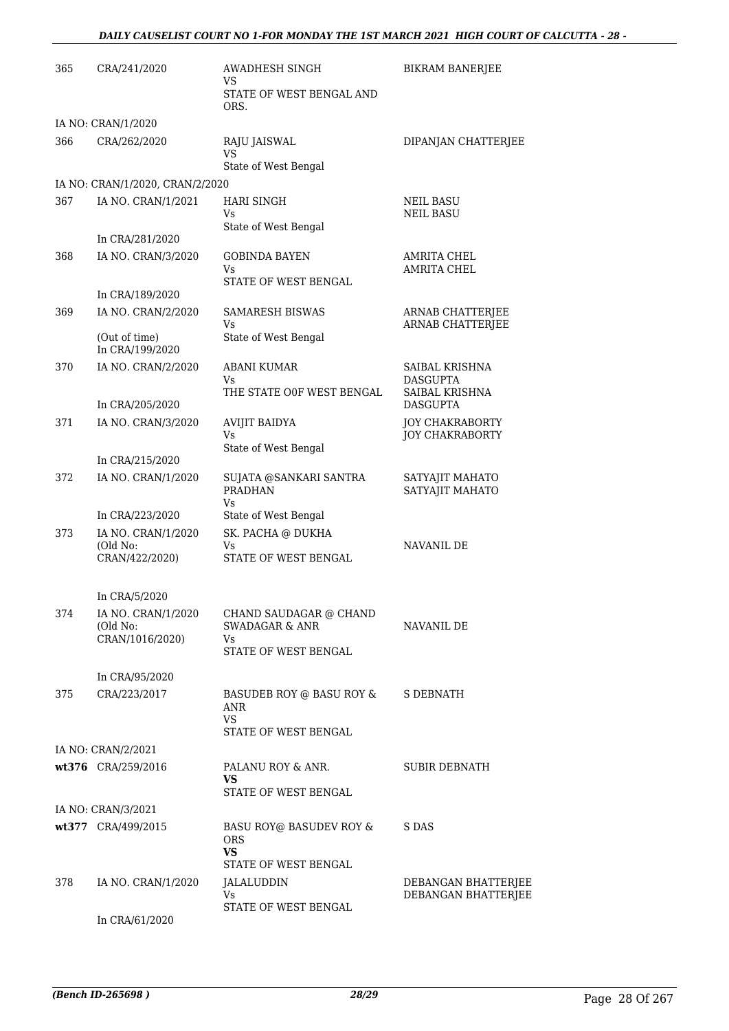| 365 | CRA/241/2020                     | AWADHESH SINGH<br>VS                                           | <b>BIKRAM BANERJEE</b>                             |
|-----|----------------------------------|----------------------------------------------------------------|----------------------------------------------------|
|     |                                  | STATE OF WEST BENGAL AND<br>ORS.                               |                                                    |
|     | IA NO: CRAN/1/2020               |                                                                |                                                    |
| 366 | CRA/262/2020                     | RAJU JAISWAL<br><b>VS</b>                                      | DIPANJAN CHATTERJEE                                |
|     |                                  | State of West Bengal                                           |                                                    |
|     | IA NO: CRAN/1/2020, CRAN/2/2020  |                                                                |                                                    |
| 367 | IA NO. CRAN/1/2021               | <b>HARI SINGH</b><br>Vs<br>State of West Bengal                | <b>NEIL BASU</b><br><b>NEIL BASU</b>               |
|     | In CRA/281/2020                  |                                                                |                                                    |
| 368 | IA NO. CRAN/3/2020               | <b>GOBINDA BAYEN</b><br>Vs                                     | <b>AMRITA CHEL</b><br><b>AMRITA CHEL</b>           |
|     | In CRA/189/2020                  | STATE OF WEST BENGAL                                           |                                                    |
| 369 | IA NO. CRAN/2/2020               | <b>SAMARESH BISWAS</b><br>Vs.                                  | <b>ARNAB CHATTERJEE</b><br><b>ARNAB CHATTERJEE</b> |
|     | (Out of time)<br>In CRA/199/2020 | State of West Bengal                                           |                                                    |
| 370 | IA NO. CRAN/2/2020               | <b>ABANI KUMAR</b><br>Vs.                                      | SAIBAL KRISHNA<br><b>DASGUPTA</b>                  |
|     | In CRA/205/2020                  | THE STATE OOF WEST BENGAL                                      | SAIBAL KRISHNA<br><b>DASGUPTA</b>                  |
| 371 | IA NO. CRAN/3/2020               | <b>AVIJIT BAIDYA</b><br>Vs                                     | <b>JOY CHAKRABORTY</b><br><b>JOY CHAKRABORTY</b>   |
|     | In CRA/215/2020                  | State of West Bengal                                           |                                                    |
| 372 | IA NO. CRAN/1/2020               | SUJATA @SANKARI SANTRA                                         | SATYAJIT MAHATO                                    |
|     |                                  | <b>PRADHAN</b><br>Vs                                           | SATYAJIT MAHATO                                    |
|     | In CRA/223/2020                  | State of West Bengal                                           |                                                    |
| 373 | IA NO. CRAN/1/2020               | SK. PACHA @ DUKHA                                              |                                                    |
|     | (Old No:<br>CRAN/422/2020)       | Vs<br>STATE OF WEST BENGAL                                     | NAVANIL DE                                         |
|     | In CRA/5/2020                    |                                                                |                                                    |
| 374 | IA NO. CRAN/1/2020               | CHAND SAUDAGAR @ CHAND                                         |                                                    |
|     | (Old No:<br>CRAN/1016/2020)      | <b>SWADAGAR &amp; ANR</b><br>Vs.                               | NAVANIL DE                                         |
|     |                                  | STATE OF WEST BENGAL                                           |                                                    |
|     | In CRA/95/2020                   |                                                                |                                                    |
| 375 | CRA/223/2017                     | BASUDEB ROY @ BASU ROY &<br>ANR<br>VS.<br>STATE OF WEST BENGAL | S DEBNATH                                          |
|     | IA NO: CRAN/2/2021               |                                                                |                                                    |
|     | wt376 CRA/259/2016               | PALANU ROY & ANR.                                              | <b>SUBIR DEBNATH</b>                               |
|     |                                  | VS.<br>STATE OF WEST BENGAL                                    |                                                    |
|     | IA NO: CRAN/3/2021               |                                                                |                                                    |
|     | wt377 CRA/499/2015               | BASU ROY@ BASUDEV ROY &                                        | S DAS                                              |
|     |                                  | <b>ORS</b><br><b>VS</b>                                        |                                                    |
|     |                                  | STATE OF WEST BENGAL                                           |                                                    |
| 378 | IA NO. CRAN/1/2020               | JALALUDDIN<br>Vs                                               | DEBANGAN BHATTERJEE<br>DEBANGAN BHATTERJEE         |
|     | In CRA/61/2020                   | STATE OF WEST BENGAL                                           |                                                    |
|     |                                  |                                                                |                                                    |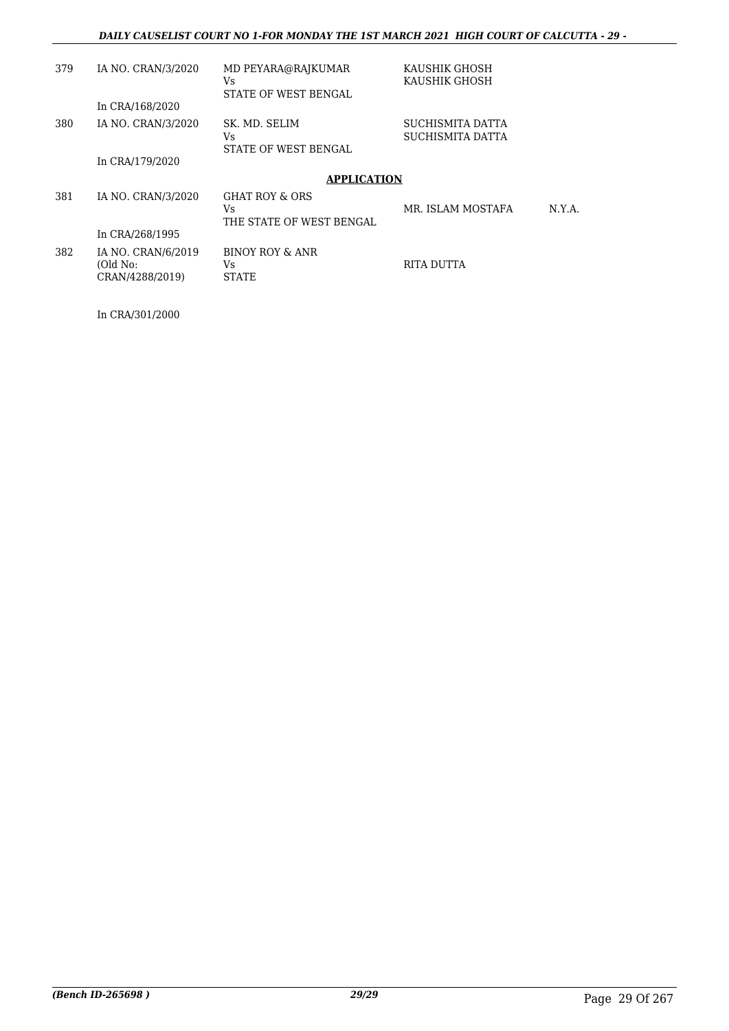| 379 | IA NO. CRAN/3/2020<br>In CRA/168/2020             | MD PEYARA@RAJKUMAR<br>Vs.<br>STATE OF WEST BENGAL            | KAUSHIK GHOSH<br>KAUSHIK GHOSH       |        |
|-----|---------------------------------------------------|--------------------------------------------------------------|--------------------------------------|--------|
| 380 | IA NO. CRAN/3/2020                                | SK. MD. SELIM<br>Vs.<br>STATE OF WEST BENGAL                 | SUCHISMITA DATTA<br>SUCHISMITA DATTA |        |
|     | In CRA/179/2020                                   |                                                              |                                      |        |
|     |                                                   | <b>APPLICATION</b>                                           |                                      |        |
| 381 | IA NO. CRAN/3/2020                                | <b>GHAT ROY &amp; ORS</b><br>Vs.<br>THE STATE OF WEST BENGAL | MR. ISLAM MOSTAFA                    | N.Y.A. |
|     | In CRA/268/1995                                   |                                                              |                                      |        |
| 382 | IA NO. CRAN/6/2019<br>(Old No:<br>CRAN/4288/2019) | BINOY ROY & ANR<br>Vs.<br><b>STATE</b>                       | RITA DUTTA                           |        |

In CRA/301/2000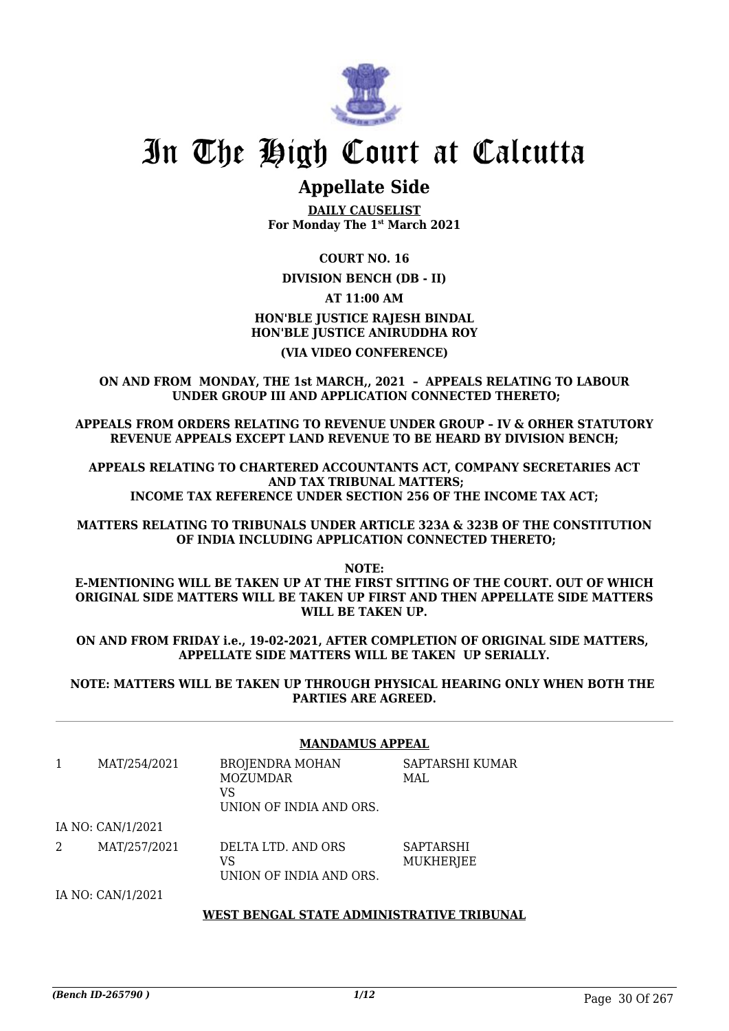

# In The High Court at Calcutta

## **Appellate Side**

**DAILY CAUSELIST For Monday The 1st March 2021**

### **COURT NO. 16**

### **DIVISION BENCH (DB - II)**

### **AT 11:00 AM**

### **HON'BLE JUSTICE RAJESH BINDAL HON'BLE JUSTICE ANIRUDDHA ROY**

### **(VIA VIDEO CONFERENCE)**

**ON AND FROM MONDAY, THE 1st MARCH,, 2021 – APPEALS RELATING TO LABOUR UNDER GROUP III AND APPLICATION CONNECTED THERETO;**

**APPEALS FROM ORDERS RELATING TO REVENUE UNDER GROUP – IV & ORHER STATUTORY REVENUE APPEALS EXCEPT LAND REVENUE TO BE HEARD BY DIVISION BENCH;**

**APPEALS RELATING TO CHARTERED ACCOUNTANTS ACT, COMPANY SECRETARIES ACT AND TAX TRIBUNAL MATTERS; INCOME TAX REFERENCE UNDER SECTION 256 OF THE INCOME TAX ACT;**

**MATTERS RELATING TO TRIBUNALS UNDER ARTICLE 323A & 323B OF THE CONSTITUTION OF INDIA INCLUDING APPLICATION CONNECTED THERETO;**

**NOTE:**

**E-MENTIONING WILL BE TAKEN UP AT THE FIRST SITTING OF THE COURT. OUT OF WHICH ORIGINAL SIDE MATTERS WILL BE TAKEN UP FIRST AND THEN APPELLATE SIDE MATTERS WILL BE TAKEN UP.**

**ON AND FROM FRIDAY i.e., 19-02-2021, AFTER COMPLETION OF ORIGINAL SIDE MATTERS, APPELLATE SIDE MATTERS WILL BE TAKEN UP SERIALLY.**

**NOTE: MATTERS WILL BE TAKEN UP THROUGH PHYSICAL HEARING ONLY WHEN BOTH THE PARTIES ARE AGREED.**

|                |                   | <b>MANDAMUS APPEAL</b>                                              |                               |  |
|----------------|-------------------|---------------------------------------------------------------------|-------------------------------|--|
|                | MAT/254/2021      | <b>BROJENDRA MOHAN</b><br>MOZUMDAR<br>VS<br>UNION OF INDIA AND ORS. | SAPTARSHI KUMAR<br>MAL        |  |
|                | IA NO: CAN/1/2021 |                                                                     |                               |  |
| $\overline{2}$ | MAT/257/2021      | DELTA LTD. AND ORS<br>VS<br>UNION OF INDIA AND ORS.                 | <b>SAPTARSHI</b><br>MUKHERJEE |  |
|                | IA NO: CAN/1/2021 |                                                                     |                               |  |
|                |                   | WEST BENGAL STATE ADMINISTRATIVE TRIBUNAL                           |                               |  |

## *(Bench ID-265790 ) 1/12* Page 30 Of 267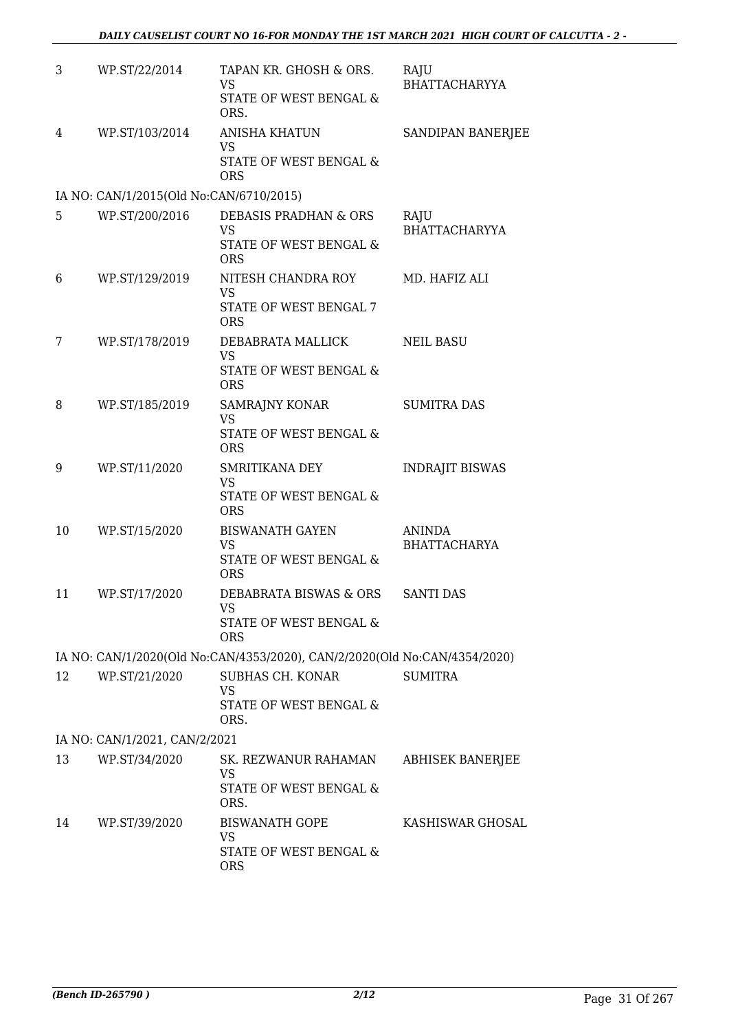| 3                             | WP.ST/22/2014                           | TAPAN KR. GHOSH & ORS.<br><b>VS</b><br><b>STATE OF WEST BENGAL &amp;</b>  | RAJU<br><b>BHATTACHARYYA</b>         |  |
|-------------------------------|-----------------------------------------|---------------------------------------------------------------------------|--------------------------------------|--|
|                               |                                         | ORS.                                                                      |                                      |  |
| 4                             | WP.ST/103/2014                          | <b>ANISHA KHATUN</b><br><b>VS</b><br>STATE OF WEST BENGAL &               | SANDIPAN BANERJEE                    |  |
|                               |                                         | <b>ORS</b>                                                                |                                      |  |
|                               | IA NO: CAN/1/2015(Old No:CAN/6710/2015) |                                                                           |                                      |  |
| 5.                            | WP.ST/200/2016                          | DEBASIS PRADHAN & ORS<br>VS<br>STATE OF WEST BENGAL &<br><b>ORS</b>       | RAJU<br><b>BHATTACHARYYA</b>         |  |
| 6                             | WP.ST/129/2019                          | NITESH CHANDRA ROY                                                        | MD. HAFIZ ALI                        |  |
|                               |                                         | <b>VS</b><br><b>STATE OF WEST BENGAL 7</b><br><b>ORS</b>                  |                                      |  |
| 7                             | WP.ST/178/2019                          | DEBABRATA MALLICK                                                         | <b>NEIL BASU</b>                     |  |
|                               |                                         | <b>VS</b><br>STATE OF WEST BENGAL &<br><b>ORS</b>                         |                                      |  |
| 8                             | WP.ST/185/2019                          | SAMRAJNY KONAR                                                            | <b>SUMITRA DAS</b>                   |  |
|                               |                                         | <b>VS</b><br>STATE OF WEST BENGAL &<br><b>ORS</b>                         |                                      |  |
| 9                             | WP.ST/11/2020                           | SMRITIKANA DEY<br>VS                                                      | <b>INDRAJIT BISWAS</b>               |  |
|                               |                                         | STATE OF WEST BENGAL &<br><b>ORS</b>                                      |                                      |  |
| 10                            | WP.ST/15/2020                           | <b>BISWANATH GAYEN</b><br><b>VS</b>                                       | <b>ANINDA</b><br><b>BHATTACHARYA</b> |  |
|                               |                                         | STATE OF WEST BENGAL &<br><b>ORS</b>                                      |                                      |  |
| 11                            | WP.ST/17/2020                           | DEBABRATA BISWAS & ORS<br><b>VS</b>                                       | <b>SANTI DAS</b>                     |  |
|                               |                                         | STATE OF WEST BENGAL &<br><b>ORS</b>                                      |                                      |  |
|                               |                                         | IA NO: CAN/1/2020(Old No:CAN/4353/2020), CAN/2/2020(Old No:CAN/4354/2020) |                                      |  |
| 12                            | WP.ST/21/2020                           | SUBHAS CH. KONAR<br>VS                                                    | <b>SUMITRA</b>                       |  |
|                               |                                         | STATE OF WEST BENGAL &<br>ORS.                                            |                                      |  |
| IA NO: CAN/1/2021, CAN/2/2021 |                                         |                                                                           |                                      |  |
| 13                            | WP.ST/34/2020                           | SK. REZWANUR RAHAMAN<br><b>VS</b>                                         | ABHISEK BANERJEE                     |  |
|                               |                                         | STATE OF WEST BENGAL &<br>ORS.                                            |                                      |  |
| 14                            | WP.ST/39/2020                           | <b>BISWANATH GOPE</b><br><b>VS</b>                                        | KASHISWAR GHOSAL                     |  |
|                               |                                         | STATE OF WEST BENGAL &<br><b>ORS</b>                                      |                                      |  |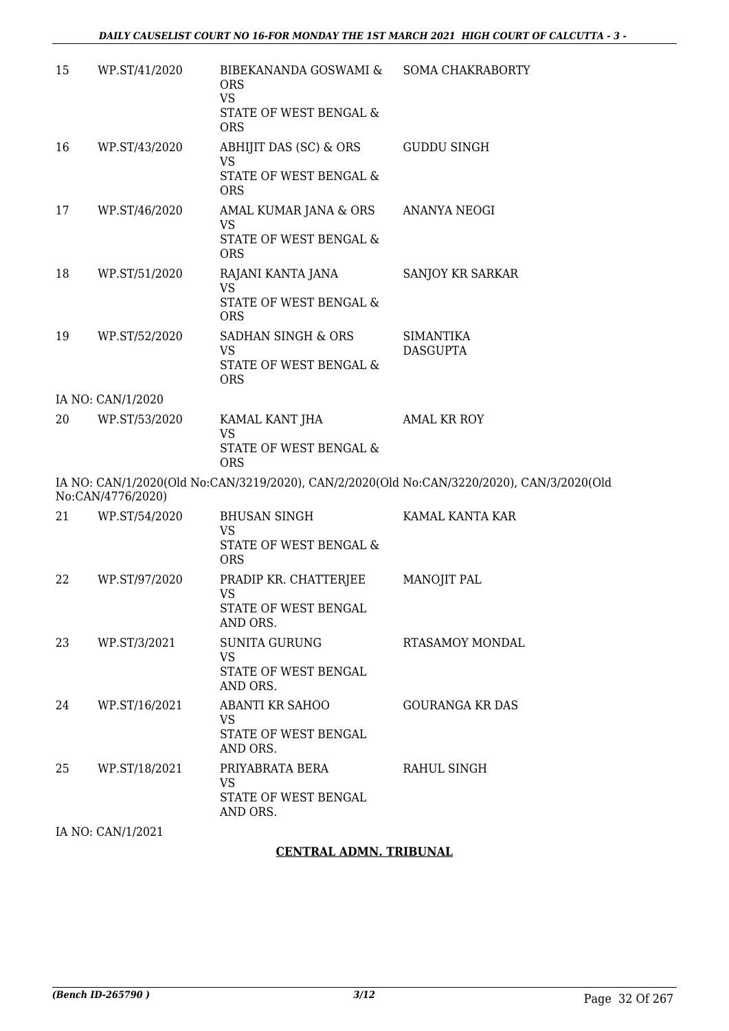| 15 | WP.ST/41/2020     | BIBEKANANDA GOSWAMI &<br><b>ORS</b><br><b>VS</b><br>STATE OF WEST BENGAL &                | <b>SOMA CHAKRABORTY</b>                                                                   |
|----|-------------------|-------------------------------------------------------------------------------------------|-------------------------------------------------------------------------------------------|
| 16 | WP.ST/43/2020     | <b>ORS</b><br>ABHIJIT DAS (SC) & ORS<br><b>VS</b><br>STATE OF WEST BENGAL &<br><b>ORS</b> | <b>GUDDU SINGH</b>                                                                        |
| 17 | WP.ST/46/2020     | AMAL KUMAR JANA & ORS<br><b>VS</b><br>STATE OF WEST BENGAL &<br><b>ORS</b>                | ANANYA NEOGI                                                                              |
| 18 | WP.ST/51/2020     | RAJANI KANTA JANA<br><b>VS</b><br>STATE OF WEST BENGAL &<br><b>ORS</b>                    | SANJOY KR SARKAR                                                                          |
| 19 | WP.ST/52/2020     | SADHAN SINGH & ORS<br><b>VS</b><br>STATE OF WEST BENGAL &<br><b>ORS</b>                   | <b>SIMANTIKA</b><br><b>DASGUPTA</b>                                                       |
|    | IA NO: CAN/1/2020 |                                                                                           |                                                                                           |
| 20 | WP.ST/53/2020     | KAMAL KANT JHA<br><b>VS</b><br>STATE OF WEST BENGAL &<br><b>ORS</b>                       | <b>AMAL KR ROY</b>                                                                        |
|    | No:CAN/4776/2020) |                                                                                           | IA NO: CAN/1/2020(Old No:CAN/3219/2020), CAN/2/2020(Old No:CAN/3220/2020), CAN/3/2020(Old |
| 21 | WP.ST/54/2020     | <b>BHUSAN SINGH</b><br><b>VS</b><br>STATE OF WEST BENGAL &<br><b>ORS</b>                  | KAMAL KANTA KAR                                                                           |
| 22 | WP.ST/97/2020     | PRADIP KR. CHATTERJEE<br><b>VS</b><br>STATE OF WEST BENGAL<br>AND ORS.                    | <b>MANOJIT PAL</b>                                                                        |
| 23 | WP.ST/3/2021      | <b>SUNITA GURUNG</b><br><b>VS</b><br>STATE OF WEST BENGAL<br>AND ORS.                     | RTASAMOY MONDAL                                                                           |
| 24 | WP.ST/16/2021     | <b>ABANTI KR SAHOO</b><br><b>VS</b><br>STATE OF WEST BENGAL<br>AND ORS.                   | <b>GOURANGA KR DAS</b>                                                                    |
| 25 | WP.ST/18/2021     | PRIYABRATA BERA<br>VS<br>STATE OF WEST BENGAL<br>AND ORS.                                 | RAHUL SINGH                                                                               |
|    | IA NO: CAN/1/2021 |                                                                                           |                                                                                           |

### **CENTRAL ADMN. TRIBUNAL**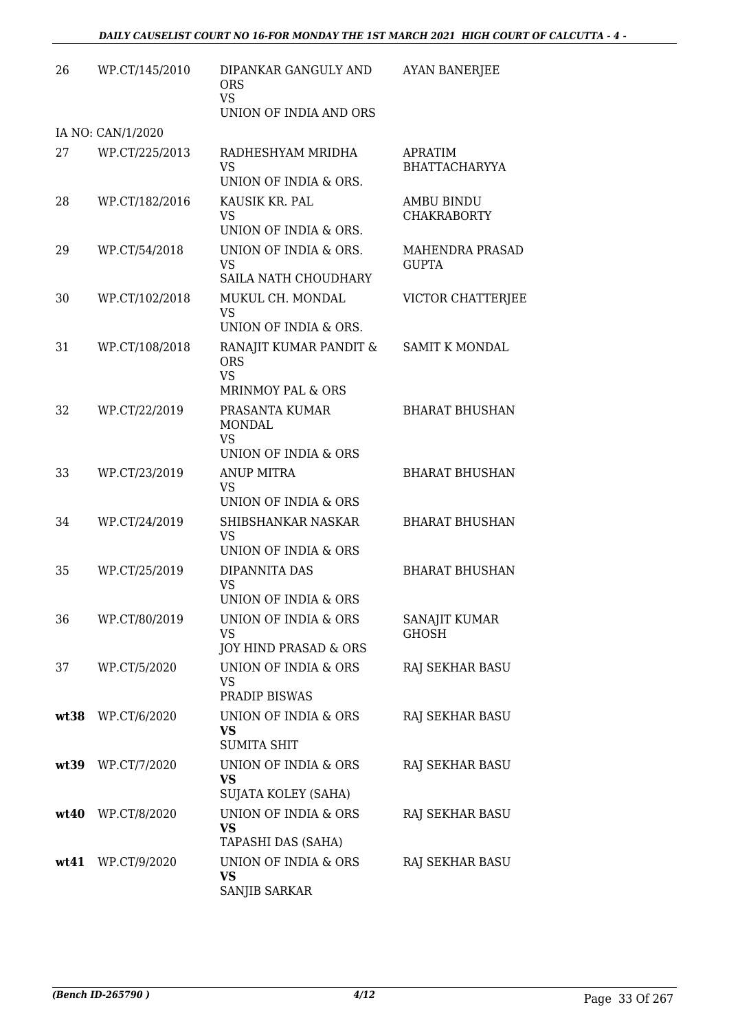| 26   | WP.CT/145/2010    | DIPANKAR GANGULY AND<br><b>ORS</b><br><b>VS</b><br>UNION OF INDIA AND ORS         | <b>AYAN BANERJEE</b>                    |
|------|-------------------|-----------------------------------------------------------------------------------|-----------------------------------------|
|      | IA NO: CAN/1/2020 |                                                                                   |                                         |
| 27   | WP.CT/225/2013    | RADHESHYAM MRIDHA<br><b>VS</b><br>UNION OF INDIA & ORS.                           | <b>APRATIM</b><br><b>BHATTACHARYYA</b>  |
| 28   | WP.CT/182/2016    | KAUSIK KR. PAL<br>VS<br>UNION OF INDIA & ORS.                                     | <b>AMBU BINDU</b><br><b>CHAKRABORTY</b> |
| 29   | WP.CT/54/2018     | UNION OF INDIA & ORS.<br><b>VS</b><br>SAILA NATH CHOUDHARY                        | <b>MAHENDRA PRASAD</b><br><b>GUPTA</b>  |
| 30   | WP.CT/102/2018    | MUKUL CH. MONDAL<br><b>VS</b><br>UNION OF INDIA & ORS.                            | VICTOR CHATTERJEE                       |
| 31   | WP.CT/108/2018    | RANAJIT KUMAR PANDIT &<br><b>ORS</b><br><b>VS</b><br><b>MRINMOY PAL &amp; ORS</b> | <b>SAMIT K MONDAL</b>                   |
| 32   | WP.CT/22/2019     | PRASANTA KUMAR<br><b>MONDAL</b><br><b>VS</b><br>UNION OF INDIA & ORS              | <b>BHARAT BHUSHAN</b>                   |
| 33   | WP.CT/23/2019     | <b>ANUP MITRA</b><br>VS<br>UNION OF INDIA & ORS                                   | <b>BHARAT BHUSHAN</b>                   |
| 34   | WP.CT/24/2019     | SHIBSHANKAR NASKAR<br><b>VS</b><br>UNION OF INDIA & ORS                           | <b>BHARAT BHUSHAN</b>                   |
| 35   | WP.CT/25/2019     | DIPANNITA DAS<br>VS<br>UNION OF INDIA & ORS                                       | <b>BHARAT BHUSHAN</b>                   |
| 36   | WP.CT/80/2019     | UNION OF INDIA & ORS<br><b>VS</b><br>JOY HIND PRASAD & ORS                        | SANAJIT KUMAR<br><b>GHOSH</b>           |
| 37   | WP.CT/5/2020      | UNION OF INDIA & ORS<br><b>VS</b><br>PRADIP BISWAS                                | RAJ SEKHAR BASU                         |
| wt38 | WP.CT/6/2020      | UNION OF INDIA & ORS<br>VS<br><b>SUMITA SHIT</b>                                  | RAJ SEKHAR BASU                         |
|      | wt39 WP.CT/7/2020 | UNION OF INDIA & ORS<br><b>VS</b><br>SUJATA KOLEY (SAHA)                          | RAJ SEKHAR BASU                         |
|      | wt40 WP.CT/8/2020 | UNION OF INDIA & ORS<br><b>VS</b><br>TAPASHI DAS (SAHA)                           | RAJ SEKHAR BASU                         |
|      | wt41 WP.CT/9/2020 | UNION OF INDIA & ORS<br>VS<br>SANJIB SARKAR                                       | RAJ SEKHAR BASU                         |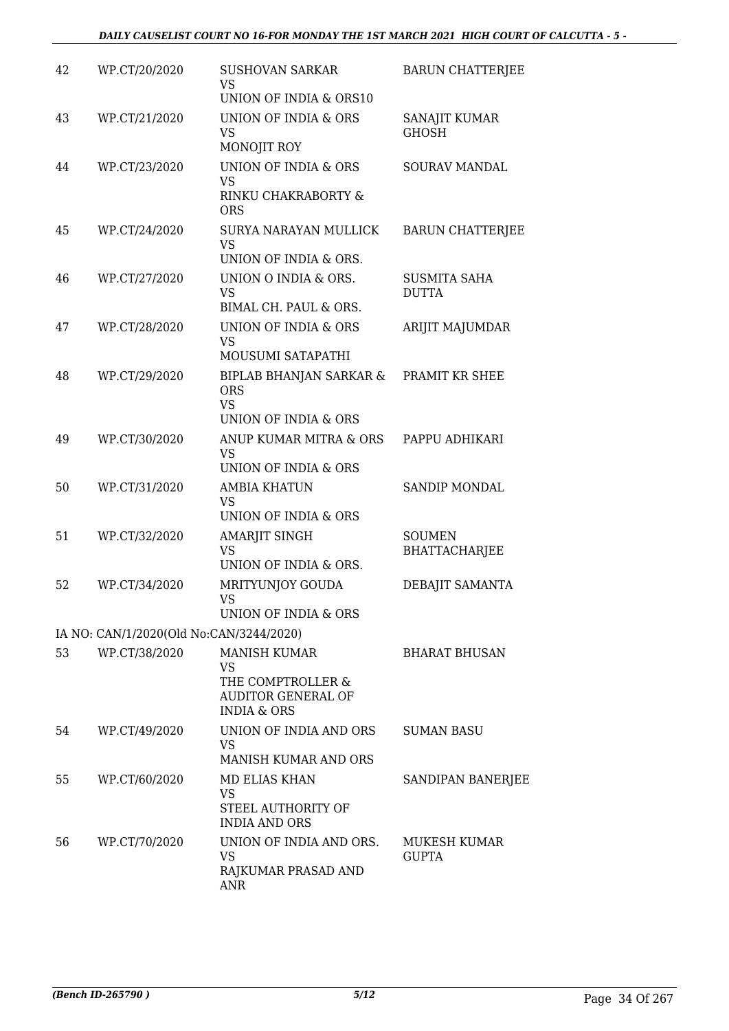| 42 | WP.CT/20/2020                           | <b>SUSHOVAN SARKAR</b><br>VS.<br>UNION OF INDIA & ORS10                                               | <b>BARUN CHATTERJEE</b>               |
|----|-----------------------------------------|-------------------------------------------------------------------------------------------------------|---------------------------------------|
| 43 | WP.CT/21/2020                           | <b>UNION OF INDIA &amp; ORS</b><br>VS<br>MONOJIT ROY                                                  | SANAJIT KUMAR<br><b>GHOSH</b>         |
| 44 | WP.CT/23/2020                           | UNION OF INDIA & ORS<br><b>VS</b><br>RINKU CHAKRABORTY &<br><b>ORS</b>                                | SOURAV MANDAL                         |
| 45 | WP.CT/24/2020                           | SURYA NARAYAN MULLICK<br><b>VS</b><br>UNION OF INDIA & ORS.                                           | <b>BARUN CHATTERJEE</b>               |
| 46 | WP.CT/27/2020                           | UNION O INDIA & ORS.<br><b>VS</b><br>BIMAL CH. PAUL & ORS.                                            | <b>SUSMITA SAHA</b><br><b>DUTTA</b>   |
| 47 | WP.CT/28/2020                           | UNION OF INDIA & ORS<br><b>VS</b><br>MOUSUMI SATAPATHI                                                | ARIJIT MAJUMDAR                       |
| 48 | WP.CT/29/2020                           | <b>BIPLAB BHANJAN SARKAR &amp;</b><br><b>ORS</b><br><b>VS</b><br>UNION OF INDIA & ORS                 | PRAMIT KR SHEE                        |
| 49 | WP.CT/30/2020                           | ANUP KUMAR MITRA & ORS<br><b>VS</b><br><b>UNION OF INDIA &amp; ORS</b>                                | PAPPU ADHIKARI                        |
| 50 | WP.CT/31/2020                           | <b>AMBIA KHATUN</b><br><b>VS</b><br><b>UNION OF INDIA &amp; ORS</b>                                   | <b>SANDIP MONDAL</b>                  |
| 51 | WP.CT/32/2020                           | AMARJIT SINGH<br>VS<br>UNION OF INDIA & ORS.                                                          | <b>SOUMEN</b><br><b>BHATTACHARJEE</b> |
| 52 | WP.CT/34/2020                           | MRITYUNJOY GOUDA<br><b>VS</b><br>UNION OF INDIA & ORS                                                 | DEBAJIT SAMANTA                       |
|    | IA NO: CAN/1/2020(Old No:CAN/3244/2020) |                                                                                                       |                                       |
| 53 | WP.CT/38/2020                           | <b>MANISH KUMAR</b><br>VS<br>THE COMPTROLLER &<br><b>AUDITOR GENERAL OF</b><br><b>INDIA &amp; ORS</b> | <b>BHARAT BHUSAN</b>                  |
| 54 | WP.CT/49/2020                           | UNION OF INDIA AND ORS<br><b>VS</b><br>MANISH KUMAR AND ORS                                           | <b>SUMAN BASU</b>                     |
| 55 | WP.CT/60/2020                           | MD ELIAS KHAN<br>VS<br>STEEL AUTHORITY OF<br><b>INDIA AND ORS</b>                                     | SANDIPAN BANERJEE                     |
| 56 | WP.CT/70/2020                           | UNION OF INDIA AND ORS.<br>VS<br>RAJKUMAR PRASAD AND<br><b>ANR</b>                                    | MUKESH KUMAR<br><b>GUPTA</b>          |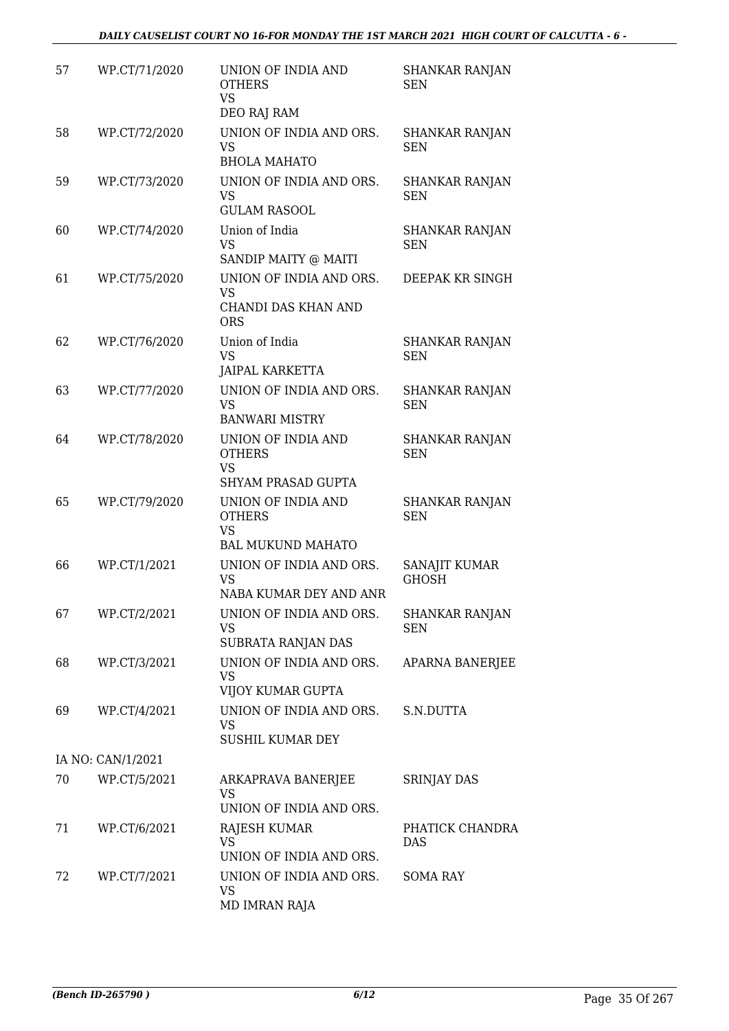| 57 | WP.CT/71/2020     | UNION OF INDIA AND<br><b>OTHERS</b><br><b>VS</b><br>DEO RAJ RAM               | <b>SHANKAR RANJAN</b><br><b>SEN</b> |
|----|-------------------|-------------------------------------------------------------------------------|-------------------------------------|
| 58 | WP.CT/72/2020     | UNION OF INDIA AND ORS.<br>VS<br><b>BHOLA MAHATO</b>                          | SHANKAR RANJAN<br><b>SEN</b>        |
| 59 | WP.CT/73/2020     | UNION OF INDIA AND ORS.<br>VS<br><b>GULAM RASOOL</b>                          | <b>SHANKAR RANJAN</b><br><b>SEN</b> |
| 60 | WP.CT/74/2020     | Union of India<br><b>VS</b><br>SANDIP MAITY @ MAITI                           | SHANKAR RANJAN<br><b>SEN</b>        |
| 61 | WP.CT/75/2020     | UNION OF INDIA AND ORS.<br>VS<br>CHANDI DAS KHAN AND<br><b>ORS</b>            | DEEPAK KR SINGH                     |
| 62 | WP.CT/76/2020     | Union of India<br><b>VS</b><br><b>JAIPAL KARKETTA</b>                         | <b>SHANKAR RANJAN</b><br><b>SEN</b> |
| 63 | WP.CT/77/2020     | UNION OF INDIA AND ORS.<br><b>VS</b><br><b>BANWARI MISTRY</b>                 | <b>SHANKAR RANJAN</b><br><b>SEN</b> |
| 64 | WP.CT/78/2020     | UNION OF INDIA AND<br><b>OTHERS</b><br><b>VS</b><br><b>SHYAM PRASAD GUPTA</b> | <b>SHANKAR RANJAN</b><br><b>SEN</b> |
| 65 | WP.CT/79/2020     | UNION OF INDIA AND<br><b>OTHERS</b><br><b>VS</b><br><b>BAL MUKUND MAHATO</b>  | SHANKAR RANJAN<br><b>SEN</b>        |
| 66 | WP.CT/1/2021      | UNION OF INDIA AND ORS.<br><b>VS</b><br>NABA KUMAR DEY AND ANR                | SANAJIT KUMAR<br><b>GHOSH</b>       |
| 67 | WP.CT/2/2021      | UNION OF INDIA AND ORS.<br>VS.<br>SUBRATA RANJAN DAS                          | <b>SHANKAR RANJAN</b><br><b>SEN</b> |
| 68 | WP.CT/3/2021      | UNION OF INDIA AND ORS.<br>VS<br>VIJOY KUMAR GUPTA                            | APARNA BANERJEE                     |
| 69 | WP.CT/4/2021      | UNION OF INDIA AND ORS.<br>VS.<br><b>SUSHIL KUMAR DEY</b>                     | S.N.DUTTA                           |
|    | IA NO: CAN/1/2021 |                                                                               |                                     |
| 70 | WP.CT/5/2021      | ARKAPRAVA BANERJEE<br><b>VS</b><br>UNION OF INDIA AND ORS.                    | <b>SRINJAY DAS</b>                  |
| 71 | WP.CT/6/2021      | RAJESH KUMAR<br><b>VS</b><br>UNION OF INDIA AND ORS.                          | PHATICK CHANDRA<br><b>DAS</b>       |
| 72 | WP.CT/7/2021      | UNION OF INDIA AND ORS.<br>VS<br>MD IMRAN RAJA                                | <b>SOMA RAY</b>                     |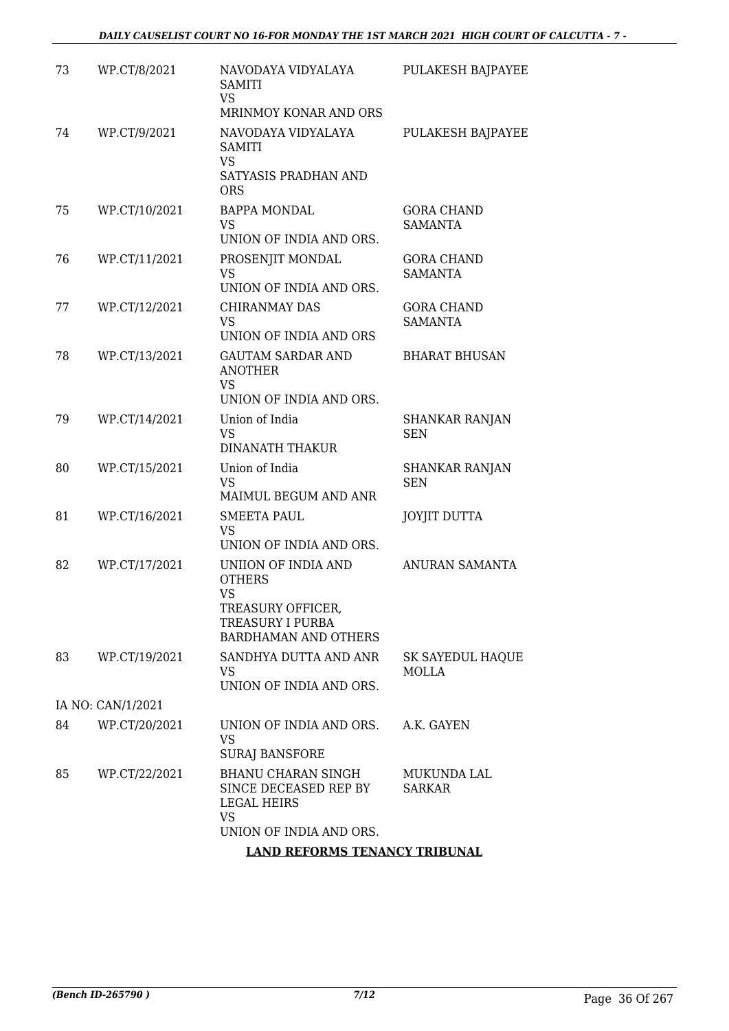| 73 | WP.CT/8/2021      | NAVODAYA VIDYALAYA<br>SAMITI<br>VS.<br>MRINMOY KONAR AND ORS                                                              | PULAKESH BAJPAYEE                   |
|----|-------------------|---------------------------------------------------------------------------------------------------------------------------|-------------------------------------|
| 74 | WP.CT/9/2021      | NAVODAYA VIDYALAYA<br><b>SAMITI</b><br><b>VS</b><br>SATYASIS PRADHAN AND<br><b>ORS</b>                                    | PULAKESH BAJPAYEE                   |
| 75 | WP.CT/10/2021     | <b>BAPPA MONDAL</b><br><b>VS</b>                                                                                          | <b>GORA CHAND</b><br><b>SAMANTA</b> |
|    |                   | UNION OF INDIA AND ORS.                                                                                                   |                                     |
| 76 | WP.CT/11/2021     | PROSENJIT MONDAL<br>VS                                                                                                    | <b>GORA CHAND</b><br><b>SAMANTA</b> |
|    |                   | UNION OF INDIA AND ORS.                                                                                                   |                                     |
| 77 | WP.CT/12/2021     | CHIRANMAY DAS<br>VS.<br>UNION OF INDIA AND ORS                                                                            | <b>GORA CHAND</b><br><b>SAMANTA</b> |
|    |                   |                                                                                                                           |                                     |
| 78 | WP.CT/13/2021     | <b>GAUTAM SARDAR AND</b><br><b>ANOTHER</b><br><b>VS</b>                                                                   | <b>BHARAT BHUSAN</b>                |
|    |                   | UNION OF INDIA AND ORS.                                                                                                   |                                     |
| 79 | WP.CT/14/2021     | Union of India<br><b>VS</b><br><b>DINANATH THAKUR</b>                                                                     | SHANKAR RANJAN<br><b>SEN</b>        |
| 80 | WP.CT/15/2021     | Union of India<br><b>VS</b><br>MAIMUL BEGUM AND ANR                                                                       | <b>SHANKAR RANJAN</b><br><b>SEN</b> |
| 81 | WP.CT/16/2021     | <b>SMEETA PAUL</b><br><b>VS</b><br>UNION OF INDIA AND ORS.                                                                | <b>JOYJIT DUTTA</b>                 |
| 82 | WP.CT/17/2021     | UNIION OF INDIA AND<br><b>OTHERS</b><br><b>VS</b><br>TREASURY OFFICER,<br>TREASURY I PURBA<br><b>BARDHAMAN AND OTHERS</b> | ANURAN SAMANTA                      |
| 83 | WP.CT/19/2021     | SANDHYA DUTTA AND ANR<br>VS.<br>UNION OF INDIA AND ORS.                                                                   | SK SAYEDUL HAQUE<br><b>MOLLA</b>    |
|    | IA NO: CAN/1/2021 |                                                                                                                           |                                     |
| 84 | WP.CT/20/2021     | UNION OF INDIA AND ORS.<br>VS                                                                                             | A.K. GAYEN                          |
|    |                   | <b>SURAJ BANSFORE</b>                                                                                                     |                                     |
| 85 | WP.CT/22/2021     | BHANU CHARAN SINGH<br>SINCE DECEASED REP BY<br>LEGAL HEIRS<br>VS<br>UNION OF INDIA AND ORS.                               | MUKUNDA LAL<br><b>SARKAR</b>        |
|    |                   | <b>LAND REFORMS TENANCY TRIBUNAL</b>                                                                                      |                                     |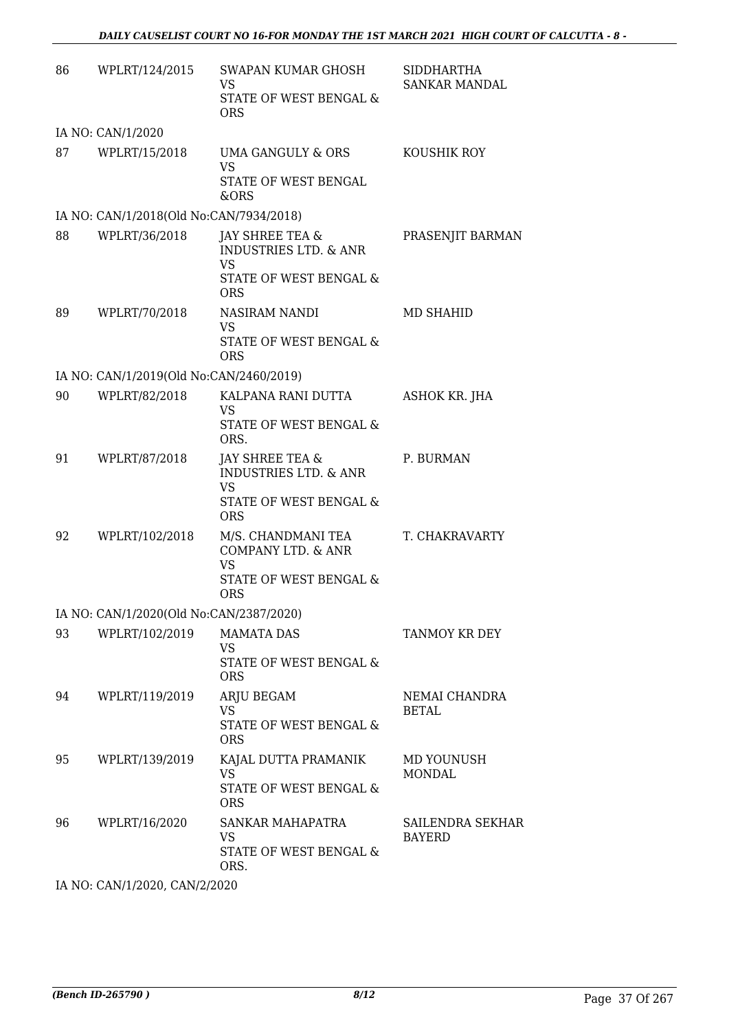| 86 | WPLRT/124/2015                          | SWAPAN KUMAR GHOSH<br>VS<br>STATE OF WEST BENGAL &<br><b>ORS</b>                                         | SIDDHARTHA<br>SANKAR MANDAL       |
|----|-----------------------------------------|----------------------------------------------------------------------------------------------------------|-----------------------------------|
|    | IA NO: CAN/1/2020                       |                                                                                                          |                                   |
| 87 | WPLRT/15/2018                           | UMA GANGULY & ORS<br><b>VS</b><br>STATE OF WEST BENGAL<br>&ORS                                           | KOUSHIK ROY                       |
|    | IA NO: CAN/1/2018(Old No:CAN/7934/2018) |                                                                                                          |                                   |
| 88 | WPLRT/36/2018                           | JAY SHREE TEA &<br><b>INDUSTRIES LTD. &amp; ANR</b><br>VS<br>STATE OF WEST BENGAL &<br><b>ORS</b>        | PRASENJIT BARMAN                  |
| 89 | WPLRT/70/2018                           | NASIRAM NANDI<br><b>VS</b><br>STATE OF WEST BENGAL &<br><b>ORS</b>                                       | MD SHAHID                         |
|    | IA NO: CAN/1/2019(Old No:CAN/2460/2019) |                                                                                                          |                                   |
| 90 | WPLRT/82/2018                           | KALPANA RANI DUTTA<br>VS<br>STATE OF WEST BENGAL &<br>ORS.                                               | ASHOK KR. JHA                     |
| 91 | WPLRT/87/2018                           | JAY SHREE TEA &<br><b>INDUSTRIES LTD. &amp; ANR</b><br><b>VS</b><br>STATE OF WEST BENGAL &<br><b>ORS</b> | P. BURMAN                         |
| 92 | WPLRT/102/2018                          | M/S. CHANDMANI TEA<br>COMPANY LTD. & ANR<br>VS<br>STATE OF WEST BENGAL &<br><b>ORS</b>                   | T. CHAKRAVARTY                    |
|    | IA NO: CAN/1/2020(Old No:CAN/2387/2020) |                                                                                                          |                                   |
| 93 | WPLRT/102/2019                          | <b>MAMATA DAS</b><br>VS<br>STATE OF WEST BENGAL &<br><b>ORS</b>                                          | TANMOY KR DEY                     |
| 94 | WPLRT/119/2019                          | ARJU BEGAM<br><b>VS</b><br>STATE OF WEST BENGAL &<br><b>ORS</b>                                          | NEMAI CHANDRA<br><b>BETAL</b>     |
| 95 | WPLRT/139/2019                          | KAJAL DUTTA PRAMANIK<br><b>VS</b><br>STATE OF WEST BENGAL &<br><b>ORS</b>                                | MD YOUNUSH<br><b>MONDAL</b>       |
| 96 | WPLRT/16/2020                           | SANKAR MAHAPATRA<br>VS<br>STATE OF WEST BENGAL &<br>ORS.                                                 | SAILENDRA SEKHAR<br><b>BAYERD</b> |

IA NO: CAN/1/2020, CAN/2/2020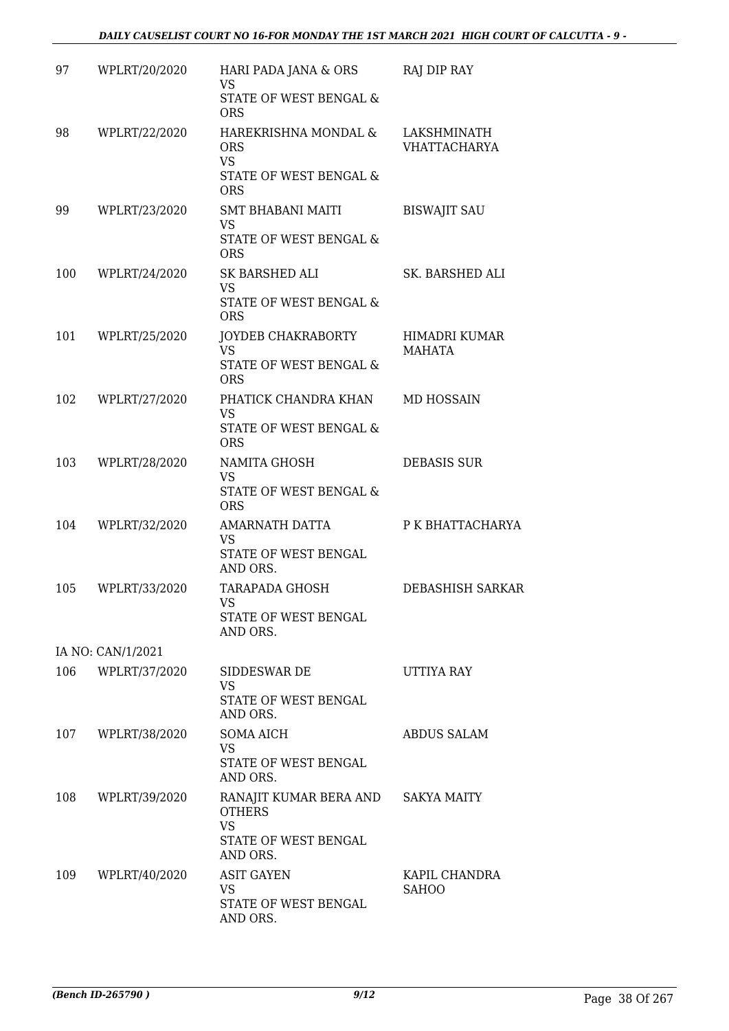| 97  | WPLRT/20/2020     | HARI PADA JANA & ORS<br><b>VS</b>                                                 | <b>RAJ DIP RAY</b>                 |
|-----|-------------------|-----------------------------------------------------------------------------------|------------------------------------|
|     |                   | STATE OF WEST BENGAL &<br><b>ORS</b>                                              |                                    |
| 98  | WPLRT/22/2020     | HAREKRISHNA MONDAL &<br><b>ORS</b><br><b>VS</b>                                   | LAKSHMINATH<br><b>VHATTACHARYA</b> |
|     |                   | STATE OF WEST BENGAL &<br><b>ORS</b>                                              |                                    |
| 99  | WPLRT/23/2020     | SMT BHABANI MAITI<br><b>VS</b><br><b>STATE OF WEST BENGAL &amp;</b><br><b>ORS</b> | <b>BISWAJIT SAU</b>                |
| 100 | WPLRT/24/2020     | SK BARSHED ALI<br><b>VS</b><br>STATE OF WEST BENGAL &<br><b>ORS</b>               | SK. BARSHED ALI                    |
| 101 | WPLRT/25/2020     | JOYDEB CHAKRABORTY<br><b>VS</b><br>STATE OF WEST BENGAL &<br><b>ORS</b>           | HIMADRI KUMAR<br><b>MAHATA</b>     |
| 102 | WPLRT/27/2020     | PHATICK CHANDRA KHAN<br><b>VS</b><br>STATE OF WEST BENGAL &<br><b>ORS</b>         | <b>MD HOSSAIN</b>                  |
| 103 | WPLRT/28/2020     | NAMITA GHOSH<br><b>VS</b><br>STATE OF WEST BENGAL &<br><b>ORS</b>                 | <b>DEBASIS SUR</b>                 |
| 104 | WPLRT/32/2020     | AMARNATH DATTA<br>VS<br>STATE OF WEST BENGAL<br>AND ORS.                          | P K BHATTACHARYA                   |
| 105 | WPLRT/33/2020     | TARAPADA GHOSH<br><b>VS</b><br>STATE OF WEST BENGAL<br>AND ORS.                   | DEBASHISH SARKAR                   |
|     | IA NO: CAN/1/2021 |                                                                                   |                                    |
| 106 | WPLRT/37/2020     | SIDDESWAR DE<br>VS<br>STATE OF WEST BENGAL<br>AND ORS.                            | UTTIYA RAY                         |
| 107 | WPLRT/38/2020     | SOMA AICH<br>VS<br>STATE OF WEST BENGAL<br>AND ORS.                               | <b>ABDUS SALAM</b>                 |
| 108 | WPLRT/39/2020     | RANAJIT KUMAR BERA AND<br><b>OTHERS</b><br><b>VS</b><br>STATE OF WEST BENGAL      | SAKYA MAITY                        |
| 109 | WPLRT/40/2020     | AND ORS.<br><b>ASIT GAYEN</b><br>VS<br>STATE OF WEST BENGAL<br>AND ORS.           | KAPIL CHANDRA<br><b>SAHOO</b>      |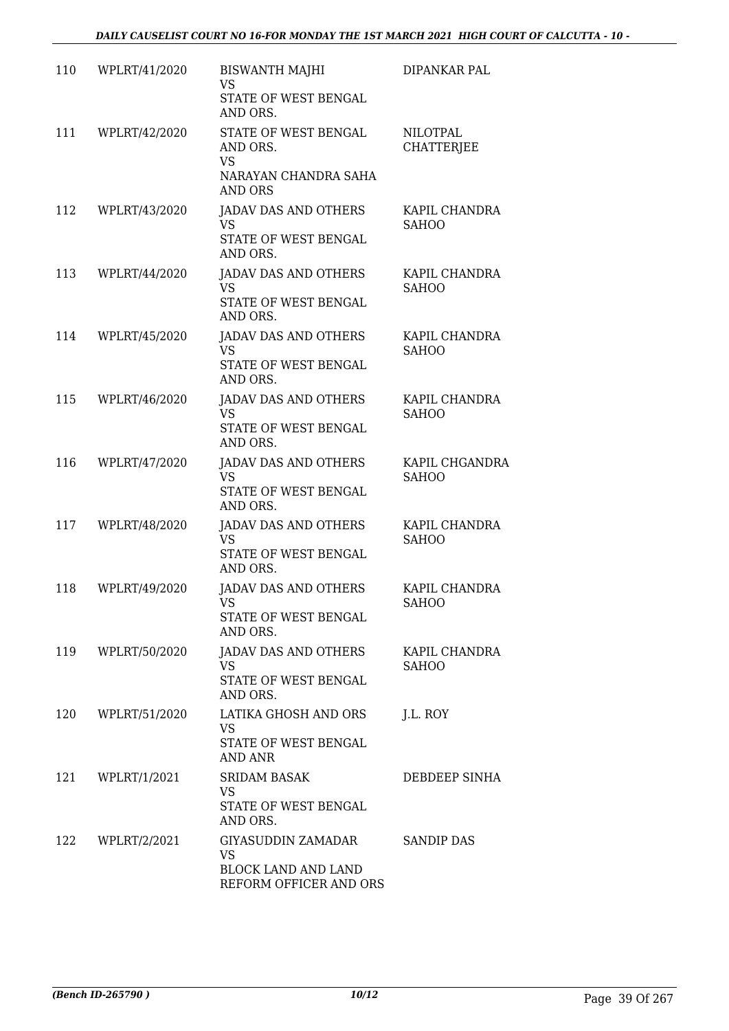| 110 | WPLRT/41/2020 | <b>BISWANTH MAJHI</b><br><b>VS</b><br>STATE OF WEST BENGAL<br>AND ORS.           | DIPANKAR PAL                         |
|-----|---------------|----------------------------------------------------------------------------------|--------------------------------------|
| 111 | WPLRT/42/2020 | STATE OF WEST BENGAL<br>AND ORS.<br><b>VS</b><br>NARAYAN CHANDRA SAHA<br>AND ORS | <b>NILOTPAL</b><br><b>CHATTERJEE</b> |
| 112 | WPLRT/43/2020 | JADAV DAS AND OTHERS<br><b>VS</b><br>STATE OF WEST BENGAL<br>AND ORS.            | KAPIL CHANDRA<br><b>SAHOO</b>        |
| 113 | WPLRT/44/2020 | <b>JADAV DAS AND OTHERS</b><br><b>VS</b><br>STATE OF WEST BENGAL<br>AND ORS.     | KAPIL CHANDRA<br><b>SAHOO</b>        |
| 114 | WPLRT/45/2020 | <b>JADAV DAS AND OTHERS</b><br><b>VS</b><br>STATE OF WEST BENGAL<br>AND ORS.     | KAPIL CHANDRA<br><b>SAHOO</b>        |
| 115 | WPLRT/46/2020 | <b>JADAV DAS AND OTHERS</b><br><b>VS</b><br>STATE OF WEST BENGAL<br>AND ORS.     | KAPIL CHANDRA<br><b>SAHOO</b>        |
| 116 | WPLRT/47/2020 | <b>JADAV DAS AND OTHERS</b><br><b>VS</b><br>STATE OF WEST BENGAL<br>AND ORS.     | KAPIL CHGANDRA<br><b>SAHOO</b>       |
| 117 | WPLRT/48/2020 | JADAV DAS AND OTHERS<br><b>VS</b><br>STATE OF WEST BENGAL<br>AND ORS.            | KAPIL CHANDRA<br><b>SAHOO</b>        |
| 118 | WPLRT/49/2020 | <b>JADAV DAS AND OTHERS</b><br><b>VS</b><br>STATE OF WEST BENGAL<br>AND ORS.     | KAPIL CHANDRA<br><b>SAHOO</b>        |
| 119 | WPLRT/50/2020 | JADAV DAS AND OTHERS<br><b>VS</b><br>STATE OF WEST BENGAL<br>AND ORS.            | KAPIL CHANDRA<br><b>SAHOO</b>        |
| 120 | WPLRT/51/2020 | LATIKA GHOSH AND ORS<br><b>VS</b><br>STATE OF WEST BENGAL<br>AND ANR             | J.L. ROY                             |
| 121 | WPLRT/1/2021  | <b>SRIDAM BASAK</b><br><b>VS</b><br>STATE OF WEST BENGAL<br>AND ORS.             | DEBDEEP SINHA                        |
| 122 | WPLRT/2/2021  | GIYASUDDIN ZAMADAR<br>VS<br><b>BLOCK LAND AND LAND</b><br>REFORM OFFICER AND ORS | <b>SANDIP DAS</b>                    |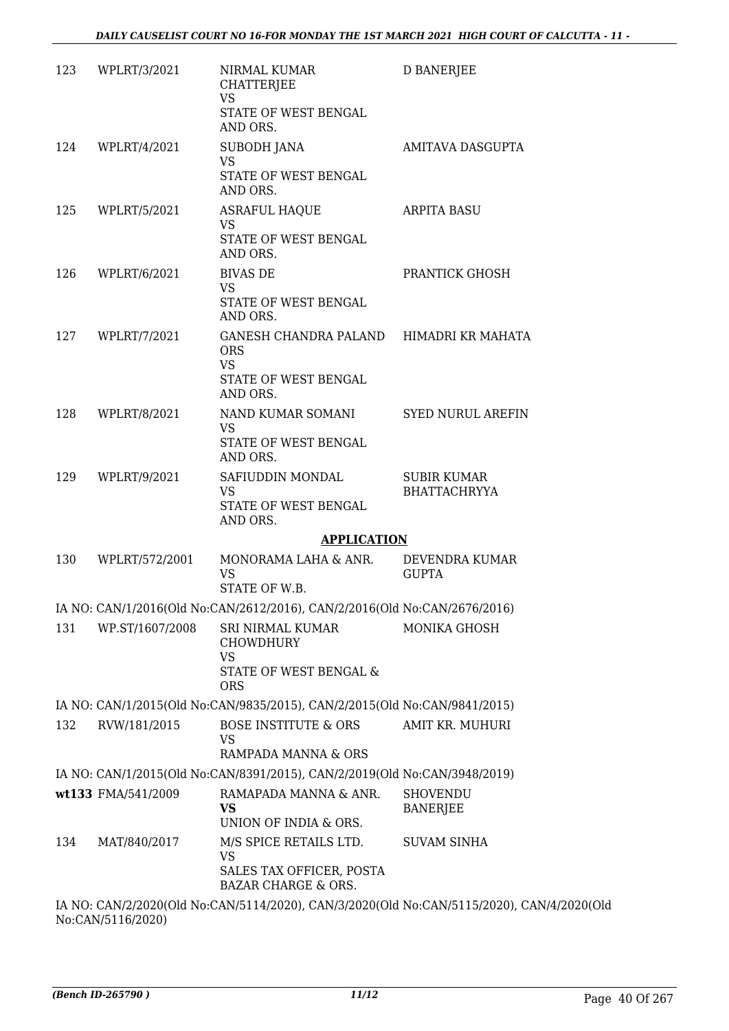| 123 | WPLRT/3/2021       | NIRMAL KUMAR<br><b>CHATTERJEE</b><br><b>VS</b><br>STATE OF WEST BENGAL<br>AND ORS. | <b>D BANERJEE</b>                         |
|-----|--------------------|------------------------------------------------------------------------------------|-------------------------------------------|
|     | 124 WPLRT/4/2021   | SUBODH JANA<br><b>VS</b><br>STATE OF WEST BENGAL                                   | AMITAVA DASGUPTA                          |
|     |                    | AND ORS.                                                                           |                                           |
| 125 | WPLRT/5/2021       | ASRAFUL HAQUE<br><b>VS</b><br>STATE OF WEST BENGAL                                 | <b>ARPITA BASU</b>                        |
|     |                    | AND ORS.                                                                           |                                           |
| 126 | WPLRT/6/2021       | <b>BIVAS DE</b><br>VS                                                              | PRANTICK GHOSH                            |
|     |                    | STATE OF WEST BENGAL<br>AND ORS.                                                   |                                           |
|     | 127 WPLRT/7/2021   | GANESH CHANDRA PALAND HIMADRI KR MAHATA<br><b>ORS</b><br><b>VS</b>                 |                                           |
|     |                    | STATE OF WEST BENGAL<br>AND ORS.                                                   |                                           |
| 128 | WPLRT/8/2021       | NAND KUMAR SOMANI<br><b>VS</b>                                                     | <b>SYED NURUL AREFIN</b>                  |
|     |                    | STATE OF WEST BENGAL<br>AND ORS.                                                   |                                           |
| 129 | WPLRT/9/2021       | SAFIUDDIN MONDAL<br><b>VS</b><br>STATE OF WEST BENGAL<br>AND ORS.                  | <b>SUBIR KUMAR</b><br><b>BHATTACHRYYA</b> |
|     |                    | <b>APPLICATION</b>                                                                 |                                           |
| 130 | WPLRT/572/2001     | MONORAMA LAHA & ANR.<br>VS<br>STATE OF W.B.                                        | DEVENDRA KUMAR<br><b>GUPTA</b>            |
|     |                    | IA NO: CAN/1/2016(Old No:CAN/2612/2016), CAN/2/2016(Old No:CAN/2676/2016)          |                                           |
| 131 | WP.ST/1607/2008    | SRI NIRMAL KUMAR<br><b>CHOWDHURY</b><br>VS<br>STATE OF WEST BENGAL &<br><b>ORS</b> | <b>MONIKA GHOSH</b>                       |
|     |                    | IA NO: CAN/1/2015(Old No:CAN/9835/2015), CAN/2/2015(Old No:CAN/9841/2015)          |                                           |
| 132 | RVW/181/2015       | <b>BOSE INSTITUTE &amp; ORS</b><br>VS<br>RAMPADA MANNA & ORS                       | AMIT KR. MUHURI                           |
|     |                    | IA NO: CAN/1/2015(Old No:CAN/8391/2015), CAN/2/2019(Old No:CAN/3948/2019)          |                                           |
|     | wt133 FMA/541/2009 | RAMAPADA MANNA & ANR.<br><b>VS</b><br>UNION OF INDIA & ORS.                        | <b>SHOVENDU</b><br><b>BANERJEE</b>        |
| 134 | MAT/840/2017       | M/S SPICE RETAILS LTD.<br>VS<br>SALES TAX OFFICER, POSTA                           | <b>SUVAM SINHA</b>                        |
|     |                    | <b>BAZAR CHARGE &amp; ORS.</b>                                                     |                                           |
|     |                    | IA NO: CAN/2/2020(Old No:CAN/5114/2020) CAN/3/2020(Old No:CAN/5115/2020) CAN/4/    |                                           |

0(Old No:CAN/5114/2020), CAN/3/2020(Old No:CAN/5115/2020), CAN/4/2020(Old No:CAN/5116/2020)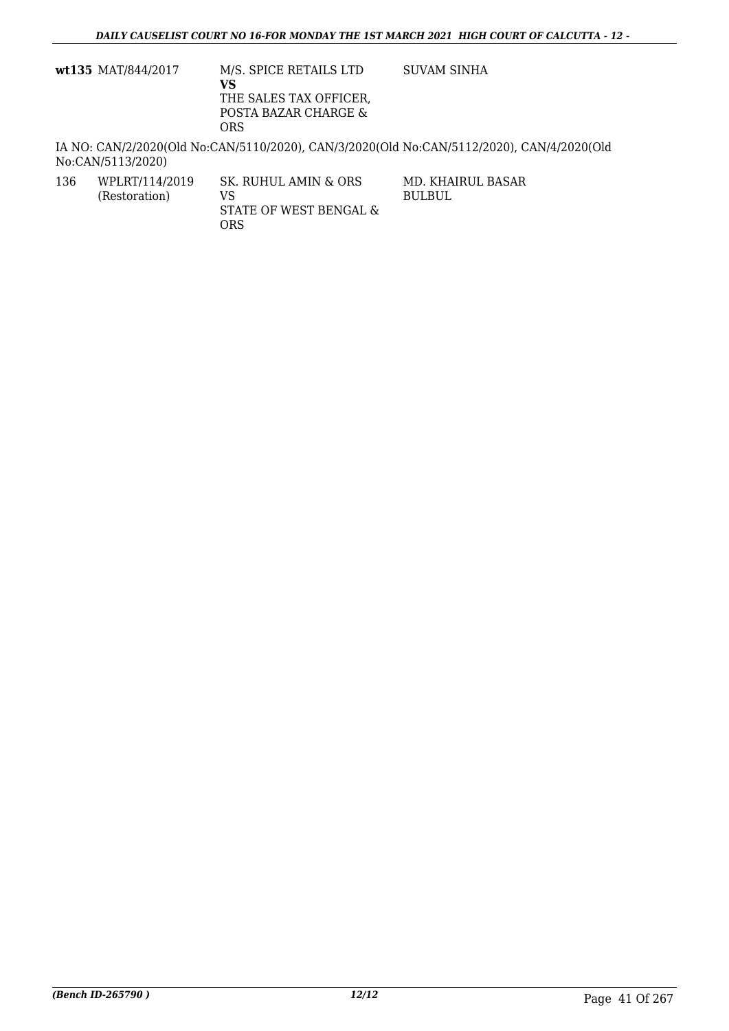| wt135 MAT/844/2017 | M/S. SPICE RETAILS LTD<br>VS<br>THE SALES TAX OFFICER,<br>POSTA BAZAR CHARGE &<br>ORS | SUVAM SINHA                                                                               |
|--------------------|---------------------------------------------------------------------------------------|-------------------------------------------------------------------------------------------|
| No:CAN/5113/2020)  |                                                                                       | IA NO: CAN/2/2020(Old No:CAN/5110/2020), CAN/3/2020(Old No:CAN/5112/2020), CAN/4/2020(Old |

| 136 | WPLRT/114/2019 | SK. RUHUL AMIN & ORS                 | MD. KHAIRUL BASAR |
|-----|----------------|--------------------------------------|-------------------|
|     | (Restoration)  | VS.                                  | <b>BULBUL</b>     |
|     |                | STATE OF WEST BENGAL &<br><b>ORS</b> |                   |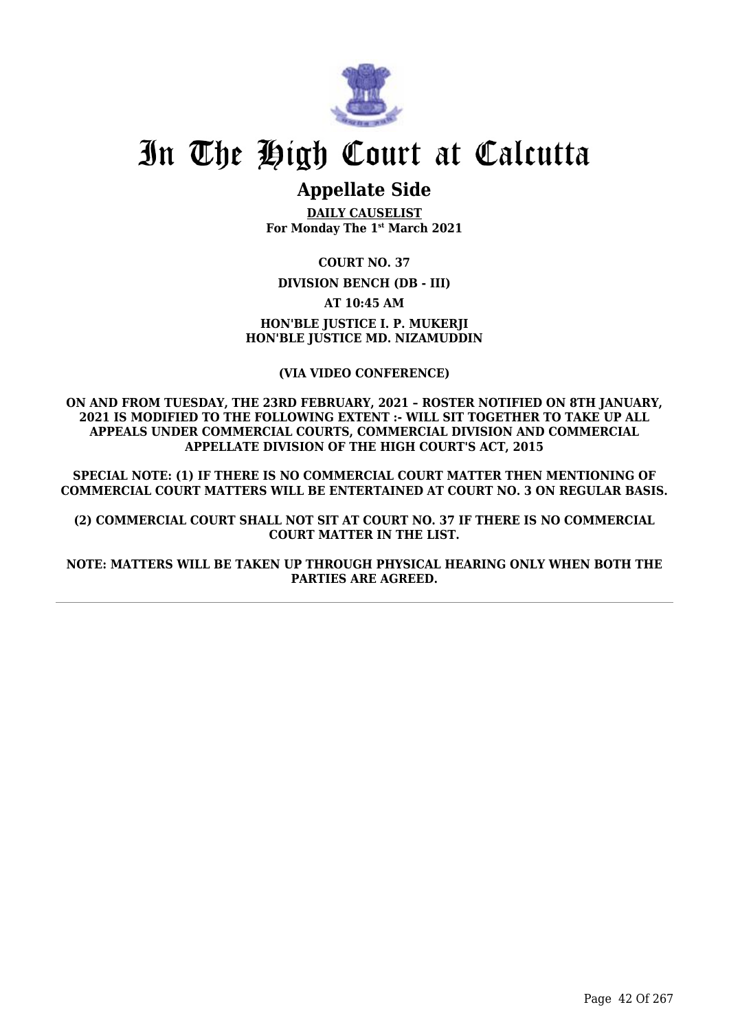

# **Appellate Side**

**DAILY CAUSELIST For Monday The 1st March 2021**

**COURT NO. 37**

**DIVISION BENCH (DB - III)**

**AT 10:45 AM**

**HON'BLE JUSTICE I. P. MUKERJI HON'BLE JUSTICE MD. NIZAMUDDIN**

**(VIA VIDEO CONFERENCE)**

**ON AND FROM TUESDAY, THE 23RD FEBRUARY, 2021 – ROSTER NOTIFIED ON 8TH JANUARY, 2021 IS MODIFIED TO THE FOLLOWING EXTENT :- WILL SIT TOGETHER TO TAKE UP ALL APPEALS UNDER COMMERCIAL COURTS, COMMERCIAL DIVISION AND COMMERCIAL APPELLATE DIVISION OF THE HIGH COURT'S ACT, 2015**

**SPECIAL NOTE: (1) IF THERE IS NO COMMERCIAL COURT MATTER THEN MENTIONING OF COMMERCIAL COURT MATTERS WILL BE ENTERTAINED AT COURT NO. 3 ON REGULAR BASIS.**

**(2) COMMERCIAL COURT SHALL NOT SIT AT COURT NO. 37 IF THERE IS NO COMMERCIAL COURT MATTER IN THE LIST.**

**NOTE: MATTERS WILL BE TAKEN UP THROUGH PHYSICAL HEARING ONLY WHEN BOTH THE PARTIES ARE AGREED.**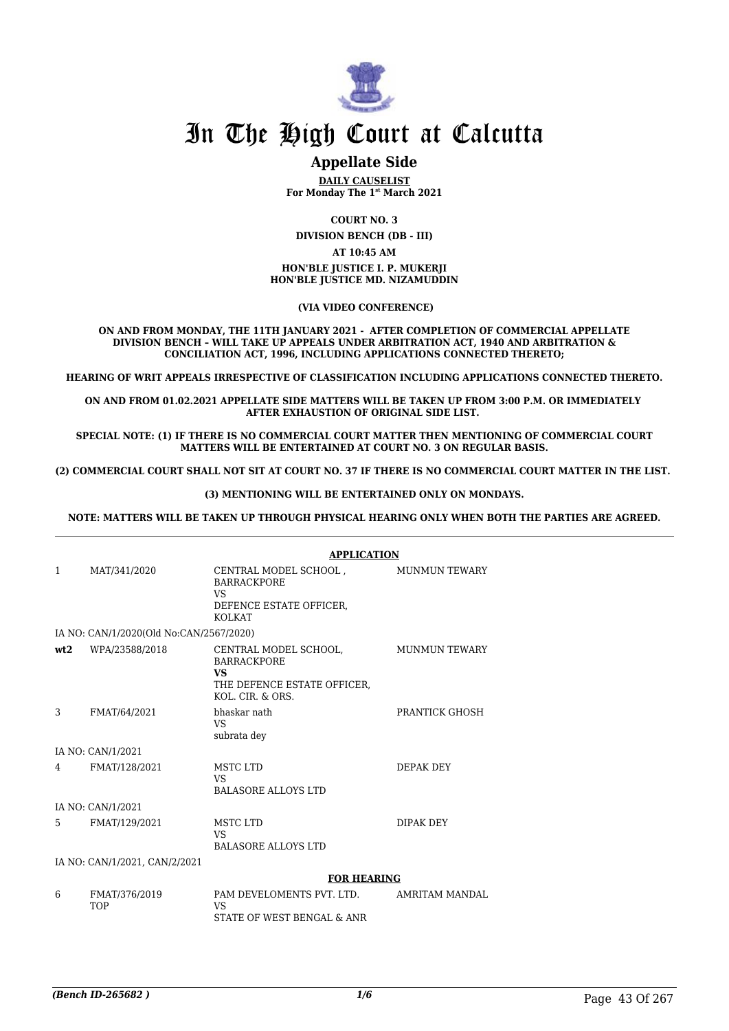

## **Appellate Side**

**DAILY CAUSELIST For Monday The 1st March 2021**

**COURT NO. 3**

**DIVISION BENCH (DB - III)**

#### **AT 10:45 AM**

#### **HON'BLE JUSTICE I. P. MUKERJI HON'BLE JUSTICE MD. NIZAMUDDIN**

 **(VIA VIDEO CONFERENCE)**

**ON AND FROM MONDAY, THE 11TH JANUARY 2021 - AFTER COMPLETION OF COMMERCIAL APPELLATE DIVISION BENCH – WILL TAKE UP APPEALS UNDER ARBITRATION ACT, 1940 AND ARBITRATION & CONCILIATION ACT, 1996, INCLUDING APPLICATIONS CONNECTED THERETO;**

**HEARING OF WRIT APPEALS IRRESPECTIVE OF CLASSIFICATION INCLUDING APPLICATIONS CONNECTED THERETO.**

**ON AND FROM 01.02.2021 APPELLATE SIDE MATTERS WILL BE TAKEN UP FROM 3:00 P.M. OR IMMEDIATELY AFTER EXHAUSTION OF ORIGINAL SIDE LIST.** 

**SPECIAL NOTE: (1) IF THERE IS NO COMMERCIAL COURT MATTER THEN MENTIONING OF COMMERCIAL COURT MATTERS WILL BE ENTERTAINED AT COURT NO. 3 ON REGULAR BASIS.**

**(2) COMMERCIAL COURT SHALL NOT SIT AT COURT NO. 37 IF THERE IS NO COMMERCIAL COURT MATTER IN THE LIST.** 

#### **(3) MENTIONING WILL BE ENTERTAINED ONLY ON MONDAYS.**

**NOTE: MATTERS WILL BE TAKEN UP THROUGH PHYSICAL HEARING ONLY WHEN BOTH THE PARTIES ARE AGREED.**

|              |                                         | APPLICATION                                                                                                 |                       |
|--------------|-----------------------------------------|-------------------------------------------------------------------------------------------------------------|-----------------------|
| $\mathbf{1}$ | MAT/341/2020                            | CENTRAL MODEL SCHOOL ,<br><b>BARRACKPORE</b><br><b>VS</b><br>DEFENCE ESTATE OFFICER,<br>KOLKAT              | <b>MUNMUN TEWARY</b>  |
|              | IA NO: CAN/1/2020(Old No:CAN/2567/2020) |                                                                                                             |                       |
| wt2          | WPA/23588/2018                          | CENTRAL MODEL SCHOOL,<br><b>BARRACKPORE</b><br><b>VS</b><br>THE DEFENCE ESTATE OFFICER,<br>KOL. CIR. & ORS. | <b>MUNMUN TEWARY</b>  |
| 3            | FMAT/64/2021                            | bhaskar nath<br>VS.<br>subrata dey                                                                          | PRANTICK GHOSH        |
|              | IA NO: CAN/1/2021                       |                                                                                                             |                       |
| 4            | FMAT/128/2021                           | MSTC LTD<br><b>VS</b><br><b>BALASORE ALLOYS LTD</b>                                                         | DEPAK DEY             |
|              | IA NO: CAN/1/2021                       |                                                                                                             |                       |
| 5            | FMAT/129/2021                           | MSTC LTD<br>VS.<br><b>BALASORE ALLOYS LTD</b>                                                               | DIPAK DEY             |
|              | IA NO: CAN/1/2021, CAN/2/2021           |                                                                                                             |                       |
|              |                                         | <b>FOR HEARING</b>                                                                                          |                       |
| 6            | FMAT/376/2019<br><b>TOP</b>             | PAM DEVELOMENTS PVT. LTD.<br><b>VS</b><br>STATE OF WEST BENGAL & ANR                                        | <b>AMRITAM MANDAL</b> |

#### **APPLICATION**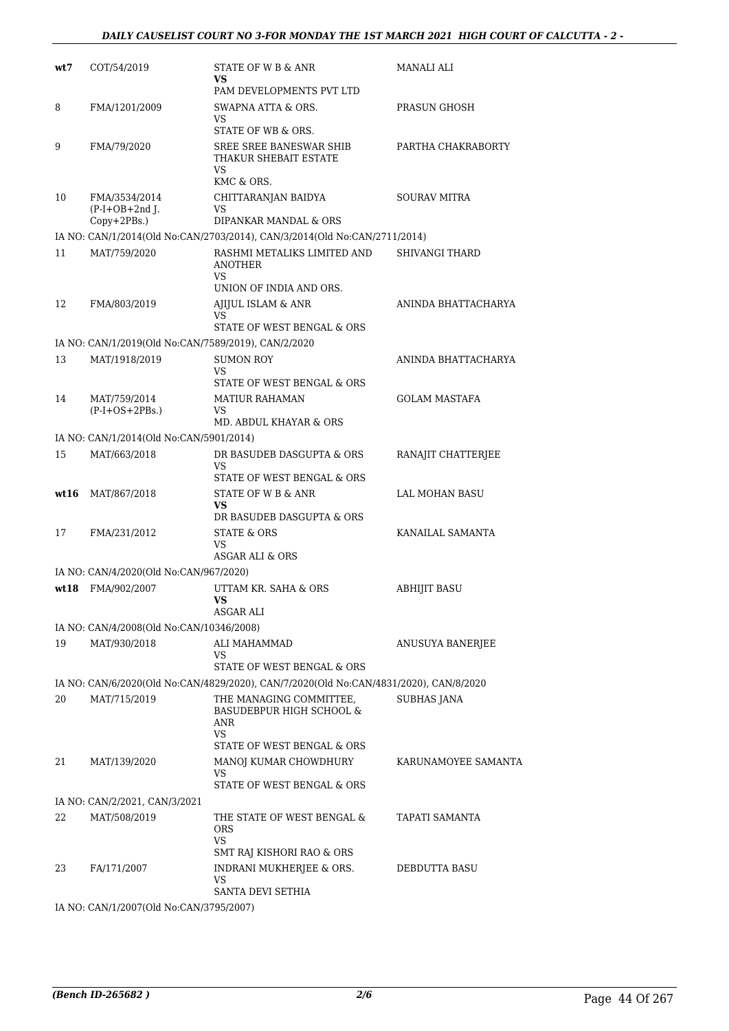| wt7  | COT/54/2019                                         | STATE OF W B & ANR<br>VS.<br>PAM DEVELOPMENTS PVT LTD                                                     | MANALI ALI            |
|------|-----------------------------------------------------|-----------------------------------------------------------------------------------------------------------|-----------------------|
| 8    | FMA/1201/2009                                       | SWAPNA ATTA & ORS.<br>VS                                                                                  | PRASUN GHOSH          |
| 9    | FMA/79/2020                                         | STATE OF WB & ORS.<br>SREE SREE BANESWAR SHIB<br>THAKUR SHEBAIT ESTATE<br><b>VS</b><br>KMC & ORS.         | PARTHA CHAKRABORTY    |
| 10   | FMA/3534/2014<br>$(P-I+OB+2nd$ J.<br>Copy+2PBs.)    | CHITTARANJAN BAIDYA<br>VS<br>DIPANKAR MANDAL & ORS                                                        | <b>SOURAV MITRA</b>   |
|      |                                                     | IA NO: CAN/1/2014(Old No:CAN/2703/2014), CAN/3/2014(Old No:CAN/2711/2014)                                 |                       |
| 11   | MAT/759/2020                                        | RASHMI METALIKS LIMITED AND<br><b>ANOTHER</b><br><b>VS</b><br>UNION OF INDIA AND ORS.                     | <b>SHIVANGI THARD</b> |
| 12   | FMA/803/2019                                        | AJIJUL ISLAM & ANR<br>VS<br>STATE OF WEST BENGAL & ORS                                                    | ANINDA BHATTACHARYA   |
|      | IA NO: CAN/1/2019(Old No:CAN/7589/2019), CAN/2/2020 |                                                                                                           |                       |
| 13   | MAT/1918/2019                                       | <b>SUMON ROY</b><br>VS.<br><b>STATE OF WEST BENGAL &amp; ORS</b>                                          | ANINDA BHATTACHARYA   |
| 14   | MAT/759/2014<br>$(P-I+OS+2PBs.)$                    | <b>MATIUR RAHAMAN</b><br>VS<br>MD. ABDUL KHAYAR & ORS                                                     | <b>GOLAM MASTAFA</b>  |
|      | IA NO: CAN/1/2014(Old No:CAN/5901/2014)             |                                                                                                           |                       |
| 15   | MAT/663/2018                                        | DR BASUDEB DASGUPTA & ORS<br>VS                                                                           | RANAJIT CHATTERJEE    |
| wt16 | MAT/867/2018                                        | STATE OF WEST BENGAL & ORS<br>STATE OF W B & ANR<br>VS<br>DR BASUDEB DASGUPTA & ORS                       | LAL MOHAN BASU        |
| 17   | FMA/231/2012                                        | <b>STATE &amp; ORS</b><br>VS<br>ASGAR ALI & ORS                                                           | KANAILAL SAMANTA      |
|      | IA NO: CAN/4/2020(Old No:CAN/967/2020)              |                                                                                                           |                       |
| wt18 | FMA/902/2007                                        | UTTAM KR. SAHA & ORS<br>VS<br>ASGAR ALI                                                                   | <b>ABHIJIT BASU</b>   |
|      | IA NO: CAN/4/2008(Old No:CAN/10346/2008)            |                                                                                                           |                       |
| 19   | MAT/930/2018                                        | ALI MAHAMMAD<br>VS<br>STATE OF WEST BENGAL & ORS                                                          | ANUSUYA BANERJEE      |
|      |                                                     | IA NO: CAN/6/2020(Old No:CAN/4829/2020), CAN/7/2020(Old No:CAN/4831/2020), CAN/8/2020                     |                       |
| 20   | MAT/715/2019                                        | THE MANAGING COMMITTEE,<br><b>BASUDEBPUR HIGH SCHOOL &amp;</b><br>ANR<br>VS<br>STATE OF WEST BENGAL & ORS | <b>SUBHAS JANA</b>    |
| 21   | MAT/139/2020                                        | MANOJ KUMAR CHOWDHURY<br>VS<br>STATE OF WEST BENGAL & ORS                                                 | KARUNAMOYEE SAMANTA   |
|      | IA NO: CAN/2/2021, CAN/3/2021                       |                                                                                                           |                       |
| 22   | MAT/508/2019                                        | THE STATE OF WEST BENGAL &<br><b>ORS</b><br>VS                                                            | TAPATI SAMANTA        |
| 23   | FA/171/2007                                         | SMT RAJ KISHORI RAO & ORS<br>INDRANI MUKHERJEE & ORS.<br>VS<br>SANTA DEVI SETHIA                          | DEBDUTTA BASU         |
|      | IA NO: CAN/1/2007(Old No:CAN/3795/2007)             |                                                                                                           |                       |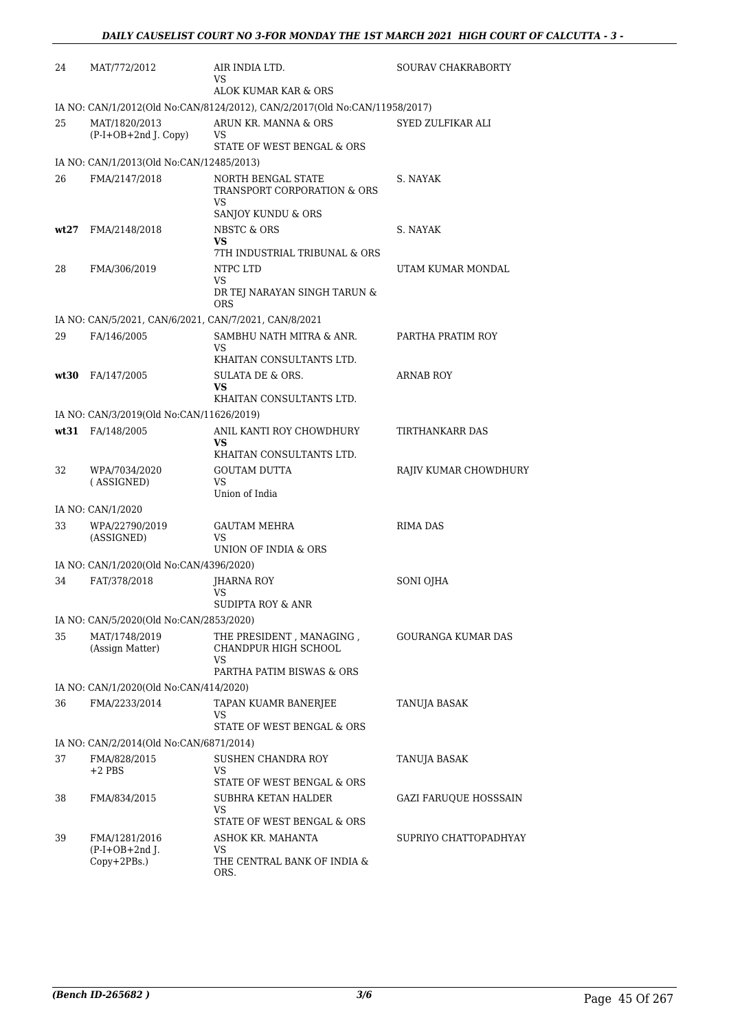| 24   | MAT/772/2012                                             | AIR INDIA LTD.<br>VS                                                          | <b>SOURAV CHAKRABORTY</b>    |
|------|----------------------------------------------------------|-------------------------------------------------------------------------------|------------------------------|
|      |                                                          | ALOK KUMAR KAR & ORS                                                          |                              |
|      |                                                          | IA NO: CAN/1/2012(Old No:CAN/8124/2012), CAN/2/2017(Old No:CAN/11958/2017)    |                              |
| 25   | MAT/1820/2013<br>(P-I+OB+2nd J. Copy)                    | ARUN KR. MANNA & ORS<br>VS<br>STATE OF WEST BENGAL & ORS                      | SYED ZULFIKAR ALI            |
|      | IA NO: CAN/1/2013(Old No:CAN/12485/2013)                 |                                                                               |                              |
| 26   | FMA/2147/2018                                            | NORTH BENGAL STATE<br>TRANSPORT CORPORATION & ORS<br>VS<br>SANJOY KUNDU & ORS | S. NAYAK                     |
| wt27 | FMA/2148/2018                                            | <b>NBSTC &amp; ORS</b>                                                        | S. NAYAK                     |
|      |                                                          | <b>VS</b><br>7TH INDUSTRIAL TRIBUNAL & ORS                                    |                              |
| 28   | FMA/306/2019                                             | NTPC LTD                                                                      | UTAM KUMAR MONDAL            |
|      |                                                          | VS.<br>DR TEJ NARAYAN SINGH TARUN &<br><b>ORS</b>                             |                              |
|      | IA NO: CAN/5/2021, CAN/6/2021, CAN/7/2021, CAN/8/2021    |                                                                               |                              |
| 29   | FA/146/2005                                              | SAMBHU NATH MITRA & ANR.<br>VS                                                | PARTHA PRATIM ROY            |
| wt30 |                                                          | KHAITAN CONSULTANTS LTD.<br>SULATA DE & ORS.                                  | <b>ARNAB ROY</b>             |
|      | FA/147/2005                                              | <b>VS</b>                                                                     |                              |
|      |                                                          | KHAITAN CONSULTANTS LTD.                                                      |                              |
|      | IA NO: CAN/3/2019(Old No:CAN/11626/2019)                 |                                                                               |                              |
|      | wt31 FA/148/2005                                         | ANIL KANTI ROY CHOWDHURY<br>VS<br>KHAITAN CONSULTANTS LTD.                    | TIRTHANKARR DAS              |
| 32   | WPA/7034/2020<br>(ASSIGNED)                              | <b>GOUTAM DUTTA</b><br>VS<br>Union of India                                   | RAJIV KUMAR CHOWDHURY        |
|      | IA NO: CAN/1/2020                                        |                                                                               |                              |
| 33   | WPA/22790/2019<br>(ASSIGNED)                             | <b>GAUTAM MEHRA</b><br>VS<br>UNION OF INDIA & ORS                             | <b>RIMA DAS</b>              |
|      | IA NO: CAN/1/2020(Old No:CAN/4396/2020)                  |                                                                               |                              |
| 34   | FAT/378/2018                                             | JHARNA ROY<br><b>VS</b>                                                       | SONI OJHA                    |
|      |                                                          | SUDIPTA ROY & ANR                                                             |                              |
| 35   | IA NO: CAN/5/2020(Old No:CAN/2853/2020)<br>MAT/1748/2019 | THE PRESIDENT, MANAGING,                                                      | GOURANGA KUMAR DAS           |
|      | (Assign Matter)                                          | CHANDPUR HIGH SCHOOL<br>VS                                                    |                              |
|      |                                                          | PARTHA PATIM BISWAS & ORS                                                     |                              |
|      | IA NO: CAN/1/2020(Old No:CAN/414/2020)                   |                                                                               |                              |
| 36   | FMA/2233/2014                                            | TAPAN KUAMR BANERJEE<br>VS<br>STATE OF WEST BENGAL & ORS                      | TANUJA BASAK                 |
|      | IA NO: CAN/2/2014(Old No:CAN/6871/2014)                  |                                                                               |                              |
| 37   | FMA/828/2015<br>$+2$ PBS                                 | SUSHEN CHANDRA ROY<br>VS<br>STATE OF WEST BENGAL & ORS                        | TANUJA BASAK                 |
| 38   | FMA/834/2015                                             | SUBHRA KETAN HALDER<br>VS                                                     | <b>GAZI FARUQUE HOSSSAIN</b> |
|      |                                                          | STATE OF WEST BENGAL & ORS                                                    |                              |
| 39   | FMA/1281/2016                                            | ASHOK KR. MAHANTA                                                             | SUPRIYO CHATTOPADHYAY        |
|      | $(P-I+OB+2nd$ J.<br>Copy+2PBs.)                          | VS<br>THE CENTRAL BANK OF INDIA &<br>ORS.                                     |                              |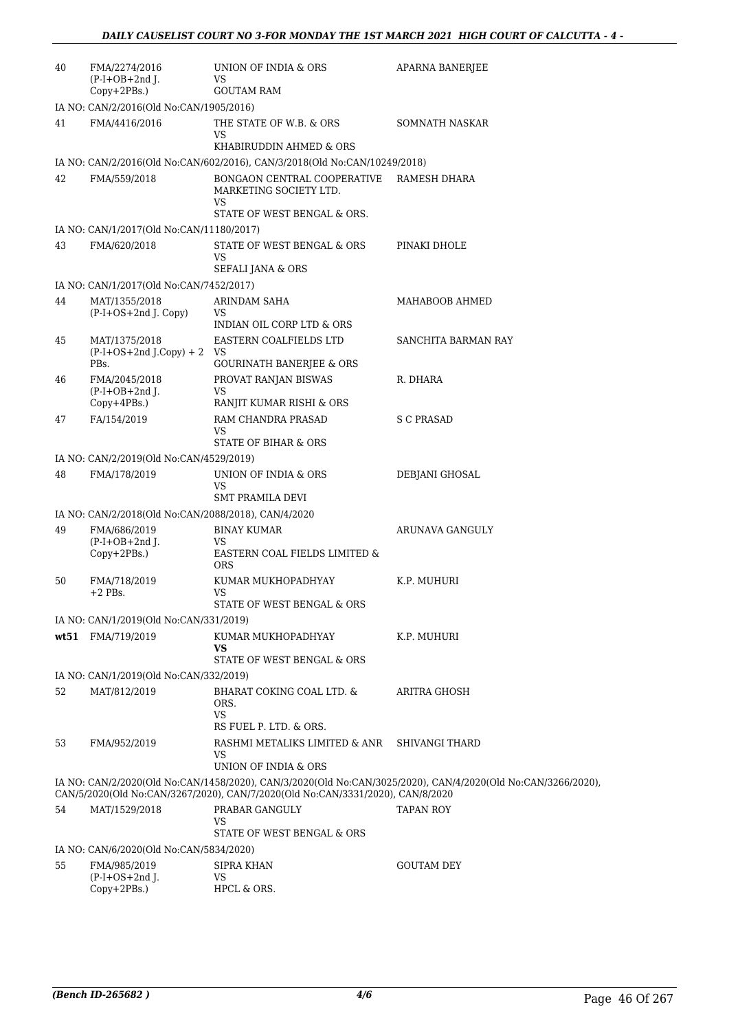| 40 | FMA/2274/2016<br>$(P-I+OB+2nd I.$<br>Copy+2PBs.)                    | UNION OF INDIA & ORS<br>VS.<br><b>GOUTAM RAM</b>                                                  | <b>APARNA BANERJEE</b>                                                                                       |  |  |
|----|---------------------------------------------------------------------|---------------------------------------------------------------------------------------------------|--------------------------------------------------------------------------------------------------------------|--|--|
|    | IA NO: CAN/2/2016(Old No:CAN/1905/2016)                             |                                                                                                   |                                                                                                              |  |  |
| 41 | FMA/4416/2016                                                       | THE STATE OF W.B. & ORS<br>VS                                                                     | <b>SOMNATH NASKAR</b>                                                                                        |  |  |
|    |                                                                     | KHABIRUDDIN AHMED & ORS                                                                           |                                                                                                              |  |  |
|    |                                                                     | IA NO: CAN/2/2016(Old No:CAN/602/2016), CAN/3/2018(Old No:CAN/10249/2018)                         |                                                                                                              |  |  |
| 42 | FMA/559/2018                                                        | BONGAON CENTRAL COOPERATIVE<br>MARKETING SOCIETY LTD.<br><b>VS</b><br>STATE OF WEST BENGAL & ORS. | RAMESH DHARA                                                                                                 |  |  |
|    | IA NO: CAN/1/2017(Old No:CAN/11180/2017)                            |                                                                                                   |                                                                                                              |  |  |
| 43 | FMA/620/2018                                                        | STATE OF WEST BENGAL & ORS<br>VS<br>SEFALI JANA & ORS                                             | PINAKI DHOLE                                                                                                 |  |  |
|    | IA NO: CAN/1/2017(Old No:CAN/7452/2017)                             |                                                                                                   |                                                                                                              |  |  |
| 44 | MAT/1355/2018<br>(P-I+OS+2nd J. Copy)                               | ARINDAM SAHA<br>VS.<br>INDIAN OIL CORP LTD & ORS                                                  | MAHABOOB AHMED                                                                                               |  |  |
| 45 | MAT/1375/2018                                                       | EASTERN COALFIELDS LTD                                                                            | SANCHITA BARMAN RAY                                                                                          |  |  |
|    | $(P-I+OS+2nd J.Copy) + 2$ VS                                        |                                                                                                   |                                                                                                              |  |  |
|    | PBs.                                                                | <b>GOURINATH BANERJEE &amp; ORS</b>                                                               |                                                                                                              |  |  |
| 46 | FMA/2045/2018<br>$(P-I+OB+2nd$ J.<br>Copy+4PBs.)                    | PROVAT RANJAN BISWAS<br><b>VS</b><br>RANJIT KUMAR RISHI & ORS                                     | R. DHARA                                                                                                     |  |  |
| 47 | FA/154/2019                                                         | RAM CHANDRA PRASAD                                                                                | S C PRASAD                                                                                                   |  |  |
|    |                                                                     | VS.<br><b>STATE OF BIHAR &amp; ORS</b>                                                            |                                                                                                              |  |  |
|    | IA NO: CAN/2/2019(Old No:CAN/4529/2019)                             |                                                                                                   |                                                                                                              |  |  |
| 48 | FMA/178/2019                                                        | UNION OF INDIA & ORS<br>VS                                                                        | DEBJANI GHOSAL                                                                                               |  |  |
|    |                                                                     | <b>SMT PRAMILA DEVI</b>                                                                           |                                                                                                              |  |  |
| 49 | IA NO: CAN/2/2018(Old No:CAN/2088/2018), CAN/4/2020<br>FMA/686/2019 | <b>BINAY KUMAR</b>                                                                                | ARUNAVA GANGULY                                                                                              |  |  |
|    | $(P-I+OB+2nd$ J.<br>Copy+2PBs.)                                     | VS.<br>EASTERN COAL FIELDS LIMITED &<br><b>ORS</b>                                                |                                                                                                              |  |  |
| 50 | FMA/718/2019<br>$+2$ PBs.                                           | KUMAR MUKHOPADHYAY<br>VS<br>STATE OF WEST BENGAL & ORS                                            | K.P. MUHURI                                                                                                  |  |  |
|    |                                                                     |                                                                                                   |                                                                                                              |  |  |
|    | IA NO: CAN/1/2019(Old No:CAN/331/2019)<br>wt51 FMA/719/2019         | KUMAR MUKHOPADHYAY                                                                                | K.P. MUHURI                                                                                                  |  |  |
|    |                                                                     | <b>VS</b><br>STATE OF WEST BENGAL & ORS                                                           |                                                                                                              |  |  |
|    | IA NO: CAN/1/2019(Old No:CAN/332/2019)                              |                                                                                                   |                                                                                                              |  |  |
| 52 | MAT/812/2019                                                        | BHARAT COKING COAL LTD. &<br>ORS.<br><b>VS</b>                                                    | ARITRA GHOSH                                                                                                 |  |  |
|    |                                                                     | RS FUEL P. LTD. & ORS.                                                                            |                                                                                                              |  |  |
| 53 | FMA/952/2019                                                        | RASHMI METALIKS LIMITED & ANR<br>VS                                                               | SHIVANGI THARD                                                                                               |  |  |
|    |                                                                     | UNION OF INDIA & ORS                                                                              |                                                                                                              |  |  |
|    |                                                                     | CAN/5/2020(Old No:CAN/3267/2020), CAN/7/2020(Old No:CAN/3331/2020), CAN/8/2020                    | IA NO: CAN/2/2020(Old No:CAN/1458/2020), CAN/3/2020(Old No:CAN/3025/2020), CAN/4/2020(Old No:CAN/3266/2020), |  |  |
| 54 | MAT/1529/2018                                                       | PRABAR GANGULY<br><b>VS</b>                                                                       | TAPAN ROY                                                                                                    |  |  |
|    |                                                                     | STATE OF WEST BENGAL & ORS                                                                        |                                                                                                              |  |  |
|    | IA NO: CAN/6/2020(Old No:CAN/5834/2020)                             |                                                                                                   |                                                                                                              |  |  |
| 55 | FMA/985/2019<br>$(P-I+OS+2nd J.$<br>Copy+2PBs.)                     | <b>SIPRA KHAN</b><br>VS.<br>HPCL & ORS.                                                           | <b>GOUTAM DEY</b>                                                                                            |  |  |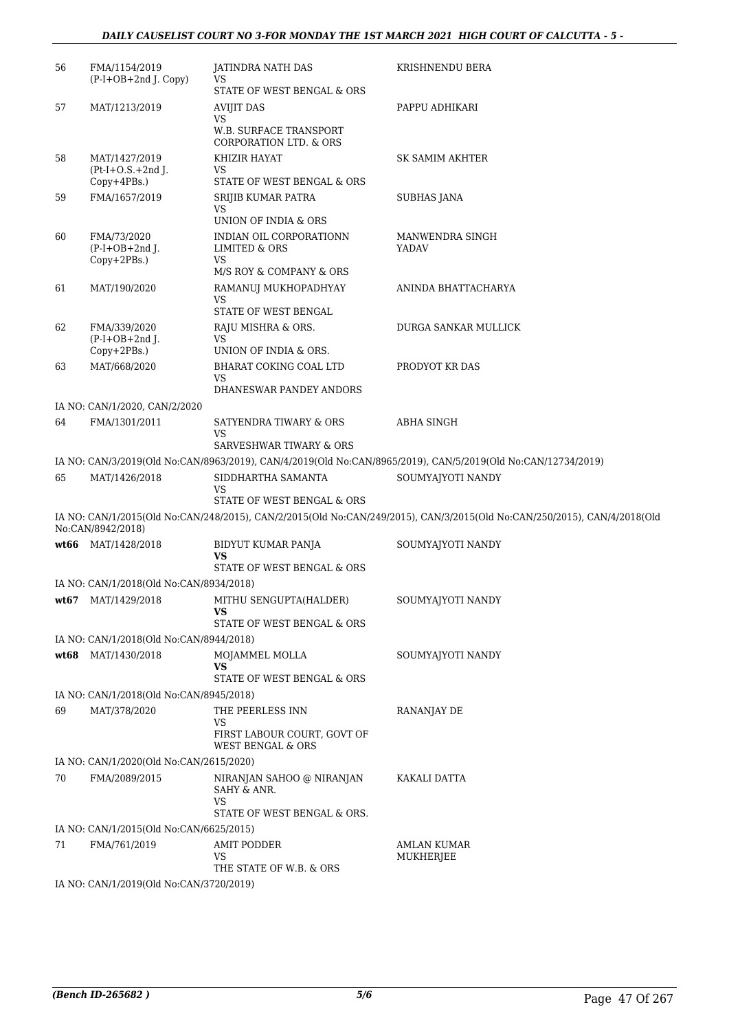| 56   | FMA/1154/2019<br>(P-I+OB+2nd J. Copy)          | JATINDRA NATH DAS<br>VS                                           | KRISHNENDU BERA                                                                                                          |
|------|------------------------------------------------|-------------------------------------------------------------------|--------------------------------------------------------------------------------------------------------------------------|
|      |                                                | STATE OF WEST BENGAL & ORS                                        |                                                                                                                          |
| 57   | MAT/1213/2019                                  | <b>AVIJIT DAS</b><br><b>VS</b>                                    | PAPPU ADHIKARI                                                                                                           |
|      |                                                | W.B. SURFACE TRANSPORT<br><b>CORPORATION LTD. &amp; ORS</b>       |                                                                                                                          |
| 58   | MAT/1427/2019                                  | KHIZIR HAYAT                                                      | SK SAMIM AKHTER                                                                                                          |
|      | $Pt-I+O.S.+2nd$ J.<br>Copy+4PBs.)              | VS<br>STATE OF WEST BENGAL & ORS                                  |                                                                                                                          |
| 59   | FMA/1657/2019                                  | SRIJIB KUMAR PATRA                                                | SUBHAS JANA                                                                                                              |
|      |                                                | <b>VS</b>                                                         |                                                                                                                          |
|      |                                                | UNION OF INDIA & ORS                                              |                                                                                                                          |
| 60   | FMA/73/2020<br>$(P-I+OB+2nd J.$<br>Copy+2PBs.) | INDIAN OIL CORPORATIONN<br><b>LIMITED &amp; ORS</b><br><b>VS</b>  | MANWENDRA SINGH<br><b>YADAV</b>                                                                                          |
|      |                                                | M/S ROY & COMPANY & ORS                                           |                                                                                                                          |
| 61   | MAT/190/2020                                   | RAMANUJ MUKHOPADHYAY                                              | ANINDA BHATTACHARYA                                                                                                      |
|      |                                                | <b>VS</b><br>STATE OF WEST BENGAL                                 |                                                                                                                          |
| 62   | FMA/339/2020                                   | RAJU MISHRA & ORS.                                                | DURGA SANKAR MULLICK                                                                                                     |
|      | $(P-I+OB+2nd$ J.                               | VS                                                                |                                                                                                                          |
|      | Copy+2PBs.)                                    | UNION OF INDIA & ORS.                                             |                                                                                                                          |
| 63   | MAT/668/2020                                   | BHARAT COKING COAL LTD<br><b>VS</b>                               | PRODYOT KR DAS                                                                                                           |
|      |                                                | DHANESWAR PANDEY ANDORS                                           |                                                                                                                          |
|      | IA NO: CAN/1/2020, CAN/2/2020                  |                                                                   |                                                                                                                          |
| 64   | FMA/1301/2011                                  | SATYENDRA TIWARY & ORS<br>VS                                      | <b>ABHA SINGH</b>                                                                                                        |
|      |                                                | SARVESHWAR TIWARY & ORS                                           |                                                                                                                          |
|      |                                                |                                                                   | IA NO: CAN/3/2019(Old No:CAN/8963/2019), CAN/4/2019(Old No:CAN/8965/2019), CAN/5/2019(Old No:CAN/12734/2019)             |
| 65   | MAT/1426/2018                                  | SIDDHARTHA SAMANTA<br><b>VS</b>                                   | SOUMYAJYOTI NANDY                                                                                                        |
|      |                                                | STATE OF WEST BENGAL & ORS                                        |                                                                                                                          |
|      | No:CAN/8942/2018)                              |                                                                   | IA NO: CAN/1/2015(Old No:CAN/248/2015), CAN/2/2015(Old No:CAN/249/2015), CAN/3/2015(Old No:CAN/250/2015), CAN/4/2018(Old |
| wt66 | MAT/1428/2018                                  | BIDYUT KUMAR PANJA                                                | SOUMYAJYOTI NANDY                                                                                                        |
|      |                                                | <b>VS</b><br>STATE OF WEST BENGAL & ORS                           |                                                                                                                          |
|      | IA NO: CAN/1/2018(Old No:CAN/8934/2018)        |                                                                   |                                                                                                                          |
| wt67 | MAT/1429/2018                                  | MITHU SENGUPTA(HALDER)                                            | SOUMYAJYOTI NANDY                                                                                                        |
|      |                                                | <b>VS</b>                                                         |                                                                                                                          |
|      |                                                | STATE OF WEST BENGAL & ORS                                        |                                                                                                                          |
|      | IA NO: CAN/1/2018(Old No:CAN/8944/2018)        |                                                                   |                                                                                                                          |
| wt68 | MAT/1430/2018                                  | MOJAMMEL MOLLA<br>VS                                              | SOUMYAJYOTI NANDY                                                                                                        |
|      |                                                | STATE OF WEST BENGAL & ORS                                        |                                                                                                                          |
|      | IA NO: CAN/1/2018(Old No:CAN/8945/2018)        |                                                                   |                                                                                                                          |
| 69   | MAT/378/2020                                   | THE PEERLESS INN                                                  | RANANJAY DE                                                                                                              |
|      |                                                | VS<br>FIRST LABOUR COURT, GOVT OF<br><b>WEST BENGAL &amp; ORS</b> |                                                                                                                          |
|      | IA NO: CAN/1/2020(Old No:CAN/2615/2020)        |                                                                   |                                                                                                                          |
| 70   | FMA/2089/2015                                  | NIRANJAN SAHOO @ NIRANJAN<br>SAHY & ANR.<br>VS                    | KAKALI DATTA                                                                                                             |
|      |                                                | STATE OF WEST BENGAL & ORS.                                       |                                                                                                                          |
|      | IA NO: CAN/1/2015(Old No:CAN/6625/2015)        |                                                                   |                                                                                                                          |
| 71   | FMA/761/2019                                   | <b>AMIT PODDER</b><br>VS                                          | AMLAN KUMAR<br><b>MUKHERJEE</b>                                                                                          |
|      |                                                | THE STATE OF W.B. & ORS                                           |                                                                                                                          |
|      | IA NO: CAN/1/2019(Old No:CAN/3720/2019)        |                                                                   |                                                                                                                          |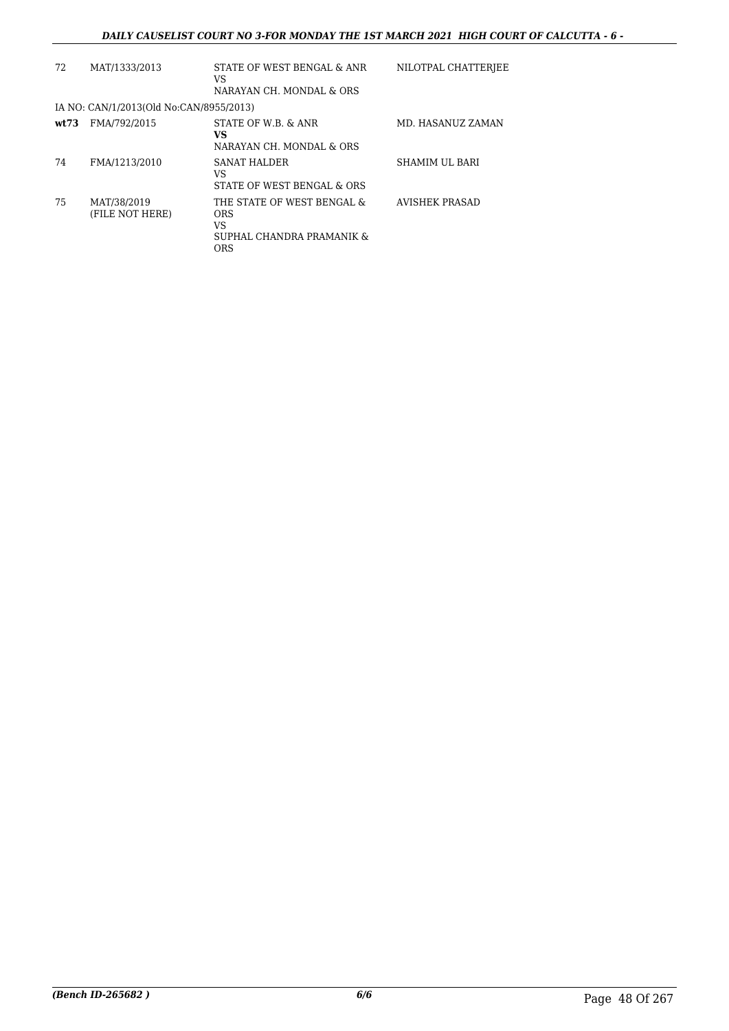| 72    | MAT/1333/2013                           | STATE OF WEST BENGAL & ANR<br>VS<br>NARAYAN CH. MONDAL & ORS                              | NILOTPAL CHATTERJEE   |
|-------|-----------------------------------------|-------------------------------------------------------------------------------------------|-----------------------|
|       | IA NO: CAN/1/2013(Old No:CAN/8955/2013) |                                                                                           |                       |
| wt:73 | FMA/792/2015                            | STATE OF W.B. & ANR<br><b>VS</b><br>NARAYAN CH. MONDAL & ORS                              | MD. HASANUZ ZAMAN     |
| 74    | FMA/1213/2010                           | SANAT HALDER<br>VS<br>STATE OF WEST BENGAL & ORS                                          | <b>SHAMIM UL BARI</b> |
| 75    | MAT/38/2019<br>(FILE NOT HERE)          | THE STATE OF WEST BENGAL &<br><b>ORS</b><br>VS<br>SUPHAL CHANDRA PRAMANIK &<br><b>ORS</b> | AVISHEK PRASAD        |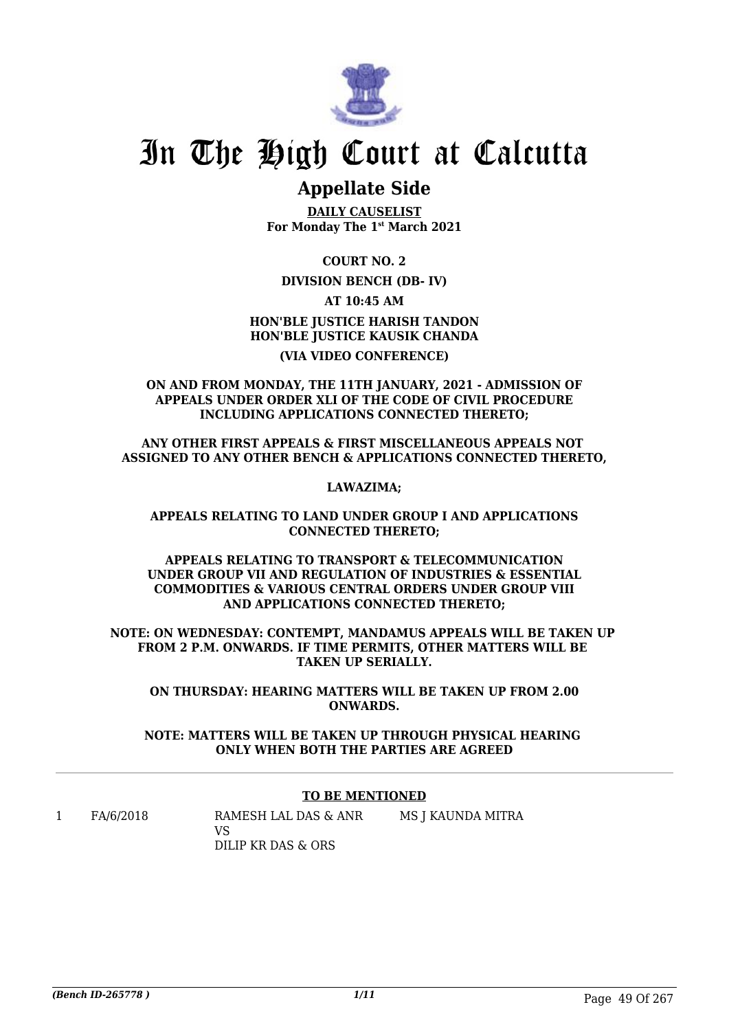

# **Appellate Side**

**DAILY CAUSELIST For Monday The 1st March 2021**

**COURT NO. 2**

## **DIVISION BENCH (DB- IV)**

**AT 10:45 AM**

**HON'BLE JUSTICE HARISH TANDON HON'BLE JUSTICE KAUSIK CHANDA (VIA VIDEO CONFERENCE)**

**ON AND FROM MONDAY, THE 11TH JANUARY, 2021 - ADMISSION OF APPEALS UNDER ORDER XLI OF THE CODE OF CIVIL PROCEDURE INCLUDING APPLICATIONS CONNECTED THERETO;**

**ANY OTHER FIRST APPEALS & FIRST MISCELLANEOUS APPEALS NOT ASSIGNED TO ANY OTHER BENCH & APPLICATIONS CONNECTED THERETO,**

**LAWAZIMA;**

**APPEALS RELATING TO LAND UNDER GROUP I AND APPLICATIONS CONNECTED THERETO;**

**APPEALS RELATING TO TRANSPORT & TELECOMMUNICATION UNDER GROUP VII AND REGULATION OF INDUSTRIES & ESSENTIAL COMMODITIES & VARIOUS CENTRAL ORDERS UNDER GROUP VIII AND APPLICATIONS CONNECTED THERETO;**

**NOTE: ON WEDNESDAY: CONTEMPT, MANDAMUS APPEALS WILL BE TAKEN UP FROM 2 P.M. ONWARDS. IF TIME PERMITS, OTHER MATTERS WILL BE TAKEN UP SERIALIY.** 

**ON THURSDAY: HEARING MATTERS WILL BE TAKEN UP FROM 2.00 ONWARDS.**

**NOTE: MATTERS WILL BE TAKEN UP THROUGH PHYSICAL HEARING ONLY WHEN BOTH THE PARTIES ARE AGREED**

### **TO BE MENTIONED**

MS J KAUNDA MITRA

1 FA/6/2018 RAMESH LAL DAS & ANR VS DILIP KR DAS & ORS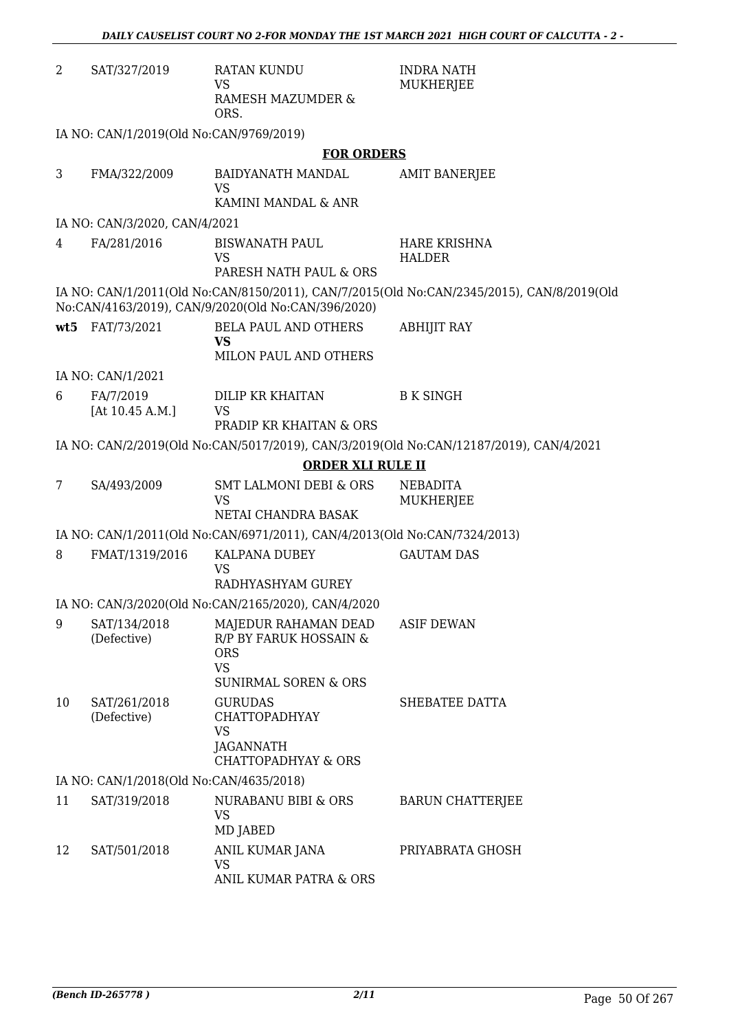| 2              | SAT/327/2019                            | RATAN KUNDU<br><b>VS</b><br>RAMESH MAZUMDER &<br>ORS.                                              | <b>INDRA NATH</b><br>MUKHERJEE                                                            |
|----------------|-----------------------------------------|----------------------------------------------------------------------------------------------------|-------------------------------------------------------------------------------------------|
|                | IA NO: CAN/1/2019(Old No:CAN/9769/2019) |                                                                                                    |                                                                                           |
|                |                                         | <b>FOR ORDERS</b>                                                                                  |                                                                                           |
| 3              | FMA/322/2009                            | BAIDYANATH MANDAL                                                                                  | <b>AMIT BANERJEE</b>                                                                      |
|                |                                         | <b>VS</b><br>KAMINI MANDAL & ANR                                                                   |                                                                                           |
|                | IA NO: CAN/3/2020, CAN/4/2021           |                                                                                                    |                                                                                           |
| $\overline{4}$ | FA/281/2016                             | <b>BISWANATH PAUL</b>                                                                              | <b>HARE KRISHNA</b>                                                                       |
|                |                                         | <b>VS</b><br>PARESH NATH PAUL & ORS                                                                | <b>HALDER</b>                                                                             |
|                |                                         | No:CAN/4163/2019), CAN/9/2020(Old No:CAN/396/2020)                                                 | IA NO: CAN/1/2011(Old No:CAN/8150/2011), CAN/7/2015(Old No:CAN/2345/2015), CAN/8/2019(Old |
| wt5            | FAT/73/2021                             | <b>BELA PAUL AND OTHERS</b><br><b>VS</b>                                                           | <b>ABHIJIT RAY</b>                                                                        |
|                |                                         | MILON PAUL AND OTHERS                                                                              |                                                                                           |
|                | IA NO: CAN/1/2021                       |                                                                                                    |                                                                                           |
| 6              | FA/7/2019<br>[At $10.45$ A.M.]          | DILIP KR KHAITAN<br><b>VS</b><br>PRADIP KR KHAITAN & ORS                                           | <b>B K SINGH</b>                                                                          |
|                |                                         |                                                                                                    | IA NO: CAN/2/2019(Old No:CAN/5017/2019), CAN/3/2019(Old No:CAN/12187/2019), CAN/4/2021    |
|                |                                         | <b>ORDER XLI RULE II</b>                                                                           |                                                                                           |
| 7              | SA/493/2009                             | <b>SMT LALMONI DEBI &amp; ORS</b>                                                                  | <b>NEBADITA</b>                                                                           |
|                |                                         | <b>VS</b><br>NETAI CHANDRA BASAK                                                                   | MUKHERJEE                                                                                 |
|                |                                         | IA NO: CAN/1/2011(Old No:CAN/6971/2011), CAN/4/2013(Old No:CAN/7324/2013)                          |                                                                                           |
| 8              | FMAT/1319/2016                          | KALPANA DUBEY<br><b>VS</b><br>RADHYASHYAM GUREY                                                    | <b>GAUTAM DAS</b>                                                                         |
|                |                                         | IA NO: CAN/3/2020(Old No:CAN/2165/2020), CAN/4/2020                                                |                                                                                           |
| 9              | SAT/134/2018<br>(Defective)             | MAJEDUR RAHAMAN DEAD<br>R/P BY FARUK HOSSAIN &<br><b>ORS</b><br><b>VS</b><br>SUNIRMAL SOREN & ORS  | <b>ASIF DEWAN</b>                                                                         |
| 10             | SAT/261/2018<br>(Defective)             | <b>GURUDAS</b><br><b>CHATTOPADHYAY</b><br><b>VS</b><br>JAGANNATH<br><b>CHATTOPADHYAY &amp; ORS</b> | SHEBATEE DATTA                                                                            |
|                | IA NO: CAN/1/2018(Old No:CAN/4635/2018) |                                                                                                    |                                                                                           |
| 11             | SAT/319/2018                            | NURABANU BIBI & ORS<br><b>VS</b><br>MD JABED                                                       | <b>BARUN CHATTERJEE</b>                                                                   |
| 12             | SAT/501/2018                            | ANIL KUMAR JANA<br><b>VS</b>                                                                       | PRIYABRATA GHOSH                                                                          |

ANIL KUMAR PATRA & ORS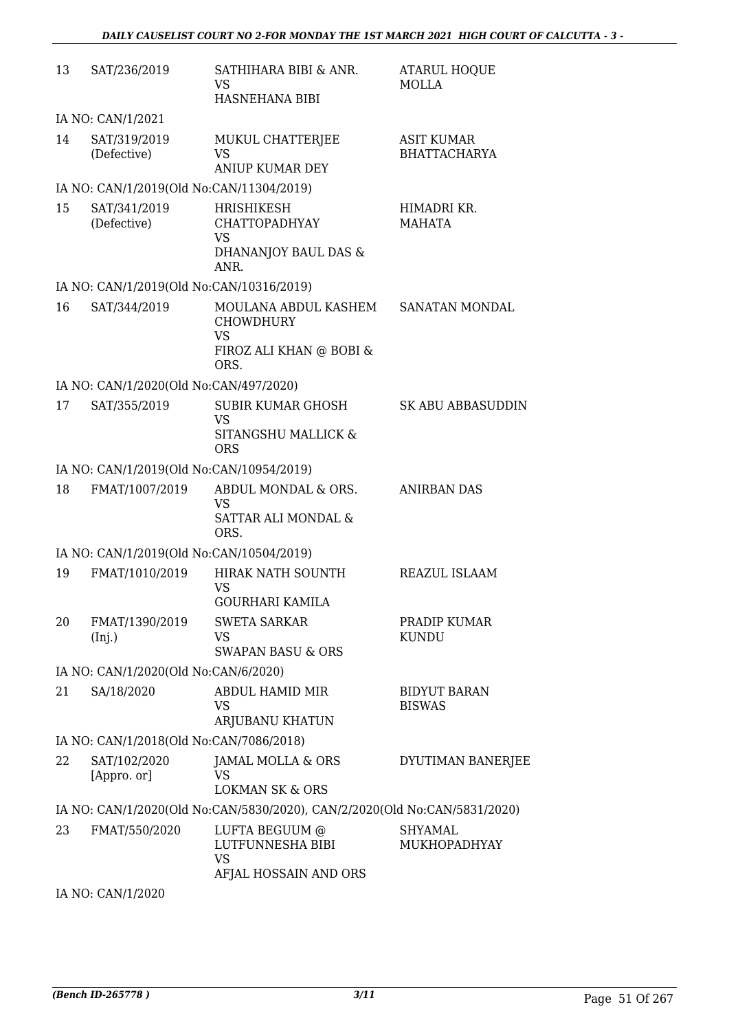| 13 | SAT/236/2019                             | SATHIHARA BIBI & ANR.<br><b>VS</b><br>HASNEHANA BIBI                                   | <b>ATARUL HOQUE</b><br><b>MOLLA</b>      |
|----|------------------------------------------|----------------------------------------------------------------------------------------|------------------------------------------|
|    | IA NO: CAN/1/2021                        |                                                                                        |                                          |
| 14 | SAT/319/2019<br>(Defective)              | MUKUL CHATTERJEE<br><b>VS</b><br><b>ANIUP KUMAR DEY</b>                                | <b>ASIT KUMAR</b><br><b>BHATTACHARYA</b> |
|    | IA NO: CAN/1/2019(Old No:CAN/11304/2019) |                                                                                        |                                          |
| 15 | SAT/341/2019<br>(Defective)              | <b>HRISHIKESH</b><br><b>CHATTOPADHYAY</b><br><b>VS</b><br>DHANANJOY BAUL DAS &<br>ANR. | HIMADRI KR.<br><b>MAHATA</b>             |
|    | IA NO: CAN/1/2019(Old No:CAN/10316/2019) |                                                                                        |                                          |
| 16 | SAT/344/2019                             | MOULANA ABDUL KASHEM<br><b>CHOWDHURY</b><br><b>VS</b><br>FIROZ ALI KHAN @ BOBI &       | SANATAN MONDAL                           |
|    |                                          | ORS.                                                                                   |                                          |
|    | IA NO: CAN/1/2020(Old No:CAN/497/2020)   |                                                                                        |                                          |
| 17 | SAT/355/2019                             | <b>SUBIR KUMAR GHOSH</b><br>VS.<br>SITANGSHU MALLICK &<br><b>ORS</b>                   | SK ABU ABBASUDDIN                        |
|    | IA NO: CAN/1/2019(Old No:CAN/10954/2019) |                                                                                        |                                          |
| 18 | FMAT/1007/2019                           | ABDUL MONDAL & ORS.<br><b>VS</b><br>SATTAR ALI MONDAL &<br>ORS.                        | <b>ANIRBAN DAS</b>                       |
|    | IA NO: CAN/1/2019(Old No:CAN/10504/2019) |                                                                                        |                                          |
| 19 | FMAT/1010/2019                           | HIRAK NATH SOUNTH<br><b>VS</b><br><b>GOURHARI KAMILA</b>                               | REAZUL ISLAAM                            |
| 20 | FMAT/1390/2019<br>(Inj.)                 | <b>SWETA SARKAR</b><br><b>VS</b><br><b>SWAPAN BASU &amp; ORS</b>                       | PRADIP KUMAR<br><b>KUNDU</b>             |
|    | IA NO: CAN/1/2020(Old No:CAN/6/2020)     |                                                                                        |                                          |
| 21 | SA/18/2020                               | ABDUL HAMID MIR<br><b>VS</b><br>ARJUBANU KHATUN                                        | <b>BIDYUT BARAN</b><br><b>BISWAS</b>     |
|    | IA NO: CAN/1/2018(Old No:CAN/7086/2018)  |                                                                                        |                                          |
| 22 | SAT/102/2020<br>[Appro. or]              | JAMAL MOLLA & ORS<br><b>VS</b><br><b>LOKMAN SK &amp; ORS</b>                           | DYUTIMAN BANERJEE                        |
|    |                                          | IA NO: CAN/1/2020(Old No:CAN/5830/2020), CAN/2/2020(Old No:CAN/5831/2020)              |                                          |
| 23 | FMAT/550/2020                            | LUFTA BEGUUM @<br>LUTFUNNESHA BIBI<br><b>VS</b><br>AFJAL HOSSAIN AND ORS               | <b>SHYAMAL</b><br>MUKHOPADHYAY           |
|    |                                          |                                                                                        |                                          |

IA NO: CAN/1/2020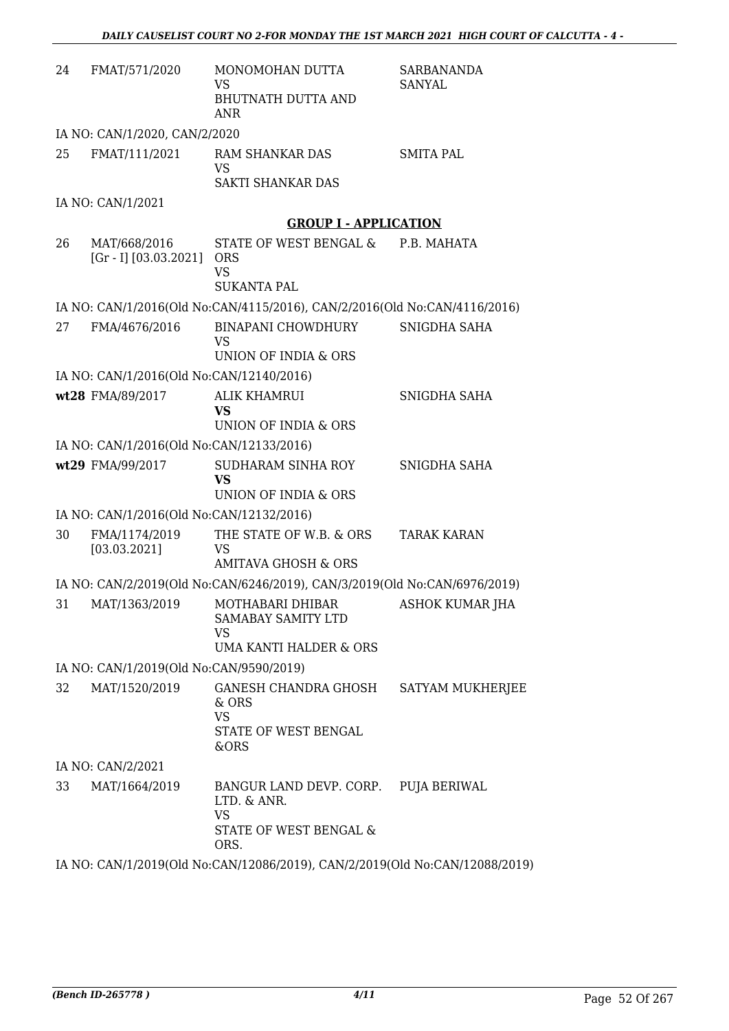| 24 | FMAT/571/2020                               | MONOMOHAN DUTTA<br>VS<br><b>BHUTNATH DUTTA AND</b><br>ANR                                | SARBANANDA<br><b>SANYAL</b> |
|----|---------------------------------------------|------------------------------------------------------------------------------------------|-----------------------------|
|    | IA NO: CAN/1/2020, CAN/2/2020               |                                                                                          |                             |
| 25 | FMAT/111/2021                               | RAM SHANKAR DAS<br><b>VS</b><br><b>SAKTI SHANKAR DAS</b>                                 | <b>SMITA PAL</b>            |
|    | IA NO: CAN/1/2021                           |                                                                                          |                             |
|    |                                             | <b>GROUP I - APPLICATION</b>                                                             |                             |
| 26 | MAT/668/2016<br>$[Gr - I] [03.03.2021]$ ORS | STATE OF WEST BENGAL &<br><b>VS</b><br><b>SUKANTA PAL</b>                                | P.B. MAHATA                 |
|    |                                             | IA NO: CAN/1/2016(Old No:CAN/4115/2016), CAN/2/2016(Old No:CAN/4116/2016)                |                             |
| 27 | FMA/4676/2016                               | <b>BINAPANI CHOWDHURY</b><br>VS<br>UNION OF INDIA & ORS                                  | SNIGDHA SAHA                |
|    | IA NO: CAN/1/2016(Old No:CAN/12140/2016)    |                                                                                          |                             |
|    | wt28 FMA/89/2017                            | <b>ALIK KHAMRUI</b><br><b>VS</b><br>UNION OF INDIA & ORS                                 | SNIGDHA SAHA                |
|    | IA NO: CAN/1/2016(Old No:CAN/12133/2016)    |                                                                                          |                             |
|    | wt29 FMA/99/2017                            | SUDHARAM SINHA ROY<br><b>VS</b><br>UNION OF INDIA & ORS                                  | SNIGDHA SAHA                |
|    | IA NO: CAN/1/2016(Old No:CAN/12132/2016)    |                                                                                          |                             |
| 30 | FMA/1174/2019<br>[03.03.2021]               | THE STATE OF W.B. & ORS<br><b>VS</b><br><b>AMITAVA GHOSH &amp; ORS</b>                   | <b>TARAK KARAN</b>          |
|    |                                             | IA NO: CAN/2/2019(Old No:CAN/6246/2019), CAN/3/2019(Old No:CAN/6976/2019)                |                             |
| 31 | MAT/1363/2019                               | MOTHABARI DHIBAR<br><b>SAMABAY SAMITY LTD</b><br>VS<br><b>UMA KANTI HALDER &amp; ORS</b> | ASHOK KUMAR JHA             |
|    | IA NO: CAN/1/2019(Old No:CAN/9590/2019)     |                                                                                          |                             |
| 32 | MAT/1520/2019                               | GANESH CHANDRA GHOSH<br>& ORS<br><b>VS</b><br>STATE OF WEST BENGAL<br>&ORS               | SATYAM MUKHERJEE            |
|    | IA NO: CAN/2/2021                           |                                                                                          |                             |
| 33 | MAT/1664/2019                               | BANGUR LAND DEVP. CORP.<br>LTD. & ANR.<br><b>VS</b><br>STATE OF WEST BENGAL &<br>ORS.    | <b>PUJA BERIWAL</b>         |
|    |                                             | IA NO: CAN/1/2019(Old No:CAN/12086/2019), CAN/2/2019(Old No:CAN/12088/2019)              |                             |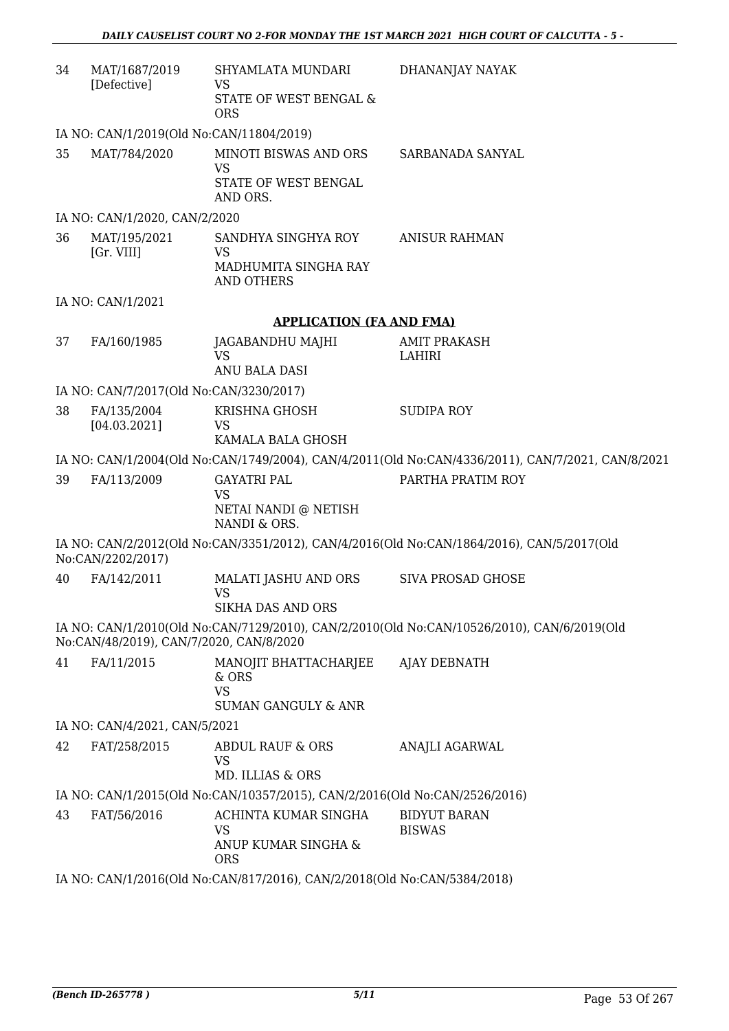| 34 | MAT/1687/2019<br>[Defective]                                             | SHYAMLATA MUNDARI<br><b>VS</b><br>STATE OF WEST BENGAL &<br><b>ORS</b>        | DHANANJAY NAYAK                                                                                   |  |
|----|--------------------------------------------------------------------------|-------------------------------------------------------------------------------|---------------------------------------------------------------------------------------------------|--|
|    | IA NO: CAN/1/2019(Old No:CAN/11804/2019)                                 |                                                                               |                                                                                                   |  |
| 35 | MAT/784/2020                                                             | MINOTI BISWAS AND ORS<br><b>VS</b><br>STATE OF WEST BENGAL<br>AND ORS.        | SARBANADA SANYAL                                                                                  |  |
|    | IA NO: CAN/1/2020, CAN/2/2020                                            |                                                                               |                                                                                                   |  |
| 36 | MAT/195/2021<br>[Gr. VIII]                                               | SANDHYA SINGHYA ROY<br><b>VS</b><br>MADHUMITA SINGHA RAY<br><b>AND OTHERS</b> | <b>ANISUR RAHMAN</b>                                                                              |  |
|    | IA NO: CAN/1/2021                                                        |                                                                               |                                                                                                   |  |
|    |                                                                          | <b>APPLICATION (FA AND FMA)</b>                                               |                                                                                                   |  |
| 37 | FA/160/1985                                                              | JAGABANDHU MAJHI<br><b>VS</b><br>ANU BALA DASI                                | <b>AMIT PRAKASH</b><br>LAHIRI                                                                     |  |
|    | IA NO: CAN/7/2017(Old No:CAN/3230/2017)                                  |                                                                               |                                                                                                   |  |
| 38 | FA/135/2004<br>[04.03.2021]                                              | KRISHNA GHOSH<br><b>VS</b><br>KAMALA BALA GHOSH                               | <b>SUDIPA ROY</b>                                                                                 |  |
|    |                                                                          |                                                                               | IA NO: CAN/1/2004(Old No:CAN/1749/2004), CAN/4/2011(Old No:CAN/4336/2011), CAN/7/2021, CAN/8/2021 |  |
| 39 | FA/113/2009                                                              | <b>GAYATRI PAL</b><br><b>VS</b><br>NETAI NANDI @ NETISH<br>NANDI & ORS.       | PARTHA PRATIM ROY                                                                                 |  |
|    | No:CAN/2202/2017)                                                        |                                                                               | IA NO: CAN/2/2012(Old No:CAN/3351/2012), CAN/4/2016(Old No:CAN/1864/2016), CAN/5/2017(Old         |  |
| 40 | FA/142/2011                                                              | MALATI JASHU AND ORS<br><b>VS</b><br>SIKHA DAS AND ORS                        | <b>SIVA PROSAD GHOSE</b>                                                                          |  |
|    | No:CAN/48/2019), CAN/7/2020, CAN/8/2020                                  |                                                                               | IA NO: CAN/1/2010(Old No:CAN/7129/2010), CAN/2/2010(Old No:CAN/10526/2010), CAN/6/2019(Old        |  |
| 41 | FA/11/2015                                                               | MANOJIT BHATTACHARJEE<br>& ORS<br><b>VS</b><br><b>SUMAN GANGULY &amp; ANR</b> | AJAY DEBNATH                                                                                      |  |
|    | IA NO: CAN/4/2021, CAN/5/2021                                            |                                                                               |                                                                                                   |  |
| 42 | FAT/258/2015                                                             | ABDUL RAUF & ORS<br><b>VS</b><br>MD. ILLIAS & ORS                             | <b>ANAJLI AGARWAL</b>                                                                             |  |
|    |                                                                          | IA NO: CAN/1/2015(Old No:CAN/10357/2015), CAN/2/2016(Old No:CAN/2526/2016)    |                                                                                                   |  |
| 43 | FAT/56/2016                                                              | ACHINTA KUMAR SINGHA<br><b>VS</b><br>ANUP KUMAR SINGHA &<br><b>ORS</b>        | <b>BIDYUT BARAN</b><br><b>BISWAS</b>                                                              |  |
|    | IA NO: CAN/1/2016(Old No:CAN/817/2016), CAN/2/2018(Old No:CAN/5384/2018) |                                                                               |                                                                                                   |  |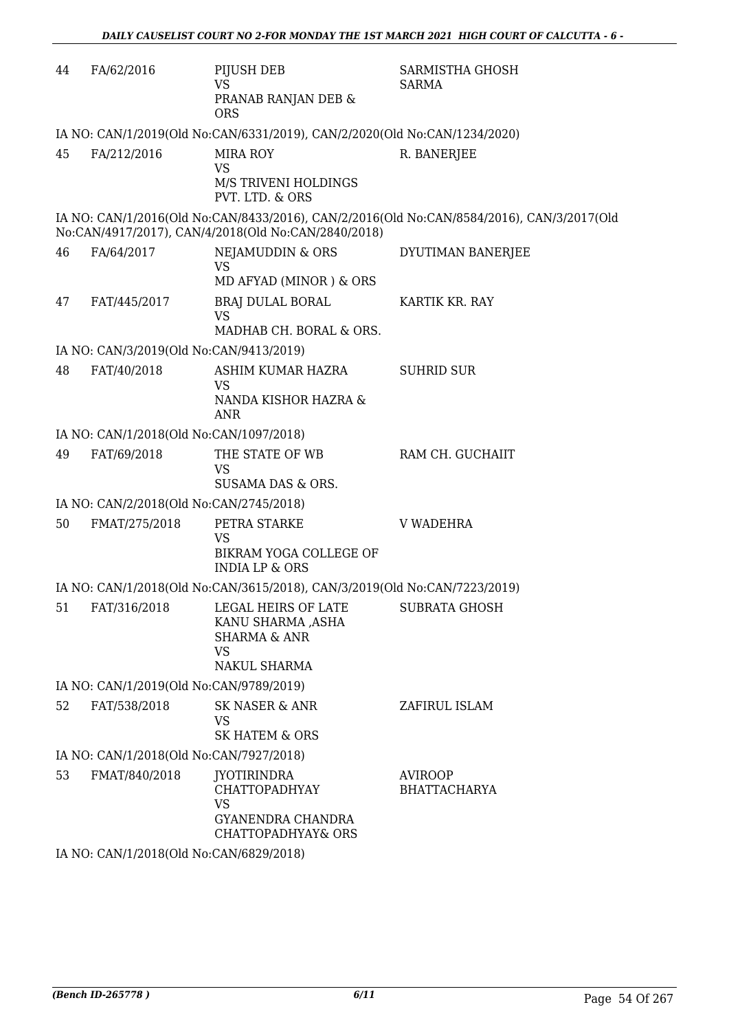| 44 | FA/62/2016                              | PIJUSH DEB<br><b>VS</b><br>PRANAB RANJAN DEB &<br><b>ORS</b>                                                                   | SARMISTHA GHOSH<br><b>SARMA</b>                                                           |
|----|-----------------------------------------|--------------------------------------------------------------------------------------------------------------------------------|-------------------------------------------------------------------------------------------|
|    |                                         | IA NO: CAN/1/2019(Old No:CAN/6331/2019), CAN/2/2020(Old No:CAN/1234/2020)                                                      |                                                                                           |
| 45 | FA/212/2016                             | <b>MIRA ROY</b><br><b>VS</b><br>M/S TRIVENI HOLDINGS                                                                           | R. BANERJEE                                                                               |
|    |                                         | PVT. LTD. & ORS                                                                                                                |                                                                                           |
|    |                                         | No:CAN/4917/2017), CAN/4/2018(Old No:CAN/2840/2018)                                                                            | IA NO: CAN/1/2016(Old No:CAN/8433/2016), CAN/2/2016(Old No:CAN/8584/2016), CAN/3/2017(Old |
| 46 | FA/64/2017                              | NEJAMUDDIN & ORS<br><b>VS</b>                                                                                                  | DYUTIMAN BANERJEE                                                                         |
|    |                                         | MD AFYAD (MINOR) & ORS                                                                                                         |                                                                                           |
| 47 | FAT/445/2017                            | BRAJ DULAL BORAL<br><b>VS</b><br>MADHAB CH. BORAL & ORS.                                                                       | KARTIK KR. RAY                                                                            |
|    |                                         |                                                                                                                                |                                                                                           |
| 48 | IA NO: CAN/3/2019(Old No:CAN/9413/2019) | ASHIM KUMAR HAZRA                                                                                                              | <b>SUHRID SUR</b>                                                                         |
|    | FAT/40/2018                             | <b>VS</b>                                                                                                                      |                                                                                           |
|    |                                         | NANDA KISHOR HAZRA &<br><b>ANR</b>                                                                                             |                                                                                           |
|    | IA NO: CAN/1/2018(Old No:CAN/1097/2018) |                                                                                                                                |                                                                                           |
| 49 | FAT/69/2018                             | THE STATE OF WB<br><b>VS</b>                                                                                                   | RAM CH. GUCHAIIT                                                                          |
|    |                                         | <b>SUSAMA DAS &amp; ORS.</b>                                                                                                   |                                                                                           |
|    | IA NO: CAN/2/2018(Old No:CAN/2745/2018) |                                                                                                                                |                                                                                           |
| 50 | FMAT/275/2018                           | PETRA STARKE<br><b>VS</b><br>BIKRAM YOGA COLLEGE OF<br><b>INDIA LP &amp; ORS</b>                                               | <b>V WADEHRA</b>                                                                          |
|    |                                         | IA NO: CAN/1/2018(Old No:CAN/3615/2018), CAN/3/2019(Old No:CAN/7223/2019)                                                      |                                                                                           |
|    |                                         | 51 FAT/316/2018 LEGAL HEIRS OF LATE SUBRATA GHOSH<br>KANU SHARMA ,ASHA<br><b>SHARMA &amp; ANR</b><br><b>VS</b><br>NAKUL SHARMA |                                                                                           |
|    | IA NO: CAN/1/2019(Old No:CAN/9789/2019) |                                                                                                                                |                                                                                           |
| 52 | FAT/538/2018                            | <b>SK NASER &amp; ANR</b><br>VS<br><b>SK HATEM &amp; ORS</b>                                                                   | ZAFIRUL ISLAM                                                                             |
|    | IA NO: CAN/1/2018(Old No:CAN/7927/2018) |                                                                                                                                |                                                                                           |
| 53 | FMAT/840/2018                           | JYOTIRINDRA<br><b>CHATTOPADHYAY</b><br><b>VS</b><br>GYANENDRA CHANDRA                                                          | <b>AVIROOP</b><br><b>BHATTACHARYA</b>                                                     |
|    |                                         | CHATTOPADHYAY& ORS                                                                                                             |                                                                                           |

IA NO: CAN/1/2018(Old No:CAN/6829/2018)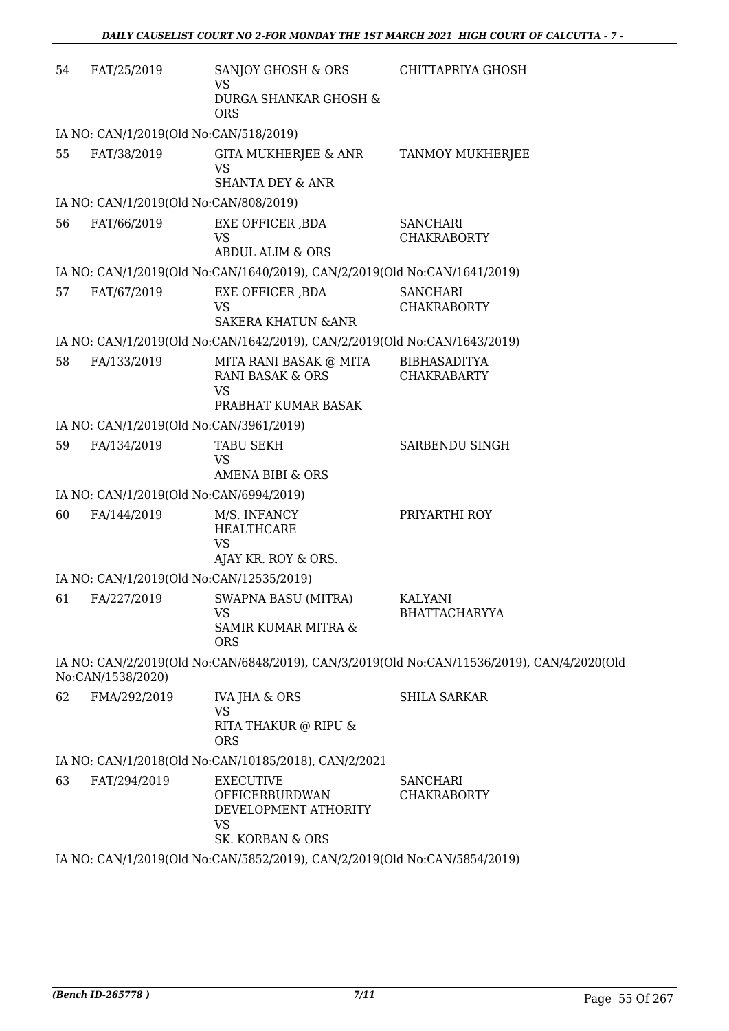| 54 | FAT/25/2019                              | SANJOY GHOSH & ORS<br><b>VS</b>                                           | CHITTAPRIYA GHOSH                                                                          |
|----|------------------------------------------|---------------------------------------------------------------------------|--------------------------------------------------------------------------------------------|
|    |                                          | DURGA SHANKAR GHOSH &<br><b>ORS</b>                                       |                                                                                            |
|    | IA NO: CAN/1/2019(Old No:CAN/518/2019)   |                                                                           |                                                                                            |
| 55 | FAT/38/2019                              | GITA MUKHERJEE & ANR<br>VS                                                | TANMOY MUKHERJEE                                                                           |
|    |                                          | <b>SHANTA DEY &amp; ANR</b>                                               |                                                                                            |
|    | IA NO: CAN/1/2019(Old No:CAN/808/2019)   |                                                                           |                                                                                            |
| 56 | FAT/66/2019                              | EXE OFFICER, BDA<br><b>VS</b><br><b>ABDUL ALIM &amp; ORS</b>              | <b>SANCHARI</b><br><b>CHAKRABORTY</b>                                                      |
|    |                                          | IA NO: CAN/1/2019(Old No:CAN/1640/2019), CAN/2/2019(Old No:CAN/1641/2019) |                                                                                            |
| 57 | FAT/67/2019                              | EXE OFFICER , BDA                                                         | <b>SANCHARI</b>                                                                            |
|    |                                          | <b>VS</b>                                                                 | <b>CHAKRABORTY</b>                                                                         |
|    |                                          | <b>SAKERA KHATUN &amp; ANR</b>                                            |                                                                                            |
|    |                                          | IA NO: CAN/1/2019(Old No:CAN/1642/2019), CAN/2/2019(Old No:CAN/1643/2019) |                                                                                            |
| 58 | FA/133/2019                              | MITA RANI BASAK @ MITA<br><b>RANI BASAK &amp; ORS</b><br><b>VS</b>        | <b>BIBHASADITYA</b><br><b>CHAKRABARTY</b>                                                  |
|    |                                          | PRABHAT KUMAR BASAK                                                       |                                                                                            |
|    | IA NO: CAN/1/2019(Old No:CAN/3961/2019)  |                                                                           |                                                                                            |
| 59 | FA/134/2019                              | <b>TABU SEKH</b><br><b>VS</b><br><b>AMENA BIBI &amp; ORS</b>              | SARBENDU SINGH                                                                             |
|    | IA NO: CAN/1/2019(Old No:CAN/6994/2019)  |                                                                           |                                                                                            |
| 60 | FA/144/2019                              | M/S. INFANCY                                                              | PRIYARTHI ROY                                                                              |
|    |                                          | <b>HEALTHCARE</b><br><b>VS</b>                                            |                                                                                            |
|    |                                          | AJAY KR. ROY & ORS.                                                       |                                                                                            |
|    | IA NO: CAN/1/2019(Old No:CAN/12535/2019) |                                                                           |                                                                                            |
| 61 | FA/227/2019                              | SWAPNA BASU (MITRA)<br><b>VS</b>                                          | KALYANI<br><b>BHATTACHARYYA</b>                                                            |
|    |                                          | SAMIR KUMAR MITRA &<br><b>ORS</b>                                         |                                                                                            |
|    | No:CAN/1538/2020)                        |                                                                           | IA NO: CAN/2/2019(Old No:CAN/6848/2019), CAN/3/2019(Old No:CAN/11536/2019), CAN/4/2020(Old |
| 62 | FMA/292/2019                             | <b>IVA JHA &amp; ORS</b>                                                  | <b>SHILA SARKAR</b>                                                                        |
|    |                                          | <b>VS</b><br>RITA THAKUR @ RIPU &<br><b>ORS</b>                           |                                                                                            |
|    |                                          | IA NO: CAN/1/2018(Old No:CAN/10185/2018), CAN/2/2021                      |                                                                                            |
| 63 | FAT/294/2019                             | <b>EXECUTIVE</b><br>OFFICERBURDWAN<br>DEVELOPMENT ATHORITY                | <b>SANCHARI</b><br><b>CHAKRABORTY</b>                                                      |
|    |                                          | <b>VS</b><br>SK. KORBAN & ORS                                             |                                                                                            |
|    |                                          | IA NO: CAN/1/2019(Old No:CAN/5852/2019), CAN/2/2019(Old No:CAN/5854/2019) |                                                                                            |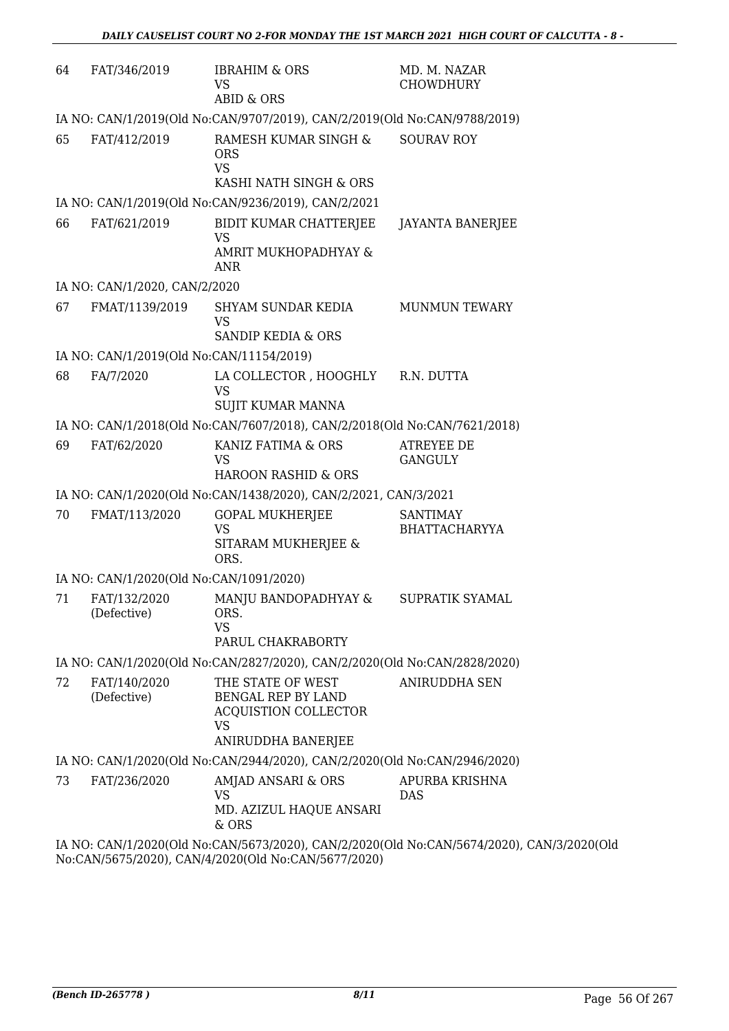| 64 | FAT/346/2019                             | <b>IBRAHIM &amp; ORS</b><br><b>VS</b><br><b>ABID &amp; ORS</b>                                            | MD. M. NAZAR<br><b>CHOWDHURY</b>        |
|----|------------------------------------------|-----------------------------------------------------------------------------------------------------------|-----------------------------------------|
|    |                                          | IA NO: CAN/1/2019(Old No:CAN/9707/2019), CAN/2/2019(Old No:CAN/9788/2019)                                 |                                         |
| 65 | FAT/412/2019                             | RAMESH KUMAR SINGH &<br><b>ORS</b><br><b>VS</b><br>KASHI NATH SINGH & ORS                                 | <b>SOURAV ROY</b>                       |
|    |                                          | IA NO: CAN/1/2019(Old No:CAN/9236/2019), CAN/2/2021                                                       |                                         |
| 66 | FAT/621/2019                             | BIDIT KUMAR CHATTERJEE<br>VS<br>AMRIT MUKHOPADHYAY &<br>ANR                                               | <b>JAYANTA BANERJEE</b>                 |
|    | IA NO: CAN/1/2020, CAN/2/2020            |                                                                                                           |                                         |
| 67 | FMAT/1139/2019                           | SHYAM SUNDAR KEDIA<br><b>VS</b>                                                                           | <b>MUNMUN TEWARY</b>                    |
|    | IA NO: CAN/1/2019(Old No:CAN/11154/2019) | <b>SANDIP KEDIA &amp; ORS</b>                                                                             |                                         |
| 68 | FA/7/2020                                | LA COLLECTOR , HOOGHLY<br><b>VS</b><br>SUJIT KUMAR MANNA                                                  | R.N. DUTTA                              |
|    |                                          | IA NO: CAN/1/2018(Old No:CAN/7607/2018), CAN/2/2018(Old No:CAN/7621/2018)                                 |                                         |
| 69 | FAT/62/2020                              | KANIZ FATIMA & ORS<br>VS<br>HAROON RASHID & ORS                                                           | <b>ATREYEE DE</b><br><b>GANGULY</b>     |
|    |                                          | IA NO: CAN/1/2020(Old No:CAN/1438/2020), CAN/2/2021, CAN/3/2021                                           |                                         |
| 70 | FMAT/113/2020                            | <b>GOPAL MUKHERJEE</b><br><b>VS</b><br>SITARAM MUKHERJEE &<br>ORS.                                        | <b>SANTIMAY</b><br><b>BHATTACHARYYA</b> |
|    | IA NO: CAN/1/2020(Old No:CAN/1091/2020)  |                                                                                                           |                                         |
| 71 | FAT/132/2020<br>(Defective)              | MANJU BANDOPADHYAY &<br>ORS.<br>VS<br>PARUL CHAKRABORTY                                                   | SUPRATIK SYAMAL                         |
|    |                                          | IA NO: CAN/1/2020(Old No:CAN/2827/2020), CAN/2/2020(Old No:CAN/2828/2020)                                 |                                         |
| 72 | FAT/140/2020<br>(Defective)              | THE STATE OF WEST<br><b>BENGAL REP BY LAND</b><br><b>ACQUISTION COLLECTOR</b><br>VS<br>ANIRUDDHA BANERJEE | ANIRUDDHA SEN                           |
|    |                                          | IA NO: CAN/1/2020(Old No:CAN/2944/2020), CAN/2/2020(Old No:CAN/2946/2020)                                 |                                         |
| 73 | FAT/236/2020                             | AMJAD ANSARI & ORS<br>VS<br>MD. AZIZUL HAQUE ANSARI<br>& ORS                                              | APURBA KRISHNA<br><b>DAS</b>            |
|    |                                          | $CANU1/2000/011N_2CANUECT2/2000)$ $CANU2/2000/011N_2CANUECT1/2020)$ $CAI$                                 |                                         |

IA NO: CAN/1/2020(Old No:CAN/5673/2020), CAN/2/2020(Old No:CAN/5674/2020), CAN/3/2020(Old No:CAN/5675/2020), CAN/4/2020(Old No:CAN/5677/2020)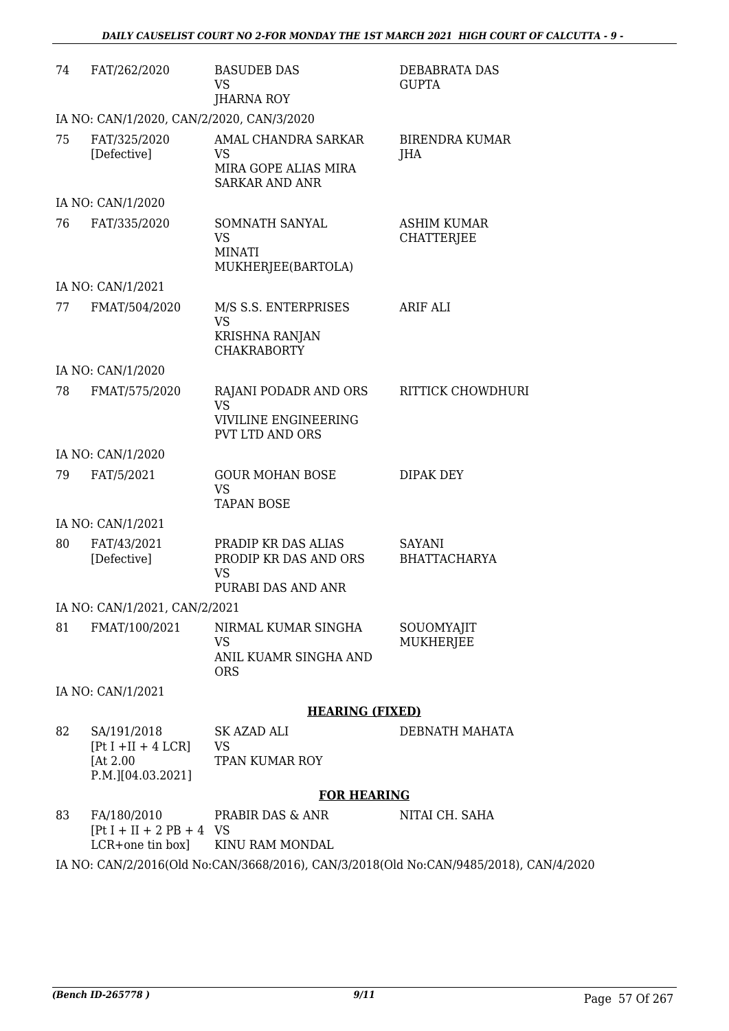| 74 | FAT/262/2020                                                          | <b>BASUDEB DAS</b><br><b>VS</b><br>JHARNA ROY                                               | DEBABRATA DAS<br><b>GUPTA</b>                                                         |
|----|-----------------------------------------------------------------------|---------------------------------------------------------------------------------------------|---------------------------------------------------------------------------------------|
|    | IA NO: CAN/1/2020, CAN/2/2020, CAN/3/2020                             |                                                                                             |                                                                                       |
| 75 | FAT/325/2020<br>[Defective]                                           | AMAL CHANDRA SARKAR<br><b>VS</b><br>MIRA GOPE ALIAS MIRA<br><b>SARKAR AND ANR</b>           | <b>BIRENDRA KUMAR</b><br><b>JHA</b>                                                   |
|    | IA NO: CAN/1/2020                                                     |                                                                                             |                                                                                       |
| 76 | FAT/335/2020                                                          | SOMNATH SANYAL<br><b>VS</b><br><b>MINATI</b><br>MUKHERJEE(BARTOLA)                          | <b>ASHIM KUMAR</b><br><b>CHATTERJEE</b>                                               |
|    | IA NO: CAN/1/2021                                                     |                                                                                             |                                                                                       |
| 77 | FMAT/504/2020                                                         | M/S S.S. ENTERPRISES<br><b>VS</b><br>KRISHNA RANJAN<br><b>CHAKRABORTY</b>                   | <b>ARIF ALI</b>                                                                       |
|    | IA NO: CAN/1/2020                                                     |                                                                                             |                                                                                       |
| 78 | FMAT/575/2020                                                         | RAJANI PODADR AND ORS<br><b>VS</b><br><b>VIVILINE ENGINEERING</b><br><b>PVT LTD AND ORS</b> | RITTICK CHOWDHURI                                                                     |
|    | IA NO: CAN/1/2020                                                     |                                                                                             |                                                                                       |
| 79 | FAT/5/2021                                                            | <b>GOUR MOHAN BOSE</b><br><b>VS</b><br><b>TAPAN BOSE</b>                                    | DIPAK DEY                                                                             |
|    | IA NO: CAN/1/2021                                                     |                                                                                             |                                                                                       |
| 80 | FAT/43/2021<br>[Defective]                                            | PRADIP KR DAS ALIAS<br>PRODIP KR DAS AND ORS<br><b>VS</b><br>PURABI DAS AND ANR             | SAYANI<br><b>BHATTACHARYA</b>                                                         |
|    | IA NO: CAN/1/2021, CAN/2/2021                                         |                                                                                             |                                                                                       |
| 81 | FMAT/100/2021                                                         | NIRMAL KUMAR SINGHA<br><b>VS</b><br>ANIL KUAMR SINGHA AND<br><b>ORS</b>                     | SOUOMYAJIT<br><b>MUKHERJEE</b>                                                        |
|    | IA NO: CAN/1/2021                                                     |                                                                                             |                                                                                       |
|    |                                                                       | <b>HEARING (FIXED)</b>                                                                      |                                                                                       |
| 82 | SA/191/2018<br>$[Pt I + II + 4 LCR]$<br>[At 2.00<br>P.M.][04.03.2021] | SK AZAD ALI<br><b>VS</b><br><b>TPAN KUMAR ROY</b>                                           | DEBNATH MAHATA                                                                        |
|    |                                                                       | <b>FOR HEARING</b>                                                                          |                                                                                       |
| 83 | FA/180/2010<br>$[Pt I + II + 2 PB + 4 VS]$<br>LCR+one tin box]        | PRABIR DAS & ANR<br>KINU RAM MONDAL                                                         | NITAI CH. SAHA                                                                        |
|    |                                                                       |                                                                                             | IA NO: CAN/2/2016(Old No:CAN/3668/2016), CAN/3/2018(Old No:CAN/9485/2018), CAN/4/2020 |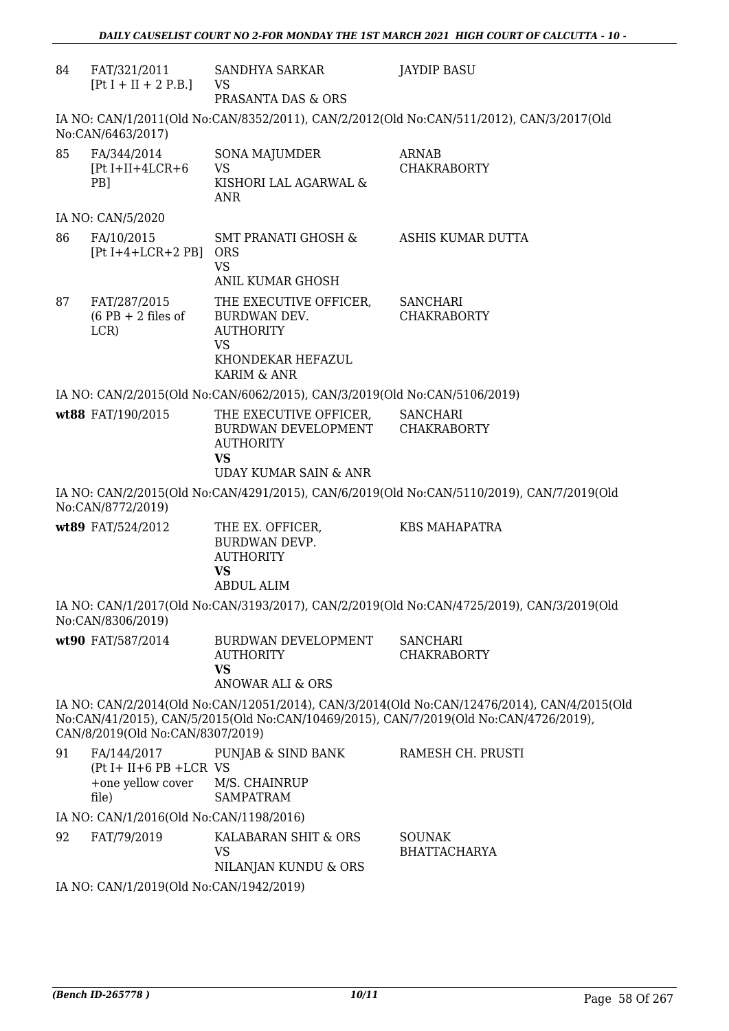| 84 | FAT/321/2011<br>$[Pt I + II + 2 P.B.]$                                     | SANDHYA SARKAR<br>VS<br>PRASANTA DAS & ORS                                                                                              | <b>JAYDIP BASU</b>                                                                                                                                                                   |  |
|----|----------------------------------------------------------------------------|-----------------------------------------------------------------------------------------------------------------------------------------|--------------------------------------------------------------------------------------------------------------------------------------------------------------------------------------|--|
|    | No:CAN/6463/2017)                                                          |                                                                                                                                         | IA NO: CAN/1/2011(Old No:CAN/8352/2011), CAN/2/2012(Old No:CAN/511/2012), CAN/3/2017(Old                                                                                             |  |
| 85 | FA/344/2014<br>$[Pt I+II+4LCR+6]$<br>PB <sub>1</sub>                       | SONA MAJUMDER<br><b>VS</b><br>KISHORI LAL AGARWAL &<br><b>ANR</b>                                                                       | <b>ARNAB</b><br><b>CHAKRABORTY</b>                                                                                                                                                   |  |
|    | IA NO: CAN/5/2020                                                          |                                                                                                                                         |                                                                                                                                                                                      |  |
| 86 | FA/10/2015<br>$[Pt I+4+LCR+2 PB]$                                          | <b>SMT PRANATI GHOSH &amp;</b><br><b>ORS</b><br><b>VS</b>                                                                               | ASHIS KUMAR DUTTA                                                                                                                                                                    |  |
| 87 | FAT/287/2015<br>$(6$ PB + 2 files of<br>LCR)                               | <b>ANIL KUMAR GHOSH</b><br>THE EXECUTIVE OFFICER,<br>BURDWAN DEV.<br><b>AUTHORITY</b><br><b>VS</b><br>KHONDEKAR HEFAZUL<br>KARIM & ANR  | <b>SANCHARI</b><br><b>CHAKRABORTY</b>                                                                                                                                                |  |
|    |                                                                            | IA NO: CAN/2/2015(Old No:CAN/6062/2015), CAN/3/2019(Old No:CAN/5106/2019)                                                               |                                                                                                                                                                                      |  |
|    | wt88 FAT/190/2015                                                          | THE EXECUTIVE OFFICER, SANCHARI<br>BURDWAN DEVELOPMENT CHAKRABORTY<br><b>AUTHORITY</b><br><b>VS</b><br><b>UDAY KUMAR SAIN &amp; ANR</b> |                                                                                                                                                                                      |  |
|    | No:CAN/8772/2019)                                                          |                                                                                                                                         | IA NO: CAN/2/2015(Old No:CAN/4291/2015), CAN/6/2019(Old No:CAN/5110/2019), CAN/7/2019(Old                                                                                            |  |
|    | wt89 FAT/524/2012                                                          | THE EX. OFFICER,<br>BURDWAN DEVP.<br><b>AUTHORITY</b><br><b>VS</b><br><b>ABDUL ALIM</b>                                                 | <b>KBS MAHAPATRA</b>                                                                                                                                                                 |  |
|    | No:CAN/8306/2019)                                                          |                                                                                                                                         | IA NO: CAN/1/2017(Old No:CAN/3193/2017), CAN/2/2019(Old No:CAN/4725/2019), CAN/3/2019(Old                                                                                            |  |
|    | wt90 FAT/587/2014                                                          | BURDWAN DEVELOPMENT<br><b>AUTHORITY</b><br><b>VS</b><br><b>ANOWAR ALI &amp; ORS</b>                                                     | <b>SANCHARI</b><br><b>CHAKRABORTY</b>                                                                                                                                                |  |
|    | CAN/8/2019(Old No:CAN/8307/2019)                                           |                                                                                                                                         | IA NO: CAN/2/2014(Old No:CAN/12051/2014), CAN/3/2014(Old No:CAN/12476/2014), CAN/4/2015(Old<br>No:CAN/41/2015), CAN/5/2015(Old No:CAN/10469/2015), CAN/7/2019(Old No:CAN/4726/2019), |  |
| 91 | FA/144/2017<br>$(Pt I + II + 6 PB + LCR VS)$<br>+one yellow cover<br>file) | PUNJAB & SIND BANK<br>M/S. CHAINRUP<br><b>SAMPATRAM</b>                                                                                 | RAMESH CH. PRUSTI                                                                                                                                                                    |  |
|    | IA NO: CAN/1/2016(Old No:CAN/1198/2016)                                    |                                                                                                                                         |                                                                                                                                                                                      |  |
| 92 | FAT/79/2019                                                                | KALABARAN SHIT & ORS<br><b>VS</b><br>NILANJAN KUNDU & ORS                                                                               | <b>SOUNAK</b><br><b>BHATTACHARYA</b>                                                                                                                                                 |  |
|    | IA NO: CAN/1/2019(Old No:CAN/1942/2019)                                    |                                                                                                                                         |                                                                                                                                                                                      |  |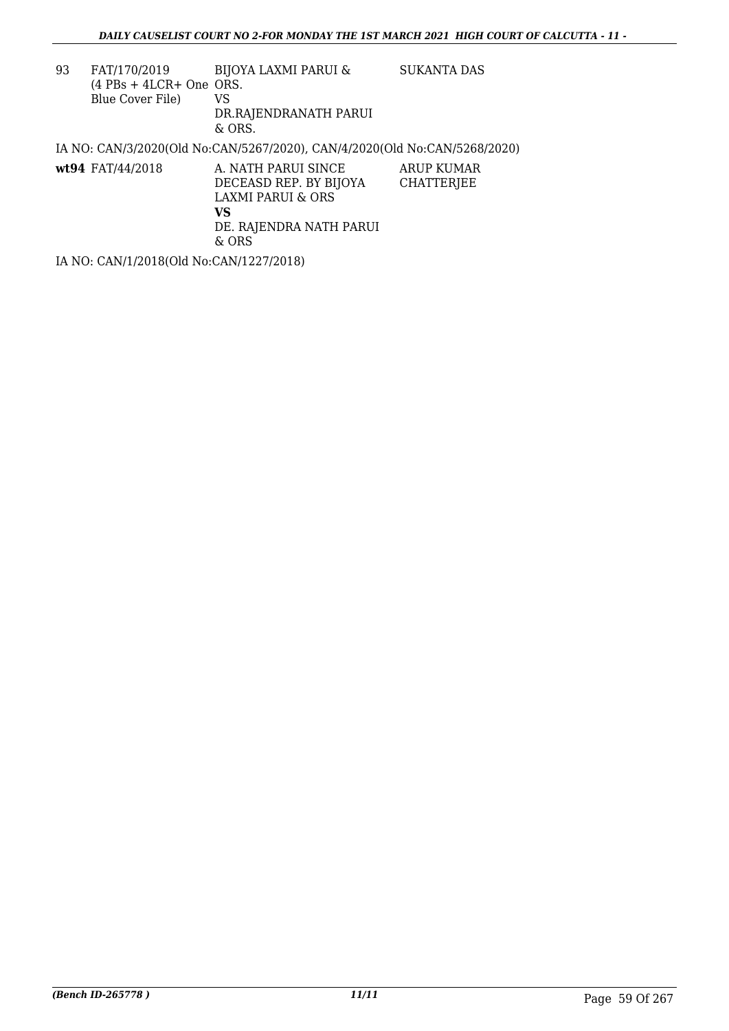| 93 | FAT/170/2019<br>$(4$ PBs + 4LCR+ One ORS.<br>Blue Cover File) | BIJOYA LAXMI PARUI &<br>VS<br>DR.RAJENDRANATH PARUI<br>$&$ ORS.                                                         | <b>SUKANTA DAS</b>                     |
|----|---------------------------------------------------------------|-------------------------------------------------------------------------------------------------------------------------|----------------------------------------|
|    |                                                               | IA NO: CAN/3/2020(Old No:CAN/5267/2020), CAN/4/2020(Old No:CAN/5268/2020)                                               |                                        |
|    | wt94 FAT/44/2018                                              | A. NATH PARUI SINCE<br>DECEASD REP. BY BIJOYA<br><b>LAXMI PARUI &amp; ORS</b><br>VS<br>DE. RAJENDRA NATH PARUI<br>& ORS | <b>ARUP KUMAR</b><br><b>CHATTERJEE</b> |

IA NO: CAN/1/2018(Old No:CAN/1227/2018)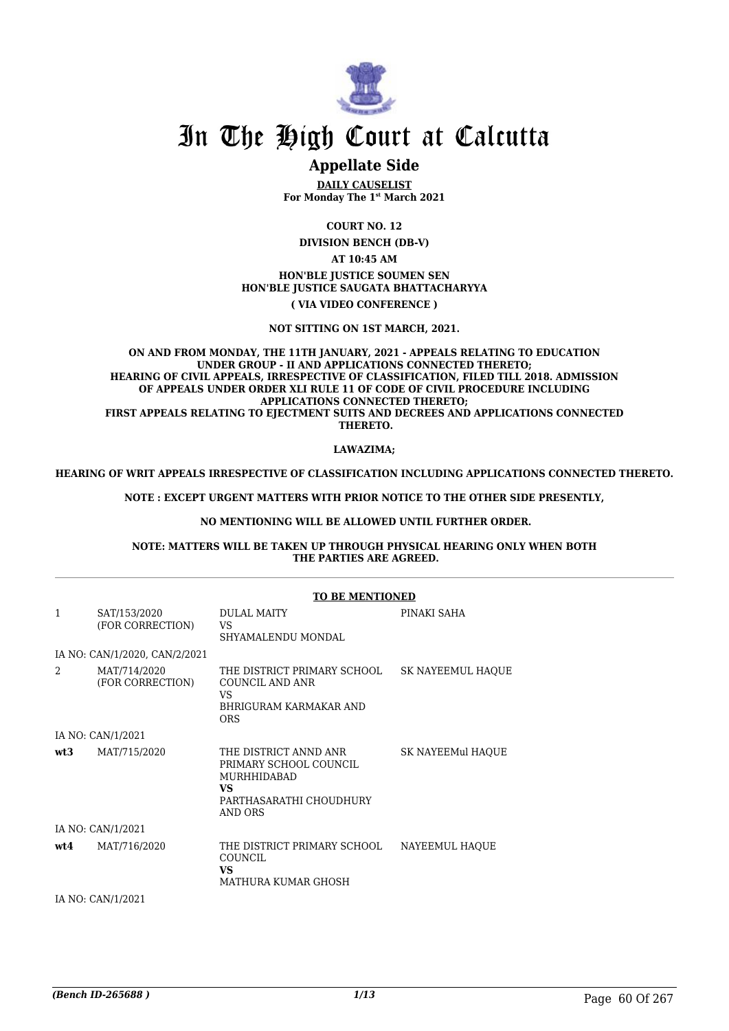

# **Appellate Side**

**DAILY CAUSELIST For Monday The 1st March 2021**

**COURT NO. 12**

**DIVISION BENCH (DB-V)**

**AT 10:45 AM**

## **HON'BLE JUSTICE SOUMEN SEN HON'BLE JUSTICE SAUGATA BHATTACHARYYA ( VIA VIDEO CONFERENCE )**

**NOT SITTING ON 1ST MARCH, 2021.**

#### **ON AND FROM MONDAY, THE 11TH JANUARY, 2021 - APPEALS RELATING TO EDUCATION UNDER GROUP - II AND APPLICATIONS CONNECTED THERETO; HEARING OF CIVIL APPEALS, IRRESPECTIVE OF CLASSIFICATION, FILED TILL 2018. ADMISSION OF APPEALS UNDER ORDER XLI RULE 11 OF CODE OF CIVIL PROCEDURE INCLUDING APPLICATIONS CONNECTED THERETO;** FIRST APPEALS RELATING TO EJECTMENT SUITS AND DECREES AND APPLICATIONS CONNECTED  **THERETO.**

### **LAWAZIMA;**

**HEARING OF WRIT APPEALS IRRESPECTIVE OF CLASSIFICATION INCLUDING APPLICATIONS CONNECTED THERETO.**

**NOTE : EXCEPT URGENT MATTERS WITH PRIOR NOTICE TO THE OTHER SIDE PRESENTLY,**

### **NO MENTIONING WILL BE ALLOWED UNTIL FURTHER ORDER.**

**NOTE: MATTERS WILL BE TAKEN UP THROUGH PHYSICAL HEARING ONLY WHEN BOTH THE PARTIES ARE AGREED.**

|                |                                  | <b>TO BE MENTIONED</b>                                                                                                   |                          |
|----------------|----------------------------------|--------------------------------------------------------------------------------------------------------------------------|--------------------------|
| $\mathbf{1}$   | SAT/153/2020<br>(FOR CORRECTION) | DULAL MAITY<br>VS<br>SHYAMALENDU MONDAL                                                                                  | PINAKI SAHA              |
|                | IA NO: CAN/1/2020, CAN/2/2021    |                                                                                                                          |                          |
| $\mathfrak{D}$ | MAT/714/2020<br>(FOR CORRECTION) | THE DISTRICT PRIMARY SCHOOL<br>COUNCIL AND ANR<br>VS<br>BHRIGURAM KARMAKAR AND<br><b>ORS</b>                             | <b>SK NAYEEMUL HAQUE</b> |
|                | IA NO: CAN/1/2021                |                                                                                                                          |                          |
| wt3            | MAT/715/2020                     | THE DISTRICT ANND ANR<br>PRIMARY SCHOOL COUNCIL<br><b>MURHHIDABAD</b><br><b>VS</b><br>PARTHASARATHI CHOUDHURY<br>AND ORS | SK NAYEEMul HAOUE        |
|                | IA NO: CAN/1/2021                |                                                                                                                          |                          |
| wt4            | MAT/716/2020                     | THE DISTRICT PRIMARY SCHOOL<br>COUNCIL<br>VS<br>MATHURA KUMAR GHOSH                                                      | NAYEEMUL HAOUE           |
|                | IA NO: CAN/1/2021                |                                                                                                                          |                          |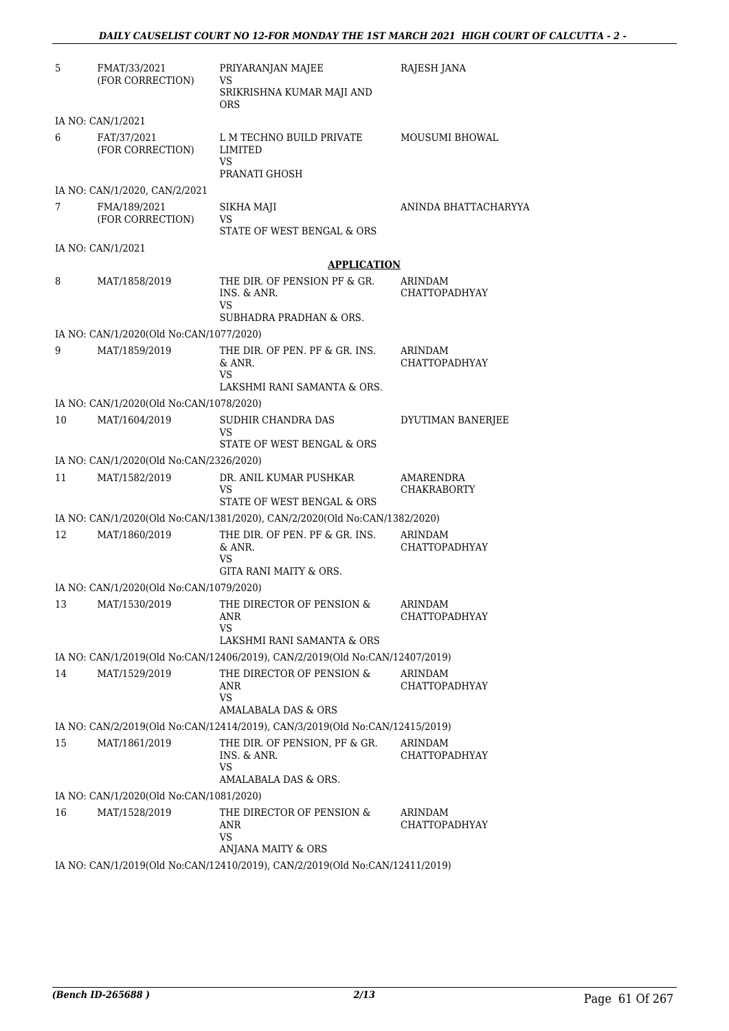| 5  | FMAT/33/2021                            | PRIYARANJAN MAJEE                                                                                  | RAJESH JANA                     |
|----|-----------------------------------------|----------------------------------------------------------------------------------------------------|---------------------------------|
|    | (FOR CORRECTION)                        | VS<br>SRIKRISHNA KUMAR MAJI AND<br><b>ORS</b>                                                      |                                 |
|    | IA NO: CAN/1/2021                       |                                                                                                    |                                 |
| 6  | FAT/37/2021<br>(FOR CORRECTION)         | L M TECHNO BUILD PRIVATE<br>LIMITED<br>VS<br>PRANATI GHOSH                                         | <b>MOUSUMI BHOWAL</b>           |
|    | IA NO: CAN/1/2020, CAN/2/2021           |                                                                                                    |                                 |
| 7  | FMA/189/2021<br>(FOR CORRECTION)        | SIKHA MAJI<br>VS<br>STATE OF WEST BENGAL & ORS                                                     | ANINDA BHATTACHARYYA            |
|    | IA NO: CAN/1/2021                       |                                                                                                    |                                 |
|    |                                         | <b>APPLICATION</b>                                                                                 |                                 |
| 8  | MAT/1858/2019                           | THE DIR. OF PENSION PF & GR.<br>INS. & ANR.<br>VS                                                  | ARINDAM<br><b>CHATTOPADHYAY</b> |
|    |                                         | SUBHADRA PRADHAN & ORS.                                                                            |                                 |
|    | IA NO: CAN/1/2020(Old No:CAN/1077/2020) |                                                                                                    |                                 |
| 9  | MAT/1859/2019                           | THE DIR. OF PEN. PF & GR. INS.<br>& ANR.<br>VS                                                     | ARINDAM<br>CHATTOPADHYAY        |
|    |                                         | LAKSHMI RANI SAMANTA & ORS.                                                                        |                                 |
|    | IA NO: CAN/1/2020(Old No:CAN/1078/2020) |                                                                                                    |                                 |
| 10 | MAT/1604/2019                           | SUDHIR CHANDRA DAS<br>VS<br>STATE OF WEST BENGAL & ORS                                             | DYUTIMAN BANERJEE               |
|    | IA NO: CAN/1/2020(Old No:CAN/2326/2020) |                                                                                                    |                                 |
| 11 | MAT/1582/2019                           | DR. ANIL KUMAR PUSHKAR<br>VS<br>STATE OF WEST BENGAL & ORS                                         | AMARENDRA<br><b>CHAKRABORTY</b> |
|    |                                         | IA NO: CAN/1/2020(Old No:CAN/1381/2020), CAN/2/2020(Old No:CAN/1382/2020)                          |                                 |
| 12 | MAT/1860/2019                           | THE DIR. OF PEN. PF & GR. INS.<br>& ANR.<br>VS<br>GITA RANI MAITY & ORS.                           | ARINDAM<br><b>CHATTOPADHYAY</b> |
|    | IA NO: CAN/1/2020(Old No:CAN/1079/2020) |                                                                                                    |                                 |
|    | 13 MAT/1530/2019                        | THE DIRECTOR OF PENSION & ARINDAM<br>ANR<br>VS.                                                    | CHATTOPADHYAY                   |
|    |                                         | LAKSHMI RANI SAMANTA & ORS                                                                         |                                 |
|    |                                         | IA NO: CAN/1/2019(Old No:CAN/12406/2019), CAN/2/2019(Old No:CAN/12407/2019)                        |                                 |
| 14 | MAT/1529/2019                           | THE DIRECTOR OF PENSION &<br>ANR<br><b>VS</b>                                                      | ARINDAM<br>CHATTOPADHYAY        |
|    |                                         | AMALABALA DAS & ORS<br>IA NO: CAN/2/2019(Old No:CAN/12414/2019), CAN/3/2019(Old No:CAN/12415/2019) |                                 |
| 15 | MAT/1861/2019                           | THE DIR. OF PENSION, PF & GR.                                                                      | ARINDAM                         |
|    |                                         | INS. & ANR.<br>VS                                                                                  | CHATTOPADHYAY                   |
|    |                                         | AMALABALA DAS & ORS.                                                                               |                                 |
|    | IA NO: CAN/1/2020(Old No:CAN/1081/2020) |                                                                                                    |                                 |
| 16 | MAT/1528/2019                           | THE DIRECTOR OF PENSION &<br>ANR<br>VS                                                             | ARINDAM<br>CHATTOPADHYAY        |
|    |                                         | ANJANA MAITY & ORS                                                                                 |                                 |
|    |                                         | IA NO: CAN/1/2019(Old No:CAN/12410/2019), CAN/2/2019(Old No:CAN/12411/2019)                        |                                 |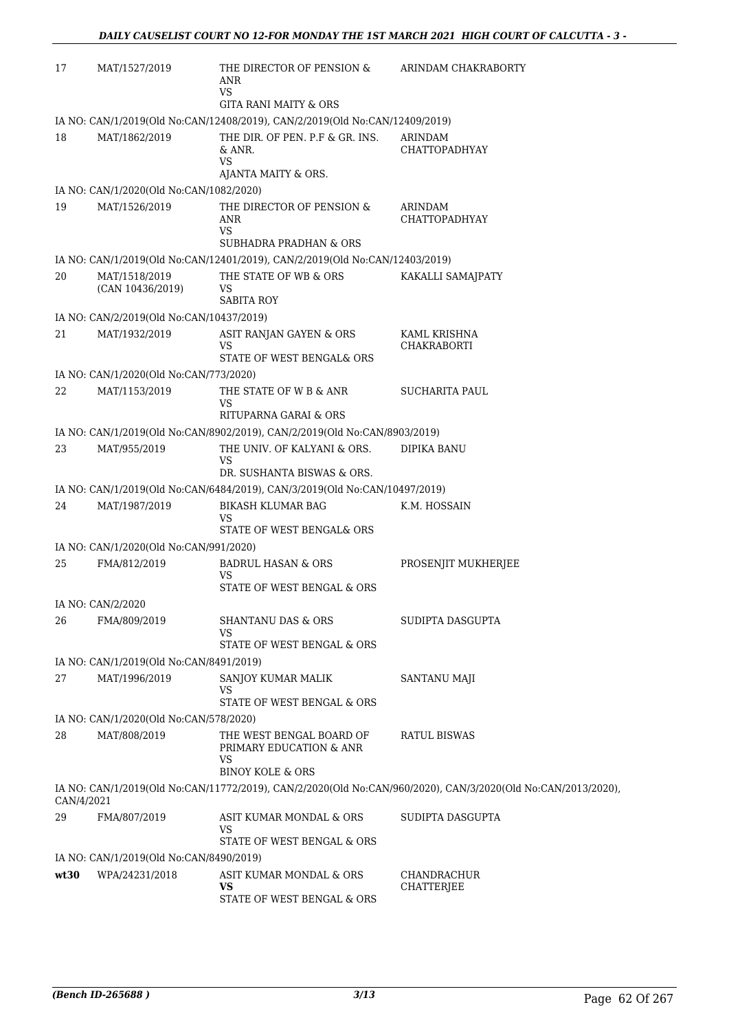| 17         | MAT/1527/2019                            | THE DIRECTOR OF PENSION &<br>ANR<br>VS                                      | ARINDAM CHAKRABORTY                                                                                          |
|------------|------------------------------------------|-----------------------------------------------------------------------------|--------------------------------------------------------------------------------------------------------------|
|            |                                          | <b>GITA RANI MAITY &amp; ORS</b>                                            |                                                                                                              |
|            |                                          | IA NO: CAN/1/2019(Old No:CAN/12408/2019), CAN/2/2019(Old No:CAN/12409/2019) |                                                                                                              |
| 18         | MAT/1862/2019                            | THE DIR. OF PEN. P.F & GR. INS.<br>& ANR.<br>VS                             | ARINDAM<br><b>CHATTOPADHYAY</b>                                                                              |
|            |                                          | AJANTA MAITY & ORS.                                                         |                                                                                                              |
|            | IA NO: CAN/1/2020(Old No:CAN/1082/2020)  |                                                                             |                                                                                                              |
| 19         | MAT/1526/2019                            | THE DIRECTOR OF PENSION &<br>ANR<br><b>VS</b>                               | ARINDAM<br><b>CHATTOPADHYAY</b>                                                                              |
|            |                                          | <b>SUBHADRA PRADHAN &amp; ORS</b>                                           |                                                                                                              |
|            |                                          | IA NO: CAN/1/2019(Old No:CAN/12401/2019), CAN/2/2019(Old No:CAN/12403/2019) |                                                                                                              |
| 20         | MAT/1518/2019<br>(CAN 10436/2019)        | THE STATE OF WB & ORS<br>VS<br><b>SABITA ROY</b>                            | KAKALLI SAMAJPATY                                                                                            |
|            | IA NO: CAN/2/2019(Old No:CAN/10437/2019) |                                                                             |                                                                                                              |
| 21         | MAT/1932/2019                            | ASIT RANJAN GAYEN & ORS<br>VS                                               | KAML KRISHNA<br>CHAKRABORTI                                                                                  |
|            |                                          | STATE OF WEST BENGAL& ORS                                                   |                                                                                                              |
|            | IA NO: CAN/1/2020(Old No:CAN/773/2020)   |                                                                             |                                                                                                              |
| 22         | MAT/1153/2019                            | THE STATE OF W B & ANR<br>VS<br>RITUPARNA GARAI & ORS                       | <b>SUCHARITA PAUL</b>                                                                                        |
|            |                                          | IA NO: CAN/1/2019(Old No:CAN/8902/2019), CAN/2/2019(Old No:CAN/8903/2019)   |                                                                                                              |
| 23         | MAT/955/2019                             | THE UNIV. OF KALYANI & ORS.<br><b>VS</b>                                    | DIPIKA BANU                                                                                                  |
|            |                                          | DR. SUSHANTA BISWAS & ORS.                                                  |                                                                                                              |
|            |                                          | IA NO: CAN/1/2019(Old No:CAN/6484/2019), CAN/3/2019(Old No:CAN/10497/2019)  |                                                                                                              |
| 24         | MAT/1987/2019                            | <b>BIKASH KLUMAR BAG</b><br>VS<br>STATE OF WEST BENGAL& ORS                 | K.M. HOSSAIN                                                                                                 |
|            | IA NO: CAN/1/2020(Old No:CAN/991/2020)   |                                                                             |                                                                                                              |
| 25         | FMA/812/2019                             | <b>BADRUL HASAN &amp; ORS</b>                                               | PROSENJIT MUKHERJEE                                                                                          |
|            |                                          | VS<br>STATE OF WEST BENGAL & ORS                                            |                                                                                                              |
|            | IA NO: CAN/2/2020                        |                                                                             |                                                                                                              |
| 26         | FMA/809/2019                             | <b>SHANTANU DAS &amp; ORS</b><br>VS<br>STATE OF WEST BENGAL & ORS           | SUDIPTA DASGUPTA                                                                                             |
|            | IA NO: CAN/1/2019(Old No:CAN/8491/2019)  |                                                                             |                                                                                                              |
| 27         | MAT/1996/2019                            | SANJOY KUMAR MALIK                                                          | SANTANU MAJI                                                                                                 |
|            |                                          | VS<br>STATE OF WEST BENGAL & ORS                                            |                                                                                                              |
|            | IA NO: CAN/1/2020(Old No:CAN/578/2020)   |                                                                             |                                                                                                              |
| 28         | MAT/808/2019                             | THE WEST BENGAL BOARD OF<br>PRIMARY EDUCATION & ANR<br>VS                   | RATUL BISWAS                                                                                                 |
|            |                                          | <b>BINOY KOLE &amp; ORS</b>                                                 |                                                                                                              |
| CAN/4/2021 |                                          |                                                                             | IA NO: CAN/1/2019(Old No:CAN/11772/2019), CAN/2/2020(Old No:CAN/960/2020), CAN/3/2020(Old No:CAN/2013/2020), |
| 29         | FMA/807/2019                             | ASIT KUMAR MONDAL & ORS<br>VS                                               | SUDIPTA DASGUPTA                                                                                             |
|            |                                          | STATE OF WEST BENGAL & ORS                                                  |                                                                                                              |
|            | IA NO: CAN/1/2019(Old No:CAN/8490/2019)  |                                                                             |                                                                                                              |
| wt30       | WPA/24231/2018                           | ASIT KUMAR MONDAL & ORS<br>VS<br>STATE OF WEST BENGAL & ORS                 | CHANDRACHUR<br>CHATTERJEE                                                                                    |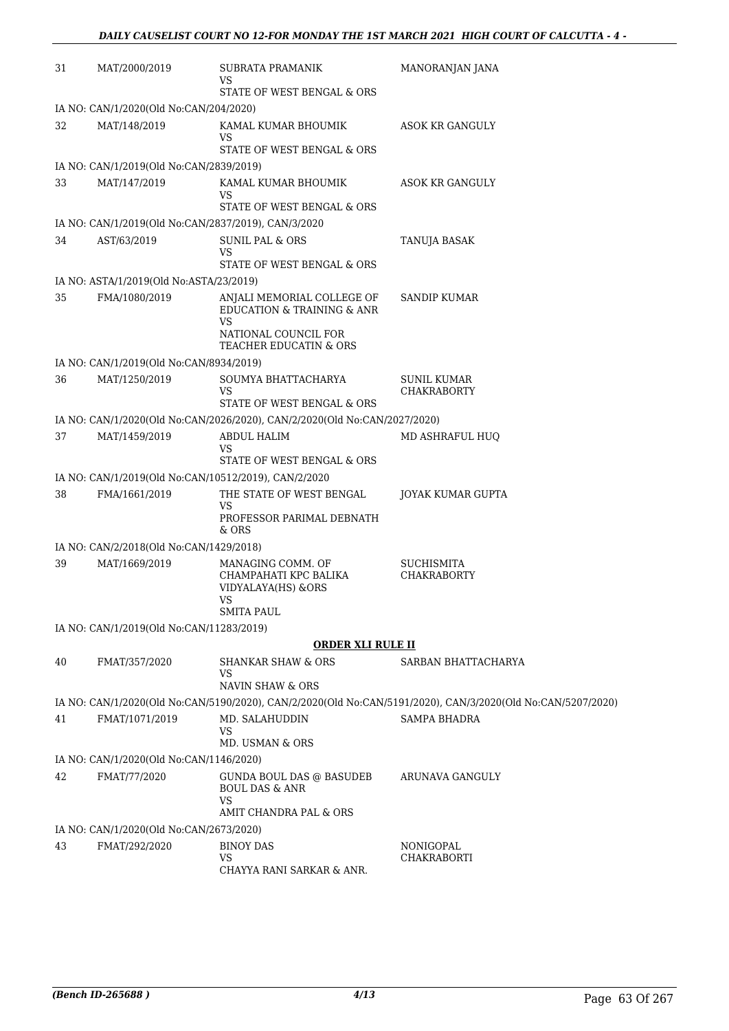| 31 | MAT/2000/2019                            | SUBRATA PRAMANIK<br>VS                                                                        | MANORANJAN JANA                                                                                             |
|----|------------------------------------------|-----------------------------------------------------------------------------------------------|-------------------------------------------------------------------------------------------------------------|
|    |                                          | STATE OF WEST BENGAL & ORS                                                                    |                                                                                                             |
|    | IA NO: CAN/1/2020(Old No:CAN/204/2020)   |                                                                                               |                                                                                                             |
| 32 | MAT/148/2019                             | KAMAL KUMAR BHOUMIK<br>VS                                                                     | ASOK KR GANGULY                                                                                             |
|    |                                          | STATE OF WEST BENGAL & ORS                                                                    |                                                                                                             |
|    | IA NO: CAN/1/2019(Old No:CAN/2839/2019)  |                                                                                               |                                                                                                             |
| 33 | MAT/147/2019                             | KAMAL KUMAR BHOUMIK<br>VS<br>STATE OF WEST BENGAL & ORS                                       | ASOK KR GANGULY                                                                                             |
|    |                                          | IA NO: CAN/1/2019(Old No:CAN/2837/2019), CAN/3/2020                                           |                                                                                                             |
| 34 | AST/63/2019                              | <b>SUNIL PAL &amp; ORS</b><br>VS                                                              | TANUJA BASAK                                                                                                |
|    |                                          | STATE OF WEST BENGAL & ORS                                                                    |                                                                                                             |
|    | IA NO: ASTA/1/2019(Old No:ASTA/23/2019)  |                                                                                               |                                                                                                             |
| 35 | FMA/1080/2019                            | ANJALI MEMORIAL COLLEGE OF<br>EDUCATION & TRAINING & ANR<br><b>VS</b><br>NATIONAL COUNCIL FOR | SANDIP KUMAR                                                                                                |
|    |                                          | <b>TEACHER EDUCATIN &amp; ORS</b>                                                             |                                                                                                             |
|    | IA NO: CAN/1/2019(Old No:CAN/8934/2019)  |                                                                                               |                                                                                                             |
| 36 | MAT/1250/2019                            | SOUMYA BHATTACHARYA<br>VS                                                                     | SUNIL KUMAR<br><b>CHAKRABORTY</b>                                                                           |
|    |                                          | STATE OF WEST BENGAL & ORS                                                                    |                                                                                                             |
|    |                                          | IA NO: CAN/1/2020(Old No:CAN/2026/2020), CAN/2/2020(Old No:CAN/2027/2020)                     |                                                                                                             |
| 37 | MAT/1459/2019                            | ABDUL HALIM<br>VS                                                                             | MD ASHRAFUL HUQ                                                                                             |
|    |                                          | STATE OF WEST BENGAL & ORS                                                                    |                                                                                                             |
|    |                                          | IA NO: CAN/1/2019(Old No:CAN/10512/2019), CAN/2/2020                                          |                                                                                                             |
| 38 | FMA/1661/2019                            | THE STATE OF WEST BENGAL<br>VS<br>PROFESSOR PARIMAL DEBNATH<br>$&$ ORS                        | JOYAK KUMAR GUPTA                                                                                           |
|    | IA NO: CAN/2/2018(Old No:CAN/1429/2018)  |                                                                                               |                                                                                                             |
| 39 | MAT/1669/2019                            | MANAGING COMM. OF<br>CHAMPAHATI KPC BALIKA<br>VIDYALAYA(HS) &ORS<br>VS<br><b>SMITA PAUL</b>   | SUCHISMITA<br><b>CHAKRABORTY</b>                                                                            |
|    | IA NO: CAN/1/2019(Old No:CAN/11283/2019) |                                                                                               |                                                                                                             |
|    |                                          | <b>ORDER XLI RULE II</b>                                                                      |                                                                                                             |
| 40 | FMAT/357/2020                            | <b>SHANKAR SHAW &amp; ORS</b>                                                                 | SARBAN BHATTACHARYA                                                                                         |
|    |                                          | VS<br><b>NAVIN SHAW &amp; ORS</b>                                                             |                                                                                                             |
|    |                                          |                                                                                               | IA NO: CAN/1/2020(Old No:CAN/5190/2020), CAN/2/2020(Old No:CAN/5191/2020), CAN/3/2020(Old No:CAN/5207/2020) |
| 41 | FMAT/1071/2019                           | MD. SALAHUDDIN<br><b>VS</b>                                                                   | SAMPA BHADRA                                                                                                |
|    |                                          | MD. USMAN & ORS                                                                               |                                                                                                             |
|    | IA NO: CAN/1/2020(Old No:CAN/1146/2020)  |                                                                                               |                                                                                                             |
| 42 | FMAT/77/2020                             | GUNDA BOUL DAS @ BASUDEB<br><b>BOUL DAS &amp; ANR</b><br><b>VS</b>                            | ARUNAVA GANGULY                                                                                             |
|    |                                          | AMIT CHANDRA PAL & ORS                                                                        |                                                                                                             |
|    | IA NO: CAN/1/2020(Old No:CAN/2673/2020)  |                                                                                               |                                                                                                             |
| 43 | FMAT/292/2020                            | <b>BINOY DAS</b>                                                                              | NONIGOPAL                                                                                                   |
|    |                                          | <b>VS</b><br>CHAYYA RANI SARKAR & ANR.                                                        | <b>CHAKRABORTI</b>                                                                                          |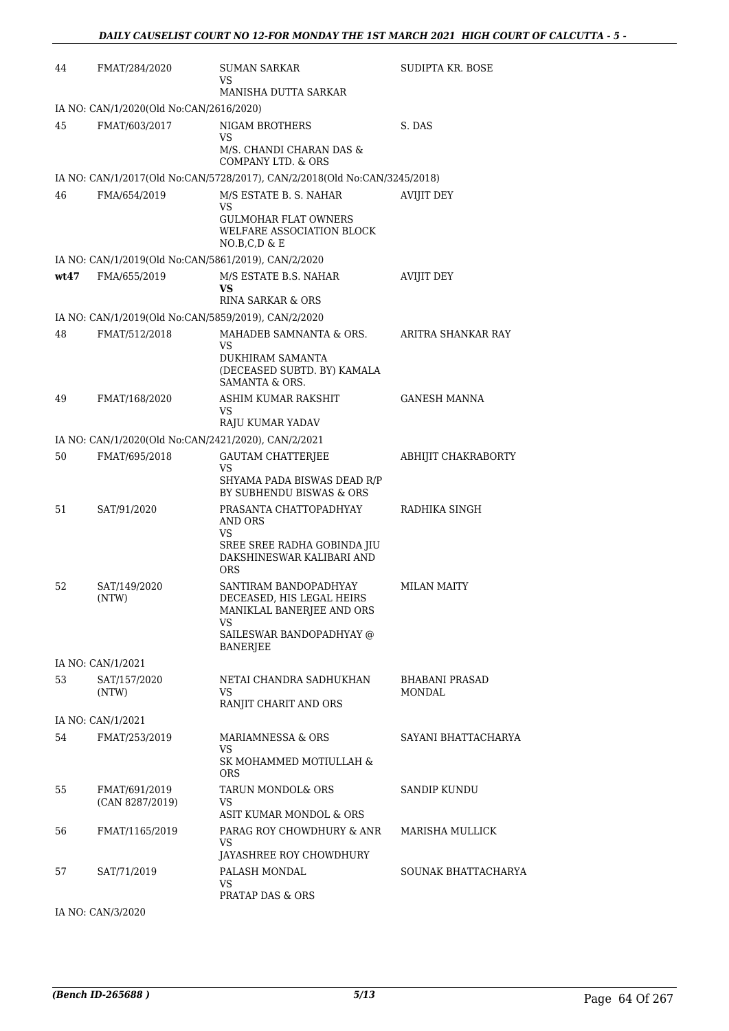| 44   | FMAT/284/2020                                            | SUMAN SARKAR<br>VS                                                                                                                   | SUDIPTA KR. BOSE                |
|------|----------------------------------------------------------|--------------------------------------------------------------------------------------------------------------------------------------|---------------------------------|
|      |                                                          | MANISHA DUTTA SARKAR                                                                                                                 |                                 |
| 45   | IA NO: CAN/1/2020(Old No:CAN/2616/2020)<br>FMAT/603/2017 | NIGAM BROTHERS<br>VS.<br>M/S. CHANDI CHARAN DAS &<br>COMPANY LTD. & ORS                                                              | S. DAS                          |
|      |                                                          | IA NO: CAN/1/2017(Old No:CAN/5728/2017), CAN/2/2018(Old No:CAN/3245/2018)                                                            |                                 |
| 46   | FMA/654/2019                                             | M/S ESTATE B. S. NAHAR<br>VS<br><b>GULMOHAR FLAT OWNERS</b><br>WELFARE ASSOCIATION BLOCK<br>NO.B.C.D & E                             | <b>AVIJIT DEY</b>               |
|      | IA NO: CAN/1/2019(Old No:CAN/5861/2019), CAN/2/2020      |                                                                                                                                      |                                 |
| wt47 | FMA/655/2019                                             | M/S ESTATE B.S. NAHAR<br>VS<br><b>RINA SARKAR &amp; ORS</b>                                                                          | <b>AVIJIT DEY</b>               |
|      | IA NO: CAN/1/2019(Old No:CAN/5859/2019), CAN/2/2020      |                                                                                                                                      |                                 |
| 48   | FMAT/512/2018                                            | MAHADEB SAMNANTA & ORS.<br>VS<br>DUKHIRAM SAMANTA<br>(DECEASED SUBTD. BY) KAMALA<br>SAMANTA & ORS.                                   | ARITRA SHANKAR RAY              |
| 49   | FMAT/168/2020                                            | ASHIM KUMAR RAKSHIT<br>VS                                                                                                            | <b>GANESH MANNA</b>             |
|      | IA NO: CAN/1/2020(Old No:CAN/2421/2020), CAN/2/2021      | RAJU KUMAR YADAV                                                                                                                     |                                 |
| 50   | FMAT/695/2018                                            | <b>GAUTAM CHATTERJEE</b><br>VS.<br>SHYAMA PADA BISWAS DEAD R/P                                                                       | ABHIJIT CHAKRABORTY             |
| 51   | SAT/91/2020                                              | BY SUBHENDU BISWAS & ORS<br>PRASANTA CHATTOPADHYAY<br>AND ORS<br>VS<br>SREE SREE RADHA GOBINDA JIU<br>DAKSHINESWAR KALIBARI AND      | RADHIKA SINGH                   |
| 52   | SAT/149/2020<br>(NTW)                                    | ORS<br>SANTIRAM BANDOPADHYAY<br>DECEASED, HIS LEGAL HEIRS<br>MANIKLAL BANERJEE AND ORS<br>VS<br>SAILESWAR BANDOPADHYAY @<br>BANERJEE | <b>MILAN MAITY</b>              |
|      | IA NO: CAN/1/2021                                        |                                                                                                                                      |                                 |
| 53   | SAT/157/2020<br>(NTW)                                    | NETAI CHANDRA SADHUKHAN<br>VS.<br>RANJIT CHARIT AND ORS                                                                              | <b>BHABANI PRASAD</b><br>MONDAL |
|      | IA NO: CAN/1/2021                                        |                                                                                                                                      |                                 |
| 54   | FMAT/253/2019                                            | MARIAMNESSA & ORS<br>VS<br>SK MOHAMMED MOTIULLAH &<br>ORS.                                                                           | SAYANI BHATTACHARYA             |
| 55   | FMAT/691/2019<br>(CAN 8287/2019)                         | TARUN MONDOL& ORS<br>VS<br>ASIT KUMAR MONDOL & ORS                                                                                   | <b>SANDIP KUNDU</b>             |
| 56   | FMAT/1165/2019                                           | PARAG ROY CHOWDHURY & ANR<br>VS<br>JAYASHREE ROY CHOWDHURY                                                                           | MARISHA MULLICK                 |
| 57   | SAT/71/2019                                              | PALASH MONDAL<br>VS<br>PRATAP DAS & ORS                                                                                              | SOUNAK BHATTACHARYA             |

IA NO: CAN/3/2020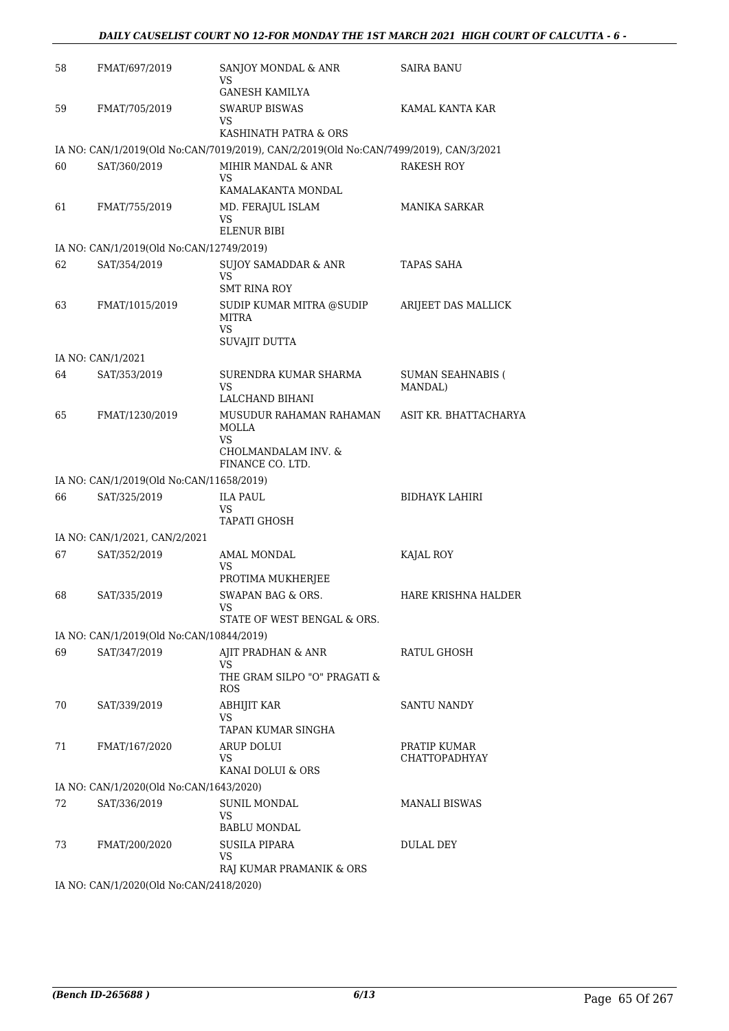| 58  | FMAT/697/2019                            | SANJOY MONDAL & ANR<br>VS                                                             | SAIRA BANU                           |
|-----|------------------------------------------|---------------------------------------------------------------------------------------|--------------------------------------|
| 59  | FMAT/705/2019                            | GANESH KAMILYA<br>SWARUP BISWAS                                                       | KAMAL KANTA KAR                      |
|     |                                          | VS.                                                                                   |                                      |
|     |                                          | KASHINATH PATRA & ORS                                                                 |                                      |
|     |                                          | IA NO: CAN/1/2019(Old No:CAN/7019/2019), CAN/2/2019(Old No:CAN/7499/2019), CAN/3/2021 |                                      |
| 60  | SAT/360/2019                             | MIHIR MANDAL & ANR<br>VS<br>KAMALAKANTA MONDAL                                        | RAKESH ROY                           |
| 61  | FMAT/755/2019                            | MD. FERAJUL ISLAM<br>VS<br><b>ELENUR BIBI</b>                                         | MANIKA SARKAR                        |
|     | IA NO: CAN/1/2019(Old No:CAN/12749/2019) |                                                                                       |                                      |
| 62  | SAT/354/2019                             | SUJOY SAMADDAR & ANR<br>VS<br><b>SMT RINA ROY</b>                                     | TAPAS SAHA                           |
| 63  | FMAT/1015/2019                           | SUDIP KUMAR MITRA @SUDIP<br>MITRA<br>VS                                               | ARIJEET DAS MALLICK                  |
|     |                                          | SUVAJIT DUTTA                                                                         |                                      |
|     | IA NO: CAN/1/2021                        |                                                                                       |                                      |
| 64  | SAT/353/2019                             | SURENDRA KUMAR SHARMA<br>VS<br>LALCHAND BIHANI                                        | <b>SUMAN SEAHNABIS (</b><br>MANDAL)  |
| 65  | FMAT/1230/2019                           | MUSUDUR RAHAMAN RAHAMAN<br><b>MOLLA</b>                                               | ASIT KR. BHATTACHARYA                |
|     |                                          | VS<br>CHOLMANDALAM INV. &<br>FINANCE CO. LTD.                                         |                                      |
|     | IA NO: CAN/1/2019(Old No:CAN/11658/2019) |                                                                                       |                                      |
| 66  | SAT/325/2019                             | <b>ILA PAUL</b><br>VS                                                                 | BIDHAYK LAHIRI                       |
|     |                                          | <b>TAPATI GHOSH</b>                                                                   |                                      |
|     | IA NO: CAN/1/2021, CAN/2/2021            |                                                                                       |                                      |
| 67  | SAT/352/2019                             | AMAL MONDAL<br>VS<br>PROTIMA MUKHERJEE                                                | KAJAL ROY                            |
| 68  | SAT/335/2019                             | SWAPAN BAG & ORS.                                                                     | HARE KRISHNA HALDER                  |
|     |                                          | STATE OF WEST BENGAL & ORS.                                                           |                                      |
|     | IA NO: CAN/1/2019(Old No:CAN/10844/2019) |                                                                                       |                                      |
| 69  | SAT/347/2019                             | AJIT PRADHAN & ANR                                                                    | RATUL GHOSH                          |
|     |                                          | VS.<br>THE GRAM SILPO "O" PRAGATI &<br><b>ROS</b>                                     |                                      |
| 70  | SAT/339/2019                             | ABHIJIT KAR<br>VS                                                                     | SANTU NANDY                          |
|     |                                          | TAPAN KUMAR SINGHA                                                                    |                                      |
| 71  | FMAT/167/2020                            | ARUP DOLUI<br>VS.<br>KANAI DOLUI & ORS                                                | PRATIP KUMAR<br><b>CHATTOPADHYAY</b> |
|     | IA NO: CAN/1/2020(Old No:CAN/1643/2020)  |                                                                                       |                                      |
| 72. | SAT/336/2019                             | SUNIL MONDAL                                                                          | <b>MANALI BISWAS</b>                 |
|     |                                          | VS<br><b>BABLU MONDAL</b>                                                             |                                      |
| 73  | FMAT/200/2020                            | SUSILA PIPARA<br>VS                                                                   | DULAL DEY                            |
|     | IA NO: CAN/1/2020(Old No:CAN/2418/2020)  | RAJ KUMAR PRAMANIK & ORS                                                              |                                      |
|     |                                          |                                                                                       |                                      |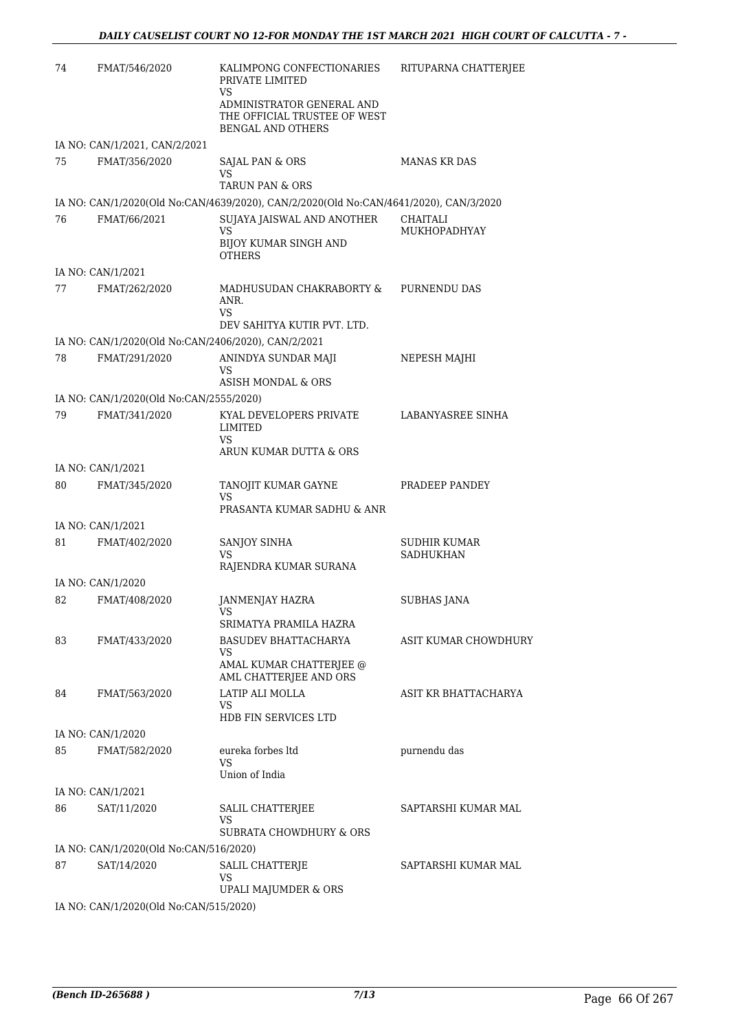| 74 | FMAT/546/2020                           | KALIMPONG CONFECTIONARIES<br>PRIVATE LIMITED<br>VS                                    | RITUPARNA CHATTERJEE      |
|----|-----------------------------------------|---------------------------------------------------------------------------------------|---------------------------|
|    |                                         | ADMINISTRATOR GENERAL AND<br>THE OFFICIAL TRUSTEE OF WEST<br><b>BENGAL AND OTHERS</b> |                           |
|    | IA NO: CAN/1/2021, CAN/2/2021           |                                                                                       |                           |
| 75 | FMAT/356/2020                           | SAJAL PAN & ORS<br>VS.<br>TARUN PAN & ORS                                             | <b>MANAS KR DAS</b>       |
|    |                                         | IA NO: CAN/1/2020(Old No:CAN/4639/2020), CAN/2/2020(Old No:CAN/4641/2020), CAN/3/2020 |                           |
| 76 | FMAT/66/2021                            | SUJAYA JAISWAL AND ANOTHER                                                            | CHAITALI                  |
|    |                                         | VS<br><b>BIJOY KUMAR SINGH AND</b><br><b>OTHERS</b>                                   | MUKHOPADHYAY              |
|    | IA NO: CAN/1/2021                       |                                                                                       |                           |
| 77 | FMAT/262/2020                           | MADHUSUDAN CHAKRABORTY &<br>ANR.<br>VS.<br>DEV SAHITYA KUTIR PVT. LTD.                | PURNENDU DAS              |
|    |                                         | IA NO: CAN/1/2020(Old No:CAN/2406/2020), CAN/2/2021                                   |                           |
| 78 | FMAT/291/2020                           | ANINDYA SUNDAR MAJI<br>VS<br>ASISH MONDAL & ORS                                       | NEPESH MAJHI              |
|    | IA NO: CAN/1/2020(Old No:CAN/2555/2020) |                                                                                       |                           |
| 79 | FMAT/341/2020                           | KYAL DEVELOPERS PRIVATE<br><b>LIMITED</b><br>VS<br>ARUN KUMAR DUTTA & ORS             | LABANYASREE SINHA         |
|    | IA NO: CAN/1/2021                       |                                                                                       |                           |
| 80 | FMAT/345/2020                           | TANOJIT KUMAR GAYNE<br>VS<br>PRASANTA KUMAR SADHU & ANR                               | PRADEEP PANDEY            |
|    | IA NO: CAN/1/2021                       |                                                                                       |                           |
| 81 | FMAT/402/2020                           | <b>SANJOY SINHA</b><br>VS<br>RAJENDRA KUMAR SURANA                                    | SUDHIR KUMAR<br>SADHUKHAN |
|    | IA NO: CAN/1/2020                       |                                                                                       |                           |
| 82 | FMAT/408/2020                           | JANMENJAY HAZRA<br>VS                                                                 | SUBHAS JANA               |
| 83 | FMAT/433/2020                           | SRIMATYA PRAMILA HAZRA<br>BASUDEV BHATTACHARYA                                        | ASIT KUMAR CHOWDHURY      |
|    |                                         | VS<br>AMAL KUMAR CHATTERJEE @<br>AML CHATTERJEE AND ORS                               |                           |
| 84 | FMAT/563/2020                           | LATIP ALI MOLLA<br>VS<br>HDB FIN SERVICES LTD                                         | ASIT KR BHATTACHARYA      |
|    | IA NO: CAN/1/2020                       |                                                                                       |                           |
| 85 | FMAT/582/2020                           | eureka forbes ltd<br>VS<br>Union of India                                             | purnendu das              |
|    | IA NO: CAN/1/2021                       |                                                                                       |                           |
| 86 | SAT/11/2020                             | SALIL CHATTERJEE<br>VS<br>SUBRATA CHOWDHURY & ORS                                     | SAPTARSHI KUMAR MAL       |
|    | IA NO: CAN/1/2020(Old No:CAN/516/2020)  |                                                                                       |                           |
| 87 | SAT/14/2020                             | SALIL CHATTERJE<br><b>VS</b><br>UPALI MAJUMDER & ORS                                  | SAPTARSHI KUMAR MAL       |
|    | IA NO: CAN/1/2020(Old No:CAN/515/2020)  |                                                                                       |                           |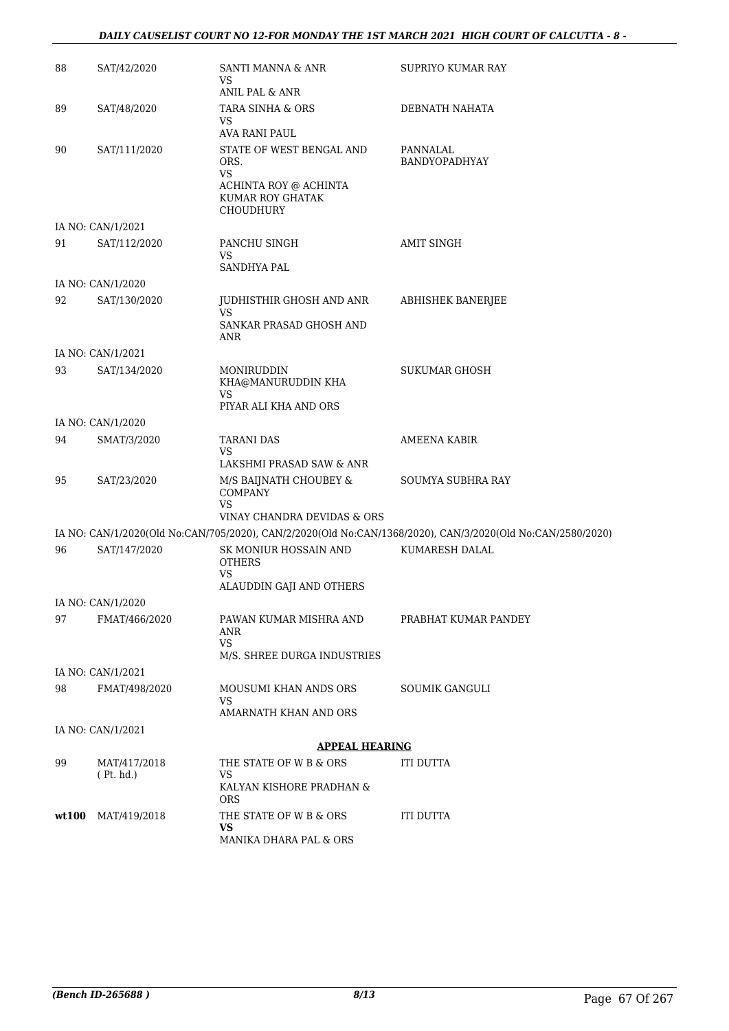### *DAILY CAUSELIST COURT NO 12-FOR MONDAY THE 1ST MARCH 2021 HIGH COURT OF CALCUTTA - 8 -*

| 88    | SAT/42/2020               | SANTI MANNA & ANR<br>VS<br>ANIL PAL & ANR                                                                        | SUPRIYO KUMAR RAY                                                                                          |
|-------|---------------------------|------------------------------------------------------------------------------------------------------------------|------------------------------------------------------------------------------------------------------------|
| 89    | SAT/48/2020               | TARA SINHA & ORS<br>VS                                                                                           | DEBNATH NAHATA                                                                                             |
|       |                           | AVA RANI PAUL                                                                                                    |                                                                                                            |
| 90    | SAT/111/2020              | STATE OF WEST BENGAL AND<br>ORS.<br><b>VS</b><br>ACHINTA ROY @ ACHINTA<br>KUMAR ROY GHATAK<br>CHOUDHURY          | PANNALAL<br>BANDYOPADHYAY                                                                                  |
|       | IA NO: CAN/1/2021         |                                                                                                                  |                                                                                                            |
| 91    | SAT/112/2020              | PANCHU SINGH<br><b>VS</b><br><b>SANDHYA PAL</b>                                                                  | <b>AMIT SINGH</b>                                                                                          |
|       | IA NO: CAN/1/2020         |                                                                                                                  |                                                                                                            |
| 92    | SAT/130/2020              | JUDHISTHIR GHOSH AND ANR<br><b>VS</b><br>SANKAR PRASAD GHOSH AND<br>ANR                                          | ABHISHEK BANERJEE                                                                                          |
|       | IA NO: CAN/1/2021         |                                                                                                                  |                                                                                                            |
| 93    | SAT/134/2020              | MONIRUDDIN<br>KHA@MANURUDDIN KHA<br><b>VS</b><br>PIYAR ALI KHA AND ORS                                           | SUKUMAR GHOSH                                                                                              |
|       | IA NO: CAN/1/2020         |                                                                                                                  |                                                                                                            |
| 94    | SMAT/3/2020               | <b>TARANI DAS</b><br><b>VS</b>                                                                                   | <b>AMEENA KABIR</b>                                                                                        |
| 95    | SAT/23/2020               | LAKSHMI PRASAD SAW & ANR<br>M/S BAIJNATH CHOUBEY &<br><b>COMPANY</b><br><b>VS</b><br>VINAY CHANDRA DEVIDAS & ORS | SOUMYA SUBHRA RAY                                                                                          |
|       |                           |                                                                                                                  | IA NO: CAN/1/2020(Old No:CAN/705/2020), CAN/2/2020(Old No:CAN/1368/2020), CAN/3/2020(Old No:CAN/2580/2020) |
| 96    | SAT/147/2020              | SK MONIUR HOSSAIN AND<br><b>OTHERS</b><br><b>VS</b><br>ALAUDDIN GAJI AND OTHERS                                  | KUMARESH DALAL                                                                                             |
|       | IA NO: CAN/1/2020         |                                                                                                                  |                                                                                                            |
| 97    | FMAT/466/2020             | PAWAN KUMAR MISHRA AND<br>ANR<br><b>VS</b><br>M/S. SHREE DURGA INDUSTRIES                                        | PRABHAT KUMAR PANDEY                                                                                       |
|       | IA NO: CAN/1/2021         |                                                                                                                  |                                                                                                            |
| 98    | FMAT/498/2020             | MOUSUMI KHAN ANDS ORS<br><b>VS</b>                                                                               | <b>SOUMIK GANGULI</b>                                                                                      |
|       |                           | AMARNATH KHAN AND ORS                                                                                            |                                                                                                            |
|       | IA NO: CAN/1/2021         |                                                                                                                  |                                                                                                            |
|       |                           | <b>APPEAL HEARING</b>                                                                                            |                                                                                                            |
| 99    | MAT/417/2018<br>(Pt. hd.) | THE STATE OF W B & ORS<br>VS<br>KALYAN KISHORE PRADHAN &<br><b>ORS</b>                                           | ITI DUTTA                                                                                                  |
| wt100 | MAT/419/2018              | THE STATE OF W B & ORS<br>VS<br>MANIKA DHARA PAL & ORS                                                           | <b>ITI DUTTA</b>                                                                                           |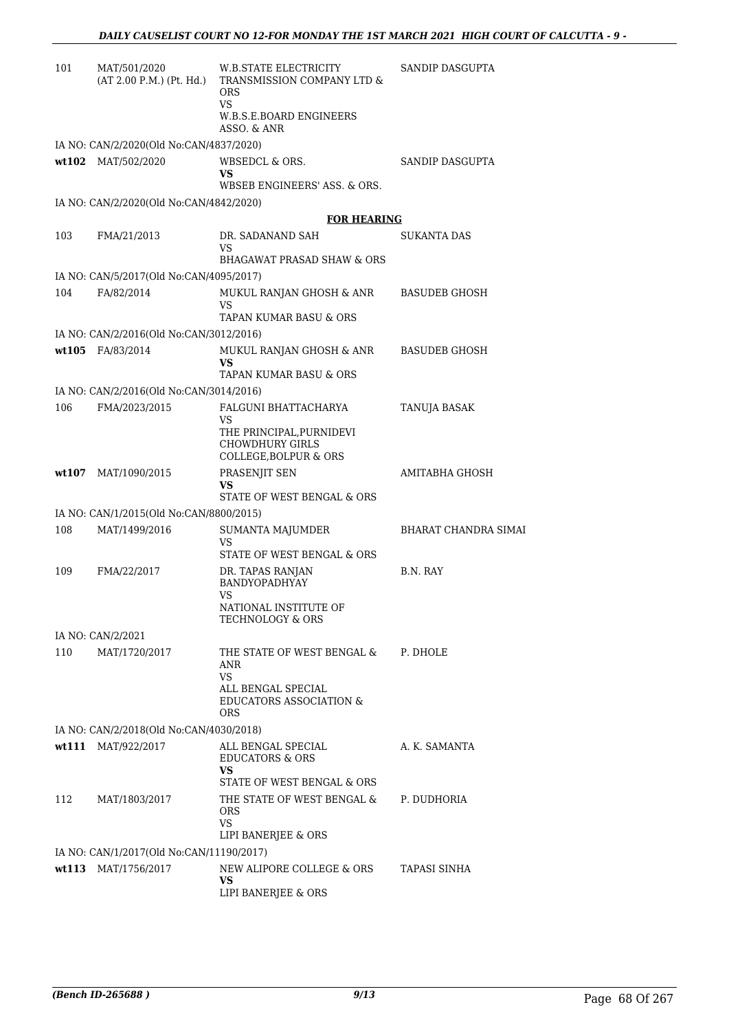| 101   | MAT/501/2020<br>(AT 2.00 P.M.) (Pt. Hd.)                 | W.B.STATE ELECTRICITY<br>TRANSMISSION COMPANY LTD &<br><b>ORS</b><br>VS                | SANDIP DASGUPTA             |
|-------|----------------------------------------------------------|----------------------------------------------------------------------------------------|-----------------------------|
|       |                                                          | W.B.S.E.BOARD ENGINEERS<br>ASSO. & ANR                                                 |                             |
|       | IA NO: CAN/2/2020(Old No:CAN/4837/2020)                  |                                                                                        |                             |
|       | wt102 MAT/502/2020                                       | WBSEDCL & ORS.<br>VS.                                                                  | SANDIP DASGUPTA             |
|       |                                                          | WBSEB ENGINEERS' ASS. & ORS.                                                           |                             |
|       | IA NO: CAN/2/2020(Old No:CAN/4842/2020)                  |                                                                                        |                             |
|       |                                                          | <b>FOR HEARING</b>                                                                     |                             |
| 103   | FMA/21/2013                                              | DR. SADANAND SAH<br>VS<br><b>BHAGAWAT PRASAD SHAW &amp; ORS</b>                        | SUKANTA DAS                 |
|       | IA NO: CAN/5/2017(Old No:CAN/4095/2017)                  |                                                                                        |                             |
| 104   | FA/82/2014                                               | MUKUL RANJAN GHOSH & ANR                                                               | <b>BASUDEB GHOSH</b>        |
|       |                                                          | VS<br>TAPAN KUMAR BASU & ORS                                                           |                             |
|       | IA NO: CAN/2/2016(Old No:CAN/3012/2016)                  |                                                                                        |                             |
|       | wt105 FA/83/2014                                         | MUKUL RANJAN GHOSH & ANR<br>VS.                                                        | <b>BASUDEB GHOSH</b>        |
|       |                                                          | TAPAN KUMAR BASU & ORS                                                                 |                             |
| 106   | IA NO: CAN/2/2016(Old No:CAN/3014/2016)<br>FMA/2023/2015 | FALGUNI BHATTACHARYA                                                                   | TANUJA BASAK                |
|       |                                                          | VS                                                                                     |                             |
|       |                                                          | THE PRINCIPAL, PURNIDEVI<br><b>CHOWDHURY GIRLS</b><br><b>COLLEGE, BOLPUR &amp; ORS</b> |                             |
| wt107 | MAT/1090/2015                                            | PRASENJIT SEN<br>VS<br>STATE OF WEST BENGAL & ORS                                      | AMITABHA GHOSH              |
|       | IA NO: CAN/1/2015(Old No:CAN/8800/2015)                  |                                                                                        |                             |
| 108   | MAT/1499/2016                                            | SUMANTA MAJUMDER                                                                       | <b>BHARAT CHANDRA SIMAI</b> |
|       |                                                          | VS<br>STATE OF WEST BENGAL & ORS                                                       |                             |
| 109   | FMA/22/2017                                              | DR. TAPAS RANJAN<br><b>BANDYOPADHYAY</b>                                               | B.N. RAY                    |
|       |                                                          | VS<br>NATIONAL INSTITUTE OF<br>TECHNOLOGY & ORS                                        |                             |
|       | IA NO: CAN/2/2021                                        |                                                                                        |                             |
| 110   | MAT/1720/2017                                            | THE STATE OF WEST BENGAL &<br>ANR<br>VS.                                               | P. DHOLE                    |
|       |                                                          | ALL BENGAL SPECIAL<br><b>EDUCATORS ASSOCIATION &amp;</b><br><b>ORS</b>                 |                             |
|       | IA NO: CAN/2/2018(Old No:CAN/4030/2018)                  |                                                                                        |                             |
|       | wt111 MAT/922/2017                                       | ALL BENGAL SPECIAL<br><b>EDUCATORS &amp; ORS</b><br><b>VS</b>                          | A. K. SAMANTA               |
|       |                                                          | STATE OF WEST BENGAL & ORS                                                             |                             |
| 112   | MAT/1803/2017                                            | THE STATE OF WEST BENGAL &<br>ORS<br>VS                                                | P. DUDHORIA                 |
|       |                                                          | LIPI BANERJEE & ORS                                                                    |                             |
|       | IA NO: CAN/1/2017(Old No:CAN/11190/2017)                 |                                                                                        |                             |
|       | wt113 MAT/1756/2017                                      | NEW ALIPORE COLLEGE & ORS<br>VS                                                        | TAPASI SINHA                |
|       |                                                          | LIPI BANERJEE & ORS                                                                    |                             |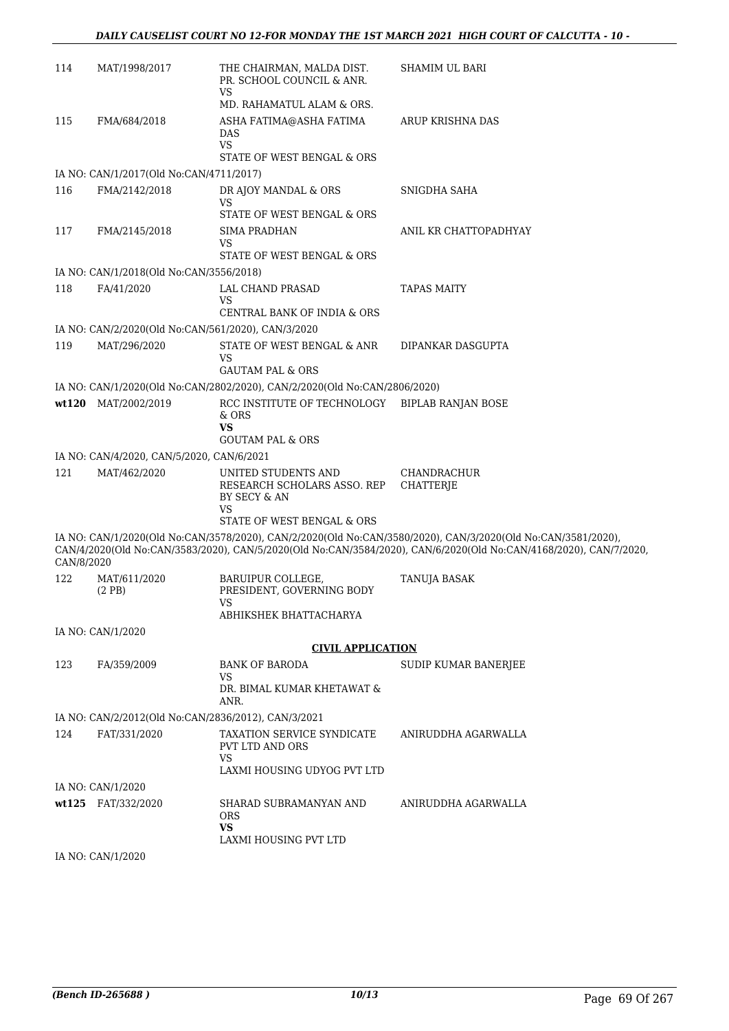| 114        | MAT/1998/2017                                       | THE CHAIRMAN, MALDA DIST.<br>PR. SCHOOL COUNCIL & ANR.<br><b>VS</b>              | SHAMIM UL BARI                                                                                                                                                                                                                    |
|------------|-----------------------------------------------------|----------------------------------------------------------------------------------|-----------------------------------------------------------------------------------------------------------------------------------------------------------------------------------------------------------------------------------|
|            |                                                     | MD. RAHAMATUL ALAM & ORS.                                                        |                                                                                                                                                                                                                                   |
| 115        | FMA/684/2018                                        | ASHA FATIMA@ASHA FATIMA<br><b>DAS</b><br><b>VS</b><br>STATE OF WEST BENGAL & ORS | ARUP KRISHNA DAS                                                                                                                                                                                                                  |
|            | IA NO: CAN/1/2017(Old No:CAN/4711/2017)             |                                                                                  |                                                                                                                                                                                                                                   |
| 116        | FMA/2142/2018                                       | DR AJOY MANDAL & ORS                                                             | SNIGDHA SAHA                                                                                                                                                                                                                      |
|            |                                                     | VS<br>STATE OF WEST BENGAL & ORS                                                 |                                                                                                                                                                                                                                   |
| 117        | FMA/2145/2018                                       | SIMA PRADHAN                                                                     | ANIL KR CHATTOPADHYAY                                                                                                                                                                                                             |
|            |                                                     | VS<br>STATE OF WEST BENGAL & ORS                                                 |                                                                                                                                                                                                                                   |
|            | IA NO: CAN/1/2018(Old No:CAN/3556/2018)             |                                                                                  |                                                                                                                                                                                                                                   |
| 118        | FA/41/2020                                          | LAL CHAND PRASAD<br>VS<br>CENTRAL BANK OF INDIA & ORS                            | TAPAS MAITY                                                                                                                                                                                                                       |
|            | IA NO: CAN/2/2020(Old No:CAN/561/2020), CAN/3/2020  |                                                                                  |                                                                                                                                                                                                                                   |
| 119        | MAT/296/2020                                        | STATE OF WEST BENGAL & ANR<br>VS                                                 | DIPANKAR DASGUPTA                                                                                                                                                                                                                 |
|            |                                                     | <b>GAUTAM PAL &amp; ORS</b>                                                      |                                                                                                                                                                                                                                   |
|            |                                                     | IA NO: CAN/1/2020(Old No:CAN/2802/2020), CAN/2/2020(Old No:CAN/2806/2020)        |                                                                                                                                                                                                                                   |
|            | wt120 MAT/2002/2019                                 | RCC INSTITUTE OF TECHNOLOGY BIPLAB RANJAN BOSE<br>& ORS<br><b>VS</b>             |                                                                                                                                                                                                                                   |
|            |                                                     | <b>GOUTAM PAL &amp; ORS</b>                                                      |                                                                                                                                                                                                                                   |
|            | IA NO: CAN/4/2020, CAN/5/2020, CAN/6/2021           |                                                                                  |                                                                                                                                                                                                                                   |
| 121        | MAT/462/2020                                        | UNITED STUDENTS AND<br>RESEARCH SCHOLARS ASSO. REP<br>BY SECY & AN<br>VS         | <b>CHANDRACHUR</b><br><b>CHATTERJE</b>                                                                                                                                                                                            |
|            |                                                     | STATE OF WEST BENGAL & ORS                                                       |                                                                                                                                                                                                                                   |
| CAN/8/2020 |                                                     |                                                                                  | IA NO: CAN/1/2020(Old No:CAN/3578/2020), CAN/2/2020(Old No:CAN/3580/2020), CAN/3/2020(Old No:CAN/3581/2020),<br>CAN/4/2020(Old No:CAN/3583/2020), CAN/5/2020(Old No:CAN/3584/2020), CAN/6/2020(Old No:CAN/4168/2020), CAN/7/2020, |
| 122        | MAT/611/2020<br>(2PB)                               | BARUIPUR COLLEGE,<br>PRESIDENT, GOVERNING BODY<br>VS                             | TANUJA BASAK                                                                                                                                                                                                                      |
|            |                                                     | ABHIKSHEK BHATTACHARYA                                                           |                                                                                                                                                                                                                                   |
|            | IA NO: CAN/1/2020                                   |                                                                                  |                                                                                                                                                                                                                                   |
|            |                                                     | <b>CIVIL APPLICATION</b>                                                         |                                                                                                                                                                                                                                   |
| 123        | FA/359/2009                                         | <b>BANK OF BARODA</b><br>VS                                                      | SUDIP KUMAR BANERJEE                                                                                                                                                                                                              |
|            |                                                     | DR. BIMAL KUMAR KHETAWAT &<br>ANR.                                               |                                                                                                                                                                                                                                   |
|            | IA NO: CAN/2/2012(Old No:CAN/2836/2012), CAN/3/2021 |                                                                                  |                                                                                                                                                                                                                                   |
| 124        | FAT/331/2020                                        | TAXATION SERVICE SYNDICATE<br>PVT LTD AND ORS<br>VS                              | ANIRUDDHA AGARWALLA                                                                                                                                                                                                               |
|            |                                                     | LAXMI HOUSING UDYOG PVT LTD                                                      |                                                                                                                                                                                                                                   |
|            | IA NO: CAN/1/2020                                   |                                                                                  |                                                                                                                                                                                                                                   |
|            | wt125 FAT/332/2020                                  | SHARAD SUBRAMANYAN AND<br><b>ORS</b><br>VS.                                      | ANIRUDDHA AGARWALLA                                                                                                                                                                                                               |
|            |                                                     | LAXMI HOUSING PVT LTD                                                            |                                                                                                                                                                                                                                   |
|            | IA NO: CAN/1/2020                                   |                                                                                  |                                                                                                                                                                                                                                   |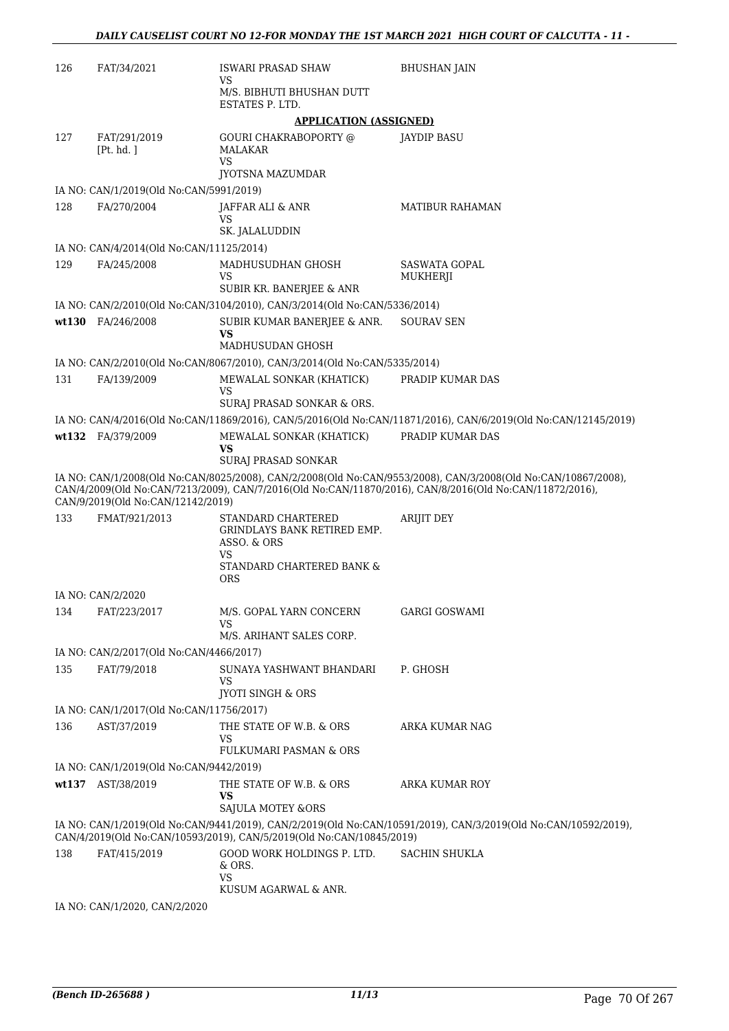| 126 | FAT/34/2021                              | <b>ISWARI PRASAD SHAW</b>                                                                          | <b>BHUSHAN JAIN</b>                                                                                                                                                                                                      |
|-----|------------------------------------------|----------------------------------------------------------------------------------------------------|--------------------------------------------------------------------------------------------------------------------------------------------------------------------------------------------------------------------------|
|     |                                          | VS<br>M/S. BIBHUTI BHUSHAN DUTT<br>ESTATES P. LTD.                                                 |                                                                                                                                                                                                                          |
|     |                                          | <b>APPLICATION (ASSIGNED)</b>                                                                      |                                                                                                                                                                                                                          |
| 127 | FAT/291/2019<br>[Pt. hd. ]               | <b>GOURI CHAKRABOPORTY @</b><br>MALAKAR<br>VS                                                      | JAYDIP BASU                                                                                                                                                                                                              |
|     | IA NO: CAN/1/2019(Old No:CAN/5991/2019)  | JYOTSNA MAZUMDAR                                                                                   |                                                                                                                                                                                                                          |
| 128 | FA/270/2004                              | <b>JAFFAR ALI &amp; ANR</b>                                                                        | <b>MATIBUR RAHAMAN</b>                                                                                                                                                                                                   |
|     |                                          | VS<br>SK. JALALUDDIN                                                                               |                                                                                                                                                                                                                          |
|     | IA NO: CAN/4/2014(Old No:CAN/11125/2014) |                                                                                                    |                                                                                                                                                                                                                          |
| 129 | FA/245/2008                              | MADHUSUDHAN GHOSH<br>VS<br>SUBIR KR. BANERJEE & ANR                                                | SASWATA GOPAL<br>MUKHERJI                                                                                                                                                                                                |
|     |                                          | IA NO: CAN/2/2010(Old No:CAN/3104/2010), CAN/3/2014(Old No:CAN/5336/2014)                          |                                                                                                                                                                                                                          |
|     | wt130 FA/246/2008                        | SUBIR KUMAR BANERJEE & ANR.<br>VS<br>MADHUSUDAN GHOSH                                              | SOURAV SEN                                                                                                                                                                                                               |
|     |                                          | IA NO: CAN/2/2010(Old No:CAN/8067/2010), CAN/3/2014(Old No:CAN/5335/2014)                          |                                                                                                                                                                                                                          |
| 131 | FA/139/2009                              | MEWALAL SONKAR (KHATICK)                                                                           | PRADIP KUMAR DAS                                                                                                                                                                                                         |
|     |                                          | VS                                                                                                 |                                                                                                                                                                                                                          |
|     |                                          | SURAJ PRASAD SONKAR & ORS.                                                                         |                                                                                                                                                                                                                          |
|     | wt132 FA/379/2009                        | MEWALAL SONKAR (KHATICK)                                                                           | IA NO: CAN/4/2016(Old No:CAN/11869/2016), CAN/5/2016(Old No:CAN/11871/2016), CAN/6/2019(Old No:CAN/12145/2019)<br>PRADIP KUMAR DAS                                                                                       |
|     |                                          | VS<br>SURAJ PRASAD SONKAR                                                                          |                                                                                                                                                                                                                          |
|     | CAN/9/2019(Old No:CAN/12142/2019)        |                                                                                                    | IA NO: CAN/1/2008(Old No:CAN/8025/2008), CAN/2/2008(Old No:CAN/9553/2008), CAN/3/2008(Old No:CAN/10867/2008),<br>CAN/4/2009(Old No:CAN/7213/2009), CAN/7/2016(Old No:CAN/11870/2016), CAN/8/2016(Old No:CAN/11872/2016), |
| 133 | FMAT/921/2013                            | STANDARD CHARTERED<br>GRINDLAYS BANK RETIRED EMP.<br>ASSO. & ORS<br>VS                             | <b>ARIJIT DEY</b>                                                                                                                                                                                                        |
|     |                                          | STANDARD CHARTERED BANK &<br><b>ORS</b>                                                            |                                                                                                                                                                                                                          |
|     | IA NO: CAN/2/2020                        |                                                                                                    |                                                                                                                                                                                                                          |
| 134 | FAT/223/2017                             | M/S. GOPAL YARN CONCERN<br>VS                                                                      | <b>GARGI GOSWAMI</b>                                                                                                                                                                                                     |
|     |                                          | M/S. ARIHANT SALES CORP.                                                                           |                                                                                                                                                                                                                          |
|     | IA NO: CAN/2/2017(Old No:CAN/4466/2017)  |                                                                                                    |                                                                                                                                                                                                                          |
| 135 | FAT/79/2018                              | SUNAYA YASHWANT BHANDARI<br>VS<br><b>JYOTI SINGH &amp; ORS</b>                                     | P. GHOSH                                                                                                                                                                                                                 |
|     | IA NO: CAN/1/2017(Old No:CAN/11756/2017) |                                                                                                    |                                                                                                                                                                                                                          |
| 136 | AST/37/2019                              | THE STATE OF W.B. & ORS<br>VS<br>FULKUMARI PASMAN & ORS                                            | ARKA KUMAR NAG                                                                                                                                                                                                           |
|     | IA NO: CAN/1/2019(Old No:CAN/9442/2019)  |                                                                                                    |                                                                                                                                                                                                                          |
|     | wt137 AST/38/2019                        | THE STATE OF W.B. & ORS<br>VS                                                                      | ARKA KUMAR ROY                                                                                                                                                                                                           |
|     |                                          | <b>SAJULA MOTEY &amp;ORS</b>                                                                       | IA NO: CAN/1/2019(Old No:CAN/9441/2019), CAN/2/2019(Old No:CAN/10591/2019), CAN/3/2019(Old No:CAN/10592/2019),                                                                                                           |
|     |                                          | CAN/4/2019(Old No:CAN/10593/2019), CAN/5/2019(Old No:CAN/10845/2019)<br>GOOD WORK HOLDINGS P. LTD. | SACHIN SHUKLA                                                                                                                                                                                                            |
| 138 | FAT/415/2019                             | & ORS.<br>VS<br>KUSUM AGARWAL & ANR.                                                               |                                                                                                                                                                                                                          |
|     | $IA$ $NQ$ $CAN11/2020$ $CAN12/2020$      |                                                                                                    |                                                                                                                                                                                                                          |

IA NO: CAN/1/2020, CAN/2/2020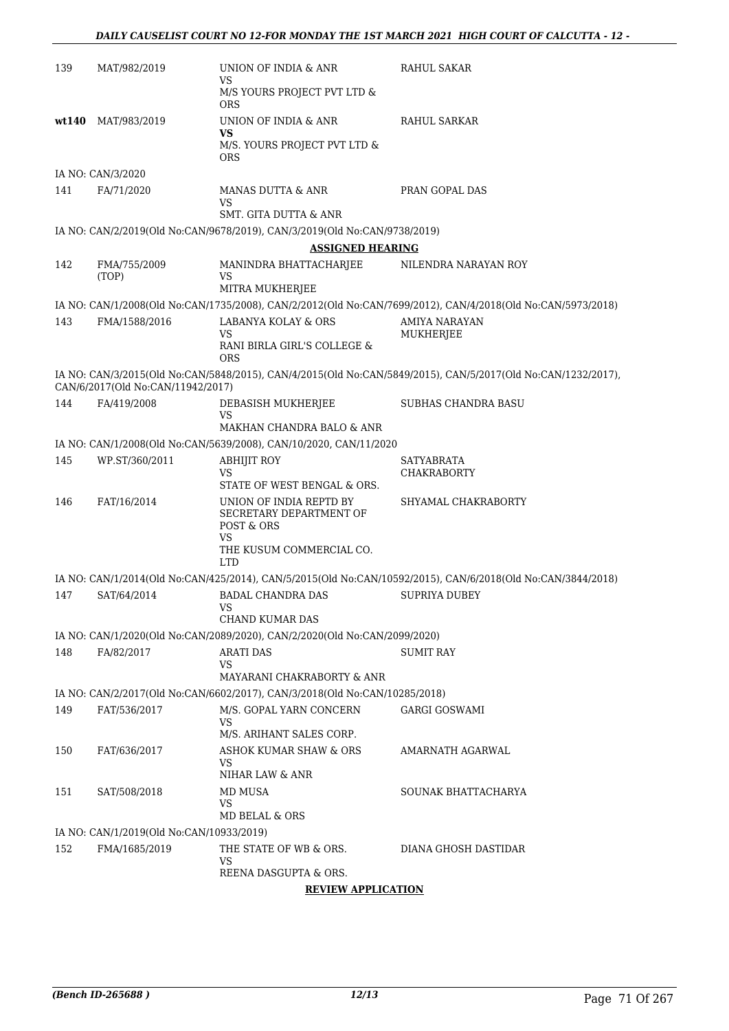| 139   | MAT/982/2019                             | UNION OF INDIA & ANR<br>VS                                                 | RAHUL SAKAR                                                                                                  |
|-------|------------------------------------------|----------------------------------------------------------------------------|--------------------------------------------------------------------------------------------------------------|
|       |                                          | M/S YOURS PROJECT PVT LTD &<br><b>ORS</b>                                  |                                                                                                              |
| wt140 | MAT/983/2019                             | UNION OF INDIA & ANR<br>VS                                                 | RAHUL SARKAR                                                                                                 |
|       |                                          | M/S. YOURS PROJECT PVT LTD &<br><b>ORS</b>                                 |                                                                                                              |
|       | IA NO: CAN/3/2020                        |                                                                            |                                                                                                              |
| 141   | FA/71/2020                               | MANAS DUTTA & ANR<br>VS<br>SMT. GITA DUTTA & ANR                           | PRAN GOPAL DAS                                                                                               |
|       |                                          | IA NO: CAN/2/2019(Old No:CAN/9678/2019), CAN/3/2019(Old No:CAN/9738/2019)  |                                                                                                              |
|       |                                          | <b>ASSIGNED HEARING</b>                                                    |                                                                                                              |
| 142   | FMA/755/2009                             | MANINDRA BHATTACHARJEE                                                     | NILENDRA NARAYAN ROY                                                                                         |
|       | (TOP)                                    | VS                                                                         |                                                                                                              |
|       |                                          | MITRA MUKHERJEE                                                            |                                                                                                              |
|       |                                          |                                                                            | IA NO: CAN/1/2008(Old No:CAN/1735/2008), CAN/2/2012(Old No:CAN/7699/2012), CAN/4/2018(Old No:CAN/5973/2018)  |
| 143   | FMA/1588/2016                            | LABANYA KOLAY & ORS                                                        | AMIYA NARAYAN                                                                                                |
|       |                                          | VS<br>RANI BIRLA GIRL'S COLLEGE &                                          | MUKHERJEE                                                                                                    |
|       |                                          | <b>ORS</b>                                                                 |                                                                                                              |
|       | CAN/6/2017(Old No:CAN/11942/2017)        |                                                                            | IA NO: CAN/3/2015(Old No:CAN/5848/2015), CAN/4/2015(Old No:CAN/5849/2015), CAN/5/2017(Old No:CAN/1232/2017), |
| 144   | FA/419/2008                              | DEBASISH MUKHERJEE<br>VS                                                   | <b>SUBHAS CHANDRA BASU</b>                                                                                   |
|       |                                          | MAKHAN CHANDRA BALO & ANR                                                  |                                                                                                              |
|       |                                          | IA NO: CAN/1/2008(Old No:CAN/5639/2008), CAN/10/2020, CAN/11/2020          |                                                                                                              |
| 145   | WP.ST/360/2011                           | ABHIJIT ROY                                                                | SATYABRATA                                                                                                   |
|       |                                          | VS                                                                         | <b>CHAKRABORTY</b>                                                                                           |
|       |                                          | STATE OF WEST BENGAL & ORS.                                                |                                                                                                              |
| 146   | FAT/16/2014                              | UNION OF INDIA REPTD BY<br>SECRETARY DEPARTMENT OF<br>POST & ORS           | SHYAMAL CHAKRABORTY                                                                                          |
|       |                                          | VS<br>THE KUSUM COMMERCIAL CO.<br><b>LTD</b>                               |                                                                                                              |
|       |                                          |                                                                            | IA NO: CAN/1/2014(Old No:CAN/425/2014), CAN/5/2015(Old No:CAN/10592/2015), CAN/6/2018(Old No:CAN/3844/2018)  |
| 147   | SAT/64/2014                              | <b>BADAL CHANDRA DAS</b><br><b>VS</b>                                      | <b>SUPRIYA DUBEY</b>                                                                                         |
|       |                                          | CHAND KUMAR DAS                                                            |                                                                                                              |
|       |                                          | IA NO: CAN/1/2020(Old No:CAN/2089/2020), CAN/2/2020(Old No:CAN/2099/2020)  |                                                                                                              |
| 148   | FA/82/2017                               | <b>ARATI DAS</b><br>VS                                                     | SUMIT RAY                                                                                                    |
|       |                                          | MAYARANI CHAKRABORTY & ANR                                                 |                                                                                                              |
|       |                                          | IA NO: CAN/2/2017(Old No:CAN/6602/2017), CAN/3/2018(Old No:CAN/10285/2018) |                                                                                                              |
| 149   | FAT/536/2017                             | M/S. GOPAL YARN CONCERN<br>VS                                              | <b>GARGI GOSWAMI</b>                                                                                         |
|       |                                          | M/S. ARIHANT SALES CORP.                                                   |                                                                                                              |
| 150   | FAT/636/2017                             | <b>ASHOK KUMAR SHAW &amp; ORS</b><br>VS<br>NIHAR LAW & ANR                 | AMARNATH AGARWAL                                                                                             |
|       |                                          |                                                                            |                                                                                                              |
| 151   | SAT/508/2018                             | MD MUSA<br>VS<br>MD BELAL & ORS                                            | SOUNAK BHATTACHARYA                                                                                          |
|       | IA NO: CAN/1/2019(Old No:CAN/10933/2019) |                                                                            |                                                                                                              |
| 152   | FMA/1685/2019                            | THE STATE OF WB & ORS.                                                     | DIANA GHOSH DASTIDAR                                                                                         |
|       |                                          | VS<br>REENA DASGUPTA & ORS.                                                |                                                                                                              |
|       |                                          |                                                                            |                                                                                                              |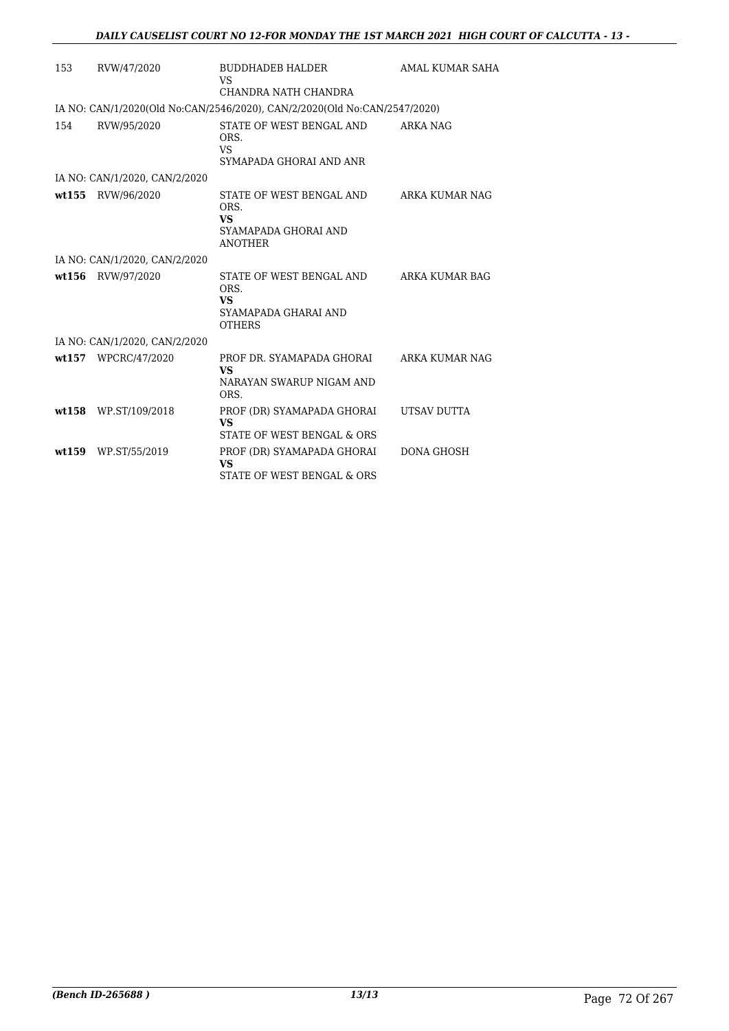|        |                               | <b>BUDDHADEB HALDER</b>                                                          | AMAL KUMAR SAHA |
|--------|-------------------------------|----------------------------------------------------------------------------------|-----------------|
| 153    | RVW/47/2020                   | VS                                                                               |                 |
|        |                               | CHANDRA NATH CHANDRA                                                             |                 |
|        |                               | IA NO: CAN/1/2020(Old No:CAN/2546/2020), CAN/2/2020(Old No:CAN/2547/2020)        |                 |
| 154    | RVW/95/2020                   | STATE OF WEST BENGAL AND<br>ORS.<br><b>VS</b><br>SYMAPADA GHORAI AND ANR         | ARKA NAG        |
|        |                               |                                                                                  |                 |
|        | IA NO: CAN/1/2020, CAN/2/2020 |                                                                                  |                 |
| wt155  | RVW/96/2020                   | STATE OF WEST BENGAL AND<br>ORS.<br>VS<br>SYAMAPADA GHORAI AND<br><b>ANOTHER</b> | ARKA KUMAR NAG  |
|        | IA NO: CAN/1/2020, CAN/2/2020 |                                                                                  |                 |
| wt156  | RVW/97/2020                   | STATE OF WEST BENGAL AND<br>ORS.<br>VS<br>SYAMAPADA GHARAI AND<br><b>OTHERS</b>  | ARKA KUMAR BAG  |
|        | IA NO: CAN/1/2020, CAN/2/2020 |                                                                                  |                 |
|        | wt157 WPCRC/47/2020           | PROF DR. SYAMAPADA GHORAI<br>VS<br>NARAYAN SWARUP NIGAM AND<br>ORS.              | ARKA KUMAR NAG  |
| wt.158 | WP.ST/109/2018                | PROF (DR) SYAMAPADA GHORAI<br><b>VS</b><br>STATE OF WEST BENGAL & ORS            | UTSAV DUTTA     |
| wt159  | WP.ST/55/2019                 | PROF (DR) SYAMAPADA GHORAI<br><b>VS</b><br>STATE OF WEST BENGAL & ORS            | DONA GHOSH      |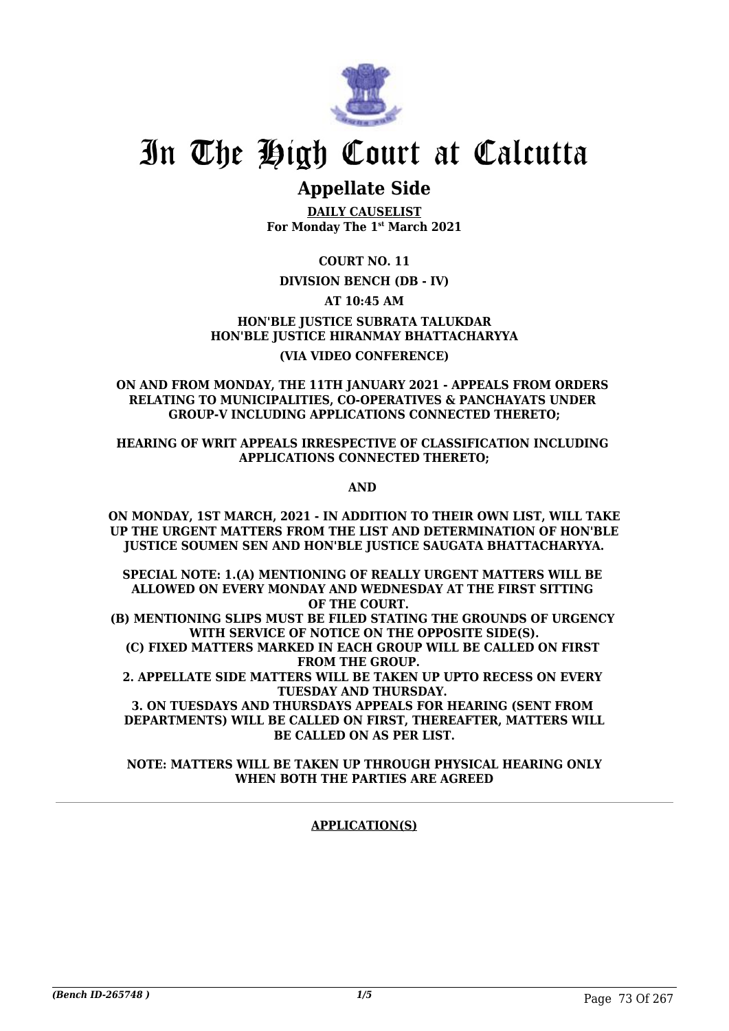

# In The High Court at Calcutta

# **Appellate Side**

**DAILY CAUSELIST For Monday The 1st March 2021**

**COURT NO. 11**

# **DIVISION BENCH (DB - IV)**

**AT 10:45 AM**

**HON'BLE JUSTICE SUBRATA TALUKDAR HON'BLE JUSTICE HIRANMAY BHATTACHARYYA (VIA VIDEO CONFERENCE)**

### **ON AND FROM MONDAY, THE 11TH JANUARY 2021 - APPEALS FROM ORDERS RELATING TO MUNICIPALITIES, CO-OPERATIVES & PANCHAYATS UNDER GROUP-V INCLUDING APPLICATIONS CONNECTED THERETO;**

**HEARING OF WRIT APPEALS IRRESPECTIVE OF CLASSIFICATION INCLUDING APPLICATIONS CONNECTED THERETO;**

**AND** 

**ON MONDAY, 1ST MARCH, 2021 - IN ADDITION TO THEIR OWN LIST, WILL TAKE UP THE URGENT MATTERS FROM THE LIST AND DETERMINATION OF HON'BLE JUSTICE SOUMEN SEN AND HON'BLE JUSTICE SAUGATA BHATTACHARYYA.**

**SPECIAL NOTE: 1.(A) MENTIONING OF REALLY URGENT MATTERS WILL BE ALLOWED ON EVERY MONDAY AND WEDNESDAY AT THE FIRST SITTING OF THE COURT.** 

**(B) MENTIONING SLIPS MUST BE FILED STATING THE GROUNDS OF URGENCY WITH SERVICE OF NOTICE ON THE OPPOSITE SIDE(S).**

**(C) FIXED MATTERS MARKED IN EACH GROUP WILL BE CALLED ON FIRST FROM THE GROUP.** 

**2. APPELLATE SIDE MATTERS WILL BE TAKEN UP UPTO RECESS ON EVERY TUESDAY AND THURSDAY.** 

**3. ON TUESDAYS AND THURSDAYS APPEALS FOR HEARING (SENT FROM DEPARTMENTS) WILL BE CALLED ON FIRST, THEREAFTER, MATTERS WILL BE CALLED ON AS PER LIST.**

**NOTE: MATTERS WILL BE TAKEN UP THROUGH PHYSICAL HEARING ONLY WHEN BOTH THE PARTIES ARE AGREED**

### **APPLICATION(S)**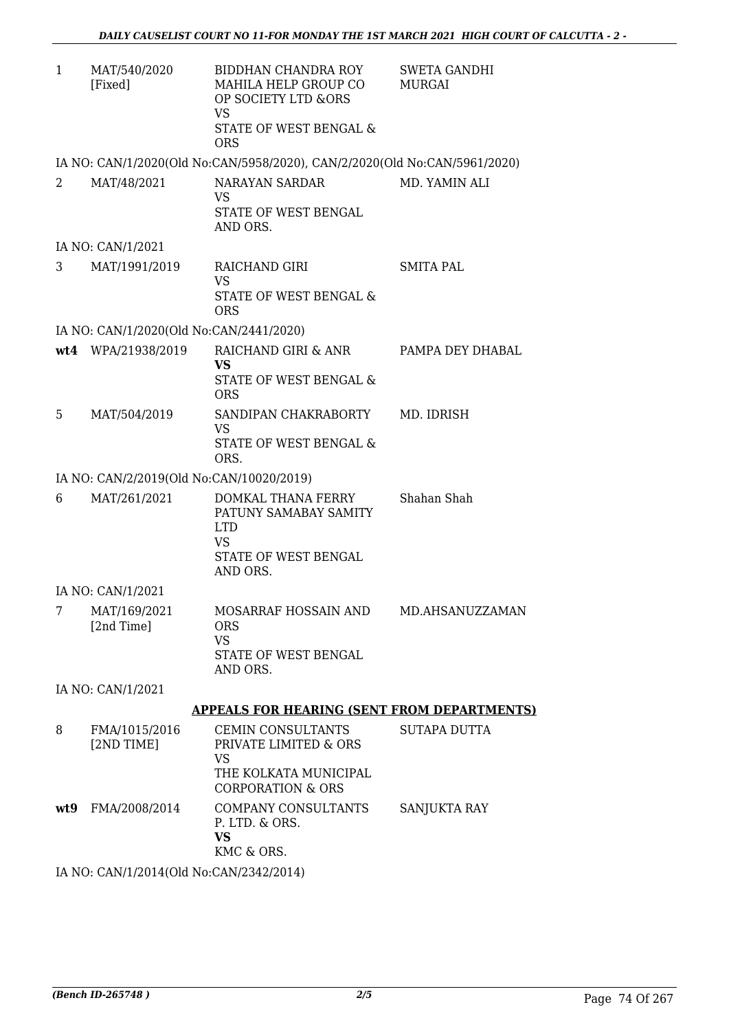| 1   | MAT/540/2020<br>[Fixed]                  | BIDDHAN CHANDRA ROY<br>MAHILA HELP GROUP CO<br>OP SOCIETY LTD &ORS<br><b>VS</b><br><b>STATE OF WEST BENGAL &amp;</b><br><b>ORS</b> | <b>SWETA GANDHI</b><br>MURGAI |
|-----|------------------------------------------|------------------------------------------------------------------------------------------------------------------------------------|-------------------------------|
|     |                                          | IA NO: CAN/1/2020(Old No:CAN/5958/2020), CAN/2/2020(Old No:CAN/5961/2020)                                                          |                               |
| 2   | MAT/48/2021                              | NARAYAN SARDAR<br><b>VS</b><br>STATE OF WEST BENGAL<br>AND ORS.                                                                    | MD. YAMIN ALI                 |
|     | IA NO: CAN/1/2021                        |                                                                                                                                    |                               |
| 3   | MAT/1991/2019                            | RAICHAND GIRI<br><b>VS</b><br><b>STATE OF WEST BENGAL &amp;</b><br><b>ORS</b>                                                      | <b>SMITA PAL</b>              |
|     | IA NO: CAN/1/2020(Old No:CAN/2441/2020)  |                                                                                                                                    |                               |
|     | wt4 WPA/21938/2019                       | RAICHAND GIRI & ANR<br><b>VS</b><br>STATE OF WEST BENGAL &<br><b>ORS</b>                                                           | PAMPA DEY DHABAL              |
| 5   | MAT/504/2019                             | SANDIPAN CHAKRABORTY<br><b>VS</b><br>STATE OF WEST BENGAL &<br>ORS.                                                                | MD. IDRISH                    |
|     | IA NO: CAN/2/2019(Old No:CAN/10020/2019) |                                                                                                                                    |                               |
| 6   | MAT/261/2021                             | DOMKAL THANA FERRY<br>PATUNY SAMABAY SAMITY<br><b>LTD</b><br><b>VS</b><br>STATE OF WEST BENGAL<br>AND ORS.                         | Shahan Shah                   |
|     | IA NO: CAN/1/2021                        |                                                                                                                                    |                               |
| 7   | MAT/169/2021<br>[2nd Time]               | MOSARRAF HOSSAIN AND<br><b>ORS</b><br><b>VS</b><br>STATE OF WEST BENGAL<br>AND ORS.                                                | MD.AHSANUZZAMAN               |
|     | IA NO: CAN/1/2021                        |                                                                                                                                    |                               |
|     |                                          | <b>APPEALS FOR HEARING (SENT FROM DEPARTMENTS)</b>                                                                                 |                               |
| 8   | FMA/1015/2016<br>[2ND TIME]              | CEMIN CONSULTANTS<br>PRIVATE LIMITED & ORS<br><b>VS</b><br>THE KOLKATA MUNICIPAL<br><b>CORPORATION &amp; ORS</b>                   | <b>SUTAPA DUTTA</b>           |
| wt9 | FMA/2008/2014                            | COMPANY CONSULTANTS<br>P. LTD. & ORS.<br><b>VS</b><br>KMC & ORS.                                                                   | SANJUKTA RAY                  |

IA NO: CAN/1/2014(Old No:CAN/2342/2014)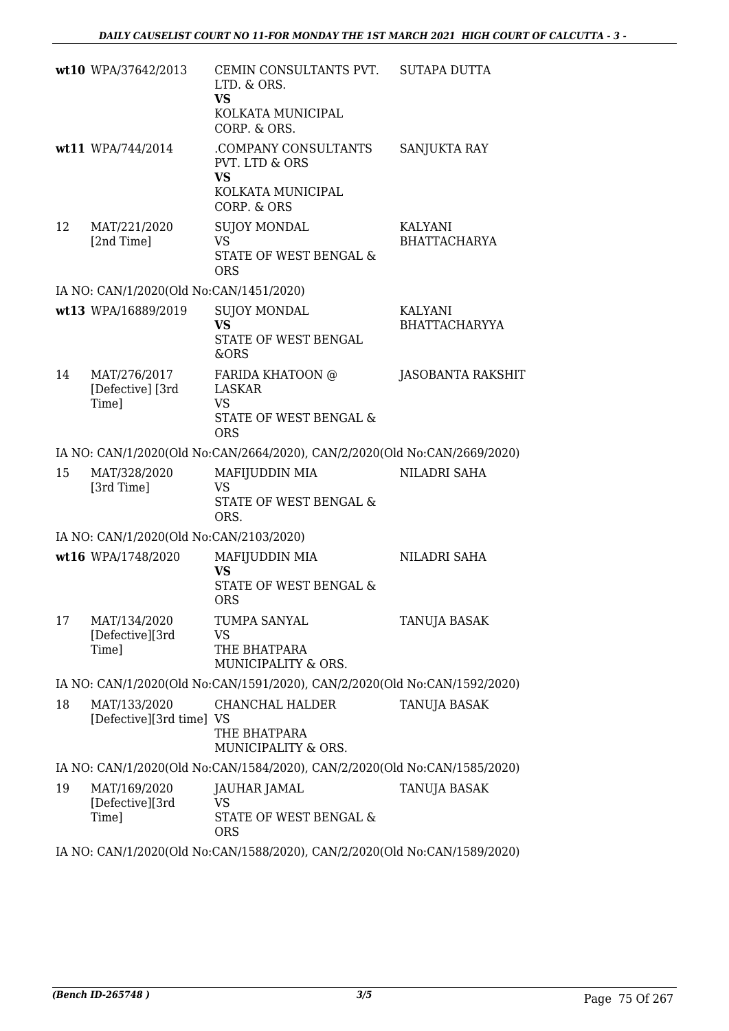|    | wt10 WPA/37642/2013                        | CEMIN CONSULTANTS PVT.<br>LTD. & ORS.<br><b>VS</b><br>KOLKATA MUNICIPAL<br>CORP. & ORS. | SUTAPA DUTTA                          |
|----|--------------------------------------------|-----------------------------------------------------------------------------------------|---------------------------------------|
|    | wt11 WPA/744/2014                          | .COMPANY CONSULTANTS<br>PVT. LTD & ORS<br><b>VS</b><br>KOLKATA MUNICIPAL<br>CORP. & ORS | SANJUKTA RAY                          |
| 12 | MAT/221/2020<br>[2nd Time]                 | <b>SUJOY MONDAL</b><br><b>VS</b><br>STATE OF WEST BENGAL &<br><b>ORS</b>                | <b>KALYANI</b><br><b>BHATTACHARYA</b> |
|    | IA NO: CAN/1/2020(Old No:CAN/1451/2020)    |                                                                                         |                                       |
|    | wt13 WPA/16889/2019                        | <b>SUJOY MONDAL</b><br><b>VS</b><br>STATE OF WEST BENGAL<br>&ORS                        | KALYANI<br><b>BHATTACHARYYA</b>       |
| 14 | MAT/276/2017<br>[Defective] [3rd]<br>Time] | FARIDA KHATOON @<br>LASKAR<br><b>VS</b><br>STATE OF WEST BENGAL &<br><b>ORS</b>         | JASOBANTA RAKSHIT                     |
|    |                                            | IA NO: CAN/1/2020(Old No:CAN/2664/2020), CAN/2/2020(Old No:CAN/2669/2020)               |                                       |
| 15 | MAT/328/2020<br>[3rd Time]                 | MAFIJUDDIN MIA<br><b>VS</b><br>STATE OF WEST BENGAL &<br>ORS.                           | NILADRI SAHA                          |
|    | IA NO: CAN/1/2020(Old No:CAN/2103/2020)    |                                                                                         |                                       |
|    | wt16 WPA/1748/2020                         | MAFIJUDDIN MIA<br><b>VS</b><br>STATE OF WEST BENGAL &<br><b>ORS</b>                     | NILADRI SAHA                          |
| 17 | MAT/134/2020<br>[Defective][3rd<br>Time]   | TUMPA SANYAL<br>VS<br>THE BHATPARA<br>MUNICIPALITY & ORS.                               | TANUJA BASAK                          |
|    |                                            | IA NO: CAN/1/2020(Old No:CAN/1591/2020), CAN/2/2020(Old No:CAN/1592/2020)               |                                       |
| 18 | MAT/133/2020<br>[Defective][3rd time] VS   | CHANCHAL HALDER<br>THE BHATPARA<br>MUNICIPALITY & ORS.                                  | TANUJA BASAK                          |
|    |                                            | IA NO: CAN/1/2020(Old No:CAN/1584/2020), CAN/2/2020(Old No:CAN/1585/2020)               |                                       |
| 19 | MAT/169/2020<br>[Defective][3rd<br>Time]   | JAUHAR JAMAL<br>VS.<br>STATE OF WEST BENGAL &<br><b>ORS</b>                             | TANUJA BASAK                          |

IA NO: CAN/1/2020(Old No:CAN/1588/2020), CAN/2/2020(Old No:CAN/1589/2020)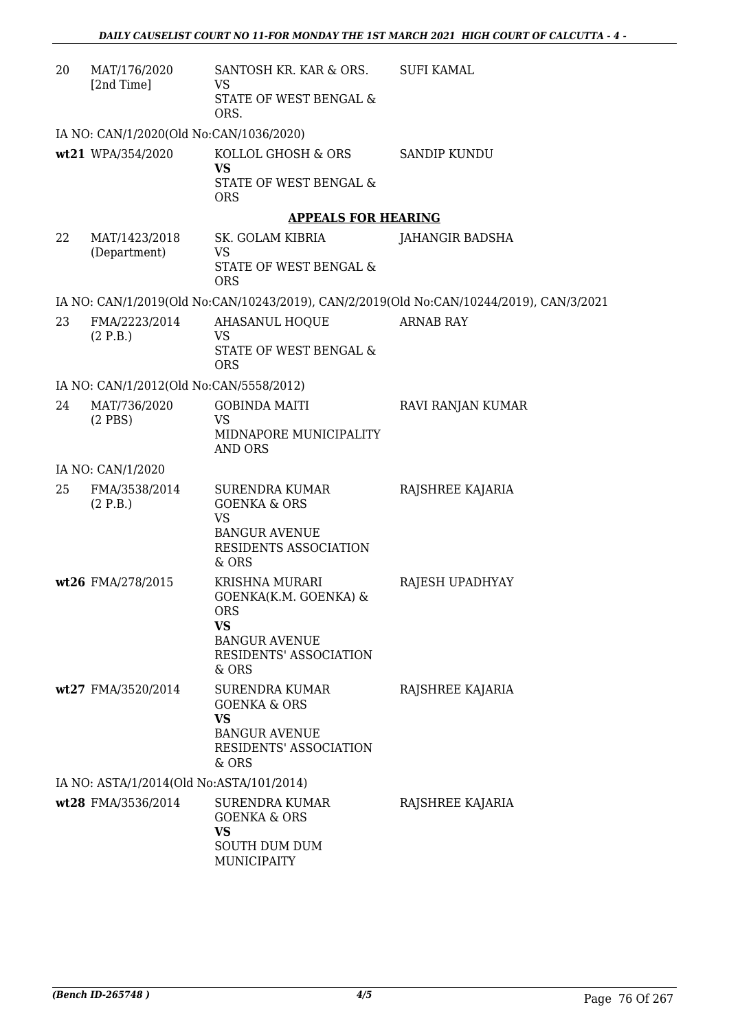| 20 | MAT/176/2020<br>[2nd Time]               | SANTOSH KR. KAR & ORS.<br>VS<br>STATE OF WEST BENGAL &<br>ORS.                                                           | <b>SUFI KAMAL</b>                                                                       |
|----|------------------------------------------|--------------------------------------------------------------------------------------------------------------------------|-----------------------------------------------------------------------------------------|
|    | IA NO: CAN/1/2020(Old No:CAN/1036/2020)  |                                                                                                                          |                                                                                         |
|    | wt21 WPA/354/2020                        | KOLLOL GHOSH & ORS<br><b>VS</b><br><b>STATE OF WEST BENGAL &amp;</b><br><b>ORS</b>                                       | SANDIP KUNDU                                                                            |
|    |                                          | <b>APPEALS FOR HEARING</b>                                                                                               |                                                                                         |
| 22 | MAT/1423/2018<br>(Department)            | SK. GOLAM KIBRIA<br>VS<br>STATE OF WEST BENGAL &<br><b>ORS</b>                                                           | JAHANGIR BADSHA                                                                         |
|    |                                          |                                                                                                                          | IA NO: CAN/1/2019(Old No:CAN/10243/2019), CAN/2/2019(Old No:CAN/10244/2019), CAN/3/2021 |
| 23 | FMA/2223/2014<br>(2 P.B.)                | <b>AHASANUL HOQUE</b><br><b>VS</b><br>STATE OF WEST BENGAL &<br><b>ORS</b>                                               | <b>ARNAB RAY</b>                                                                        |
|    | IA NO: CAN/1/2012(Old No:CAN/5558/2012)  |                                                                                                                          |                                                                                         |
| 24 | MAT/736/2020<br>$(2$ PBS $)$             | <b>GOBINDA MAITI</b><br><b>VS</b><br>MIDNAPORE MUNICIPALITY<br><b>AND ORS</b>                                            | RAVI RANJAN KUMAR                                                                       |
|    | IA NO: CAN/1/2020                        |                                                                                                                          |                                                                                         |
| 25 | FMA/3538/2014<br>(2 P.B.)                | <b>SURENDRA KUMAR</b><br><b>GOENKA &amp; ORS</b><br><b>VS</b><br><b>BANGUR AVENUE</b><br>RESIDENTS ASSOCIATION<br>& ORS  | RAJSHREE KAJARIA                                                                        |
|    | wt26 FMA/278/2015                        | <b>KRISHNA MURARI</b><br>GOENKA(K.M. GOENKA) &<br>ORS<br>VS<br><b>BANGUR AVENUE</b><br>RESIDENTS' ASSOCIATION<br>$&$ ORS | RAJESH UPADHYAY                                                                         |
|    | wt27 FMA/3520/2014                       | <b>SURENDRA KUMAR</b><br><b>GOENKA &amp; ORS</b><br><b>VS</b><br><b>BANGUR AVENUE</b><br>RESIDENTS' ASSOCIATION<br>& ORS | RAJSHREE KAJARIA                                                                        |
|    | IA NO: ASTA/1/2014(Old No:ASTA/101/2014) |                                                                                                                          |                                                                                         |
|    | wt28 FMA/3536/2014                       | <b>SURENDRA KUMAR</b><br><b>GOENKA &amp; ORS</b><br>VS<br><b>SOUTH DUM DUM</b><br><b>MUNICIPAITY</b>                     | RAJSHREE KAJARIA                                                                        |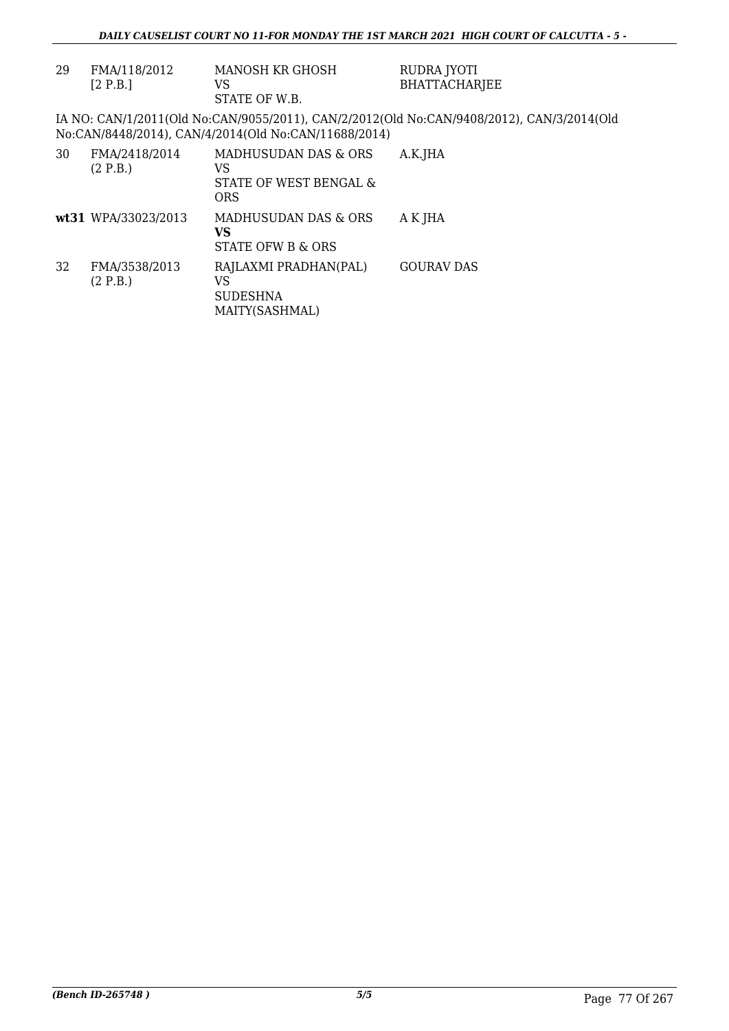| 29 | FMA/118/2012<br>[2 P.B.]  | MANOSH KR GHOSH<br>VS<br>STATE OF W.B.                             | RUDRA JYOTI<br><b>BHATTACHARIEE</b>                                                       |
|----|---------------------------|--------------------------------------------------------------------|-------------------------------------------------------------------------------------------|
|    |                           | No:CAN/8448/2014), CAN/4/2014(Old No:CAN/11688/2014)               | IA NO: CAN/1/2011(Old No:CAN/9055/2011), CAN/2/2012(Old No:CAN/9408/2012), CAN/3/2014(Old |
| 30 | FMA/2418/2014<br>(2 P.B.) | MADHUSUDAN DAS & ORS<br>VS<br>STATE OF WEST BENGAL &<br><b>ORS</b> | A.K.JHA                                                                                   |
|    | wt31 WPA/33023/2013       | MADHUSUDAN DAS & ORS<br><b>VS</b><br>STATE OFW B & ORS             | A K JHA                                                                                   |
| 32 | FMA/3538/2013<br>(2 P.B.) | RAJLAXMI PRADHAN(PAL)<br>VS<br><b>SUDESHNA</b><br>MAITY(SASHMAL)   | <b>GOURAV DAS</b>                                                                         |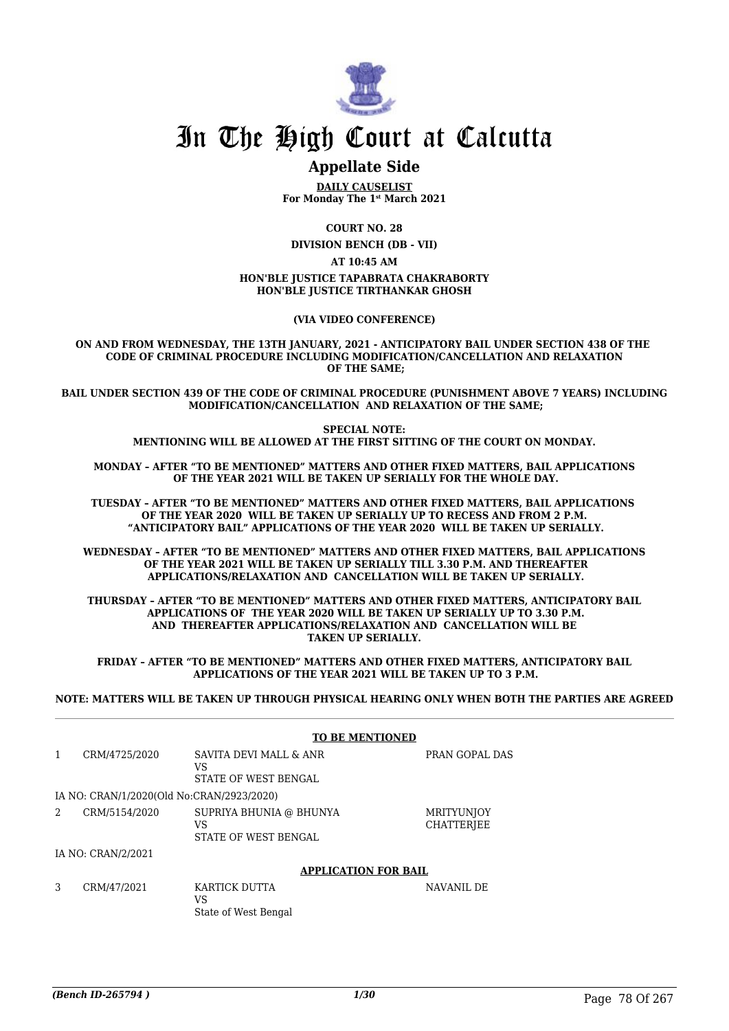

# In The High Court at Calcutta

# **Appellate Side**

**DAILY CAUSELIST For Monday The 1st March 2021**

**COURT NO. 28**

**DIVISION BENCH (DB - VII)**

**AT 10:45 AM**

#### **HON'BLE JUSTICE TAPABRATA CHAKRABORTY HON'BLE JUSTICE TIRTHANKAR GHOSH**

**(VIA VIDEO CONFERENCE)**

**ON AND FROM WEDNESDAY, THE 13TH JANUARY, 2021 - ANTICIPATORY BAIL UNDER SECTION 438 OF THE CODE OF CRIMINAL PROCEDURE INCLUDING MODIFICATION/CANCELLATION AND RELAXATION OF THE SAME;**

**BAIL UNDER SECTION 439 OF THE CODE OF CRIMINAL PROCEDURE (PUNISHMENT ABOVE 7 YEARS) INCLUDING MODIFICATION/CANCELLATION AND RELAXATION OF THE SAME;**

> **SPECIAL NOTE: MENTIONING WILL BE ALLOWED AT THE FIRST SITTING OF THE COURT ON MONDAY.**

**MONDAY – AFTER "TO BE MENTIONED" MATTERS AND OTHER FIXED MATTERS, BAIL APPLICATIONS OF THE YEAR 2021 WILL BE TAKEN UP SERIALLY FOR THE WHOLE DAY.**

**TUESDAY – AFTER "TO BE MENTIONED" MATTERS AND OTHER FIXED MATTERS, BAIL APPLICATIONS OF THE YEAR 2020 WILL BE TAKEN UP SERIALLY UP TO RECESS AND FROM 2 P.M. "ANTICIPATORY BAIL" APPLICATIONS OF THE YEAR 2020 WILL BE TAKEN UP SERIALLY.**

**WEDNESDAY – AFTER "TO BE MENTIONED" MATTERS AND OTHER FIXED MATTERS, BAIL APPLICATIONS OF THE YEAR 2021 WILL BE TAKEN UP SERIALLY TILL 3.30 P.M. AND THEREAFTER APPLICATIONS/RELAXATION AND CANCELLATION WILL BE TAKEN UP SERIALLY.**

**THURSDAY – AFTER "TO BE MENTIONED" MATTERS AND OTHER FIXED MATTERS, ANTICIPATORY BAIL APPLICATIONS OF THE YEAR 2020 WILL BE TAKEN UP SERIALLY UP TO 3.30 P.M. AND THEREAFTER APPLICATIONS/RELAXATION AND CANCELLATION WILL BE TAKEN UP SERIALLY.**

**FRIDAY – AFTER "TO BE MENTIONED" MATTERS AND OTHER FIXED MATTERS, ANTICIPATORY BAIL APPLICATIONS OF THE YEAR 2021 WILL BE TAKEN UP TO 3 P.M.**

**NOTE: MATTERS WILL BE TAKEN UP THROUGH PHYSICAL HEARING ONLY WHEN BOTH THE PARTIES ARE AGREED**

|                |                                           |                                                       | <b>TO BE MENTIONED</b>      |                                        |
|----------------|-------------------------------------------|-------------------------------------------------------|-----------------------------|----------------------------------------|
|                |                                           |                                                       |                             |                                        |
| $\mathbf{1}$   | CRM/4725/2020                             | SAVITA DEVI MALL & ANR<br>VS<br>STATE OF WEST BENGAL  |                             | PRAN GOPAL DAS                         |
|                | IA NO: CRAN/1/2020(Old No:CRAN/2923/2020) |                                                       |                             |                                        |
| $\overline{2}$ | CRM/5154/2020                             | SUPRIYA BHUNIA @ BHUNYA<br>VS<br>STATE OF WEST BENGAL |                             | <b>MRITYUNJOY</b><br><b>CHATTERIEE</b> |
|                | IA NO: CRAN/2/2021                        |                                                       |                             |                                        |
|                |                                           |                                                       | <b>APPLICATION FOR BAIL</b> |                                        |
| 3              | CRM/47/2021                               | KARTICK DUTTA<br>VS<br>State of West Bengal           |                             | NAVANIL DE                             |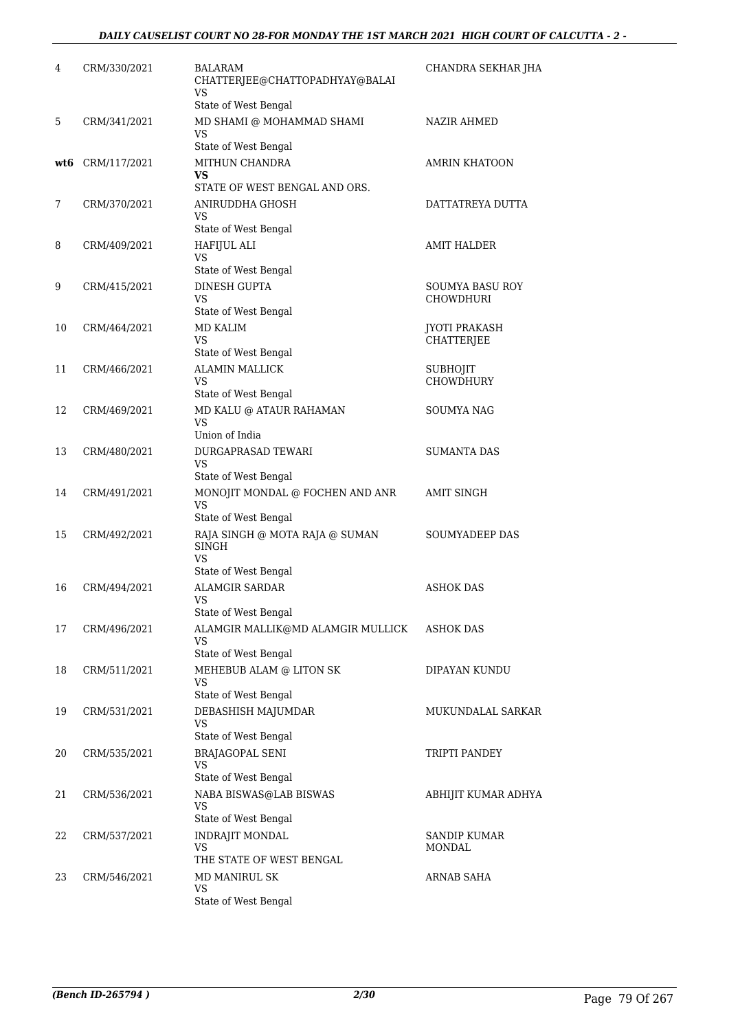| 4   | CRM/330/2021 | BALARAM<br>CHATTERJEE@CHATTOPADHYAY@BALAI<br><b>VS</b>        | CHANDRA SEKHAR JHA                 |
|-----|--------------|---------------------------------------------------------------|------------------------------------|
|     |              | State of West Bengal                                          |                                    |
| 5   | CRM/341/2021 | MD SHAMI @ MOHAMMAD SHAMI<br>VS                               | NAZIR AHMED                        |
|     | CRM/117/2021 | State of West Bengal<br>MITHUN CHANDRA                        | <b>AMRIN KHATOON</b>               |
| wt6 |              | VS                                                            |                                    |
|     |              | STATE OF WEST BENGAL AND ORS.                                 |                                    |
| 7   | CRM/370/2021 | ANIRUDDHA GHOSH<br>VS                                         | DATTATREYA DUTTA                   |
|     |              | State of West Bengal                                          |                                    |
| 8   | CRM/409/2021 | <b>HAFIJUL ALI</b>                                            | AMIT HALDER                        |
|     |              | <b>VS</b><br>State of West Bengal                             |                                    |
| 9   | CRM/415/2021 | DINESH GUPTA                                                  | SOUMYA BASU ROY                    |
|     |              | VS                                                            | CHOWDHURI                          |
|     |              | State of West Bengal                                          |                                    |
| 10  | CRM/464/2021 | <b>MD KALIM</b><br><b>VS</b>                                  | <b>JYOTI PRAKASH</b><br>CHATTERJEE |
|     |              | State of West Bengal                                          |                                    |
| 11  | CRM/466/2021 | <b>ALAMIN MALLICK</b>                                         | <b>SUBHOJIT</b>                    |
|     |              | VS<br>State of West Bengal                                    | <b>CHOWDHURY</b>                   |
| 12  | CRM/469/2021 | MD KALU @ ATAUR RAHAMAN                                       | SOUMYA NAG                         |
|     |              | <b>VS</b><br>Union of India                                   |                                    |
| 13  | CRM/480/2021 | DURGAPRASAD TEWARI                                            | SUMANTA DAS                        |
|     |              | VS                                                            |                                    |
|     |              | State of West Bengal                                          |                                    |
| 14  | CRM/491/2021 | MONOJIT MONDAL @ FOCHEN AND ANR<br>VS<br>State of West Bengal | <b>AMIT SINGH</b>                  |
| 15  | CRM/492/2021 | RAJA SINGH @ MOTA RAJA @ SUMAN                                | <b>SOUMYADEEP DAS</b>              |
|     |              | <b>SINGH</b><br>VS<br>State of West Bengal                    |                                    |
| 16  | CRM/494/2021 | <b>ALAMGIR SARDAR</b>                                         | <b>ASHOK DAS</b>                   |
|     |              | <b>VS</b><br>State of West Bengal                             |                                    |
| 17  | CRM/496/2021 | ALAMGIR MALLIK@MD ALAMGIR MULLICK                             | ASHOK DAS                          |
|     |              | VS                                                            |                                    |
|     |              | State of West Bengal                                          |                                    |
| 18  | CRM/511/2021 | MEHEBUB ALAM @ LITON SK<br>VS                                 | DIPAYAN KUNDU                      |
|     |              | State of West Bengal                                          |                                    |
| 19  | CRM/531/2021 | DEBASHISH MAJUMDAR<br>VS                                      | MUKUNDALAL SARKAR                  |
| 20  | CRM/535/2021 | State of West Bengal<br><b>BRAJAGOPAL SENI</b>                | TRIPTI PANDEY                      |
|     |              | VS                                                            |                                    |
|     |              | State of West Bengal                                          |                                    |
| 21  | CRM/536/2021 | NABA BISWAS@LAB BISWAS<br>VS<br>State of West Bengal          | ABHIJIT KUMAR ADHYA                |
| 22  | CRM/537/2021 | INDRAJIT MONDAL                                               | SANDIP KUMAR                       |
|     |              | VS                                                            | MONDAL                             |
|     |              | THE STATE OF WEST BENGAL                                      |                                    |
| 23  | CRM/546/2021 | MD MANIRUL SK<br><b>VS</b>                                    | <b>ARNAB SAHA</b>                  |
|     |              | State of West Bengal                                          |                                    |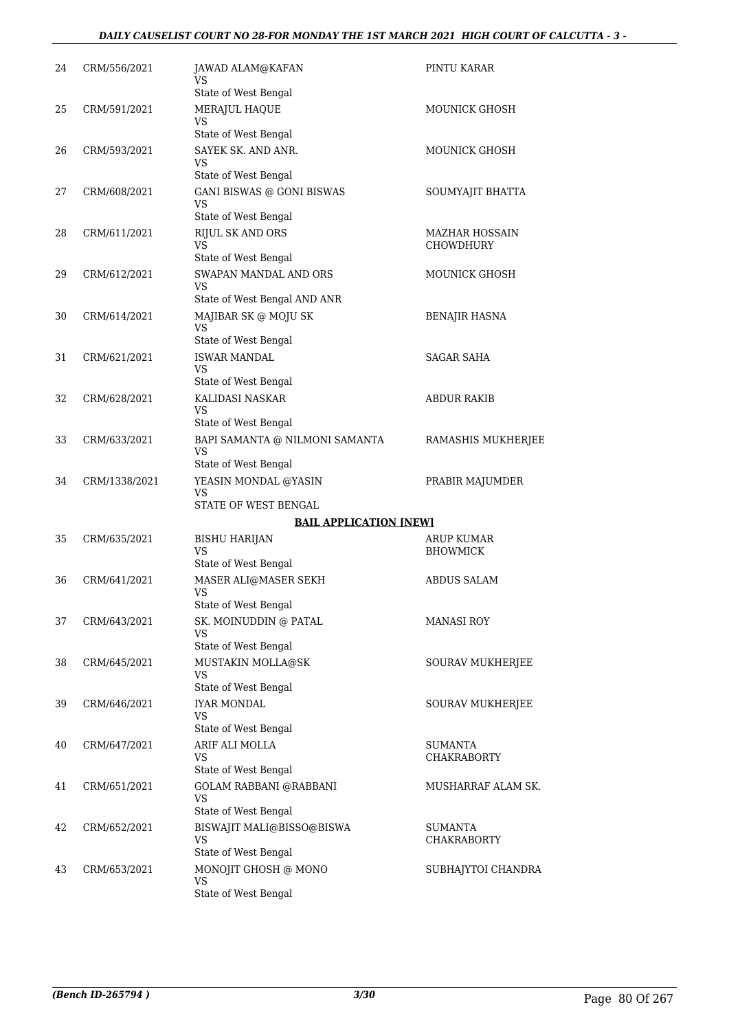# *DAILY CAUSELIST COURT NO 28-FOR MONDAY THE 1ST MARCH 2021 HIGH COURT OF CALCUTTA - 3 -*

| 24 | CRM/556/2021  | JAWAD ALAM@KAFAN<br>VS                            | PINTU KARAR                        |
|----|---------------|---------------------------------------------------|------------------------------------|
|    |               | State of West Bengal                              |                                    |
| 25 | CRM/591/2021  | MERAJUL HAQUE<br>VS                               | <b>MOUNICK GHOSH</b>               |
|    |               | State of West Bengal                              |                                    |
| 26 | CRM/593/2021  | SAYEK SK. AND ANR.                                | MOUNICK GHOSH                      |
|    |               | VS<br>State of West Bengal                        |                                    |
| 27 | CRM/608/2021  | <b>GANI BISWAS @ GONI BISWAS</b>                  | SOUMYAJIT BHATTA                   |
|    |               | <b>VS</b>                                         |                                    |
|    |               | State of West Bengal                              |                                    |
| 28 | CRM/611/2021  | <b>RIJUL SK AND ORS</b><br>VS                     | MAZHAR HOSSAIN<br><b>CHOWDHURY</b> |
|    |               | State of West Bengal                              |                                    |
| 29 | CRM/612/2021  | SWAPAN MANDAL AND ORS<br>VS                       | MOUNICK GHOSH                      |
|    |               | State of West Bengal AND ANR                      |                                    |
| 30 | CRM/614/2021  | MAJIBAR SK @ MOJU SK<br><b>VS</b>                 | BENAJIR HASNA                      |
| 31 | CRM/621/2021  | State of West Bengal<br><b>ISWAR MANDAL</b>       | SAGAR SAHA                         |
|    |               | <b>VS</b>                                         |                                    |
|    |               | State of West Bengal                              |                                    |
| 32 | CRM/628/2021  | KALIDASI NASKAR                                   | <b>ABDUR RAKIB</b>                 |
|    |               | VS<br>State of West Bengal                        |                                    |
| 33 | CRM/633/2021  | BAPI SAMANTA @ NILMONI SAMANTA<br>VS              | RAMASHIS MUKHERJEE                 |
|    |               | State of West Bengal                              |                                    |
| 34 | CRM/1338/2021 | YEASIN MONDAL @YASIN<br>VS                        | PRABIR MAJUMDER                    |
|    |               | STATE OF WEST BENGAL                              |                                    |
|    |               | <b>BAIL APPLICATION [NEW]</b>                     |                                    |
| 35 | CRM/635/2021  | <b>BISHU HARIJAN</b>                              | ARUP KUMAR                         |
|    |               | <b>VS</b><br>State of West Bengal                 | <b>BHOWMICK</b>                    |
| 36 | CRM/641/2021  | MASER ALI@MASER SEKH                              | <b>ABDUS SALAM</b>                 |
|    |               | VS                                                |                                    |
|    |               | State of West Bengal                              |                                    |
| 37 | CRM/643/2021  | SK. MOINUDDIN @ PATAL<br>VS                       | <b>MANASI ROY</b>                  |
|    |               | State of West Bengal                              |                                    |
| 38 | CRM/645/2021  | MUSTAKIN MOLLA@SK                                 | SOURAV MUKHERJEE                   |
|    |               | VS<br>State of West Bengal                        |                                    |
| 39 | CRM/646/2021  | <b>IYAR MONDAL</b>                                | SOURAV MUKHERJEE                   |
|    |               | VS<br>State of West Bengal                        |                                    |
| 40 | CRM/647/2021  | ARIF ALI MOLLA                                    | <b>SUMANTA</b>                     |
|    |               | VS                                                | <b>CHAKRABORTY</b>                 |
|    |               | State of West Bengal                              |                                    |
| 41 | CRM/651/2021  | <b>GOLAM RABBANI @RABBANI</b><br>VS               | MUSHARRAF ALAM SK.                 |
| 42 | CRM/652/2021  | State of West Bengal<br>BISWAJIT MALI@BISSO@BISWA | SUMANTA                            |
|    |               | VS                                                | CHAKRABORTY                        |
|    |               | State of West Bengal                              |                                    |
| 43 | CRM/653/2021  | MONOJIT GHOSH @ MONO<br>VS                        | SUBHAJYTOI CHANDRA                 |
|    |               | State of West Bengal                              |                                    |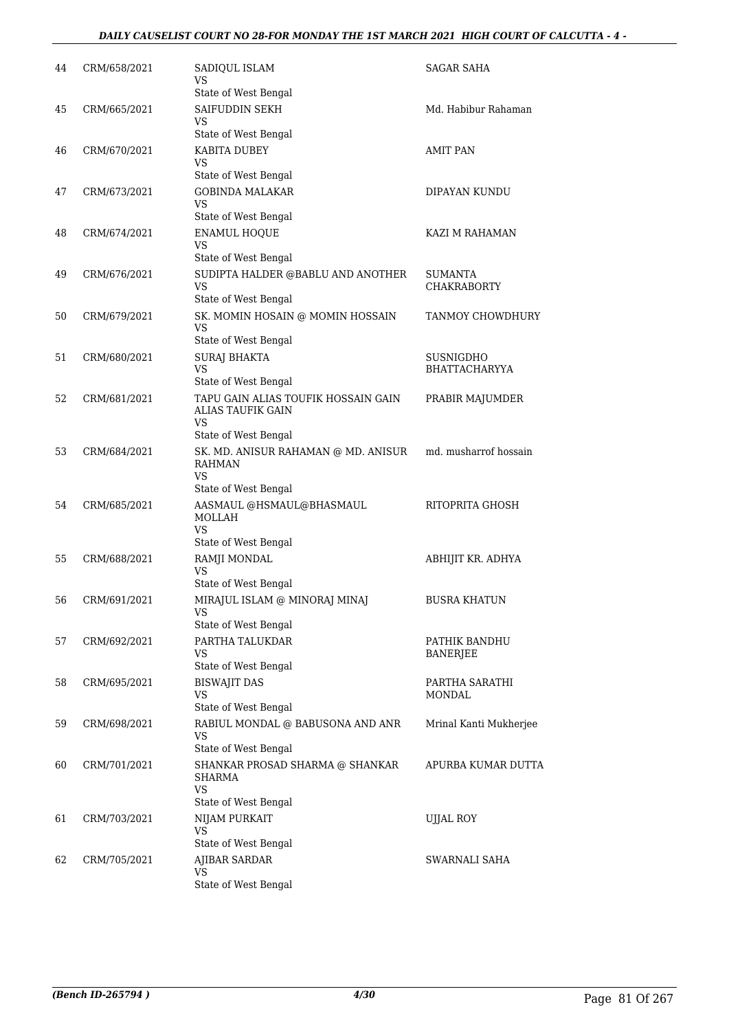# *DAILY CAUSELIST COURT NO 28-FOR MONDAY THE 1ST MARCH 2021 HIGH COURT OF CALCUTTA - 4 -*

| 44 | CRM/658/2021 | SADIQUL ISLAM<br>VS<br>State of West Bengal                                                    | SAGAR SAHA                        |
|----|--------------|------------------------------------------------------------------------------------------------|-----------------------------------|
| 45 | CRM/665/2021 | SAIFUDDIN SEKH<br>VS                                                                           | Md. Habibur Rahaman               |
| 46 | CRM/670/2021 | State of West Bengal<br>KABITA DUBEY<br>VS                                                     | <b>AMIT PAN</b>                   |
| 47 | CRM/673/2021 | State of West Bengal<br><b>GOBINDA MALAKAR</b><br>VS                                           | DIPAYAN KUNDU                     |
| 48 | CRM/674/2021 | State of West Bengal<br><b>ENAMUL HOQUE</b><br>VS                                              | <b>KAZI M RAHAMAN</b>             |
| 49 | CRM/676/2021 | State of West Bengal<br>SUDIPTA HALDER @BABLU AND ANOTHER<br><b>VS</b><br>State of West Bengal | SUMANTA<br>CHAKRABORTY            |
| 50 | CRM/679/2021 | SK. MOMIN HOSAIN @ MOMIN HOSSAIN<br>VS                                                         | TANMOY CHOWDHURY                  |
| 51 | CRM/680/2021 | State of West Bengal<br><b>SURAJ BHAKTA</b><br><b>VS</b><br>State of West Bengal               | SUSNIGDHO<br><b>BHATTACHARYYA</b> |
| 52 | CRM/681/2021 | TAPU GAIN ALIAS TOUFIK HOSSAIN GAIN<br>ALIAS TAUFIK GAIN<br>VS                                 | PRABIR MAJUMDER                   |
| 53 | CRM/684/2021 | State of West Bengal<br>SK. MD. ANISUR RAHAMAN @ MD. ANISUR<br><b>RAHMAN</b><br><b>VS</b>      | md. musharrof hossain             |
| 54 | CRM/685/2021 | State of West Bengal<br>AASMAUL @HSMAUL@BHASMAUL<br>MOLLAH<br>VS<br>State of West Bengal       | RITOPRITA GHOSH                   |
| 55 | CRM/688/2021 | RAMJI MONDAL<br>VS                                                                             | ABHIJIT KR. ADHYA                 |
| 56 | CRM/691/2021 | State of West Bengal<br>MIRAJUL ISLAM @ MINORAJ MINAJ<br>VS                                    | BUSRA KHATUN                      |
| 57 | CRM/692/2021 | State of West Bengal<br>PARTHA TALUKDAR<br>VS<br>State of West Bengal                          | PATHIK BANDHU<br>BANERJEE         |
| 58 | CRM/695/2021 | <b>BISWAJIT DAS</b><br>VS<br>State of West Bengal                                              | PARTHA SARATHI<br>MONDAL          |
| 59 | CRM/698/2021 | RABIUL MONDAL @ BABUSONA AND ANR<br>VS<br>State of West Bengal                                 | Mrinal Kanti Mukherjee            |
| 60 | CRM/701/2021 | SHANKAR PROSAD SHARMA @ SHANKAR<br>SHARMA<br><b>VS</b><br>State of West Bengal                 | APURBA KUMAR DUTTA                |
| 61 | CRM/703/2021 | NIJAM PURKAIT<br>VS<br>State of West Bengal                                                    | <b>UJJAL ROY</b>                  |
| 62 | CRM/705/2021 | AJIBAR SARDAR<br>VS<br>State of West Bengal                                                    | SWARNALI SAHA                     |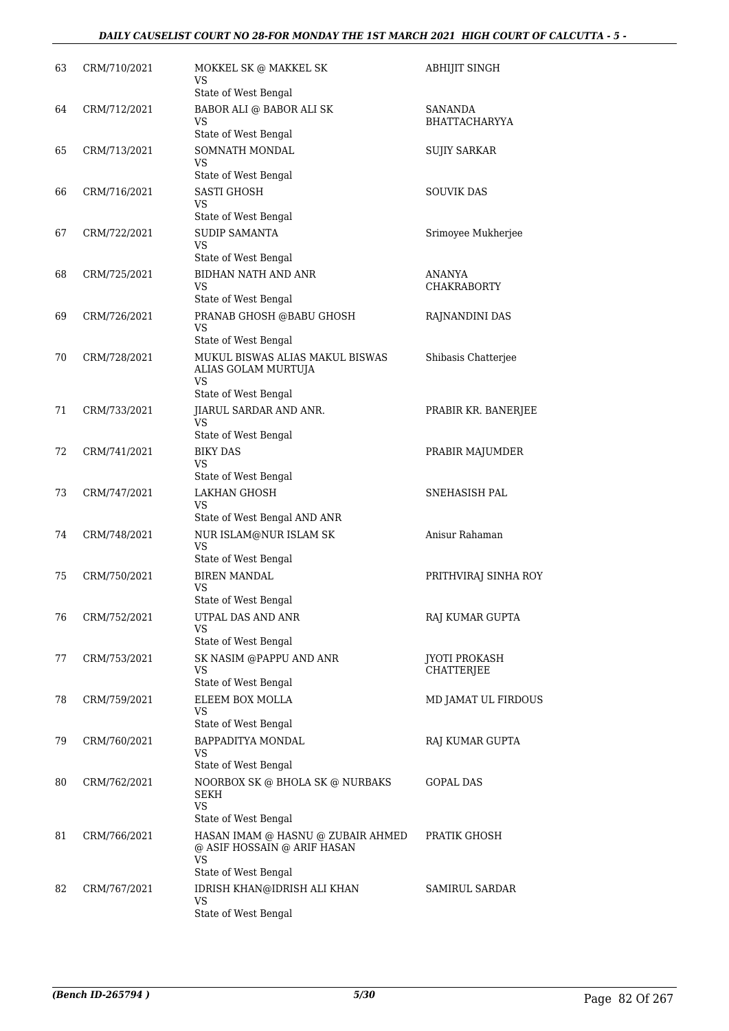| 63 | CRM/710/2021 | MOKKEL SK @ MAKKEL SK<br>VS<br>State of West Bengal                                                   | <b>ABHIJIT SINGH</b>                      |
|----|--------------|-------------------------------------------------------------------------------------------------------|-------------------------------------------|
| 64 | CRM/712/2021 | BABOR ALI @ BABOR ALI SK<br>VS<br>State of West Bengal                                                | SANANDA<br><b>BHATTACHARYYA</b>           |
| 65 | CRM/713/2021 | SOMNATH MONDAL<br>VS<br>State of West Bengal                                                          | <b>SUJIY SARKAR</b>                       |
| 66 | CRM/716/2021 | <b>SASTI GHOSH</b><br>VS                                                                              | <b>SOUVIK DAS</b>                         |
| 67 | CRM/722/2021 | State of West Bengal<br><b>SUDIP SAMANTA</b><br>VS                                                    | Srimoyee Mukherjee                        |
| 68 | CRM/725/2021 | State of West Bengal<br>BIDHAN NATH AND ANR<br>VS<br>State of West Bengal                             | ANANYA<br><b>CHAKRABORTY</b>              |
| 69 | CRM/726/2021 | PRANAB GHOSH @BABU GHOSH<br><b>VS</b><br>State of West Bengal                                         | RAJNANDINI DAS                            |
| 70 | CRM/728/2021 | MUKUL BISWAS ALIAS MAKUL BISWAS<br>ALIAS GOLAM MURTUJA<br>VS                                          | Shibasis Chatterjee                       |
| 71 | CRM/733/2021 | State of West Bengal<br>JIARUL SARDAR AND ANR.<br>VS<br>State of West Bengal                          | PRABIR KR. BANERJEE                       |
| 72 | CRM/741/2021 | <b>BIKY DAS</b><br>VS<br>State of West Bengal                                                         | PRABIR MAJUMDER                           |
| 73 | CRM/747/2021 | LAKHAN GHOSH<br>VS<br>State of West Bengal AND ANR                                                    | SNEHASISH PAL                             |
| 74 | CRM/748/2021 | NUR ISLAM@NUR ISLAM SK<br><b>VS</b><br>State of West Bengal                                           | Anisur Rahaman                            |
| 75 | CRM/750/2021 | <b>BIREN MANDAL</b><br>VS                                                                             | PRITHVIRAJ SINHA ROY                      |
| 76 | CRM/752/2021 | State of West Bengal<br>UTPAL DAS AND ANR<br>VS                                                       | RAJ KUMAR GUPTA                           |
| 77 | CRM/753/2021 | State of West Bengal<br>SK NASIM @PAPPU AND ANR<br>VS<br>State of West Bengal                         | <b>JYOTI PROKASH</b><br><b>CHATTERJEE</b> |
| 78 | CRM/759/2021 | ELEEM BOX MOLLA<br>VS<br>State of West Bengal                                                         | MD JAMAT UL FIRDOUS                       |
| 79 | CRM/760/2021 | BAPPADITYA MONDAL<br>VS<br>State of West Bengal                                                       | RAJ KUMAR GUPTA                           |
| 80 | CRM/762/2021 | NOORBOX SK @ BHOLA SK @ NURBAKS<br>SEKH<br><b>VS</b>                                                  | GOPAL DAS                                 |
| 81 | CRM/766/2021 | State of West Bengal<br>HASAN IMAM @ HASNU @ ZUBAIR AHMED<br>@ ASIF HOSSAIN @ ARIF HASAN<br><b>VS</b> | PRATIK GHOSH                              |
| 82 | CRM/767/2021 | State of West Bengal<br>IDRISH KHAN@IDRISH ALI KHAN<br>VS<br>State of West Bengal                     | SAMIRUL SARDAR                            |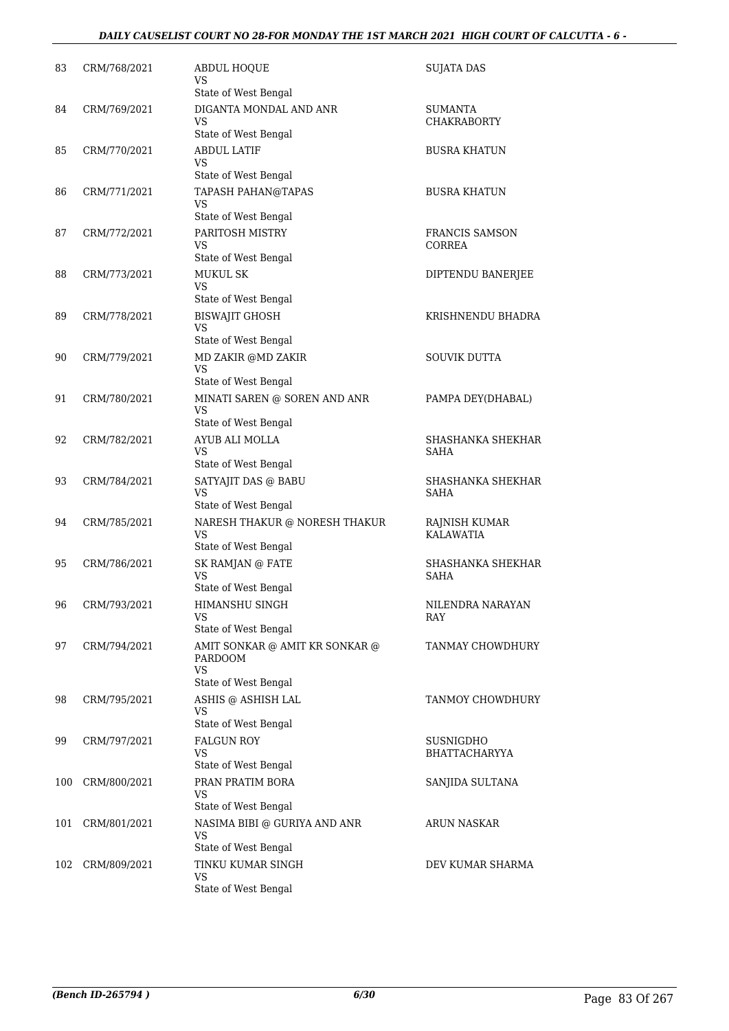| 83  | CRM/768/2021 | <b>ABDUL HOQUE</b><br>VS                                                                               | <b>SUJATA DAS</b>                       |
|-----|--------------|--------------------------------------------------------------------------------------------------------|-----------------------------------------|
| 84  | CRM/769/2021 | State of West Bengal<br>DIGANTA MONDAL AND ANR<br>VS                                                   | SUMANTA<br><b>CHAKRABORTY</b>           |
|     |              | State of West Bengal                                                                                   |                                         |
| 85  | CRM/770/2021 | <b>ABDUL LATIF</b><br>VS<br>State of West Bengal                                                       | <b>BUSRA KHATUN</b>                     |
| 86  | CRM/771/2021 | <b>TAPASH PAHAN@TAPAS</b><br>VS                                                                        | <b>BUSRA KHATUN</b>                     |
| 87  | CRM/772/2021 | State of West Bengal<br>PARITOSH MISTRY<br>VS                                                          | <b>FRANCIS SAMSON</b><br>CORREA         |
| 88  | CRM/773/2021 | State of West Bengal<br><b>MUKUL SK</b><br>VS                                                          | DIPTENDU BANERJEE                       |
| 89  | CRM/778/2021 | State of West Bengal<br><b>BISWAJIT GHOSH</b><br><b>VS</b>                                             | KRISHNENDU BHADRA                       |
| 90  | CRM/779/2021 | State of West Bengal<br>MD ZAKIR @MD ZAKIR<br><b>VS</b>                                                | <b>SOUVIK DUTTA</b>                     |
| 91  | CRM/780/2021 | State of West Bengal<br>MINATI SAREN @ SOREN AND ANR<br>VS                                             | PAMPA DEY(DHABAL)                       |
| 92  | CRM/782/2021 | State of West Bengal<br>AYUB ALI MOLLA<br>VS<br>State of West Bengal                                   | SHASHANKA SHEKHAR<br>SAHA               |
| 93  | CRM/784/2021 | SATYAJIT DAS @ BABU<br>VS<br>State of West Bengal                                                      | SHASHANKA SHEKHAR<br>SAHA               |
| 94  | CRM/785/2021 | NARESH THAKUR $\circledcirc$ NORESH THAKUR<br>VS<br>State of West Bengal                               | RAJNISH KUMAR<br><b>KALAWATIA</b>       |
| 95  | CRM/786/2021 | SK RAMJAN @ FATE<br><b>VS</b><br>State of West Bengal                                                  | <b>SHASHANKA SHEKHAR</b><br><b>SAHA</b> |
| 96  | CRM/793/2021 | HIMANSHU SINGH<br>VS                                                                                   | NILENDRA NARAYAN<br>RAY                 |
| 97  | CRM/794/2021 | State of West Bengal<br>AMIT SONKAR @ AMIT KR SONKAR @<br>PARDOOM<br><b>VS</b><br>State of West Bengal | TANMAY CHOWDHURY                        |
| 98  | CRM/795/2021 | ASHIS @ ASHISH LAL<br>VS<br>State of West Bengal                                                       | TANMOY CHOWDHURY                        |
| 99  | CRM/797/2021 | <b>FALGUN ROY</b><br>VS<br>State of West Bengal                                                        | SUSNIGDHO<br><b>BHATTACHARYYA</b>       |
| 100 | CRM/800/2021 | PRAN PRATIM BORA<br>VS<br>State of West Bengal                                                         | SANJIDA SULTANA                         |
| 101 | CRM/801/2021 | NASIMA BIBI @ GURIYA AND ANR<br>VS<br>State of West Bengal                                             | ARUN NASKAR                             |
| 102 | CRM/809/2021 | TINKU KUMAR SINGH<br>VS<br>State of West Bengal                                                        | DEV KUMAR SHARMA                        |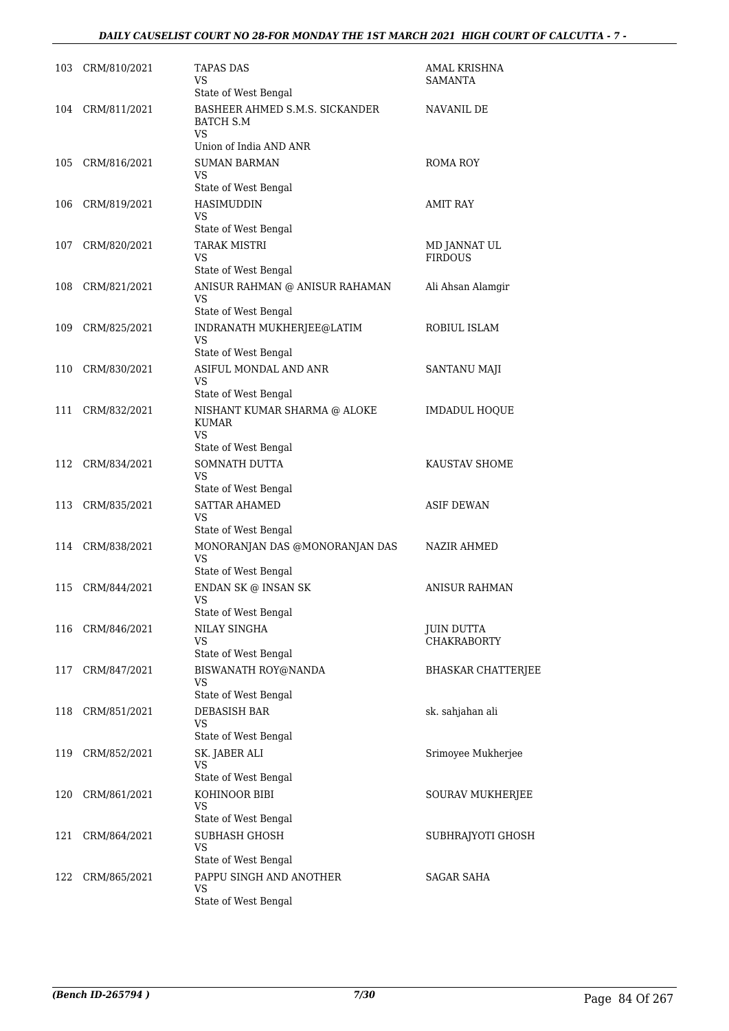| 103 | CRM/810/2021     | TAPAS DAS<br>VS<br>State of West Bengal                                                                   | AMAL KRISHNA<br>SAMANTA          |
|-----|------------------|-----------------------------------------------------------------------------------------------------------|----------------------------------|
| 104 | CRM/811/2021     | BASHEER AHMED S.M.S. SICKANDER<br>BATCH S.M<br>VS<br>Union of India AND ANR                               | NAVANIL DE                       |
| 105 | CRM/816/2021     | <b>SUMAN BARMAN</b><br>VS<br>State of West Bengal                                                         | ROMA ROY                         |
| 106 | CRM/819/2021     | HASIMUDDIN<br>VS<br>State of West Bengal                                                                  | AMIT RAY                         |
| 107 | CRM/820/2021     | <b>TARAK MISTRI</b><br>VS<br>State of West Bengal                                                         | MD JANNAT UL<br><b>FIRDOUS</b>   |
| 108 | CRM/821/2021     | ANISUR RAHMAN @ ANISUR RAHAMAN<br>VS<br>State of West Bengal                                              | Ali Ahsan Alamgir                |
| 109 | CRM/825/2021     | INDRANATH MUKHERJEE@LATIM<br><b>VS</b><br>State of West Bengal                                            | ROBIUL ISLAM                     |
| 110 | CRM/830/2021     | ASIFUL MONDAL AND ANR<br>VS                                                                               | SANTANU MAJI                     |
| 111 | CRM/832/2021     | State of West Bengal<br>NISHANT KUMAR SHARMA @ ALOKE<br><b>KUMAR</b><br><b>VS</b><br>State of West Bengal | <b>IMDADUL HOQUE</b>             |
| 112 | CRM/834/2021     | SOMNATH DUTTA<br>VS<br>State of West Bengal                                                               | KAUSTAV SHOME                    |
| 113 | CRM/835/2021     | <b>SATTAR AHAMED</b><br>VS                                                                                | <b>ASIF DEWAN</b>                |
|     | 114 CRM/838/2021 | State of West Bengal<br>MONORANJAN DAS @MONORANJAN DAS<br><b>VS</b><br>State of West Bengal               | NAZIR AHMED                      |
| 115 | CRM/844/2021     | ENDAN SK @ INSAN SK<br><b>VS</b><br>State of West Bengal                                                  | <b>ANISUR RAHMAN</b>             |
| 116 | CRM/846/2021     | <b>NILAY SINGHA</b><br>VS<br>State of West Bengal                                                         | JUIN DUTTA<br><b>CHAKRABORTY</b> |
| 117 | CRM/847/2021     | BISWANATH ROY@NANDA<br>VS<br>State of West Bengal                                                         | <b>BHASKAR CHATTERJEE</b>        |
| 118 | CRM/851/2021     | <b>DEBASISH BAR</b><br>VS<br>State of West Bengal                                                         | sk. sahjahan ali                 |
| 119 | CRM/852/2021     | SK. JABER ALI<br>VS<br>State of West Bengal                                                               | Srimoyee Mukherjee               |
| 120 | CRM/861/2021     | KOHINOOR BIBI<br>VS                                                                                       | SOURAV MUKHERJEE                 |
| 121 | CRM/864/2021     | State of West Bengal<br>SUBHASH GHOSH<br>VS                                                               | SUBHRAJYOTI GHOSH                |
| 122 | CRM/865/2021     | State of West Bengal<br>PAPPU SINGH AND ANOTHER<br>VS<br>State of West Bengal                             | <b>SAGAR SAHA</b>                |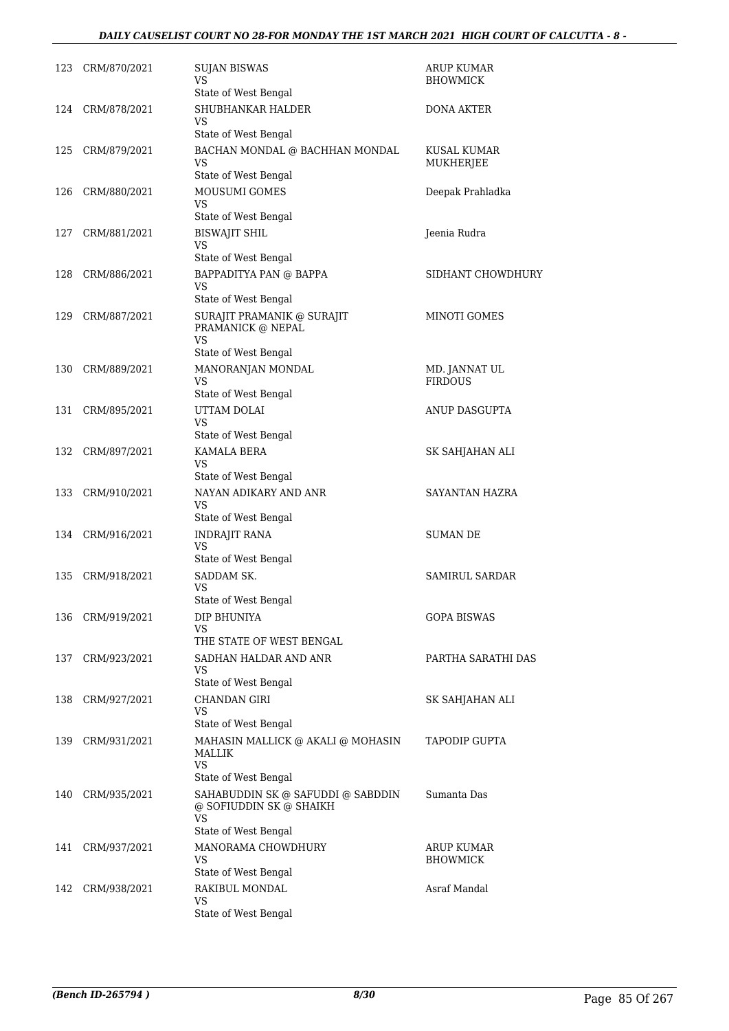# *DAILY CAUSELIST COURT NO 28-FOR MONDAY THE 1ST MARCH 2021 HIGH COURT OF CALCUTTA - 8 -*

| 123 | CRM/870/2021     | <b>SUJAN BISWAS</b><br>VS                                                                         | ARUP KUMAR<br>BHOWMICK          |
|-----|------------------|---------------------------------------------------------------------------------------------------|---------------------------------|
| 124 | CRM/878/2021     | State of West Bengal<br>SHUBHANKAR HALDER<br>VS.                                                  | DONA AKTER                      |
|     |                  | State of West Bengal                                                                              |                                 |
| 125 | CRM/879/2021     | BACHAN MONDAL @ BACHHAN MONDAL<br>VS                                                              | KUSAL KUMAR<br>MUKHERJEE        |
|     |                  | State of West Bengal                                                                              |                                 |
| 126 | CRM/880/2021     | <b>MOUSUMI GOMES</b><br>VS<br>State of West Bengal                                                | Deepak Prahladka                |
| 127 | CRM/881/2021     | <b>BISWAJIT SHIL</b><br><b>VS</b>                                                                 | Jeenia Rudra                    |
|     |                  | State of West Bengal                                                                              |                                 |
| 128 | CRM/886/2021     | BAPPADITYA PAN @ BAPPA<br>VS                                                                      | SIDHANT CHOWDHURY               |
|     |                  | State of West Bengal                                                                              |                                 |
| 129 | CRM/887/2021     | SURAJIT PRAMANIK @ SURAJIT<br>PRAMANICK @ NEPAL<br><b>VS</b>                                      | MINOTI GOMES                    |
|     |                  | State of West Bengal                                                                              |                                 |
| 130 | CRM/889/2021     | MANORANJAN MONDAL<br>VS                                                                           | MD. JANNAT UL<br><b>FIRDOUS</b> |
|     |                  | State of West Bengal                                                                              |                                 |
| 131 | CRM/895/2021     | UTTAM DOLAI<br>VS<br>State of West Bengal                                                         | ANUP DASGUPTA                   |
| 132 | CRM/897/2021     | KAMALA BERA                                                                                       | SK SAHJAHAN ALI                 |
|     |                  | VS<br>State of West Bengal                                                                        |                                 |
| 133 | CRM/910/2021     | NAYAN ADIKARY AND ANR                                                                             | SAYANTAN HAZRA                  |
|     |                  | VS<br>State of West Bengal                                                                        |                                 |
|     | 134 CRM/916/2021 | <b>INDRAJIT RANA</b><br><b>VS</b>                                                                 | SUMAN DE                        |
|     |                  | State of West Bengal                                                                              |                                 |
| 135 | CRM/918/2021     | SADDAM SK.<br>VS                                                                                  | <b>SAMIRUL SARDAR</b>           |
|     |                  | State of West Bengal                                                                              |                                 |
| 136 | CRM/919/2021     | DIP BHUNIYA<br>VS                                                                                 | <b>GOPA BISWAS</b>              |
|     |                  | THE STATE OF WEST BENGAL                                                                          |                                 |
| 137 | CRM/923/2021     | SADHAN HALDAR AND ANR<br>VS<br>State of West Bengal                                               | PARTHA SARATHI DAS              |
| 138 | CRM/927/2021     | CHANDAN GIRI                                                                                      | SK SAHJAHAN ALI                 |
|     |                  | <b>VS</b><br>State of West Bengal                                                                 |                                 |
| 139 | CRM/931/2021     | MAHASIN MALLICK @ AKALI @ MOHASIN<br>MALLIK<br><b>VS</b><br>State of West Bengal                  | TAPODIP GUPTA                   |
| 140 | CRM/935/2021     | SAHABUDDIN SK @ SAFUDDI @ SABDDIN<br>@ SOFIUDDIN SK @ SHAIKH<br><b>VS</b><br>State of West Bengal | Sumanta Das                     |
| 141 | CRM/937/2021     | MANORAMA CHOWDHURY<br>VS                                                                          | ARUP KUMAR<br><b>BHOWMICK</b>   |
|     |                  | State of West Bengal                                                                              | Asraf Mandal                    |
| 142 | CRM/938/2021     | RAKIBUL MONDAL<br>VS<br>State of West Bengal                                                      |                                 |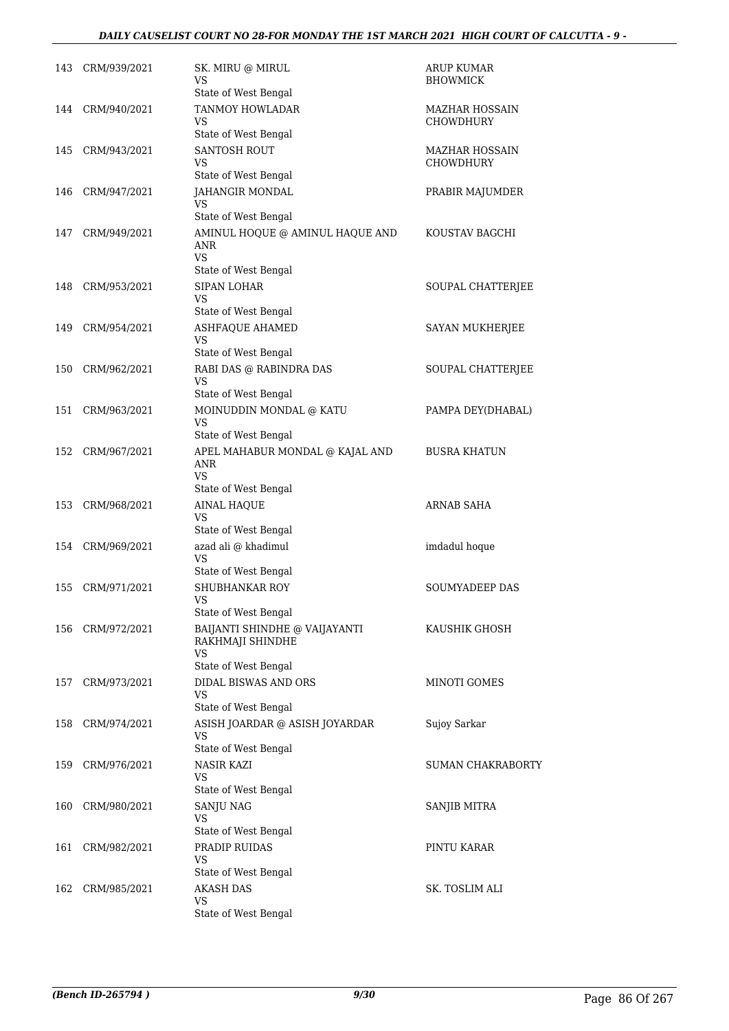| 143 | CRM/939/2021 | SK. MIRU @ MIRUL<br>VS<br>State of West Bengal                                  | <b>ARUP KUMAR</b><br><b>BHOWMICK</b>      |
|-----|--------------|---------------------------------------------------------------------------------|-------------------------------------------|
| 144 | CRM/940/2021 | <b>TANMOY HOWLADAR</b><br>VS<br>State of West Bengal                            | MAZHAR HOSSAIN<br><b>CHOWDHURY</b>        |
| 145 | CRM/943/2021 | SANTOSH ROUT<br>VS<br>State of West Bengal                                      | <b>MAZHAR HOSSAIN</b><br><b>CHOWDHURY</b> |
| 146 | CRM/947/2021 | JAHANGIR MONDAL<br>VS<br>State of West Bengal                                   | PRABIR MAJUMDER                           |
| 147 | CRM/949/2021 | AMINUL HOQUE @ AMINUL HAQUE AND<br>ANR<br><b>VS</b><br>State of West Bengal     | KOUSTAV BAGCHI                            |
| 148 | CRM/953/2021 | <b>SIPAN LOHAR</b><br>VS.<br>State of West Bengal                               | SOUPAL CHATTERJEE                         |
| 149 | CRM/954/2021 | ASHFAQUE AHAMED<br><b>VS</b><br>State of West Bengal                            | SAYAN MUKHERJEE                           |
| 150 | CRM/962/2021 | RABI DAS @ RABINDRA DAS<br>VS<br>State of West Bengal                           | SOUPAL CHATTERJEE                         |
| 151 | CRM/963/2021 | MOINUDDIN MONDAL @ KATU<br>VS<br>State of West Bengal                           | PAMPA DEY(DHABAL)                         |
| 152 | CRM/967/2021 | APEL MAHABUR MONDAL @ KAJAL AND<br>ANR<br>VS<br>State of West Bengal            | <b>BUSRA KHATUN</b>                       |
| 153 | CRM/968/2021 | <b>AINAL HAQUE</b><br>VS<br>State of West Bengal                                | ARNAB SAHA                                |
| 154 | CRM/969/2021 | azad ali @ khadimul<br>VS<br>State of West Bengal                               | imdadul hoque                             |
| 155 | CRM/971/2021 | <b>SHUBHANKAR ROY</b><br>VS<br>State of West Bengal                             | <b>SOUMYADEEP DAS</b>                     |
| 156 | CRM/972/2021 | BAIJANTI SHINDHE @ VAIJAYANTI<br>RAKHMAJI SHINDHE<br>VS<br>State of West Bengal | KAUSHIK GHOSH                             |
| 157 | CRM/973/2021 | <b>DIDAL BISWAS AND ORS</b><br>VS<br>State of West Bengal                       | <b>MINOTI GOMES</b>                       |
| 158 | CRM/974/2021 | ASISH JOARDAR @ ASISH JOYARDAR<br>VS<br>State of West Bengal                    | Sujoy Sarkar                              |
| 159 | CRM/976/2021 | NASIR KAZI<br>VS<br>State of West Bengal                                        | SUMAN CHAKRABORTY                         |
| 160 | CRM/980/2021 | SANJU NAG<br>VS<br>State of West Bengal                                         | SANJIB MITRA                              |
| 161 | CRM/982/2021 | PRADIP RUIDAS<br>VS<br>State of West Bengal                                     | PINTU KARAR                               |
| 162 | CRM/985/2021 | <b>AKASH DAS</b><br>VS<br>State of West Bengal                                  | SK. TOSLIM ALI                            |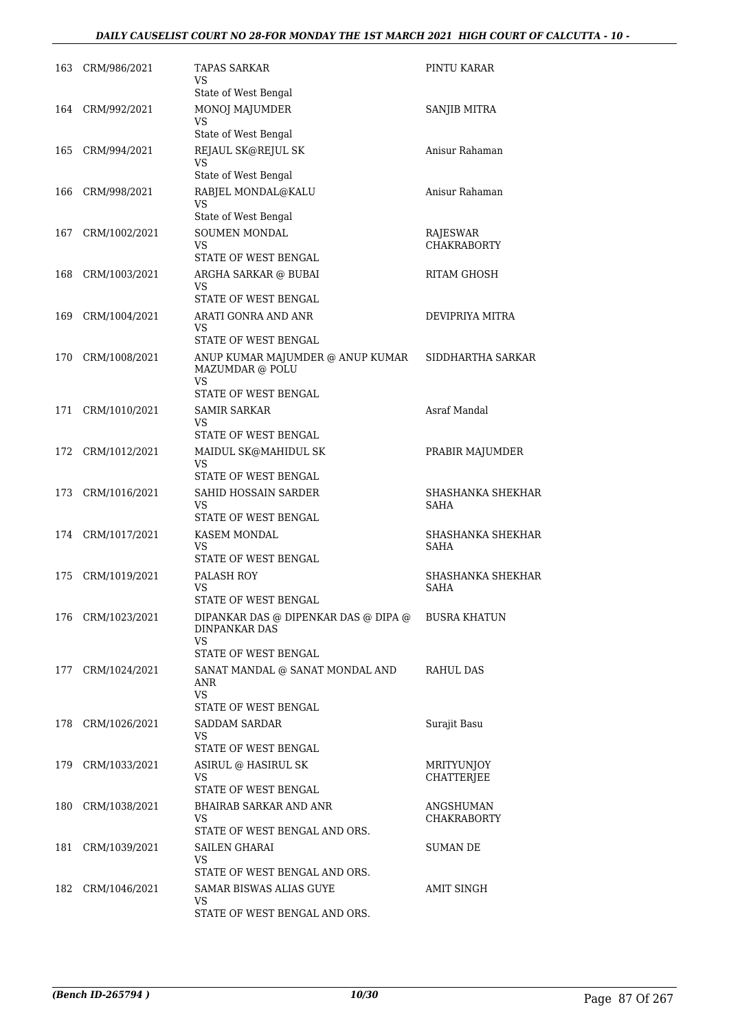# *DAILY CAUSELIST COURT NO 28-FOR MONDAY THE 1ST MARCH 2021 HIGH COURT OF CALCUTTA - 10 -*

| 163 | CRM/986/2021      | <b>TAPAS SARKAR</b><br>VS                                                                   | PINTU KARAR                      |
|-----|-------------------|---------------------------------------------------------------------------------------------|----------------------------------|
|     | 164 CRM/992/2021  | State of West Bengal<br>MONOJ MAJUMDER<br><b>VS</b>                                         | SANJIB MITRA                     |
| 165 | CRM/994/2021      | State of West Bengal<br>REJAUL SK@REJUL SK                                                  | Anisur Rahaman                   |
| 166 | CRM/998/2021      | VS<br>State of West Bengal<br>RABJEL MONDAL@KALU                                            | Anisur Rahaman                   |
|     |                   | VS<br>State of West Bengal                                                                  |                                  |
| 167 | CRM/1002/2021     | SOUMEN MONDAL<br>VS<br>STATE OF WEST BENGAL                                                 | RAJESWAR<br><b>CHAKRABORTY</b>   |
| 168 | CRM/1003/2021     | ARGHA SARKAR @ BUBAI<br>VS                                                                  | RITAM GHOSH                      |
| 169 | CRM/1004/2021     | STATE OF WEST BENGAL<br>ARATI GONRA AND ANR<br>VS                                           | DEVIPRIYA MITRA                  |
| 170 | CRM/1008/2021     | STATE OF WEST BENGAL<br>ANUP KUMAR MAJUMDER @ ANUP KUMAR<br>MAZUMDAR @ POLU<br>VS           | SIDDHARTHA SARKAR                |
| 171 | CRM/1010/2021     | STATE OF WEST BENGAL<br><b>SAMIR SARKAR</b><br>VS                                           | Asraf Mandal                     |
|     | 172 CRM/1012/2021 | STATE OF WEST BENGAL<br>MAIDUL SK@MAHIDUL SK<br>VS                                          | PRABIR MAJUMDER                  |
| 173 | CRM/1016/2021     | STATE OF WEST BENGAL<br>SAHID HOSSAIN SARDER<br>VS                                          | SHASHANKA SHEKHAR<br>SAHA        |
|     | 174 CRM/1017/2021 | STATE OF WEST BENGAL<br>KASEM MONDAL<br>VS<br>STATE OF WEST BENGAL                          | SHASHANKA SHEKHAR<br>SAHA        |
| 175 | CRM/1019/2021     | PALASH ROY<br>VS                                                                            | SHASHANKA SHEKHAR<br><b>SAHA</b> |
|     | 176 CRM/1023/2021 | STATE OF WEST BENGAL<br>DIPANKAR DAS @ DIPENKAR DAS @ DIPA @<br><b>DINPANKAR DAS</b><br>VS. | <b>BUSRA KHATUN</b>              |
| 177 | CRM/1024/2021     | STATE OF WEST BENGAL<br>SANAT MANDAL @ SANAT MONDAL AND<br>ANR<br>VS.                       | RAHUL DAS                        |
|     | 178 CRM/1026/2021 | STATE OF WEST BENGAL<br><b>SADDAM SARDAR</b><br>VS.<br>STATE OF WEST BENGAL                 | Surajit Basu                     |
|     | 179 CRM/1033/2021 | ASIRUL @ HASIRUL SK<br>VS                                                                   | MRITYUNJOY<br>CHATTERJEE         |
| 180 | CRM/1038/2021     | STATE OF WEST BENGAL<br>BHAIRAB SARKAR AND ANR<br>VS.<br>STATE OF WEST BENGAL AND ORS.      | ANGSHUMAN<br><b>CHAKRABORTY</b>  |
| 181 | CRM/1039/2021     | <b>SAILEN GHARAI</b><br>VS<br>STATE OF WEST BENGAL AND ORS.                                 | SUMAN DE                         |
| 182 | CRM/1046/2021     | SAMAR BISWAS ALIAS GUYE<br>VS<br>STATE OF WEST BENGAL AND ORS.                              | <b>AMIT SINGH</b>                |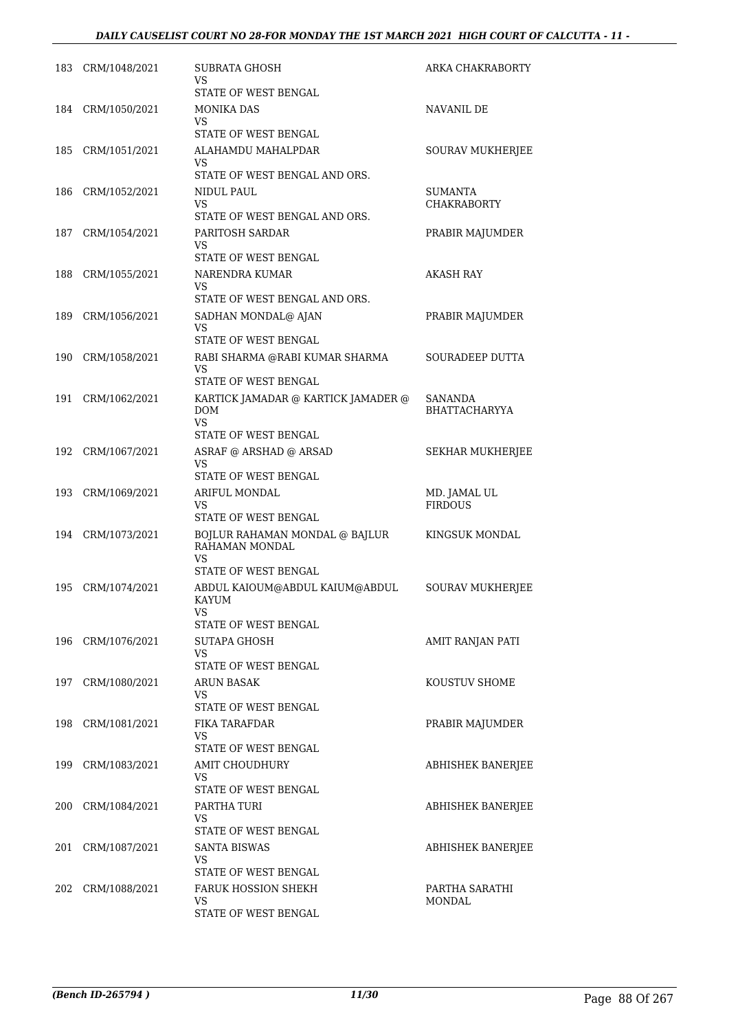| 183 | CRM/1048/2021     | SUBRATA GHOSH<br>VS.                                     | ARKA CHAKRABORTY                |
|-----|-------------------|----------------------------------------------------------|---------------------------------|
|     |                   | STATE OF WEST BENGAL                                     |                                 |
|     | 184 CRM/1050/2021 | MONIKA DAS<br>VS.                                        | NAVANIL DE                      |
|     |                   | STATE OF WEST BENGAL                                     |                                 |
| 185 | CRM/1051/2021     | ALAHAMDU MAHALPDAR                                       | SOURAV MUKHERJEE                |
|     |                   | VS.<br>STATE OF WEST BENGAL AND ORS.                     |                                 |
| 186 | CRM/1052/2021     | NIDUL PAUL                                               | <b>SUMANTA</b>                  |
|     |                   | VS                                                       | <b>CHAKRABORTY</b>              |
|     |                   | STATE OF WEST BENGAL AND ORS.                            |                                 |
| 187 | CRM/1054/2021     | PARITOSH SARDAR<br>VS.                                   | PRABIR MAJUMDER                 |
|     |                   | STATE OF WEST BENGAL                                     |                                 |
| 188 | CRM/1055/2021     | NARENDRA KUMAR<br>VS.                                    | <b>AKASH RAY</b>                |
|     |                   | STATE OF WEST BENGAL AND ORS.                            |                                 |
| 189 | CRM/1056/2021     | SADHAN MONDAL@ AJAN<br>VS<br><b>STATE OF WEST BENGAL</b> | PRABIR MAJUMDER                 |
| 190 | CRM/1058/2021     | RABI SHARMA @RABI KUMAR SHARMA                           | <b>SOURADEEP DUTTA</b>          |
|     |                   | VS.                                                      |                                 |
|     |                   | <b>STATE OF WEST BENGAL</b>                              |                                 |
| 191 | CRM/1062/2021     | KARTICK JAMADAR @ KARTICK JAMADER @<br><b>DOM</b><br>VS. | SANANDA<br><b>BHATTACHARYYA</b> |
|     |                   | STATE OF WEST BENGAL                                     |                                 |
| 192 | CRM/1067/2021     | ASRAF @ ARSHAD @ ARSAD<br>VS<br>STATE OF WEST BENGAL     | SEKHAR MUKHERJEE                |
| 193 | CRM/1069/2021     | ARIFUL MONDAL                                            | MD. JAMAL UL                    |
|     |                   | VS.                                                      | <b>FIRDOUS</b>                  |
|     | 194 CRM/1073/2021 | STATE OF WEST BENGAL<br>BOJLUR RAHAMAN MONDAL @ BAJLUR   | KINGSUK MONDAL                  |
|     |                   | RAHAMAN MONDAL<br><b>VS</b>                              |                                 |
|     |                   | STATE OF WEST BENGAL                                     |                                 |
| 195 | CRM/1074/2021     | ABDUL KAIOUM@ABDUL KAIUM@ABDUL<br>KAYUM<br>VS            | SOURAV MUKHERJEE                |
|     |                   | STATE OF WEST BENGAL                                     |                                 |
| 196 | CRM/1076/2021     | <b>SUTAPA GHOSH</b>                                      | AMIT RANJAN PATI                |
|     |                   | VS<br>STATE OF WEST BENGAL                               |                                 |
| 197 | CRM/1080/2021     | <b>ARUN BASAK</b>                                        | KOUSTUV SHOME                   |
|     |                   | VS.<br>STATE OF WEST BENGAL                              |                                 |
| 198 | CRM/1081/2021     | <b>FIKA TARAFDAR</b>                                     | PRABIR MAJUMDER                 |
|     |                   | VS                                                       |                                 |
|     |                   | STATE OF WEST BENGAL                                     |                                 |
| 199 | CRM/1083/2021     | <b>AMIT CHOUDHURY</b><br>VS                              | ABHISHEK BANERJEE               |
|     |                   | STATE OF WEST BENGAL                                     |                                 |
| 200 | CRM/1084/2021     | PARTHA TURI                                              | ABHISHEK BANERJEE               |
|     |                   | VS<br>STATE OF WEST BENGAL                               |                                 |
| 201 | CRM/1087/2021     | <b>SANTA BISWAS</b>                                      | ABHISHEK BANERJEE               |
|     |                   | VS                                                       |                                 |
|     |                   | STATE OF WEST BENGAL                                     |                                 |
| 202 | CRM/1088/2021     | <b>FARUK HOSSION SHEKH</b><br>VS                         | PARTHA SARATHI<br><b>MONDAL</b> |
|     |                   | STATE OF WEST BENGAL                                     |                                 |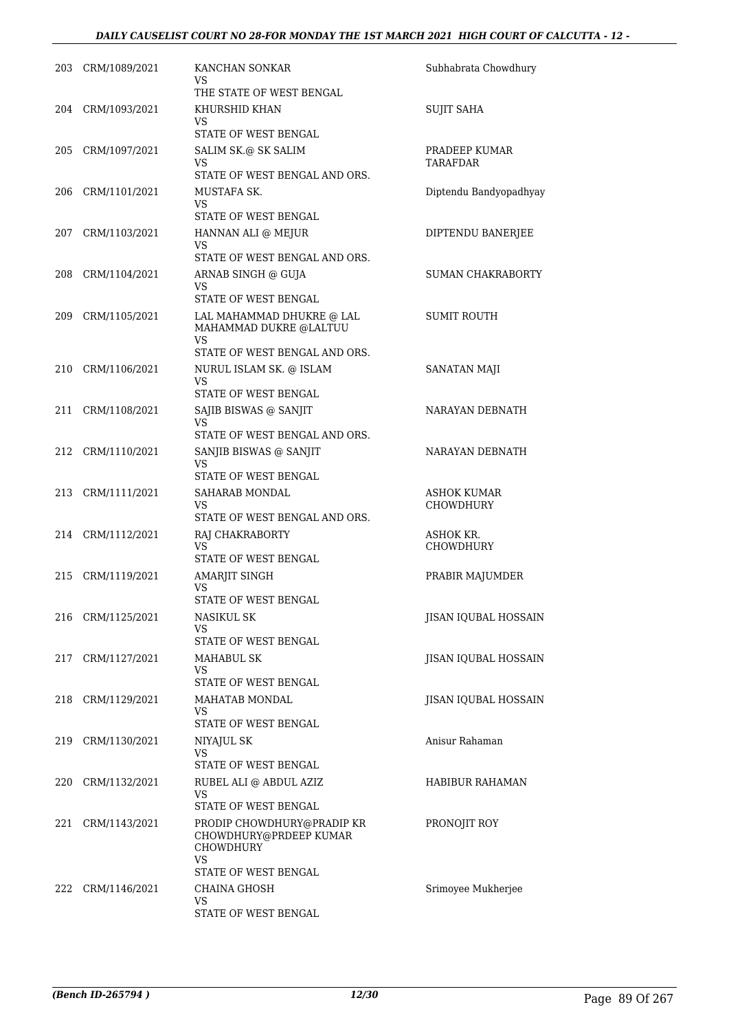# *DAILY CAUSELIST COURT NO 28-FOR MONDAY THE 1ST MARCH 2021 HIGH COURT OF CALCUTTA - 12 -*

|     | 203 CRM/1089/2021 | KANCHAN SONKAR<br>VS                                                                  | Subhabrata Chowdhury            |
|-----|-------------------|---------------------------------------------------------------------------------------|---------------------------------|
|     |                   | THE STATE OF WEST BENGAL                                                              |                                 |
|     | 204 CRM/1093/2021 | KHURSHID KHAN<br>VS                                                                   | <b>SUJIT SAHA</b>               |
|     |                   | STATE OF WEST BENGAL                                                                  |                                 |
| 205 | CRM/1097/2021     | SALIM SK.@ SK SALIM<br>VS                                                             | PRADEEP KUMAR<br>TARAFDAR       |
|     |                   | STATE OF WEST BENGAL AND ORS.                                                         |                                 |
| 206 | CRM/1101/2021     | MUSTAFA SK.<br>VS<br>STATE OF WEST BENGAL                                             | Diptendu Bandyopadhyay          |
| 207 | CRM/1103/2021     | HANNAN ALI @ MEJUR                                                                    | DIPTENDU BANERJEE               |
|     |                   | VS<br>STATE OF WEST BENGAL AND ORS.                                                   |                                 |
| 208 | CRM/1104/2021     | ARNAB SINGH @ GUJA                                                                    | SUMAN CHAKRABORTY               |
|     |                   | VS<br>STATE OF WEST BENGAL                                                            |                                 |
| 209 | CRM/1105/2021     | LAL MAHAMMAD DHUKRE @ LAL                                                             | <b>SUMIT ROUTH</b>              |
|     |                   | MAHAMMAD DUKRE @LALTUU<br>VS                                                          |                                 |
|     |                   | STATE OF WEST BENGAL AND ORS.                                                         |                                 |
| 210 | CRM/1106/2021     | NURUL ISLAM SK. @ ISLAM<br>VS                                                         | SANATAN MAJI                    |
|     |                   | STATE OF WEST BENGAL                                                                  |                                 |
| 211 | CRM/1108/2021     | SAJIB BISWAS @ SANJIT<br>VS                                                           | NARAYAN DEBNATH                 |
|     |                   | STATE OF WEST BENGAL AND ORS.                                                         |                                 |
| 212 | CRM/1110/2021     | SANJIB BISWAS @ SANJIT<br>VS                                                          | NARAYAN DEBNATH                 |
|     |                   | STATE OF WEST BENGAL                                                                  |                                 |
|     | 213 CRM/1111/2021 | SAHARAB MONDAL<br>VS<br>STATE OF WEST BENGAL AND ORS.                                 | ASHOK KUMAR<br><b>CHOWDHURY</b> |
|     |                   |                                                                                       | ASHOK KR.                       |
|     | 214 CRM/1112/2021 | RAJ CHAKRABORTY<br>VS<br>STATE OF WEST BENGAL                                         | <b>CHOWDHURY</b>                |
| 215 | CRM/1119/2021     | AMARJIT SINGH                                                                         | PRABIR MAJUMDER                 |
|     |                   | VS<br>STATE OF WEST BENGAL                                                            |                                 |
| 216 | CRM/1125/2021     | NASIKUL SK                                                                            | JISAN IQUBAL HOSSAIN            |
|     |                   | VS                                                                                    |                                 |
|     |                   | STATE OF WEST BENGAL                                                                  |                                 |
| 217 | CRM/1127/2021     | MAHABUL SK<br>VS<br>STATE OF WEST BENGAL                                              | <b>JISAN IQUBAL HOSSAIN</b>     |
|     | 218 CRM/1129/2021 | MAHATAB MONDAL                                                                        | JISAN IQUBAL HOSSAIN            |
|     |                   | VS<br>STATE OF WEST BENGAL                                                            |                                 |
| 219 | CRM/1130/2021     | NIYAJUL SK                                                                            | Anisur Rahaman                  |
|     |                   | VS<br>STATE OF WEST BENGAL                                                            |                                 |
| 220 | CRM/1132/2021     | RUBEL ALI @ ABDUL AZIZ                                                                | HABIBUR RAHAMAN                 |
|     |                   | VS<br>STATE OF WEST BENGAL                                                            |                                 |
| 221 | CRM/1143/2021     | PRODIP CHOWDHURY@PRADIP KR<br>CHOWDHURY@PRDEEP KUMAR<br><b>CHOWDHURY</b><br><b>VS</b> | PRONOJIT ROY                    |
|     |                   | STATE OF WEST BENGAL                                                                  |                                 |
| 222 | CRM/1146/2021     | <b>CHAINA GHOSH</b>                                                                   | Srimoyee Mukherjee              |
|     |                   | VS<br>STATE OF WEST BENGAL                                                            |                                 |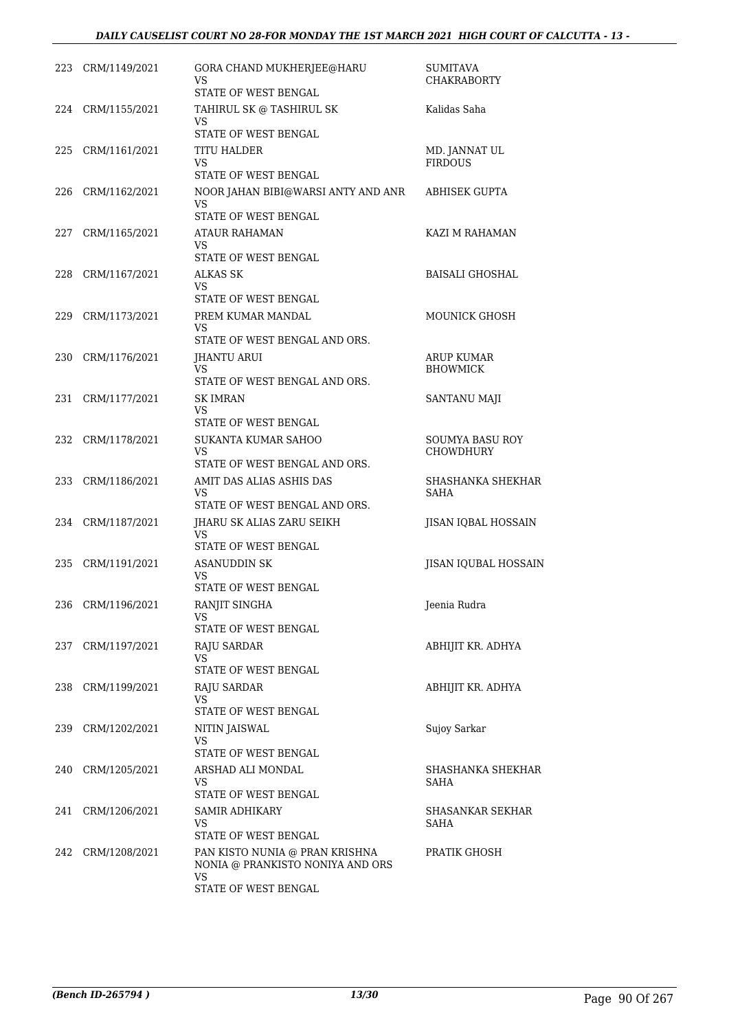| 223 | CRM/1149/2021     | GORA CHAND MUKHERJEE@HARU<br>VS<br>STATE OF WEST BENGAL                  | <b>SUMITAVA</b><br><b>CHAKRABORTY</b> |
|-----|-------------------|--------------------------------------------------------------------------|---------------------------------------|
|     | 224 CRM/1155/2021 | TAHIRUL SK @ TASHIRUL SK<br>VS                                           | Kalidas Saha                          |
|     |                   | STATE OF WEST BENGAL                                                     |                                       |
| 225 | CRM/1161/2021     | TITU HALDER<br>VS<br>STATE OF WEST BENGAL                                | MD. JANNAT UL<br><b>FIRDOUS</b>       |
| 226 | CRM/1162/2021     | NOOR JAHAN BIBI@WARSI ANTY AND ANR<br>VS<br>STATE OF WEST BENGAL         | <b>ABHISEK GUPTA</b>                  |
| 227 | CRM/1165/2021     | ATAUR RAHAMAN<br>VS                                                      | KAZI M RAHAMAN                        |
|     |                   | STATE OF WEST BENGAL                                                     |                                       |
| 228 | CRM/1167/2021     | ALKAS SK<br>VS<br>STATE OF WEST BENGAL                                   | <b>BAISALI GHOSHAL</b>                |
| 229 | CRM/1173/2021     | PREM KUMAR MANDAL<br>VS<br>STATE OF WEST BENGAL AND ORS.                 | MOUNICK GHOSH                         |
| 230 | CRM/1176/2021     | <b>IHANTU ARUI</b>                                                       | <b>ARUP KUMAR</b>                     |
|     |                   | VS                                                                       | <b>BHOWMICK</b>                       |
|     |                   | STATE OF WEST BENGAL AND ORS.                                            |                                       |
| 231 | CRM/1177/2021     | <b>SK IMRAN</b><br>VS<br>STATE OF WEST BENGAL                            | SANTANU MAJI                          |
| 232 | CRM/1178/2021     | SUKANTA KUMAR SAHOO                                                      | <b>SOUMYA BASU ROY</b>                |
|     |                   | VS<br>STATE OF WEST BENGAL AND ORS.                                      | CHOWDHURY                             |
| 233 | CRM/1186/2021     | AMIT DAS ALIAS ASHIS DAS<br>VS                                           | SHASHANKA SHEKHAR<br>SAHA             |
|     |                   | STATE OF WEST BENGAL AND ORS.                                            |                                       |
|     | 234 CRM/1187/2021 | JHARU SK ALIAS ZARU SEIKH<br>VS<br>STATE OF WEST BENGAL                  | JISAN IQBAL HOSSAIN                   |
| 235 | CRM/1191/2021     | ASANUDDIN SK                                                             | JISAN IQUBAL HOSSAIN                  |
|     |                   | VS<br>STATE OF WEST BENGAL                                               |                                       |
|     | 236 CRM/1196/2021 | RANJIT SINGHA                                                            | Jeenia Rudra                          |
|     |                   | VS<br>STATE OF WEST BENGAL                                               |                                       |
|     | 237 CRM/1197/2021 | RAJU SARDAR<br><b>VS</b>                                                 | ABHIJIT KR. ADHYA                     |
|     |                   | STATE OF WEST BENGAL                                                     |                                       |
|     | 238 CRM/1199/2021 | <b>RAJU SARDAR</b><br>VS                                                 | ABHIJIT KR. ADHYA                     |
|     |                   | STATE OF WEST BENGAL                                                     |                                       |
|     | 239 CRM/1202/2021 | NITIN JAISWAL<br>VS<br>STATE OF WEST BENGAL                              | Sujoy Sarkar                          |
| 240 | CRM/1205/2021     | ARSHAD ALI MONDAL<br>VS                                                  | SHASHANKA SHEKHAR<br>SAHA             |
|     |                   | STATE OF WEST BENGAL                                                     |                                       |
| 241 | CRM/1206/2021     | SAMIR ADHIKARY<br>VS                                                     | SHASANKAR SEKHAR<br>SAHA              |
|     |                   | STATE OF WEST BENGAL                                                     |                                       |
| 242 | CRM/1208/2021     | PAN KISTO NUNIA @ PRAN KRISHNA<br>NONIA @ PRANKISTO NONIYA AND ORS<br>VS | PRATIK GHOSH                          |
|     |                   | STATE OF WEST BENGAL                                                     |                                       |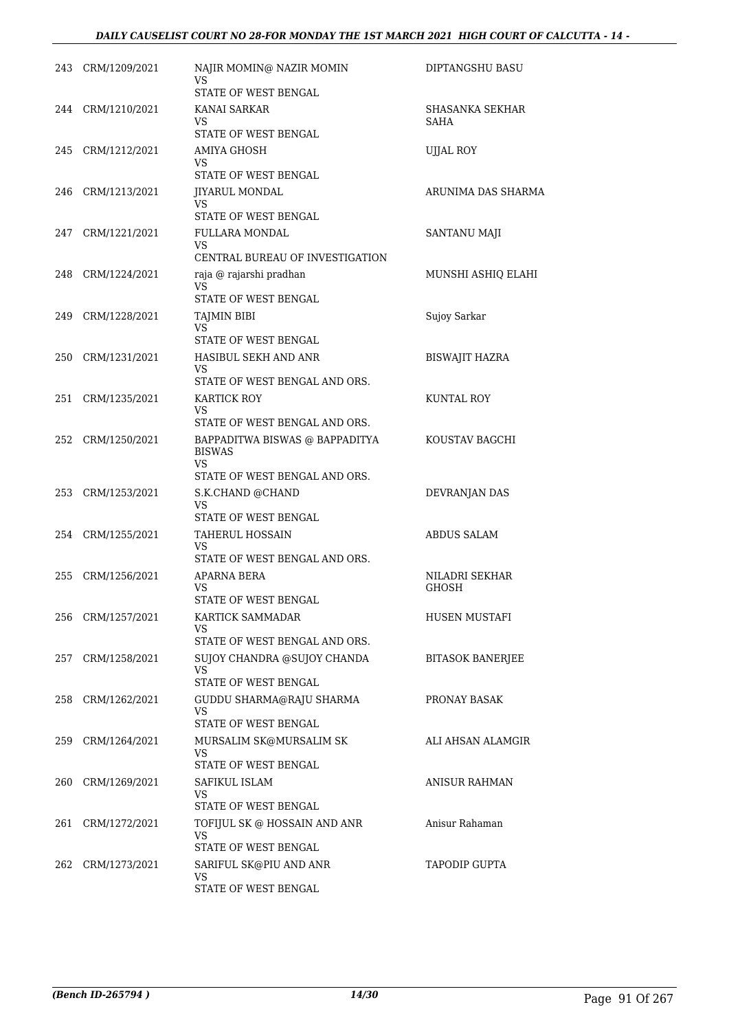| 243 | CRM/1209/2021     | NAJIR MOMIN@ NAZIR MOMIN<br>VS                               | DIPTANGSHU BASU         |
|-----|-------------------|--------------------------------------------------------------|-------------------------|
|     | 244 CRM/1210/2021 | STATE OF WEST BENGAL<br>KANAI SARKAR                         | SHASANKA SEKHAR         |
|     |                   | <b>VS</b><br>STATE OF WEST BENGAL                            | SAHA                    |
| 245 | CRM/1212/2021     | <b>AMIYA GHOSH</b>                                           | <b>UJJAL ROY</b>        |
|     |                   | VS                                                           |                         |
|     |                   | STATE OF WEST BENGAL                                         |                         |
| 246 | CRM/1213/2021     | <b>JIYARUL MONDAL</b><br>VS                                  | ARUNIMA DAS SHARMA      |
|     |                   | <b>STATE OF WEST BENGAL</b>                                  |                         |
| 247 | CRM/1221/2021     | FULLARA MONDAL<br><b>VS</b>                                  | SANTANU MAJI            |
|     |                   | CENTRAL BUREAU OF INVESTIGATION                              |                         |
| 248 | CRM/1224/2021     | raja @ rajarshi pradhan                                      | MUNSHI ASHIQ ELAHI      |
|     |                   | <b>VS</b><br>STATE OF WEST BENGAL                            |                         |
| 249 | CRM/1228/2021     | <b>TAJMIN BIBI</b>                                           | Sujoy Sarkar            |
|     |                   | <b>VS</b>                                                    |                         |
| 250 | CRM/1231/2021     | STATE OF WEST BENGAL<br>HASIBUL SEKH AND ANR                 | BISWAJIT HAZRA          |
|     |                   | VS                                                           |                         |
|     |                   | STATE OF WEST BENGAL AND ORS.                                |                         |
| 251 | CRM/1235/2021     | KARTICK ROY<br>VS                                            | KUNTAL ROY              |
|     |                   | STATE OF WEST BENGAL AND ORS.                                |                         |
| 252 | CRM/1250/2021     | BAPPADITWA BISWAS @ BAPPADITYA<br><b>BISWAS</b><br><b>VS</b> | KOUSTAV BAGCHI          |
|     |                   | STATE OF WEST BENGAL AND ORS.                                |                         |
| 253 | CRM/1253/2021     | S.K.CHAND @CHAND<br>VS                                       | DEVRANJAN DAS           |
|     |                   | STATE OF WEST BENGAL                                         |                         |
|     | 254 CRM/1255/2021 | TAHERUL HOSSAIN<br><b>VS</b>                                 | ABDUS SALAM             |
|     |                   | STATE OF WEST BENGAL AND ORS.                                |                         |
| 255 | CRM/1256/2021     | APARNA BERA                                                  | NILADRI SEKHAR          |
|     |                   | VS<br>STATE OF WEST BENGAL                                   | GHOSH                   |
| 256 | CRM/1257/2021     | KARTICK SAMMADAR                                             | <b>HUSEN MUSTAFI</b>    |
|     |                   | VS                                                           |                         |
|     |                   | STATE OF WEST BENGAL AND ORS.                                |                         |
| 257 | CRM/1258/2021     | SUJOY CHANDRA @SUJOY CHANDA<br><b>VS</b>                     | <b>BITASOK BANERJEE</b> |
|     |                   | STATE OF WEST BENGAL                                         |                         |
| 258 | CRM/1262/2021     | GUDDU SHARMA@RAJU SHARMA<br>VS                               | PRONAY BASAK            |
|     |                   | STATE OF WEST BENGAL                                         |                         |
| 259 | CRM/1264/2021     | MURSALIM SK@MURSALIM SK                                      | ALI AHSAN ALAMGIR       |
|     |                   | VS<br>STATE OF WEST BENGAL                                   |                         |
| 260 | CRM/1269/2021     | SAFIKUL ISLAM                                                | ANISUR RAHMAN           |
|     |                   | VS                                                           |                         |
|     |                   | STATE OF WEST BENGAL                                         |                         |
| 261 | CRM/1272/2021     | TOFIJUL SK @ HOSSAIN AND ANR<br>VS                           | Anisur Rahaman          |
|     |                   | STATE OF WEST BENGAL                                         |                         |
| 262 | CRM/1273/2021     | SARIFUL SK@PIU AND ANR<br>VS                                 | <b>TAPODIP GUPTA</b>    |
|     |                   | STATE OF WEST BENGAL                                         |                         |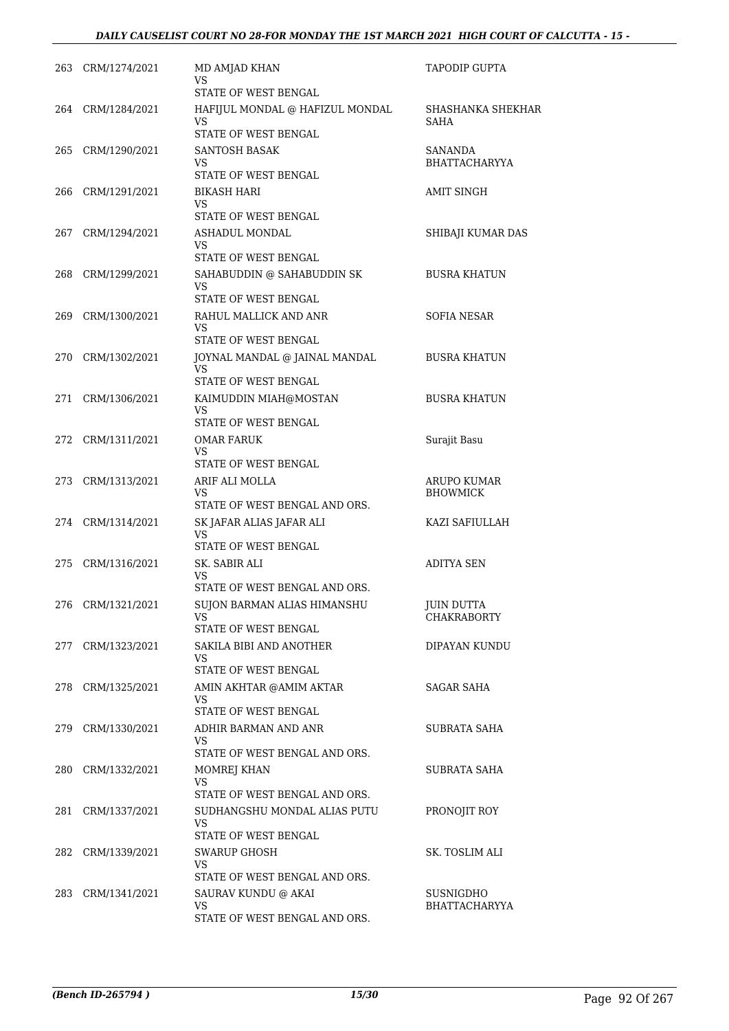|     | 263 CRM/1274/2021 | MD AMJAD KHAN<br>VS                                           | TAPODIP GUPTA                     |
|-----|-------------------|---------------------------------------------------------------|-----------------------------------|
|     |                   | <b>STATE OF WEST BENGAL</b>                                   |                                   |
|     | 264 CRM/1284/2021 | HAFIJUL MONDAL @ HAFIZUL MONDAL<br>VS<br>STATE OF WEST BENGAL | SHASHANKA SHEKHAR<br><b>SAHA</b>  |
|     | 265 CRM/1290/2021 | SANTOSH BASAK                                                 | SANANDA                           |
|     |                   | VS                                                            | <b>BHATTACHARYYA</b>              |
|     |                   | STATE OF WEST BENGAL                                          |                                   |
|     | 266 CRM/1291/2021 | BIKASH HARI<br>VS<br>STATE OF WEST BENGAL                     | <b>AMIT SINGH</b>                 |
| 267 | CRM/1294/2021     | ASHADUL MONDAL<br>VS.                                         | SHIBAJI KUMAR DAS                 |
|     |                   | STATE OF WEST BENGAL                                          |                                   |
|     | 268 CRM/1299/2021 | SAHABUDDIN @ SAHABUDDIN SK<br>VS                              | <b>BUSRA KHATUN</b>               |
| 269 | CRM/1300/2021     | STATE OF WEST BENGAL<br>RAHUL MALLICK AND ANR                 | <b>SOFIA NESAR</b>                |
|     |                   | VS<br>STATE OF WEST BENGAL                                    |                                   |
| 270 | CRM/1302/2021     | JOYNAL MANDAL @ JAINAL MANDAL                                 | <b>BUSRA KHATUN</b>               |
|     |                   | VS.<br>STATE OF WEST BENGAL                                   |                                   |
|     | 271 CRM/1306/2021 | KAIMUDDIN MIAH@MOSTAN                                         | <b>BUSRA KHATUN</b>               |
|     |                   | <b>VS</b><br>STATE OF WEST BENGAL                             |                                   |
|     | 272 CRM/1311/2021 | <b>OMAR FARUK</b>                                             | Surajit Basu                      |
|     |                   | VS<br>STATE OF WEST BENGAL                                    |                                   |
|     | 273 CRM/1313/2021 | ARIF ALI MOLLA                                                | ARUPO KUMAR                       |
|     |                   | VS<br>STATE OF WEST BENGAL AND ORS.                           | <b>BHOWMICK</b>                   |
|     | 274 CRM/1314/2021 | SK JAFAR ALIAS JAFAR ALI<br>VS                                | KAZI SAFIULLAH                    |
|     |                   | STATE OF WEST BENGAL                                          |                                   |
| 275 | CRM/1316/2021     | SK. SABIR ALI<br>VS.<br>STATE OF WEST BENGAL AND ORS.         | <b>ADITYA SEN</b>                 |
|     | 276 CRM/1321/2021 | SUJON BARMAN ALIAS HIMANSHU                                   | <b>JUIN DUTTA</b>                 |
|     |                   | VS.<br>STATE OF WEST BENGAL                                   | <b>CHAKRABORTY</b>                |
|     | 277 CRM/1323/2021 | SAKILA BIBI AND ANOTHER                                       | DIPAYAN KUNDU                     |
|     |                   | VS.<br>STATE OF WEST BENGAL                                   |                                   |
|     | 278 CRM/1325/2021 | AMIN AKHTAR @AMIM AKTAR                                       | <b>SAGAR SAHA</b>                 |
|     |                   | VS.<br><b>STATE OF WEST BENGAL</b>                            |                                   |
|     | 279 CRM/1330/2021 | ADHIR BARMAN AND ANR<br>VS.                                   | SUBRATA SAHA                      |
|     |                   | STATE OF WEST BENGAL AND ORS.                                 |                                   |
|     | 280 CRM/1332/2021 | MOMREJ KHAN<br><b>VS</b>                                      | SUBRATA SAHA                      |
|     |                   | STATE OF WEST BENGAL AND ORS.                                 |                                   |
|     | 281 CRM/1337/2021 | SUDHANGSHU MONDAL ALIAS PUTU<br>VS.                           | PRONOJIT ROY                      |
|     |                   | STATE OF WEST BENGAL                                          |                                   |
|     | 282 CRM/1339/2021 | <b>SWARUP GHOSH</b><br>VS.                                    | SK. TOSLIM ALI                    |
|     |                   | STATE OF WEST BENGAL AND ORS.                                 |                                   |
|     | 283 CRM/1341/2021 | SAURAV KUNDU @ AKAI<br>VS.                                    | SUSNIGDHO<br><b>BHATTACHARYYA</b> |
|     |                   | STATE OF WEST BENGAL AND ORS.                                 |                                   |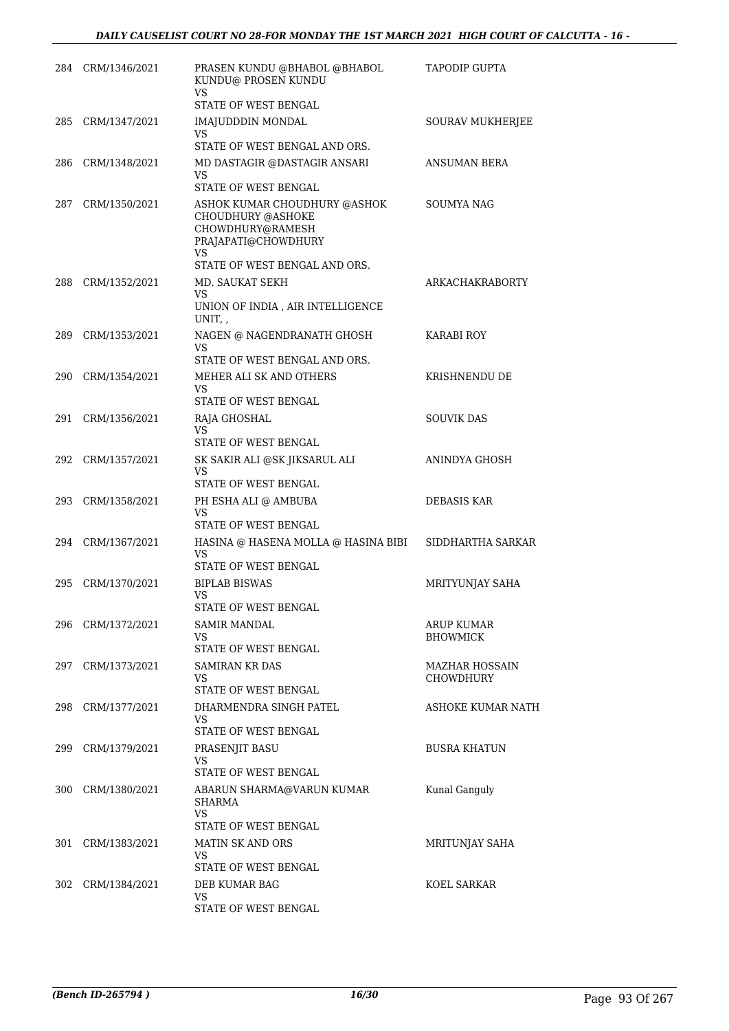|     | 284 CRM/1346/2021 | PRASEN KUNDU @BHABOL @BHABOL<br>KUNDU@ PROSEN KUNDU<br>VS.                                                                               | TAPODIP GUPTA                             |
|-----|-------------------|------------------------------------------------------------------------------------------------------------------------------------------|-------------------------------------------|
| 285 | CRM/1347/2021     | STATE OF WEST BENGAL<br><b>IMAJUDDDIN MONDAL</b>                                                                                         | SOURAV MUKHERJEE                          |
|     |                   | VS.<br>STATE OF WEST BENGAL AND ORS.                                                                                                     |                                           |
| 286 | CRM/1348/2021     | MD DASTAGIR @DASTAGIR ANSARI<br>VS.                                                                                                      | ANSUMAN BERA                              |
| 287 | CRM/1350/2021     | STATE OF WEST BENGAL<br>ASHOK KUMAR CHOUDHURY @ASHOK<br><b>CHOUDHURY @ASHOKE</b><br>CHOWDHURY@RAMESH<br>PRAJAPATI@CHOWDHURY<br><b>VS</b> | SOUMYA NAG                                |
|     |                   | STATE OF WEST BENGAL AND ORS.                                                                                                            |                                           |
| 288 | CRM/1352/2021     | MD. SAUKAT SEKH<br>VS<br>UNION OF INDIA , AIR INTELLIGENCE                                                                               | ARKACHAKRABORTY                           |
|     |                   | UNIT,                                                                                                                                    |                                           |
| 289 | CRM/1353/2021     | NAGEN @ NAGENDRANATH GHOSH<br>VS                                                                                                         | <b>KARABI ROY</b>                         |
| 290 | CRM/1354/2021     | STATE OF WEST BENGAL AND ORS.<br>MEHER ALI SK AND OTHERS                                                                                 | KRISHNENDU DE                             |
|     |                   | VS<br>STATE OF WEST BENGAL                                                                                                               |                                           |
| 291 | CRM/1356/2021     | RAJA GHOSHAL<br>VS.                                                                                                                      | <b>SOUVIK DAS</b>                         |
|     |                   | STATE OF WEST BENGAL                                                                                                                     |                                           |
|     | 292 CRM/1357/2021 | SK SAKIR ALI @SK JIKSARUL ALI<br><b>VS</b><br>STATE OF WEST BENGAL                                                                       | ANINDYA GHOSH                             |
| 293 | CRM/1358/2021     | PH ESHA ALI @ AMBUBA<br><b>VS</b>                                                                                                        | <b>DEBASIS KAR</b>                        |
| 294 |                   | STATE OF WEST BENGAL                                                                                                                     | SIDDHARTHA SARKAR                         |
|     | CRM/1367/2021     | HASINA @ HASENA MOLLA @ HASINA BIBI<br>VS<br><b>STATE OF WEST BENGAL</b>                                                                 |                                           |
| 295 | CRM/1370/2021     | <b>BIPLAB BISWAS</b><br>VS                                                                                                               | MRITYUNJAY SAHA                           |
|     |                   | STATE OF WEST BENGAL                                                                                                                     |                                           |
|     | 296 CRM/1372/2021 | SAMIR MANDAL<br>VS.<br>STATE OF WEST BENGAL                                                                                              | ARUP KUMAR<br><b>BHOWMICK</b>             |
|     | 297 CRM/1373/2021 | SAMIRAN KR DAS<br>VS.                                                                                                                    | <b>MAZHAR HOSSAIN</b><br><b>CHOWDHURY</b> |
|     |                   | STATE OF WEST BENGAL                                                                                                                     |                                           |
| 298 | CRM/1377/2021     | DHARMENDRA SINGH PATEL<br>VS<br>STATE OF WEST BENGAL                                                                                     | ASHOKE KUMAR NATH                         |
| 299 | CRM/1379/2021     | PRASENJIT BASU<br>VS.                                                                                                                    | <b>BUSRA KHATUN</b>                       |
|     |                   | STATE OF WEST BENGAL                                                                                                                     |                                           |
| 300 | CRM/1380/2021     | ABARUN SHARMA@VARUN KUMAR<br><b>SHARMA</b><br>VS.                                                                                        | Kunal Ganguly                             |
| 301 | CRM/1383/2021     | STATE OF WEST BENGAL<br>MATIN SK AND ORS                                                                                                 | MRITUNJAY SAHA                            |
|     |                   | VS.<br>STATE OF WEST BENGAL                                                                                                              |                                           |
|     | 302 CRM/1384/2021 | DEB KUMAR BAG                                                                                                                            | KOEL SARKAR                               |
|     |                   | VS<br>STATE OF WEST BENGAL                                                                                                               |                                           |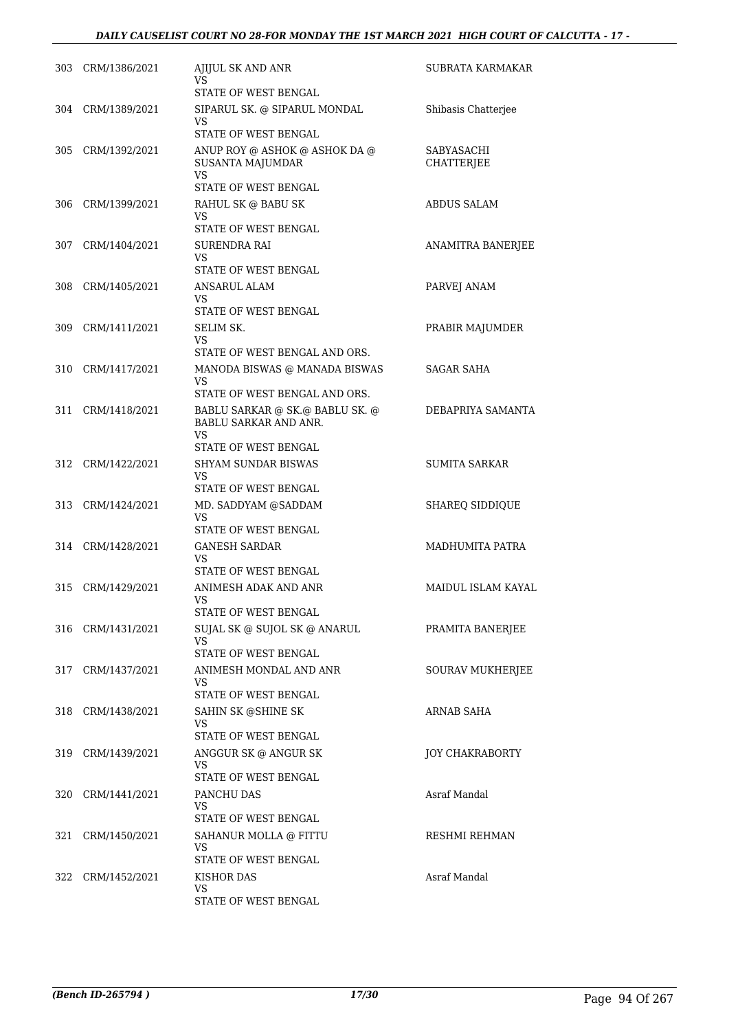| 303 | CRM/1386/2021     | AJIJUL SK AND ANR<br>VS<br>STATE OF WEST BENGAL                       | SUBRATA KARMAKAR                |
|-----|-------------------|-----------------------------------------------------------------------|---------------------------------|
|     | 304 CRM/1389/2021 | SIPARUL SK. @ SIPARUL MONDAL<br>VS                                    | Shibasis Chatterjee             |
|     |                   | STATE OF WEST BENGAL                                                  |                                 |
| 305 | CRM/1392/2021     | ANUP ROY @ ASHOK @ ASHOK DA @<br><b>SUSANTA MAJUMDAR</b><br>VS        | SABYASACHI<br><b>CHATTERJEE</b> |
|     |                   | <b>STATE OF WEST BENGAL</b>                                           |                                 |
| 306 | CRM/1399/2021     | RAHUL SK @ BABU SK                                                    | ABDUS SALAM                     |
|     |                   | VS<br>STATE OF WEST BENGAL                                            |                                 |
| 307 | CRM/1404/2021     | SURENDRA RAI                                                          | ANAMITRA BANERJEE               |
|     |                   | VS<br>STATE OF WEST BENGAL                                            |                                 |
| 308 | CRM/1405/2021     | ANSARUL ALAM                                                          | PARVEJ ANAM                     |
|     |                   | VS                                                                    |                                 |
|     |                   | STATE OF WEST BENGAL                                                  |                                 |
| 309 | CRM/1411/2021     | SELIM SK.<br>VS                                                       | PRABIR MAJUMDER                 |
|     |                   | STATE OF WEST BENGAL AND ORS.                                         |                                 |
| 310 | CRM/1417/2021     | MANODA BISWAS @ MANADA BISWAS<br>VS                                   | SAGAR SAHA                      |
|     |                   | STATE OF WEST BENGAL AND ORS.                                         |                                 |
| 311 | CRM/1418/2021     | BABLU SARKAR @ SK.@ BABLU SK. @<br><b>BABLU SARKAR AND ANR.</b><br>VS | DEBAPRIYA SAMANTA               |
|     |                   | STATE OF WEST BENGAL                                                  |                                 |
| 312 | CRM/1422/2021     | SHYAM SUNDAR BISWAS<br>VS                                             | <b>SUMITA SARKAR</b>            |
|     |                   | STATE OF WEST BENGAL                                                  |                                 |
| 313 | CRM/1424/2021     | MD. SADDYAM @SADDAM<br>VS                                             | <b>SHAREQ SIDDIQUE</b>          |
|     |                   | STATE OF WEST BENGAL                                                  |                                 |
|     | 314 CRM/1428/2021 | <b>GANESH SARDAR</b><br>VS<br>STATE OF WEST BENGAL                    | MADHUMITA PATRA                 |
| 315 | CRM/1429/2021     | ANIMESH ADAK AND ANR                                                  | MAIDUL ISLAM KAYAL              |
|     |                   | VS                                                                    |                                 |
|     |                   | STATE OF WEST BENGAL                                                  |                                 |
| 316 | CRM/1431/2021     | SUJAL SK @ SUJOL SK @ ANARUL<br>VS                                    | PRAMITA BANERJEE                |
|     |                   | STATE OF WEST BENGAL                                                  |                                 |
| 317 | CRM/1437/2021     | ANIMESH MONDAL AND ANR<br>VS                                          | SOURAV MUKHERJEE                |
|     |                   | STATE OF WEST BENGAL                                                  |                                 |
| 318 | CRM/1438/2021     | SAHIN SK @SHINE SK                                                    | <b>ARNAB SAHA</b>               |
|     |                   | VS<br>STATE OF WEST BENGAL                                            |                                 |
| 319 | CRM/1439/2021     | ANGGUR SK @ ANGUR SK                                                  | <b>JOY CHAKRABORTY</b>          |
|     |                   | VS                                                                    |                                 |
|     |                   | STATE OF WEST BENGAL                                                  |                                 |
| 320 | CRM/1441/2021     | PANCHU DAS<br>VS                                                      | Asraf Mandal                    |
|     |                   | STATE OF WEST BENGAL                                                  |                                 |
| 321 | CRM/1450/2021     | SAHANUR MOLLA @ FITTU<br>VS.                                          | RESHMI REHMAN                   |
|     |                   | STATE OF WEST BENGAL                                                  |                                 |
| 322 | CRM/1452/2021     | KISHOR DAS                                                            | Asraf Mandal                    |
|     |                   | VS<br>STATE OF WEST BENGAL                                            |                                 |
|     |                   |                                                                       |                                 |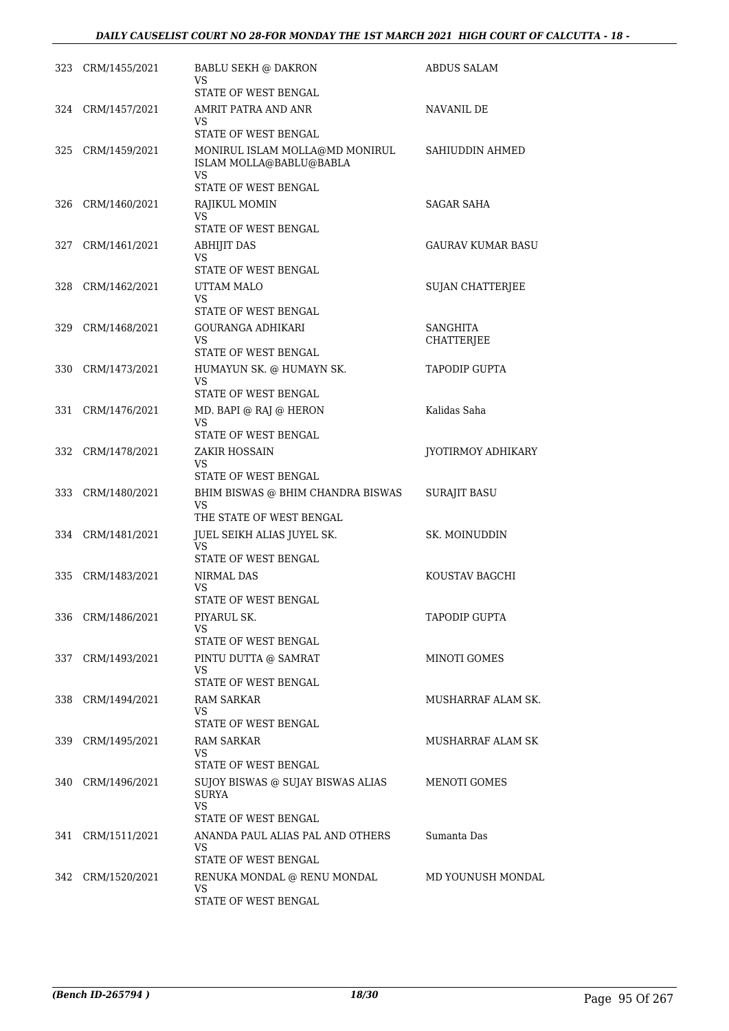|     | 323 CRM/1455/2021 | <b>BABLU SEKH @ DAKRON</b><br>VS<br>STATE OF WEST BENGAL               | ABDUS SALAM             |
|-----|-------------------|------------------------------------------------------------------------|-------------------------|
|     | 324 CRM/1457/2021 | AMRIT PATRA AND ANR<br>VS                                              | NAVANIL DE              |
|     |                   | STATE OF WEST BENGAL                                                   |                         |
| 325 | CRM/1459/2021     | MONIRUL ISLAM MOLLA@MD MONIRUL<br>ISLAM MOLLA@BABLU@BABLA<br><b>VS</b> | SAHIUDDIN AHMED         |
|     |                   | STATE OF WEST BENGAL                                                   |                         |
| 326 | CRM/1460/2021     | RAJIKUL MOMIN                                                          | SAGAR SAHA              |
|     |                   | VS<br>STATE OF WEST BENGAL                                             |                         |
| 327 | CRM/1461/2021     | ABHIJIT DAS<br>VS                                                      | GAURAV KUMAR BASU       |
|     |                   | STATE OF WEST BENGAL                                                   |                         |
| 328 | CRM/1462/2021     | UTTAM MALO<br>VS                                                       | <b>SUJAN CHATTERJEE</b> |
|     |                   | STATE OF WEST BENGAL                                                   |                         |
| 329 | CRM/1468/2021     | GOURANGA ADHIKARI                                                      | <b>SANGHITA</b>         |
|     |                   | VS<br>STATE OF WEST BENGAL                                             | CHATTERJEE              |
|     | 330 CRM/1473/2021 | HUMAYUN SK. @ HUMAYN SK.                                               | <b>TAPODIP GUPTA</b>    |
|     |                   | VS                                                                     |                         |
|     |                   | STATE OF WEST BENGAL                                                   |                         |
| 331 | CRM/1476/2021     | MD. BAPI @ RAJ @ HERON<br>VS.                                          | Kalidas Saha            |
|     |                   | STATE OF WEST BENGAL                                                   |                         |
| 332 | CRM/1478/2021     | ZAKIR HOSSAIN<br>VS.                                                   | JYOTIRMOY ADHIKARY      |
|     |                   | STATE OF WEST BENGAL                                                   |                         |
|     | 333 CRM/1480/2021 | BHIM BISWAS @ BHIM CHANDRA BISWAS<br>VS                                | <b>SURAJIT BASU</b>     |
|     |                   | THE STATE OF WEST BENGAL                                               |                         |
|     | 334 CRM/1481/2021 | JUEL SEIKH ALIAS JUYEL SK.<br>VS                                       | SK. MOINUDDIN           |
|     |                   | STATE OF WEST BENGAL                                                   |                         |
| 335 | CRM/1483/2021     | NIRMAL DAS<br>VS                                                       | KOUSTAV BAGCHI          |
|     |                   | STATE OF WEST BENGAL                                                   |                         |
|     | 336 CRM/1486/2021 | PIYARUL SK.<br>VS                                                      | TAPODIP GUPTA           |
|     |                   | STATE OF WEST BENGAL                                                   |                         |
| 337 | CRM/1493/2021     | PINTU DUTTA @ SAMRAT<br>VS                                             | MINOTI GOMES            |
|     |                   | STATE OF WEST BENGAL                                                   |                         |
|     | 338 CRM/1494/2021 | RAM SARKAR<br>VS                                                       | MUSHARRAF ALAM SK.      |
|     |                   | STATE OF WEST BENGAL                                                   |                         |
| 339 | CRM/1495/2021     | RAM SARKAR<br>VS.                                                      | MUSHARRAF ALAM SK       |
|     |                   | STATE OF WEST BENGAL                                                   |                         |
|     | 340 CRM/1496/2021 | SUJOY BISWAS @ SUJAY BISWAS ALIAS<br>SURYA<br>VS.                      | MENOTI GOMES            |
|     |                   | STATE OF WEST BENGAL                                                   |                         |
| 341 | CRM/1511/2021     | ANANDA PAUL ALIAS PAL AND OTHERS<br>VS.<br>STATE OF WEST BENGAL        | Sumanta Das             |
|     | 342 CRM/1520/2021 | RENUKA MONDAL @ RENU MONDAL                                            | MD YOUNUSH MONDAL       |
|     |                   | VS.<br>STATE OF WEST BENGAL                                            |                         |
|     |                   |                                                                        |                         |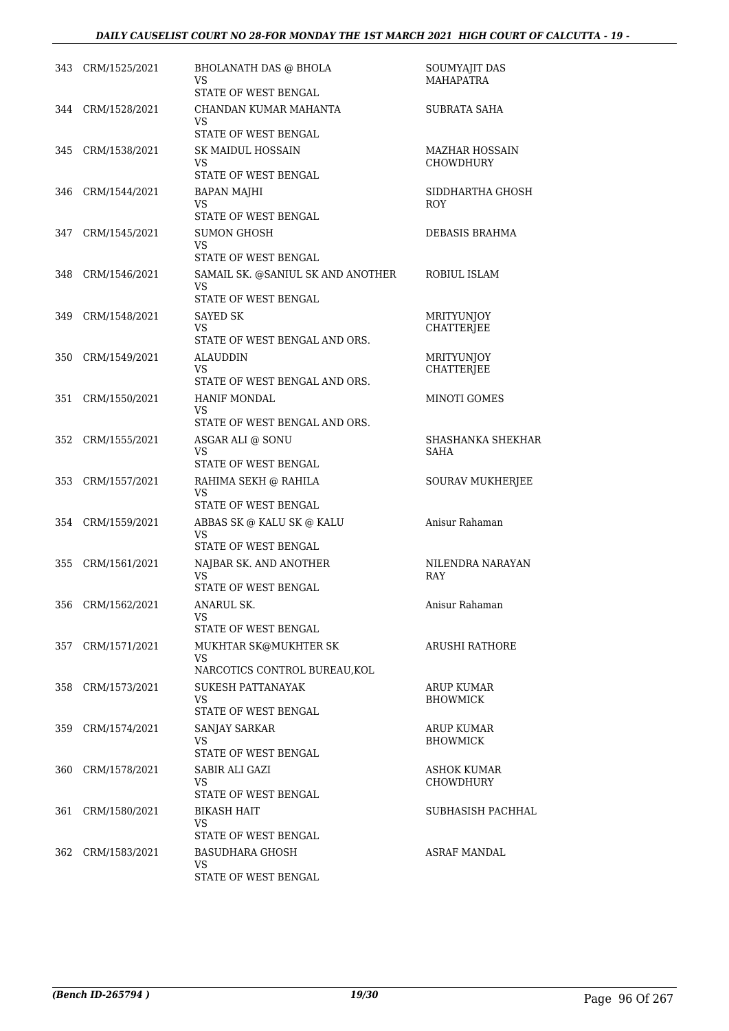|     | 343 CRM/1525/2021 | <b>BHOLANATH DAS @ BHOLA</b><br>VS                         | SOUMYAJIT DAS<br><b>MAHAPATRA</b>         |
|-----|-------------------|------------------------------------------------------------|-------------------------------------------|
|     |                   | STATE OF WEST BENGAL                                       |                                           |
|     | 344 CRM/1528/2021 | CHANDAN KUMAR MAHANTA<br>VS<br><b>STATE OF WEST BENGAL</b> | SUBRATA SAHA                              |
|     |                   |                                                            |                                           |
| 345 | CRM/1538/2021     | SK MAIDUL HOSSAIN<br>VS<br>STATE OF WEST BENGAL            | <b>MAZHAR HOSSAIN</b><br><b>CHOWDHURY</b> |
| 346 | CRM/1544/2021     | <b>BAPAN MAJHI</b>                                         | SIDDHARTHA GHOSH                          |
|     |                   | VS<br>STATE OF WEST BENGAL                                 | ROY                                       |
| 347 | CRM/1545/2021     | SUMON GHOSH                                                | DEBASIS BRAHMA                            |
|     |                   | VS<br>STATE OF WEST BENGAL                                 |                                           |
| 348 | CRM/1546/2021     | SAMAIL SK. @SANIUL SK AND ANOTHER<br>VS                    | ROBIUL ISLAM                              |
|     |                   | STATE OF WEST BENGAL                                       |                                           |
| 349 | CRM/1548/2021     | SAYED SK<br><b>VS</b>                                      | <b>MRITYUNJOY</b><br><b>CHATTERJEE</b>    |
|     |                   | STATE OF WEST BENGAL AND ORS.                              |                                           |
| 350 | CRM/1549/2021     | <b>ALAUDDIN</b>                                            | <b>MRITYUNJOY</b>                         |
|     |                   | VS<br>STATE OF WEST BENGAL AND ORS.                        | CHATTERJEE                                |
| 351 | CRM/1550/2021     | <b>HANIF MONDAL</b>                                        | <b>MINOTI GOMES</b>                       |
|     |                   | VS<br>STATE OF WEST BENGAL AND ORS.                        |                                           |
|     | 352 CRM/1555/2021 | ASGAR ALI @ SONU                                           | SHASHANKA SHEKHAR                         |
|     |                   | <b>VS</b><br>STATE OF WEST BENGAL                          | SAHA                                      |
| 353 | CRM/1557/2021     | RAHIMA SEKH @ RAHILA                                       | SOURAV MUKHERJEE                          |
|     |                   | VS<br>STATE OF WEST BENGAL                                 |                                           |
|     | 354 CRM/1559/2021 | ABBAS SK @ KALU SK @ KALU                                  | Anisur Rahaman                            |
|     |                   | VS<br>STATE OF WEST BENGAL                                 |                                           |
| 355 | CRM/1561/2021     | NAJBAR SK. AND ANOTHER                                     | NILENDRA NARAYAN                          |
|     |                   | VS.<br>STATE OF WEST BENGAL                                | RAY                                       |
|     | 356 CRM/1562/2021 | ANARUL SK.                                                 | Anisur Rahaman                            |
|     |                   | VS<br>STATE OF WEST BENGAL                                 |                                           |
| 357 | CRM/1571/2021     | MUKHTAR SK@MUKHTER SK                                      | ARUSHI RATHORE                            |
|     |                   | VS<br>NARCOTICS CONTROL BUREAU, KOL                        |                                           |
| 358 | CRM/1573/2021     | SUKESH PATTANAYAK                                          | ARUP KUMAR                                |
|     |                   | VS                                                         | <b>BHOWMICK</b>                           |
|     |                   | STATE OF WEST BENGAL                                       |                                           |
| 359 | CRM/1574/2021     | <b>SANJAY SARKAR</b><br>VS                                 | <b>ARUP KUMAR</b><br><b>BHOWMICK</b>      |
|     |                   | STATE OF WEST BENGAL                                       |                                           |
| 360 | CRM/1578/2021     | SABIR ALI GAZI                                             | <b>ASHOK KUMAR</b>                        |
|     |                   | VS<br>STATE OF WEST BENGAL                                 | <b>CHOWDHURY</b>                          |
| 361 | CRM/1580/2021     | <b>BIKASH HAIT</b>                                         | SUBHASISH PACHHAL                         |
|     |                   | VS.                                                        |                                           |
|     |                   | STATE OF WEST BENGAL                                       |                                           |
| 362 | CRM/1583/2021     | <b>BASUDHARA GHOSH</b><br>VS                               | <b>ASRAF MANDAL</b>                       |
|     |                   | STATE OF WEST BENGAL                                       |                                           |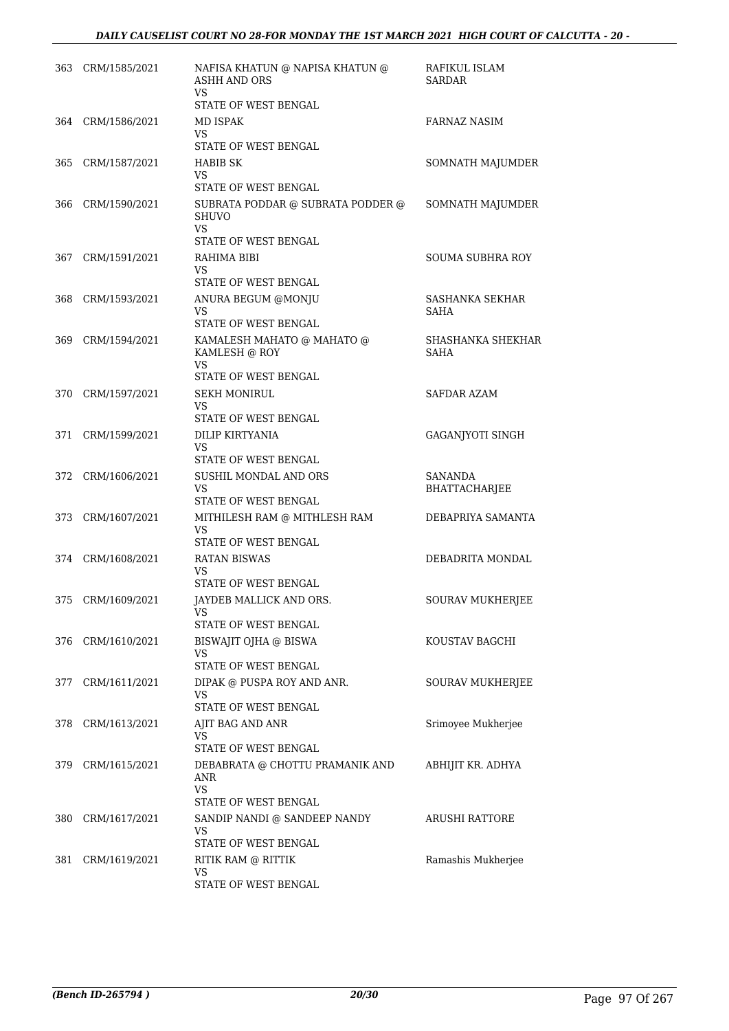| 363 | CRM/1585/2021     | NAFISA KHATUN @ NAPISA KHATUN @<br>ASHH AND ORS<br>VS      | RAFIKUL ISLAM<br><b>SARDAR</b> |
|-----|-------------------|------------------------------------------------------------|--------------------------------|
|     |                   | STATE OF WEST BENGAL                                       |                                |
| 364 | CRM/1586/2021     | MD ISPAK<br>VS<br>STATE OF WEST BENGAL                     | <b>FARNAZ NASIM</b>            |
| 365 | CRM/1587/2021     | <b>HABIB SK</b>                                            | SOMNATH MAJUMDER               |
|     |                   | VS<br>STATE OF WEST BENGAL                                 |                                |
| 366 | CRM/1590/2021     | SUBRATA PODDAR @ SUBRATA PODDER @<br><b>SHUVO</b>          | SOMNATH MAJUMDER               |
|     |                   | VS<br>STATE OF WEST BENGAL                                 |                                |
| 367 | CRM/1591/2021     | RAHIMA BIBI                                                | <b>SOUMA SUBHRA ROY</b>        |
|     |                   | VS                                                         |                                |
|     |                   | STATE OF WEST BENGAL                                       |                                |
| 368 | CRM/1593/2021     | ANURA BEGUM @MONJU<br><b>VS</b>                            | SASHANKA SEKHAR<br><b>SAHA</b> |
|     |                   | <b>STATE OF WEST BENGAL</b>                                |                                |
| 369 | CRM/1594/2021     | KAMALESH MAHATO @ MAHATO @<br>KAMLESH @ ROY<br>VS          | SHASHANKA SHEKHAR<br>SAHA      |
|     |                   | <b>STATE OF WEST BENGAL</b>                                |                                |
|     | 370 CRM/1597/2021 | <b>SEKH MONIRUL</b>                                        | <b>SAFDAR AZAM</b>             |
|     |                   | VS<br>STATE OF WEST BENGAL                                 |                                |
| 371 | CRM/1599/2021     | DILIP KIRTYANIA                                            | <b>GAGANJYOTI SINGH</b>        |
|     |                   | <b>VS</b><br>STATE OF WEST BENGAL                          |                                |
| 372 | CRM/1606/2021     | SUSHIL MONDAL AND ORS                                      | <b>SANANDA</b>                 |
|     |                   | VS                                                         | BHATTACHARJEE                  |
|     |                   | STATE OF WEST BENGAL                                       |                                |
|     | 373 CRM/1607/2021 | MITHILESH RAM @ MITHLESH RAM<br>VS<br>STATE OF WEST BENGAL | DEBAPRIYA SAMANTA              |
| 374 | CRM/1608/2021     | <b>RATAN BISWAS</b>                                        | DEBADRITA MONDAL               |
|     |                   | VS<br><b>STATE OF WEST BENGAL</b>                          |                                |
| 375 | CRM/1609/2021     | JAYDEB MALLICK AND ORS.                                    | <b>SOURAV MUKHERJEE</b>        |
|     |                   | VS<br>STATE OF WEST BENGAL                                 |                                |
| 376 | CRM/1610/2021     | BISWAJIT OJHA @ BISWA                                      | KOUSTAV BAGCHI                 |
|     |                   | VS                                                         |                                |
|     |                   | STATE OF WEST BENGAL                                       |                                |
| 377 | CRM/1611/2021     | DIPAK @ PUSPA ROY AND ANR.<br>VS                           | <b>SOURAV MUKHERJEE</b>        |
|     |                   | STATE OF WEST BENGAL                                       |                                |
|     | 378 CRM/1613/2021 | AJIT BAG AND ANR<br>VS                                     | Srimoyee Mukherjee             |
|     |                   | STATE OF WEST BENGAL                                       |                                |
| 379 | CRM/1615/2021     | DEBABRATA @ CHOTTU PRAMANIK AND<br>ANR                     | ABHIJIT KR. ADHYA              |
|     |                   | VS<br>STATE OF WEST BENGAL                                 |                                |
| 380 | CRM/1617/2021     | SANDIP NANDI @ SANDEEP NANDY<br>VS                         | ARUSHI RATTORE                 |
|     |                   | STATE OF WEST BENGAL                                       |                                |
| 381 | CRM/1619/2021     | RITIK RAM @ RITTIK<br>VS                                   | Ramashis Mukherjee             |
|     |                   | STATE OF WEST BENGAL                                       |                                |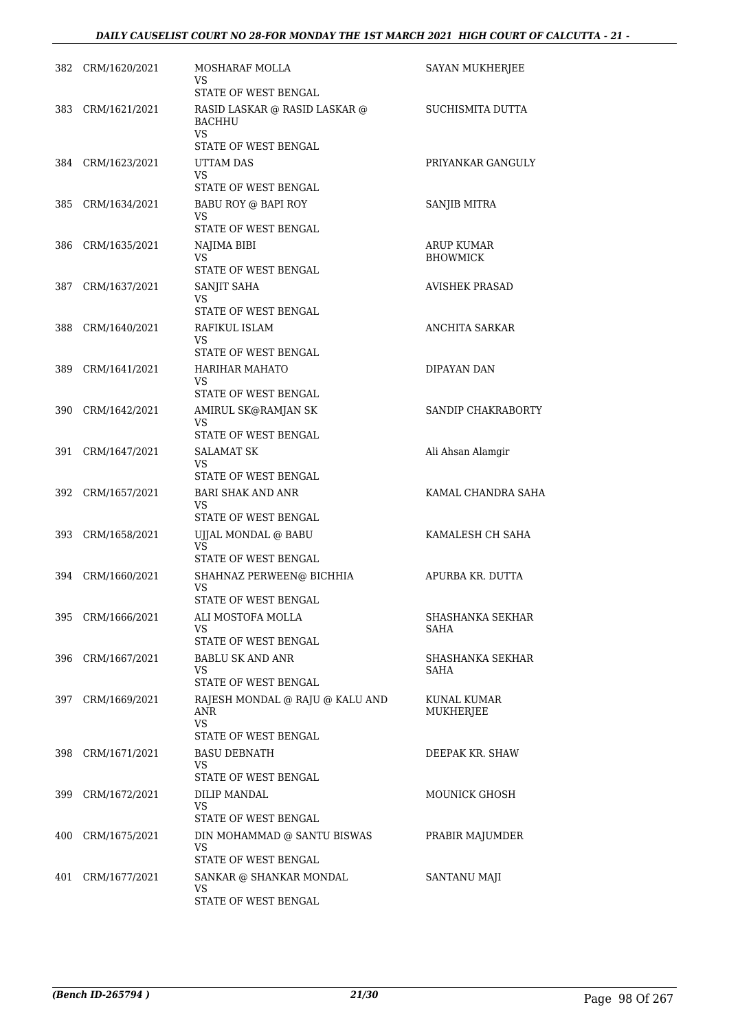| 382 | CRM/1620/2021     | MOSHARAF MOLLA<br>VS                                                   | SAYAN MUKHERJEE               |
|-----|-------------------|------------------------------------------------------------------------|-------------------------------|
| 383 | CRM/1621/2021     | STATE OF WEST BENGAL<br>RASID LASKAR @ RASID LASKAR @<br><b>BACHHU</b> | SUCHISMITA DUTTA              |
|     |                   | <b>VS</b><br>STATE OF WEST BENGAL                                      |                               |
| 384 | CRM/1623/2021     | UTTAM DAS                                                              | PRIYANKAR GANGULY             |
|     |                   | VS<br>STATE OF WEST BENGAL                                             |                               |
| 385 | CRM/1634/2021     | BABU ROY @ BAPI ROY                                                    | SANJIB MITRA                  |
|     |                   | VS                                                                     |                               |
|     |                   | STATE OF WEST BENGAL                                                   |                               |
| 386 | CRM/1635/2021     | NAJIMA BIBI<br><b>VS</b>                                               | ARUP KUMAR<br><b>BHOWMICK</b> |
|     |                   | STATE OF WEST BENGAL                                                   |                               |
| 387 | CRM/1637/2021     | SANJIT SAHA<br>VS                                                      | <b>AVISHEK PRASAD</b>         |
|     |                   | STATE OF WEST BENGAL                                                   |                               |
| 388 | CRM/1640/2021     | RAFIKUL ISLAM                                                          | ANCHITA SARKAR                |
|     |                   | <b>VS</b><br>STATE OF WEST BENGAL                                      |                               |
| 389 | CRM/1641/2021     | <b>HARIHAR MAHATO</b>                                                  | DIPAYAN DAN                   |
|     |                   | VS                                                                     |                               |
|     |                   | STATE OF WEST BENGAL                                                   |                               |
| 390 | CRM/1642/2021     | AMIRUL SK@RAMJAN SK<br>VS.                                             | SANDIP CHAKRABORTY            |
|     |                   | STATE OF WEST BENGAL                                                   |                               |
| 391 | CRM/1647/2021     | SALAMAT SK<br>VS                                                       | Ali Ahsan Alamgir             |
|     |                   | STATE OF WEST BENGAL                                                   |                               |
| 392 | CRM/1657/2021     | <b>BARI SHAK AND ANR</b>                                               | KAMAL CHANDRA SAHA            |
|     |                   | VS<br>STATE OF WEST BENGAL                                             |                               |
|     | 393 CRM/1658/2021 | UJJAL MONDAL @ BABU                                                    | KAMALESH CH SAHA              |
|     |                   | <b>VS</b>                                                              |                               |
|     |                   | <b>STATE OF WEST BENGAL</b>                                            |                               |
|     | 394 CRM/1660/2021 | SHAHNAZ PERWEEN@ BICHHIA<br>VS                                         | APURBA KR. DUTTA              |
|     |                   | STATE OF WEST BENGAL                                                   |                               |
| 395 | CRM/1666/2021     | ALI MOSTOFA MOLLA<br>VS.                                               | SHASHANKA SEKHAR<br>SAHA      |
|     |                   | STATE OF WEST BENGAL                                                   |                               |
| 396 | CRM/1667/2021     | <b>BABLU SK AND ANR</b>                                                | SHASHANKA SEKHAR              |
|     |                   | VS<br>STATE OF WEST BENGAL                                             | SAHA                          |
| 397 | CRM/1669/2021     | RAJESH MONDAL @ RAJU @ KALU AND                                        | KUNAL KUMAR                   |
|     |                   | ANR                                                                    | MUKHERJEE                     |
|     |                   | VS.<br>STATE OF WEST BENGAL                                            |                               |
|     | 398 CRM/1671/2021 | <b>BASU DEBNATH</b>                                                    | DEEPAK KR. SHAW               |
|     |                   | VS                                                                     |                               |
|     |                   | STATE OF WEST BENGAL                                                   |                               |
| 399 | CRM/1672/2021     | <b>DILIP MANDAL</b><br>VS.                                             | MOUNICK GHOSH                 |
|     |                   | STATE OF WEST BENGAL                                                   |                               |
| 400 | CRM/1675/2021     | DIN MOHAMMAD @ SANTU BISWAS<br>VS                                      | PRABIR MAJUMDER               |
|     |                   | STATE OF WEST BENGAL                                                   |                               |
| 401 | CRM/1677/2021     | SANKAR @ SHANKAR MONDAL                                                | SANTANU MAJI                  |
|     |                   | VS.<br>STATE OF WEST BENGAL                                            |                               |
|     |                   |                                                                        |                               |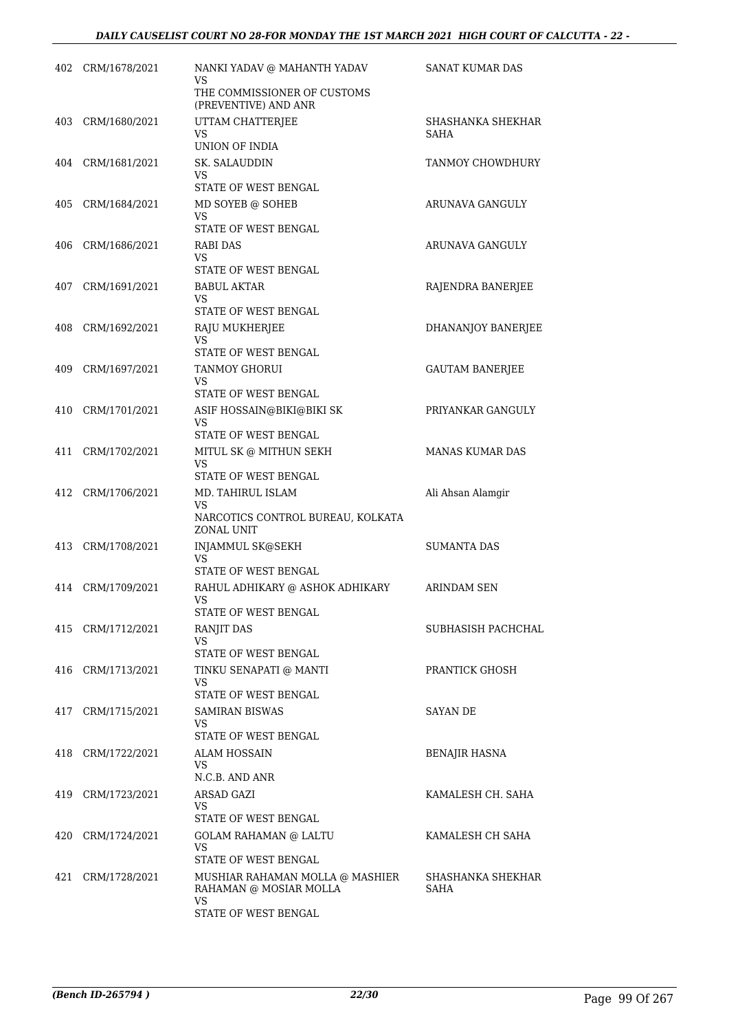|     | 402 CRM/1678/2021 | NANKI YADAV @ MAHANTH YADAV<br>VS                               | SANAT KUMAR DAS           |
|-----|-------------------|-----------------------------------------------------------------|---------------------------|
|     |                   | THE COMMISSIONER OF CUSTOMS<br>(PREVENTIVE) AND ANR             |                           |
| 403 | CRM/1680/2021     | UTTAM CHATTERJEE<br><b>VS</b>                                   | SHASHANKA SHEKHAR<br>SAHA |
|     |                   | UNION OF INDIA                                                  |                           |
| 404 | CRM/1681/2021     | SK. SALAUDDIN<br>VS                                             | TANMOY CHOWDHURY          |
|     |                   | STATE OF WEST BENGAL                                            |                           |
| 405 | CRM/1684/2021     | MD SOYEB @ SOHEB                                                | ARUNAVA GANGULY           |
|     |                   | VS<br>STATE OF WEST BENGAL                                      |                           |
| 406 | CRM/1686/2021     | RABI DAS                                                        | ARUNAVA GANGULY           |
|     |                   | VS<br>STATE OF WEST BENGAL                                      |                           |
|     | 407 CRM/1691/2021 | <b>BABUL AKTAR</b>                                              | RAJENDRA BANERJEE         |
|     |                   | VS<br>STATE OF WEST BENGAL                                      |                           |
| 408 | CRM/1692/2021     | RAJU MUKHERJEE                                                  | DHANANJOY BANERJEE        |
|     |                   | <b>VS</b><br>STATE OF WEST BENGAL                               |                           |
| 409 | CRM/1697/2021     | <b>TANMOY GHORUI</b>                                            | <b>GAUTAM BANERJEE</b>    |
|     |                   | VS                                                              |                           |
|     |                   | STATE OF WEST BENGAL                                            |                           |
| 410 | CRM/1701/2021     | ASIF HOSSAIN@BIKI@BIKI SK<br>VS                                 | PRIYANKAR GANGULY         |
|     |                   | STATE OF WEST BENGAL                                            |                           |
| 411 | CRM/1702/2021     | MITUL SK @ MITHUN SEKH<br>VS                                    | <b>MANAS KUMAR DAS</b>    |
|     |                   | STATE OF WEST BENGAL                                            |                           |
|     | 412 CRM/1706/2021 | MD. TAHIRUL ISLAM<br>VS                                         | Ali Ahsan Alamgir         |
|     |                   | NARCOTICS CONTROL BUREAU, KOLKATA<br><b>ZONAL UNIT</b>          |                           |
| 413 | CRM/1708/2021     | <b>INJAMMUL SK@SEKH</b>                                         | <b>SUMANTA DAS</b>        |
|     |                   | VS<br>STATE OF WEST BENGAL                                      |                           |
| 414 | CRM/1709/2021     | RAHUL ADHIKARY @ ASHOK ADHIKARY                                 | <b>ARINDAM SEN</b>        |
|     |                   | <b>VS</b><br><b>STATE OF WEST BENGAL</b>                        |                           |
| 415 | CRM/1712/2021     | RANJIT DAS                                                      | SUBHASISH PACHCHAL        |
|     |                   | VS                                                              |                           |
|     |                   | <b>STATE OF WEST BENGAL</b>                                     |                           |
|     | 416 CRM/1713/2021 | TINKU SENAPATI @ MANTI<br>VS                                    | PRANTICK GHOSH            |
|     |                   | STATE OF WEST BENGAL                                            |                           |
| 417 | CRM/1715/2021     | <b>SAMIRAN BISWAS</b><br>VS                                     | SAYAN DE                  |
|     |                   | STATE OF WEST BENGAL                                            |                           |
|     | 418 CRM/1722/2021 | ALAM HOSSAIN                                                    | <b>BENAJIR HASNA</b>      |
|     |                   | VS<br>N.C.B. AND ANR                                            |                           |
| 419 | CRM/1723/2021     | ARSAD GAZI                                                      | KAMALESH CH. SAHA         |
|     |                   | VS<br>STATE OF WEST BENGAL                                      |                           |
| 420 | CRM/1724/2021     | <b>GOLAM RAHAMAN @ LALTU</b>                                    | KAMALESH CH SAHA          |
|     |                   | <b>VS</b>                                                       |                           |
|     |                   | STATE OF WEST BENGAL                                            |                           |
| 421 | CRM/1728/2021     | MUSHIAR RAHAMAN MOLLA @ MASHIER<br>RAHAMAN @ MOSIAR MOLLA<br>VS | SHASHANKA SHEKHAR<br>SAHA |
|     |                   | STATE OF WEST BENGAL                                            |                           |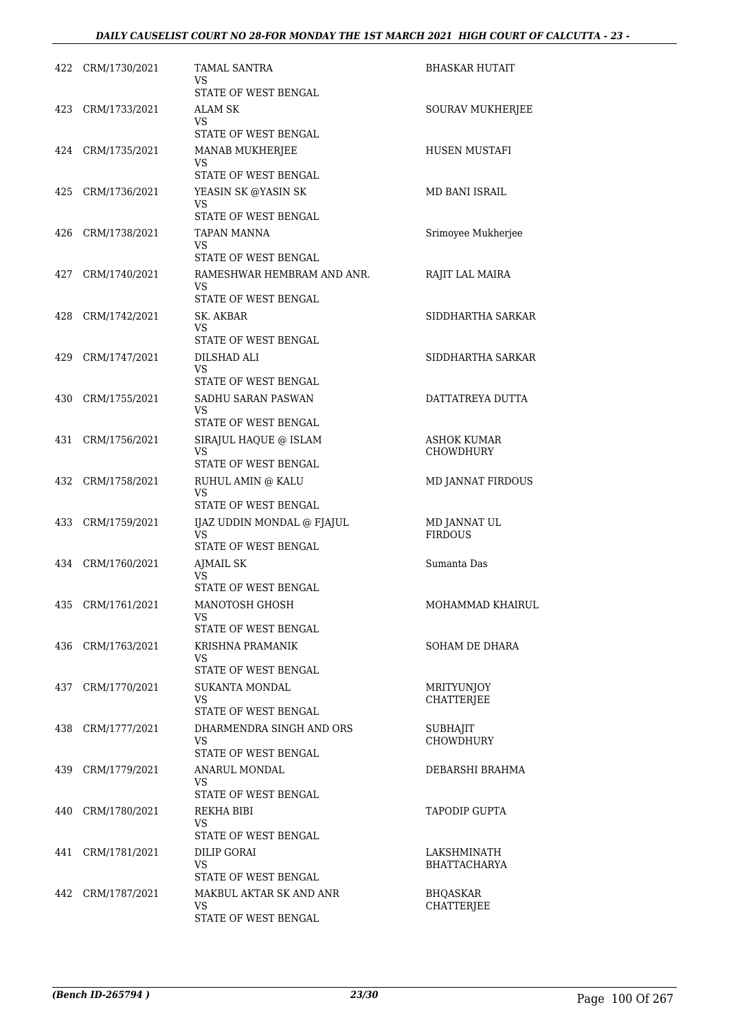|     | 422 CRM/1730/2021 | <b>TAMAL SANTRA</b><br>VS              | BHASKAR HUTAIT                         |
|-----|-------------------|----------------------------------------|----------------------------------------|
|     |                   | STATE OF WEST BENGAL                   |                                        |
|     | 423 CRM/1733/2021 | ALAM SK                                | SOURAV MUKHERJEE                       |
|     |                   | VS.<br>STATE OF WEST BENGAL            |                                        |
|     | 424 CRM/1735/2021 | MANAB MUKHERJEE                        | HUSEN MUSTAFI                          |
|     |                   | VS                                     |                                        |
|     |                   | STATE OF WEST BENGAL                   |                                        |
| 425 | CRM/1736/2021     | YEASIN SK @YASIN SK<br>VS              | MD BANI ISRAIL                         |
|     |                   | STATE OF WEST BENGAL                   |                                        |
| 426 | CRM/1738/2021     | TAPAN MANNA                            | Srimoyee Mukherjee                     |
|     |                   | VS.<br>STATE OF WEST BENGAL            |                                        |
|     | 427 CRM/1740/2021 | RAMESHWAR HEMBRAM AND ANR.             | RAJIT LAL MAIRA                        |
|     |                   | VS.                                    |                                        |
|     |                   | STATE OF WEST BENGAL                   |                                        |
| 428 | CRM/1742/2021     | SK. AKBAR<br>VS.                       | SIDDHARTHA SARKAR                      |
|     |                   | STATE OF WEST BENGAL                   |                                        |
| 429 | CRM/1747/2021     | DILSHAD ALI                            | SIDDHARTHA SARKAR                      |
|     |                   | VS.<br>STATE OF WEST BENGAL            |                                        |
| 430 | CRM/1755/2021     | SADHU SARAN PASWAN                     | DATTATREYA DUTTA                       |
|     |                   | <b>VS</b>                              |                                        |
|     |                   | STATE OF WEST BENGAL                   |                                        |
| 431 | CRM/1756/2021     | SIRAJUL HAQUE @ ISLAM<br>VS.           | <b>ASHOK KUMAR</b><br><b>CHOWDHURY</b> |
|     |                   | STATE OF WEST BENGAL                   |                                        |
|     | 432 CRM/1758/2021 | RUHUL AMIN @ KALU                      | MD JANNAT FIRDOUS                      |
|     |                   | VS<br>STATE OF WEST BENGAL             |                                        |
| 433 | CRM/1759/2021     | IJAZ UDDIN MONDAL @ FJAJUL             | MD JANNAT UL                           |
|     |                   | VS                                     | <b>FIRDOUS</b>                         |
|     |                   | STATE OF WEST BENGAL                   |                                        |
|     | 434 CRM/1760/2021 | AJMAIL SK<br>VS.                       | Sumanta Das                            |
|     |                   | STATE OF WEST BENGAL                   |                                        |
|     | 435 CRM/1761/2021 | MANOTOSH GHOSH<br>VS.                  | MOHAMMAD KHAIRUL                       |
|     |                   | STATE OF WEST BENGAL                   |                                        |
|     | 436 CRM/1763/2021 | KRISHNA PRAMANIK                       | SOHAM DE DHARA                         |
|     |                   | VS.                                    |                                        |
| 437 | CRM/1770/2021     | STATE OF WEST BENGAL<br>SUKANTA MONDAL | <b>MRITYUNIOY</b>                      |
|     |                   | <b>VS</b>                              | <b>CHATTERJEE</b>                      |
|     |                   | <b>STATE OF WEST BENGAL</b>            |                                        |
| 438 | CRM/1777/2021     | DHARMENDRA SINGH AND ORS<br>VS.        | SUBHAJIT<br><b>CHOWDHURY</b>           |
|     |                   | STATE OF WEST BENGAL                   |                                        |
| 439 | CRM/1779/2021     | ANARUL MONDAL                          | DEBARSHI BRAHMA                        |
|     |                   | VS.                                    |                                        |
| 440 | CRM/1780/2021     | STATE OF WEST BENGAL<br>REKHA BIBI     | TAPODIP GUPTA                          |
|     |                   | VS.                                    |                                        |
|     |                   | STATE OF WEST BENGAL                   |                                        |
| 441 | CRM/1781/2021     | DILIP GORAI                            | LAKSHMINATH                            |
|     |                   | VS<br>STATE OF WEST BENGAL             | <b>BHATTACHARYA</b>                    |
| 442 | CRM/1787/2021     | MAKBUL AKTAR SK AND ANR                | <b>BHQASKAR</b>                        |
|     |                   | VS.                                    | CHATTERJEE                             |
|     |                   | STATE OF WEST BENGAL                   |                                        |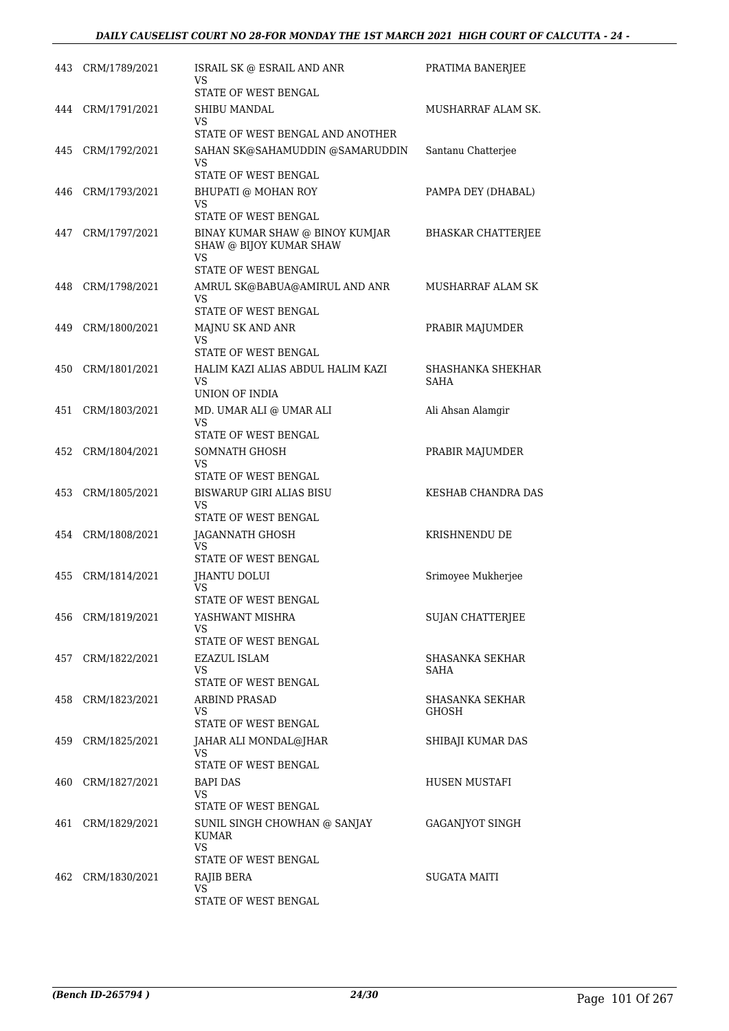|     | 443 CRM/1789/2021 | ISRAIL SK @ ESRAIL AND ANR<br>VS<br>STATE OF WEST BENGAL | PRATIMA BANERJEE          |
|-----|-------------------|----------------------------------------------------------|---------------------------|
|     |                   |                                                          | MUSHARRAF ALAM SK.        |
|     | 444 CRM/1791/2021 | SHIBU MANDAL<br>VS                                       |                           |
|     |                   | STATE OF WEST BENGAL AND ANOTHER                         |                           |
| 445 | CRM/1792/2021     | SAHAN SK@SAHAMUDDIN @SAMARUDDIN                          | Santanu Chatterjee        |
|     |                   | VS<br>STATE OF WEST BENGAL                               |                           |
| 446 | CRM/1793/2021     | <b>BHUPATI @ MOHAN ROY</b>                               | PAMPA DEY (DHABAL)        |
|     |                   | VS<br>STATE OF WEST BENGAL                               |                           |
| 447 | CRM/1797/2021     | BINAY KUMAR SHAW @ BINOY KUMJAR                          | <b>BHASKAR CHATTERJEE</b> |
|     |                   | SHAW @ BIJOY KUMAR SHAW                                  |                           |
|     |                   | <b>VS</b><br>STATE OF WEST BENGAL                        |                           |
| 448 | CRM/1798/2021     | AMRUL SK@BABUA@AMIRUL AND ANR                            | MUSHARRAF ALAM SK         |
|     |                   | VS                                                       |                           |
|     |                   | STATE OF WEST BENGAL                                     |                           |
| 449 | CRM/1800/2021     | <b>MAJNU SK AND ANR</b><br>VS                            | PRABIR MAJUMDER           |
|     |                   | STATE OF WEST BENGAL                                     |                           |
| 450 | CRM/1801/2021     | HALIM KAZI ALIAS ABDUL HALIM KAZI                        | SHASHANKA SHEKHAR         |
|     |                   | VS                                                       | <b>SAHA</b>               |
|     | CRM/1803/2021     | UNION OF INDIA                                           |                           |
| 451 |                   | MD. UMAR ALI @ UMAR ALI<br>VS                            | Ali Ahsan Alamgir         |
|     |                   | STATE OF WEST BENGAL                                     |                           |
| 452 | CRM/1804/2021     | SOMNATH GHOSH<br>VS                                      | PRABIR MAJUMDER           |
|     |                   | STATE OF WEST BENGAL                                     |                           |
|     | 453 CRM/1805/2021 | <b>BISWARUP GIRI ALIAS BISU</b>                          | KESHAB CHANDRA DAS        |
|     |                   | VS<br>STATE OF WEST BENGAL                               |                           |
|     | 454 CRM/1808/2021 | JAGANNATH GHOSH                                          | KRISHNENDU DE             |
|     |                   | VS                                                       |                           |
|     | 455 CRM/1814/2021 | STATE OF WEST BENGAL                                     |                           |
|     |                   | <b>IHANTU DOLUI</b><br><b>VS</b>                         | Srimoyee Mukherjee        |
|     |                   | STATE OF WEST BENGAL                                     |                           |
| 456 | CRM/1819/2021     | YASHWANT MISHRA                                          | <b>SUJAN CHATTERJEE</b>   |
|     |                   | VS<br>STATE OF WEST BENGAL                               |                           |
| 457 | CRM/1822/2021     | EZAZUL ISLAM                                             | SHASANKA SEKHAR           |
|     |                   | VS.                                                      | SAHA                      |
|     |                   | STATE OF WEST BENGAL                                     |                           |
|     | 458 CRM/1823/2021 | ARBIND PRASAD<br>VS                                      | SHASANKA SEKHAR<br>GHOSH  |
|     |                   | STATE OF WEST BENGAL                                     |                           |
| 459 | CRM/1825/2021     | JAHAR ALI MONDAL@JHAR                                    | SHIBAJI KUMAR DAS         |
|     |                   | VS<br>STATE OF WEST BENGAL                               |                           |
| 460 | CRM/1827/2021     | BAPI DAS                                                 | HUSEN MUSTAFI             |
|     |                   | VS<br>STATE OF WEST BENGAL                               |                           |
| 461 | CRM/1829/2021     | SUNIL SINGH CHOWHAN @ SANJAY                             | <b>GAGANJYOT SINGH</b>    |
|     |                   | KUMAR                                                    |                           |
|     |                   | VS.<br>STATE OF WEST BENGAL                              |                           |
| 462 | CRM/1830/2021     | RAJIB BERA                                               | <b>SUGATA MAITI</b>       |
|     |                   | VS                                                       |                           |
|     |                   | STATE OF WEST BENGAL                                     |                           |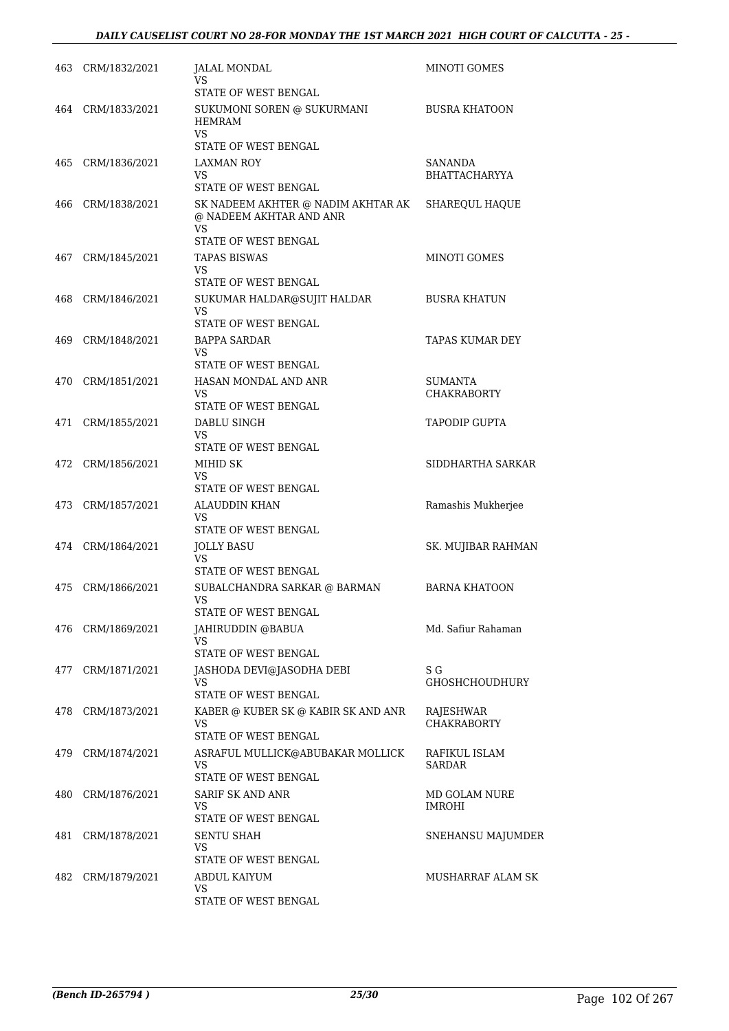|     | 463 CRM/1832/2021 | JALAL MONDAL<br>VS                                                         | MINOTI GOMES                    |
|-----|-------------------|----------------------------------------------------------------------------|---------------------------------|
|     |                   | STATE OF WEST BENGAL                                                       |                                 |
|     | 464 CRM/1833/2021 | SUKUMONI SOREN @ SUKURMANI<br><b>HEMRAM</b><br>VS.                         | <b>BUSRA KHATOON</b>            |
|     |                   | STATE OF WEST BENGAL                                                       |                                 |
| 465 | CRM/1836/2021     | LAXMAN ROY<br>VS                                                           | SANANDA<br><b>BHATTACHARYYA</b> |
|     |                   | <b>STATE OF WEST BENGAL</b>                                                |                                 |
| 466 | CRM/1838/2021     | SK NADEEM AKHTER @ NADIM AKHTAR AK<br>@ NADEEM AKHTAR AND ANR<br><b>VS</b> | SHAREQUL HAQUE                  |
|     |                   | STATE OF WEST BENGAL                                                       |                                 |
| 467 | CRM/1845/2021     | TAPAS BISWAS                                                               | MINOTI GOMES                    |
|     |                   | VS<br>STATE OF WEST BENGAL                                                 |                                 |
| 468 | CRM/1846/2021     | SUKUMAR HALDAR@SUJIT HALDAR                                                | <b>BUSRA KHATUN</b>             |
|     |                   | VS<br>STATE OF WEST BENGAL                                                 |                                 |
| 469 | CRM/1848/2021     | <b>BAPPA SARDAR</b>                                                        | TAPAS KUMAR DEY                 |
|     |                   | VS                                                                         |                                 |
|     |                   | STATE OF WEST BENGAL                                                       |                                 |
| 470 | CRM/1851/2021     | HASAN MONDAL AND ANR<br>VS                                                 | SUMANTA<br><b>CHAKRABORTY</b>   |
|     |                   | STATE OF WEST BENGAL                                                       |                                 |
| 471 | CRM/1855/2021     | DABLU SINGH                                                                | <b>TAPODIP GUPTA</b>            |
|     |                   | VS<br>STATE OF WEST BENGAL                                                 |                                 |
| 472 | CRM/1856/2021     | MIHID SK                                                                   | SIDDHARTHA SARKAR               |
|     |                   | VS                                                                         |                                 |
|     |                   | STATE OF WEST BENGAL                                                       |                                 |
|     | 473 CRM/1857/2021 | <b>ALAUDDIN KHAN</b><br>VS                                                 | Ramashis Mukherjee              |
|     |                   | STATE OF WEST BENGAL                                                       |                                 |
|     | 474 CRM/1864/2021 | <b>JOLLY BASU</b><br><b>VS</b><br>STATE OF WEST BENGAL                     | SK. MUJIBAR RAHMAN              |
| 475 | CRM/1866/2021     | SUBALCHANDRA SARKAR @ BARMAN                                               | <b>BARNA KHATOON</b>            |
|     |                   | VS<br>STATE OF WEST BENGAL                                                 |                                 |
| 476 | CRM/1869/2021     | JAHIRUDDIN @BABUA                                                          | Md. Safiur Rahaman              |
|     |                   | VS                                                                         |                                 |
|     |                   | STATE OF WEST BENGAL                                                       |                                 |
| 477 | CRM/1871/2021     | JASHODA DEVI@JASODHA DEBI<br>VS                                            | S G<br>GHOSHCHOUDHURY           |
|     |                   | STATE OF WEST BENGAL                                                       |                                 |
| 478 | CRM/1873/2021     | KABER @ KUBER SK @ KABIR SK AND ANR<br>VS                                  | RAJESHWAR<br><b>CHAKRABORTY</b> |
|     |                   | STATE OF WEST BENGAL                                                       |                                 |
| 479 | CRM/1874/2021     | ASRAFUL MULLICK@ABUBAKAR MOLLICK<br>VS<br>STATE OF WEST BENGAL             | RAFIKUL ISLAM<br>SARDAR         |
| 480 | CRM/1876/2021     | SARIF SK AND ANR                                                           | MD GOLAM NURE                   |
|     |                   | VS                                                                         | <b>IMROHI</b>                   |
|     |                   | STATE OF WEST BENGAL                                                       |                                 |
| 481 | CRM/1878/2021     | <b>SENTU SHAH</b><br>VS                                                    | SNEHANSU MAJUMDER               |
|     |                   | STATE OF WEST BENGAL                                                       |                                 |
| 482 | CRM/1879/2021     | ABDUL KAIYUM<br>VS                                                         | MUSHARRAF ALAM SK               |
|     |                   | STATE OF WEST BENGAL                                                       |                                 |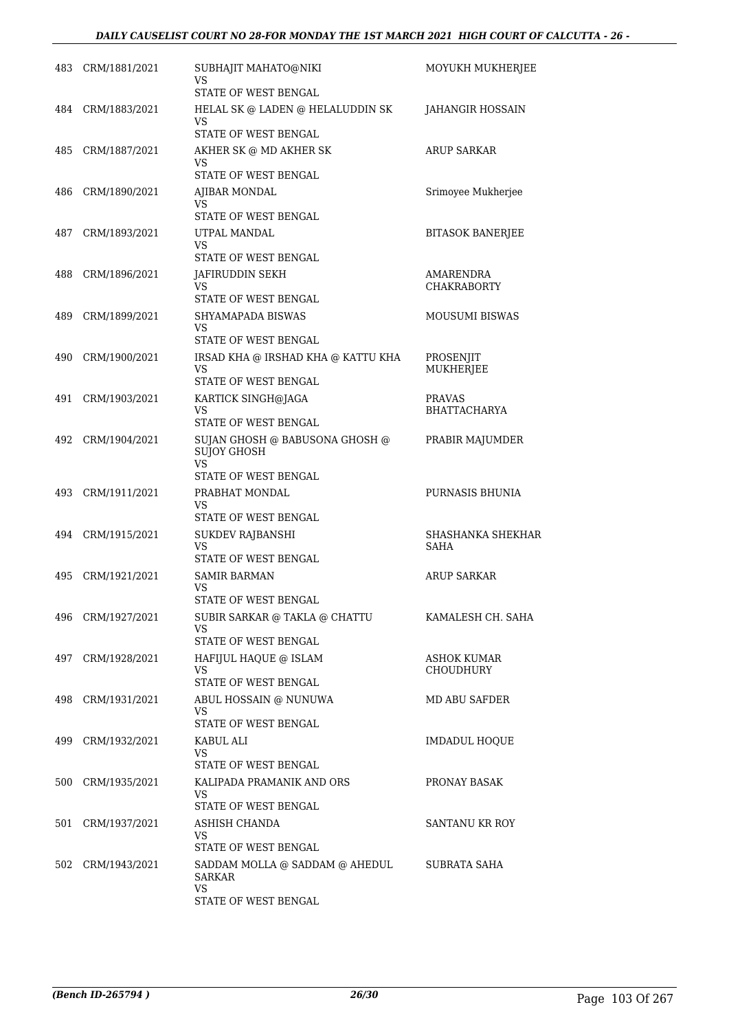|     | 483 CRM/1881/2021 | SUBHAJIT MAHATO@NIKI<br>VS                      | MOYUKH MUKHERJEE                |
|-----|-------------------|-------------------------------------------------|---------------------------------|
|     |                   | STATE OF WEST BENGAL                            |                                 |
|     | 484 CRM/1883/2021 | HELAL SK @ LADEN @ HELALUDDIN SK<br>VS          | JAHANGIR HOSSAIN                |
|     |                   | STATE OF WEST BENGAL                            |                                 |
| 485 | CRM/1887/2021     | AKHER SK @ MD AKHER SK<br>VS                    | <b>ARUP SARKAR</b>              |
|     |                   | STATE OF WEST BENGAL                            |                                 |
| 486 | CRM/1890/2021     | AJIBAR MONDAL<br>VS                             | Srimoyee Mukherjee              |
| 487 | CRM/1893/2021     | STATE OF WEST BENGAL<br>UTPAL MANDAL            | <b>BITASOK BANERJEE</b>         |
|     |                   | VS                                              |                                 |
|     |                   | STATE OF WEST BENGAL                            |                                 |
| 488 | CRM/1896/2021     | JAFIRUDDIN SEKH<br>VS                           | AMARENDRA<br><b>CHAKRABORTY</b> |
|     |                   | STATE OF WEST BENGAL                            |                                 |
| 489 | CRM/1899/2021     | SHYAMAPADA BISWAS<br>VS<br>STATE OF WEST BENGAL | <b>MOUSUMI BISWAS</b>           |
| 490 | CRM/1900/2021     | IRSAD KHA @ IRSHAD KHA @ KATTU KHA              | PROSENJIT                       |
|     |                   | VS.<br>STATE OF WEST BENGAL                     | <b>MUKHERJEE</b>                |
| 491 | CRM/1903/2021     | KARTICK SINGH@JAGA                              | <b>PRAVAS</b>                   |
|     |                   | VS<br>STATE OF WEST BENGAL                      | <b>BHATTACHARYA</b>             |
| 492 | CRM/1904/2021     | SUJAN GHOSH @ BABUSONA GHOSH @                  | PRABIR MAJUMDER                 |
|     |                   | <b>SUJOY GHOSH</b><br>VS.                       |                                 |
|     |                   | STATE OF WEST BENGAL                            |                                 |
| 493 | CRM/1911/2021     | PRABHAT MONDAL<br>VS                            | PURNASIS BHUNIA                 |
|     |                   | STATE OF WEST BENGAL                            |                                 |
| 494 | CRM/1915/2021     | SUKDEV RAJBANSHI<br>VS                          | SHASHANKA SHEKHAR<br>SAHA       |
|     |                   | STATE OF WEST BENGAL                            |                                 |
| 495 | CRM/1921/2021     | <b>SAMIR BARMAN</b>                             | <b>ARUP SARKAR</b>              |
|     |                   | VS<br>STATE OF WEST BENGAL                      |                                 |
|     | 496 CRM/1927/2021 | SUBIR SARKAR @ TAKLA @ CHATTU                   | KAMALESH CH. SAHA               |
|     |                   | VS<br>STATE OF WEST BENGAL                      |                                 |
| 497 | CRM/1928/2021     | HAFIJUL HAQUE @ ISLAM                           | ASHOK KUMAR                     |
|     |                   | VS<br><b>STATE OF WEST BENGAL</b>               | CHOUDHURY                       |
|     | 498 CRM/1931/2021 | ABUL HOSSAIN @ NUNUWA                           | MD ABU SAFDER                   |
|     |                   | VS<br>STATE OF WEST BENGAL                      |                                 |
| 499 | CRM/1932/2021     | KABUL ALI                                       | <b>IMDADUL HOOUE</b>            |
|     |                   | VS.<br>STATE OF WEST BENGAL                     |                                 |
|     | 500 CRM/1935/2021 | KALIPADA PRAMANIK AND ORS                       | PRONAY BASAK                    |
|     |                   | VS<br>STATE OF WEST BENGAL                      |                                 |
| 501 | CRM/1937/2021     | ASHISH CHANDA                                   | SANTANU KR ROY                  |
|     |                   | VS<br>STATE OF WEST BENGAL                      |                                 |
| 502 | CRM/1943/2021     | SADDAM MOLLA @ SADDAM @ AHEDUL                  | SUBRATA SAHA                    |
|     |                   | <b>SARKAR</b><br>VS.                            |                                 |
|     |                   | STATE OF WEST BENGAL                            |                                 |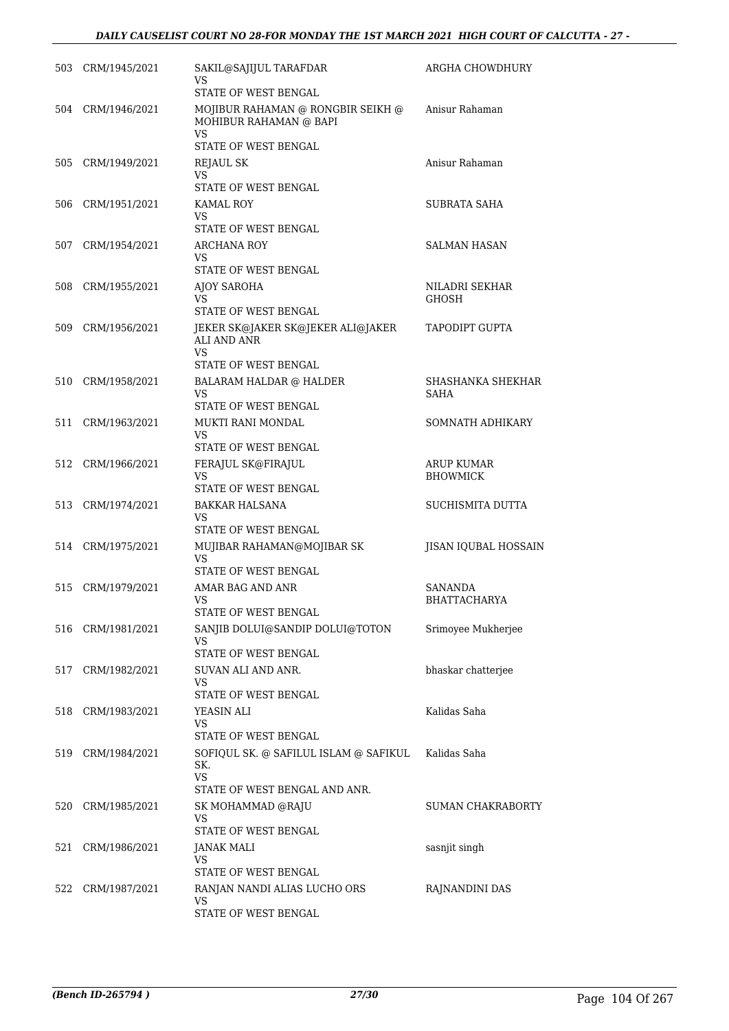|     | 503 CRM/1945/2021 | SAKIL@SAJIJUL TARAFDAR<br>VS<br>STATE OF WEST BENGAL                     | ARGHA CHOWDHURY                      |
|-----|-------------------|--------------------------------------------------------------------------|--------------------------------------|
|     | 504 CRM/1946/2021 | MOJIBUR RAHAMAN @ RONGBIR SEIKH @<br>MOHIBUR RAHAMAN @ BAPI<br><b>VS</b> | Anisur Rahaman                       |
|     |                   | STATE OF WEST BENGAL                                                     |                                      |
| 505 | CRM/1949/2021     | REJAUL SK<br>VS                                                          | Anisur Rahaman                       |
|     |                   | STATE OF WEST BENGAL                                                     |                                      |
| 506 | CRM/1951/2021     | KAMAL ROY                                                                | <b>SUBRATA SAHA</b>                  |
|     |                   | VS<br>STATE OF WEST BENGAL                                               |                                      |
| 507 | CRM/1954/2021     | ARCHANA ROY                                                              | SALMAN HASAN                         |
|     |                   | VS<br>STATE OF WEST BENGAL                                               |                                      |
| 508 | CRM/1955/2021     | AJOY SAROHA                                                              | NILADRI SEKHAR                       |
|     |                   | VS<br>STATE OF WEST BENGAL                                               | <b>GHOSH</b>                         |
| 509 | CRM/1956/2021     | JEKER SK@JAKER SK@JEKER ALI@JAKER<br><b>ALI AND ANR</b>                  | TAPODIPT GUPTA                       |
|     |                   | VS<br>STATE OF WEST BENGAL                                               |                                      |
| 510 | CRM/1958/2021     | <b>BALARAM HALDAR @ HALDER</b><br><b>VS</b>                              | SHASHANKA SHEKHAR<br><b>SAHA</b>     |
|     |                   | STATE OF WEST BENGAL                                                     |                                      |
| 511 | CRM/1963/2021     | MUKTI RANI MONDAL<br>VS                                                  | SOMNATH ADHIKARY                     |
|     |                   | STATE OF WEST BENGAL                                                     |                                      |
| 512 | CRM/1966/2021     | FERAJUL SK@FIRAJUL<br>VS<br>STATE OF WEST BENGAL                         | <b>ARUP KUMAR</b><br><b>BHOWMICK</b> |
| 513 | CRM/1974/2021     | <b>BAKKAR HALSANA</b>                                                    | SUCHISMITA DUTTA                     |
|     |                   | VS<br>STATE OF WEST BENGAL                                               |                                      |
|     | 514 CRM/1975/2021 | MUJIBAR RAHAMAN@MOJIBAR SK                                               | JISAN IQUBAL HOSSAIN                 |
|     |                   | VS<br>STATE OF WEST BENGAL                                               |                                      |
| 515 | CRM/1979/2021     | AMAR BAG AND ANR                                                         | <b>SANANDA</b>                       |
|     |                   | VS                                                                       | <b>BHATTACHARYA</b>                  |
| 516 | CRM/1981/2021     | STATE OF WEST BENGAL<br>SANJIB DOLUI@SANDIP DOLUI@TOTON                  | Srimoyee Mukherjee                   |
|     |                   | VS                                                                       |                                      |
|     |                   | STATE OF WEST BENGAL                                                     |                                      |
| 517 | CRM/1982/2021     | SUVAN ALI AND ANR.<br>VS                                                 | bhaskar chatterjee                   |
|     |                   | STATE OF WEST BENGAL                                                     |                                      |
| 518 | CRM/1983/2021     | YEASIN ALI<br>VS                                                         | Kalidas Saha                         |
|     |                   | STATE OF WEST BENGAL                                                     |                                      |
| 519 | CRM/1984/2021     | SOFIQUL SK. @ SAFILUL ISLAM @ SAFIKUL<br>SK.<br><b>VS</b>                | Kalidas Saha                         |
|     |                   | STATE OF WEST BENGAL AND ANR.                                            |                                      |
| 520 | CRM/1985/2021     | SK MOHAMMAD @RAJU<br>VS                                                  | SUMAN CHAKRABORTY                    |
| 521 | CRM/1986/2021     | STATE OF WEST BENGAL<br>JANAK MALI                                       | sasnjit singh                        |
|     |                   | VS                                                                       |                                      |
|     |                   | STATE OF WEST BENGAL                                                     |                                      |
| 522 | CRM/1987/2021     | RANJAN NANDI ALIAS LUCHO ORS<br>VS                                       | RAJNANDINI DAS                       |
|     |                   | STATE OF WEST BENGAL                                                     |                                      |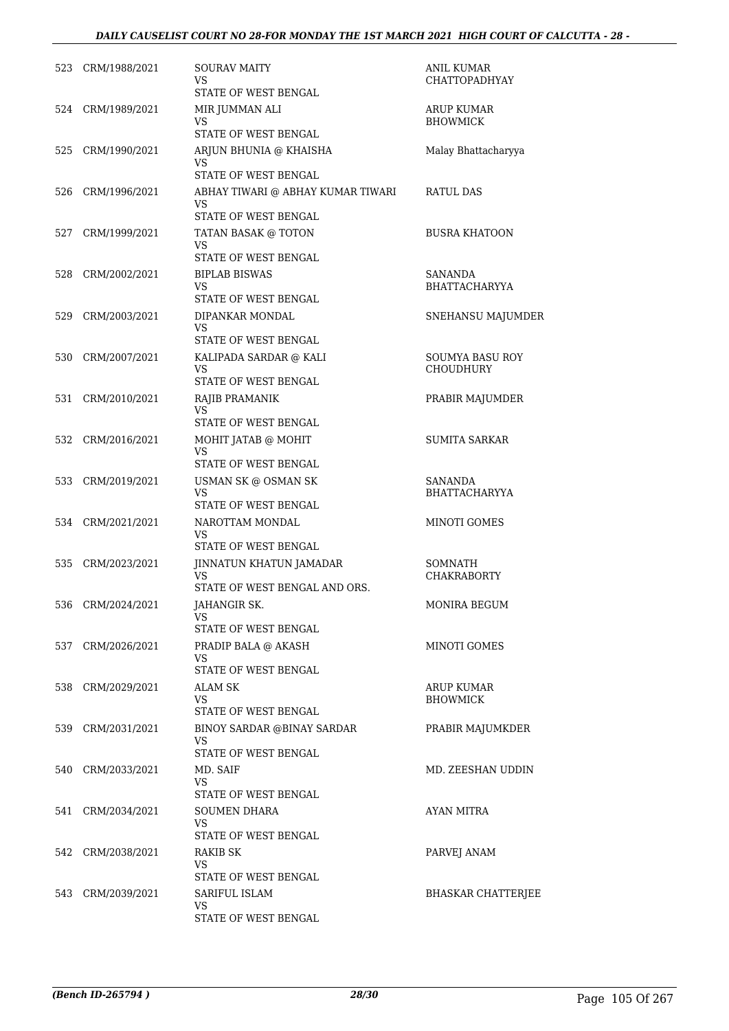| 523 | CRM/1988/2021     | SOURAV MAITY<br>VS<br>STATE OF WEST BENGAL                                             | ANIL KUMAR<br><b>CHATTOPADHYAY</b>     |
|-----|-------------------|----------------------------------------------------------------------------------------|----------------------------------------|
|     | 524 CRM/1989/2021 | MIR JUMMAN ALI<br>VS<br><b>STATE OF WEST BENGAL</b>                                    | ARUP KUMAR<br><b>BHOWMICK</b>          |
| 525 | CRM/1990/2021     | ARJUN BHUNIA @ KHAISHA<br>VS<br>STATE OF WEST BENGAL                                   | Malay Bhattacharyya                    |
| 526 | CRM/1996/2021     | ABHAY TIWARI @ ABHAY KUMAR TIWARI<br>VS<br>STATE OF WEST BENGAL                        | RATUL DAS                              |
| 527 | CRM/1999/2021     | TATAN BASAK @ TOTON<br><b>VS</b><br>STATE OF WEST BENGAL                               | <b>BUSRA KHATOON</b>                   |
| 528 | CRM/2002/2021     | <b>BIPLAB BISWAS</b><br>VS<br>STATE OF WEST BENGAL                                     | <b>SANANDA</b><br><b>BHATTACHARYYA</b> |
| 529 | CRM/2003/2021     | DIPANKAR MONDAL<br><b>VS</b>                                                           | SNEHANSU MAJUMDER                      |
| 530 | CRM/2007/2021     | STATE OF WEST BENGAL<br>KALIPADA SARDAR @ KALI<br><b>VS</b><br>STATE OF WEST BENGAL    | <b>SOUMYA BASU ROY</b><br>CHOUDHURY    |
| 531 | CRM/2010/2021     | RAJIB PRAMANIK<br><b>VS</b><br>STATE OF WEST BENGAL                                    | PRABIR MAJUMDER                        |
| 532 | CRM/2016/2021     | MOHIT JATAB @ MOHIT<br>VS<br>STATE OF WEST BENGAL                                      | <b>SUMITA SARKAR</b>                   |
| 533 | CRM/2019/2021     | USMAN SK @ OSMAN SK<br>VS<br>STATE OF WEST BENGAL                                      | <b>SANANDA</b><br><b>BHATTACHARYYA</b> |
|     | 534 CRM/2021/2021 | NAROTTAM MONDAL<br>VS                                                                  | MINOTI GOMES                           |
| 535 | CRM/2023/2021     | STATE OF WEST BENGAL<br>JINNATUN KHATUN JAMADAR<br>VS<br>STATE OF WEST BENGAL AND ORS. | SOMNATH<br>CHAKRABORTY                 |
|     | 536 CRM/2024/2021 | JAHANGIR SK.<br>VS<br>STATE OF WEST BENGAL                                             | MONIRA BEGUM                           |
|     | 537 CRM/2026/2021 | PRADIP BALA @ AKASH<br>VS                                                              | MINOTI GOMES                           |
|     | 538 CRM/2029/2021 | STATE OF WEST BENGAL<br><b>ALAM SK</b><br>VS<br>STATE OF WEST BENGAL                   | <b>ARUP KUMAR</b><br><b>BHOWMICK</b>   |
|     | 539 CRM/2031/2021 | BINOY SARDAR @BINAY SARDAR<br>VS.<br>STATE OF WEST BENGAL                              | PRABIR MAJUMKDER                       |
|     | 540 CRM/2033/2021 | MD. SAIF<br>VS                                                                         | MD. ZEESHAN UDDIN                      |
|     | 541 CRM/2034/2021 | STATE OF WEST BENGAL<br><b>SOUMEN DHARA</b><br>VS.                                     | AYAN MITRA                             |
|     | 542 CRM/2038/2021 | STATE OF WEST BENGAL<br><b>RAKIB SK</b><br>VS<br>STATE OF WEST BENGAL                  | PARVEJ ANAM                            |
|     | 543 CRM/2039/2021 | SARIFUL ISLAM<br>VS<br>STATE OF WEST BENGAL                                            | <b>BHASKAR CHATTERJEE</b>              |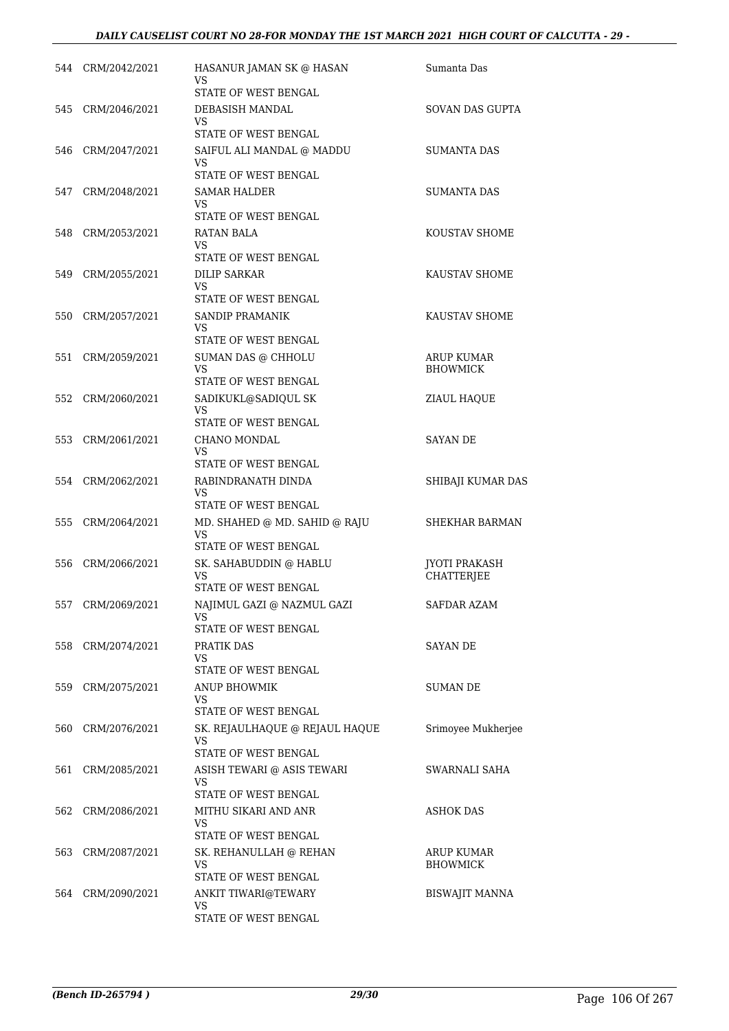|     | 544 CRM/2042/2021 | HASANUR JAMAN SK @ HASAN<br>VS        | Sumanta Das                   |
|-----|-------------------|---------------------------------------|-------------------------------|
|     |                   | STATE OF WEST BENGAL                  |                               |
|     | 545 CRM/2046/2021 | DEBASISH MANDAL<br>VS                 | SOVAN DAS GUPTA               |
|     |                   | <b>STATE OF WEST BENGAL</b>           |                               |
|     | 546 CRM/2047/2021 | SAIFUL ALI MANDAL @ MADDU<br>VS.      | SUMANTA DAS                   |
|     |                   | STATE OF WEST BENGAL                  |                               |
|     | 547 CRM/2048/2021 | <b>SAMAR HALDER</b><br>VS             | <b>SUMANTA DAS</b>            |
|     |                   | STATE OF WEST BENGAL                  |                               |
| 548 | CRM/2053/2021     | RATAN BALA<br>VS.                     | <b>KOUSTAV SHOME</b>          |
|     |                   | STATE OF WEST BENGAL                  |                               |
| 549 | CRM/2055/2021     | DILIP SARKAR<br><b>VS</b>             | KAUSTAV SHOME                 |
|     |                   | <b>STATE OF WEST BENGAL</b>           |                               |
| 550 | CRM/2057/2021     | SANDIP PRAMANIK<br>VS                 | KAUSTAV SHOME                 |
|     |                   | STATE OF WEST BENGAL                  |                               |
| 551 | CRM/2059/2021     | SUMAN DAS @ CHHOLU<br>VS.             | ARUP KUMAR<br><b>BHOWMICK</b> |
|     |                   | STATE OF WEST BENGAL                  |                               |
|     | 552 CRM/2060/2021 | SADIKUKL@SADIQUL SK<br><b>VS</b>      | ZIAUL HAQUE                   |
|     |                   | STATE OF WEST BENGAL                  |                               |
|     | 553 CRM/2061/2021 | CHANO MONDAL                          | <b>SAYAN DE</b>               |
|     |                   | VS<br>STATE OF WEST BENGAL            |                               |
|     | 554 CRM/2062/2021 | RABINDRANATH DINDA                    | SHIBAJI KUMAR DAS             |
|     |                   | VS.<br>STATE OF WEST BENGAL           |                               |
|     | 555 CRM/2064/2021 | MD. SHAHED @ MD. SAHID @ RAJU         | SHEKHAR BARMAN                |
|     |                   | VS<br>STATE OF WEST BENGAL            |                               |
|     | 556 CRM/2066/2021 | SK. SAHABUDDIN @ HABLU                | <b>JYOTI PRAKASH</b>          |
|     |                   | VS                                    | <b>CHATTERJEE</b>             |
|     |                   | STATE OF WEST BENGAL                  |                               |
|     | 557 CRM/2069/2021 | NAJIMUL GAZI @ NAZMUL GAZI<br>VS      | SAFDAR AZAM                   |
|     |                   | STATE OF WEST BENGAL                  |                               |
|     | 558 CRM/2074/2021 | PRATIK DAS<br>VS                      | <b>SAYAN DE</b>               |
|     |                   | STATE OF WEST BENGAL                  |                               |
|     | 559 CRM/2075/2021 | <b>ANUP BHOWMIK</b><br>VS.            | <b>SUMAN DE</b>               |
|     |                   | <b>STATE OF WEST BENGAL</b>           |                               |
|     | 560 CRM/2076/2021 | SK. REJAULHAQUE @ REJAUL HAQUE<br>VS. | Srimoyee Mukherjee            |
|     |                   | STATE OF WEST BENGAL                  |                               |
| 561 | CRM/2085/2021     | ASISH TEWARI @ ASIS TEWARI<br>VS.     | SWARNALI SAHA                 |
|     |                   | STATE OF WEST BENGAL                  |                               |
|     | 562 CRM/2086/2021 | MITHU SIKARI AND ANR<br>VS.           | ASHOK DAS                     |
|     |                   | STATE OF WEST BENGAL                  |                               |
|     | 563 CRM/2087/2021 | SK. REHANULLAH @ REHAN<br>VS          | ARUP KUMAR<br><b>BHOWMICK</b> |
|     |                   | STATE OF WEST BENGAL                  |                               |
|     | 564 CRM/2090/2021 | ANKIT TIWARI@TEWARY                   | <b>BISWAJIT MANNA</b>         |
|     |                   | VS.<br>STATE OF WEST BENGAL           |                               |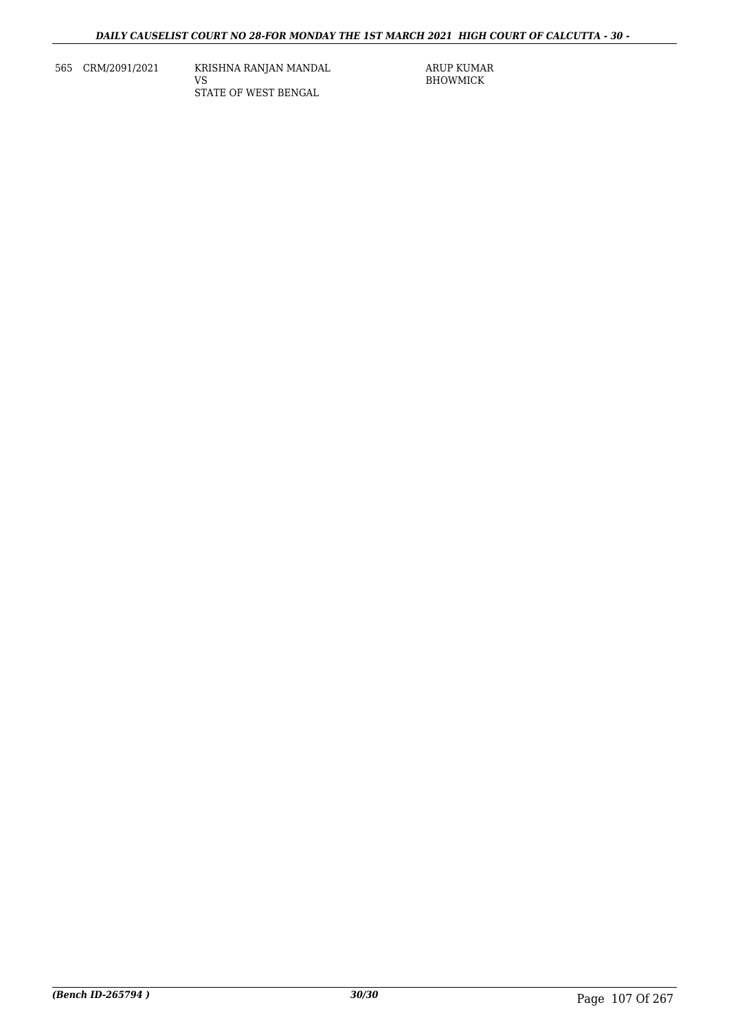565 CRM/2091/2021 KRISHNA RANJAN MANDAL VS STATE OF WEST BENGAL

ARUP KUMAR BHOWMICK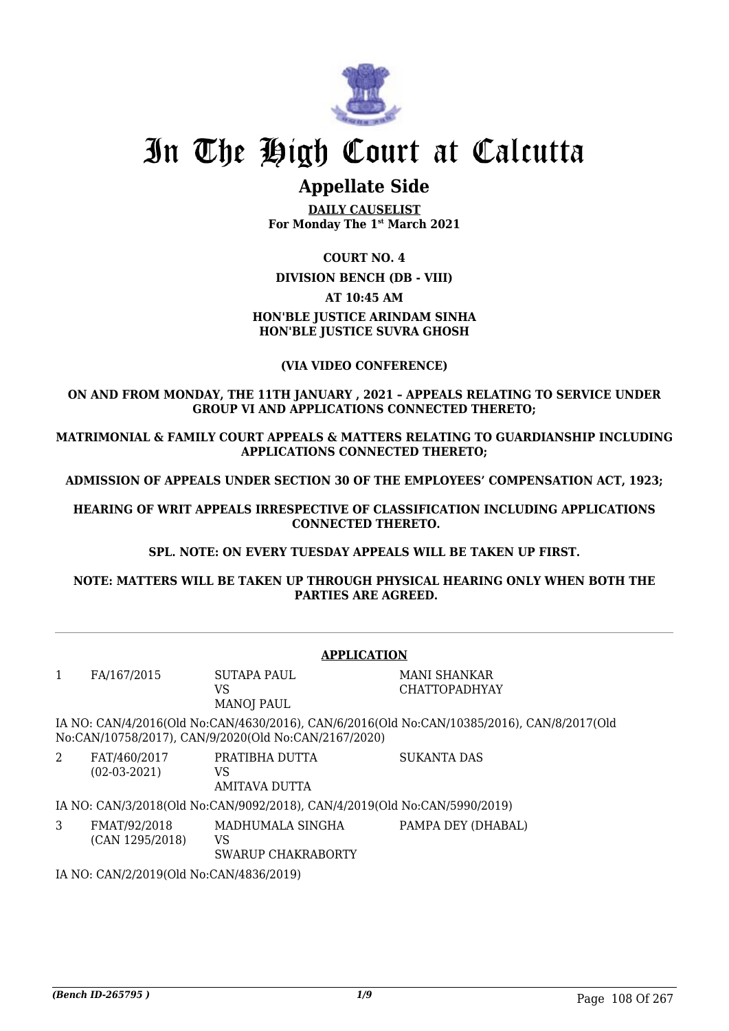

# **Appellate Side**

**DAILY CAUSELIST For Monday The 1st March 2021**

### **COURT NO. 4**

### **DIVISION BENCH (DB - VIII)**

## **AT 10:45 AM**

# **HON'BLE JUSTICE ARINDAM SINHA HON'BLE JUSTICE SUVRA GHOSH**

## **(VIA VIDEO CONFERENCE)**

### **ON AND FROM MONDAY, THE 11TH JANUARY , 2021 – APPEALS RELATING TO SERVICE UNDER GROUP VI AND APPLICATIONS CONNECTED THERETO;**

**MATRIMONIAL & FAMILY COURT APPEALS & MATTERS RELATING TO GUARDIANSHIP INCLUDING APPLICATIONS CONNECTED THERETO;**

**ADMISSION OF APPEALS UNDER SECTION 30 OF THE EMPLOYEES' COMPENSATION ACT, 1923;**

**HEARING OF WRIT APPEALS IRRESPECTIVE OF CLASSIFICATION INCLUDING APPLICATIONS CONNECTED THERETO.**

**SPL. NOTE: ON EVERY TUESDAY APPEALS WILL BE TAKEN UP FIRST.**

**NOTE: MATTERS WILL BE TAKEN UP THROUGH PHYSICAL HEARING ONLY WHEN BOTH THE PARTIES ARE AGREED.**

|             | <b>APPLICATION</b>                      |                                                                           |                                                                                            |  |  |  |
|-------------|-----------------------------------------|---------------------------------------------------------------------------|--------------------------------------------------------------------------------------------|--|--|--|
| 1           | FA/167/2015                             | SUTAPA PAUL<br>VS<br><b>MANOJ PAUL</b>                                    | MANI SHANKAR<br><b>CHATTOPADHYAY</b>                                                       |  |  |  |
|             |                                         | No:CAN/10758/2017), CAN/9/2020(Old No:CAN/2167/2020)                      | IA NO: CAN/4/2016(Old No:CAN/4630/2016), CAN/6/2016(Old No:CAN/10385/2016), CAN/8/2017(Old |  |  |  |
| $2^{\circ}$ | FAT/460/2017<br>$(02-03-2021)$          | PRATIBHA DUTTA<br>VS<br><b>AMITAVA DUTTA</b>                              | <b>SUKANTA DAS</b>                                                                         |  |  |  |
|             |                                         | IA NO: CAN/3/2018(Old No:CAN/9092/2018), CAN/4/2019(Old No:CAN/5990/2019) |                                                                                            |  |  |  |
| 3           | FMAT/92/2018<br>(CAN 1295/2018)         | MADHUMALA SINGHA<br>VS<br>SWARUP CHAKRABORTY                              | PAMPA DEY (DHABAL)                                                                         |  |  |  |
|             | IA NIO CANIMPIONACIO NA CANTIAO 2004 ON |                                                                           |                                                                                            |  |  |  |

IA NO: CAN/2/2019(Old No:CAN/4836/2019)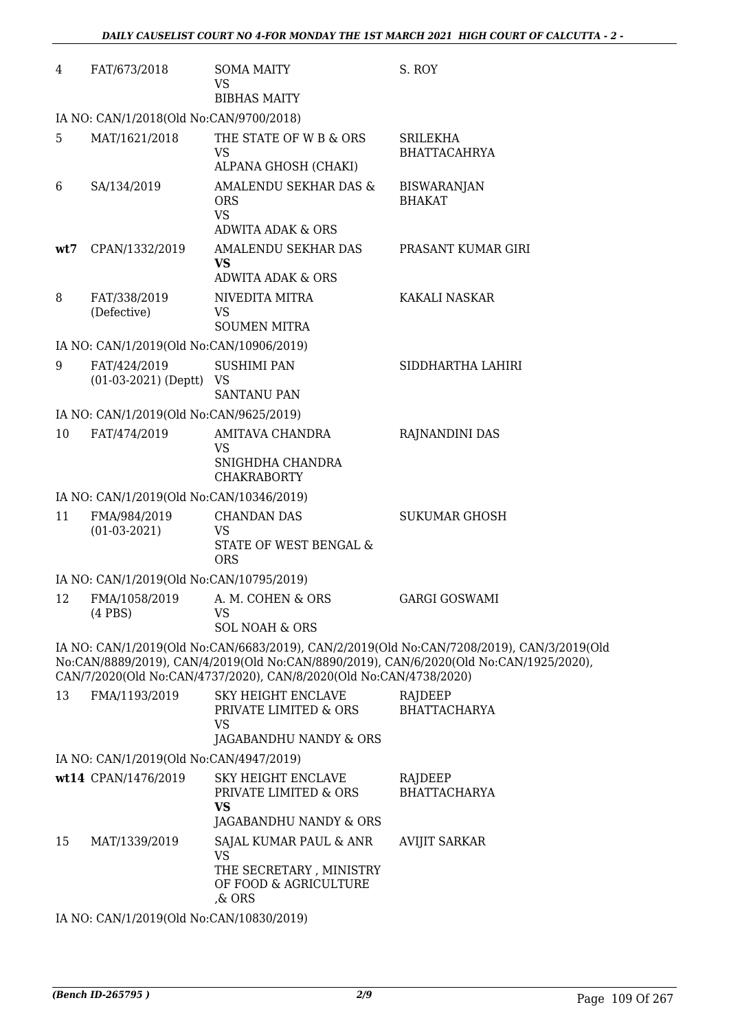| 4   | FAT/673/2018                             | <b>SOMA MAITY</b><br>VS<br><b>BIBHAS MAITY</b>                                             | S. ROY                                                                                                                                                                              |
|-----|------------------------------------------|--------------------------------------------------------------------------------------------|-------------------------------------------------------------------------------------------------------------------------------------------------------------------------------------|
|     | IA NO: CAN/1/2018(Old No:CAN/9700/2018)  |                                                                                            |                                                                                                                                                                                     |
| 5   | MAT/1621/2018                            | THE STATE OF W B & ORS<br><b>VS</b><br>ALPANA GHOSH (CHAKI)                                | <b>SRILEKHA</b><br><b>BHATTACAHRYA</b>                                                                                                                                              |
| 6   | SA/134/2019                              | AMALENDU SEKHAR DAS &<br><b>ORS</b><br><b>VS</b><br>ADWITA ADAK & ORS                      | <b>BISWARANJAN</b><br><b>BHAKAT</b>                                                                                                                                                 |
| wt7 | CPAN/1332/2019                           | AMALENDU SEKHAR DAS<br>VS<br><b>ADWITA ADAK &amp; ORS</b>                                  | PRASANT KUMAR GIRI                                                                                                                                                                  |
| 8   | FAT/338/2019<br>(Defective)              | NIVEDITA MITRA<br>VS<br><b>SOUMEN MITRA</b>                                                | KAKALI NASKAR                                                                                                                                                                       |
|     | IA NO: CAN/1/2019(Old No:CAN/10906/2019) |                                                                                            |                                                                                                                                                                                     |
| 9   | FAT/424/2019<br>$(01-03-2021)$ (Deptt)   | <b>SUSHIMI PAN</b><br>VS<br><b>SANTANU PAN</b>                                             | SIDDHARTHA LAHIRI                                                                                                                                                                   |
|     | IA NO: CAN/1/2019(Old No:CAN/9625/2019)  |                                                                                            |                                                                                                                                                                                     |
| 10  | FAT/474/2019                             | AMITAVA CHANDRA<br>VS<br>SNIGHDHA CHANDRA<br><b>CHAKRABORTY</b>                            | RAJNANDINI DAS                                                                                                                                                                      |
|     | IA NO: CAN/1/2019(Old No:CAN/10346/2019) |                                                                                            |                                                                                                                                                                                     |
| 11  | FMA/984/2019<br>$(01-03-2021)$           | <b>CHANDAN DAS</b><br>VS<br>STATE OF WEST BENGAL &<br><b>ORS</b>                           | <b>SUKUMAR GHOSH</b>                                                                                                                                                                |
|     | IA NO: CAN/1/2019(Old No:CAN/10795/2019) |                                                                                            |                                                                                                                                                                                     |
| 12  | FMA/1058/2019<br>$(4$ PBS $)$            | A. M. COHEN & ORS<br>VS<br><b>SOL NOAH &amp; ORS</b>                                       | <b>GARGI GOSWAMI</b>                                                                                                                                                                |
|     |                                          | CAN/7/2020(Old No:CAN/4737/2020), CAN/8/2020(Old No:CAN/4738/2020)                         | IA NO: CAN/1/2019(Old No:CAN/6683/2019), CAN/2/2019(Old No:CAN/7208/2019), CAN/3/2019(Old<br>No:CAN/8889/2019), CAN/4/2019(Old No:CAN/8890/2019), CAN/6/2020(Old No:CAN/1925/2020), |
| 13  | FMA/1193/2019                            | <b>SKY HEIGHT ENCLAVE</b><br>PRIVATE LIMITED & ORS<br><b>VS</b>                            | RAJDEEP<br><b>BHATTACHARYA</b>                                                                                                                                                      |
|     |                                          | JAGABANDHU NANDY & ORS                                                                     |                                                                                                                                                                                     |
|     | IA NO: CAN/1/2019(Old No:CAN/4947/2019)  |                                                                                            |                                                                                                                                                                                     |
|     | wt14 CPAN/1476/2019                      | <b>SKY HEIGHT ENCLAVE</b><br>PRIVATE LIMITED & ORS<br><b>VS</b><br>JAGABANDHU NANDY & ORS  | RAJDEEP<br><b>BHATTACHARYA</b>                                                                                                                                                      |
| 15  | MAT/1339/2019                            | SAJAL KUMAR PAUL & ANR<br>VS<br>THE SECRETARY, MINISTRY<br>OF FOOD & AGRICULTURE<br>,& ORS | <b>AVIJIT SARKAR</b>                                                                                                                                                                |
|     | IA NO: CAN/1/2019(Old No:CAN/10830/2019) |                                                                                            |                                                                                                                                                                                     |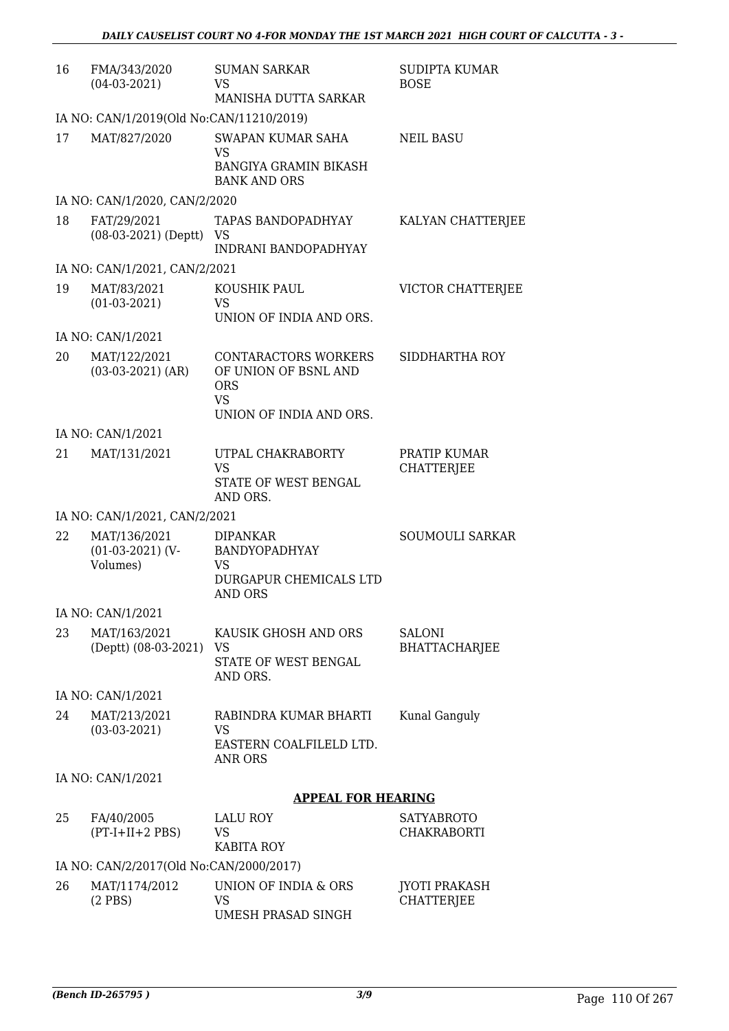| 16 | FMA/343/2020<br>$(04-03-2021)$                 | <b>SUMAN SARKAR</b><br>VS<br>MANISHA DUTTA SARKAR                                                         | <b>SUDIPTA KUMAR</b><br><b>BOSE</b>       |  |  |  |
|----|------------------------------------------------|-----------------------------------------------------------------------------------------------------------|-------------------------------------------|--|--|--|
|    | IA NO: CAN/1/2019(Old No:CAN/11210/2019)       |                                                                                                           |                                           |  |  |  |
| 17 | MAT/827/2020                                   | <b>SWAPAN KUMAR SAHA</b><br><b>VS</b><br><b>BANGIYA GRAMIN BIKASH</b><br><b>BANK AND ORS</b>              | <b>NEIL BASU</b>                          |  |  |  |
|    | IA NO: CAN/1/2020, CAN/2/2020                  |                                                                                                           |                                           |  |  |  |
| 18 | FAT/29/2021<br>$(08-03-2021)$ (Deptt) VS       | <b>TAPAS BANDOPADHYAY</b><br><b>INDRANI BANDOPADHYAY</b>                                                  | KALYAN CHATTERJEE                         |  |  |  |
|    | IA NO: CAN/1/2021, CAN/2/2021                  |                                                                                                           |                                           |  |  |  |
| 19 | MAT/83/2021<br>$(01-03-2021)$                  | KOUSHIK PAUL<br><b>VS</b><br>UNION OF INDIA AND ORS.                                                      | VICTOR CHATTERJEE                         |  |  |  |
|    | IA NO: CAN/1/2021                              |                                                                                                           |                                           |  |  |  |
| 20 | MAT/122/2021<br>$(03-03-2021)$ (AR)            | <b>CONTARACTORS WORKERS</b><br>OF UNION OF BSNL AND<br><b>ORS</b><br><b>VS</b><br>UNION OF INDIA AND ORS. | SIDDHARTHA ROY                            |  |  |  |
|    | IA NO: CAN/1/2021                              |                                                                                                           |                                           |  |  |  |
| 21 | MAT/131/2021                                   | UTPAL CHAKRABORTY<br><b>VS</b><br>STATE OF WEST BENGAL<br>AND ORS.                                        | PRATIP KUMAR<br><b>CHATTERJEE</b>         |  |  |  |
|    | IA NO: CAN/1/2021, CAN/2/2021                  |                                                                                                           |                                           |  |  |  |
| 22 | MAT/136/2021<br>$(01-03-2021)$ (V-<br>Volumes) | <b>DIPANKAR</b><br>BANDYOPADHYAY<br>VS<br>DURGAPUR CHEMICALS LTD<br>AND ORS                               | <b>SOUMOULI SARKAR</b>                    |  |  |  |
|    | IA NO: CAN/1/2021                              |                                                                                                           |                                           |  |  |  |
| 23 | MAT/163/2021<br>(Deptt) (08-03-2021)           | KAUSIK GHOSH AND ORS<br>VS<br>STATE OF WEST BENGAL<br>AND ORS.                                            | <b>SALONI</b><br><b>BHATTACHARJEE</b>     |  |  |  |
|    | IA NO: CAN/1/2021                              |                                                                                                           |                                           |  |  |  |
| 24 | MAT/213/2021<br>$(03-03-2021)$                 | RABINDRA KUMAR BHARTI<br><b>VS</b><br>EASTERN COALFILELD LTD.<br><b>ANR ORS</b>                           | Kunal Ganguly                             |  |  |  |
|    | IA NO: CAN/1/2021                              |                                                                                                           |                                           |  |  |  |
|    |                                                | <b>APPEAL FOR HEARING</b>                                                                                 |                                           |  |  |  |
| 25 | FA/40/2005<br>$(PT-I+II+2 PBS)$                | <b>LALU ROY</b><br>VS<br><b>KABITA ROY</b>                                                                | <b>SATYABROTO</b><br><b>CHAKRABORTI</b>   |  |  |  |
|    | IA NO: CAN/2/2017(Old No:CAN/2000/2017)        |                                                                                                           |                                           |  |  |  |
| 26 | MAT/1174/2012<br>$(2$ PBS)                     | UNION OF INDIA & ORS<br>VS<br>UMESH PRASAD SINGH                                                          | <b>JYOTI PRAKASH</b><br><b>CHATTERJEE</b> |  |  |  |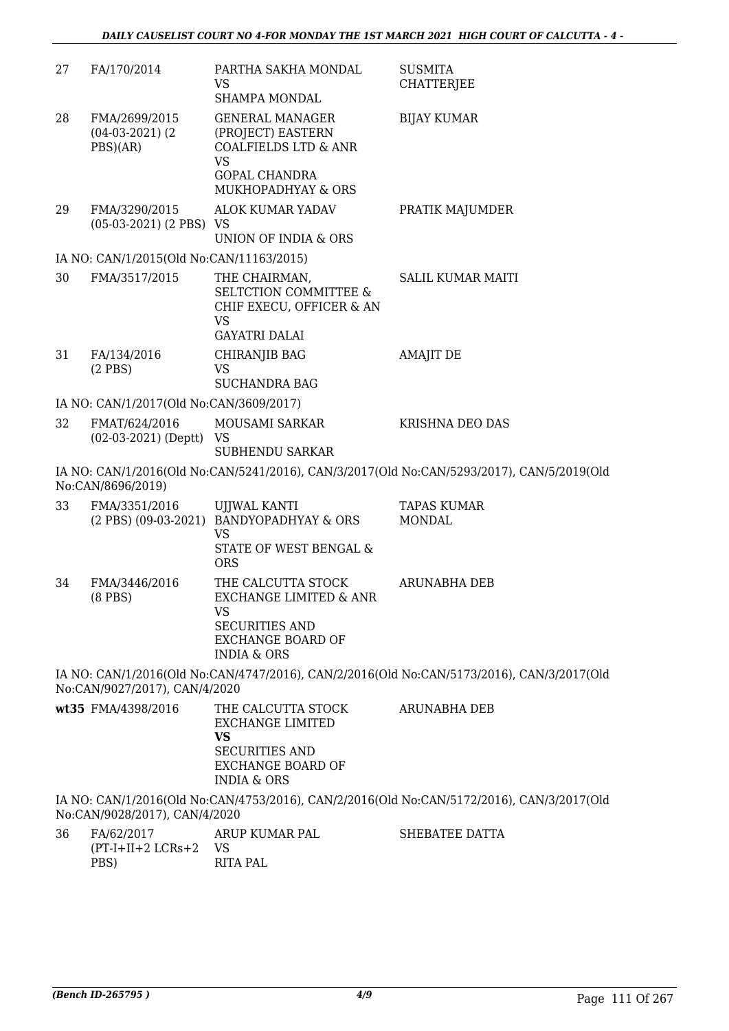| 27 | FA/170/2014                                       | PARTHA SAKHA MONDAL<br><b>VS</b><br>SHAMPA MONDAL                                                                                         | <b>SUSMITA</b><br><b>CHATTERJEE</b>                                                       |
|----|---------------------------------------------------|-------------------------------------------------------------------------------------------------------------------------------------------|-------------------------------------------------------------------------------------------|
| 28 | FMA/2699/2015<br>$(04-03-2021)$ $(2)$<br>PBS)(AR) | <b>GENERAL MANAGER</b><br>(PROJECT) EASTERN<br><b>COALFIELDS LTD &amp; ANR</b><br><b>VS</b><br><b>GOPAL CHANDRA</b><br>MUKHOPADHYAY & ORS | <b>BIJAY KUMAR</b>                                                                        |
| 29 | FMA/3290/2015<br>$(05-03-2021)$ (2 PBS) VS        | <b>ALOK KUMAR YADAV</b><br>UNION OF INDIA & ORS                                                                                           | PRATIK MAJUMDER                                                                           |
|    | IA NO: CAN/1/2015(Old No:CAN/11163/2015)          |                                                                                                                                           |                                                                                           |
| 30 | FMA/3517/2015                                     | THE CHAIRMAN,<br><b>SELTCTION COMMITTEE &amp;</b><br>CHIF EXECU, OFFICER & AN<br>VS<br><b>GAYATRI DALAI</b>                               | <b>SALIL KUMAR MAITI</b>                                                                  |
| 31 | FA/134/2016<br>$(2$ PBS $)$                       | CHIRANJIB BAG<br><b>VS</b><br><b>SUCHANDRA BAG</b>                                                                                        | <b>AMAJIT DE</b>                                                                          |
|    | IA NO: CAN/1/2017(Old No:CAN/3609/2017)           |                                                                                                                                           |                                                                                           |
| 32 | FMAT/624/2016<br>$(02-03-2021)$ (Deptt) VS        | MOUSAMI SARKAR<br><b>SUBHENDU SARKAR</b>                                                                                                  | KRISHNA DEO DAS                                                                           |
|    | No:CAN/8696/2019)                                 |                                                                                                                                           | IA NO: CAN/1/2016(Old No:CAN/5241/2016), CAN/3/2017(Old No:CAN/5293/2017), CAN/5/2019(Old |
| 33 | FMA/3351/2016                                     | <b>UJJWAL KANTI</b><br>(2 PBS) (09-03-2021) BANDYOPADHYAY & ORS<br><b>VS</b><br>STATE OF WEST BENGAL &<br>ORS                             | <b>TAPAS KUMAR</b><br><b>MONDAL</b>                                                       |
| 34 | FMA/3446/2016<br>$(8$ PBS $)$                     | THE CALCUTTA STOCK<br>EXCHANGE LIMITED & ANR<br>VS<br><b>SECURITIES AND</b><br><b>EXCHANGE BOARD OF</b><br><b>INDIA &amp; ORS</b>         | <b>ARUNABHA DEB</b>                                                                       |
|    | No:CAN/9027/2017), CAN/4/2020                     |                                                                                                                                           | IA NO: CAN/1/2016(Old No:CAN/4747/2016), CAN/2/2016(Old No:CAN/5173/2016), CAN/3/2017(Old |
|    | wt35 FMA/4398/2016                                | THE CALCUTTA STOCK<br><b>EXCHANGE LIMITED</b><br><b>VS</b><br><b>SECURITIES AND</b><br><b>EXCHANGE BOARD OF</b><br><b>INDIA &amp; ORS</b> | ARUNABHA DEB                                                                              |
|    | No:CAN/9028/2017), CAN/4/2020                     |                                                                                                                                           | IA NO: CAN/1/2016(Old No:CAN/4753/2016), CAN/2/2016(Old No:CAN/5172/2016), CAN/3/2017(Old |
| 36 | FA/62/2017<br>$(PT-I+II+2 LCRs+2)$<br>PBS)        | ARUP KUMAR PAL<br>VS<br><b>RITA PAL</b>                                                                                                   | SHEBATEE DATTA                                                                            |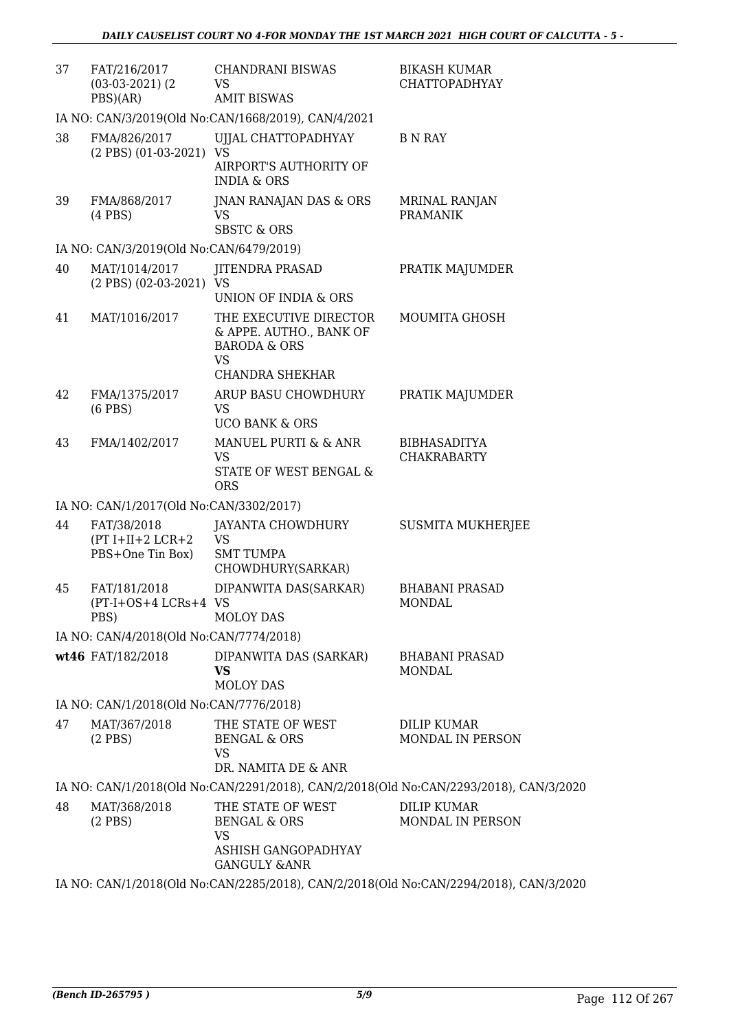| 37                                                  | FAT/216/2017<br>$(03-03-2021)$ $(2)$<br>PBS)(AR)      | <b>CHANDRANI BISWAS</b><br><b>VS</b><br><b>AMIT BISWAS</b>                                                                           | <b>BIKASH KUMAR</b><br><b>CHATTOPADHYAY</b>                                           |  |  |  |
|-----------------------------------------------------|-------------------------------------------------------|--------------------------------------------------------------------------------------------------------------------------------------|---------------------------------------------------------------------------------------|--|--|--|
| IA NO: CAN/3/2019(Old No:CAN/1668/2019), CAN/4/2021 |                                                       |                                                                                                                                      |                                                                                       |  |  |  |
| 38                                                  | FMA/826/2017<br>(2 PBS) (01-03-2021) VS               | UJJAL CHATTOPADHYAY<br>AIRPORT'S AUTHORITY OF<br><b>INDIA &amp; ORS</b>                                                              | B N RAY                                                                               |  |  |  |
| 39                                                  | FMA/868/2017<br>$(4$ PBS $)$                          | JNAN RANAJAN DAS & ORS<br>VS<br><b>SBSTC &amp; ORS</b>                                                                               | <b>MRINAL RANJAN</b><br><b>PRAMANIK</b>                                               |  |  |  |
|                                                     | IA NO: CAN/3/2019(Old No:CAN/6479/2019)               |                                                                                                                                      |                                                                                       |  |  |  |
| 40                                                  | MAT/1014/2017<br>(2 PBS) (02-03-2021) VS              | <b>JITENDRA PRASAD</b>                                                                                                               | PRATIK MAJUMDER                                                                       |  |  |  |
| 41                                                  | MAT/1016/2017                                         | UNION OF INDIA & ORS<br>THE EXECUTIVE DIRECTOR<br>& APPE. AUTHO., BANK OF<br><b>BARODA &amp; ORS</b><br><b>VS</b><br>CHANDRA SHEKHAR | MOUMITA GHOSH                                                                         |  |  |  |
| 42                                                  | FMA/1375/2017<br>$(6$ PBS $)$                         | ARUP BASU CHOWDHURY<br><b>VS</b><br><b>UCO BANK &amp; ORS</b>                                                                        | PRATIK MAJUMDER                                                                       |  |  |  |
| 43                                                  | FMA/1402/2017                                         | MANUEL PURTI & & ANR<br>VS<br>STATE OF WEST BENGAL &<br><b>ORS</b>                                                                   | <b>BIBHASADITYA</b><br><b>CHAKRABARTY</b>                                             |  |  |  |
|                                                     | IA NO: CAN/1/2017(Old No:CAN/3302/2017)               |                                                                                                                                      |                                                                                       |  |  |  |
| 44                                                  | FAT/38/2018<br>$(PT I+II+2 LCR+2$<br>PBS+One Tin Box) | JAYANTA CHOWDHURY<br><b>VS</b><br><b>SMT TUMPA</b><br>CHOWDHURY(SARKAR)                                                              | <b>SUSMITA MUKHERJEE</b>                                                              |  |  |  |
| 45                                                  | FAT/181/2018<br>(PT-I+OS+4 LCRs+4 VS<br>PBS)          | DIPANWITA DAS(SARKAR)<br><b>MOLOY DAS</b>                                                                                            | <b>BHABANI PRASAD</b><br><b>MONDAL</b>                                                |  |  |  |
|                                                     | IA NO: CAN/4/2018(Old No:CAN/7774/2018)               |                                                                                                                                      |                                                                                       |  |  |  |
|                                                     | wt46 FAT/182/2018                                     | DIPANWITA DAS (SARKAR)<br>VS<br><b>MOLOY DAS</b>                                                                                     | <b>BHABANI PRASAD</b><br><b>MONDAL</b>                                                |  |  |  |
|                                                     | IA NO: CAN/1/2018(Old No:CAN/7776/2018)               |                                                                                                                                      |                                                                                       |  |  |  |
| 47                                                  | MAT/367/2018<br>$(2$ PBS $)$                          | THE STATE OF WEST<br>BENGAL & ORS<br><b>VS</b>                                                                                       | <b>DILIP KUMAR</b><br>MONDAL IN PERSON                                                |  |  |  |
|                                                     |                                                       | DR. NAMITA DE & ANR                                                                                                                  |                                                                                       |  |  |  |
|                                                     |                                                       |                                                                                                                                      | IA NO: CAN/1/2018(Old No:CAN/2291/2018), CAN/2/2018(Old No:CAN/2293/2018), CAN/3/2020 |  |  |  |
| 48                                                  | MAT/368/2018<br>$(2$ PBS $)$                          | THE STATE OF WEST<br><b>BENGAL &amp; ORS</b><br><b>VS</b><br>ASHISH GANGOPADHYAY                                                     | <b>DILIP KUMAR</b><br>MONDAL IN PERSON                                                |  |  |  |
|                                                     |                                                       | <b>GANGULY &amp;ANR</b>                                                                                                              | IA NO: CAN/1/2018(Old No:CAN/2285/2018), CAN/2/2018(Old No:CAN/2294/2018), CAN/3/2020 |  |  |  |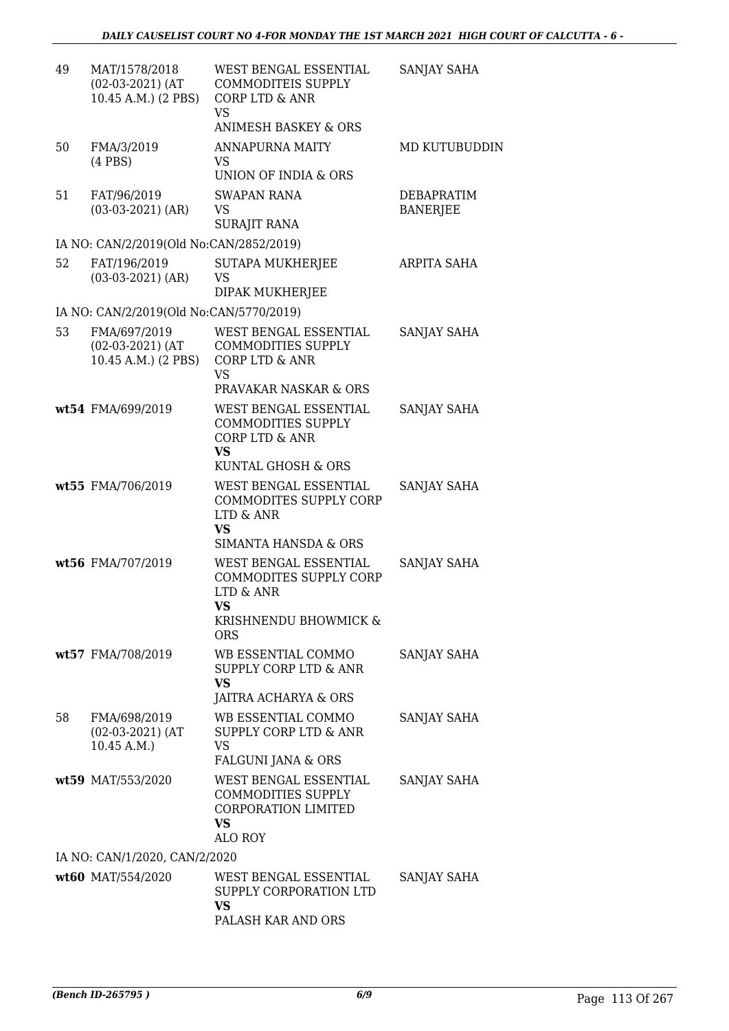| 49 | MAT/1578/2018<br>$(02-03-2021)$ (AT<br>10.45 A.M.) (2 PBS) | WEST BENGAL ESSENTIAL<br>COMMODITEIS SUPPLY<br>CORP LTD & ANR<br><b>VS</b>                                      | SANJAY SAHA                   |
|----|------------------------------------------------------------|-----------------------------------------------------------------------------------------------------------------|-------------------------------|
|    |                                                            | <b>ANIMESH BASKEY &amp; ORS</b>                                                                                 |                               |
| 50 | FMA/3/2019<br>$(4$ PBS $)$                                 | <b>ANNAPURNA MAITY</b><br>VS<br>UNION OF INDIA & ORS                                                            | MD KUTUBUDDIN                 |
| 51 | FAT/96/2019<br>$(03-03-2021)$ (AR)                         | <b>SWAPAN RANA</b><br>VS<br><b>SURAJIT RANA</b>                                                                 | DEBAPRATIM<br><b>BANERJEE</b> |
|    | IA NO: CAN/2/2019(Old No:CAN/2852/2019)                    |                                                                                                                 |                               |
| 52 | FAT/196/2019<br>$(03-03-2021)$ (AR)                        | <b>SUTAPA MUKHERJEE</b><br>VS<br>DIPAK MUKHERJEE                                                                | ARPITA SAHA                   |
|    | IA NO: CAN/2/2019(Old No:CAN/5770/2019)                    |                                                                                                                 |                               |
| 53 | FMA/697/2019<br>$(02-03-2021)$ (AT<br>10.45 A.M.) (2 PBS)  | WEST BENGAL ESSENTIAL<br><b>COMMODITIES SUPPLY</b><br>CORP LTD & ANR<br><b>VS</b><br>PRAVAKAR NASKAR & ORS      | <b>SANJAY SAHA</b>            |
|    | wt54 FMA/699/2019                                          | WEST BENGAL ESSENTIAL<br><b>COMMODITIES SUPPLY</b><br>CORP LTD & ANR<br>VS.<br>KUNTAL GHOSH & ORS               | <b>SANJAY SAHA</b>            |
|    | wt55 FMA/706/2019                                          | WEST BENGAL ESSENTIAL<br>COMMODITES SUPPLY CORP<br>LTD & ANR<br><b>VS</b><br>SIMANTA HANSDA & ORS               | SANJAY SAHA                   |
|    | wt56 FMA/707/2019                                          | WEST BENGAL ESSENTIAL<br>COMMODITES SUPPLY CORP<br>LTD & ANR<br>VS.<br>KRISHNENDU BHOWMICK &<br><b>ORS</b>      | SANJAY SAHA                   |
|    | wt57 FMA/708/2019                                          | WB ESSENTIAL COMMO<br><b>SUPPLY CORP LTD &amp; ANR</b><br>VS<br>JAITRA ACHARYA & ORS                            | SANJAY SAHA                   |
| 58 | FMA/698/2019<br>$(02-03-2021)$ (AT<br>10.45 A.M.           | WB ESSENTIAL COMMO<br>SUPPLY CORP LTD & ANR<br>VS<br>FALGUNI JANA & ORS                                         | SANJAY SAHA                   |
|    | wt59 MAT/553/2020                                          | WEST BENGAL ESSENTIAL<br><b>COMMODITIES SUPPLY</b><br><b>CORPORATION LIMITED</b><br><b>VS</b><br><b>ALO ROY</b> | SANJAY SAHA                   |
|    | IA NO: CAN/1/2020, CAN/2/2020                              |                                                                                                                 |                               |
|    | wt60 MAT/554/2020                                          | WEST BENGAL ESSENTIAL<br>SUPPLY CORPORATION LTD<br>VS<br>PALASH KAR AND ORS                                     | SANJAY SAHA                   |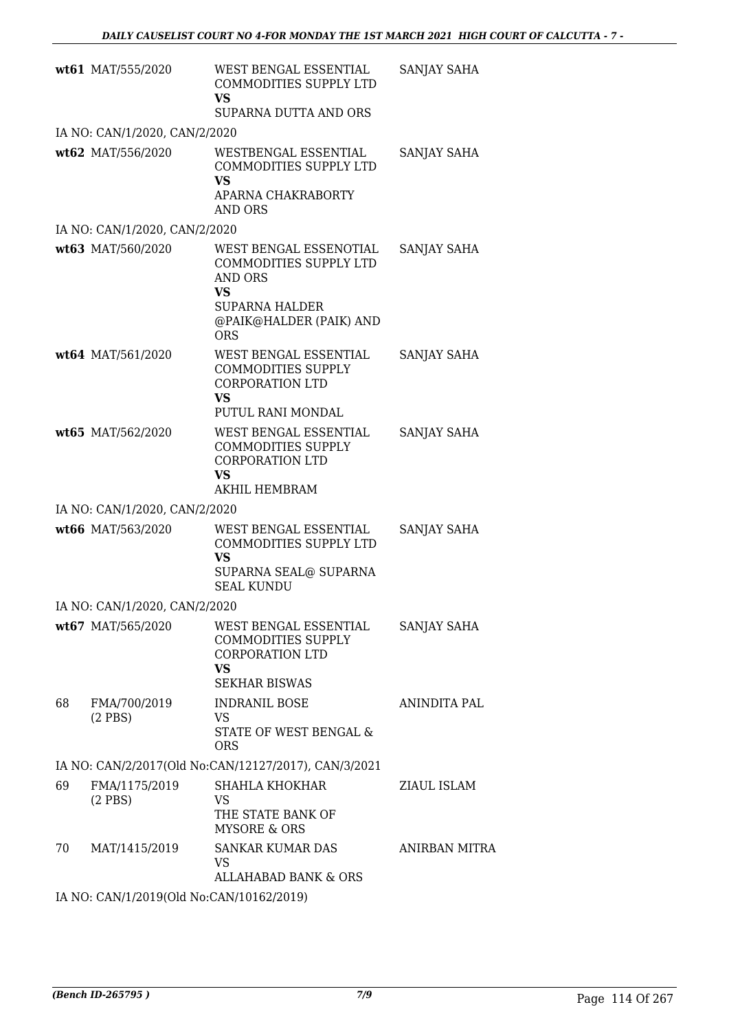|    | wt61 MAT/555/2020                        | WEST BENGAL ESSENTIAL<br>COMMODITIES SUPPLY LTD<br><b>VS</b><br>SUPARNA DUTTA AND ORS                                                      | SANJAY SAHA        |
|----|------------------------------------------|--------------------------------------------------------------------------------------------------------------------------------------------|--------------------|
|    | IA NO: CAN/1/2020, CAN/2/2020            |                                                                                                                                            |                    |
|    | wt62 MAT/556/2020                        | WESTBENGAL ESSENTIAL<br>COMMODITIES SUPPLY LTD<br><b>VS</b><br>APARNA CHAKRABORTY                                                          | SANJAY SAHA        |
|    |                                          | AND ORS                                                                                                                                    |                    |
|    | IA NO: CAN/1/2020, CAN/2/2020            |                                                                                                                                            |                    |
|    | wt63 MAT/560/2020                        | WEST BENGAL ESSENOTIAL<br>COMMODITIES SUPPLY LTD<br>AND ORS<br><b>VS</b><br><b>SUPARNA HALDER</b><br>@PAIK@HALDER (PAIK) AND<br><b>ORS</b> | SANJAY SAHA        |
|    | wt64 MAT/561/2020                        | WEST BENGAL ESSENTIAL<br><b>COMMODITIES SUPPLY</b><br><b>CORPORATION LTD</b><br><b>VS</b><br>PUTUL RANI MONDAL                             | <b>SANJAY SAHA</b> |
|    | wt65 MAT/562/2020                        | WEST BENGAL ESSENTIAL<br><b>COMMODITIES SUPPLY</b><br><b>CORPORATION LTD</b><br>VS<br>AKHIL HEMBRAM                                        | SANJAY SAHA        |
|    | IA NO: CAN/1/2020, CAN/2/2020            |                                                                                                                                            |                    |
|    | wt66 MAT/563/2020                        | WEST BENGAL ESSENTIAL<br>COMMODITIES SUPPLY LTD<br><b>VS</b><br>SUPARNA SEAL@ SUPARNA<br><b>SEAL KUNDU</b>                                 | SANJAY SAHA        |
|    | IA NO: CAN/1/2020, CAN/2/2020            |                                                                                                                                            |                    |
|    | wt67 MAT/565/2020                        | WEST BENGAL ESSENTIAL<br><b>COMMODITIES SUPPLY</b><br><b>CORPORATION LTD</b><br><b>VS</b><br><b>SEKHAR BISWAS</b>                          | SANJAY SAHA        |
| 68 | FMA/700/2019<br>$(2$ PBS)                | <b>INDRANIL BOSE</b><br>VS.<br>STATE OF WEST BENGAL &<br><b>ORS</b>                                                                        | ANINDITA PAL       |
|    |                                          | IA NO: CAN/2/2017(Old No:CAN/12127/2017), CAN/3/2021                                                                                       |                    |
| 69 | FMA/1175/2019<br>$(2$ PBS $)$            | SHAHLA KHOKHAR<br>VS<br>THE STATE BANK OF                                                                                                  | ZIAUL ISLAM        |
| 70 | MAT/1415/2019                            | <b>MYSORE &amp; ORS</b><br>SANKAR KUMAR DAS<br><b>VS</b><br>ALLAHABAD BANK & ORS                                                           | ANIRBAN MITRA      |
|    | IA NO: CAN/1/2019(Old No:CAN/10162/2019) |                                                                                                                                            |                    |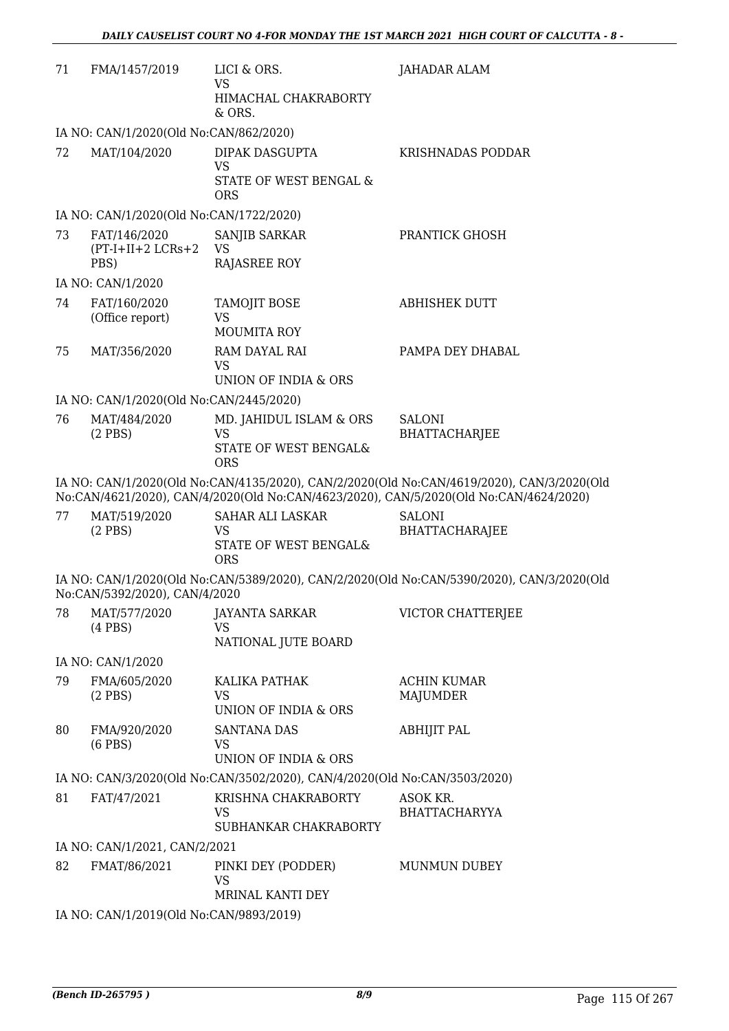| 71 | FMA/1457/2019                                | LICI & ORS.<br>VS<br>HIMACHAL CHAKRABORTY<br>$&$ ORS.                     | JAHADAR ALAM                                                                                                                                                                       |
|----|----------------------------------------------|---------------------------------------------------------------------------|------------------------------------------------------------------------------------------------------------------------------------------------------------------------------------|
|    | IA NO: CAN/1/2020(Old No:CAN/862/2020)       |                                                                           |                                                                                                                                                                                    |
| 72 | MAT/104/2020                                 | DIPAK DASGUPTA                                                            | KRISHNADAS PODDAR                                                                                                                                                                  |
|    |                                              | <b>VS</b><br>STATE OF WEST BENGAL &<br><b>ORS</b>                         |                                                                                                                                                                                    |
|    | IA NO: CAN/1/2020(Old No:CAN/1722/2020)      |                                                                           |                                                                                                                                                                                    |
| 73 | FAT/146/2020<br>$(PT-I+II+2 LCRs+2)$<br>PBS) | SANJIB SARKAR<br><b>VS</b><br>RAJASREE ROY                                | PRANTICK GHOSH                                                                                                                                                                     |
|    | IA NO: CAN/1/2020                            |                                                                           |                                                                                                                                                                                    |
| 74 | FAT/160/2020<br>(Office report)              | TAMOJIT BOSE<br><b>VS</b><br><b>MOUMITA ROY</b>                           | <b>ABHISHEK DUTT</b>                                                                                                                                                               |
| 75 | MAT/356/2020                                 | RAM DAYAL RAI                                                             | PAMPA DEY DHABAL                                                                                                                                                                   |
|    |                                              | <b>VS</b><br>UNION OF INDIA & ORS                                         |                                                                                                                                                                                    |
|    | IA NO: CAN/1/2020(Old No:CAN/2445/2020)      |                                                                           |                                                                                                                                                                                    |
| 76 | MAT/484/2020                                 | MD. JAHIDUL ISLAM & ORS                                                   | <b>SALONI</b>                                                                                                                                                                      |
|    | $(2$ PBS)                                    | <b>VS</b><br>STATE OF WEST BENGAL&                                        | <b>BHATTACHARJEE</b>                                                                                                                                                               |
|    |                                              | <b>ORS</b>                                                                |                                                                                                                                                                                    |
|    |                                              |                                                                           | IA NO: CAN/1/2020(Old No:CAN/4135/2020), CAN/2/2020(Old No:CAN/4619/2020), CAN/3/2020(Old<br>No:CAN/4621/2020), CAN/4/2020(Old No:CAN/4623/2020), CAN/5/2020(Old No:CAN/4624/2020) |
| 77 | MAT/519/2020                                 | <b>SAHAR ALI LASKAR</b>                                                   | <b>SALONI</b>                                                                                                                                                                      |
|    | $(2$ PBS)                                    | VS<br>STATE OF WEST BENGAL&<br><b>ORS</b>                                 | <b>BHATTACHARAJEE</b>                                                                                                                                                              |
|    | No:CAN/5392/2020), CAN/4/2020                |                                                                           | IA NO: CAN/1/2020(Old No:CAN/5389/2020), CAN/2/2020(Old No:CAN/5390/2020), CAN/3/2020(Old                                                                                          |
| 78 | MAT/577/2020<br>$(4$ PBS $)$                 | <b>JAYANTA SARKAR</b><br>VS                                               | VICTOR CHATTERJEE                                                                                                                                                                  |
|    |                                              | NATIONAL JUTE BOARD                                                       |                                                                                                                                                                                    |
|    | IA NO: CAN/1/2020                            |                                                                           |                                                                                                                                                                                    |
| 79 | FMA/605/2020                                 | KALIKA PATHAK                                                             | <b>ACHIN KUMAR</b>                                                                                                                                                                 |
|    | $(2$ PBS)                                    | VS<br>UNION OF INDIA & ORS                                                | MAJUMDER                                                                                                                                                                           |
| 80 | FMA/920/2020                                 | <b>SANTANA DAS</b>                                                        | ABHIJIT PAL                                                                                                                                                                        |
|    | $(6$ PBS $)$                                 | VS<br>UNION OF INDIA & ORS                                                |                                                                                                                                                                                    |
|    |                                              | IA NO: CAN/3/2020(Old No:CAN/3502/2020), CAN/4/2020(Old No:CAN/3503/2020) |                                                                                                                                                                                    |
| 81 | FAT/47/2021                                  | KRISHNA CHAKRABORTY                                                       | ASOK KR.                                                                                                                                                                           |
|    |                                              | VS<br>SUBHANKAR CHAKRABORTY                                               | <b>BHATTACHARYYA</b>                                                                                                                                                               |
|    | IA NO: CAN/1/2021, CAN/2/2021                |                                                                           |                                                                                                                                                                                    |
| 82 | FMAT/86/2021                                 | PINKI DEY (PODDER)                                                        | MUNMUN DUBEY                                                                                                                                                                       |
|    |                                              | <b>VS</b><br>MRINAL KANTI DEY                                             |                                                                                                                                                                                    |
|    | IA NO: CAN/1/2019(Old No:CAN/9893/2019)      |                                                                           |                                                                                                                                                                                    |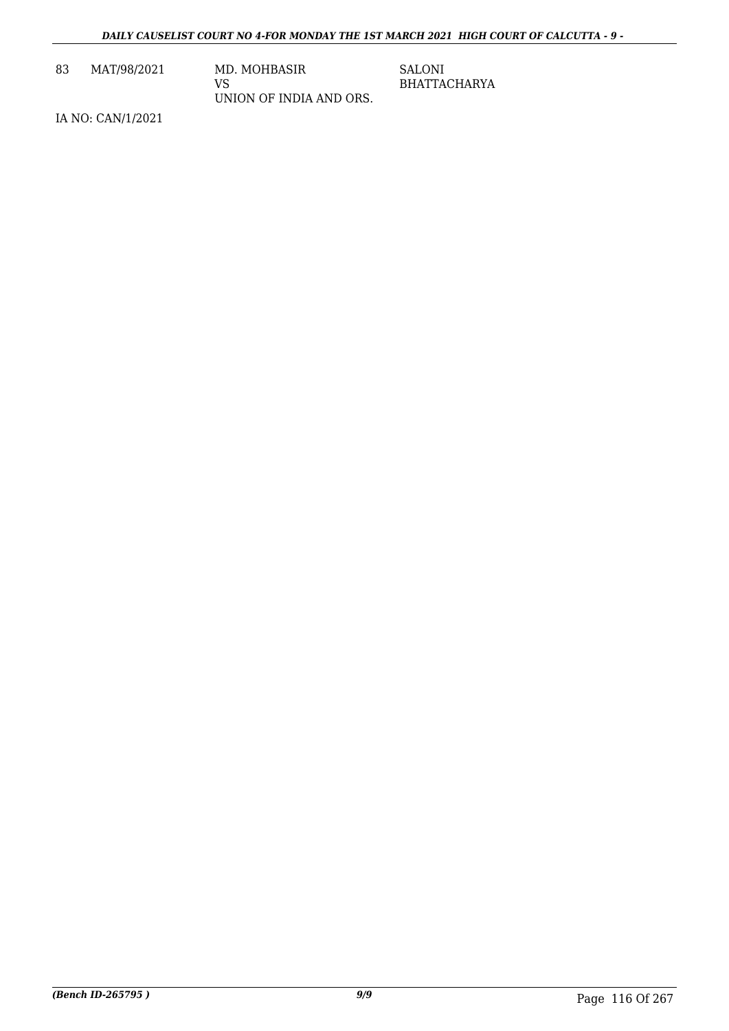83 MAT/98/2021 MD. MOHBASIR

VS UNION OF INDIA AND ORS. SALONI BHATTACHARYA

IA NO: CAN/1/2021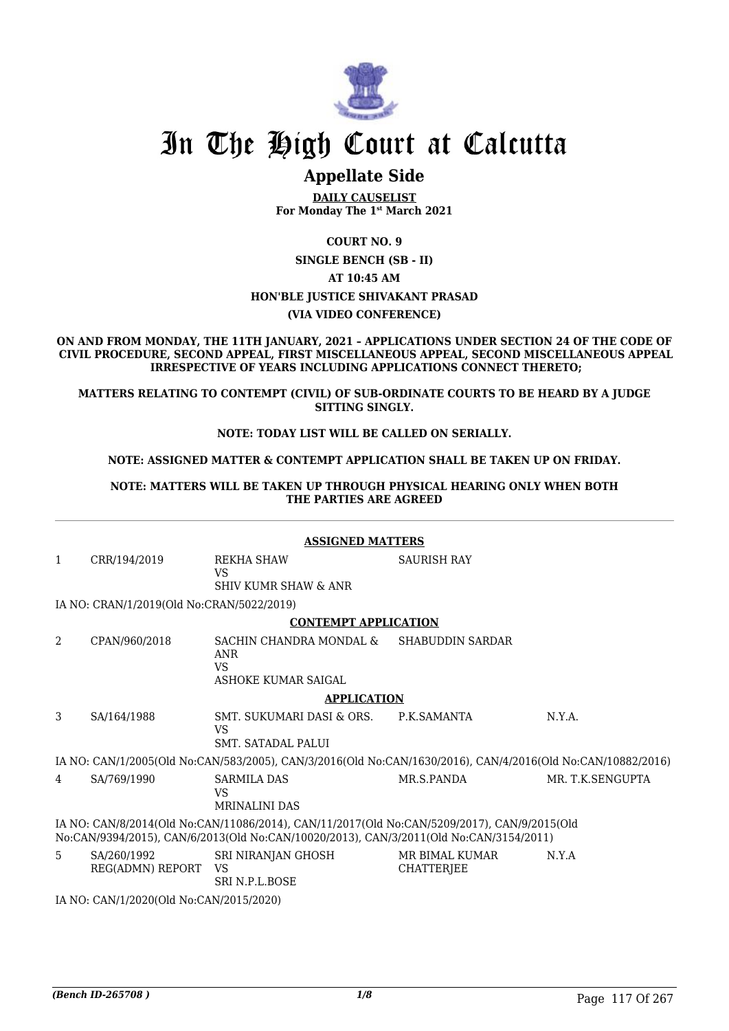

# **Appellate Side**

**DAILY CAUSELIST For Monday The 1st March 2021**

**COURT NO. 9 SINGLE BENCH (SB - II) AT 10:45 AM HON'BLE JUSTICE SHIVAKANT PRASAD (VIA VIDEO CONFERENCE)**

**ON AND FROM MONDAY, THE 11TH JANUARY, 2021 – APPLICATIONS UNDER SECTION 24 OF THE CODE OF CIVIL PROCEDURE, SECOND APPEAL, FIRST MISCELLANEOUS APPEAL, SECOND MISCELLANEOUS APPEAL IRRESPECTIVE OF YEARS INCLUDING APPLICATIONS CONNECT THERETO;**

**MATTERS RELATING TO CONTEMPT (CIVIL) OF SUB-ORDINATE COURTS TO BE HEARD BY A JUDGE SITTING SINGLY.**

#### **NOTE: TODAY LIST WILL BE CALLED ON SERIALLY.**

#### **NOTE: ASSIGNED MATTER & CONTEMPT APPLICATION SHALL BE TAKEN UP ON FRIDAY.**

**NOTE: MATTERS WILL BE TAKEN UP THROUGH PHYSICAL HEARING ONLY WHEN BOTH THE PARTIES ARE AGREED**

| <b>ASSIGNED MATTERS</b>                                                                                                                                                               |                                           |                                                                                                             |                                     |                  |  |
|---------------------------------------------------------------------------------------------------------------------------------------------------------------------------------------|-------------------------------------------|-------------------------------------------------------------------------------------------------------------|-------------------------------------|------------------|--|
| 1                                                                                                                                                                                     | CRR/194/2019                              | REKHA SHAW<br><b>VS</b>                                                                                     | <b>SAURISH RAY</b>                  |                  |  |
|                                                                                                                                                                                       |                                           | <b>SHIV KUMR SHAW &amp; ANR</b>                                                                             |                                     |                  |  |
|                                                                                                                                                                                       | IA NO: CRAN/1/2019(Old No:CRAN/5022/2019) |                                                                                                             |                                     |                  |  |
|                                                                                                                                                                                       |                                           | <b>CONTEMPT APPLICATION</b>                                                                                 |                                     |                  |  |
| $\overline{2}$                                                                                                                                                                        | CPAN/960/2018                             | SACHIN CHANDRA MONDAL &<br><b>ANR</b><br><b>VS</b>                                                          | <b>SHABUDDIN SARDAR</b>             |                  |  |
|                                                                                                                                                                                       |                                           | ASHOKE KUMAR SAIGAL                                                                                         |                                     |                  |  |
|                                                                                                                                                                                       |                                           | <b>APPLICATION</b>                                                                                          |                                     |                  |  |
| 3                                                                                                                                                                                     | SA/164/1988                               | SMT. SUKUMARI DASI & ORS.<br><b>VS</b>                                                                      | P.K.SAMANTA                         | N.Y.A.           |  |
|                                                                                                                                                                                       |                                           | SMT. SATADAL PALUI                                                                                          |                                     |                  |  |
|                                                                                                                                                                                       |                                           | IA NO: CAN/1/2005(Old No:CAN/583/2005), CAN/3/2016(Old No:CAN/1630/2016), CAN/4/2016(Old No:CAN/10882/2016) |                                     |                  |  |
| 4                                                                                                                                                                                     | SA/769/1990                               | <b>SARMILA DAS</b><br><b>VS</b><br><b>MRINALINI DAS</b>                                                     | MR.S.PANDA                          | MR. T.K.SENGUPTA |  |
| IA NO: CAN/8/2014(Old No:CAN/11086/2014), CAN/11/2017(Old No:CAN/5209/2017), CAN/9/2015(Old<br>No:CAN/9394/2015), CAN/6/2013(Old No:CAN/10020/2013), CAN/3/2011(Old No:CAN/3154/2011) |                                           |                                                                                                             |                                     |                  |  |
| 5                                                                                                                                                                                     | SA/260/1992<br>REG(ADMN) REPORT           | SRI NIRANJAN GHOSH<br><b>VS</b><br><b>SRI N.P.L.BOSE</b>                                                    | MR BIMAL KUMAR<br><b>CHATTERJEE</b> | N.Y.A            |  |
| IA NO: CAN/1/2020(Old No:CAN/2015/2020)                                                                                                                                               |                                           |                                                                                                             |                                     |                  |  |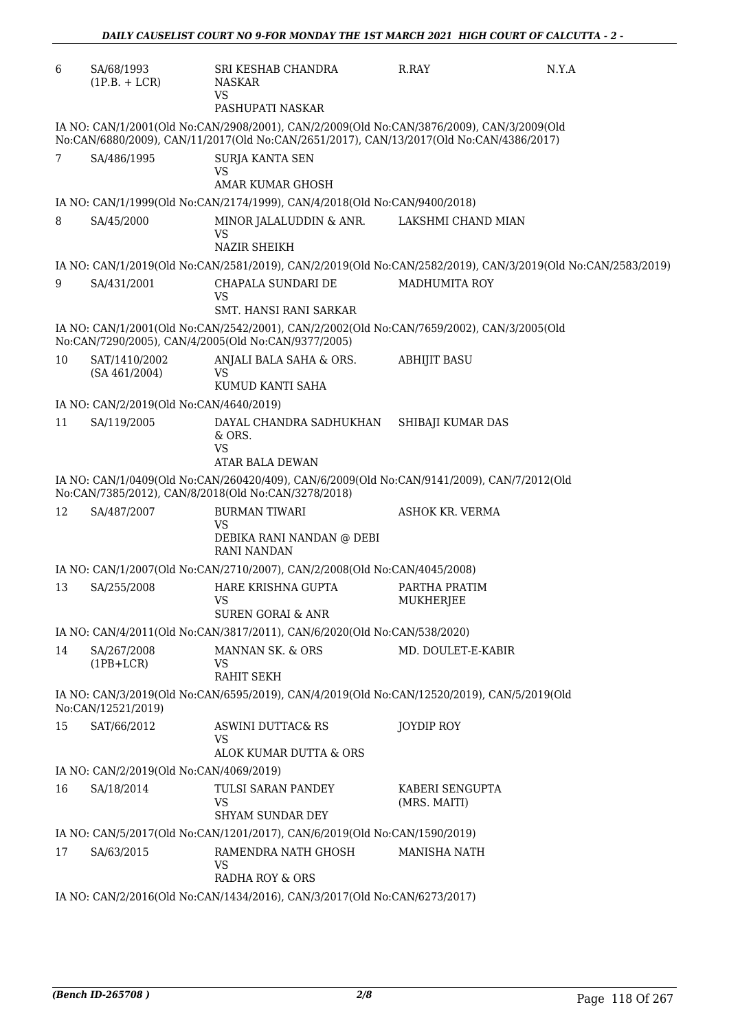| 6  | SA/68/1993<br>$(1P.B. + LCR)$                                             | SRI KESHAB CHANDRA<br><b>NASKAR</b><br><b>VS</b><br>PASHUPATI NASKAR                                                                                                                 | R.RAY                             | N.Y.A                                                                                                       |  |  |
|----|---------------------------------------------------------------------------|--------------------------------------------------------------------------------------------------------------------------------------------------------------------------------------|-----------------------------------|-------------------------------------------------------------------------------------------------------------|--|--|
|    |                                                                           | IA NO: CAN/1/2001(Old No:CAN/2908/2001), CAN/2/2009(Old No:CAN/3876/2009), CAN/3/2009(Old<br>No:CAN/6880/2009), CAN/11/2017(Old No:CAN/2651/2017), CAN/13/2017(Old No:CAN/4386/2017) |                                   |                                                                                                             |  |  |
| 7  | SA/486/1995                                                               | <b>SURJA KANTA SEN</b><br>VS                                                                                                                                                         |                                   |                                                                                                             |  |  |
|    |                                                                           | AMAR KUMAR GHOSH                                                                                                                                                                     |                                   |                                                                                                             |  |  |
|    |                                                                           | IA NO: CAN/1/1999(Old No:CAN/2174/1999), CAN/4/2018(Old No:CAN/9400/2018)                                                                                                            |                                   |                                                                                                             |  |  |
| 8  | SA/45/2000                                                                | MINOR JALALUDDIN & ANR.<br><b>VS</b><br><b>NAZIR SHEIKH</b>                                                                                                                          | LAKSHMI CHAND MIAN                |                                                                                                             |  |  |
|    |                                                                           |                                                                                                                                                                                      |                                   | IA NO: CAN/1/2019(Old No:CAN/2581/2019), CAN/2/2019(Old No:CAN/2582/2019), CAN/3/2019(Old No:CAN/2583/2019) |  |  |
| 9  | SA/431/2001                                                               | CHAPALA SUNDARI DE<br><b>VS</b>                                                                                                                                                      | <b>MADHUMITA ROY</b>              |                                                                                                             |  |  |
|    |                                                                           | <b>SMT. HANSI RANI SARKAR</b>                                                                                                                                                        |                                   |                                                                                                             |  |  |
|    |                                                                           | IA NO: CAN/1/2001(Old No:CAN/2542/2001), CAN/2/2002(Old No:CAN/7659/2002), CAN/3/2005(Old<br>No:CAN/7290/2005), CAN/4/2005(Old No:CAN/9377/2005)                                     |                                   |                                                                                                             |  |  |
| 10 | SAT/1410/2002<br>(SA 461/2004)                                            | ANJALI BALA SAHA & ORS.<br><b>VS</b>                                                                                                                                                 | <b>ABHIJIT BASU</b>               |                                                                                                             |  |  |
|    | IA NO: CAN/2/2019(Old No:CAN/4640/2019)                                   | KUMUD KANTI SAHA                                                                                                                                                                     |                                   |                                                                                                             |  |  |
| 11 |                                                                           |                                                                                                                                                                                      |                                   |                                                                                                             |  |  |
|    | SA/119/2005                                                               | DAYAL CHANDRA SADHUKHAN<br>& ORS.<br><b>VS</b><br>ATAR BALA DEWAN                                                                                                                    | SHIBAJI KUMAR DAS                 |                                                                                                             |  |  |
|    |                                                                           | IA NO: CAN/1/0409(Old No:CAN/260420/409), CAN/6/2009(Old No:CAN/9141/2009), CAN/7/2012(Old<br>No:CAN/7385/2012), CAN/8/2018(Old No:CAN/3278/2018)                                    |                                   |                                                                                                             |  |  |
| 12 | SA/487/2007                                                               | <b>BURMAN TIWARI</b><br>VS<br>DEBIKA RANI NANDAN @ DEBI                                                                                                                              | ASHOK KR. VERMA                   |                                                                                                             |  |  |
|    |                                                                           | <b>RANI NANDAN</b>                                                                                                                                                                   |                                   |                                                                                                             |  |  |
|    |                                                                           | IA NO: CAN/1/2007(Old No:CAN/2710/2007), CAN/2/2008(Old No:CAN/4045/2008)                                                                                                            |                                   |                                                                                                             |  |  |
| 13 | SA/255/2008                                                               | HARE KRISHNA GUPTA<br><b>VS</b><br><b>SUREN GORAI &amp; ANR</b>                                                                                                                      | PARTHA PRATIM<br><b>MUKHERJEE</b> |                                                                                                             |  |  |
|    |                                                                           | IA NO: CAN/4/2011(Old No:CAN/3817/2011), CAN/6/2020(Old No:CAN/538/2020)                                                                                                             |                                   |                                                                                                             |  |  |
| 14 | SA/267/2008<br>$(1PB+LCR)$                                                | MANNAN SK. & ORS<br>VS                                                                                                                                                               | MD. DOULET-E-KABIR                |                                                                                                             |  |  |
|    | No:CAN/12521/2019)                                                        | RAHIT SEKH<br>IA NO: CAN/3/2019(Old No:CAN/6595/2019), CAN/4/2019(Old No:CAN/12520/2019), CAN/5/2019(Old                                                                             |                                   |                                                                                                             |  |  |
| 15 | SAT/66/2012                                                               | <b>ASWINI DUTTAC&amp; RS</b><br><b>VS</b><br>ALOK KUMAR DUTTA & ORS                                                                                                                  | <b>JOYDIP ROY</b>                 |                                                                                                             |  |  |
|    | IA NO: CAN/2/2019(Old No:CAN/4069/2019)                                   |                                                                                                                                                                                      |                                   |                                                                                                             |  |  |
| 16 | SA/18/2014                                                                | TULSI SARAN PANDEY<br>VS<br><b>SHYAM SUNDAR DEY</b>                                                                                                                                  | KABERI SENGUPTA<br>(MRS. MAITI)   |                                                                                                             |  |  |
|    |                                                                           | IA NO: CAN/5/2017(Old No:CAN/1201/2017), CAN/6/2019(Old No:CAN/1590/2019)                                                                                                            |                                   |                                                                                                             |  |  |
| 17 | SA/63/2015                                                                | RAMENDRA NATH GHOSH                                                                                                                                                                  | <b>MANISHA NATH</b>               |                                                                                                             |  |  |
|    |                                                                           | <b>VS</b><br>RADHA ROY & ORS                                                                                                                                                         |                                   |                                                                                                             |  |  |
|    | IA NO: CAN/2/2016(Old No:CAN/1434/2016), CAN/3/2017(Old No:CAN/6273/2017) |                                                                                                                                                                                      |                                   |                                                                                                             |  |  |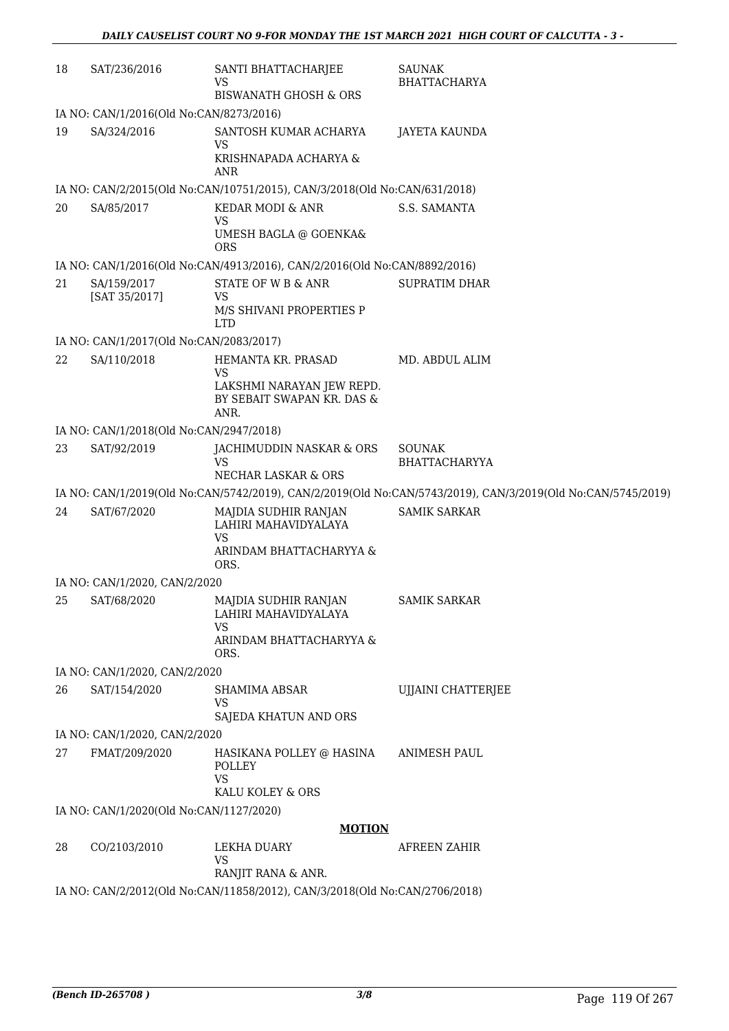| 18 | SAT/236/2016                            | SANTI BHATTACHARJEE<br>VS<br><b>BISWANATH GHOSH &amp; ORS</b>                                | SAUNAK<br><b>BHATTACHARYA</b>                                                                               |
|----|-----------------------------------------|----------------------------------------------------------------------------------------------|-------------------------------------------------------------------------------------------------------------|
|    | IA NO: CAN/1/2016(Old No:CAN/8273/2016) |                                                                                              |                                                                                                             |
| 19 | SA/324/2016                             | SANTOSH KUMAR ACHARYA<br><b>VS</b><br>KRISHNAPADA ACHARYA &                                  | <b>JAYETA KAUNDA</b>                                                                                        |
|    |                                         | ANR                                                                                          |                                                                                                             |
|    |                                         | IA NO: CAN/2/2015(Old No:CAN/10751/2015), CAN/3/2018(Old No:CAN/631/2018)                    |                                                                                                             |
| 20 | SA/85/2017                              | KEDAR MODI & ANR<br>VS<br>UMESH BAGLA @ GOENKA&<br><b>ORS</b>                                | S.S. SAMANTA                                                                                                |
|    |                                         | IA NO: CAN/1/2016(Old No:CAN/4913/2016), CAN/2/2016(Old No:CAN/8892/2016)                    |                                                                                                             |
| 21 | SA/159/2017<br>[SAT 35/2017]            | STATE OF W B & ANR<br><b>VS</b><br>M/S SHIVANI PROPERTIES P<br><b>LTD</b>                    | <b>SUPRATIM DHAR</b>                                                                                        |
|    | IA NO: CAN/1/2017(Old No:CAN/2083/2017) |                                                                                              |                                                                                                             |
| 22 | SA/110/2018                             | HEMANTA KR. PRASAD<br><b>VS</b><br>LAKSHMI NARAYAN JEW REPD.                                 | MD. ABDUL ALIM                                                                                              |
|    |                                         | BY SEBAIT SWAPAN KR. DAS &<br>ANR.                                                           |                                                                                                             |
|    | IA NO: CAN/1/2018(Old No:CAN/2947/2018) |                                                                                              |                                                                                                             |
| 23 | SAT/92/2019                             | JACHIMUDDIN NASKAR & ORS<br>VS<br>NECHAR LASKAR & ORS                                        | <b>SOUNAK</b><br><b>BHATTACHARYYA</b>                                                                       |
|    |                                         |                                                                                              | IA NO: CAN/1/2019(Old No:CAN/5742/2019), CAN/2/2019(Old No:CAN/5743/2019), CAN/3/2019(Old No:CAN/5745/2019) |
| 24 | SAT/67/2020                             | MAJDIA SUDHIR RANJAN<br>LAHIRI MAHAVIDYALAYA<br><b>VS</b><br>ARINDAM BHATTACHARYYA &<br>ORS. | <b>SAMIK SARKAR</b>                                                                                         |
|    | IA NO: CAN/1/2020, CAN/2/2020           |                                                                                              |                                                                                                             |
| 25 | SAT/68/2020                             | MAJDIA SUDHIR RANJAN<br>LAHIRI MAHAVIDYALAYA<br><b>VS</b><br>ARINDAM BHATTACHARYYA &<br>ORS. | <b>SAMIK SARKAR</b>                                                                                         |
|    | IA NO: CAN/1/2020, CAN/2/2020           |                                                                                              |                                                                                                             |
| 26 | SAT/154/2020                            | <b>SHAMIMA ABSAR</b><br><b>VS</b><br>SAJEDA KHATUN AND ORS                                   | <b>UJJAINI CHATTERJEE</b>                                                                                   |
|    | IA NO: CAN/1/2020, CAN/2/2020           |                                                                                              |                                                                                                             |
| 27 | FMAT/209/2020                           | HASIKANA POLLEY @ HASINA                                                                     | <b>ANIMESH PAUL</b>                                                                                         |
|    |                                         | POLLEY<br><b>VS</b><br>KALU KOLEY & ORS                                                      |                                                                                                             |
|    | IA NO: CAN/1/2020(Old No:CAN/1127/2020) |                                                                                              |                                                                                                             |
|    |                                         | <b>MOTION</b>                                                                                |                                                                                                             |
| 28 | CO/2103/2010                            | LEKHA DUARY<br><b>VS</b><br>RANJIT RANA & ANR.                                               | AFREEN ZAHIR                                                                                                |
|    |                                         | IA NO: CAN/2/2012(Old No:CAN/11858/2012), CAN/3/2018(Old No:CAN/2706/2018)                   |                                                                                                             |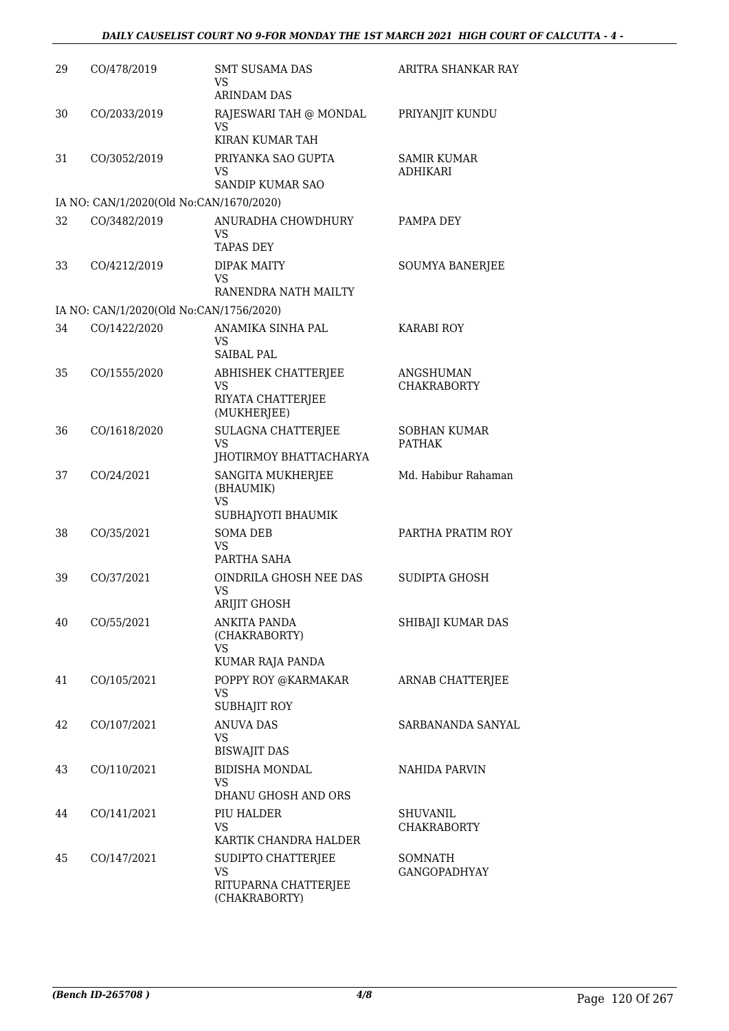| 29 | CO/478/2019                             | <b>SMT SUSAMA DAS</b><br>VS<br><b>ARINDAM DAS</b>                        | ARITRA SHANKAR RAY                    |
|----|-----------------------------------------|--------------------------------------------------------------------------|---------------------------------------|
| 30 | CO/2033/2019                            | RAJESWARI TAH @ MONDAL<br>VS<br>KIRAN KUMAR TAH                          | PRIYANJIT KUNDU                       |
| 31 | CO/3052/2019                            | PRIYANKA SAO GUPTA<br>VS<br>SANDIP KUMAR SAO                             | <b>SAMIR KUMAR</b><br><b>ADHIKARI</b> |
|    | IA NO: CAN/1/2020(Old No:CAN/1670/2020) |                                                                          |                                       |
| 32 | CO/3482/2019                            | ANURADHA CHOWDHURY<br>VS<br><b>TAPAS DEY</b>                             | PAMPA DEY                             |
| 33 | CO/4212/2019                            | <b>DIPAK MAITY</b><br>VS<br>RANENDRA NATH MAILTY                         | <b>SOUMYA BANERJEE</b>                |
|    | IA NO: CAN/1/2020(Old No:CAN/1756/2020) |                                                                          |                                       |
| 34 | CO/1422/2020                            | ANAMIKA SINHA PAL<br>VS<br><b>SAIBAL PAL</b>                             | <b>KARABI ROY</b>                     |
| 35 | CO/1555/2020                            | ABHISHEK CHATTERJEE<br>VS<br>RIYATA CHATTERJEE<br>(MUKHERJEE)            | ANGSHUMAN<br><b>CHAKRABORTY</b>       |
| 36 | CO/1618/2020                            | SULAGNA CHATTERJEE<br><b>VS</b>                                          | <b>SOBHAN KUMAR</b><br><b>PATHAK</b>  |
| 37 | CO/24/2021                              | JHOTIRMOY BHATTACHARYA<br>SANGITA MUKHERJEE<br>(BHAUMIK)<br><b>VS</b>    | Md. Habibur Rahaman                   |
| 38 | CO/35/2021                              | SUBHAJYOTI BHAUMIK<br><b>SOMA DEB</b><br><b>VS</b><br>PARTHA SAHA        | PARTHA PRATIM ROY                     |
| 39 | CO/37/2021                              | OINDRILA GHOSH NEE DAS<br>VS<br>ARIJIT GHOSH                             | SUDIPTA GHOSH                         |
| 40 | CO/55/2021                              | ANKITA PANDA<br>(CHAKRABORTY)<br><b>VS</b><br>KUMAR RAJA PANDA           | SHIBAJI KUMAR DAS                     |
| 41 | CO/105/2021                             | POPPY ROY @KARMAKAR<br><b>VS</b><br>SUBHAJIT ROY                         | ARNAB CHATTERJEE                      |
| 42 | CO/107/2021                             | <b>ANUVA DAS</b><br>VS.<br><b>BISWAJIT DAS</b>                           | SARBANANDA SANYAL                     |
| 43 | CO/110/2021                             | <b>BIDISHA MONDAL</b><br>VS.                                             | NAHIDA PARVIN                         |
| 44 | CO/141/2021                             | DHANU GHOSH AND ORS<br>PIU HALDER<br><b>VS</b><br>KARTIK CHANDRA HALDER  | SHUVANIL<br><b>CHAKRABORTY</b>        |
| 45 | CO/147/2021                             | SUDIPTO CHATTERJEE<br><b>VS</b><br>RITUPARNA CHATTERJEE<br>(CHAKRABORTY) | SOMNATH<br><b>GANGOPADHYAY</b>        |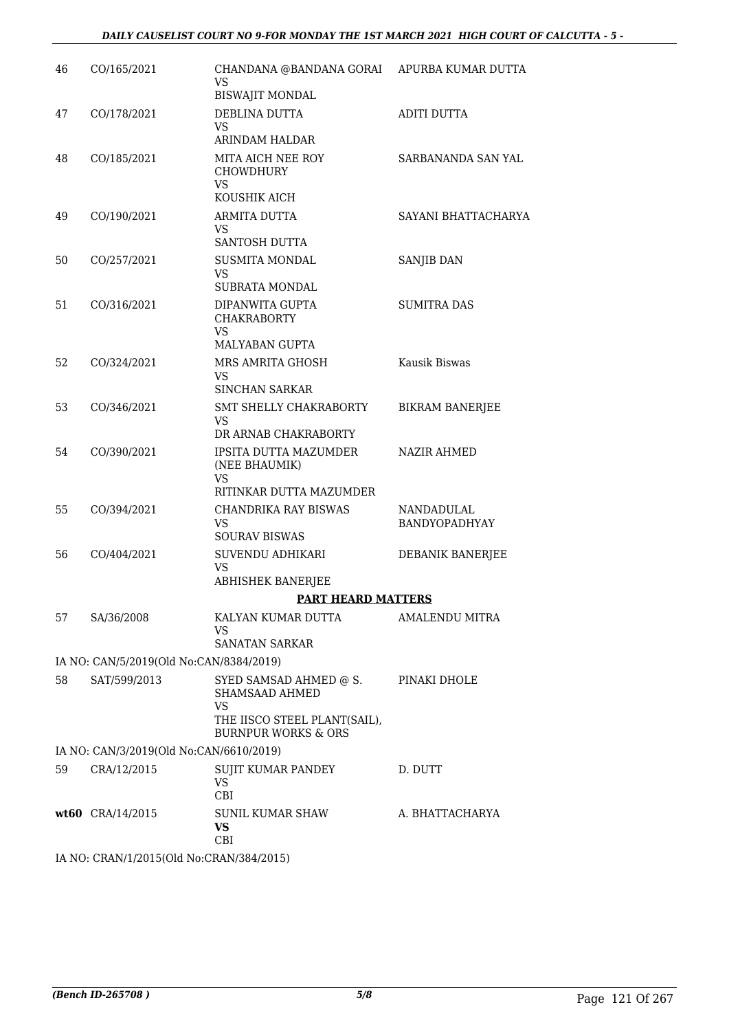| 46 | CO/165/2021                              | CHANDANA @BANDANA GORAI APURBA KUMAR DUTTA<br>VS<br><b>BISWAJIT MONDAL</b>                                       |                             |
|----|------------------------------------------|------------------------------------------------------------------------------------------------------------------|-----------------------------|
| 47 | CO/178/2021                              | DEBLINA DUTTA<br><b>VS</b>                                                                                       | <b>ADITI DUTTA</b>          |
| 48 | CO/185/2021                              | ARINDAM HALDAR<br>MITA AICH NEE ROY<br>CHOWDHURY<br><b>VS</b><br>KOUSHIK AICH                                    | SARBANANDA SAN YAL          |
| 49 | CO/190/2021                              | ARMITA DUTTA<br>VS<br>SANTOSH DUTTA                                                                              | SAYANI BHATTACHARYA         |
| 50 | CO/257/2021                              | <b>SUSMITA MONDAL</b><br>VS<br>SUBRATA MONDAL                                                                    | SANJIB DAN                  |
| 51 | CO/316/2021                              | DIPANWITA GUPTA<br><b>CHAKRABORTY</b><br><b>VS</b>                                                               | <b>SUMITRA DAS</b>          |
| 52 | CO/324/2021                              | MALYABAN GUPTA<br>MRS AMRITA GHOSH<br>VS                                                                         | Kausik Biswas               |
| 53 | CO/346/2021                              | <b>SINCHAN SARKAR</b><br>SMT SHELLY CHAKRABORTY<br>VS<br>DR ARNAB CHAKRABORTY                                    | <b>BIKRAM BANERJEE</b>      |
| 54 | CO/390/2021                              | IPSITA DUTTA MAZUMDER<br>(NEE BHAUMIK)<br>VS                                                                     | <b>NAZIR AHMED</b>          |
|    |                                          | RITINKAR DUTTA MAZUMDER                                                                                          |                             |
| 55 | CO/394/2021                              | CHANDRIKA RAY BISWAS<br>VS<br><b>SOURAV BISWAS</b>                                                               | NANDADULAL<br>BANDYOPADHYAY |
| 56 | CO/404/2021                              | SUVENDU ADHIKARI<br><b>VS</b>                                                                                    | DEBANIK BANERJEE            |
|    |                                          | ABHISHEK BANERJEE                                                                                                |                             |
|    |                                          | <b>PART HEARD MATTERS</b>                                                                                        |                             |
| 57 | SA/36/2008                               | KALYAN KUMAR DUTTA<br><b>VS</b><br><b>SANATAN SARKAR</b>                                                         | <b>AMALENDU MITRA</b>       |
|    | IA NO: CAN/5/2019(Old No:CAN/8384/2019)  |                                                                                                                  |                             |
| 58 | SAT/599/2013                             | SYED SAMSAD AHMED @ S.<br>SHAMSAAD AHMED<br>VS<br>THE IISCO STEEL PLANT(SAIL),<br><b>BURNPUR WORKS &amp; ORS</b> | PINAKI DHOLE                |
|    | IA NO: CAN/3/2019(Old No:CAN/6610/2019)  |                                                                                                                  |                             |
| 59 | CRA/12/2015                              | SUJIT KUMAR PANDEY<br>VS<br>CBI                                                                                  | D. DUTT                     |
|    | $wt60$ CRA/14/2015                       | SUNIL KUMAR SHAW<br><b>VS</b><br>CBI                                                                             | A. BHATTACHARYA             |
|    | IA NO: CRAN/1/2015(Old No:CRAN/384/2015) |                                                                                                                  |                             |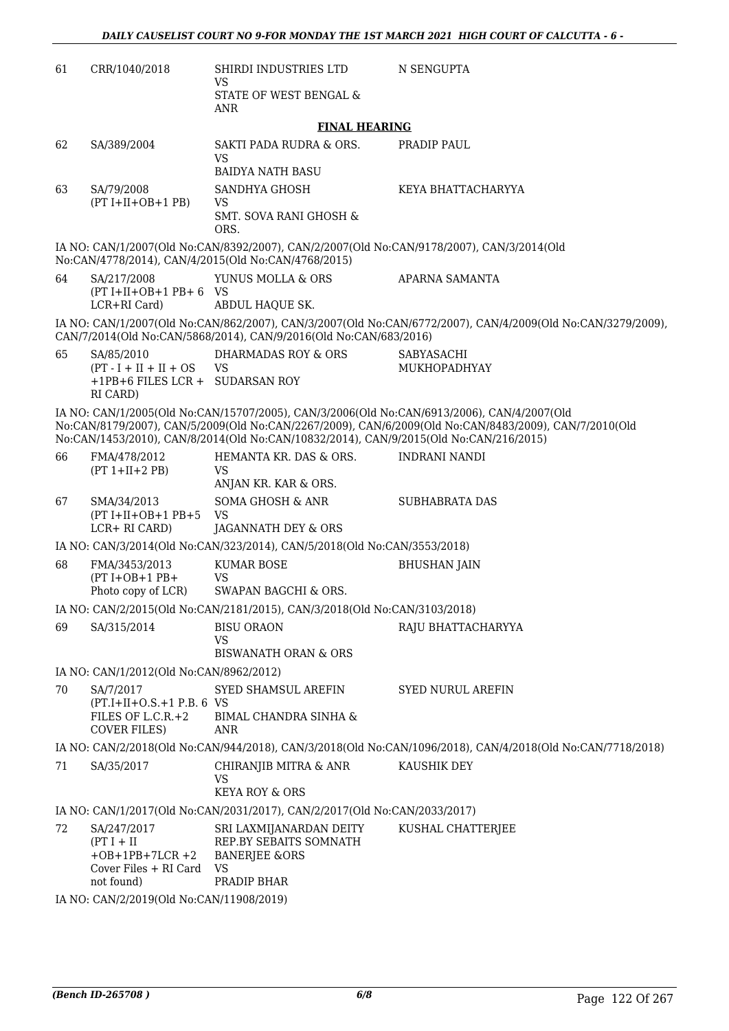| 61                                                                                                                                                                                                                                                                                           | CRR/1040/2018                                               | SHIRDI INDUSTRIES LTD<br><b>VS</b>                                                                                                               | N SENGUPTA                                                                                                  |  |  |
|----------------------------------------------------------------------------------------------------------------------------------------------------------------------------------------------------------------------------------------------------------------------------------------------|-------------------------------------------------------------|--------------------------------------------------------------------------------------------------------------------------------------------------|-------------------------------------------------------------------------------------------------------------|--|--|
|                                                                                                                                                                                                                                                                                              |                                                             | STATE OF WEST BENGAL &<br><b>ANR</b>                                                                                                             |                                                                                                             |  |  |
|                                                                                                                                                                                                                                                                                              |                                                             | <b>FINAL HEARING</b>                                                                                                                             |                                                                                                             |  |  |
| 62                                                                                                                                                                                                                                                                                           | SA/389/2004                                                 | SAKTI PADA RUDRA & ORS.                                                                                                                          | PRADIP PAUL                                                                                                 |  |  |
|                                                                                                                                                                                                                                                                                              |                                                             | <b>VS</b><br><b>BAIDYA NATH BASU</b>                                                                                                             |                                                                                                             |  |  |
| 63                                                                                                                                                                                                                                                                                           | SA/79/2008                                                  | SANDHYA GHOSH                                                                                                                                    | KEYA BHATTACHARYYA                                                                                          |  |  |
|                                                                                                                                                                                                                                                                                              | $(PT I+II+OB+1 PB)$                                         | <b>VS</b><br><b>SMT. SOVA RANI GHOSH &amp;</b><br>ORS.                                                                                           |                                                                                                             |  |  |
|                                                                                                                                                                                                                                                                                              |                                                             | IA NO: CAN/1/2007(Old No:CAN/8392/2007), CAN/2/2007(Old No:CAN/9178/2007), CAN/3/2014(Old<br>No:CAN/4778/2014), CAN/4/2015(Old No:CAN/4768/2015) |                                                                                                             |  |  |
| 64                                                                                                                                                                                                                                                                                           | SA/217/2008<br>$(PT I+II+OB+1 PB+6$ VS<br>LCR+RI Card)      | YUNUS MOLLA & ORS<br>ABDUL HAQUE SK.                                                                                                             | APARNA SAMANTA                                                                                              |  |  |
|                                                                                                                                                                                                                                                                                              |                                                             | CAN/7/2014(Old No:CAN/5868/2014), CAN/9/2016(Old No:CAN/683/2016)                                                                                | IA NO: CAN/1/2007(Old No:CAN/862/2007), CAN/3/2007(Old No:CAN/6772/2007), CAN/4/2009(Old No:CAN/3279/2009), |  |  |
| 65                                                                                                                                                                                                                                                                                           | SA/85/2010                                                  | <b>DHARMADAS ROY &amp; ORS</b>                                                                                                                   | SABYASACHI                                                                                                  |  |  |
|                                                                                                                                                                                                                                                                                              | $(PT - I + II + II + OS$<br>+1PB+6 FILES LCR + SUDARSAN ROY | <b>VS</b>                                                                                                                                        | MUKHOPADHYAY                                                                                                |  |  |
|                                                                                                                                                                                                                                                                                              | RI CARD)                                                    |                                                                                                                                                  |                                                                                                             |  |  |
| IA NO: CAN/1/2005(Old No:CAN/15707/2005), CAN/3/2006(Old No:CAN/6913/2006), CAN/4/2007(Old<br>No:CAN/8179/2007), CAN/5/2009(Old No:CAN/2267/2009), CAN/6/2009(Old No:CAN/8483/2009), CAN/7/2010(Old<br>No:CAN/1453/2010), CAN/8/2014(Old No:CAN/10832/2014), CAN/9/2015(Old No:CAN/216/2015) |                                                             |                                                                                                                                                  |                                                                                                             |  |  |
| 66                                                                                                                                                                                                                                                                                           | FMA/478/2012                                                | HEMANTA KR. DAS & ORS.                                                                                                                           | <b>INDRANI NANDI</b>                                                                                        |  |  |
|                                                                                                                                                                                                                                                                                              | $(PT 1+II+2 PB)$                                            | <b>VS</b><br>ANJAN KR. KAR & ORS.                                                                                                                |                                                                                                             |  |  |
| 67                                                                                                                                                                                                                                                                                           | SMA/34/2013                                                 | SOMA GHOSH & ANR                                                                                                                                 | <b>SUBHABRATA DAS</b>                                                                                       |  |  |
|                                                                                                                                                                                                                                                                                              | $(PT I+II+OB+1 PB+5$<br>LCR+ RI CARD)                       | <b>VS</b><br>JAGANNATH DEY & ORS                                                                                                                 |                                                                                                             |  |  |
|                                                                                                                                                                                                                                                                                              |                                                             | IA NO: CAN/3/2014(Old No:CAN/323/2014), CAN/5/2018(Old No:CAN/3553/2018)                                                                         |                                                                                                             |  |  |
| 68                                                                                                                                                                                                                                                                                           | FMA/3453/2013                                               | <b>KUMAR BOSE</b>                                                                                                                                | <b>BHUSHAN JAIN</b>                                                                                         |  |  |
|                                                                                                                                                                                                                                                                                              | $(PT I+OB+1 PB+$<br>Photo copy of LCR)                      | <b>VS</b><br>SWAPAN BAGCHI & ORS.                                                                                                                |                                                                                                             |  |  |
|                                                                                                                                                                                                                                                                                              |                                                             | IA NO: CAN/2/2015(Old No:CAN/2181/2015), CAN/3/2018(Old No:CAN/3103/2018)                                                                        |                                                                                                             |  |  |
| 69                                                                                                                                                                                                                                                                                           | SA/315/2014                                                 | <b>BISU ORAON</b>                                                                                                                                | RAJU BHATTACHARYYA                                                                                          |  |  |
|                                                                                                                                                                                                                                                                                              |                                                             | VS<br><b>BISWANATH ORAN &amp; ORS</b>                                                                                                            |                                                                                                             |  |  |
|                                                                                                                                                                                                                                                                                              | IA NO: CAN/1/2012(Old No:CAN/8962/2012)                     |                                                                                                                                                  |                                                                                                             |  |  |
| 70                                                                                                                                                                                                                                                                                           | SA/7/2017                                                   | SYED SHAMSUL AREFIN                                                                                                                              | <b>SYED NURUL AREFIN</b>                                                                                    |  |  |
|                                                                                                                                                                                                                                                                                              | $(PT.I+II+O.S.+1 P.B. 6 VS)$                                |                                                                                                                                                  |                                                                                                             |  |  |
|                                                                                                                                                                                                                                                                                              | FILES OF L.C.R.+2<br><b>COVER FILES)</b>                    | <b>BIMAL CHANDRA SINHA &amp;</b><br>ANR                                                                                                          |                                                                                                             |  |  |
|                                                                                                                                                                                                                                                                                              |                                                             |                                                                                                                                                  | IA NO: CAN/2/2018(Old No:CAN/944/2018), CAN/3/2018(Old No:CAN/1096/2018), CAN/4/2018(Old No:CAN/7718/2018)  |  |  |
| 71                                                                                                                                                                                                                                                                                           | SA/35/2017                                                  | CHIRANJIB MITRA & ANR                                                                                                                            | KAUSHIK DEY                                                                                                 |  |  |
|                                                                                                                                                                                                                                                                                              |                                                             | <b>VS</b><br><b>KEYA ROY &amp; ORS</b>                                                                                                           |                                                                                                             |  |  |
|                                                                                                                                                                                                                                                                                              |                                                             | IA NO: CAN/1/2017(Old No:CAN/2031/2017), CAN/2/2017(Old No:CAN/2033/2017)                                                                        |                                                                                                             |  |  |
| 72                                                                                                                                                                                                                                                                                           | SA/247/2017                                                 | SRI LAXMIJANARDAN DEITY                                                                                                                          | KUSHAL CHATTERJEE                                                                                           |  |  |
|                                                                                                                                                                                                                                                                                              | $(PT I + II$<br>$+OB + 1PB + 7LCR + 2$                      | REP.BY SEBAITS SOMNATH<br><b>BANERJEE &amp;ORS</b>                                                                                               |                                                                                                             |  |  |
|                                                                                                                                                                                                                                                                                              | Cover Files + RI Card                                       | <b>VS</b>                                                                                                                                        |                                                                                                             |  |  |
|                                                                                                                                                                                                                                                                                              | not found)                                                  | PRADIP BHAR                                                                                                                                      |                                                                                                             |  |  |
|                                                                                                                                                                                                                                                                                              | IA NO: CAN/2/2019(Old No:CAN/11908/2019)                    |                                                                                                                                                  |                                                                                                             |  |  |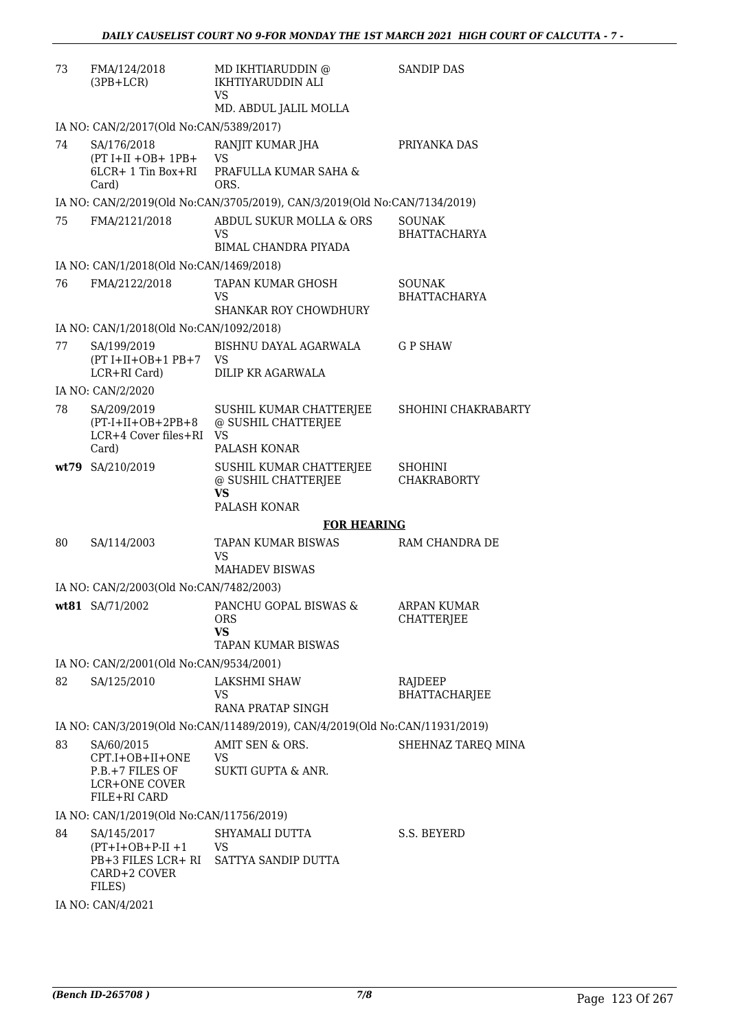| 73  | FMA/124/2018<br>$(3PB+LCR)$                                                          | MD IKHTIARUDDIN @<br>IKHTIYARUDDIN ALI<br><b>VS</b><br>MD. ABDUL JALIL MOLLA  | <b>SANDIP DAS</b>                       |
|-----|--------------------------------------------------------------------------------------|-------------------------------------------------------------------------------|-----------------------------------------|
|     | IA NO: CAN/2/2017(Old No:CAN/5389/2017)                                              |                                                                               |                                         |
| 74  | SA/176/2018<br>$(PT I+II+OB+ 1PB+$<br>6LCR+ 1 Tin Box+RI<br>Card)                    | RANJIT KUMAR JHA<br><b>VS</b><br>PRAFULLA KUMAR SAHA &<br>ORS.                | PRIYANKA DAS                            |
|     |                                                                                      | IA NO: CAN/2/2019(Old No:CAN/3705/2019), CAN/3/2019(Old No:CAN/7134/2019)     |                                         |
| 75. | FMA/2121/2018                                                                        | ABDUL SUKUR MOLLA & ORS<br>VS<br>BIMAL CHANDRA PIYADA                         | SOUNAK<br><b>BHATTACHARYA</b>           |
|     | IA NO: CAN/1/2018(Old No:CAN/1469/2018)                                              |                                                                               |                                         |
| 76  | FMA/2122/2018                                                                        | TAPAN KUMAR GHOSH<br><b>VS</b><br><b>SHANKAR ROY CHOWDHURY</b>                | SOUNAK<br><b>BHATTACHARYA</b>           |
|     | IA NO: CAN/1/2018(Old No:CAN/1092/2018)                                              |                                                                               |                                         |
| 77  | SA/199/2019<br>$(PT I+II+OB+1 PB+7$<br>LCR+RI Card)                                  | BISHNU DAYAL AGARWALA<br>VS<br>DILIP KR AGARWALA                              | <b>GP SHAW</b>                          |
|     | IA NO: CAN/2/2020                                                                    |                                                                               |                                         |
| 78  | SA/209/2019<br>$(PT-I+II+OB+2PB+8)$<br>LCR+4 Cover files+RI VS<br>Card)              | SUSHIL KUMAR CHATTERJEE<br>@ SUSHIL CHATTERJEE<br>PALASH KONAR                | SHOHINI CHAKRABARTY                     |
|     | wt79 SA/210/2019                                                                     | SUSHIL KUMAR CHATTERJEE<br>@ SUSHIL CHATTERJEE<br><b>VS</b><br>PALASH KONAR   | <b>SHOHINI</b><br><b>CHAKRABORTY</b>    |
|     |                                                                                      | <b>FOR HEARING</b>                                                            |                                         |
| 80  | SA/114/2003                                                                          | TAPAN KUMAR BISWAS<br>VS<br><b>MAHADEV BISWAS</b>                             | RAM CHANDRA DE                          |
|     | IA NO: CAN/2/2003(Old No:CAN/7482/2003)                                              |                                                                               |                                         |
|     | wt81 SA/71/2002                                                                      | PANCHU GOPAL BISWAS &<br><b>ORS</b><br><b>VS</b><br><b>TAPAN KUMAR BISWAS</b> | <b>ARPAN KUMAR</b><br><b>CHATTERJEE</b> |
|     | IA NO: CAN/2/2001(Old No:CAN/9534/2001)                                              |                                                                               |                                         |
| 82  | SA/125/2010                                                                          | LAKSHMI SHAW<br>VS<br>RANA PRATAP SINGH                                       | RAJDEEP<br>BHATTACHARJEE                |
|     |                                                                                      | IA NO: CAN/3/2019(Old No:CAN/11489/2019), CAN/4/2019(Old No:CAN/11931/2019)   |                                         |
| 83  | SA/60/2015<br>CPT.I+OB+II+ONE<br>P.B.+7 FILES OF<br>LCR+ONE COVER<br>FILE+RI CARD    | AMIT SEN & ORS.<br>VS<br>SUKTI GUPTA & ANR.                                   | SHEHNAZ TAREQ MINA                      |
|     | IA NO: CAN/1/2019(Old No:CAN/11756/2019)                                             |                                                                               |                                         |
| 84  | SA/145/2017<br>$(PT+I+OB+P-II +1$ VS<br>PB+3 FILES LCR+ RI<br>CARD+2 COVER<br>FILES) | SHYAMALI DUTTA<br>SATTYA SANDIP DUTTA                                         | S.S. BEYERD                             |

IA NO: CAN/4/2021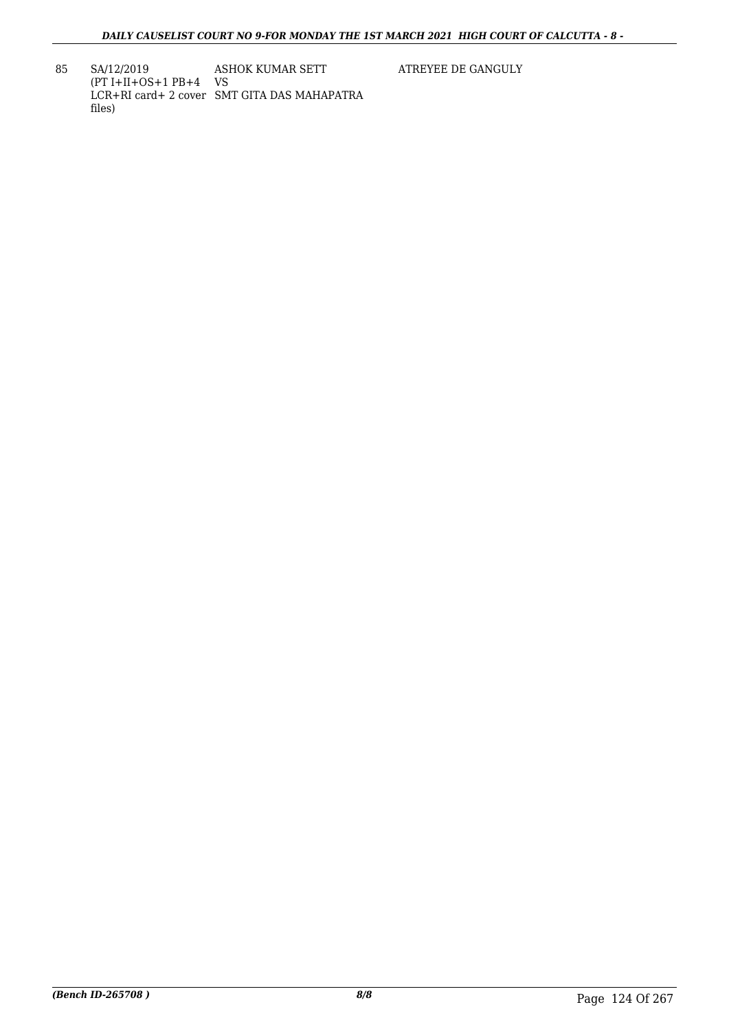85 SA/12/2019 (PT I+II+OS+1 PB+4 VS LCR+RI card+ 2 cover SMT GITA DAS MAHAPATRA files) ASHOK KUMAR SETT

ATREYEE DE GANGULY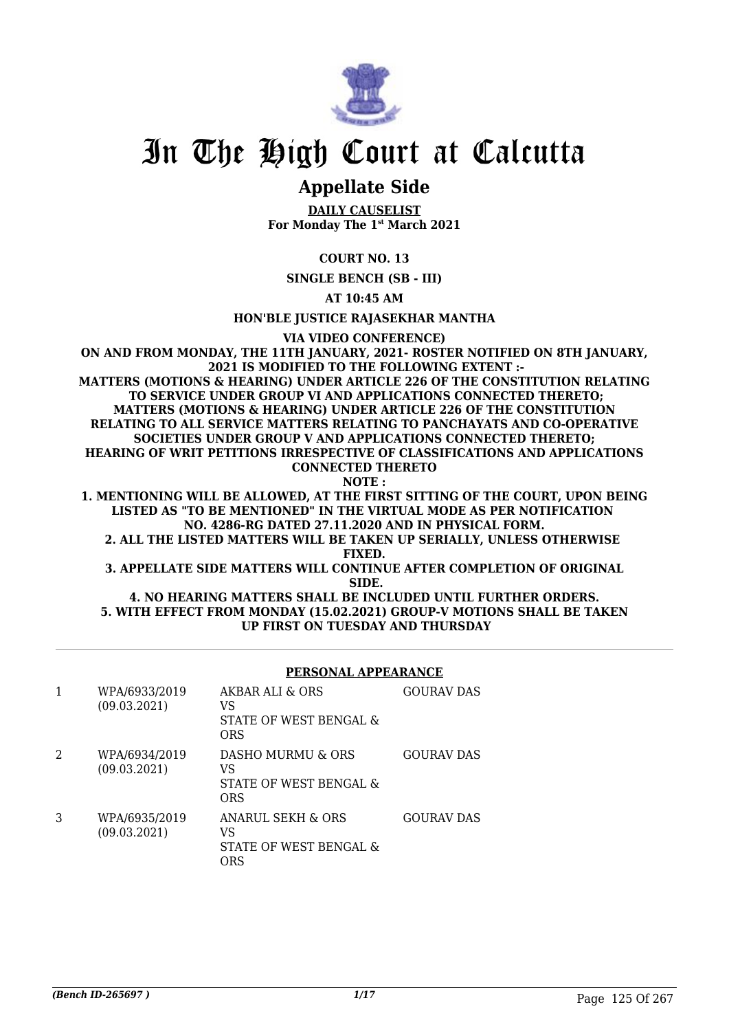

# **Appellate Side**

**DAILY CAUSELIST For Monday The 1st March 2021**

# **COURT NO. 13**

**SINGLE BENCH (SB - III)**

**AT 10:45 AM**

**HON'BLE JUSTICE RAJASEKHAR MANTHA**

**VIA VIDEO CONFERENCE)**

**ON AND FROM MONDAY, THE 11TH JANUARY, 2021- ROSTER NOTIFIED ON 8TH JANUARY, 2021 IS MODIFIED TO THE FOLLOWING EXTENT :- MATTERS (MOTIONS & HEARING) UNDER ARTICLE 226 OF THE CONSTITUTION RELATING TO SERVICE UNDER GROUP VI AND APPLICATIONS CONNECTED THERETO; MATTERS (MOTIONS & HEARING) UNDER ARTICLE 226 OF THE CONSTITUTION RELATING TO ALL SERVICE MATTERS RELATING TO PANCHAYATS AND CO-OPERATIVE SOCIETIES UNDER GROUP V AND APPLICATIONS CONNECTED THERETO; HEARING OF WRIT PETITIONS IRRESPECTIVE OF CLASSIFICATIONS AND APPLICATIONS CONNECTED THERETO NOTE :**

**1. MENTIONING WILL BE ALLOWED, AT THE FIRST SITTING OF THE COURT, UPON BEING LISTED AS "TO BE MENTIONED" IN THE VIRTUAL MODE AS PER NOTIFICATION NO. 4286-RG DATED 27.11.2020 AND IN PHYSICAL FORM.**

**2. ALL THE LISTED MATTERS WILL BE TAKEN UP SERIALLY, UNLESS OTHERWISE FIXED.**

**3. APPELLATE SIDE MATTERS WILL CONTINUE AFTER COMPLETION OF ORIGINAL SIDE.**

### **4. NO HEARING MATTERS SHALL BE INCLUDED UNTIL FURTHER ORDERS. 5. WITH EFFECT FROM MONDAY (15.02.2021) GROUP-V MOTIONS SHALL BE TAKEN UP FIRST ON TUESDAY AND THURSDAY**

### **PERSONAL APPEARANCE**

| 1 | WPA/6933/2019<br>(09.03.2021) | AKBAR ALL & ORS<br>VS<br>STATE OF WEST BENGAL &<br>ORS          | <b>GOURAV DAS</b> |
|---|-------------------------------|-----------------------------------------------------------------|-------------------|
| 2 | WPA/6934/2019<br>(09.03.2021) | DASHO MURMU & ORS<br>VS<br>STATE OF WEST BENGAL &<br><b>ORS</b> | <b>GOURAV DAS</b> |
| 3 | WPA/6935/2019<br>(09.03.2021) | ANARUL SEKH & ORS<br>VS<br>STATE OF WEST BENGAL &<br>ORS        | <b>GOURAV DAS</b> |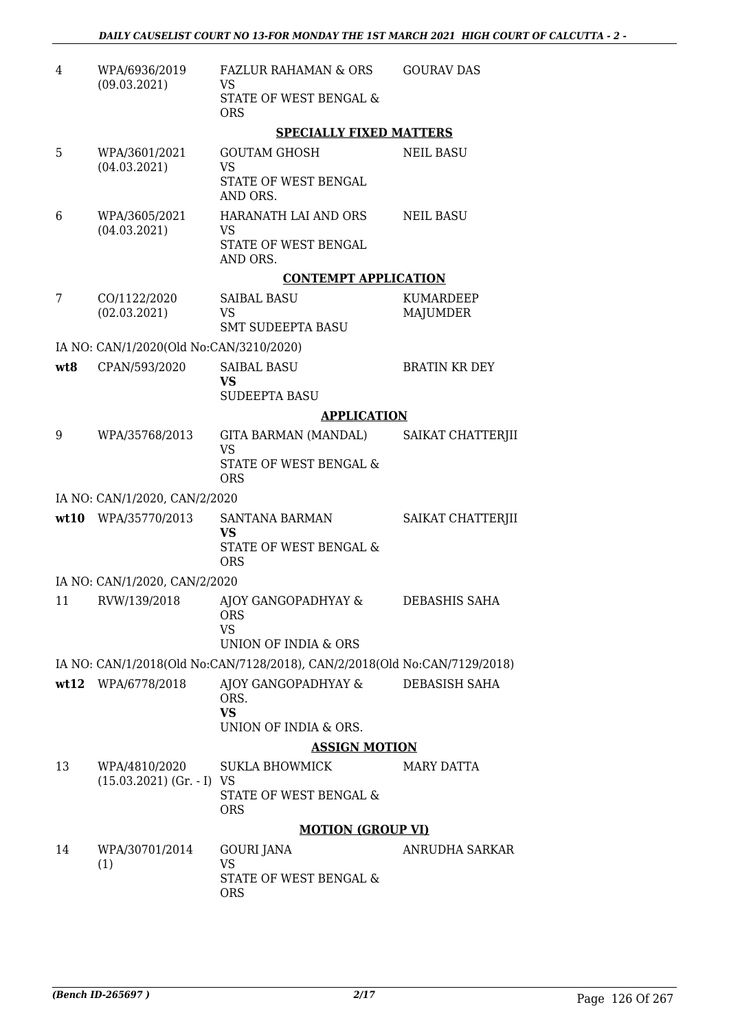| 4   | WPA/6936/2019<br>(09.03.2021)                            | FAZLUR RAHAMAN & ORS<br>VS                                                | <b>GOURAV DAS</b>            |
|-----|----------------------------------------------------------|---------------------------------------------------------------------------|------------------------------|
|     |                                                          | STATE OF WEST BENGAL &<br><b>ORS</b>                                      |                              |
|     |                                                          | <b>SPECIALLY FIXED MATTERS</b>                                            |                              |
| 5   | WPA/3601/2021                                            | <b>GOUTAM GHOSH</b>                                                       | <b>NEIL BASU</b>             |
|     | (04.03.2021)                                             | <b>VS</b><br>STATE OF WEST BENGAL<br>AND ORS.                             |                              |
| 6   | WPA/3605/2021<br>(04.03.2021)                            | HARANATH LAI AND ORS<br><b>VS</b>                                         | <b>NEIL BASU</b>             |
|     |                                                          | STATE OF WEST BENGAL<br>AND ORS.                                          |                              |
|     |                                                          | <b>CONTEMPT APPLICATION</b>                                               |                              |
| 7   | CO/1122/2020<br>(02.03.2021)                             | <b>SAIBAL BASU</b><br><b>VS</b>                                           | <b>KUMARDEEP</b><br>MAJUMDER |
|     |                                                          | <b>SMT SUDEEPTA BASU</b>                                                  |                              |
| wt8 | IA NO: CAN/1/2020(Old No:CAN/3210/2020)<br>CPAN/593/2020 | <b>SAIBAL BASU</b>                                                        | <b>BRATIN KR DEY</b>         |
|     |                                                          | <b>VS</b>                                                                 |                              |
|     |                                                          | <b>SUDEEPTA BASU</b>                                                      |                              |
|     |                                                          | <b>APPLICATION</b>                                                        |                              |
| 9   | WPA/35768/2013                                           | GITA BARMAN (MANDAL)<br><b>VS</b>                                         | SAIKAT CHATTERJII            |
|     |                                                          | STATE OF WEST BENGAL &<br><b>ORS</b>                                      |                              |
|     | IA NO: CAN/1/2020, CAN/2/2020                            |                                                                           |                              |
|     | wt10 WPA/35770/2013                                      | <b>SANTANA BARMAN</b><br>VS                                               | SAIKAT CHATTERJII            |
|     |                                                          | STATE OF WEST BENGAL &<br><b>ORS</b>                                      |                              |
|     | IA NO: CAN/1/2020, CAN/2/2020                            |                                                                           |                              |
| 11  | RVW/139/2018                                             | AJOY GANGOPADHYAY &<br><b>ORS</b><br><b>VS</b>                            | <b>DEBASHIS SAHA</b>         |
|     |                                                          | UNION OF INDIA & ORS                                                      |                              |
|     |                                                          | IA NO: CAN/1/2018(Old No:CAN/7128/2018), CAN/2/2018(Old No:CAN/7129/2018) |                              |
|     | wt12 WPA/6778/2018                                       | AJOY GANGOPADHYAY &<br>ORS.<br><b>VS</b>                                  | DEBASISH SAHA                |
|     |                                                          | UNION OF INDIA & ORS.                                                     |                              |
|     |                                                          | <b>ASSIGN MOTION</b>                                                      |                              |
| 13  | WPA/4810/2020<br>$(15.03.2021)$ (Gr. - I) VS             | SUKLA BHOWMICK                                                            | <b>MARY DATTA</b>            |
|     |                                                          | STATE OF WEST BENGAL &<br><b>ORS</b>                                      |                              |
|     |                                                          | <b>MOTION (GROUP VI)</b>                                                  |                              |
| 14  | WPA/30701/2014                                           | GOURI JANA                                                                | ANRUDHA SARKAR               |
|     | (1)                                                      | <b>VS</b><br>STATE OF WEST BENGAL &<br><b>ORS</b>                         |                              |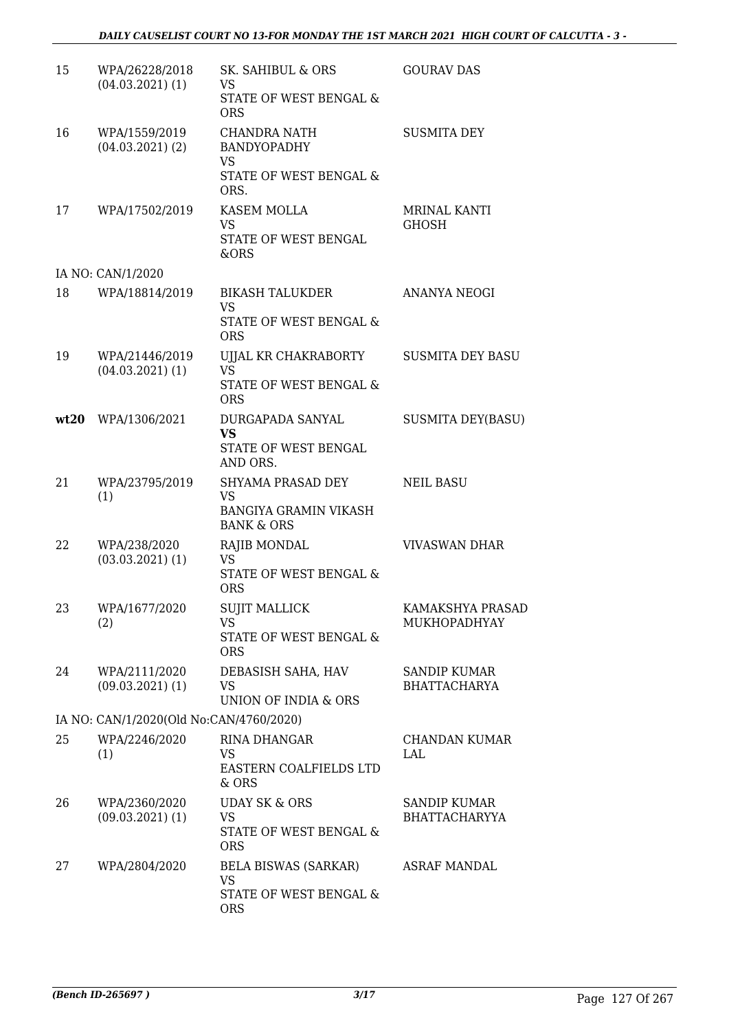| 15 | WPA/26228/2018<br>$(04.03.2021)$ (1)    | <b>SK. SAHIBUL &amp; ORS</b><br>VS<br>STATE OF WEST BENGAL &<br><b>ORS</b>                         | <b>GOURAV DAS</b>                          |
|----|-----------------------------------------|----------------------------------------------------------------------------------------------------|--------------------------------------------|
| 16 | WPA/1559/2019<br>$(04.03.2021)$ (2)     | CHANDRA NATH<br><b>BANDYOPADHY</b><br>VS<br>STATE OF WEST BENGAL &<br>ORS.                         | <b>SUSMITA DEY</b>                         |
| 17 | WPA/17502/2019                          | KASEM MOLLA<br><b>VS</b><br>STATE OF WEST BENGAL<br>&ORS                                           | <b>MRINAL KANTI</b><br><b>GHOSH</b>        |
|    | IA NO: CAN/1/2020                       |                                                                                                    |                                            |
| 18 | WPA/18814/2019                          | BIKASH TALUKDER<br><b>VS</b><br>STATE OF WEST BENGAL &                                             | ANANYA NEOGI                               |
| 19 | WPA/21446/2019<br>$(04.03.2021)$ (1)    | <b>ORS</b><br>UJJAL KR CHAKRABORTY<br><b>VS</b><br><b>STATE OF WEST BENGAL &amp;</b><br><b>ORS</b> | <b>SUSMITA DEY BASU</b>                    |
|    | wt20 WPA/1306/2021                      | DURGAPADA SANYAL<br><b>VS</b><br>STATE OF WEST BENGAL<br>AND ORS.                                  | <b>SUSMITA DEY(BASU)</b>                   |
| 21 | WPA/23795/2019<br>(1)                   | SHYAMA PRASAD DEY<br><b>VS</b><br><b>BANGIYA GRAMIN VIKASH</b><br><b>BANK &amp; ORS</b>            | <b>NEIL BASU</b>                           |
| 22 | WPA/238/2020<br>$(03.03.2021)$ (1)      | <b>RAJIB MONDAL</b><br><b>VS</b><br><b>STATE OF WEST BENGAL &amp;</b><br><b>ORS</b>                | <b>VIVASWAN DHAR</b>                       |
| 23 | WPA/1677/2020<br>(2)                    | <b>SUJIT MALLICK</b><br>VS.<br>STATE OF WEST BENGAL &<br><b>ORS</b>                                | KAMAKSHYA PRASAD<br><b>MUKHOPADHYAY</b>    |
| 24 | WPA/2111/2020<br>$(09.03.2021)$ (1)     | DEBASISH SAHA, HAV<br>VS<br>UNION OF INDIA & ORS                                                   | <b>SANDIP KUMAR</b><br><b>BHATTACHARYA</b> |
|    | IA NO: CAN/1/2020(Old No:CAN/4760/2020) |                                                                                                    |                                            |
| 25 | WPA/2246/2020<br>(1)                    | RINA DHANGAR<br>VS<br>EASTERN COALFIELDS LTD<br>& ORS                                              | <b>CHANDAN KUMAR</b><br>LAL                |
| 26 | WPA/2360/2020<br>$(09.03.2021)$ (1)     | <b>UDAY SK &amp; ORS</b><br>VS<br>STATE OF WEST BENGAL &<br><b>ORS</b>                             | SANDIP KUMAR<br><b>BHATTACHARYYA</b>       |
| 27 | WPA/2804/2020                           | <b>BELA BISWAS (SARKAR)</b><br><b>VS</b><br>STATE OF WEST BENGAL &<br><b>ORS</b>                   | <b>ASRAF MANDAL</b>                        |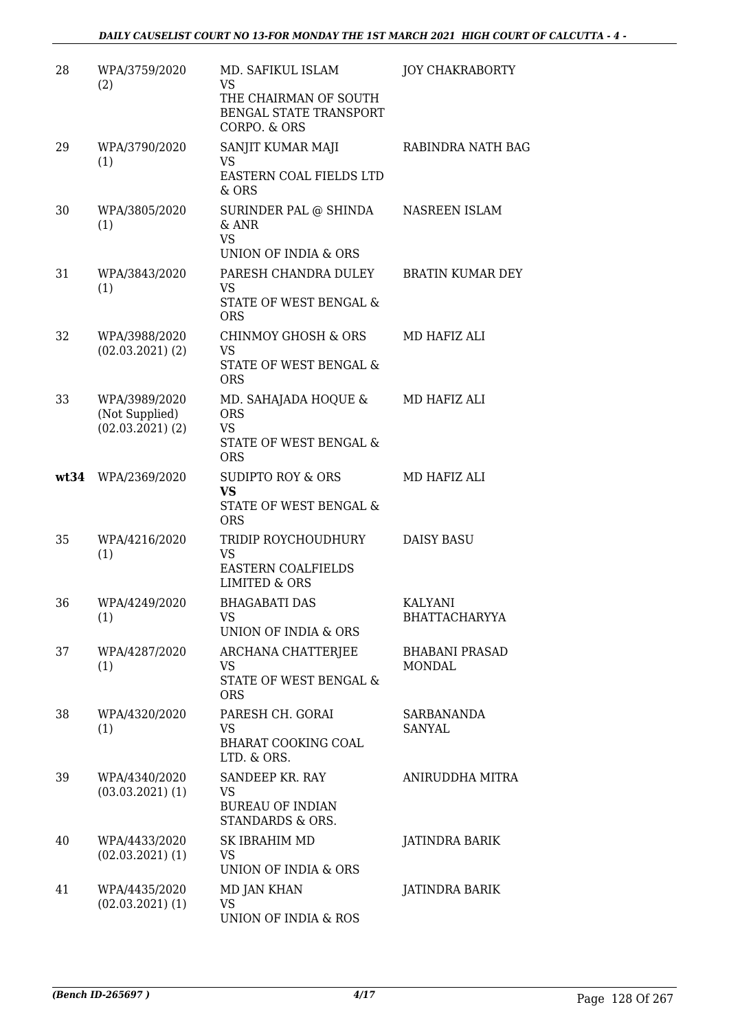| 28 | WPA/3759/2020<br>(2)                                    | MD. SAFIKUL ISLAM<br><b>VS</b><br>THE CHAIRMAN OF SOUTH<br>BENGAL STATE TRANSPORT<br>CORPO. & ORS | <b>JOY CHAKRABORTY</b>                 |
|----|---------------------------------------------------------|---------------------------------------------------------------------------------------------------|----------------------------------------|
| 29 | WPA/3790/2020<br>(1)                                    | SANJIT KUMAR MAJI<br><b>VS</b><br>EASTERN COAL FIELDS LTD<br>$&$ ORS                              | RABINDRA NATH BAG                      |
| 30 | WPA/3805/2020<br>(1)                                    | SURINDER PAL @ SHINDA<br>& ANR<br><b>VS</b><br>UNION OF INDIA & ORS                               | NASREEN ISLAM                          |
| 31 | WPA/3843/2020<br>(1)                                    | PARESH CHANDRA DULEY<br>VS<br>STATE OF WEST BENGAL &<br><b>ORS</b>                                | <b>BRATIN KUMAR DEY</b>                |
| 32 | WPA/3988/2020<br>$(02.03.2021)$ $(2)$                   | <b>CHINMOY GHOSH &amp; ORS</b><br><b>VS</b><br>STATE OF WEST BENGAL &<br><b>ORS</b>               | MD HAFIZ ALI                           |
| 33 | WPA/3989/2020<br>(Not Supplied)<br>$(02.03.2021)$ $(2)$ | MD. SAHAJADA HOQUE &<br><b>ORS</b><br><b>VS</b><br>STATE OF WEST BENGAL &<br><b>ORS</b>           | MD HAFIZ ALI                           |
|    | wt34 WPA/2369/2020                                      | <b>SUDIPTO ROY &amp; ORS</b><br><b>VS</b><br>STATE OF WEST BENGAL &<br><b>ORS</b>                 | MD HAFIZ ALI                           |
| 35 | WPA/4216/2020<br>(1)                                    | TRIDIP ROYCHOUDHURY<br><b>VS</b><br>EASTERN COALFIELDS<br><b>LIMITED &amp; ORS</b>                | <b>DAISY BASU</b>                      |
| 36 | WPA/4249/2020<br>(1)                                    | <b>BHAGABATI DAS</b><br><b>VS</b><br>UNION OF INDIA & ORS                                         | KALYANI<br><b>BHATTACHARYYA</b>        |
| 37 | WPA/4287/2020<br>(1)                                    | ARCHANA CHATTERJEE<br>VS<br><b>STATE OF WEST BENGAL &amp;</b><br><b>ORS</b>                       | <b>BHABANI PRASAD</b><br><b>MONDAL</b> |
| 38 | WPA/4320/2020<br>(1)                                    | PARESH CH. GORAI<br><b>VS</b><br><b>BHARAT COOKING COAL</b><br>LTD. & ORS.                        | SARBANANDA<br><b>SANYAL</b>            |
| 39 | WPA/4340/2020<br>$(03.03.2021)$ $(1)$                   | SANDEEP KR. RAY<br><b>VS</b><br><b>BUREAU OF INDIAN</b><br>STANDARDS & ORS.                       | ANIRUDDHA MITRA                        |
| 40 | WPA/4433/2020<br>$(02.03.2021)$ $(1)$                   | SK IBRAHIM MD<br>VS<br>UNION OF INDIA & ORS                                                       | JATINDRA BARIK                         |
| 41 | WPA/4435/2020<br>$(02.03.2021)$ $(1)$                   | MD JAN KHAN<br><b>VS</b><br>UNION OF INDIA & ROS                                                  | JATINDRA BARIK                         |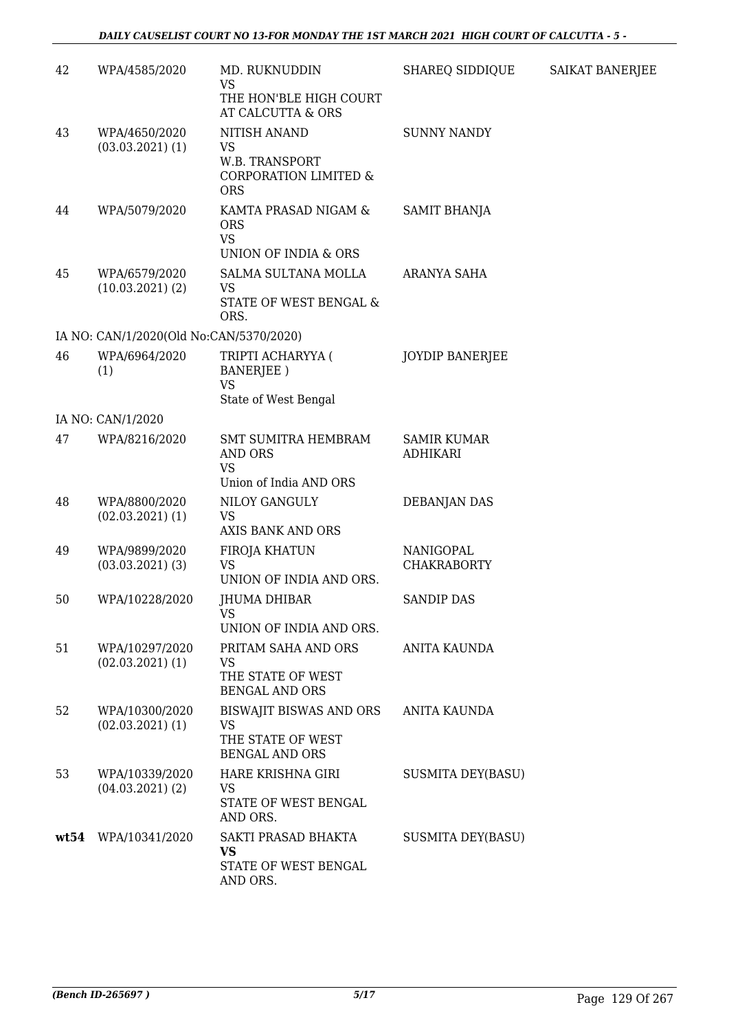| 42   | WPA/4585/2020                           | MD. RUKNUDDIN<br><b>VS</b><br>THE HON'BLE HIGH COURT<br>AT CALCUTTA & ORS          | SHAREQ SIDDIQUE                       | <b>SAIKAT BANERJEE</b> |
|------|-----------------------------------------|------------------------------------------------------------------------------------|---------------------------------------|------------------------|
| 43   | WPA/4650/2020<br>$(03.03.2021)$ $(1)$   | NITISH ANAND<br><b>VS</b><br>W.B. TRANSPORT<br>CORPORATION LIMITED &<br><b>ORS</b> | <b>SUNNY NANDY</b>                    |                        |
| 44   | WPA/5079/2020                           | KAMTA PRASAD NIGAM &<br><b>ORS</b><br><b>VS</b><br>UNION OF INDIA & ORS            | SAMIT BHANJA                          |                        |
| 45   | WPA/6579/2020<br>(10.03.2021)(2)        | SALMA SULTANA MOLLA<br><b>VS</b><br>STATE OF WEST BENGAL &<br>ORS.                 | ARANYA SAHA                           |                        |
|      | IA NO: CAN/1/2020(Old No:CAN/5370/2020) |                                                                                    |                                       |                        |
| 46   | WPA/6964/2020<br>(1)                    | TRIPTI ACHARYYA (<br>BANERJEE)<br><b>VS</b><br>State of West Bengal                | <b>JOYDIP BANERJEE</b>                |                        |
|      | IA NO: CAN/1/2020                       |                                                                                    |                                       |                        |
| 47   | WPA/8216/2020                           | <b>SMT SUMITRA HEMBRAM</b><br><b>AND ORS</b><br><b>VS</b>                          | <b>SAMIR KUMAR</b><br><b>ADHIKARI</b> |                        |
|      |                                         | Union of India AND ORS                                                             |                                       |                        |
| 48   | WPA/8800/2020<br>$(02.03.2021)$ $(1)$   | NILOY GANGULY<br><b>VS</b><br>AXIS BANK AND ORS                                    | <b>DEBANJAN DAS</b>                   |                        |
| 49   | WPA/9899/2020<br>$(03.03.2021)$ $(3)$   | FIROJA KHATUN<br><b>VS</b><br>UNION OF INDIA AND ORS.                              | NANIGOPAL<br><b>CHAKRABORTY</b>       |                        |
| 50   | WPA/10228/2020                          | JHUMA DHIBAR<br>VS<br>UNION OF INDIA AND ORS.                                      | <b>SANDIP DAS</b>                     |                        |
| 51   | WPA/10297/2020<br>$(02.03.2021)$ (1)    | PRITAM SAHA AND ORS<br><b>VS</b><br>THE STATE OF WEST<br><b>BENGAL AND ORS</b>     | <b>ANITA KAUNDA</b>                   |                        |
| 52   | WPA/10300/2020<br>$(02.03.2021)$ $(1)$  | BISWAJIT BISWAS AND ORS<br><b>VS</b><br>THE STATE OF WEST<br><b>BENGAL AND ORS</b> | <b>ANITA KAUNDA</b>                   |                        |
| 53   | WPA/10339/2020<br>$(04.03.2021)$ (2)    | HARE KRISHNA GIRI<br><b>VS</b><br>STATE OF WEST BENGAL<br>AND ORS.                 | <b>SUSMITA DEY(BASU)</b>              |                        |
| wt54 | WPA/10341/2020                          | SAKTI PRASAD BHAKTA<br><b>VS</b><br>STATE OF WEST BENGAL<br>AND ORS.               | <b>SUSMITA DEY(BASU)</b>              |                        |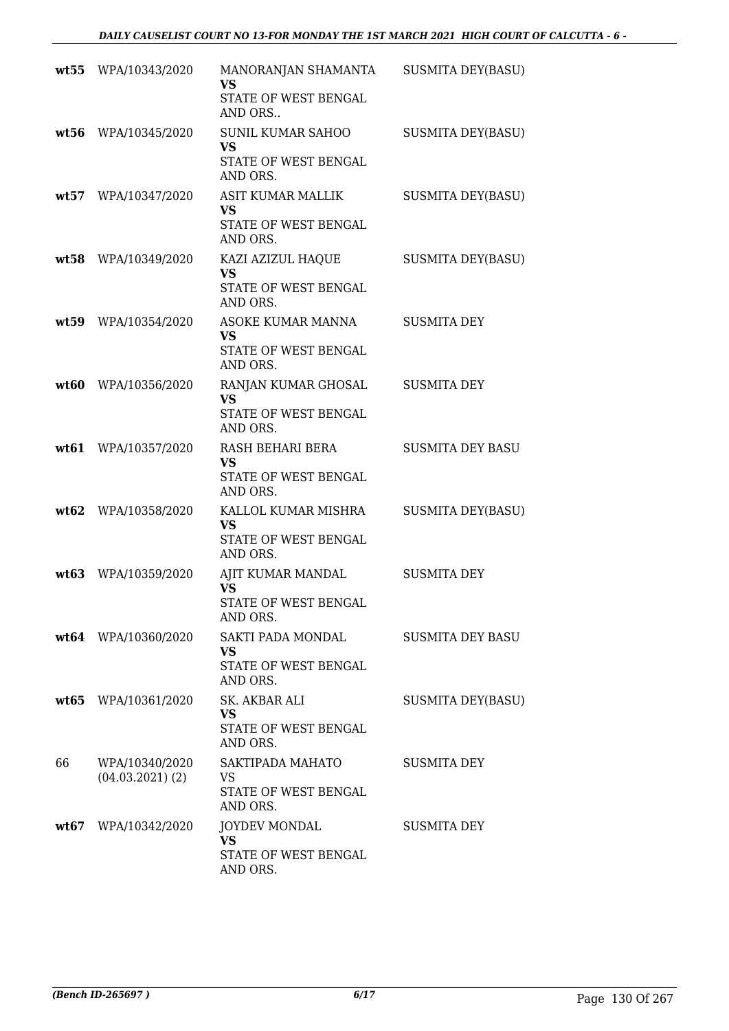|      | wt55 WPA/10343/2020                  | MANORANJAN SHAMANTA<br><b>VS</b><br>STATE OF WEST BENGAL<br>AND ORS       | <b>SUSMITA DEY(BASU)</b> |
|------|--------------------------------------|---------------------------------------------------------------------------|--------------------------|
|      | wt56 WPA/10345/2020                  | <b>SUNIL KUMAR SAHOO</b><br><b>VS</b><br>STATE OF WEST BENGAL<br>AND ORS. | <b>SUSMITA DEY(BASU)</b> |
| wt57 | WPA/10347/2020                       | ASIT KUMAR MALLIK<br><b>VS</b><br>STATE OF WEST BENGAL<br>AND ORS.        | <b>SUSMITA DEY(BASU)</b> |
|      | wt58 WPA/10349/2020                  | KAZI AZIZUL HAQUE<br><b>VS</b><br>STATE OF WEST BENGAL<br>AND ORS.        | <b>SUSMITA DEY(BASU)</b> |
| wt59 | WPA/10354/2020                       | ASOKE KUMAR MANNA<br><b>VS</b><br>STATE OF WEST BENGAL<br>AND ORS.        | <b>SUSMITA DEY</b>       |
| wt60 | WPA/10356/2020                       | RANJAN KUMAR GHOSAL<br><b>VS</b><br>STATE OF WEST BENGAL<br>AND ORS.      | <b>SUSMITA DEY</b>       |
| wt61 | WPA/10357/2020                       | RASH BEHARI BERA<br><b>VS</b><br>STATE OF WEST BENGAL<br>AND ORS.         | <b>SUSMITA DEY BASU</b>  |
|      | wt62 WPA/10358/2020                  | KALLOL KUMAR MISHRA<br><b>VS</b><br>STATE OF WEST BENGAL<br>AND ORS.      | <b>SUSMITA DEY(BASU)</b> |
| wt63 | WPA/10359/2020                       | AJIT KUMAR MANDAL<br><b>VS</b><br>STATE OF WEST BENGAL<br>AND ORS.        | <b>SUSMITA DEY</b>       |
|      | wt64 WPA/10360/2020                  | SAKTI PADA MONDAL<br>VS<br>STATE OF WEST BENGAL<br>AND ORS.               | <b>SUSMITA DEY BASU</b>  |
|      | wt65 WPA/10361/2020                  | SK. AKBAR ALI<br>VS<br>STATE OF WEST BENGAL<br>AND ORS.                   | <b>SUSMITA DEY(BASU)</b> |
| 66   | WPA/10340/2020<br>$(04.03.2021)$ (2) | SAKTIPADA MAHATO<br><b>VS</b><br>STATE OF WEST BENGAL<br>AND ORS.         | SUSMITA DEY              |
|      | wt67 WPA/10342/2020                  | <b>JOYDEV MONDAL</b><br><b>VS</b><br>STATE OF WEST BENGAL<br>AND ORS.     | <b>SUSMITA DEY</b>       |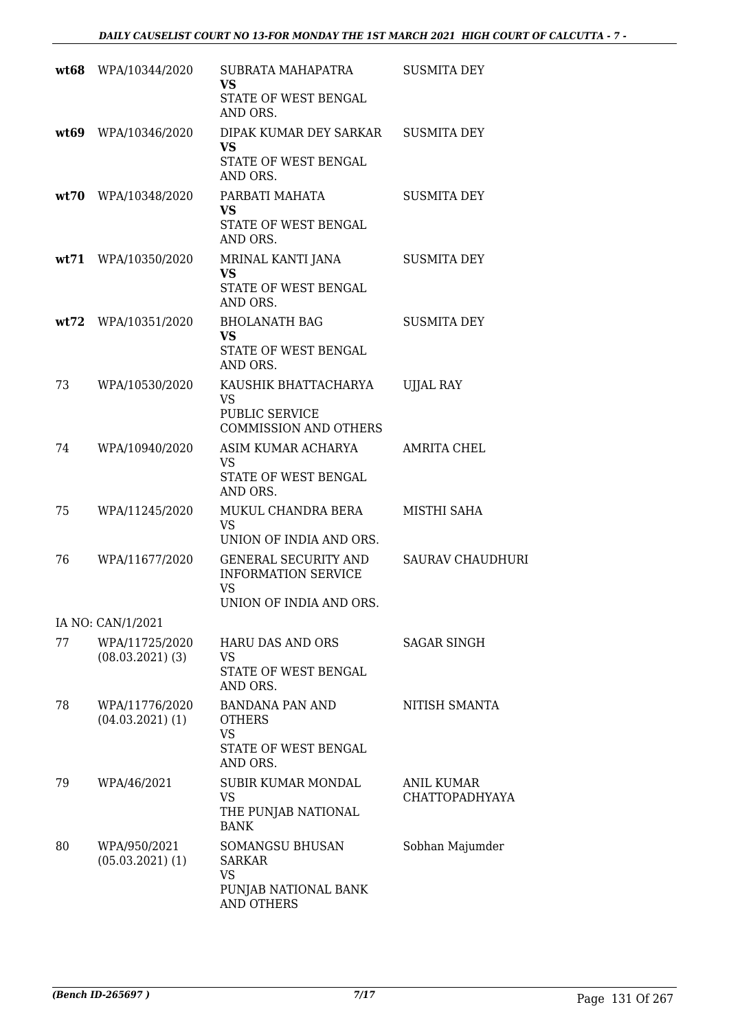|    | wt68 WPA/10344/2020                    | SUBRATA MAHAPATRA<br><b>VS</b><br>STATE OF WEST BENGAL<br>AND ORS.                                | <b>SUSMITA DEY</b>                         |
|----|----------------------------------------|---------------------------------------------------------------------------------------------------|--------------------------------------------|
|    | wt69 WPA/10346/2020                    | DIPAK KUMAR DEY SARKAR<br><b>VS</b><br>STATE OF WEST BENGAL<br>AND ORS.                           | <b>SUSMITA DEY</b>                         |
|    | wt70 WPA/10348/2020                    | PARBATI MAHATA<br>VS<br>STATE OF WEST BENGAL<br>AND ORS.                                          | <b>SUSMITA DEY</b>                         |
|    | wt71 WPA/10350/2020                    | MRINAL KANTI JANA<br><b>VS</b><br>STATE OF WEST BENGAL<br>AND ORS.                                | <b>SUSMITA DEY</b>                         |
|    | wt72 WPA/10351/2020                    | <b>BHOLANATH BAG</b><br>VS<br>STATE OF WEST BENGAL<br>AND ORS.                                    | <b>SUSMITA DEY</b>                         |
| 73 | WPA/10530/2020                         | KAUSHIK BHATTACHARYA<br><b>VS</b><br>PUBLIC SERVICE<br><b>COMMISSION AND OTHERS</b>               | <b>UJJAL RAY</b>                           |
| 74 | WPA/10940/2020                         | ASIM KUMAR ACHARYA<br><b>VS</b><br>STATE OF WEST BENGAL<br>AND ORS.                               | AMRITA CHEL                                |
| 75 | WPA/11245/2020                         | MUKUL CHANDRA BERA<br><b>VS</b><br>UNION OF INDIA AND ORS.                                        | MISTHI SAHA                                |
| 76 | WPA/11677/2020                         | <b>GENERAL SECURITY AND</b><br><b>INFORMATION SERVICE</b><br><b>VS</b><br>UNION OF INDIA AND ORS. | <b>SAURAV CHAUDHURI</b>                    |
|    | IA NO: CAN/1/2021                      |                                                                                                   |                                            |
| 77 | WPA/11725/2020<br>$(08.03.2021)$ (3)   | <b>HARU DAS AND ORS</b><br><b>VS</b><br>STATE OF WEST BENGAL<br>AND ORS.                          | <b>SAGAR SINGH</b>                         |
| 78 | WPA/11776/2020<br>$(04.03.2021)$ $(1)$ | <b>BANDANA PAN AND</b><br><b>OTHERS</b><br><b>VS</b><br>STATE OF WEST BENGAL<br>AND ORS.          | NITISH SMANTA                              |
| 79 | WPA/46/2021                            | <b>SUBIR KUMAR MONDAL</b><br>VS<br>THE PUNJAB NATIONAL<br><b>BANK</b>                             | <b>ANIL KUMAR</b><br><b>CHATTOPADHYAYA</b> |
| 80 | WPA/950/2021<br>$(05.03.2021)$ $(1)$   | SOMANGSU BHUSAN<br><b>SARKAR</b><br><b>VS</b><br>PUNJAB NATIONAL BANK<br>AND OTHERS               | Sobhan Majumder                            |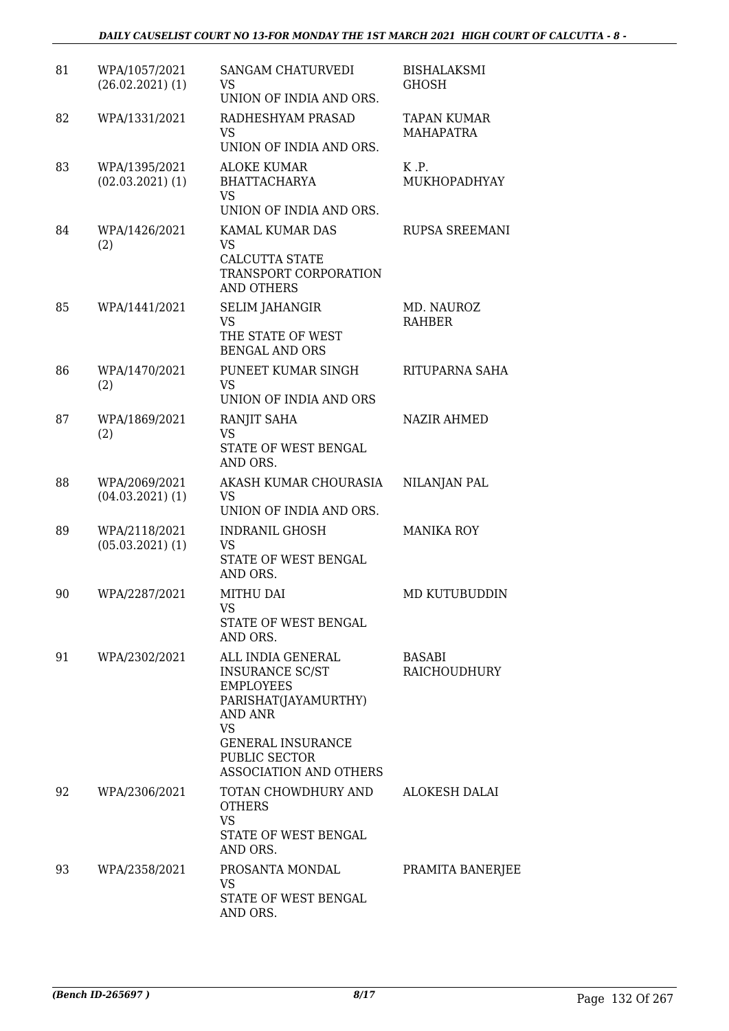| 81 | WPA/1057/2021<br>$(26.02.2021)$ $(1)$ | <b>SANGAM CHATURVEDI</b><br>VS<br>UNION OF INDIA AND ORS.                                                                                                                                            | <b>BISHALAKSMI</b><br><b>GHOSH</b> |
|----|---------------------------------------|------------------------------------------------------------------------------------------------------------------------------------------------------------------------------------------------------|------------------------------------|
| 82 | WPA/1331/2021                         | RADHESHYAM PRASAD<br><b>VS</b><br>UNION OF INDIA AND ORS.                                                                                                                                            | TAPAN KUMAR<br><b>MAHAPATRA</b>    |
| 83 | WPA/1395/2021<br>$(02.03.2021)$ $(1)$ | <b>ALOKE KUMAR</b><br><b>BHATTACHARYA</b><br><b>VS</b>                                                                                                                                               | K.P.<br>MUKHOPADHYAY               |
| 84 | WPA/1426/2021<br>(2)                  | UNION OF INDIA AND ORS.<br>KAMAL KUMAR DAS<br><b>VS</b><br>CALCUTTA STATE<br>TRANSPORT CORPORATION<br><b>AND OTHERS</b>                                                                              | <b>RUPSA SREEMANI</b>              |
| 85 | WPA/1441/2021                         | <b>SELIM JAHANGIR</b><br><b>VS</b><br>THE STATE OF WEST<br><b>BENGAL AND ORS</b>                                                                                                                     | MD. NAUROZ<br>RAHBER               |
| 86 | WPA/1470/2021<br>(2)                  | PUNEET KUMAR SINGH<br><b>VS</b><br>UNION OF INDIA AND ORS                                                                                                                                            | RITUPARNA SAHA                     |
| 87 | WPA/1869/2021<br>(2)                  | RANJIT SAHA<br>VS<br>STATE OF WEST BENGAL<br>AND ORS.                                                                                                                                                | <b>NAZIR AHMED</b>                 |
| 88 | WPA/2069/2021<br>$(04.03.2021)$ $(1)$ | AKASH KUMAR CHOURASIA<br>VS.<br>UNION OF INDIA AND ORS.                                                                                                                                              | NILANJAN PAL                       |
| 89 | WPA/2118/2021<br>$(05.03.2021)$ $(1)$ | INDRANIL GHOSH<br><b>VS</b><br>STATE OF WEST BENGAL<br>AND ORS.                                                                                                                                      | <b>MANIKA ROY</b>                  |
| 90 | WPA/2287/2021                         | MITHU DAI<br><b>VS</b><br>STATE OF WEST BENGAL<br>AND ORS.                                                                                                                                           | MD KUTUBUDDIN                      |
| 91 | WPA/2302/2021                         | ALL INDIA GENERAL<br><b>INSURANCE SC/ST</b><br><b>EMPLOYEES</b><br>PARISHAT(JAYAMURTHY)<br>AND ANR<br><b>VS</b><br><b>GENERAL INSURANCE</b><br><b>PUBLIC SECTOR</b><br><b>ASSOCIATION AND OTHERS</b> | <b>BASABI</b><br>RAICHOUDHURY      |
| 92 | WPA/2306/2021                         | TOTAN CHOWDHURY AND<br><b>OTHERS</b><br><b>VS</b><br>STATE OF WEST BENGAL<br>AND ORS.                                                                                                                | ALOKESH DALAI                      |
| 93 | WPA/2358/2021                         | PROSANTA MONDAL<br>VS<br>STATE OF WEST BENGAL<br>AND ORS.                                                                                                                                            | PRAMITA BANERJEE                   |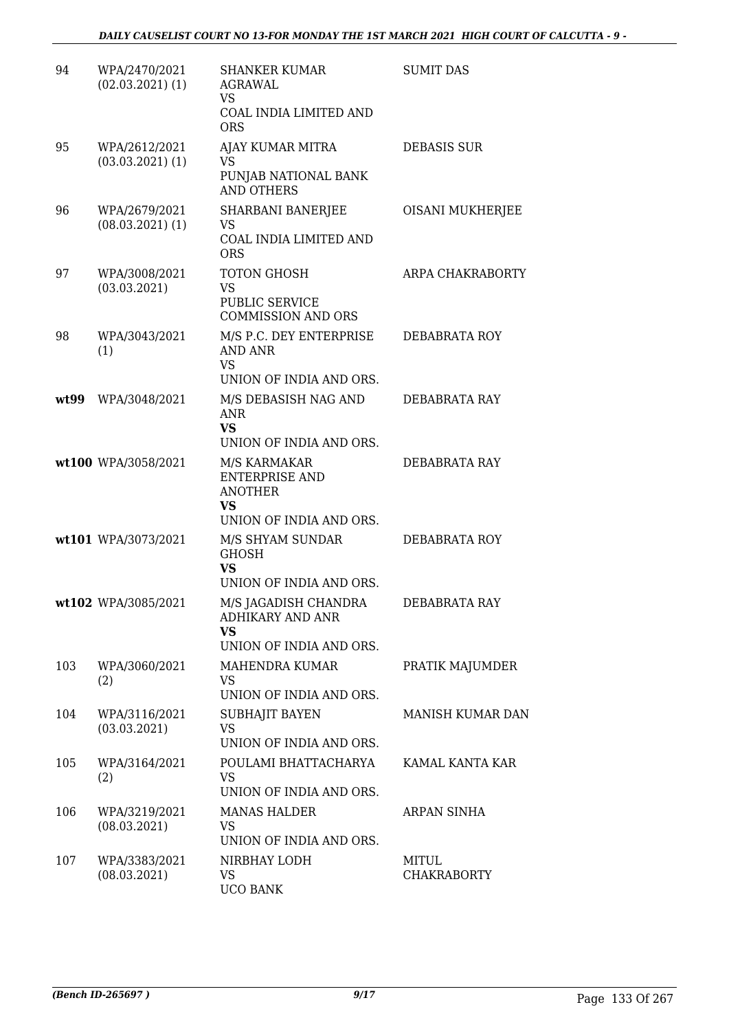| 94   | WPA/2470/2021<br>$(02.03.2021)$ $(1)$ | <b>SHANKER KUMAR</b><br>AGRAWAL<br>VS<br>COAL INDIA LIMITED AND<br><b>ORS</b>                   | <b>SUMIT DAS</b>            |
|------|---------------------------------------|-------------------------------------------------------------------------------------------------|-----------------------------|
| 95   | WPA/2612/2021<br>$(03.03.2021)$ $(1)$ | AJAY KUMAR MITRA<br>VS<br>PUNJAB NATIONAL BANK<br><b>AND OTHERS</b>                             | <b>DEBASIS SUR</b>          |
| 96   | WPA/2679/2021<br>$(08.03.2021)$ $(1)$ | <b>SHARBANI BANERJEE</b><br><b>VS</b><br>COAL INDIA LIMITED AND<br><b>ORS</b>                   | OISANI MUKHERJEE            |
| 97   | WPA/3008/2021<br>(03.03.2021)         | TOTON GHOSH<br>VS<br><b>PUBLIC SERVICE</b><br><b>COMMISSION AND ORS</b>                         | ARPA CHAKRABORTY            |
| 98   | WPA/3043/2021<br>(1)                  | M/S P.C. DEY ENTERPRISE<br><b>AND ANR</b><br>VS<br>UNION OF INDIA AND ORS.                      | DEBABRATA ROY               |
| wt99 | WPA/3048/2021                         | M/S DEBASISH NAG AND<br><b>ANR</b><br><b>VS</b><br>UNION OF INDIA AND ORS.                      | DEBABRATA RAY               |
|      | wt100 WPA/3058/2021                   | M/S KARMAKAR<br><b>ENTERPRISE AND</b><br><b>ANOTHER</b><br><b>VS</b><br>UNION OF INDIA AND ORS. | DEBABRATA RAY               |
|      | wt101 WPA/3073/2021                   | M/S SHYAM SUNDAR<br><b>GHOSH</b><br><b>VS</b><br>UNION OF INDIA AND ORS.                        | DEBABRATA ROY               |
|      | wt102 WPA/3085/2021                   | M/S JAGADISH CHANDRA<br>ADHIKARY AND ANR<br><b>VS</b><br>UNION OF INDIA AND ORS.                | DEBABRATA RAY               |
| 103  | WPA/3060/2021<br>(2)                  | MAHENDRA KUMAR<br>VS<br>UNION OF INDIA AND ORS.                                                 | PRATIK MAJUMDER             |
| 104  | WPA/3116/2021<br>(03.03.2021)         | SUBHAJIT BAYEN<br><b>VS</b><br>UNION OF INDIA AND ORS.                                          | <b>MANISH KUMAR DAN</b>     |
| 105  | WPA/3164/2021<br>(2)                  | POULAMI BHATTACHARYA<br><b>VS</b><br>UNION OF INDIA AND ORS.                                    | KAMAL KANTA KAR             |
| 106  | WPA/3219/2021<br>(08.03.2021)         | <b>MANAS HALDER</b><br>VS<br>UNION OF INDIA AND ORS.                                            | ARPAN SINHA                 |
| 107  | WPA/3383/2021<br>(08.03.2021)         | NIRBHAY LODH<br>VS<br><b>UCO BANK</b>                                                           | MITUL<br><b>CHAKRABORTY</b> |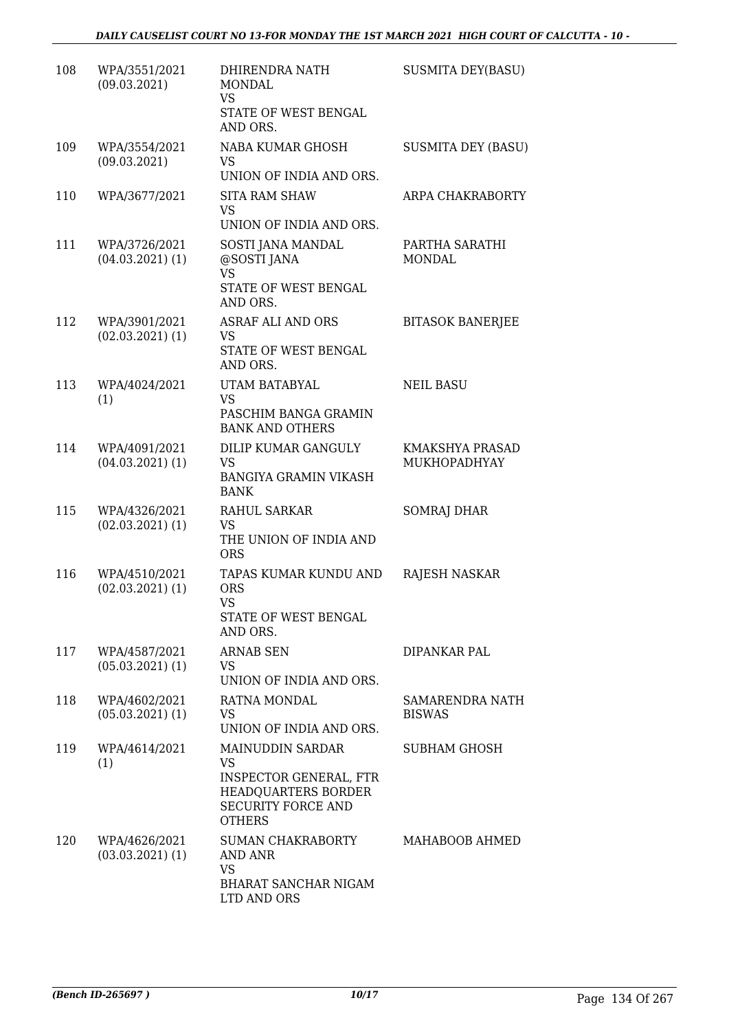| 108 | WPA/3551/2021<br>(09.03.2021)         | DHIRENDRA NATH<br>MONDAL<br><b>VS</b><br>STATE OF WEST BENGAL<br>AND ORS.                                                                         | <b>SUSMITA DEY(BASU)</b>         |
|-----|---------------------------------------|---------------------------------------------------------------------------------------------------------------------------------------------------|----------------------------------|
| 109 | WPA/3554/2021<br>(09.03.2021)         | NABA KUMAR GHOSH<br><b>VS</b><br>UNION OF INDIA AND ORS.                                                                                          | <b>SUSMITA DEY (BASU)</b>        |
| 110 | WPA/3677/2021                         | <b>SITA RAM SHAW</b><br><b>VS</b><br>UNION OF INDIA AND ORS.                                                                                      | ARPA CHAKRABORTY                 |
| 111 | WPA/3726/2021<br>$(04.03.2021)$ $(1)$ | SOSTI JANA MANDAL<br>@SOSTI JANA<br><b>VS</b><br>STATE OF WEST BENGAL<br>AND ORS.                                                                 | PARTHA SARATHI<br><b>MONDAL</b>  |
| 112 | WPA/3901/2021<br>$(02.03.2021)$ $(1)$ | <b>ASRAF ALI AND ORS</b><br>VS<br>STATE OF WEST BENGAL<br>AND ORS.                                                                                | <b>BITASOK BANERJEE</b>          |
| 113 | WPA/4024/2021<br>(1)                  | UTAM BATABYAL<br><b>VS</b><br>PASCHIM BANGA GRAMIN<br><b>BANK AND OTHERS</b>                                                                      | <b>NEIL BASU</b>                 |
| 114 | WPA/4091/2021<br>$(04.03.2021)$ $(1)$ | DILIP KUMAR GANGULY<br><b>VS</b><br><b>BANGIYA GRAMIN VIKASH</b><br><b>BANK</b>                                                                   | KMAKSHYA PRASAD<br>MUKHOPADHYAY  |
| 115 | WPA/4326/2021<br>$(02.03.2021)$ $(1)$ | RAHUL SARKAR<br>VS<br>THE UNION OF INDIA AND<br><b>ORS</b>                                                                                        | SOMRAJ DHAR                      |
| 116 | WPA/4510/2021<br>$(02.03.2021)$ $(1)$ | TAPAS KUMAR KUNDU AND<br><b>ORS</b><br><b>VS</b><br>STATE OF WEST BENGAL<br>AND ORS.                                                              | RAJESH NASKAR                    |
| 117 | WPA/4587/2021<br>$(05.03.2021)$ $(1)$ | <b>ARNAB SEN</b><br>VS<br>UNION OF INDIA AND ORS.                                                                                                 | DIPANKAR PAL                     |
| 118 | WPA/4602/2021<br>$(05.03.2021)$ $(1)$ | RATNA MONDAL<br>VS.<br>UNION OF INDIA AND ORS.                                                                                                    | SAMARENDRA NATH<br><b>BISWAS</b> |
| 119 | WPA/4614/2021<br>(1)                  | <b>MAINUDDIN SARDAR</b><br><b>VS</b><br><b>INSPECTOR GENERAL, FTR</b><br><b>HEADQUARTERS BORDER</b><br><b>SECURITY FORCE AND</b><br><b>OTHERS</b> | <b>SUBHAM GHOSH</b>              |
| 120 | WPA/4626/2021<br>$(03.03.2021)$ (1)   | SUMAN CHAKRABORTY<br>AND ANR<br><b>VS</b><br>BHARAT SANCHAR NIGAM<br>LTD AND ORS                                                                  | MAHABOOB AHMED                   |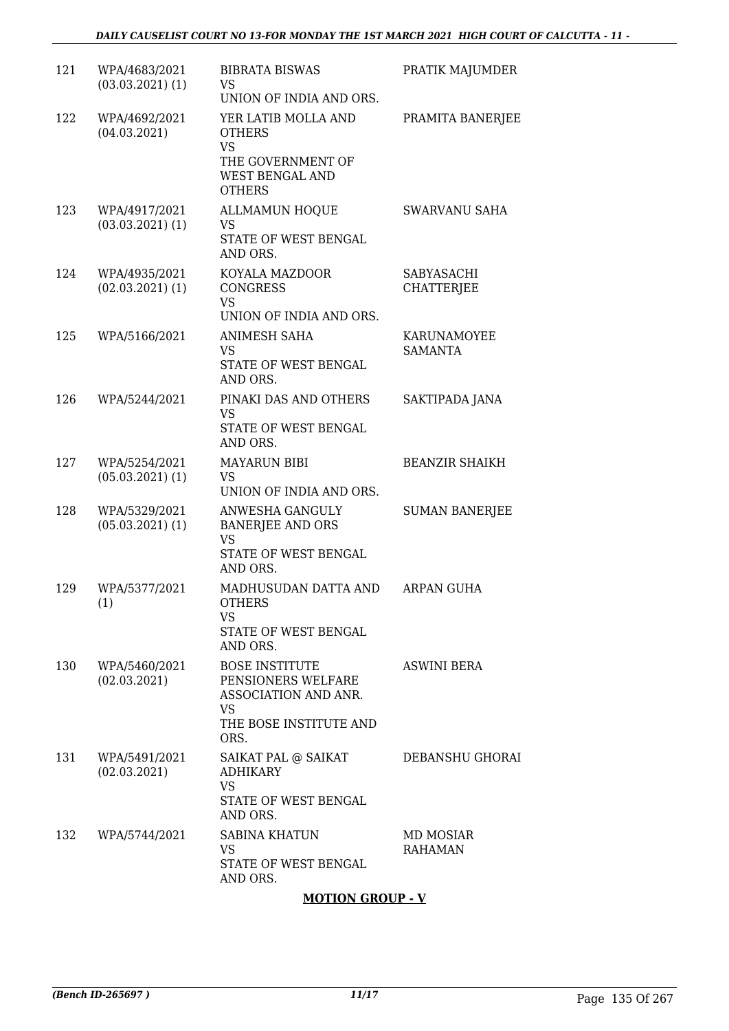| 121 | WPA/4683/2021<br>$(03.03.2021)$ $(1)$ | <b>BIBRATA BISWAS</b><br>VS<br>UNION OF INDIA AND ORS.                                                      | PRATIK MAJUMDER                 |
|-----|---------------------------------------|-------------------------------------------------------------------------------------------------------------|---------------------------------|
| 122 | WPA/4692/2021<br>(04.03.2021)         | YER LATIB MOLLA AND<br><b>OTHERS</b><br><b>VS</b><br>THE GOVERNMENT OF<br>WEST BENGAL AND<br><b>OTHERS</b>  | PRAMITA BANERJEE                |
| 123 | WPA/4917/2021<br>$(03.03.2021)$ $(1)$ | <b>ALLMAMUN HOQUE</b><br><b>VS</b><br>STATE OF WEST BENGAL<br>AND ORS.                                      | <b>SWARVANU SAHA</b>            |
| 124 | WPA/4935/2021<br>$(02.03.2021)$ $(1)$ | KOYALA MAZDOOR<br><b>CONGRESS</b><br><b>VS</b><br>UNION OF INDIA AND ORS.                                   | SABYASACHI<br><b>CHATTERJEE</b> |
| 125 | WPA/5166/2021                         | ANIMESH SAHA<br>VS<br>STATE OF WEST BENGAL<br>AND ORS.                                                      | KARUNAMOYEE<br>SAMANTA          |
| 126 | WPA/5244/2021                         | PINAKI DAS AND OTHERS<br><b>VS</b><br>STATE OF WEST BENGAL<br>AND ORS.                                      | SAKTIPADA JANA                  |
| 127 | WPA/5254/2021<br>$(05.03.2021)$ $(1)$ | <b>MAYARUN BIBI</b><br>VS<br>UNION OF INDIA AND ORS.                                                        | <b>BEANZIR SHAIKH</b>           |
| 128 | WPA/5329/2021<br>$(05.03.2021)$ $(1)$ | ANWESHA GANGULY<br><b>BANERJEE AND ORS</b><br><b>VS</b><br>STATE OF WEST BENGAL<br>AND ORS.                 | <b>SUMAN BANERJEE</b>           |
| 129 | WPA/5377/2021<br>(1)                  | MADHUSUDAN DATTA AND<br><b>OTHERS</b><br>VS.<br>STATE OF WEST BENGAL<br>AND ORS.                            | <b>ARPAN GUHA</b>               |
| 130 | WPA/5460/2021<br>(02.03.2021)         | <b>BOSE INSTITUTE</b><br>PENSIONERS WELFARE<br>ASSOCIATION AND ANR.<br>VS<br>THE BOSE INSTITUTE AND<br>ORS. | <b>ASWINI BERA</b>              |
| 131 | WPA/5491/2021<br>(02.03.2021)         | SAIKAT PAL @ SAIKAT<br><b>ADHIKARY</b><br><b>VS</b><br>STATE OF WEST BENGAL<br>AND ORS.                     | DEBANSHU GHORAI                 |
| 132 | WPA/5744/2021                         | <b>SABINA KHATUN</b><br><b>VS</b><br>STATE OF WEST BENGAL<br>AND ORS.                                       | MD MOSIAR<br><b>RAHAMAN</b>     |
|     |                                       | <b>MOTION GROUP - V</b>                                                                                     |                                 |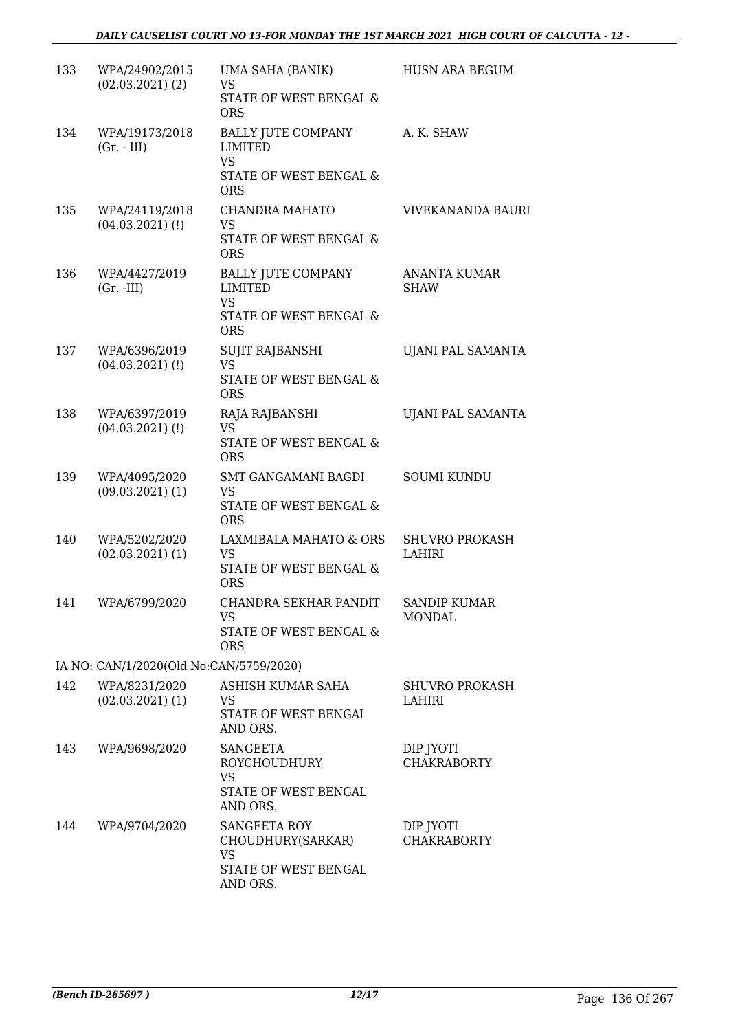| 133                                     | WPA/24902/2015<br>$(02.03.2021)$ $(2)$ | UMA SAHA (BANIK)<br>VS<br><b>STATE OF WEST BENGAL &amp;</b><br><b>ORS</b>                                   | <b>HUSN ARA BEGUM</b>                |  |  |
|-----------------------------------------|----------------------------------------|-------------------------------------------------------------------------------------------------------------|--------------------------------------|--|--|
| 134                                     | WPA/19173/2018<br>$(Gr. - III)$        | <b>BALLY JUTE COMPANY</b><br>LIMITED<br><b>VS</b><br>STATE OF WEST BENGAL &<br><b>ORS</b>                   | A. K. SHAW                           |  |  |
| 135                                     | WPA/24119/2018<br>$(04.03.2021)$ $(l)$ | CHANDRA MAHATO<br><b>VS</b><br>STATE OF WEST BENGAL &<br><b>ORS</b>                                         | VIVEKANANDA BAURI                    |  |  |
| 136                                     | WPA/4427/2019<br>$(Gr. -III)$          | <b>BALLY JUTE COMPANY</b><br><b>LIMITED</b><br><b>VS</b><br><b>STATE OF WEST BENGAL &amp;</b><br><b>ORS</b> | <b>ANANTA KUMAR</b><br><b>SHAW</b>   |  |  |
| 137                                     | WPA/6396/2019<br>$(04.03.2021)$ (!)    | <b>SUJIT RAJBANSHI</b><br><b>VS</b><br>STATE OF WEST BENGAL &<br><b>ORS</b>                                 | UJANI PAL SAMANTA                    |  |  |
| 138                                     | WPA/6397/2019<br>$(04.03.2021)$ (!)    | RAJA RAJBANSHI<br><b>VS</b><br>STATE OF WEST BENGAL &<br><b>ORS</b>                                         | UJANI PAL SAMANTA                    |  |  |
| 139                                     | WPA/4095/2020<br>$(09.03.2021)$ $(1)$  | SMT GANGAMANI BAGDI<br><b>VS</b><br>STATE OF WEST BENGAL &<br><b>ORS</b>                                    | <b>SOUMI KUNDU</b>                   |  |  |
| 140                                     | WPA/5202/2020<br>$(02.03.2021)$ $(1)$  | LAXMIBALA MAHATO & ORS<br><b>VS</b><br>STATE OF WEST BENGAL &<br><b>ORS</b>                                 | <b>SHUVRO PROKASH</b><br>LAHIRI      |  |  |
| 141                                     | WPA/6799/2020                          | CHANDRA SEKHAR PANDIT<br><b>VS</b><br>STATE OF WEST BENGAL &<br><b>ORS</b>                                  | <b>SANDIP KUMAR</b><br><b>MONDAL</b> |  |  |
| IA NO: CAN/1/2020(Old No:CAN/5759/2020) |                                        |                                                                                                             |                                      |  |  |
| 142                                     | WPA/8231/2020<br>$(02.03.2021)$ (1)    | ASHISH KUMAR SAHA<br>VS.<br>STATE OF WEST BENGAL<br>AND ORS.                                                | <b>SHUVRO PROKASH</b><br>LAHIRI      |  |  |
| 143                                     | WPA/9698/2020                          | <b>SANGEETA</b><br>ROYCHOUDHURY<br><b>VS</b><br>STATE OF WEST BENGAL<br>AND ORS.                            | DIP JYOTI<br><b>CHAKRABORTY</b>      |  |  |
| 144                                     | WPA/9704/2020                          | SANGEETA ROY<br>CHOUDHURY(SARKAR)<br>VS<br>STATE OF WEST BENGAL<br>AND ORS.                                 | DIP JYOTI<br><b>CHAKRABORTY</b>      |  |  |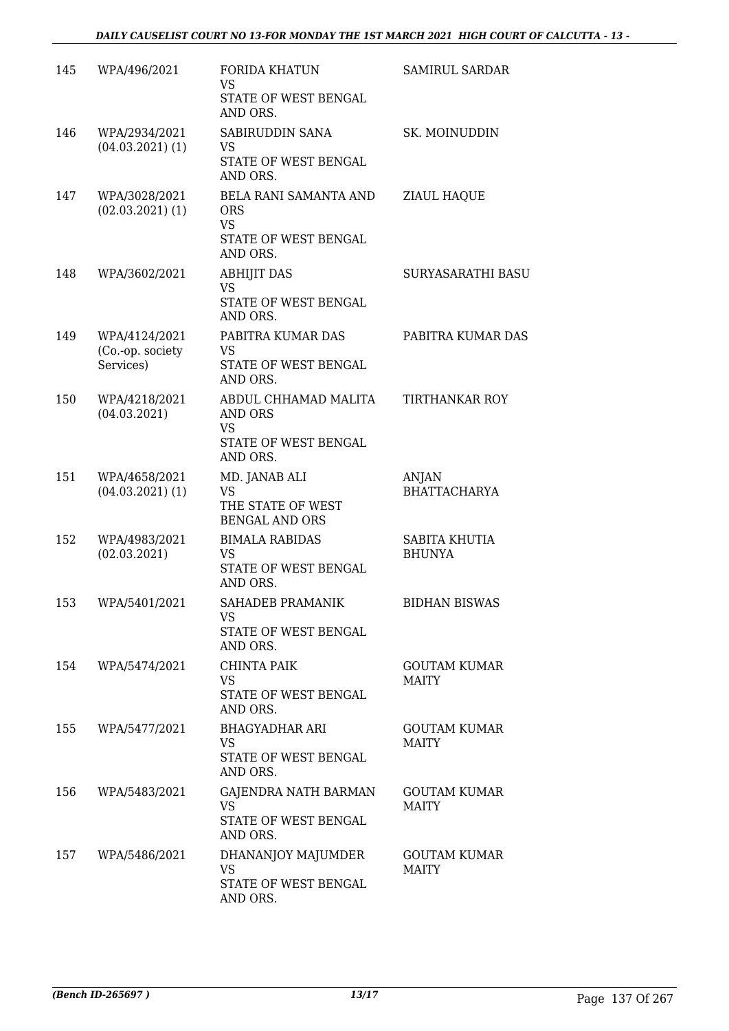| 145 | WPA/496/2021                                   | <b>FORIDA KHATUN</b><br><b>VS</b><br>STATE OF WEST BENGAL<br>AND ORS.                   | <b>SAMIRUL SARDAR</b>               |
|-----|------------------------------------------------|-----------------------------------------------------------------------------------------|-------------------------------------|
| 146 | WPA/2934/2021<br>$(04.03.2021)$ (1)            | SABIRUDDIN SANA<br>VS<br>STATE OF WEST BENGAL<br>AND ORS.                               | SK. MOINUDDIN                       |
| 147 | WPA/3028/2021<br>$(02.03.2021)$ $(1)$          | BELA RANI SAMANTA AND<br><b>ORS</b><br><b>VS</b><br>STATE OF WEST BENGAL<br>AND ORS.    | ZIAUL HAQUE                         |
| 148 | WPA/3602/2021                                  | <b>ABHIJIT DAS</b><br><b>VS</b><br>STATE OF WEST BENGAL<br>AND ORS.                     | SURYASARATHI BASU                   |
| 149 | WPA/4124/2021<br>(Co.-op. society<br>Services) | PABITRA KUMAR DAS<br>VS<br>STATE OF WEST BENGAL<br>AND ORS.                             | PABITRA KUMAR DAS                   |
| 150 | WPA/4218/2021<br>(04.03.2021)                  | ABDUL CHHAMAD MALITA<br><b>AND ORS</b><br><b>VS</b><br>STATE OF WEST BENGAL<br>AND ORS. | <b>TIRTHANKAR ROY</b>               |
| 151 | WPA/4658/2021<br>$(04.03.2021)$ $(1)$          | MD. JANAB ALI<br><b>VS</b><br>THE STATE OF WEST<br><b>BENGAL AND ORS</b>                | ANJAN<br><b>BHATTACHARYA</b>        |
| 152 | WPA/4983/2021<br>(02.03.2021)                  | <b>BIMALA RABIDAS</b><br>VS<br>STATE OF WEST BENGAL<br>AND ORS.                         | SABITA KHUTIA<br><b>BHUNYA</b>      |
| 153 | WPA/5401/2021                                  | SAHADEB PRAMANIK<br>VS.<br>STATE OF WEST BENGAL<br>AND ORS.                             | <b>BIDHAN BISWAS</b>                |
| 154 | WPA/5474/2021                                  | <b>CHINTA PAIK</b><br><b>VS</b><br>STATE OF WEST BENGAL<br>AND ORS.                     | <b>GOUTAM KUMAR</b><br><b>MAITY</b> |
| 155 | WPA/5477/2021                                  | <b>BHAGYADHAR ARI</b><br>VS.<br>STATE OF WEST BENGAL<br>AND ORS.                        | <b>GOUTAM KUMAR</b><br><b>MAITY</b> |
| 156 | WPA/5483/2021                                  | GAJENDRA NATH BARMAN<br><b>VS</b><br>STATE OF WEST BENGAL<br>AND ORS.                   | <b>GOUTAM KUMAR</b><br><b>MAITY</b> |
| 157 | WPA/5486/2021                                  | DHANANJOY MAJUMDER<br><b>VS</b><br>STATE OF WEST BENGAL<br>AND ORS.                     | <b>GOUTAM KUMAR</b><br><b>MAITY</b> |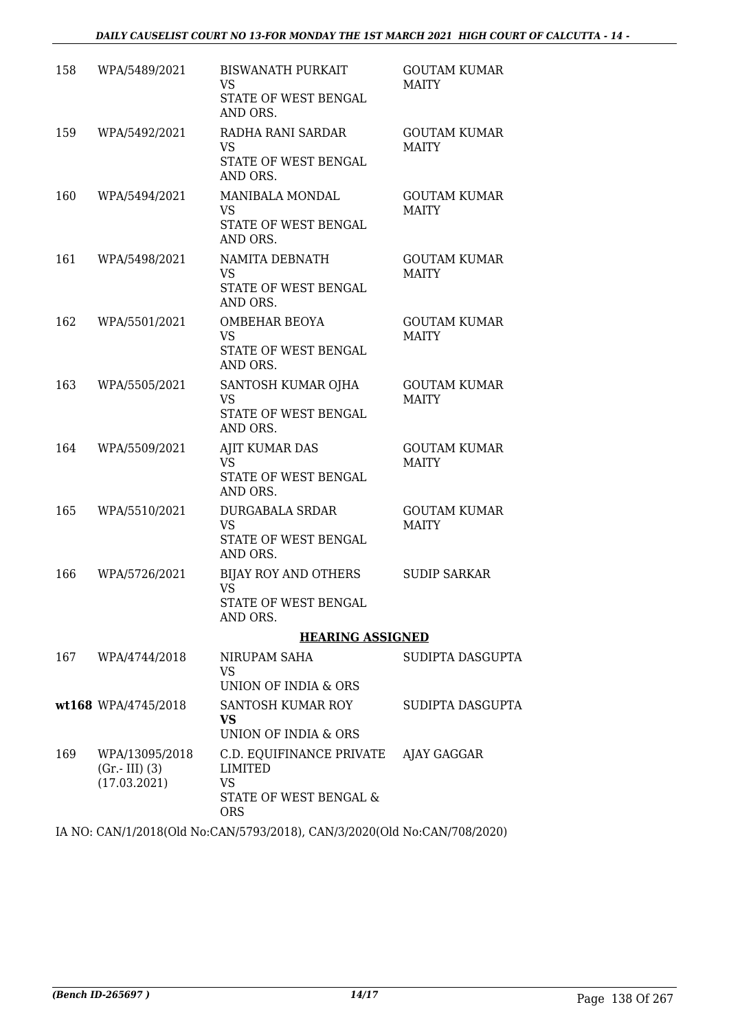| 158 | WPA/5489/2021                   | <b>BISWANATH PURKAIT</b><br>VS                         | <b>GOUTAM KUMAR</b><br><b>MAITY</b> |
|-----|---------------------------------|--------------------------------------------------------|-------------------------------------|
|     |                                 | STATE OF WEST BENGAL<br>AND ORS.                       |                                     |
| 159 | WPA/5492/2021                   | RADHA RANI SARDAR<br><b>VS</b>                         | <b>GOUTAM KUMAR</b><br><b>MAITY</b> |
|     |                                 | STATE OF WEST BENGAL<br>AND ORS.                       |                                     |
| 160 | WPA/5494/2021                   | MANIBALA MONDAL<br><b>VS</b>                           | <b>GOUTAM KUMAR</b><br><b>MAITY</b> |
|     |                                 | STATE OF WEST BENGAL<br>AND ORS.                       |                                     |
| 161 | WPA/5498/2021                   | NAMITA DEBNATH<br>VS.                                  | <b>GOUTAM KUMAR</b><br><b>MAITY</b> |
|     |                                 | STATE OF WEST BENGAL<br>AND ORS.                       |                                     |
| 162 | WPA/5501/2021                   | <b>OMBEHAR BEOYA</b><br>VS                             | <b>GOUTAM KUMAR</b><br><b>MAITY</b> |
|     |                                 | STATE OF WEST BENGAL<br>AND ORS.                       |                                     |
| 163 | WPA/5505/2021                   | SANTOSH KUMAR OJHA<br><b>VS</b>                        | <b>GOUTAM KUMAR</b><br><b>MAITY</b> |
|     |                                 | STATE OF WEST BENGAL<br>AND ORS.                       |                                     |
| 164 | WPA/5509/2021                   | AJIT KUMAR DAS<br><b>VS</b>                            | <b>GOUTAM KUMAR</b><br><b>MAITY</b> |
|     |                                 | STATE OF WEST BENGAL<br>AND ORS.                       |                                     |
| 165 | WPA/5510/2021                   | <b>DURGABALA SRDAR</b><br><b>VS</b>                    | <b>GOUTAM KUMAR</b><br><b>MAITY</b> |
|     |                                 | STATE OF WEST BENGAL<br>AND ORS.                       |                                     |
| 166 | WPA/5726/2021                   | <b>BIJAY ROY AND OTHERS</b><br><b>VS</b>               | <b>SUDIP SARKAR</b>                 |
|     |                                 | STATE OF WEST BENGAL<br>AND ORS.                       |                                     |
|     |                                 | <b>HEARING ASSIGNED</b>                                |                                     |
| 167 | WPA/4744/2018                   | NIRUPAM SAHA<br>VS                                     | SUDIPTA DASGUPTA                    |
|     |                                 | UNION OF INDIA & ORS                                   |                                     |
|     | wt168 WPA/4745/2018             | SANTOSH KUMAR ROY<br><b>VS</b><br>UNION OF INDIA & ORS | SUDIPTA DASGUPTA                    |
| 169 | WPA/13095/2018                  | C.D. EQUIFINANCE PRIVATE                               | AJAY GAGGAR                         |
|     | $(Gr.-III)$ (3)<br>(17.03.2021) | LIMITED<br>VS                                          |                                     |
|     |                                 | STATE OF WEST BENGAL &<br><b>ORS</b>                   |                                     |

IA NO: CAN/1/2018(Old No:CAN/5793/2018), CAN/3/2020(Old No:CAN/708/2020)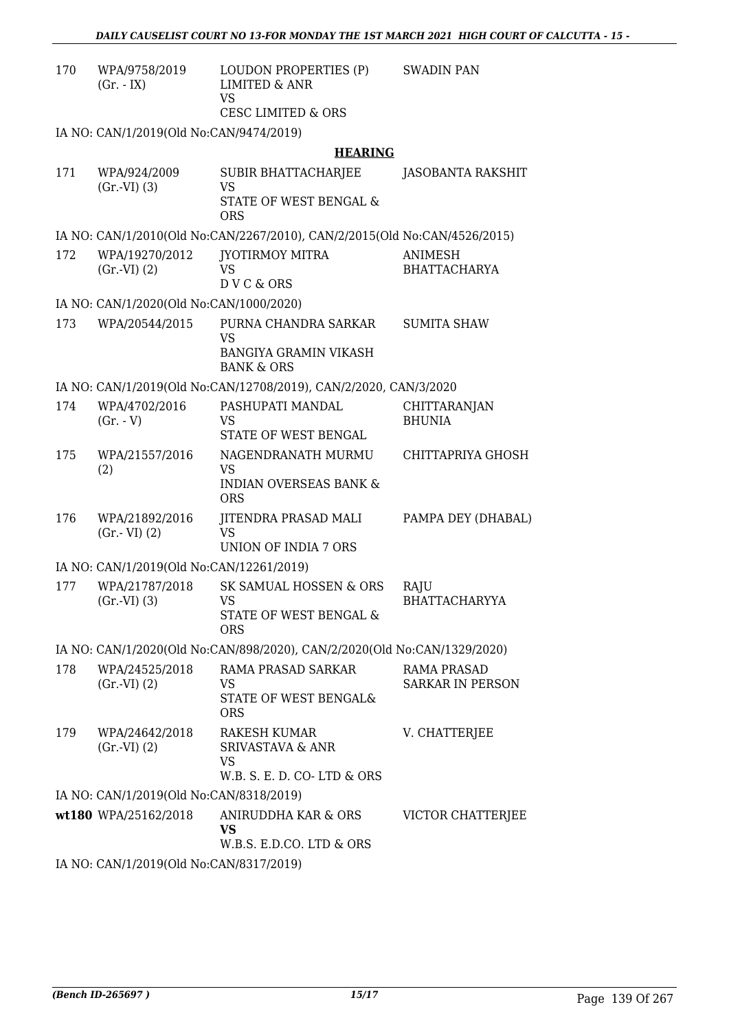| 170                                                                      | WPA/9758/2019<br>$(Gr. - IX)$            | LOUDON PROPERTIES (P)<br><b>LIMITED &amp; ANR</b><br><b>VS</b>                             | <b>SWADIN PAN</b>                             |
|--------------------------------------------------------------------------|------------------------------------------|--------------------------------------------------------------------------------------------|-----------------------------------------------|
|                                                                          |                                          | <b>CESC LIMITED &amp; ORS</b>                                                              |                                               |
|                                                                          | IA NO: CAN/1/2019(Old No:CAN/9474/2019)  |                                                                                            |                                               |
|                                                                          |                                          | <b>HEARING</b>                                                                             |                                               |
| 171                                                                      | WPA/924/2009<br>(Gr.VI) (3)              | <b>SUBIR BHATTACHARJEE</b><br><b>VS</b><br>STATE OF WEST BENGAL &<br><b>ORS</b>            | JASOBANTA RAKSHIT                             |
|                                                                          |                                          | IA NO: CAN/1/2010(Old No:CAN/2267/2010), CAN/2/2015(Old No:CAN/4526/2015)                  |                                               |
| 172                                                                      | WPA/19270/2012<br>$(Gr.-VI) (2)$         | JYOTIRMOY MITRA<br>VS<br>DVC&ORS                                                           | ANIMESH<br><b>BHATTACHARYA</b>                |
|                                                                          | IA NO: CAN/1/2020(Old No:CAN/1000/2020)  |                                                                                            |                                               |
| 173                                                                      | WPA/20544/2015                           | PURNA CHANDRA SARKAR<br><b>VS</b><br><b>BANGIYA GRAMIN VIKASH</b><br><b>BANK &amp; ORS</b> | <b>SUMITA SHAW</b>                            |
|                                                                          |                                          | IA NO: CAN/1/2019(Old No:CAN/12708/2019), CAN/2/2020, CAN/3/2020                           |                                               |
| 174                                                                      | WPA/4702/2016<br>$(Gr. - V)$             | PASHUPATI MANDAL<br><b>VS</b><br>STATE OF WEST BENGAL                                      | CHITTARANJAN<br><b>BHUNIA</b>                 |
| 175                                                                      | WPA/21557/2016<br>(2)                    | NAGENDRANATH MURMU<br><b>VS</b><br><b>INDIAN OVERSEAS BANK &amp;</b><br><b>ORS</b>         | CHITTAPRIYA GHOSH                             |
| 176                                                                      | WPA/21892/2016<br>$(Gr.-VI)$ $(2)$       | JITENDRA PRASAD MALI<br><b>VS</b><br>UNION OF INDIA 7 ORS                                  | PAMPA DEY (DHABAL)                            |
|                                                                          | IA NO: CAN/1/2019(Old No:CAN/12261/2019) |                                                                                            |                                               |
| 177                                                                      | WPA/21787/2018<br>$(Gr.-VI)$ $(3)$       | SK SAMUAL HOSSEN & ORS<br><b>VS</b><br>STATE OF WEST BENGAL &<br><b>ORS</b>                | RAJU<br><b>BHATTACHARYYA</b>                  |
| IA NO: CAN/1/2020(Old No:CAN/898/2020), CAN/2/2020(Old No:CAN/1329/2020) |                                          |                                                                                            |                                               |
| 178                                                                      | WPA/24525/2018<br>(Gr.VI) (2)            | RAMA PRASAD SARKAR<br>VS<br>STATE OF WEST BENGAL&<br><b>ORS</b>                            | <b>RAMA PRASAD</b><br><b>SARKAR IN PERSON</b> |
| 179                                                                      | WPA/24642/2018<br>(Gr.VI) (2)            | <b>RAKESH KUMAR</b><br><b>SRIVASTAVA &amp; ANR</b><br>VS<br>W.B. S. E. D. CO-LTD & ORS     | V. CHATTERJEE                                 |
|                                                                          | IA NO: CAN/1/2019(Old No:CAN/8318/2019)  |                                                                                            |                                               |
|                                                                          | wt180 WPA/25162/2018                     | ANIRUDDHA KAR & ORS<br><b>VS</b><br>W.B.S. E.D.CO. LTD & ORS                               | VICTOR CHATTERJEE                             |
|                                                                          |                                          |                                                                                            |                                               |

IA NO: CAN/1/2019(Old No:CAN/8317/2019)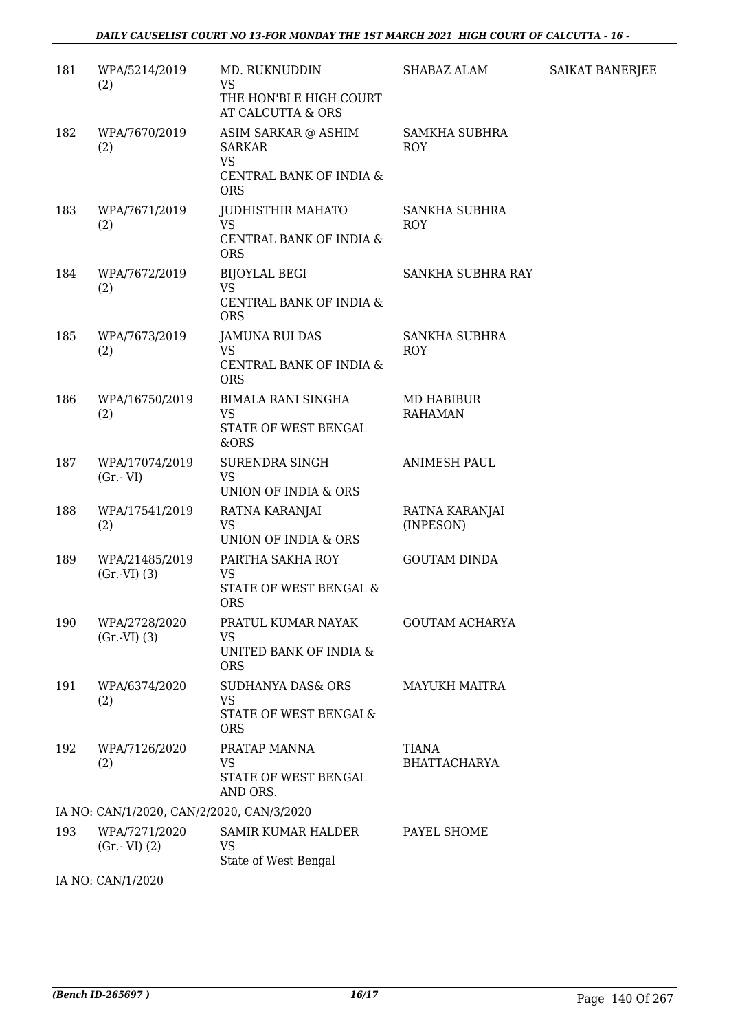| 181                                       | WPA/5214/2019<br>(2)              | MD. RUKNUDDIN<br><b>VS</b><br>THE HON'BLE HIGH COURT                                              | SHABAZ ALAM                         | SAIKAT BANERJEE |
|-------------------------------------------|-----------------------------------|---------------------------------------------------------------------------------------------------|-------------------------------------|-----------------|
| 182                                       | WPA/7670/2019<br>(2)              | AT CALCUTTA & ORS<br>ASIM SARKAR @ ASHIM<br><b>SARKAR</b><br><b>VS</b><br>CENTRAL BANK OF INDIA & | <b>SAMKHA SUBHRA</b><br>ROY         |                 |
| 183                                       | WPA/7671/2019<br>(2)              | <b>ORS</b><br>JUDHISTHIR MAHATO<br><b>VS</b><br>CENTRAL BANK OF INDIA &<br><b>ORS</b>             | <b>SANKHA SUBHRA</b><br>ROY         |                 |
| 184                                       | WPA/7672/2019<br>(2)              | <b>BIJOYLAL BEGI</b><br><b>VS</b><br>CENTRAL BANK OF INDIA &<br><b>ORS</b>                        | SANKHA SUBHRA RAY                   |                 |
| 185                                       | WPA/7673/2019<br>(2)              | JAMUNA RUI DAS<br><b>VS</b><br>CENTRAL BANK OF INDIA &<br><b>ORS</b>                              | <b>SANKHA SUBHRA</b><br><b>ROY</b>  |                 |
| 186                                       | WPA/16750/2019<br>(2)             | <b>BIMALA RANI SINGHA</b><br><b>VS</b><br>STATE OF WEST BENGAL<br>&ORS                            | MD HABIBUR<br><b>RAHAMAN</b>        |                 |
| 187                                       | WPA/17074/2019<br>$(Gr.-VI)$      | SURENDRA SINGH<br><b>VS</b><br>UNION OF INDIA & ORS                                               | <b>ANIMESH PAUL</b>                 |                 |
| 188                                       | WPA/17541/2019<br>(2)             | RATNA KARANJAI<br><b>VS</b><br>UNION OF INDIA & ORS                                               | RATNA KARANJAI<br>(INPESON)         |                 |
| 189                                       | WPA/21485/2019<br>(Gr.VI) (3)     | PARTHA SAKHA ROY<br><b>VS</b><br>STATE OF WEST BENGAL &<br><b>ORS</b>                             | <b>GOUTAM DINDA</b>                 |                 |
| 190                                       | WPA/2728/2020<br>(Gr.VI) (3)      | PRATUL KUMAR NAYAK<br>VS<br>UNITED BANK OF INDIA &<br><b>ORS</b>                                  | <b>GOUTAM ACHARYA</b>               |                 |
| 191                                       | WPA/6374/2020<br>(2)              | <b>SUDHANYA DAS&amp; ORS</b><br>VS<br>STATE OF WEST BENGAL&<br><b>ORS</b>                         | <b>MAYUKH MAITRA</b>                |                 |
| 192                                       | WPA/7126/2020<br>(2)              | PRATAP MANNA<br><b>VS</b><br>STATE OF WEST BENGAL<br>AND ORS.                                     | <b>TIANA</b><br><b>BHATTACHARYA</b> |                 |
| IA NO: CAN/1/2020, CAN/2/2020, CAN/3/2020 |                                   |                                                                                                   |                                     |                 |
| 193                                       | WPA/7271/2020<br>$(Gr.-VI)$ $(2)$ | <b>SAMIR KUMAR HALDER</b><br><b>VS</b><br>State of West Bengal                                    | PAYEL SHOME                         |                 |
|                                           | IA NO: CAN/1/2020                 |                                                                                                   |                                     |                 |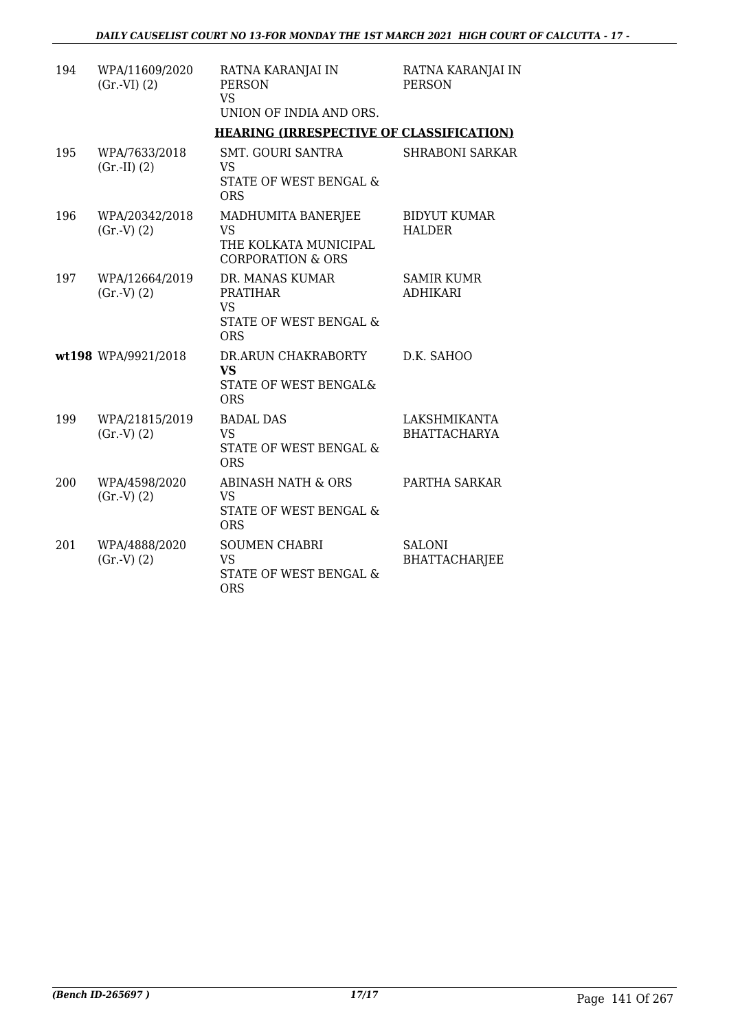| 194 | WPA/11609/2020<br>$(Gr.-VI) (2)$ | RATNA KARANJAI IN<br><b>PERSON</b><br><b>VS</b><br>UNION OF INDIA AND ORS.               | RATNA KARANJAI IN<br><b>PERSON</b>    |
|-----|----------------------------------|------------------------------------------------------------------------------------------|---------------------------------------|
|     |                                  | <b>HEARING (IRRESPECTIVE OF CLASSIFICATION)</b>                                          |                                       |
| 195 | WPA/7633/2018<br>$(Gr.-II) (2)$  | <b>SMT. GOURI SANTRA</b><br><b>VS</b><br>STATE OF WEST BENGAL &<br><b>ORS</b>            | <b>SHRABONI SARKAR</b>                |
| 196 | WPA/20342/2018<br>(Gr.V) (2)     | MADHUMITA BANERJEE<br><b>VS</b><br>THE KOLKATA MUNICIPAL<br><b>CORPORATION &amp; ORS</b> | <b>BIDYUT KUMAR</b><br><b>HALDER</b>  |
| 197 | WPA/12664/2019<br>(Gr.V) (2)     | DR. MANAS KUMAR<br><b>PRATIHAR</b><br><b>VS</b><br>STATE OF WEST BENGAL &<br><b>ORS</b>  | SAMIR KUMR<br><b>ADHIKARI</b>         |
|     | wt198 WPA/9921/2018              | DR.ARUN CHAKRABORTY<br><b>VS</b><br>STATE OF WEST BENGAL&<br><b>ORS</b>                  | D.K. SAHOO                            |
| 199 | WPA/21815/2019<br>(Gr.V) (2)     | <b>BADAL DAS</b><br>VS.<br><b>STATE OF WEST BENGAL &amp;</b><br><b>ORS</b>               | LAKSHMIKANTA<br><b>BHATTACHARYA</b>   |
| 200 | WPA/4598/2020<br>(Gr.V) (2)      | <b>ABINASH NATH &amp; ORS</b><br><b>VS</b><br>STATE OF WEST BENGAL &<br><b>ORS</b>       | PARTHA SARKAR                         |
| 201 | WPA/4888/2020<br>(Gr.V) (2)      | <b>SOUMEN CHABRI</b><br><b>VS</b><br>STATE OF WEST BENGAL &<br><b>ORS</b>                | <b>SALONI</b><br><b>BHATTACHARJEE</b> |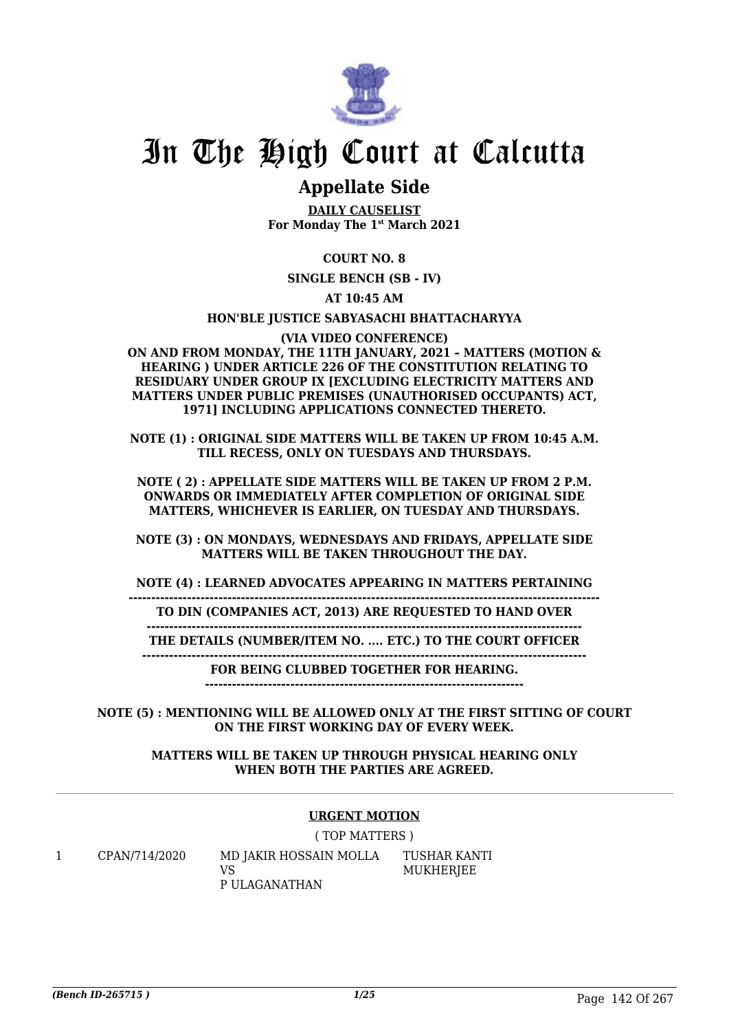

# **Appellate Side**

**DAILY CAUSELIST For Monday The 1st March 2021**

## **COURT NO. 8**

**SINGLE BENCH (SB - IV)**

**AT 10:45 AM**

### **HON'BLE JUSTICE SABYASACHI BHATTACHARYYA**

#### **(VIA VIDEO CONFERENCE)**

**ON AND FROM MONDAY, THE 11TH JANUARY, 2021 – MATTERS (MOTION & HEARING ) UNDER ARTICLE 226 OF THE CONSTITUTION RELATING TO RESIDUARY UNDER GROUP IX [EXCLUDING ELECTRICITY MATTERS AND MATTERS UNDER PUBLIC PREMISES (UNAUTHORISED OCCUPANTS) ACT, 1971] INCLUDING APPLICATIONS CONNECTED THERETO.**

**NOTE (1) : ORIGINAL SIDE MATTERS WILL BE TAKEN UP FROM 10:45 A.M. TILL RECESS, ONLY ON TUESDAYS AND THURSDAYS.**

**NOTE ( 2) : APPELLATE SIDE MATTERS WILL BE TAKEN UP FROM 2 P.M. ONWARDS OR IMMEDIATELY AFTER COMPLETION OF ORIGINAL SIDE MATTERS, WHICHEVER IS EARLIER, ON TUESDAY AND THURSDAYS.**

**NOTE (3) : ON MONDAYS, WEDNESDAYS AND FRIDAYS, APPELLATE SIDE MATTERS WILL BE TAKEN THROUGHOUT THE DAY.**

**NOTE (4) : LEARNED ADVOCATES APPEARING IN MATTERS PERTAINING**

**--------------------------------------------------------------------------------------------------------- TO DIN (COMPANIES ACT, 2013) ARE REQUESTED TO HAND OVER**

**------------------------------------------------------------------------------------------------- THE DETAILS (NUMBER/ITEM NO. .... ETC.) TO THE COURT OFFICER**

**---------------------------------------------------------------------------------------------------**

**FOR BEING CLUBBED TOGETHER FOR HEARING.**

**-----------------------------------------------------------------------**

**NOTE (5) : MENTIONING WILL BE ALLOWED ONLY AT THE FIRST SITTING OF COURT ON THE FIRST WORKING DAY OF EVERY WEEK.**

> **MATTERS WILL BE TAKEN UP THROUGH PHYSICAL HEARING ONLY WHEN BOTH THE PARTIES ARE AGREED.**

### **URGENT MOTION**

( TOP MATTERS )

1 CPAN/714/2020 MD JAKIR HOSSAIN MOLLA VS P ULAGANATHAN

TUSHAR KANTI **MUKHERIEE**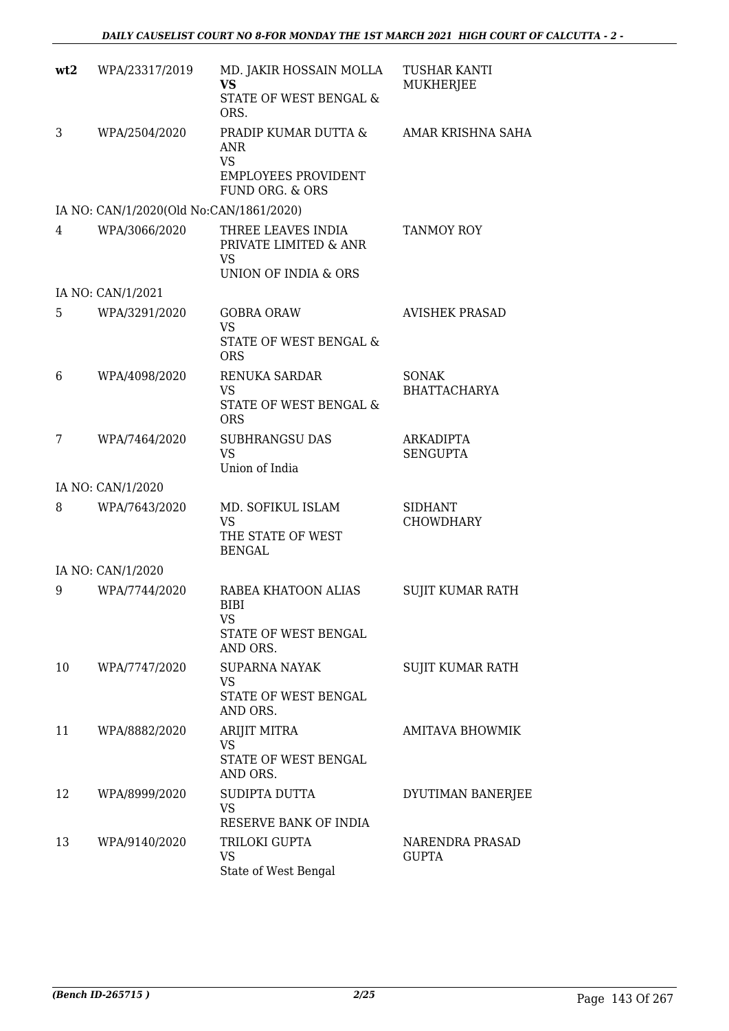| wt2 | WPA/23317/2019                          | MD. JAKIR HOSSAIN MOLLA<br><b>VS</b><br>STATE OF WEST BENGAL &<br>ORS.                           | <b>TUSHAR KANTI</b><br><b>MUKHERJEE</b> |
|-----|-----------------------------------------|--------------------------------------------------------------------------------------------------|-----------------------------------------|
| 3   | WPA/2504/2020                           | PRADIP KUMAR DUTTA &<br><b>ANR</b><br><b>VS</b><br><b>EMPLOYEES PROVIDENT</b><br>FUND ORG. & ORS | AMAR KRISHNA SAHA                       |
|     | IA NO: CAN/1/2020(Old No:CAN/1861/2020) |                                                                                                  |                                         |
| 4   | WPA/3066/2020                           | THREE LEAVES INDIA<br>PRIVATE LIMITED & ANR<br>VS.<br>UNION OF INDIA & ORS                       | <b>TANMOY ROY</b>                       |
|     | IA NO: CAN/1/2021                       |                                                                                                  |                                         |
| 5   | WPA/3291/2020                           | <b>GOBRA ORAW</b><br>VS<br><b>STATE OF WEST BENGAL &amp;</b><br><b>ORS</b>                       | <b>AVISHEK PRASAD</b>                   |
| 6   | WPA/4098/2020                           | RENUKA SARDAR<br>VS<br>STATE OF WEST BENGAL &<br><b>ORS</b>                                      | <b>SONAK</b><br><b>BHATTACHARYA</b>     |
| 7   | WPA/7464/2020                           | <b>SUBHRANGSU DAS</b><br><b>VS</b><br>Union of India                                             | ARKADIPTA<br><b>SENGUPTA</b>            |
|     | IA NO: CAN/1/2020                       |                                                                                                  |                                         |
| 8   | WPA/7643/2020                           | MD. SOFIKUL ISLAM<br><b>VS</b><br>THE STATE OF WEST<br><b>BENGAL</b>                             | <b>SIDHANT</b><br><b>CHOWDHARY</b>      |
|     | IA NO: CAN/1/2020                       |                                                                                                  |                                         |
| 9   | WPA/7744/2020                           | RABEA KHATOON ALIAS<br><b>BIBI</b><br>VS<br>STATE OF WEST BENGAL<br>AND ORS.                     | <b>SUJIT KUMAR RATH</b>                 |
| 10  | WPA/7747/2020                           | <b>SUPARNA NAYAK</b><br>VS<br>STATE OF WEST BENGAL<br>AND ORS.                                   | <b>SUJIT KUMAR RATH</b>                 |
| 11  | WPA/8882/2020                           | ARIJIT MITRA<br><b>VS</b><br>STATE OF WEST BENGAL<br>AND ORS.                                    | <b>AMITAVA BHOWMIK</b>                  |
| 12  | WPA/8999/2020                           | SUDIPTA DUTTA<br>VS<br>RESERVE BANK OF INDIA                                                     | DYUTIMAN BANERJEE                       |
| 13  | WPA/9140/2020                           | TRILOKI GUPTA<br>VS<br>State of West Bengal                                                      | NARENDRA PRASAD<br><b>GUPTA</b>         |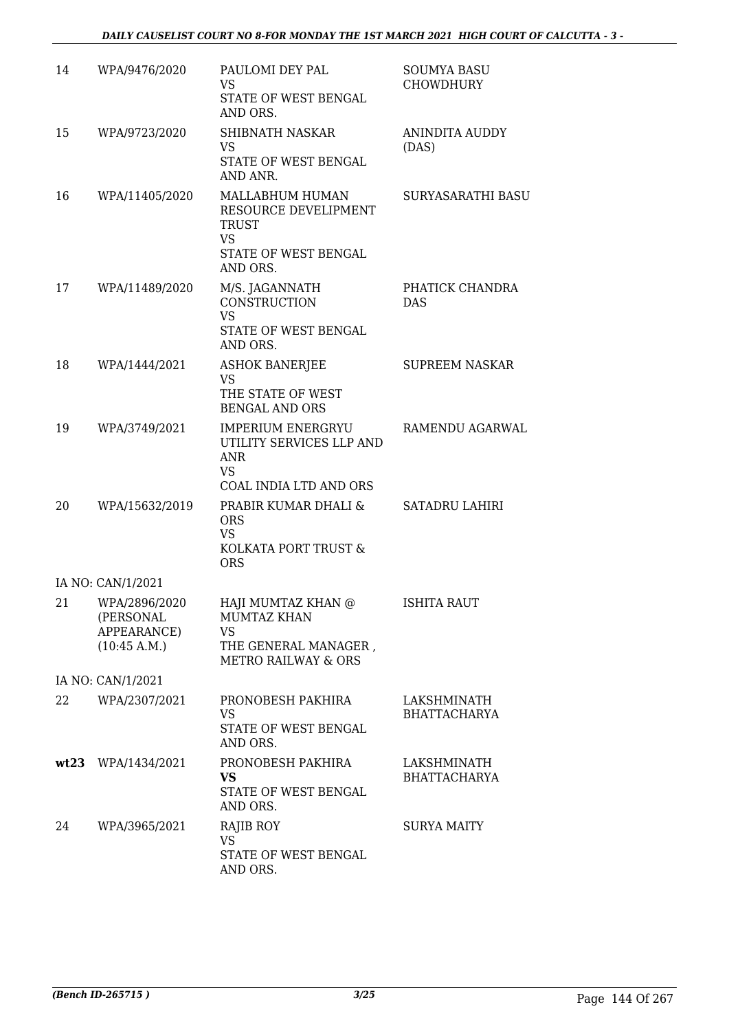| 14 | WPA/9476/2020                                             | PAULOMI DEY PAL<br>VS.<br>STATE OF WEST BENGAL<br>AND ORS.                                                      | <b>SOUMYA BASU</b><br><b>CHOWDHURY</b> |
|----|-----------------------------------------------------------|-----------------------------------------------------------------------------------------------------------------|----------------------------------------|
| 15 | WPA/9723/2020                                             | <b>SHIBNATH NASKAR</b><br>VS<br>STATE OF WEST BENGAL<br>AND ANR.                                                | <b>ANINDITA AUDDY</b><br>(DAS)         |
| 16 | WPA/11405/2020                                            | MALLABHUM HUMAN<br>RESOURCE DEVELIPMENT<br>TRUST<br>VS<br>STATE OF WEST BENGAL<br>AND ORS.                      | SURYASARATHI BASU                      |
| 17 | WPA/11489/2020                                            | M/S. JAGANNATH<br><b>CONSTRUCTION</b><br><b>VS</b><br>STATE OF WEST BENGAL<br>AND ORS.                          | PHATICK CHANDRA<br><b>DAS</b>          |
| 18 | WPA/1444/2021                                             | <b>ASHOK BANERJEE</b><br><b>VS</b><br>THE STATE OF WEST<br><b>BENGAL AND ORS</b>                                | <b>SUPREEM NASKAR</b>                  |
| 19 | WPA/3749/2021                                             | <b>IMPERIUM ENERGRYU</b><br>UTILITY SERVICES LLP AND<br>ANR<br><b>VS</b><br>COAL INDIA LTD AND ORS              | RAMENDU AGARWAL                        |
| 20 | WPA/15632/2019                                            | PRABIR KUMAR DHALI &<br><b>ORS</b><br><b>VS</b><br>KOLKATA PORT TRUST &<br><b>ORS</b>                           | SATADRU LAHIRI                         |
|    | IA NO: CAN/1/2021                                         |                                                                                                                 |                                        |
| 21 | WPA/2896/2020<br>(PERSONAL<br>APPEARANCE)<br>(10:45 A.M.) | HAJI MUMTAZ KHAN @<br><b>MUMTAZ KHAN</b><br><b>VS</b><br>THE GENERAL MANAGER,<br><b>METRO RAILWAY &amp; ORS</b> | <b>ISHITA RAUT</b>                     |
|    | IA NO: CAN/1/2021                                         |                                                                                                                 |                                        |
| 22 | WPA/2307/2021                                             | PRONOBESH PAKHIRA<br>VS<br>STATE OF WEST BENGAL<br>AND ORS.                                                     | LAKSHMINATH<br><b>BHATTACHARYA</b>     |
|    | wt23 WPA/1434/2021                                        | PRONOBESH PAKHIRA<br><b>VS</b><br>STATE OF WEST BENGAL<br>AND ORS.                                              | LAKSHMINATH<br><b>BHATTACHARYA</b>     |
| 24 | WPA/3965/2021                                             | RAJIB ROY<br><b>VS</b><br>STATE OF WEST BENGAL<br>AND ORS.                                                      | <b>SURYA MAITY</b>                     |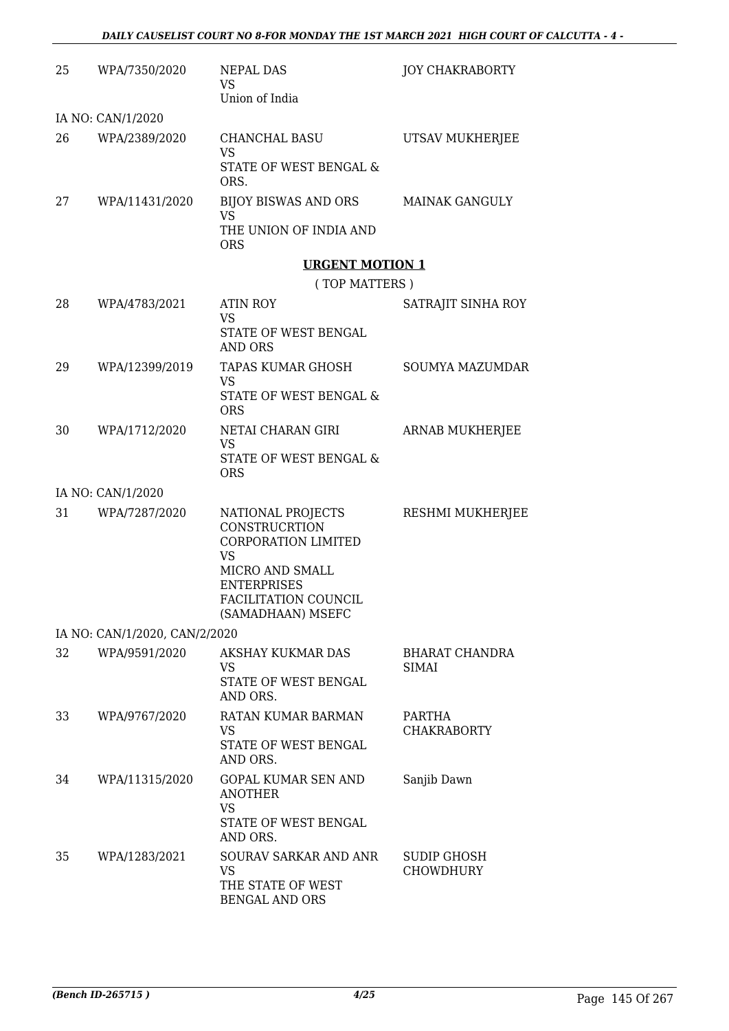| 25 | WPA/7350/2020                 | <b>NEPAL DAS</b><br>VS<br>Union of India                                                                                      | <b>JOY CHAKRABORTY</b>              |
|----|-------------------------------|-------------------------------------------------------------------------------------------------------------------------------|-------------------------------------|
|    | IA NO: CAN/1/2020             |                                                                                                                               |                                     |
| 26 | WPA/2389/2020                 | <b>CHANCHAL BASU</b><br>VS<br>STATE OF WEST BENGAL &                                                                          | UTSAV MUKHERJEE                     |
|    |                               | ORS.                                                                                                                          |                                     |
| 27 | WPA/11431/2020                | BIJOY BISWAS AND ORS<br>VS<br>THE UNION OF INDIA AND                                                                          | <b>MAINAK GANGULY</b>               |
|    |                               | <b>ORS</b>                                                                                                                    |                                     |
|    |                               | <b>URGENT MOTION 1</b>                                                                                                        |                                     |
|    |                               | (TOP MATTERS)                                                                                                                 |                                     |
| 28 | WPA/4783/2021                 | <b>ATIN ROY</b><br>VS                                                                                                         | SATRAJIT SINHA ROY                  |
|    |                               | STATE OF WEST BENGAL<br>AND ORS                                                                                               |                                     |
| 29 | WPA/12399/2019                | TAPAS KUMAR GHOSH                                                                                                             | <b>SOUMYA MAZUMDAR</b>              |
|    |                               | <b>VS</b><br>STATE OF WEST BENGAL &<br><b>ORS</b>                                                                             |                                     |
| 30 | WPA/1712/2020                 | NETAI CHARAN GIRI<br>VS                                                                                                       | ARNAB MUKHERJEE                     |
|    |                               | STATE OF WEST BENGAL &<br><b>ORS</b>                                                                                          |                                     |
|    | IA NO: CAN/1/2020             |                                                                                                                               |                                     |
| 31 | WPA/7287/2020                 | NATIONAL PROJECTS<br><b>CONSTRUCRTION</b><br><b>CORPORATION LIMITED</b><br><b>VS</b><br>MICRO AND SMALL<br><b>ENTERPRISES</b> | RESHMI MUKHERJEE                    |
|    |                               | FACILITATION COUNCIL<br>(SAMADHAAN) MSEFC                                                                                     |                                     |
|    | IA NO: CAN/1/2020, CAN/2/2020 |                                                                                                                               |                                     |
| 32 | WPA/9591/2020                 | <b>AKSHAY KUKMAR DAS</b><br>VS.<br>STATE OF WEST BENGAL<br>AND ORS.                                                           | BHARAT CHANDRA<br><b>SIMAI</b>      |
| 33 | WPA/9767/2020                 | RATAN KUMAR BARMAN<br>VS                                                                                                      | <b>PARTHA</b><br><b>CHAKRABORTY</b> |
|    |                               | STATE OF WEST BENGAL<br>AND ORS.                                                                                              |                                     |
| 34 | WPA/11315/2020                | <b>GOPAL KUMAR SEN AND</b><br><b>ANOTHER</b><br><b>VS</b><br>STATE OF WEST BENGAL                                             | Sanjib Dawn                         |
| 35 | WPA/1283/2021                 | AND ORS.<br>SOURAV SARKAR AND ANR<br>VS                                                                                       | SUDIP GHOSH<br><b>CHOWDHURY</b>     |
|    |                               | THE STATE OF WEST<br><b>BENGAL AND ORS</b>                                                                                    |                                     |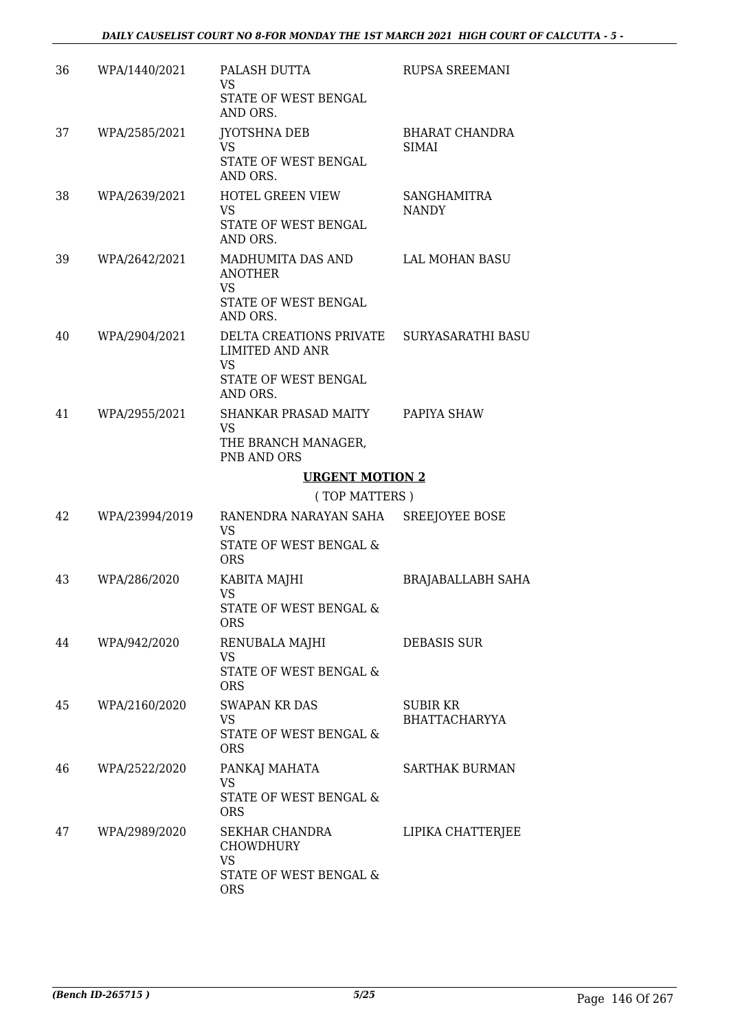| 36 | WPA/1440/2021  | PALASH DUTTA<br>VS.<br>STATE OF WEST BENGAL<br>AND ORS.                                                              | <b>RUPSA SREEMANI</b>                 |
|----|----------------|----------------------------------------------------------------------------------------------------------------------|---------------------------------------|
| 37 | WPA/2585/2021  | <b>JYOTSHNA DEB</b><br><b>VS</b><br>STATE OF WEST BENGAL<br>AND ORS.                                                 | <b>BHARAT CHANDRA</b><br><b>SIMAI</b> |
| 38 | WPA/2639/2021  | HOTEL GREEN VIEW<br><b>VS</b><br>STATE OF WEST BENGAL<br>AND ORS.                                                    | <b>SANGHAMITRA</b><br><b>NANDY</b>    |
| 39 | WPA/2642/2021  | MADHUMITA DAS AND<br><b>ANOTHER</b><br><b>VS</b><br>STATE OF WEST BENGAL<br>AND ORS.                                 | LAL MOHAN BASU                        |
| 40 | WPA/2904/2021  | DELTA CREATIONS PRIVATE SURYASARATHI BASU<br><b>LIMITED AND ANR</b><br><b>VS</b><br>STATE OF WEST BENGAL<br>AND ORS. |                                       |
| 41 | WPA/2955/2021  | SHANKAR PRASAD MAITY PAPIYA SHAW<br><b>VS</b><br>THE BRANCH MANAGER,<br>PNB AND ORS                                  |                                       |
|    |                | <b>URGENT MOTION 2</b>                                                                                               |                                       |
|    |                | (TOP MATTERS)                                                                                                        |                                       |
| 42 | WPA/23994/2019 | RANENDRA NARAYAN SAHA SREEJOYEE BOSE<br><b>VS</b><br>STATE OF WEST BENGAL &<br><b>ORS</b>                            |                                       |
| 43 | WPA/286/2020   | KABITA MAJHI<br><b>VS</b><br>STATE OF WEST BENGAL &<br>ORS                                                           | BRAJABALLABH SAHA                     |
| 44 | WPA/942/2020   | RENUBALA MAJHI<br><b>VS</b><br>STATE OF WEST BENGAL &<br><b>ORS</b>                                                  | <b>DEBASIS SUR</b>                    |
| 45 | WPA/2160/2020  | SWAPAN KR DAS<br>VS<br>STATE OF WEST BENGAL &<br><b>ORS</b>                                                          | SUBIR KR<br><b>BHATTACHARYYA</b>      |
| 46 | WPA/2522/2020  | PANKAJ MAHATA<br>VS<br>STATE OF WEST BENGAL &<br><b>ORS</b>                                                          | <b>SARTHAK BURMAN</b>                 |
| 47 | WPA/2989/2020  | SEKHAR CHANDRA<br><b>CHOWDHURY</b><br>VS<br>STATE OF WEST BENGAL &<br><b>ORS</b>                                     | LIPIKA CHATTERJEE                     |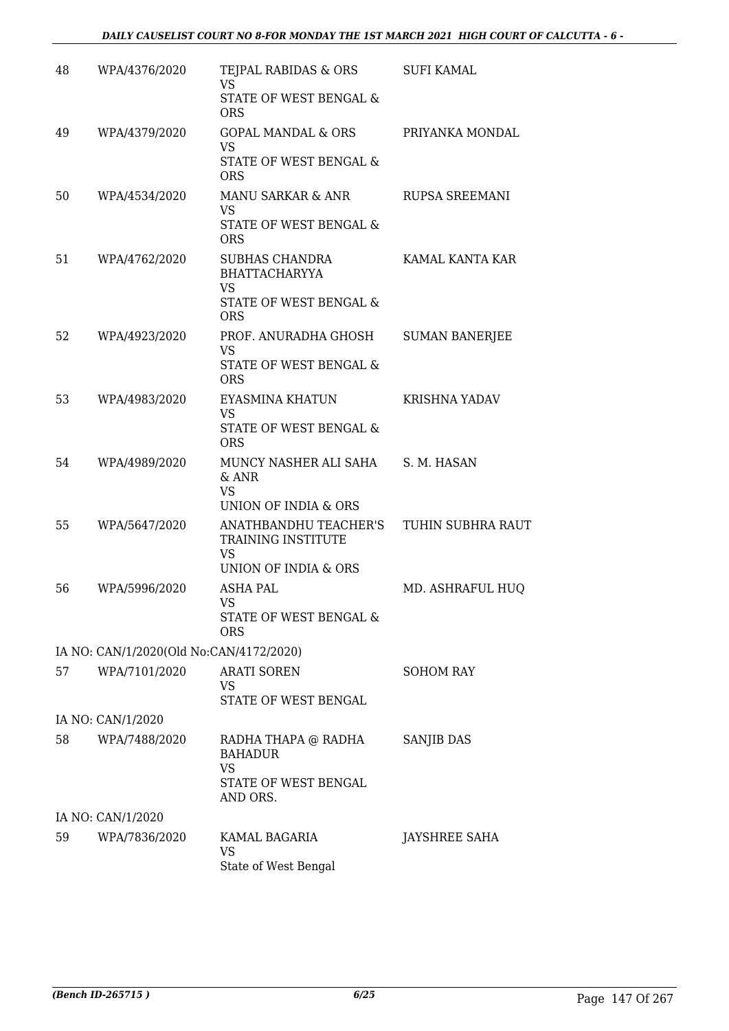| 48 | WPA/4376/2020                           | TEJPAL RABIDAS & ORS<br><b>VS</b>                          | <b>SUFI KAMAL</b>     |
|----|-----------------------------------------|------------------------------------------------------------|-----------------------|
|    |                                         | STATE OF WEST BENGAL &<br><b>ORS</b>                       |                       |
| 49 | WPA/4379/2020                           | <b>GOPAL MANDAL &amp; ORS</b><br><b>VS</b>                 | PRIYANKA MONDAL       |
|    |                                         | STATE OF WEST BENGAL &<br><b>ORS</b>                       |                       |
| 50 | WPA/4534/2020                           | MANU SARKAR & ANR<br><b>VS</b>                             | RUPSA SREEMANI        |
|    |                                         | STATE OF WEST BENGAL &<br><b>ORS</b>                       |                       |
| 51 | WPA/4762/2020                           | <b>SUBHAS CHANDRA</b><br><b>BHATTACHARYYA</b><br><b>VS</b> | KAMAL KANTA KAR       |
|    |                                         | STATE OF WEST BENGAL &<br><b>ORS</b>                       |                       |
| 52 | WPA/4923/2020                           | PROF. ANURADHA GHOSH                                       | <b>SUMAN BANERJEE</b> |
|    |                                         | <b>VS</b><br>STATE OF WEST BENGAL &<br><b>ORS</b>          |                       |
| 53 | WPA/4983/2020                           | EYASMINA KHATUN<br><b>VS</b>                               | <b>KRISHNA YADAV</b>  |
|    |                                         | STATE OF WEST BENGAL &<br><b>ORS</b>                       |                       |
| 54 | WPA/4989/2020                           | MUNCY NASHER ALI SAHA<br>& ANR<br><b>VS</b>                | S. M. HASAN           |
| 55 | WPA/5647/2020                           | UNION OF INDIA & ORS<br>ANATHBANDHU TEACHER'S              | TUHIN SUBHRA RAUT     |
|    |                                         | TRAINING INSTITUTE<br><b>VS</b>                            |                       |
|    |                                         | UNION OF INDIA & ORS                                       |                       |
| 56 | WPA/5996/2020                           | <b>ASHA PAL</b><br>VS                                      | MD. ASHRAFUL HUQ      |
|    |                                         | <b>STATE OF WEST BENGAL &amp;</b><br><b>ORS</b>            |                       |
|    | IA NO: CAN/1/2020(Old No:CAN/4172/2020) |                                                            |                       |
| 57 | WPA/7101/2020                           | <b>ARATI SOREN</b><br>VS<br>STATE OF WEST BENGAL           | <b>SOHOM RAY</b>      |
|    | IA NO: CAN/1/2020                       |                                                            |                       |
| 58 | WPA/7488/2020                           | RADHA THAPA @ RADHA<br><b>BAHADUR</b><br><b>VS</b>         | SANJIB DAS            |
|    |                                         | STATE OF WEST BENGAL<br>AND ORS.                           |                       |
|    | IA NO: CAN/1/2020                       |                                                            |                       |
| 59 | WPA/7836/2020                           | KAMAL BAGARIA<br><b>VS</b><br>State of West Bengal         | JAYSHREE SAHA         |
|    |                                         |                                                            |                       |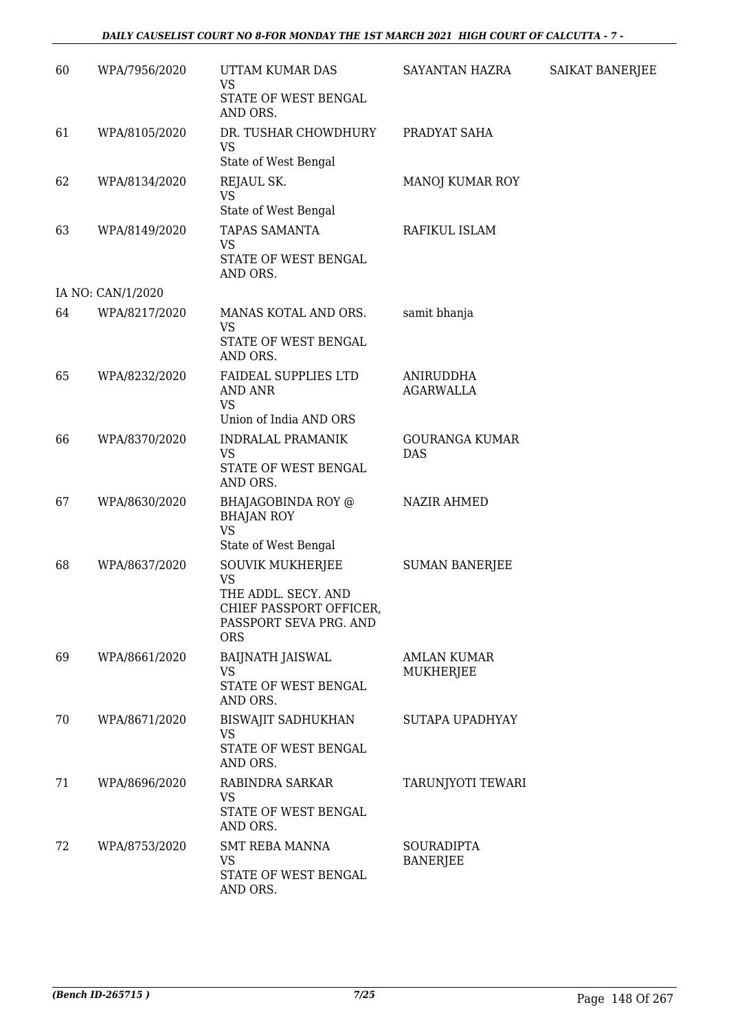### *DAILY CAUSELIST COURT NO 8-FOR MONDAY THE 1ST MARCH 2021 HIGH COURT OF CALCUTTA - 7 -*

| 60 | WPA/7956/2020     | UTTAM KUMAR DAS<br>VS<br>STATE OF WEST BENGAL                                                                                  | SAYANTAN HAZRA                       | SAIKAT BANERJEE |
|----|-------------------|--------------------------------------------------------------------------------------------------------------------------------|--------------------------------------|-----------------|
| 61 | WPA/8105/2020     | AND ORS.<br>DR. TUSHAR CHOWDHURY<br><b>VS</b><br>State of West Bengal                                                          | PRADYAT SAHA                         |                 |
| 62 | WPA/8134/2020     | REJAUL SK.<br><b>VS</b><br>State of West Bengal                                                                                | <b>MANOJ KUMAR ROY</b>               |                 |
| 63 | WPA/8149/2020     | <b>TAPAS SAMANTA</b><br><b>VS</b><br>STATE OF WEST BENGAL<br>AND ORS.                                                          | RAFIKUL ISLAM                        |                 |
|    | IA NO: CAN/1/2020 |                                                                                                                                |                                      |                 |
| 64 | WPA/8217/2020     | MANAS KOTAL AND ORS.<br>VS<br>STATE OF WEST BENGAL<br>AND ORS.                                                                 | samit bhanja                         |                 |
| 65 | WPA/8232/2020     | FAIDEAL SUPPLIES LTD<br><b>AND ANR</b><br><b>VS</b><br>Union of India AND ORS                                                  | <b>ANIRUDDHA</b><br><b>AGARWALLA</b> |                 |
| 66 | WPA/8370/2020     | <b>INDRALAL PRAMANIK</b><br><b>VS</b><br>STATE OF WEST BENGAL<br>AND ORS.                                                      | <b>GOURANGA KUMAR</b><br><b>DAS</b>  |                 |
| 67 | WPA/8630/2020     | BHAJAGOBINDA ROY @<br><b>BHAJAN ROY</b><br><b>VS</b><br>State of West Bengal                                                   | <b>NAZIR AHMED</b>                   |                 |
| 68 | WPA/8637/2020     | <b>SOUVIK MUKHERJEE</b><br><b>VS</b><br>THE ADDL. SECY. AND<br>CHIEF PASSPORT OFFICER,<br>PASSPORT SEVA PRG. AND<br><b>ORS</b> | <b>SUMAN BANERJEE</b>                |                 |
| 69 | WPA/8661/2020     | BAIJNATH JAISWAL<br><b>VS</b><br>STATE OF WEST BENGAL<br>AND ORS.                                                              | AMLAN KUMAR<br>MUKHERJEE             |                 |
| 70 | WPA/8671/2020     | <b>BISWAJIT SADHUKHAN</b><br><b>VS</b><br>STATE OF WEST BENGAL<br>AND ORS.                                                     | SUTAPA UPADHYAY                      |                 |
| 71 | WPA/8696/2020     | RABINDRA SARKAR<br><b>VS</b><br>STATE OF WEST BENGAL<br>AND ORS.                                                               | TARUNJYOTI TEWARI                    |                 |
| 72 | WPA/8753/2020     | <b>SMT REBA MANNA</b><br>VS<br>STATE OF WEST BENGAL<br>AND ORS.                                                                | <b>SOURADIPTA</b><br><b>BANERJEE</b> |                 |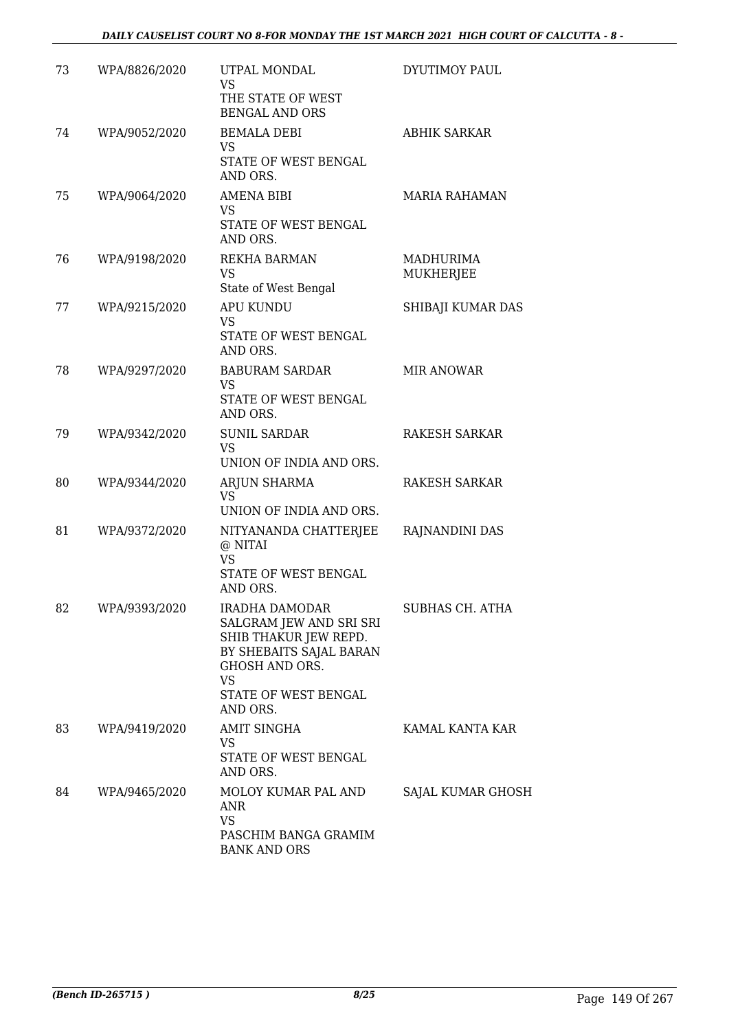| 73 | WPA/8826/2020 | UTPAL MONDAL<br><b>VS</b><br>THE STATE OF WEST<br><b>BENGAL AND ORS</b>                                                                                                 | DYUTIMOY PAUL          |
|----|---------------|-------------------------------------------------------------------------------------------------------------------------------------------------------------------------|------------------------|
| 74 | WPA/9052/2020 | <b>BEMALA DEBI</b><br>VS<br>STATE OF WEST BENGAL<br>AND ORS.                                                                                                            | <b>ABHIK SARKAR</b>    |
| 75 | WPA/9064/2020 | AMENA BIBI<br><b>VS</b><br>STATE OF WEST BENGAL<br>AND ORS.                                                                                                             | <b>MARIA RAHAMAN</b>   |
| 76 | WPA/9198/2020 | REKHA BARMAN<br><b>VS</b><br>State of West Bengal                                                                                                                       | MADHURIMA<br>MUKHERJEE |
| 77 | WPA/9215/2020 | <b>APU KUNDU</b><br><b>VS</b><br>STATE OF WEST BENGAL<br>AND ORS.                                                                                                       | SHIBAJI KUMAR DAS      |
| 78 | WPA/9297/2020 | <b>BABURAM SARDAR</b><br><b>VS</b><br>STATE OF WEST BENGAL<br>AND ORS.                                                                                                  | <b>MIR ANOWAR</b>      |
| 79 | WPA/9342/2020 | <b>SUNIL SARDAR</b><br>VS<br>UNION OF INDIA AND ORS.                                                                                                                    | RAKESH SARKAR          |
| 80 | WPA/9344/2020 | ARJUN SHARMA<br><b>VS</b><br>UNION OF INDIA AND ORS.                                                                                                                    | RAKESH SARKAR          |
| 81 | WPA/9372/2020 | NITYANANDA CHATTERJEE<br>@ NITAI<br><b>VS</b><br>STATE OF WEST BENGAL<br>AND ORS.                                                                                       | RAJNANDINI DAS         |
| 82 | WPA/9393/2020 | <b>IRADHA DAMODAR</b><br>SALGRAM JEW AND SRI SRI<br>SHIB THAKUR JEW REPD.<br>BY SHEBAITS SAJAL BARAN<br>GHOSH AND ORS.<br><b>VS</b><br>STATE OF WEST BENGAL<br>AND ORS. | SUBHAS CH. ATHA        |
| 83 | WPA/9419/2020 | <b>AMIT SINGHA</b><br>VS.<br>STATE OF WEST BENGAL<br>AND ORS.                                                                                                           | KAMAL KANTA KAR        |
| 84 | WPA/9465/2020 | MOLOY KUMAR PAL AND<br>ANR<br><b>VS</b><br>PASCHIM BANGA GRAMIM<br><b>BANK AND ORS</b>                                                                                  | SAJAL KUMAR GHOSH      |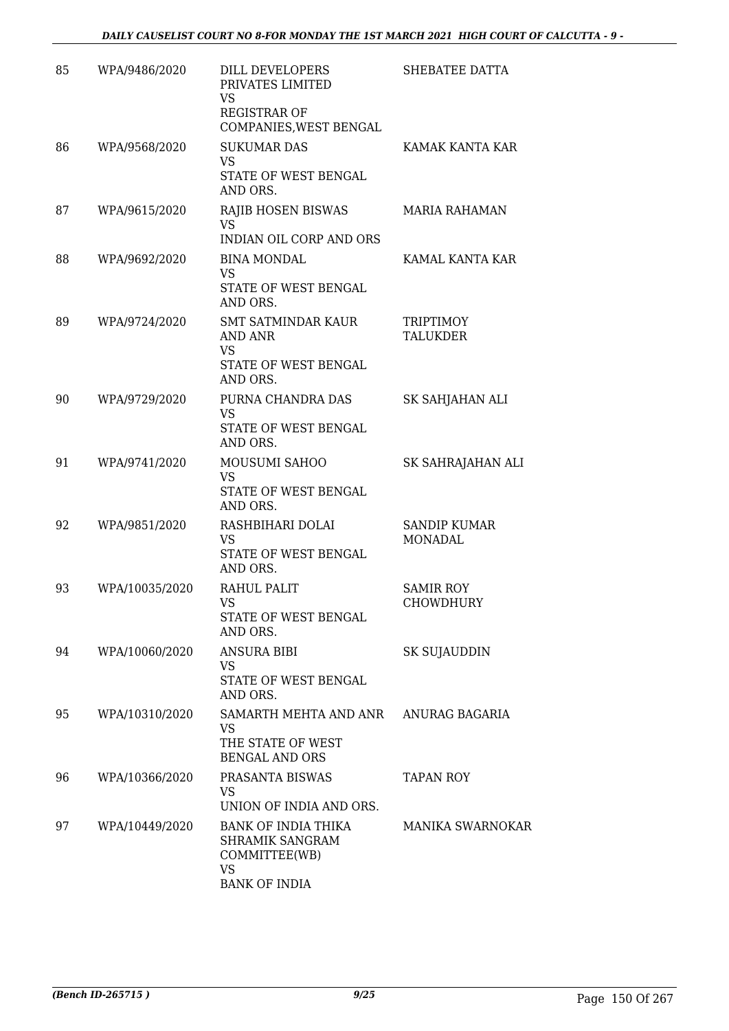| 85 | WPA/9486/2020  | DILL DEVELOPERS<br>PRIVATES LIMITED<br><b>VS</b><br><b>REGISTRAR OF</b><br>COMPANIES, WEST BENGAL   | SHEBATEE DATTA                        |
|----|----------------|-----------------------------------------------------------------------------------------------------|---------------------------------------|
| 86 | WPA/9568/2020  | <b>SUKUMAR DAS</b><br><b>VS</b><br>STATE OF WEST BENGAL<br>AND ORS.                                 | KAMAK KANTA KAR                       |
| 87 | WPA/9615/2020  | RAJIB HOSEN BISWAS<br><b>VS</b><br><b>INDIAN OIL CORP AND ORS</b>                                   | <b>MARIA RAHAMAN</b>                  |
| 88 | WPA/9692/2020  | <b>BINA MONDAL</b><br><b>VS</b><br>STATE OF WEST BENGAL<br>AND ORS.                                 | KAMAL KANTA KAR                       |
| 89 | WPA/9724/2020  | <b>SMT SATMINDAR KAUR</b><br>AND ANR<br><b>VS</b><br>STATE OF WEST BENGAL<br>AND ORS.               | <b>TRIPTIMOY</b><br><b>TALUKDER</b>   |
| 90 | WPA/9729/2020  | PURNA CHANDRA DAS<br><b>VS</b><br>STATE OF WEST BENGAL<br>AND ORS.                                  | SK SAHJAHAN ALI                       |
| 91 | WPA/9741/2020  | MOUSUMI SAHOO<br><b>VS</b><br>STATE OF WEST BENGAL<br>AND ORS.                                      | SK SAHRAJAHAN ALI                     |
| 92 | WPA/9851/2020  | RASHBIHARI DOLAI<br><b>VS</b><br>STATE OF WEST BENGAL<br>AND ORS.                                   | <b>SANDIP KUMAR</b><br><b>MONADAL</b> |
| 93 | WPA/10035/2020 | RAHUL PALIT<br><b>VS</b><br>STATE OF WEST BENGAL<br>AND ORS.                                        | <b>SAMIR ROY</b><br>CHOWDHURY         |
| 94 | WPA/10060/2020 | <b>ANSURA BIBI</b><br>VS<br>STATE OF WEST BENGAL<br>AND ORS.                                        | SK SUJAUDDIN                          |
| 95 | WPA/10310/2020 | SAMARTH MEHTA AND ANR ANURAG BAGARIA<br>VS<br>THE STATE OF WEST<br><b>BENGAL AND ORS</b>            |                                       |
| 96 | WPA/10366/2020 | PRASANTA BISWAS<br>VS<br>UNION OF INDIA AND ORS.                                                    | TAPAN ROY                             |
| 97 | WPA/10449/2020 | BANK OF INDIA THIKA<br><b>SHRAMIK SANGRAM</b><br>COMMITTEE(WB)<br><b>VS</b><br><b>BANK OF INDIA</b> | <b>MANIKA SWARNOKAR</b>               |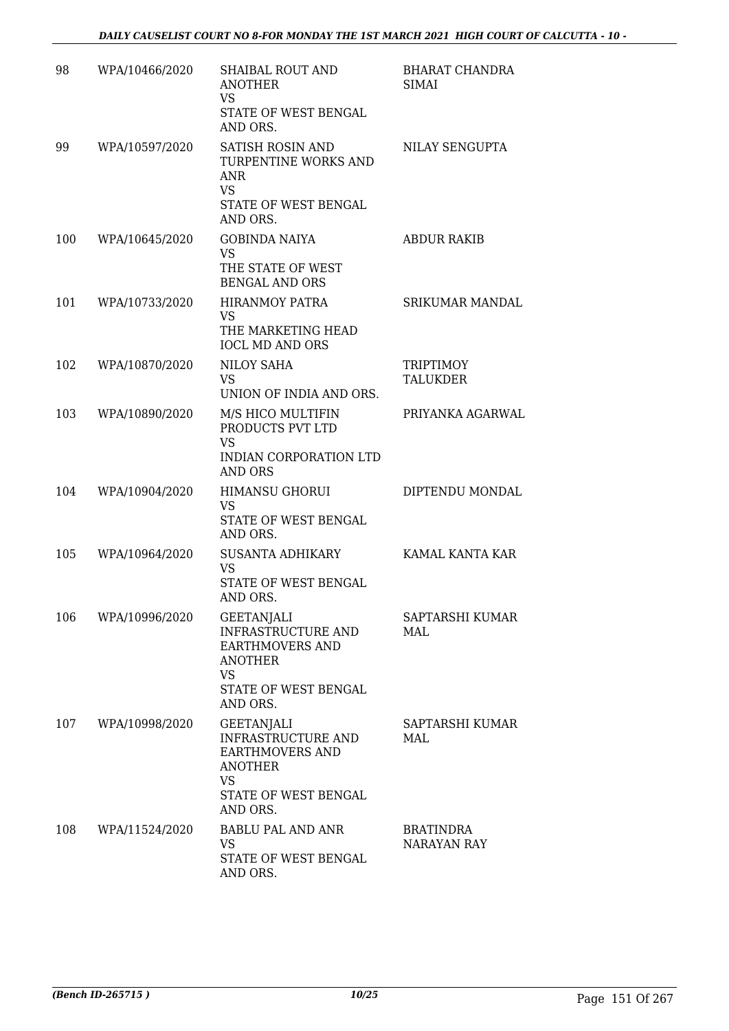| 98  | WPA/10466/2020 | SHAIBAL ROUT AND<br><b>ANOTHER</b><br><b>VS</b><br>STATE OF WEST BENGAL<br>AND ORS.                                                  | BHARAT CHANDRA<br><b>SIMAI</b>      |
|-----|----------------|--------------------------------------------------------------------------------------------------------------------------------------|-------------------------------------|
| 99  | WPA/10597/2020 | SATISH ROSIN AND<br>TURPENTINE WORKS AND<br><b>ANR</b><br><b>VS</b><br>STATE OF WEST BENGAL<br>AND ORS.                              | NILAY SENGUPTA                      |
| 100 | WPA/10645/2020 | <b>GOBINDA NAIYA</b><br><b>VS</b><br>THE STATE OF WEST<br><b>BENGAL AND ORS</b>                                                      | <b>ABDUR RAKIB</b>                  |
| 101 | WPA/10733/2020 | <b>HIRANMOY PATRA</b><br>VS<br>THE MARKETING HEAD<br><b>IOCL MD AND ORS</b>                                                          | <b>SRIKUMAR MANDAL</b>              |
| 102 | WPA/10870/2020 | <b>NILOY SAHA</b><br><b>VS</b><br>UNION OF INDIA AND ORS.                                                                            | <b>TRIPTIMOY</b><br><b>TALUKDER</b> |
| 103 | WPA/10890/2020 | M/S HICO MULTIFIN<br>PRODUCTS PVT LTD<br><b>VS</b><br><b>INDIAN CORPORATION LTD</b><br><b>AND ORS</b>                                | PRIYANKA AGARWAL                    |
| 104 | WPA/10904/2020 | <b>HIMANSU GHORUI</b><br>VS<br>STATE OF WEST BENGAL<br>AND ORS.                                                                      | DIPTENDU MONDAL                     |
| 105 | WPA/10964/2020 | SUSANTA ADHIKARY<br><b>VS</b><br>STATE OF WEST BENGAL<br>AND ORS.                                                                    | KAMAL KANTA KAR                     |
| 106 | WPA/10996/2020 | <b>GEETANJALI</b><br>INFRASTRUCTURE AND<br><b>EARTHMOVERS AND</b><br><b>ANOTHER</b><br><b>VS</b><br>STATE OF WEST BENGAL<br>AND ORS. | SAPTARSHI KUMAR<br>MAL              |
| 107 | WPA/10998/2020 | <b>GEETANJALI</b><br>INFRASTRUCTURE AND<br><b>EARTHMOVERS AND</b><br><b>ANOTHER</b><br>VS<br>STATE OF WEST BENGAL<br>AND ORS.        | SAPTARSHI KUMAR<br>MAL              |
| 108 | WPA/11524/2020 | BABLU PAL AND ANR<br><b>VS</b><br>STATE OF WEST BENGAL<br>AND ORS.                                                                   | BRATINDRA<br>NARAYAN RAY            |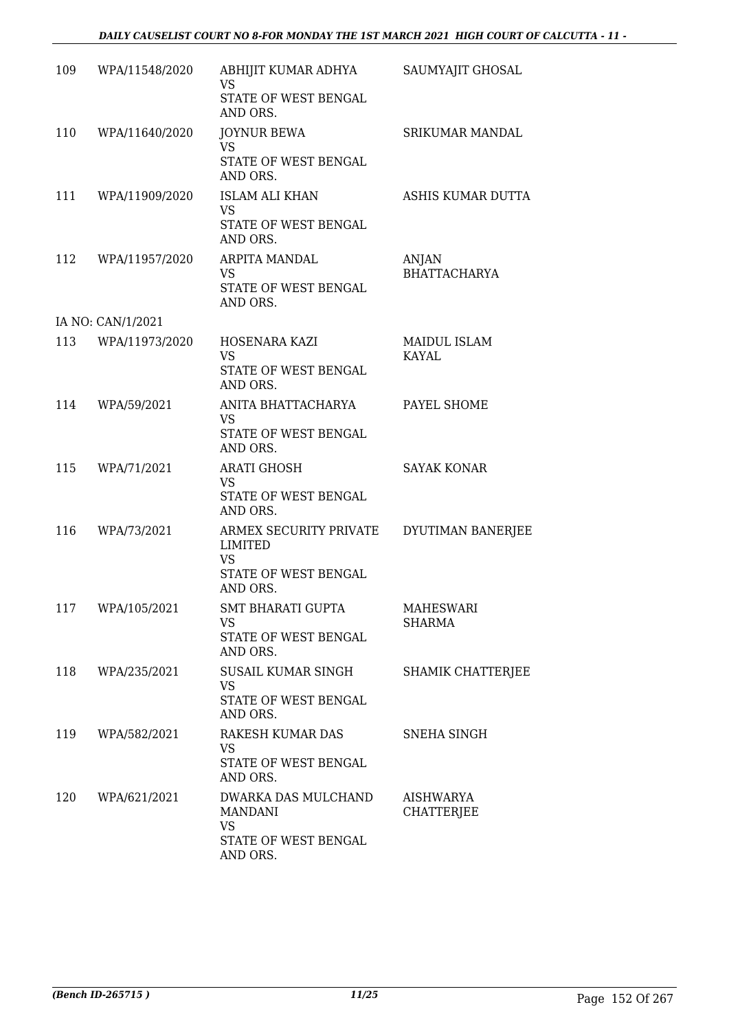### *DAILY CAUSELIST COURT NO 8-FOR MONDAY THE 1ST MARCH 2021 HIGH COURT OF CALCUTTA - 11 -*

|     | 109 WPA/11548/2020 | ABHIJIT KUMAR ADHYA<br><b>VS</b>              | SAUMYAJIT GHOSAL               |
|-----|--------------------|-----------------------------------------------|--------------------------------|
|     |                    | STATE OF WEST BENGAL<br>AND ORS.              |                                |
| 110 | WPA/11640/2020     | <b>JOYNUR BEWA</b><br><b>VS</b>               | <b>SRIKUMAR MANDAL</b>         |
|     |                    | STATE OF WEST BENGAL<br>AND ORS.              |                                |
|     | 111 WPA/11909/2020 | <b>ISLAM ALI KHAN</b><br><b>VS</b>            | ASHIS KUMAR DUTTA              |
|     |                    | STATE OF WEST BENGAL<br>AND ORS.              |                                |
|     | 112 WPA/11957/2020 | ARPITA MANDAL<br>VS                           | ANJAN<br><b>BHATTACHARYA</b>   |
|     |                    | STATE OF WEST BENGAL<br>AND ORS.              |                                |
|     | IA NO: CAN/1/2021  |                                               |                                |
|     | 113 WPA/11973/2020 | HOSENARA KAZI<br><b>VS</b>                    | MAIDUL ISLAM<br>KAYAL          |
|     |                    | STATE OF WEST BENGAL<br>AND ORS.              |                                |
| 114 | WPA/59/2021        | ANITA BHATTACHARYA<br><b>VS</b>               | PAYEL SHOME                    |
|     |                    | STATE OF WEST BENGAL<br>AND ORS.              |                                |
| 115 | WPA/71/2021        | <b>ARATI GHOSH</b><br><b>VS</b>               | <b>SAYAK KONAR</b>             |
|     |                    | STATE OF WEST BENGAL<br>AND ORS.              |                                |
| 116 | WPA/73/2021        | ARMEX SECURITY PRIVATE<br>LIMITED             | DYUTIMAN BANERJEE              |
|     |                    | <b>VS</b><br>STATE OF WEST BENGAL<br>AND ORS. |                                |
|     | 117 WPA/105/2021   | SMT BHARATI GUPTA<br>VS                       | MAHESWARI<br>SHARMA            |
|     |                    | STATE OF WEST BENGAL<br>AND ORS.              |                                |
| 118 | WPA/235/2021       | SUSAIL KUMAR SINGH<br><b>VS</b>               | SHAMIK CHATTERJEE              |
|     |                    | STATE OF WEST BENGAL<br>AND ORS.              |                                |
| 119 | WPA/582/2021       | RAKESH KUMAR DAS<br>VS                        | SNEHA SINGH                    |
|     |                    | STATE OF WEST BENGAL<br>AND ORS.              |                                |
| 120 | WPA/621/2021       | DWARKA DAS MULCHAND<br>MANDANI                | AISHWARYA<br><b>CHATTERJEE</b> |
|     |                    | <b>VS</b><br>STATE OF WEST BENGAL             |                                |
|     |                    | AND ORS.                                      |                                |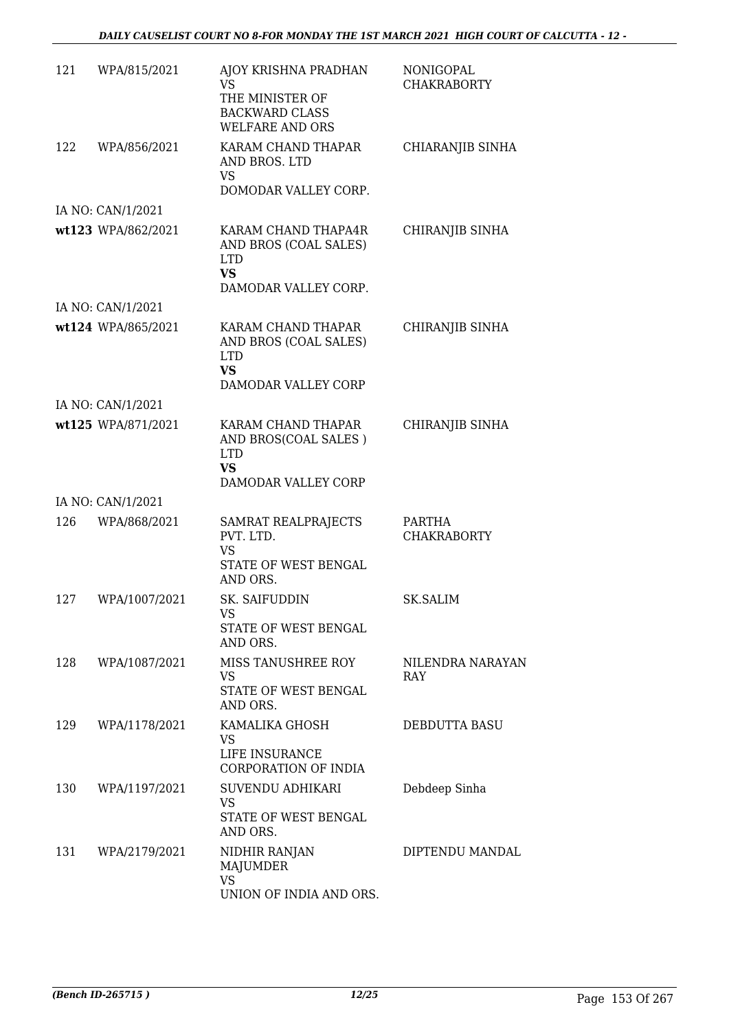| 121 | WPA/815/2021       | AJOY KRISHNA PRADHAN<br>VS<br>THE MINISTER OF<br><b>BACKWARD CLASS</b><br><b>WELFARE AND ORS</b> | <b>NONIGOPAL</b><br><b>CHAKRABORTY</b> |
|-----|--------------------|--------------------------------------------------------------------------------------------------|----------------------------------------|
| 122 | WPA/856/2021       | KARAM CHAND THAPAR<br>AND BROS. LTD<br>VS<br>DOMODAR VALLEY CORP.                                | CHIARANJIB SINHA                       |
|     | IA NO: CAN/1/2021  |                                                                                                  |                                        |
|     | wt123 WPA/862/2021 | KARAM CHAND THAPA4R<br>AND BROS (COAL SALES)<br><b>LTD</b><br><b>VS</b><br>DAMODAR VALLEY CORP.  | CHIRANJIB SINHA                        |
|     | IA NO: CAN/1/2021  |                                                                                                  |                                        |
|     | wt124 WPA/865/2021 | KARAM CHAND THAPAR<br>AND BROS (COAL SALES)<br><b>LTD</b><br><b>VS</b><br>DAMODAR VALLEY CORP    | CHIRANJIB SINHA                        |
|     | IA NO: CAN/1/2021  |                                                                                                  |                                        |
|     | wt125 WPA/871/2021 | KARAM CHAND THAPAR<br>AND BROS(COAL SALES)<br><b>LTD</b><br><b>VS</b><br>DAMODAR VALLEY CORP     | CHIRANJIB SINHA                        |
|     | IA NO: CAN/1/2021  |                                                                                                  |                                        |
| 126 | WPA/868/2021       | SAMRAT REALPRAJECTS<br>PVT. LTD.<br><b>VS</b><br>STATE OF WEST BENGAL<br>AND ORS.                | PARTHA<br><b>CHAKRABORTY</b>           |
| 127 | WPA/1007/2021      | SK. SAIFUDDIN<br>VS<br>STATE OF WEST BENGAL<br>AND ORS.                                          | SK.SALIM                               |
| 128 | WPA/1087/2021      | MISS TANUSHREE ROY<br>VS<br>STATE OF WEST BENGAL<br>AND ORS.                                     | NILENDRA NARAYAN<br><b>RAY</b>         |
| 129 | WPA/1178/2021      | KAMALIKA GHOSH<br>VS<br>LIFE INSURANCE<br>CORPORATION OF INDIA                                   | <b>DEBDUTTA BASU</b>                   |
| 130 | WPA/1197/2021      | SUVENDU ADHIKARI<br>VS<br>STATE OF WEST BENGAL<br>AND ORS.                                       | Debdeep Sinha                          |
| 131 | WPA/2179/2021      | NIDHIR RANJAN<br>MAJUMDER<br><b>VS</b><br>UNION OF INDIA AND ORS.                                | DIPTENDU MANDAL                        |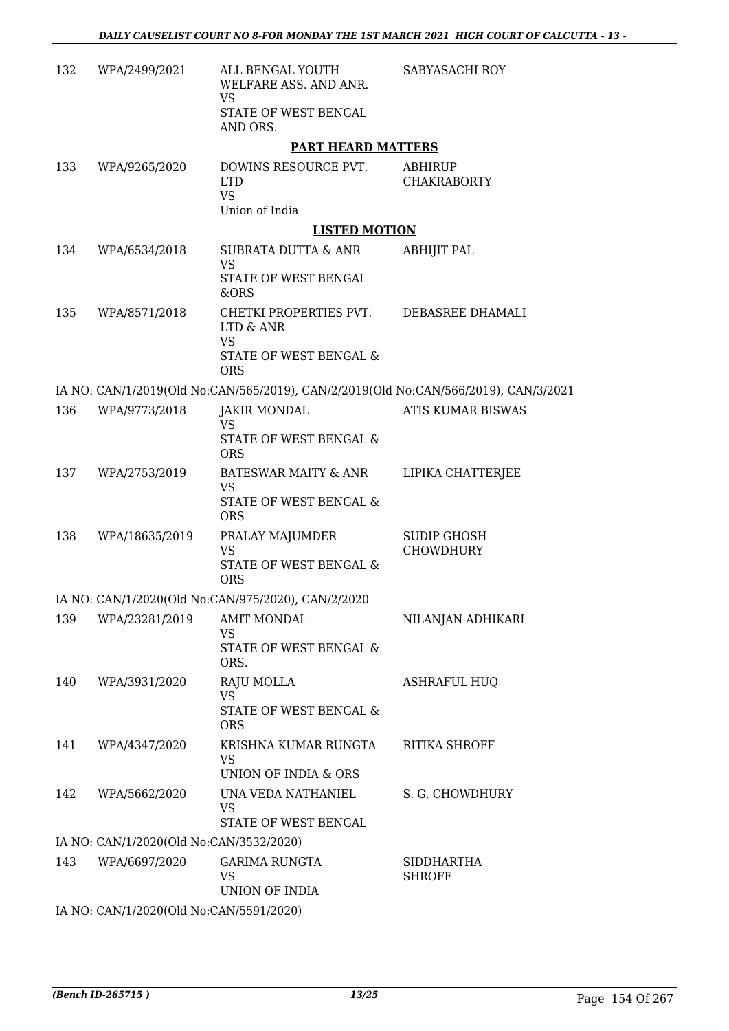| 132 | WPA/2499/2021                           | ALL BENGAL YOUTH<br>WELFARE ASS. AND ANR.<br>VS<br>STATE OF WEST BENGAL             | SABYASACHI ROY                         |
|-----|-----------------------------------------|-------------------------------------------------------------------------------------|----------------------------------------|
|     |                                         | AND ORS.                                                                            |                                        |
|     |                                         | <b>PART HEARD MATTERS</b>                                                           |                                        |
| 133 | WPA/9265/2020                           | DOWINS RESOURCE PVT.<br><b>LTD</b><br><b>VS</b>                                     | ABHIRUP<br><b>CHAKRABORTY</b>          |
|     |                                         | Union of India                                                                      |                                        |
|     |                                         | <b>LISTED MOTION</b>                                                                |                                        |
| 134 | WPA/6534/2018                           | SUBRATA DUTTA & ANR<br><b>VS</b><br>STATE OF WEST BENGAL<br>&ORS                    | <b>ABHIJIT PAL</b>                     |
| 135 | WPA/8571/2018                           | CHETKI PROPERTIES PVT.<br>LTD & ANR<br><b>VS</b>                                    | DEBASREE DHAMALI                       |
|     |                                         | STATE OF WEST BENGAL &<br><b>ORS</b>                                                |                                        |
|     |                                         | IA NO: CAN/1/2019(Old No:CAN/565/2019), CAN/2/2019(Old No:CAN/566/2019), CAN/3/2021 |                                        |
| 136 | WPA/9773/2018                           | <b>JAKIR MONDAL</b><br><b>VS</b><br>STATE OF WEST BENGAL &<br><b>ORS</b>            | ATIS KUMAR BISWAS                      |
| 137 | WPA/2753/2019                           | BATESWAR MAITY & ANR                                                                | LIPIKA CHATTERJEE                      |
|     |                                         | VS<br>STATE OF WEST BENGAL &<br><b>ORS</b>                                          |                                        |
| 138 | WPA/18635/2019                          | PRALAY MAJUMDER<br><b>VS</b><br>STATE OF WEST BENGAL &<br><b>ORS</b>                | <b>SUDIP GHOSH</b><br><b>CHOWDHURY</b> |
|     |                                         | IA NO: CAN/1/2020(Old No:CAN/975/2020), CAN/2/2020                                  |                                        |
| 139 | WPA/23281/2019                          | <b>AMIT MONDAL</b>                                                                  | NILANJAN ADHIKARI                      |
|     |                                         | VS<br>STATE OF WEST BENGAL &<br>ORS.                                                |                                        |
| 140 | WPA/3931/2020                           | RAJU MOLLA<br><b>VS</b><br>STATE OF WEST BENGAL &<br><b>ORS</b>                     | <b>ASHRAFUL HUQ</b>                    |
| 141 | WPA/4347/2020                           | KRISHNA KUMAR RUNGTA<br>VS<br>UNION OF INDIA & ORS                                  | <b>RITIKA SHROFF</b>                   |
| 142 | WPA/5662/2020                           | UNA VEDA NATHANIEL<br><b>VS</b><br>STATE OF WEST BENGAL                             | S. G. CHOWDHURY                        |
|     | IA NO: CAN/1/2020(Old No:CAN/3532/2020) |                                                                                     |                                        |
| 143 | WPA/6697/2020                           | <b>GARIMA RUNGTA</b><br><b>VS</b><br>UNION OF INDIA                                 | SIDDHARTHA<br><b>SHROFF</b>            |
|     | IA NO: CAN/1/2020(Old No:CAN/5591/2020) |                                                                                     |                                        |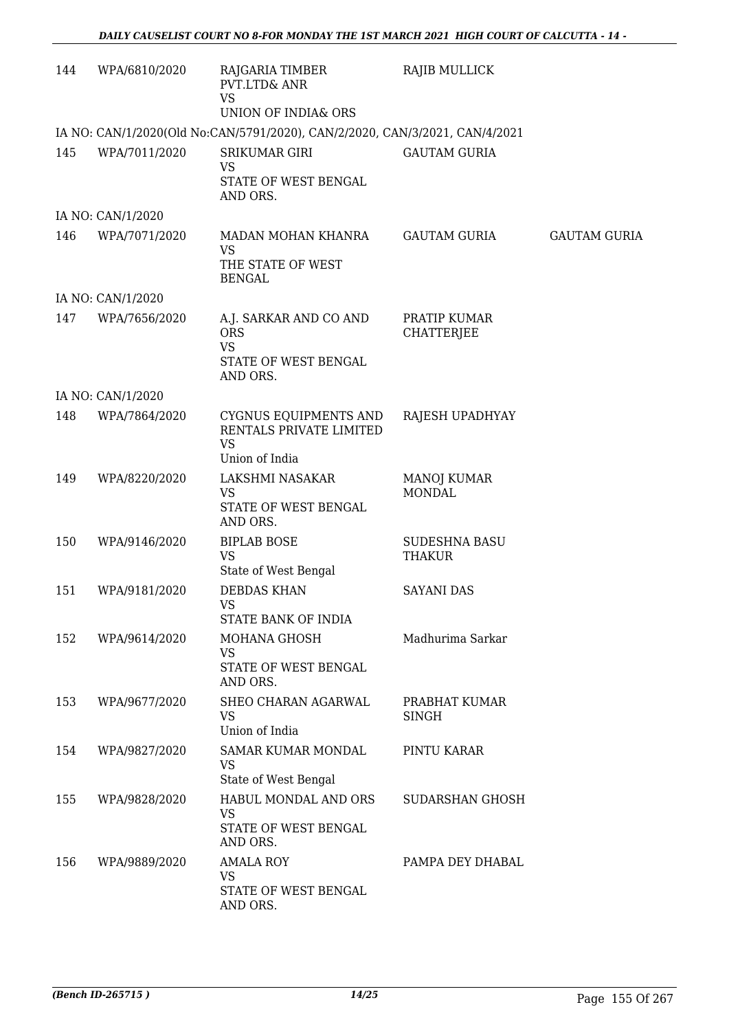| 144 | WPA/6810/2020     | RAJGARIA TIMBER<br>PVT.LTD& ANR<br><b>VS</b><br>UNION OF INDIA& ORS                   | <b>RAJIB MULLICK</b>                  |                     |
|-----|-------------------|---------------------------------------------------------------------------------------|---------------------------------------|---------------------|
|     |                   | IA NO: CAN/1/2020(Old No:CAN/5791/2020), CAN/2/2020, CAN/3/2021, CAN/4/2021           |                                       |                     |
| 145 | WPA/7011/2020     | <b>SRIKUMAR GIRI</b><br><b>VS</b><br>STATE OF WEST BENGAL<br>AND ORS.                 | <b>GAUTAM GURIA</b>                   |                     |
|     | IA NO: CAN/1/2020 |                                                                                       |                                       |                     |
| 146 | WPA/7071/2020     | MADAN MOHAN KHANRA<br><b>VS</b><br>THE STATE OF WEST<br><b>BENGAL</b>                 | <b>GAUTAM GURIA</b>                   | <b>GAUTAM GURIA</b> |
|     | IA NO: CAN/1/2020 |                                                                                       |                                       |                     |
| 147 | WPA/7656/2020     | A.J. SARKAR AND CO AND<br><b>ORS</b><br><b>VS</b><br>STATE OF WEST BENGAL<br>AND ORS. | PRATIP KUMAR<br><b>CHATTERJEE</b>     |                     |
|     | IA NO: CAN/1/2020 |                                                                                       |                                       |                     |
| 148 | WPA/7864/2020     | CYGNUS EQUIPMENTS AND<br>RENTALS PRIVATE LIMITED<br><b>VS</b><br>Union of India       | RAJESH UPADHYAY                       |                     |
| 149 | WPA/8220/2020     | LAKSHMI NASAKAR<br><b>VS</b><br>STATE OF WEST BENGAL<br>AND ORS.                      | <b>MANOJ KUMAR</b><br><b>MONDAL</b>   |                     |
| 150 | WPA/9146/2020     | <b>BIPLAB BOSE</b><br><b>VS</b><br>State of West Bengal                               | <b>SUDESHNA BASU</b><br><b>THAKUR</b> |                     |
| 151 | WPA/9181/2020     | <b>DEBDAS KHAN</b><br>VS<br>STATE BANK OF INDIA                                       | <b>SAYANI DAS</b>                     |                     |
| 152 | WPA/9614/2020     | MOHANA GHOSH<br><b>VS</b><br>STATE OF WEST BENGAL<br>AND ORS.                         | Madhurima Sarkar                      |                     |
| 153 | WPA/9677/2020     | SHEO CHARAN AGARWAL<br><b>VS</b><br>Union of India                                    | PRABHAT KUMAR<br><b>SINGH</b>         |                     |
| 154 | WPA/9827/2020     | <b>SAMAR KUMAR MONDAL</b><br><b>VS</b><br>State of West Bengal                        | PINTU KARAR                           |                     |
| 155 | WPA/9828/2020     | HABUL MONDAL AND ORS<br><b>VS</b><br>STATE OF WEST BENGAL<br>AND ORS.                 | SUDARSHAN GHOSH                       |                     |
| 156 | WPA/9889/2020     | <b>AMALA ROY</b><br>VS<br>STATE OF WEST BENGAL<br>AND ORS.                            | PAMPA DEY DHABAL                      |                     |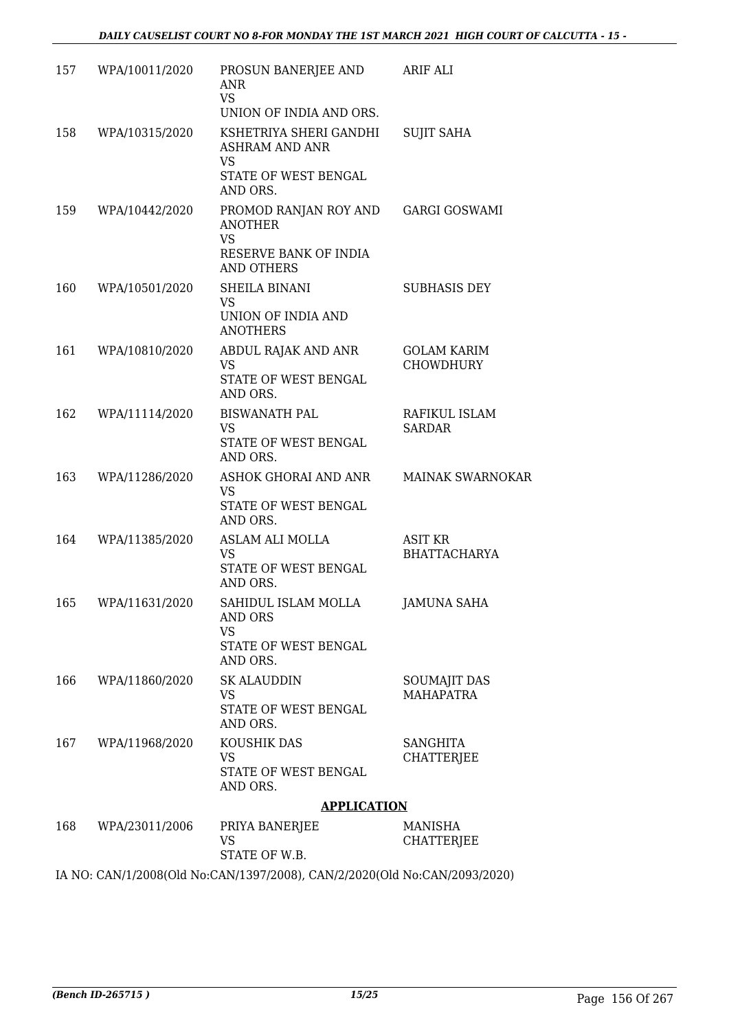| 157 | WPA/10011/2020     | PROSUN BANERJEE AND<br>ANR<br><b>VS</b><br>UNION OF INDIA AND ORS.                                               | ARIF ALI                                |
|-----|--------------------|------------------------------------------------------------------------------------------------------------------|-----------------------------------------|
| 158 | WPA/10315/2020     | KSHETRIYA SHERI GANDHI<br><b>ASHRAM AND ANR</b><br><b>VS</b><br>STATE OF WEST BENGAL<br>AND ORS.                 | <b>SUJIT SAHA</b>                       |
| 159 | WPA/10442/2020     | PROMOD RANJAN ROY AND GARGI GOSWAMI<br><b>ANOTHER</b><br><b>VS</b><br>RESERVE BANK OF INDIA<br><b>AND OTHERS</b> |                                         |
| 160 | WPA/10501/2020     | SHEILA BINANI<br><b>VS</b><br>UNION OF INDIA AND<br><b>ANOTHERS</b>                                              | <b>SUBHASIS DEY</b>                     |
| 161 | WPA/10810/2020     | ABDUL RAJAK AND ANR<br>VS<br>STATE OF WEST BENGAL<br>AND ORS.                                                    | <b>GOLAM KARIM</b><br><b>CHOWDHURY</b>  |
| 162 | WPA/11114/2020     | <b>BISWANATH PAL</b><br><b>VS</b><br>STATE OF WEST BENGAL<br>AND ORS.                                            | RAFIKUL ISLAM<br><b>SARDAR</b>          |
| 163 | WPA/11286/2020     | ASHOK GHORAI AND ANR<br><b>VS</b><br>STATE OF WEST BENGAL<br>AND ORS.                                            | <b>MAINAK SWARNOKAR</b>                 |
| 164 | WPA/11385/2020     | ASLAM ALI MOLLA<br>VS<br>STATE OF WEST BENGAL<br>AND ORS.                                                        | ASIT KR<br><b>BHATTACHARYA</b>          |
| 165 | WPA/11631/2020     | SAHIDUL ISLAM MOLLA<br>AND ORS<br><b>VS</b><br>STATE OF WEST BENGAL<br>AND ORS.                                  | JAMUNA SAHA                             |
|     | 166 WPA/11860/2020 | <b>SK ALAUDDIN</b><br>VS<br>STATE OF WEST BENGAL<br>AND ORS.                                                     | <b>SOUMAJIT DAS</b><br><b>MAHAPATRA</b> |
|     | 167 WPA/11968/2020 | KOUSHIK DAS<br>VS.<br>STATE OF WEST BENGAL<br>AND ORS.                                                           | <b>SANGHITA</b><br><b>CHATTERJEE</b>    |
|     |                    | <b>APPLICATION</b>                                                                                               |                                         |
|     | 168 WPA/23011/2006 | PRIYA BANERJEE<br>VS<br>STATE OF W.B.                                                                            | MANISHA<br><b>CHATTERJEE</b>            |

IA NO: CAN/1/2008(Old No:CAN/1397/2008), CAN/2/2020(Old No:CAN/2093/2020)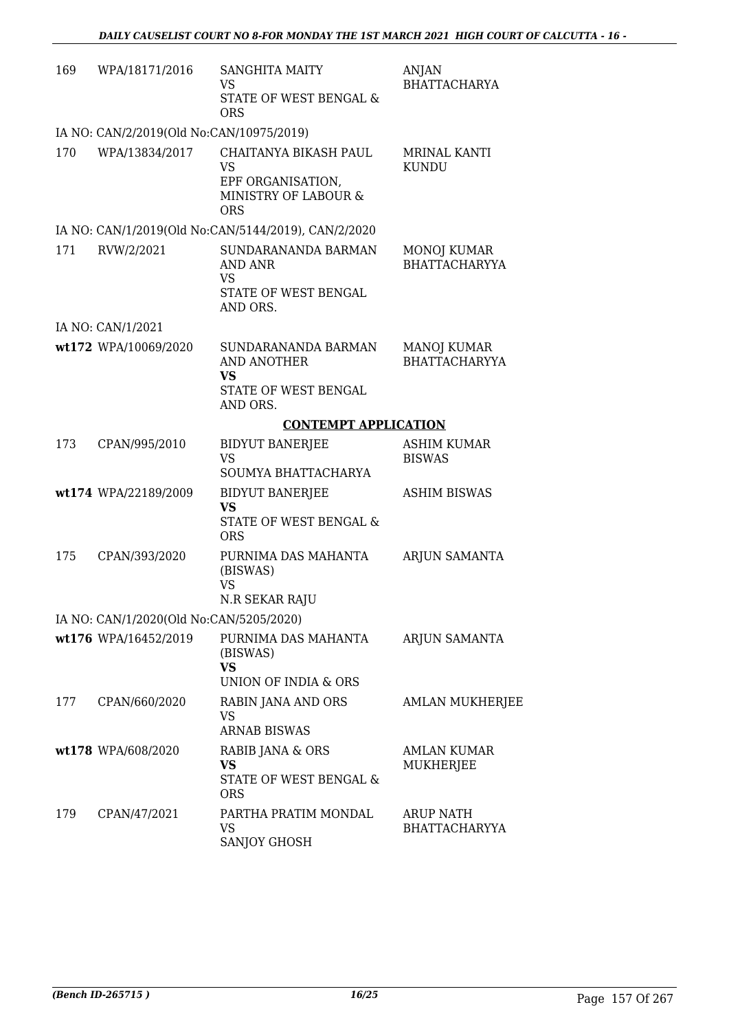| 169 | WPA/18171/2016                           | <b>SANGHITA MAITY</b><br>VS<br>STATE OF WEST BENGAL &<br><b>ORS</b>                           | <b>ANJAN</b><br><b>BHATTACHARYA</b>        |
|-----|------------------------------------------|-----------------------------------------------------------------------------------------------|--------------------------------------------|
|     | IA NO: CAN/2/2019(Old No:CAN/10975/2019) |                                                                                               |                                            |
| 170 | WPA/13834/2017                           | CHAITANYA BIKASH PAUL<br><b>VS</b><br>EPF ORGANISATION,<br>MINISTRY OF LABOUR &<br><b>ORS</b> | MRINAL KANTI<br><b>KUNDU</b>               |
|     |                                          | IA NO: CAN/1/2019(Old No:CAN/5144/2019), CAN/2/2020                                           |                                            |
| 171 | RVW/2/2021                               | SUNDARANANDA BARMAN<br>AND ANR<br>VS<br>STATE OF WEST BENGAL<br>AND ORS.                      | MONOJ KUMAR<br><b>BHATTACHARYYA</b>        |
|     | IA NO: CAN/1/2021                        |                                                                                               |                                            |
|     | wt172 WPA/10069/2020                     | SUNDARANANDA BARMAN<br>AND ANOTHER<br><b>VS</b><br>STATE OF WEST BENGAL<br>AND ORS.           | <b>MANOJ KUMAR</b><br><b>BHATTACHARYYA</b> |
|     |                                          | <b>CONTEMPT APPLICATION</b>                                                                   |                                            |
| 173 | CPAN/995/2010                            | <b>BIDYUT BANERJEE</b><br><b>VS</b><br>SOUMYA BHATTACHARYA                                    | <b>ASHIM KUMAR</b><br><b>BISWAS</b>        |
|     | wt174 WPA/22189/2009                     | <b>BIDYUT BANERJEE</b><br><b>VS</b><br>STATE OF WEST BENGAL &<br><b>ORS</b>                   | <b>ASHIM BISWAS</b>                        |
| 175 | CPAN/393/2020                            | PURNIMA DAS MAHANTA<br>(BISWAS)<br>VS<br>N.R SEKAR RAJU                                       | <b>ARJUN SAMANTA</b>                       |
|     | IA NO: CAN/1/2020(Old No:CAN/5205/2020)  |                                                                                               |                                            |
|     | wt176 WPA/16452/2019                     | PURNIMA DAS MAHANTA<br>(BISWAS)<br><b>VS</b><br>UNION OF INDIA & ORS                          | ARJUN SAMANTA                              |
| 177 | CPAN/660/2020                            | RABIN JANA AND ORS<br><b>VS</b><br><b>ARNAB BISWAS</b>                                        | <b>AMLAN MUKHERJEE</b>                     |
|     | wt178 WPA/608/2020                       | RABIB JANA & ORS<br><b>VS</b><br>STATE OF WEST BENGAL &<br><b>ORS</b>                         | <b>AMLAN KUMAR</b><br>MUKHERJEE            |
| 179 | CPAN/47/2021                             | PARTHA PRATIM MONDAL<br>VS<br>SANJOY GHOSH                                                    | ARUP NATH<br><b>BHATTACHARYYA</b>          |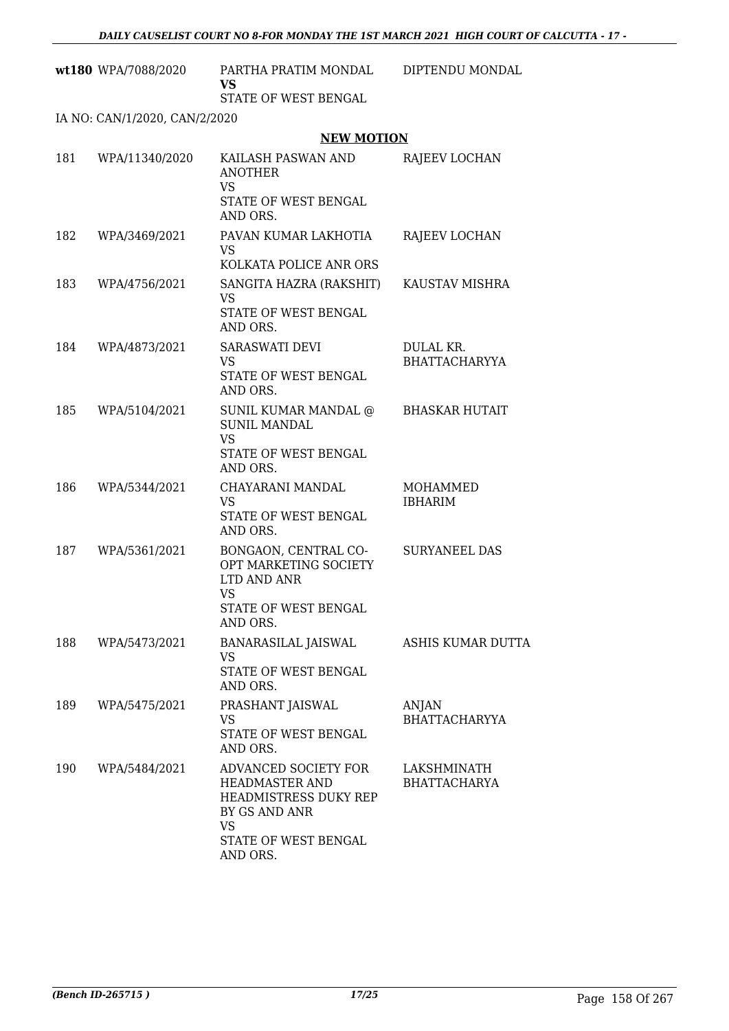|     | wt180 WPA/7088/2020           | PARTHA PRATIM MONDAL<br><b>VS</b><br>STATE OF WEST BENGAL                                                                                | DIPTENDU MONDAL                    |
|-----|-------------------------------|------------------------------------------------------------------------------------------------------------------------------------------|------------------------------------|
|     | IA NO: CAN/1/2020, CAN/2/2020 |                                                                                                                                          |                                    |
|     |                               | <b>NEW MOTION</b>                                                                                                                        |                                    |
| 181 | WPA/11340/2020                | KAILASH PASWAN AND<br><b>ANOTHER</b><br><b>VS</b><br>STATE OF WEST BENGAL<br>AND ORS.                                                    | RAJEEV LOCHAN                      |
| 182 | WPA/3469/2021                 | PAVAN KUMAR LAKHOTIA<br>VS<br>KOLKATA POLICE ANR ORS                                                                                     | RAJEEV LOCHAN                      |
| 183 | WPA/4756/2021                 | SANGITA HAZRA (RAKSHIT)<br><b>VS</b><br>STATE OF WEST BENGAL<br>AND ORS.                                                                 | KAUSTAV MISHRA                     |
| 184 | WPA/4873/2021                 | <b>SARASWATI DEVI</b><br>VS<br>STATE OF WEST BENGAL<br>AND ORS.                                                                          | DULAL KR.<br><b>BHATTACHARYYA</b>  |
| 185 | WPA/5104/2021                 | SUNIL KUMAR MANDAL @<br><b>SUNIL MANDAL</b><br><b>VS</b><br>STATE OF WEST BENGAL<br>AND ORS.                                             | <b>BHASKAR HUTAIT</b>              |
| 186 | WPA/5344/2021                 | CHAYARANI MANDAL<br>VS<br>STATE OF WEST BENGAL<br>AND ORS.                                                                               | MOHAMMED<br><b>IBHARIM</b>         |
| 187 | WPA/5361/2021                 | BONGAON, CENTRAL CO-<br>OPT MARKETING SOCIETY<br>LTD AND ANR<br>VS<br>STATE OF WEST BENGAL<br>AND ORS.                                   | <b>SURYANEEL DAS</b>               |
| 188 | WPA/5473/2021                 | BANARASILAL JAISWAL<br><b>VS</b><br>STATE OF WEST BENGAL<br>AND ORS.                                                                     | ASHIS KUMAR DUTTA                  |
| 189 | WPA/5475/2021                 | PRASHANT JAISWAL<br><b>VS</b><br>STATE OF WEST BENGAL<br>AND ORS.                                                                        | ANJAN<br><b>BHATTACHARYYA</b>      |
| 190 | WPA/5484/2021                 | ADVANCED SOCIETY FOR<br><b>HEADMASTER AND</b><br>HEADMISTRESS DUKY REP<br>BY GS AND ANR<br><b>VS</b><br>STATE OF WEST BENGAL<br>AND ORS. | LAKSHMINATH<br><b>BHATTACHARYA</b> |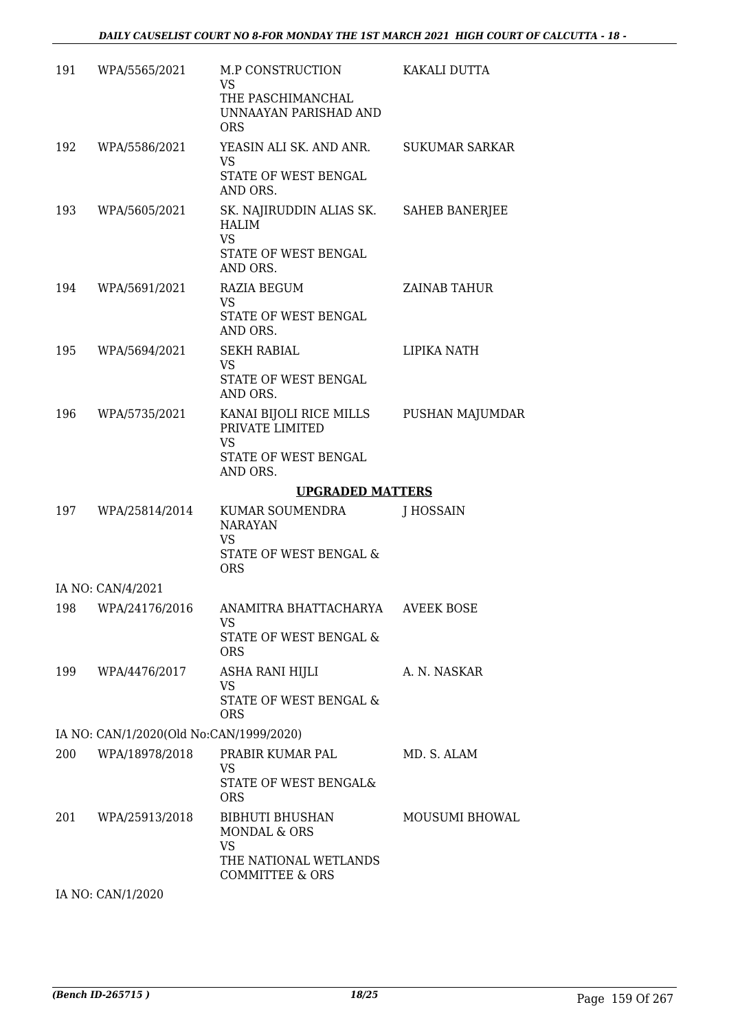|     | 191 WPA/5565/2021                       | M.P CONSTRUCTION<br>VS.<br>THE PASCHIMANCHAL                                                             | KAKALI DUTTA   |
|-----|-----------------------------------------|----------------------------------------------------------------------------------------------------------|----------------|
|     |                                         | UNNAAYAN PARISHAD AND<br><b>ORS</b>                                                                      |                |
|     | 192 WPA/5586/2021                       | YEASIN ALI SK. AND ANR. SUKUMAR SARKAR                                                                   |                |
|     |                                         | <b>VS</b><br>STATE OF WEST BENGAL<br>AND ORS.                                                            |                |
|     | 193 WPA/5605/2021                       | SK. NAJIRUDDIN ALIAS SK. SAHEB BANERJEE<br><b>HALIM</b><br><b>VS</b><br>STATE OF WEST BENGAL<br>AND ORS. |                |
|     | 194 WPA/5691/2021                       | RAZIA BEGUM                                                                                              | ZAINAB TAHUR   |
|     |                                         | <b>VS</b><br>STATE OF WEST BENGAL<br>AND ORS.                                                            |                |
|     | 195 WPA/5694/2021                       | <b>SEKH RABIAL</b>                                                                                       | LIPIKA NATH    |
|     |                                         | <b>VS</b><br>STATE OF WEST BENGAL<br>AND ORS.                                                            |                |
|     | 196 WPA/5735/2021                       | KANAI BIJOLI RICE MILLS PUSHAN MAJUMDAR<br>PRIVATE LIMITED                                               |                |
|     |                                         | <b>VS</b><br>STATE OF WEST BENGAL<br>AND ORS.                                                            |                |
|     |                                         | <b>UPGRADED MATTERS</b>                                                                                  |                |
|     | 197 WPA/25814/2014                      | KUMAR SOUMENDRA<br><b>NARAYAN</b><br>VS<br>STATE OF WEST BENGAL &<br><b>ORS</b>                          | J HOSSAIN      |
|     | IA NO: CAN/4/2021                       |                                                                                                          |                |
|     |                                         | 198 WPA/24176/2016 ANAMITRA BHATTACHARYA AVEEK BOSE<br>VS                                                |                |
|     |                                         | STATE OF WEST BENGAL &<br><b>ORS</b>                                                                     |                |
| 199 | WPA/4476/2017                           | ASHA RANI HIJLI<br><b>VS</b>                                                                             | A. N. NASKAR   |
|     |                                         | STATE OF WEST BENGAL &<br><b>ORS</b>                                                                     |                |
|     | IA NO: CAN/1/2020(Old No:CAN/1999/2020) |                                                                                                          |                |
|     |                                         |                                                                                                          |                |
| 200 | WPA/18978/2018                          | PRABIR KUMAR PAL<br>VS<br>STATE OF WEST BENGAL&<br><b>ORS</b>                                            | MD. S. ALAM    |
| 201 | WPA/25913/2018                          | BIBHUTI BHUSHAN<br>MONDAL & ORS                                                                          | MOUSUMI BHOWAL |
|     |                                         | <b>VS</b><br>THE NATIONAL WETLANDS<br><b>COMMITTEE &amp; ORS</b>                                         |                |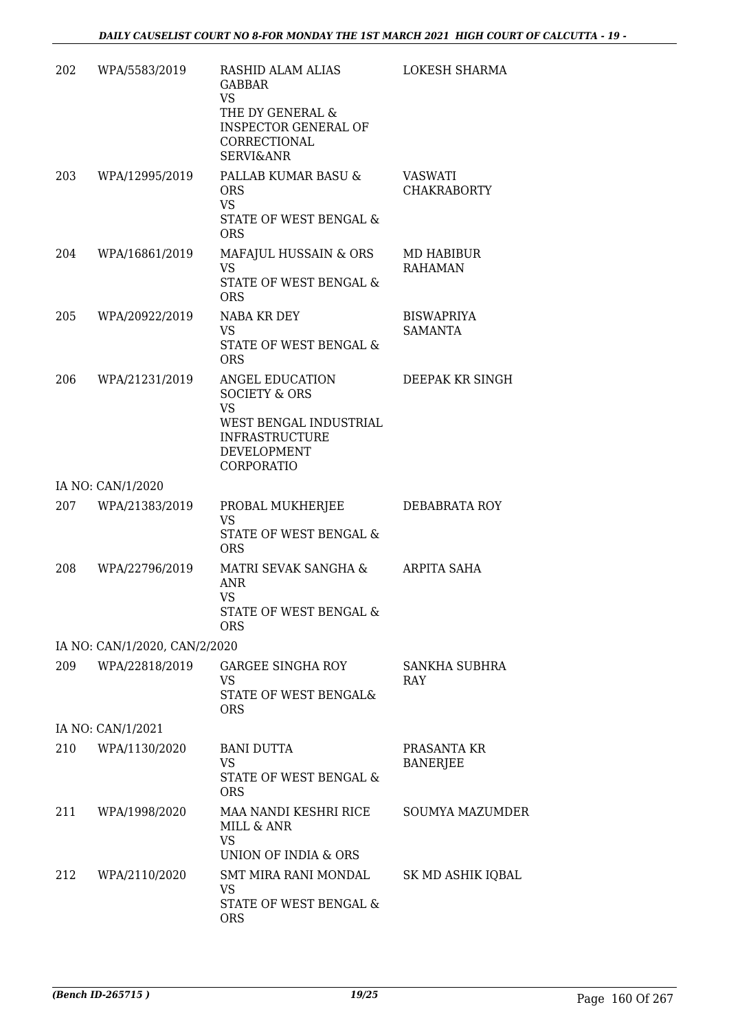| 202 | WPA/5583/2019                 | RASHID ALAM ALIAS<br><b>GABBAR</b><br><b>VS</b><br>THE DY GENERAL &<br><b>INSPECTOR GENERAL OF</b><br>CORRECTIONAL<br><b>SERVI&amp;ANR</b> | LOKESH SHARMA                       |
|-----|-------------------------------|--------------------------------------------------------------------------------------------------------------------------------------------|-------------------------------------|
| 203 | WPA/12995/2019                | PALLAB KUMAR BASU &<br><b>ORS</b><br>VS<br>STATE OF WEST BENGAL &<br><b>ORS</b>                                                            | VASWATI<br><b>CHAKRABORTY</b>       |
| 204 | WPA/16861/2019                | MAFAJUL HUSSAIN & ORS<br><b>VS</b><br>STATE OF WEST BENGAL &<br><b>ORS</b>                                                                 | MD HABIBUR<br><b>RAHAMAN</b>        |
| 205 | WPA/20922/2019                | NABA KR DEY<br><b>VS</b><br>STATE OF WEST BENGAL &<br><b>ORS</b>                                                                           | <b>BISWAPRIYA</b><br><b>SAMANTA</b> |
| 206 | WPA/21231/2019                | ANGEL EDUCATION<br><b>SOCIETY &amp; ORS</b><br><b>VS</b><br>WEST BENGAL INDUSTRIAL<br><b>INFRASTRUCTURE</b><br>DEVELOPMENT<br>CORPORATIO   | DEEPAK KR SINGH                     |
|     | IA NO: CAN/1/2020             |                                                                                                                                            |                                     |
| 207 | WPA/21383/2019                | PROBAL MUKHERJEE<br>VS<br><b>STATE OF WEST BENGAL &amp;</b><br><b>ORS</b>                                                                  | DEBABRATA ROY                       |
| 208 | WPA/22796/2019                | MATRI SEVAK SANGHA &<br><b>ANR</b><br><b>VS</b><br>STATE OF WEST BENGAL &<br>ORS                                                           | ARPITA SAHA                         |
|     | IA NO: CAN/1/2020, CAN/2/2020 |                                                                                                                                            |                                     |
| 209 | WPA/22818/2019                | <b>GARGEE SINGHA ROY</b><br>VS.<br>STATE OF WEST BENGAL&<br><b>ORS</b>                                                                     | SANKHA SUBHRA<br>RAY                |
|     | IA NO: CAN/1/2021             |                                                                                                                                            |                                     |
| 210 | WPA/1130/2020                 | <b>BANI DUTTA</b><br><b>VS</b><br>STATE OF WEST BENGAL &<br><b>ORS</b>                                                                     | PRASANTA KR<br><b>BANERJEE</b>      |
| 211 | WPA/1998/2020                 | MAA NANDI KESHRI RICE<br>MILL & ANR<br><b>VS</b><br>UNION OF INDIA & ORS                                                                   | <b>SOUMYA MAZUMDER</b>              |
| 212 | WPA/2110/2020                 | SMT MIRA RANI MONDAL<br>VS<br>STATE OF WEST BENGAL &<br><b>ORS</b>                                                                         | SK MD ASHIK IQBAL                   |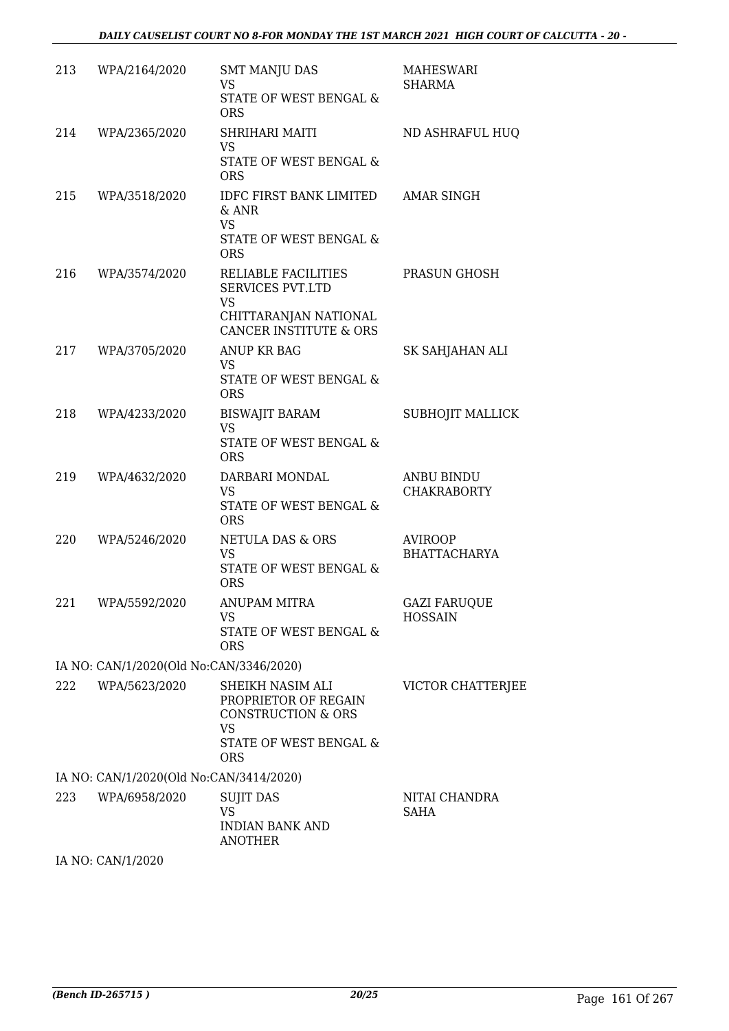| 213 | WPA/2164/2020                           | <b>SMT MANJU DAS</b><br><b>VS</b>                                                                                         | <b>MAHESWARI</b><br><b>SHARMA</b>       |
|-----|-----------------------------------------|---------------------------------------------------------------------------------------------------------------------------|-----------------------------------------|
|     |                                         | STATE OF WEST BENGAL &<br><b>ORS</b>                                                                                      |                                         |
| 214 | WPA/2365/2020                           | SHRIHARI MAITI<br><b>VS</b>                                                                                               | ND ASHRAFUL HUQ                         |
|     |                                         | STATE OF WEST BENGAL &<br><b>ORS</b>                                                                                      |                                         |
| 215 | WPA/3518/2020                           | IDFC FIRST BANK LIMITED<br>$&$ ANR<br><b>VS</b><br>STATE OF WEST BENGAL &<br><b>ORS</b>                                   | <b>AMAR SINGH</b>                       |
| 216 | WPA/3574/2020                           | RELIABLE FACILITIES<br><b>SERVICES PVT.LTD</b><br><b>VS</b><br>CHITTARANJAN NATIONAL<br><b>CANCER INSTITUTE &amp; ORS</b> | PRASUN GHOSH                            |
| 217 | WPA/3705/2020                           | ANUP KR BAG                                                                                                               | SK SAHJAHAN ALI                         |
|     |                                         | VS<br>STATE OF WEST BENGAL &<br><b>ORS</b>                                                                                |                                         |
| 218 | WPA/4233/2020                           | <b>BISWAJIT BARAM</b><br><b>VS</b><br>STATE OF WEST BENGAL &<br><b>ORS</b>                                                | SUBHOJIT MALLICK                        |
| 219 | WPA/4632/2020                           | DARBARI MONDAL<br><b>VS</b><br>STATE OF WEST BENGAL &<br><b>ORS</b>                                                       | <b>ANBU BINDU</b><br><b>CHAKRABORTY</b> |
| 220 | WPA/5246/2020                           | NETULA DAS & ORS<br><b>VS</b><br>STATE OF WEST BENGAL &<br><b>ORS</b>                                                     | <b>AVIROOP</b><br><b>BHATTACHARYA</b>   |
| 221 | WPA/5592/2020                           | ANUPAM MITRA<br>VS<br>STATE OF WEST BENGAL &<br><b>ORS</b>                                                                | <b>GAZI FARUQUE</b><br><b>HOSSAIN</b>   |
|     | IA NO: CAN/1/2020(Old No:CAN/3346/2020) |                                                                                                                           |                                         |
| 222 | WPA/5623/2020                           | SHEIKH NASIM ALI<br>PROPRIETOR OF REGAIN<br>CONSTRUCTION & ORS<br><b>VS</b><br>STATE OF WEST BENGAL &<br><b>ORS</b>       | VICTOR CHATTERJEE                       |
|     | IA NO: CAN/1/2020(Old No:CAN/3414/2020) |                                                                                                                           |                                         |
| 223 | WPA/6958/2020                           | <b>SUJIT DAS</b><br><b>VS</b><br><b>INDIAN BANK AND</b><br><b>ANOTHER</b>                                                 | NITAI CHANDRA<br><b>SAHA</b>            |
|     |                                         |                                                                                                                           |                                         |

IA NO: CAN/1/2020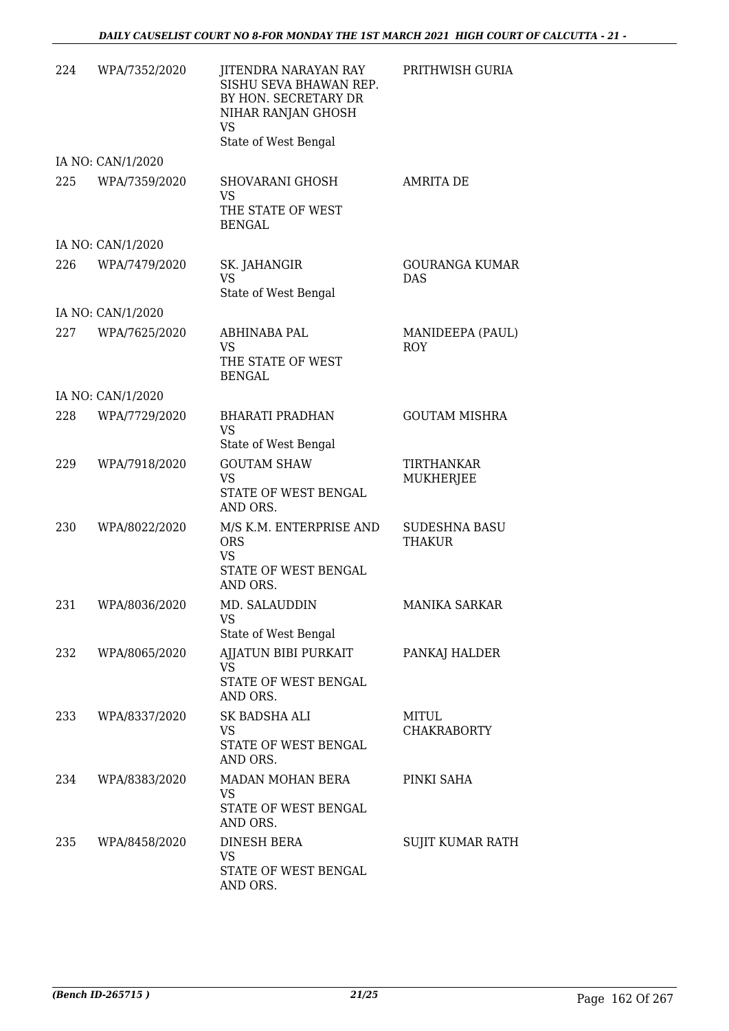| 224 | WPA/7352/2020     | JITENDRA NARAYAN RAY<br>SISHU SEVA BHAWAN REP.<br>BY HON. SECRETARY DR<br>NIHAR RANJAN GHOSH<br><b>VS</b><br>State of West Bengal | PRITHWISH GURIA                     |
|-----|-------------------|-----------------------------------------------------------------------------------------------------------------------------------|-------------------------------------|
|     | IA NO: CAN/1/2020 |                                                                                                                                   |                                     |
| 225 | WPA/7359/2020     | SHOVARANI GHOSH<br>VS<br>THE STATE OF WEST<br><b>BENGAL</b>                                                                       | <b>AMRITA DE</b>                    |
|     | IA NO: CAN/1/2020 |                                                                                                                                   |                                     |
| 226 | WPA/7479/2020     | SK. JAHANGIR<br><b>VS</b><br>State of West Bengal                                                                                 | <b>GOURANGA KUMAR</b><br><b>DAS</b> |
|     | IA NO: CAN/1/2020 |                                                                                                                                   |                                     |
| 227 | WPA/7625/2020     | ABHINABA PAL<br><b>VS</b><br>THE STATE OF WEST<br><b>BENGAL</b>                                                                   | MANIDEEPA (PAUL)<br><b>ROY</b>      |
|     | IA NO: CAN/1/2020 |                                                                                                                                   |                                     |
| 228 | WPA/7729/2020     | <b>BHARATI PRADHAN</b><br><b>VS</b><br>State of West Bengal                                                                       | <b>GOUTAM MISHRA</b>                |
| 229 | WPA/7918/2020     | <b>GOUTAM SHAW</b><br>VS<br>STATE OF WEST BENGAL<br>AND ORS.                                                                      | TIRTHANKAR<br>MUKHERJEE             |
| 230 | WPA/8022/2020     | M/S K.M. ENTERPRISE AND<br><b>ORS</b><br><b>VS</b><br>STATE OF WEST BENGAL<br>AND ORS.                                            | <b>SUDESHNA BASU</b><br>THAKUR      |
| 231 | WPA/8036/2020     | MD. SALAUDDIN<br><b>VS</b><br>State of West Bengal                                                                                | <b>MANIKA SARKAR</b>                |
| 232 | WPA/8065/2020     | AJJATUN BIBI PURKAIT<br>VS<br>STATE OF WEST BENGAL<br>AND ORS.                                                                    | PANKAJ HALDER                       |
| 233 | WPA/8337/2020     | SK BADSHA ALI<br>VS<br>STATE OF WEST BENGAL<br>AND ORS.                                                                           | MITUL<br><b>CHAKRABORTY</b>         |
| 234 | WPA/8383/2020     | MADAN MOHAN BERA<br>VS<br>STATE OF WEST BENGAL<br>AND ORS.                                                                        | PINKI SAHA                          |
| 235 | WPA/8458/2020     | DINESH BERA<br>VS<br>STATE OF WEST BENGAL<br>AND ORS.                                                                             | SUJIT KUMAR RATH                    |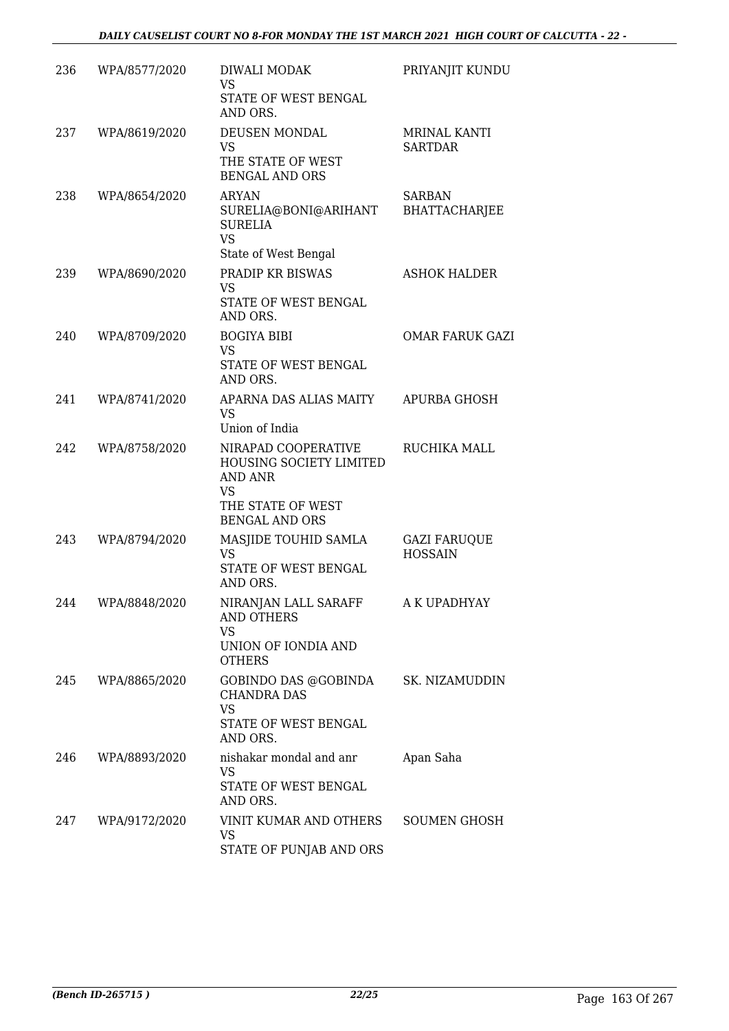| 236 | WPA/8577/2020 | DIWALI MODAK<br><b>VS</b><br>STATE OF WEST BENGAL                                                                    | PRIYANJIT KUNDU                       |
|-----|---------------|----------------------------------------------------------------------------------------------------------------------|---------------------------------------|
| 237 | WPA/8619/2020 | AND ORS.<br>DEUSEN MONDAL<br><b>VS</b><br>THE STATE OF WEST<br><b>BENGAL AND ORS</b>                                 | <b>MRINAL KANTI</b><br><b>SARTDAR</b> |
| 238 | WPA/8654/2020 | <b>ARYAN</b><br>SURELIA@BONI@ARIHANT<br><b>SURELIA</b><br><b>VS</b><br>State of West Bengal                          | <b>SARBAN</b><br><b>BHATTACHARJEE</b> |
| 239 | WPA/8690/2020 | PRADIP KR BISWAS<br><b>VS</b><br>STATE OF WEST BENGAL<br>AND ORS.                                                    | <b>ASHOK HALDER</b>                   |
| 240 | WPA/8709/2020 | <b>BOGIYA BIBI</b><br><b>VS</b><br>STATE OF WEST BENGAL<br>AND ORS.                                                  | <b>OMAR FARUK GAZI</b>                |
| 241 | WPA/8741/2020 | APARNA DAS ALIAS MAITY<br><b>VS</b><br>Union of India                                                                | APURBA GHOSH                          |
| 242 | WPA/8758/2020 | NIRAPAD COOPERATIVE<br>HOUSING SOCIETY LIMITED<br>AND ANR<br><b>VS</b><br>THE STATE OF WEST<br><b>BENGAL AND ORS</b> | RUCHIKA MALL                          |
| 243 | WPA/8794/2020 | MASJIDE TOUHID SAMLA<br><b>VS</b><br>STATE OF WEST BENGAL<br>AND ORS.                                                | <b>GAZI FARUQUE</b><br><b>HOSSAIN</b> |
| 244 | WPA/8848/2020 | NIRANJAN LALL SARAFF<br><b>AND OTHERS</b><br><b>VS</b><br>UNION OF IONDIA AND<br><b>OTHERS</b>                       | A K UPADHYAY                          |
| 245 | WPA/8865/2020 | GOBINDO DAS @GOBINDA SK. NIZAMUDDIN<br><b>CHANDRA DAS</b><br><b>VS</b><br>STATE OF WEST BENGAL<br>AND ORS.           |                                       |
| 246 | WPA/8893/2020 | nishakar mondal and anr<br><b>VS</b><br>STATE OF WEST BENGAL<br>AND ORS.                                             | Apan Saha                             |
| 247 | WPA/9172/2020 | VINIT KUMAR AND OTHERS SOUMEN GHOSH<br><b>VS</b><br>STATE OF PUNJAB AND ORS                                          |                                       |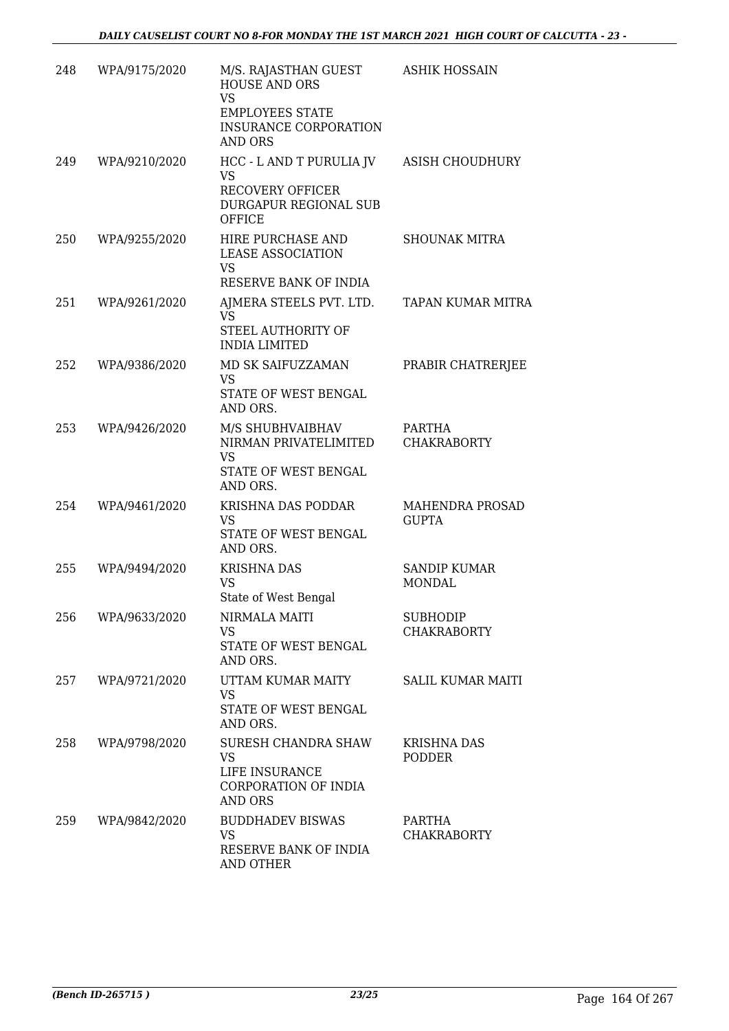| 248 | WPA/9175/2020 | M/S. RAJASTHAN GUEST<br><b>HOUSE AND ORS</b><br><b>VS</b><br><b>EMPLOYEES STATE</b><br><b>INSURANCE CORPORATION</b><br><b>AND ORS</b> | <b>ASHIK HOSSAIN</b>                  |
|-----|---------------|---------------------------------------------------------------------------------------------------------------------------------------|---------------------------------------|
| 249 | WPA/9210/2020 | HCC - L AND T PURULIA JV<br>VS.<br><b>RECOVERY OFFICER</b><br><b>DURGAPUR REGIONAL SUB</b><br>OFFICE                                  | <b>ASISH CHOUDHURY</b>                |
| 250 | WPA/9255/2020 | HIRE PURCHASE AND<br><b>LEASE ASSOCIATION</b><br><b>VS</b><br>RESERVE BANK OF INDIA                                                   | <b>SHOUNAK MITRA</b>                  |
| 251 | WPA/9261/2020 | AJMERA STEELS PVT. LTD. TAPAN KUMAR MITRA<br>VS<br>STEEL AUTHORITY OF<br><b>INDIA LIMITED</b>                                         |                                       |
| 252 | WPA/9386/2020 | MD SK SAIFUZZAMAN<br><b>VS</b><br>STATE OF WEST BENGAL<br>AND ORS.                                                                    | PRABIR CHATRERJEE                     |
| 253 | WPA/9426/2020 | M/S SHUBHVAIBHAV<br>NIRMAN PRIVATELIMITED<br><b>VS</b><br>STATE OF WEST BENGAL<br>AND ORS.                                            | PARTHA<br><b>CHAKRABORTY</b>          |
| 254 | WPA/9461/2020 | KRISHNA DAS PODDAR<br>VS<br>STATE OF WEST BENGAL<br>AND ORS.                                                                          | MAHENDRA PROSAD<br><b>GUPTA</b>       |
| 255 | WPA/9494/2020 | <b>KRISHNA DAS</b><br>VS<br>State of West Bengal                                                                                      | <b>SANDIP KUMAR</b><br><b>MONDAL</b>  |
| 256 | WPA/9633/2020 | NIRMALA MAITI<br><b>VS</b><br>STATE OF WEST BENGAL<br>AND ORS.                                                                        | <b>SUBHODIP</b><br><b>CHAKRABORTY</b> |
| 257 | WPA/9721/2020 | UTTAM KUMAR MAITY<br>VS<br>STATE OF WEST BENGAL<br>AND ORS.                                                                           | <b>SALIL KUMAR MAITI</b>              |
| 258 | WPA/9798/2020 | <b>SURESH CHANDRA SHAW</b><br><b>VS</b><br>LIFE INSURANCE<br>CORPORATION OF INDIA<br><b>AND ORS</b>                                   | <b>KRISHNA DAS</b><br><b>PODDER</b>   |
| 259 | WPA/9842/2020 | <b>BUDDHADEV BISWAS</b><br><b>VS</b><br>RESERVE BANK OF INDIA<br><b>AND OTHER</b>                                                     | PARTHA<br><b>CHAKRABORTY</b>          |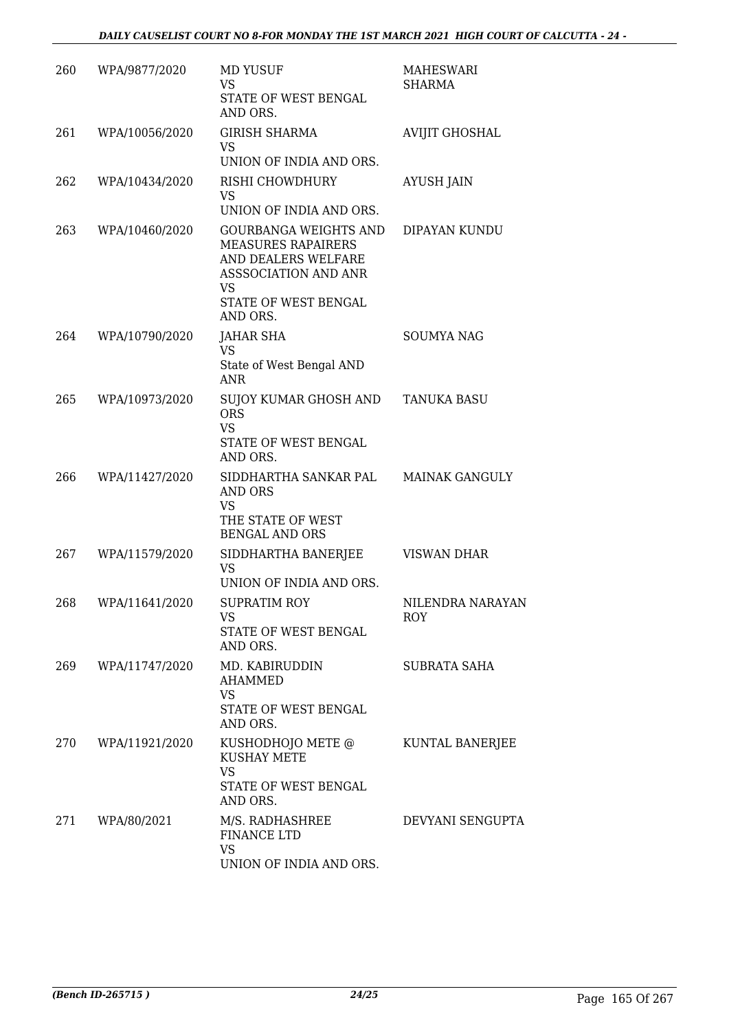| 260 | WPA/9877/2020   | <b>MD YUSUF</b><br>VS<br>STATE OF WEST BENGAL<br>AND ORS.                                                                                   | <b>MAHESWARI</b><br>SHARMA |
|-----|-----------------|---------------------------------------------------------------------------------------------------------------------------------------------|----------------------------|
| 261 | WPA/10056/2020  | <b>GIRISH SHARMA</b><br>VS.<br>UNION OF INDIA AND ORS.                                                                                      | <b>AVIJIT GHOSHAL</b>      |
| 262 | WPA/10434/2020  | RISHI CHOWDHURY<br>VS<br>UNION OF INDIA AND ORS.                                                                                            | <b>AYUSH JAIN</b>          |
| 263 | WPA/10460/2020  | GOURBANGA WEIGHTS AND<br><b>MEASURES RAPAIRERS</b><br>AND DEALERS WELFARE<br>ASSSOCIATION AND ANR<br>VS<br>STATE OF WEST BENGAL<br>AND ORS. | DIPAYAN KUNDU              |
| 264 | WPA/10790/2020  | <b>JAHAR SHA</b><br><b>VS</b><br>State of West Bengal AND<br><b>ANR</b>                                                                     | <b>SOUMYA NAG</b>          |
| 265 | WPA/10973/2020  | SUJOY KUMAR GHOSH AND TANUKA BASU<br><b>ORS</b><br><b>VS</b><br>STATE OF WEST BENGAL<br>AND ORS.                                            |                            |
| 266 | WPA/11427/2020  | SIDDHARTHA SANKAR PAL MAINAK GANGULY<br>AND ORS<br>VS<br>THE STATE OF WEST<br><b>BENGAL AND ORS</b>                                         |                            |
| 267 | WPA/11579/2020  | SIDDHARTHA BANERJEE<br><b>VS</b><br>UNION OF INDIA AND ORS.                                                                                 | VISWAN DHAR                |
| 268 | WPA/11641/2020  | SUPRATIM ROY<br>VS<br>STATE OF WEST BENGAL<br>AND ORS.                                                                                      | NILENDRA NARAYAN<br>ROY    |
| 269 | WPA/11747/2020  | MD. KABIRUDDIN<br><b>AHAMMED</b><br>VS<br>STATE OF WEST BENGAL<br>AND ORS.                                                                  | SUBRATA SAHA               |
| 270 | WPA/11921/2020  | KUSHODHOJO METE @<br><b>KUSHAY METE</b><br><b>VS</b><br>STATE OF WEST BENGAL<br>AND ORS.                                                    | KUNTAL BANERJEE            |
|     | 271 WPA/80/2021 | M/S. RADHASHREE<br><b>FINANCE LTD</b><br><b>VS</b><br>UNION OF INDIA AND ORS.                                                               | DEVYANI SENGUPTA           |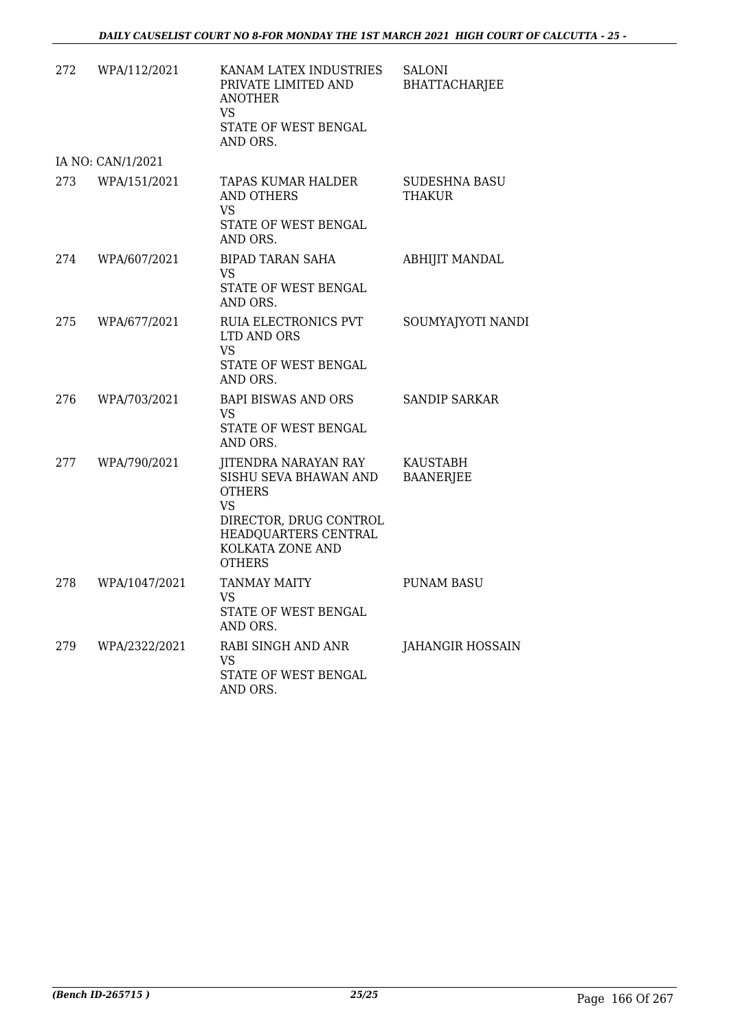| 272 | WPA/112/2021      | KANAM LATEX INDUSTRIES<br>PRIVATE LIMITED AND<br><b>ANOTHER</b><br>VS<br>STATE OF WEST BENGAL<br>AND ORS.                                                                 | <b>SALONI</b><br><b>BHATTACHARJEE</b> |
|-----|-------------------|---------------------------------------------------------------------------------------------------------------------------------------------------------------------------|---------------------------------------|
|     | IA NO: CAN/1/2021 |                                                                                                                                                                           |                                       |
| 273 | WPA/151/2021      | TAPAS KUMAR HALDER<br><b>AND OTHERS</b><br>VS.<br>STATE OF WEST BENGAL<br>AND ORS.                                                                                        | <b>SUDESHNA BASU</b><br><b>THAKUR</b> |
| 274 | WPA/607/2021      | <b>BIPAD TARAN SAHA</b><br>VS<br>STATE OF WEST BENGAL<br>AND ORS.                                                                                                         | <b>ABHIJIT MANDAL</b>                 |
| 275 | WPA/677/2021      | RUIA ELECTRONICS PVT<br>LTD AND ORS<br>VS<br>STATE OF WEST BENGAL<br>AND ORS.                                                                                             | SOUMYAJYOTI NANDI                     |
| 276 | WPA/703/2021      | <b>BAPI BISWAS AND ORS</b><br>VS<br>STATE OF WEST BENGAL<br>AND ORS.                                                                                                      | <b>SANDIP SARKAR</b>                  |
| 277 | WPA/790/2021      | <b>JITENDRA NARAYAN RAY</b><br>SISHU SEVA BHAWAN AND<br><b>OTHERS</b><br><b>VS</b><br>DIRECTOR, DRUG CONTROL<br>HEADQUARTERS CENTRAL<br>KOLKATA ZONE AND<br><b>OTHERS</b> | <b>KAUSTABH</b><br><b>BAANERJEE</b>   |
| 278 | WPA/1047/2021     | <b>TANMAY MAITY</b><br>VS<br>STATE OF WEST BENGAL<br>AND ORS.                                                                                                             | <b>PUNAM BASU</b>                     |
| 279 | WPA/2322/2021     | RABI SINGH AND ANR<br>VS.<br>STATE OF WEST BENGAL<br>AND ORS.                                                                                                             | <b>JAHANGIR HOSSAIN</b>               |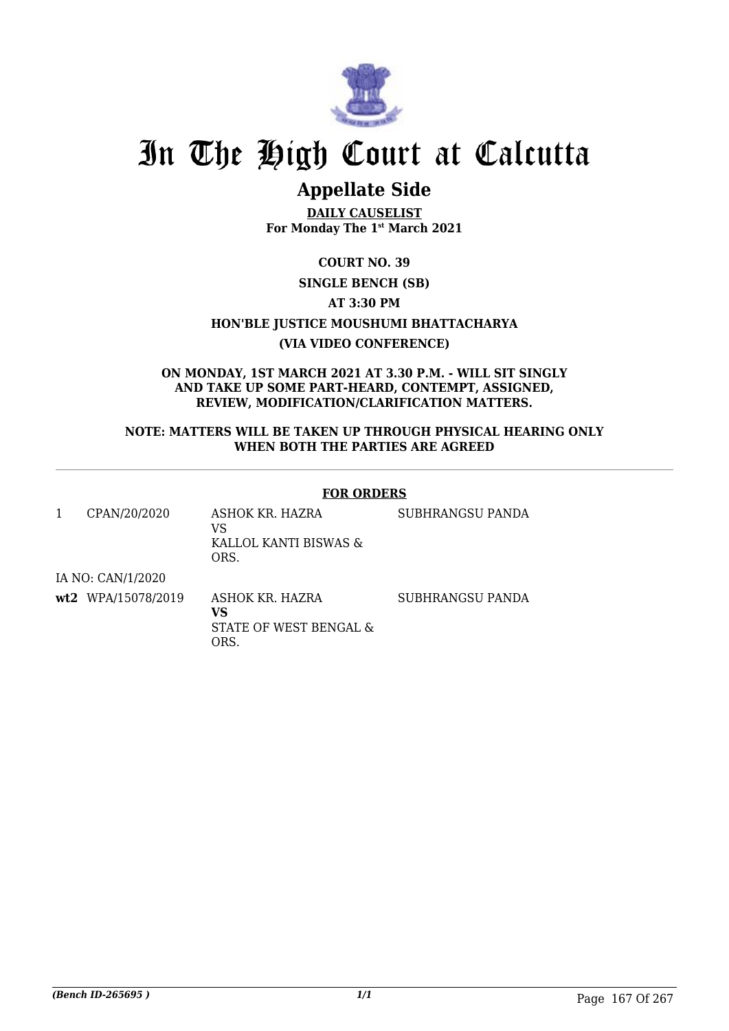

# In The High Court at Calcutta

## **Appellate Side**

**DAILY CAUSELIST For Monday The 1st March 2021**

### **COURT NO. 39**

### **SINGLE BENCH (SB)**

### **AT 3:30 PM**

**HON'BLE JUSTICE MOUSHUMI BHATTACHARYA**

### **(VIA VIDEO CONFERENCE)**

**ON MONDAY, 1ST MARCH 2021 AT 3.30 P.M. - WILL SIT SINGLY AND TAKE UP SOME PART-HEARD, CONTEMPT, ASSIGNED, REVIEW, MODIFICATION/CLARIFICATION MATTERS.**

### **NOTE: MATTERS WILL BE TAKEN UP THROUGH PHYSICAL HEARING ONLY WHEN BOTH THE PARTIES ARE AGREED**

### **FOR ORDERS**

| CPAN/20/2020       | ASHOK KR. HAZRA<br>VS<br>KALLOL KANTI BISWAS &<br>ORS.  | SUBHRANGSU PANDA |
|--------------------|---------------------------------------------------------|------------------|
| IA NO: CAN/1/2020  |                                                         |                  |
| wt2 WPA/15078/2019 | ASHOK KR. HAZRA<br>VS<br>STATE OF WEST BENGAL &<br>ORS. | SUBHRANGSU PANDA |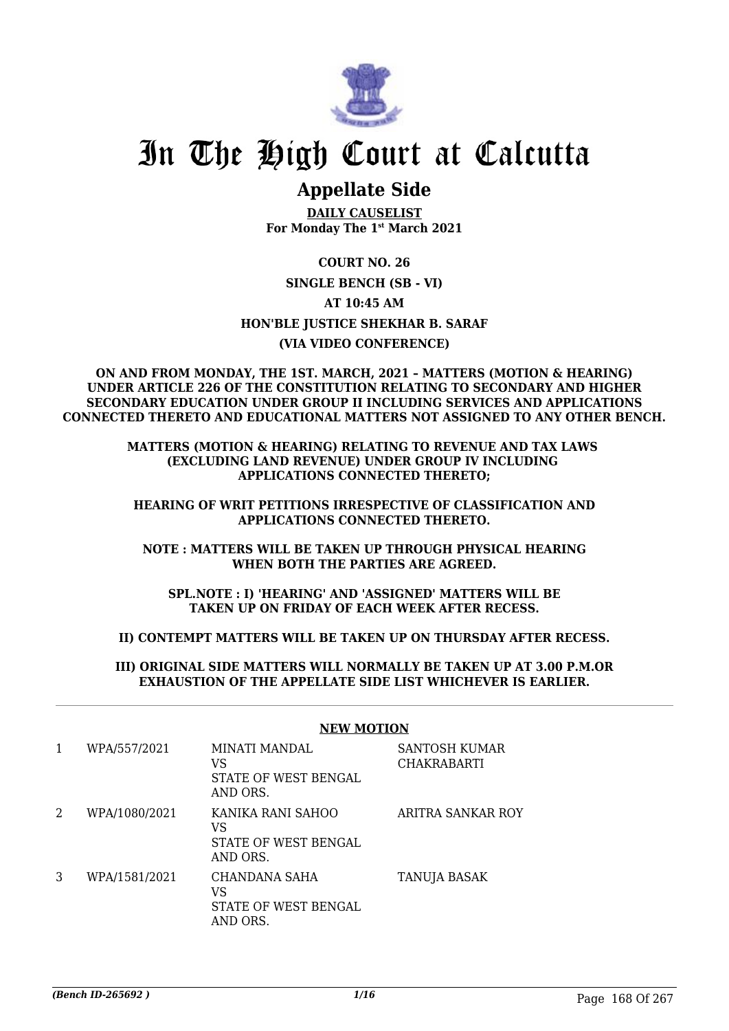

## In The High Court at Calcutta

### **Appellate Side**

**DAILY CAUSELIST For Monday The 1st March 2021**

**COURT NO. 26 SINGLE BENCH (SB - VI) AT 10:45 AM HON'BLE JUSTICE SHEKHAR B. SARAF (VIA VIDEO CONFERENCE)**

#### **ON AND FROM MONDAY, THE 1ST. MARCH, 2021 – MATTERS (MOTION & HEARING) UNDER ARTICLE 226 OF THE CONSTITUTION RELATING TO SECONDARY AND HIGHER SECONDARY EDUCATION UNDER GROUP II INCLUDING SERVICES AND APPLICATIONS CONNECTED THERETO AND EDUCATIONAL MATTERS NOT ASSIGNED TO ANY OTHER BENCH.**

### **MATTERS (MOTION & HEARING) RELATING TO REVENUE AND TAX LAWS (EXCLUDING LAND REVENUE) UNDER GROUP IV INCLUDING APPLICATIONS CONNECTED THERETO;**

### **HEARING OF WRIT PETITIONS IRRESPECTIVE OF CLASSIFICATION AND APPLICATIONS CONNECTED THERETO.**

### **NOTE : MATTERS WILL BE TAKEN UP THROUGH PHYSICAL HEARING WHEN BOTH THE PARTIES ARE AGREED.**

**SPL.NOTE : I) 'HEARING' AND 'ASSIGNED' MATTERS WILL BE TAKEN UP ON FRIDAY OF EACH WEEK AFTER RECESS.**

### **II) CONTEMPT MATTERS WILL BE TAKEN UP ON THURSDAY AFTER RECESS.**

### **III) ORIGINAL SIDE MATTERS WILL NORMALLY BE TAKEN UP AT 3.00 P.M.OR EXHAUSTION OF THE APPELLATE SIDE LIST WHICHEVER IS EARLIER.**

| 1 | WPA/557/2021  | MINATI MANDAL<br>VS<br>STATE OF WEST BENGAL<br>AND ORS.     | SANTOSH KUMAR<br><b>CHAKRABARTI</b> |
|---|---------------|-------------------------------------------------------------|-------------------------------------|
| 2 | WPA/1080/2021 | KANIKA RANI SAHOO<br>VS<br>STATE OF WEST BENGAL<br>AND ORS. | ARITRA SANKAR ROY                   |
| 3 | WPA/1581/2021 | CHANDANA SAHA<br>VS<br>STATE OF WEST BENGAL<br>AND ORS.     | <b>TANUJA BASAK</b>                 |

### **NEW MOTION**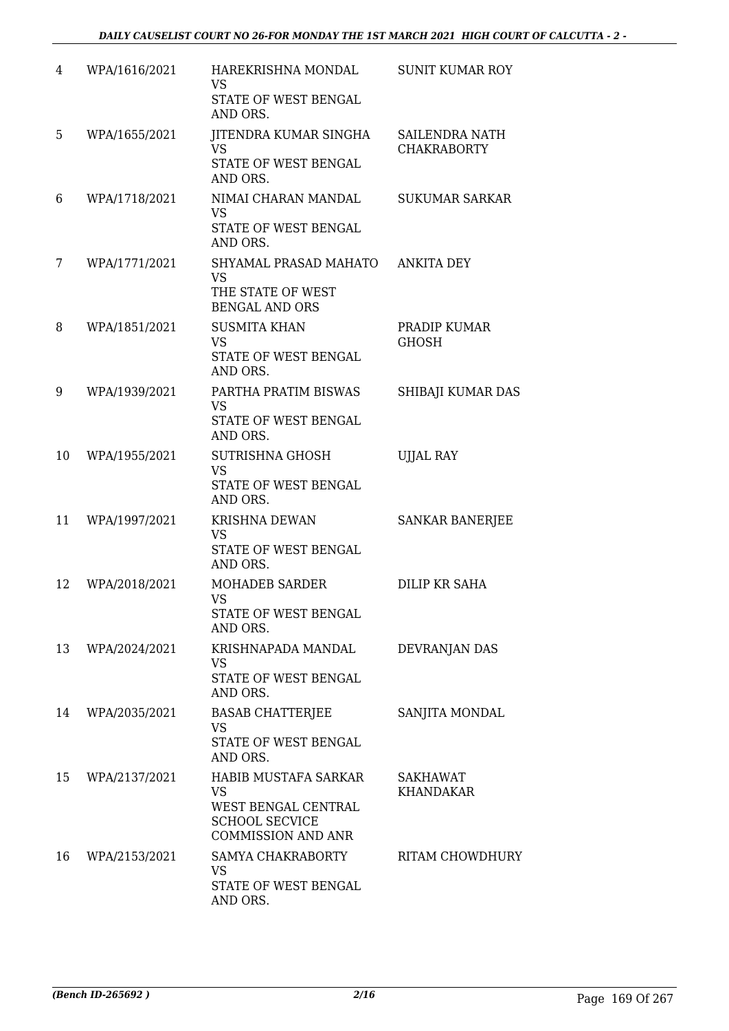| 4  | WPA/1616/2021 | HAREKRISHNA MONDAL<br><b>VS</b><br>STATE OF WEST BENGAL<br>AND ORS.                                            | <b>SUNIT KUMAR ROY</b>               |
|----|---------------|----------------------------------------------------------------------------------------------------------------|--------------------------------------|
| 5  | WPA/1655/2021 | <b>JITENDRA KUMAR SINGHA</b><br><b>VS</b><br>STATE OF WEST BENGAL<br>AND ORS.                                  | SAILENDRA NATH<br><b>CHAKRABORTY</b> |
| 6  | WPA/1718/2021 | NIMAI CHARAN MANDAL<br><b>VS</b><br>STATE OF WEST BENGAL<br>AND ORS.                                           | <b>SUKUMAR SARKAR</b>                |
| 7  | WPA/1771/2021 | SHYAMAL PRASAD MAHATO<br><b>VS</b><br>THE STATE OF WEST<br><b>BENGAL AND ORS</b>                               | <b>ANKITA DEY</b>                    |
| 8  | WPA/1851/2021 | <b>SUSMITA KHAN</b><br><b>VS</b><br><b>STATE OF WEST BENGAL</b><br>AND ORS.                                    | PRADIP KUMAR<br><b>GHOSH</b>         |
| 9  | WPA/1939/2021 | PARTHA PRATIM BISWAS<br><b>VS</b><br>STATE OF WEST BENGAL<br>AND ORS.                                          | SHIBAJI KUMAR DAS                    |
| 10 | WPA/1955/2021 | <b>SUTRISHNA GHOSH</b><br><b>VS</b><br>STATE OF WEST BENGAL<br>AND ORS.                                        | <b>UJJAL RAY</b>                     |
| 11 | WPA/1997/2021 | <b>KRISHNA DEWAN</b><br><b>VS</b><br>STATE OF WEST BENGAL<br>AND ORS.                                          | <b>SANKAR BANERJEE</b>               |
| 12 | WPA/2018/2021 | <b>MOHADEB SARDER</b><br><b>VS</b><br>STATE OF WEST BENGAL<br>AND ORS.                                         | <b>DILIP KR SAHA</b>                 |
| 13 | WPA/2024/2021 | KRISHNAPADA MANDAL<br>VS<br>STATE OF WEST BENGAL<br>AND ORS.                                                   | DEVRANJAN DAS                        |
| 14 | WPA/2035/2021 | <b>BASAB CHATTERIEE</b><br><b>VS</b><br>STATE OF WEST BENGAL<br>AND ORS.                                       | SANJITA MONDAL                       |
| 15 | WPA/2137/2021 | HABIB MUSTAFA SARKAR<br><b>VS</b><br>WEST BENGAL CENTRAL<br><b>SCHOOL SECVICE</b><br><b>COMMISSION AND ANR</b> | <b>SAKHAWAT</b><br><b>KHANDAKAR</b>  |
| 16 | WPA/2153/2021 | SAMYA CHAKRABORTY<br><b>VS</b><br>STATE OF WEST BENGAL<br>AND ORS.                                             | RITAM CHOWDHURY                      |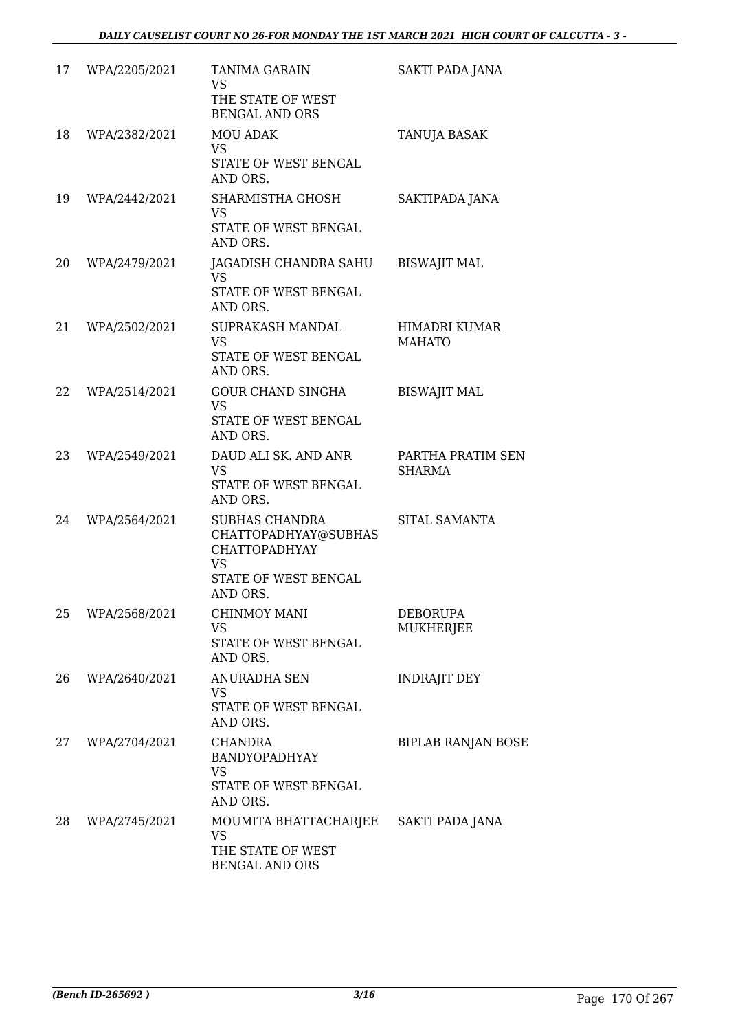| 17 | WPA/2205/2021 | <b>TANIMA GARAIN</b><br>VS<br>THE STATE OF WEST<br><b>BENGAL AND ORS</b>                                               | <b>SAKTI PADA JANA</b>             |
|----|---------------|------------------------------------------------------------------------------------------------------------------------|------------------------------------|
| 18 | WPA/2382/2021 | <b>MOU ADAK</b><br><b>VS</b><br>STATE OF WEST BENGAL<br>AND ORS.                                                       | <b>TANUJA BASAK</b>                |
| 19 | WPA/2442/2021 | SHARMISTHA GHOSH<br>VS<br>STATE OF WEST BENGAL<br>AND ORS.                                                             | SAKTIPADA JANA                     |
| 20 | WPA/2479/2021 | JAGADISH CHANDRA SAHU<br>VS<br>STATE OF WEST BENGAL<br>AND ORS.                                                        | <b>BISWAJIT MAL</b>                |
| 21 | WPA/2502/2021 | <b>SUPRAKASH MANDAL</b><br><b>VS</b><br>STATE OF WEST BENGAL<br>AND ORS.                                               | HIMADRI KUMAR<br><b>MAHATO</b>     |
| 22 | WPA/2514/2021 | <b>GOUR CHAND SINGHA</b><br>VS<br>STATE OF WEST BENGAL<br>AND ORS.                                                     | <b>BISWAJIT MAL</b>                |
| 23 | WPA/2549/2021 | DAUD ALI SK. AND ANR<br><b>VS</b><br>STATE OF WEST BENGAL<br>AND ORS.                                                  | PARTHA PRATIM SEN<br><b>SHARMA</b> |
| 24 | WPA/2564/2021 | <b>SUBHAS CHANDRA</b><br>CHATTOPADHYAY@SUBHAS<br><b>CHATTOPADHYAY</b><br><b>VS</b><br>STATE OF WEST BENGAL<br>AND ORS. | SITAL SAMANTA                      |
| 25 | WPA/2568/2021 | CHINMOY MANI<br><b>VS</b><br>STATE OF WEST BENGAL<br>AND ORS.                                                          | <b>DEBORUPA</b><br>MUKHERJEE       |
| 26 | WPA/2640/2021 | ANURADHA SEN<br>VS<br>STATE OF WEST BENGAL<br>AND ORS.                                                                 | <b>INDRAJIT DEY</b>                |
| 27 | WPA/2704/2021 | <b>CHANDRA</b><br><b>BANDYOPADHYAY</b><br><b>VS</b><br>STATE OF WEST BENGAL<br>AND ORS.                                | <b>BIPLAB RANJAN BOSE</b>          |
| 28 | WPA/2745/2021 | MOUMITA BHATTACHARJEE<br>VS<br>THE STATE OF WEST<br><b>BENGAL AND ORS</b>                                              | SAKTI PADA JANA                    |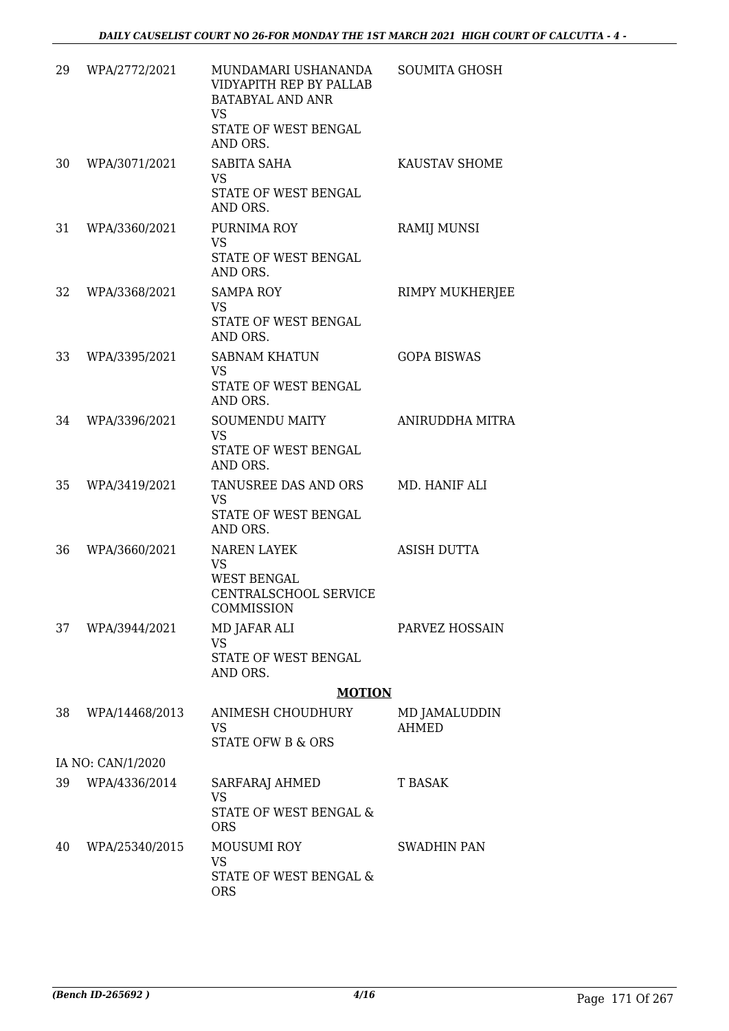| 29 | WPA/2772/2021     | MUNDAMARI USHANANDA<br>VIDYAPITH REP BY PALLAB<br><b>BATABYAL AND ANR</b><br>VS<br>STATE OF WEST BENGAL<br>AND ORS. | SOUMITA GHOSH                 |
|----|-------------------|---------------------------------------------------------------------------------------------------------------------|-------------------------------|
| 30 | WPA/3071/2021     | SABITA SAHA<br><b>VS</b><br>STATE OF WEST BENGAL                                                                    | KAUSTAV SHOME                 |
| 31 | WPA/3360/2021     | AND ORS.<br>PURNIMA ROY<br><b>VS</b><br>STATE OF WEST BENGAL<br>AND ORS.                                            | <b>RAMIJ MUNSI</b>            |
| 32 | WPA/3368/2021     | <b>SAMPA ROY</b><br><b>VS</b><br>STATE OF WEST BENGAL<br>AND ORS.                                                   | RIMPY MUKHERJEE               |
| 33 | WPA/3395/2021     | <b>SABNAM KHATUN</b><br><b>VS</b><br>STATE OF WEST BENGAL<br>AND ORS.                                               | <b>GOPA BISWAS</b>            |
| 34 | WPA/3396/2021     | <b>SOUMENDU MAITY</b><br><b>VS</b><br>STATE OF WEST BENGAL<br>AND ORS.                                              | ANIRUDDHA MITRA               |
| 35 | WPA/3419/2021     | TANUSREE DAS AND ORS<br><b>VS</b><br>STATE OF WEST BENGAL<br>AND ORS.                                               | MD. HANIF ALI                 |
| 36 | WPA/3660/2021     | <b>NAREN LAYEK</b><br><b>VS</b><br><b>WEST BENGAL</b><br>CENTRALSCHOOL SERVICE<br>COMMISSION                        | <b>ASISH DUTTA</b>            |
| 37 | WPA/3944/2021     | MD JAFAR ALI<br>VS.<br>STATE OF WEST BENGAL<br>AND ORS.                                                             | PARVEZ HOSSAIN                |
|    |                   | <b>MOTION</b>                                                                                                       |                               |
| 38 | WPA/14468/2013    | ANIMESH CHOUDHURY<br>VS<br>STATE OFW B & ORS                                                                        | MD JAMALUDDIN<br><b>AHMED</b> |
|    | IA NO: CAN/1/2020 |                                                                                                                     |                               |
| 39 | WPA/4336/2014     | SARFARAJ AHMED<br>VS<br>STATE OF WEST BENGAL &                                                                      | T BASAK                       |
| 40 | WPA/25340/2015    | <b>ORS</b><br><b>MOUSUMI ROY</b><br>VS<br>STATE OF WEST BENGAL &<br><b>ORS</b>                                      | SWADHIN PAN                   |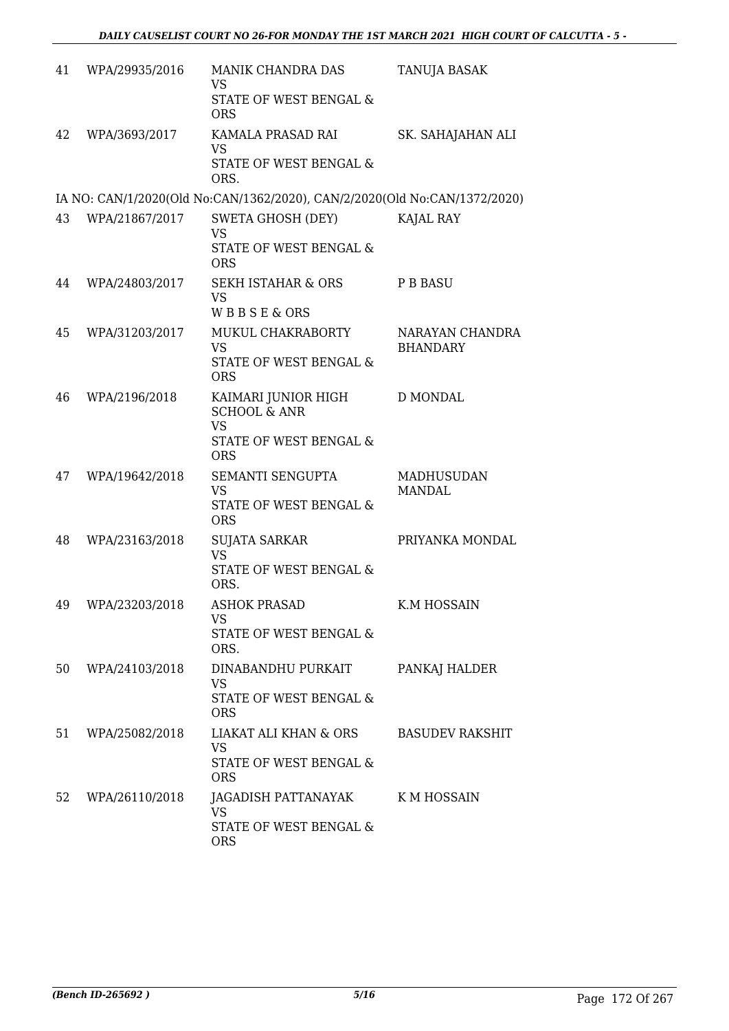| 41 | WPA/29935/2016 | MANIK CHANDRA DAS<br><b>VS</b><br>STATE OF WEST BENGAL &<br><b>ORS</b>                              | TANUJA BASAK                       |
|----|----------------|-----------------------------------------------------------------------------------------------------|------------------------------------|
| 42 | WPA/3693/2017  | KAMALA PRASAD RAI<br><b>VS</b><br>STATE OF WEST BENGAL &<br>ORS.                                    | SK. SAHAJAHAN ALI                  |
|    |                | IA NO: CAN/1/2020(Old No:CAN/1362/2020), CAN/2/2020(Old No:CAN/1372/2020)                           |                                    |
| 43 | WPA/21867/2017 | SWETA GHOSH (DEY)<br><b>VS</b><br>STATE OF WEST BENGAL &<br><b>ORS</b>                              | KAJAL RAY                          |
| 44 | WPA/24803/2017 | <b>SEKH ISTAHAR &amp; ORS</b><br><b>VS</b><br><b>WBBSE&amp;ORS</b>                                  | <b>P B BASU</b>                    |
| 45 | WPA/31203/2017 | MUKUL CHAKRABORTY<br><b>VS</b><br><b>STATE OF WEST BENGAL &amp;</b><br><b>ORS</b>                   | NARAYAN CHANDRA<br><b>BHANDARY</b> |
| 46 | WPA/2196/2018  | KAIMARI JUNIOR HIGH<br><b>SCHOOL &amp; ANR</b><br><b>VS</b><br>STATE OF WEST BENGAL &<br><b>ORS</b> | <b>D MONDAL</b>                    |
| 47 | WPA/19642/2018 | SEMANTI SENGUPTA<br><b>VS</b><br>STATE OF WEST BENGAL &<br><b>ORS</b>                               | <b>MADHUSUDAN</b><br><b>MANDAL</b> |
| 48 | WPA/23163/2018 | SUJATA SARKAR<br><b>VS</b><br>STATE OF WEST BENGAL &<br>ORS.                                        | PRIYANKA MONDAL                    |
| 49 | WPA/23203/2018 | <b>ASHOK PRASAD</b><br>VS<br>STATE OF WEST BENGAL &<br>ORS.                                         | K.M HOSSAIN                        |
| 50 | WPA/24103/2018 | DINABANDHU PURKAIT<br><b>VS</b><br>STATE OF WEST BENGAL &<br><b>ORS</b>                             | PANKAJ HALDER                      |
| 51 | WPA/25082/2018 | LIAKAT ALI KHAN & ORS<br><b>VS</b><br>STATE OF WEST BENGAL &<br><b>ORS</b>                          | <b>BASUDEV RAKSHIT</b>             |
| 52 | WPA/26110/2018 | JAGADISH PATTANAYAK<br>VS<br>STATE OF WEST BENGAL &<br><b>ORS</b>                                   | K M HOSSAIN                        |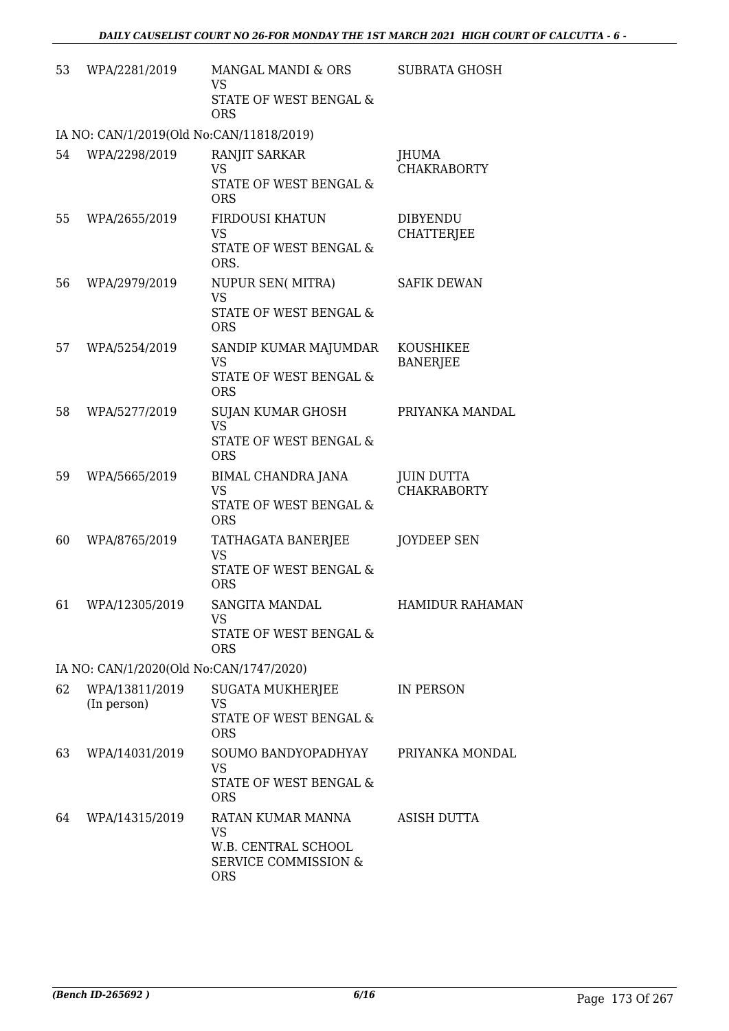| 53 | WPA/2281/2019                            | MANGAL MANDI & ORS<br><b>VS</b><br>STATE OF WEST BENGAL &                                              | <b>SUBRATA GHOSH</b>                    |
|----|------------------------------------------|--------------------------------------------------------------------------------------------------------|-----------------------------------------|
|    |                                          | <b>ORS</b>                                                                                             |                                         |
|    | IA NO: CAN/1/2019(Old No:CAN/11818/2019) |                                                                                                        |                                         |
| 54 | WPA/2298/2019                            | RANJIT SARKAR<br>VS<br>STATE OF WEST BENGAL &<br><b>ORS</b>                                            | JHUMA<br><b>CHAKRABORTY</b>             |
| 55 | WPA/2655/2019                            | <b>FIRDOUSI KHATUN</b><br><b>VS</b><br>STATE OF WEST BENGAL &<br>ORS.                                  | <b>DIBYENDU</b><br><b>CHATTERJEE</b>    |
| 56 | WPA/2979/2019                            | NUPUR SEN(MITRA)<br><b>VS</b><br>STATE OF WEST BENGAL &                                                | <b>SAFIK DEWAN</b>                      |
|    |                                          | <b>ORS</b>                                                                                             |                                         |
| 57 | WPA/5254/2019                            | SANDIP KUMAR MAJUMDAR<br><b>VS</b><br>STATE OF WEST BENGAL &<br><b>ORS</b>                             | KOUSHIKEE<br><b>BANERJEE</b>            |
| 58 | WPA/5277/2019                            | <b>SUJAN KUMAR GHOSH</b>                                                                               | PRIYANKA MANDAL                         |
|    |                                          | <b>VS</b><br>STATE OF WEST BENGAL &<br><b>ORS</b>                                                      |                                         |
| 59 | WPA/5665/2019                            | BIMAL CHANDRA JANA<br><b>VS</b><br>STATE OF WEST BENGAL &<br><b>ORS</b>                                | <b>JUIN DUTTA</b><br><b>CHAKRABORTY</b> |
| 60 | WPA/8765/2019                            | TATHAGATA BANERJEE<br><b>VS</b><br>STATE OF WEST BENGAL &                                              | <b>JOYDEEP SEN</b>                      |
|    |                                          | <b>ORS</b>                                                                                             |                                         |
| 61 | WPA/12305/2019                           | SANGITA MANDAL<br>VS<br>STATE OF WEST BENGAL &<br><b>ORS</b>                                           | <b>HAMIDUR RAHAMAN</b>                  |
|    | IA NO: CAN/1/2020(Old No:CAN/1747/2020)  |                                                                                                        |                                         |
| 62 | WPA/13811/2019<br>(In person)            | SUGATA MUKHERJEE<br><b>VS</b><br>STATE OF WEST BENGAL &<br><b>ORS</b>                                  | <b>IN PERSON</b>                        |
| 63 | WPA/14031/2019                           | SOUMO BANDYOPADHYAY<br><b>VS</b><br>STATE OF WEST BENGAL &<br><b>ORS</b>                               | PRIYANKA MONDAL                         |
| 64 | WPA/14315/2019                           | RATAN KUMAR MANNA<br><b>VS</b><br>W.B. CENTRAL SCHOOL<br><b>SERVICE COMMISSION &amp;</b><br><b>ORS</b> | <b>ASISH DUTTA</b>                      |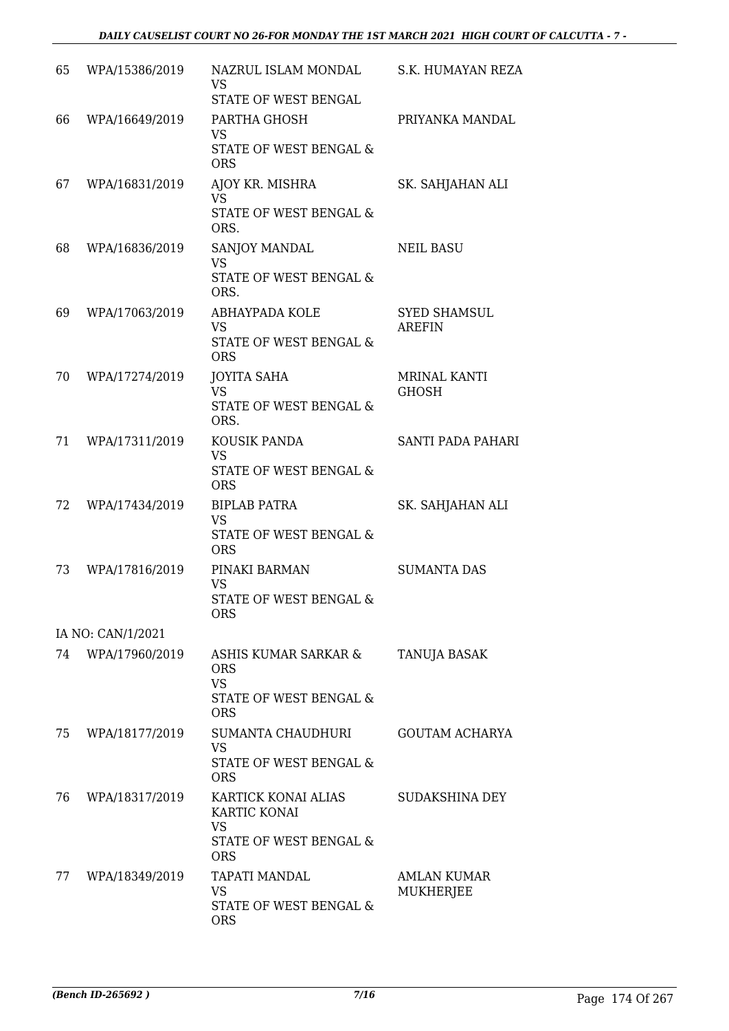| 65 | WPA/15386/2019    | NAZRUL ISLAM MONDAL<br>VS<br>STATE OF WEST BENGAL                                        | S.K. HUMAYAN REZA                    |
|----|-------------------|------------------------------------------------------------------------------------------|--------------------------------------|
| 66 | WPA/16649/2019    | PARTHA GHOSH<br><b>VS</b><br>STATE OF WEST BENGAL &<br><b>ORS</b>                        | PRIYANKA MANDAL                      |
| 67 | WPA/16831/2019    | AJOY KR. MISHRA<br><b>VS</b><br>STATE OF WEST BENGAL &<br>ORS.                           | SK. SAHJAHAN ALI                     |
| 68 | WPA/16836/2019    | SANJOY MANDAL<br><b>VS</b><br>STATE OF WEST BENGAL &<br>ORS.                             | <b>NEIL BASU</b>                     |
| 69 | WPA/17063/2019    | ABHAYPADA KOLE<br><b>VS</b><br>STATE OF WEST BENGAL &<br><b>ORS</b>                      | <b>SYED SHAMSUL</b><br><b>AREFIN</b> |
| 70 | WPA/17274/2019    | <b>JOYITA SAHA</b><br><b>VS</b><br>STATE OF WEST BENGAL &<br>ORS.                        | MRINAL KANTI<br><b>GHOSH</b>         |
| 71 | WPA/17311/2019    | KOUSIK PANDA<br><b>VS</b><br>STATE OF WEST BENGAL &<br><b>ORS</b>                        | SANTI PADA PAHARI                    |
| 72 | WPA/17434/2019    | <b>BIPLAB PATRA</b><br><b>VS</b><br>STATE OF WEST BENGAL &<br><b>ORS</b>                 | SK. SAHJAHAN ALI                     |
| 73 | WPA/17816/2019    | PINAKI BARMAN<br><b>VS</b><br>STATE OF WEST BENGAL &<br><b>ORS</b>                       | <b>SUMANTA DAS</b>                   |
|    | IA NO: CAN/1/2021 |                                                                                          |                                      |
| 74 | WPA/17960/2019    | ASHIS KUMAR SARKAR &<br><b>ORS</b><br><b>VS</b><br>STATE OF WEST BENGAL &<br><b>ORS</b>  | TANUJA BASAK                         |
| 75 | WPA/18177/2019    | SUMANTA CHAUDHURI<br><b>VS</b><br>STATE OF WEST BENGAL &<br><b>ORS</b>                   | <b>GOUTAM ACHARYA</b>                |
| 76 | WPA/18317/2019    | KARTICK KONAI ALIAS<br>KARTIC KONAI<br><b>VS</b><br>STATE OF WEST BENGAL &<br><b>ORS</b> | <b>SUDAKSHINA DEY</b>                |
| 77 | WPA/18349/2019    | TAPATI MANDAL<br><b>VS</b><br>STATE OF WEST BENGAL &<br><b>ORS</b>                       | <b>AMLAN KUMAR</b><br>MUKHERJEE      |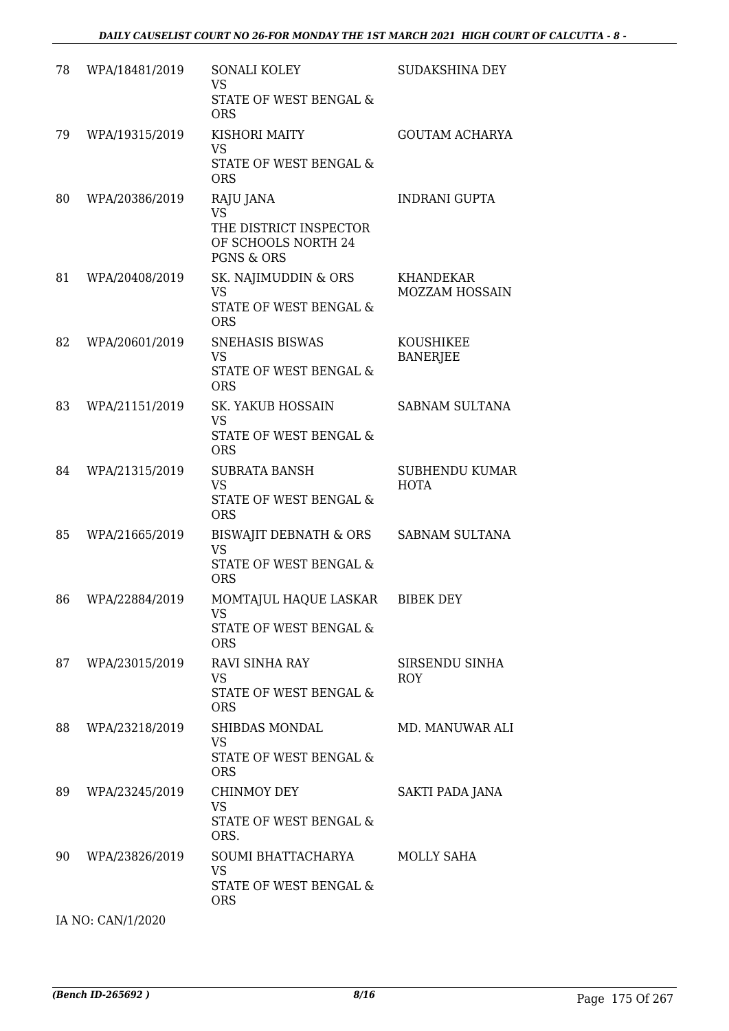| 78 | WPA/18481/2019 | SONALI KOLEY<br><b>VS</b><br>STATE OF WEST BENGAL &<br><b>ORS</b>                                | <b>SUDAKSHINA DEY</b>                     |
|----|----------------|--------------------------------------------------------------------------------------------------|-------------------------------------------|
| 79 | WPA/19315/2019 | KISHORI MAITY<br><b>VS</b><br>STATE OF WEST BENGAL &<br><b>ORS</b>                               | <b>GOUTAM ACHARYA</b>                     |
| 80 | WPA/20386/2019 | RAJU JANA<br><b>VS</b><br>THE DISTRICT INSPECTOR<br>OF SCHOOLS NORTH 24<br><b>PGNS &amp; ORS</b> | <b>INDRANI GUPTA</b>                      |
| 81 | WPA/20408/2019 | SK. NAJIMUDDIN & ORS<br><b>VS</b><br><b>STATE OF WEST BENGAL &amp;</b><br><b>ORS</b>             | <b>KHANDEKAR</b><br><b>MOZZAM HOSSAIN</b> |
| 82 | WPA/20601/2019 | SNEHASIS BISWAS<br><b>VS</b><br><b>STATE OF WEST BENGAL &amp;</b><br><b>ORS</b>                  | KOUSHIKEE<br><b>BANERJEE</b>              |
| 83 | WPA/21151/2019 | <b>SK. YAKUB HOSSAIN</b><br><b>VS</b><br>STATE OF WEST BENGAL &<br><b>ORS</b>                    | <b>SABNAM SULTANA</b>                     |
| 84 | WPA/21315/2019 | <b>SUBRATA BANSH</b><br><b>VS</b><br>STATE OF WEST BENGAL &<br><b>ORS</b>                        | <b>SUBHENDU KUMAR</b><br><b>HOTA</b>      |
| 85 | WPA/21665/2019 | <b>BISWAJIT DEBNATH &amp; ORS</b><br><b>VS</b><br>STATE OF WEST BENGAL &<br><b>ORS</b>           | SABNAM SULTANA                            |
| 86 | WPA/22884/2019 | MOMTAJUL HAQUE LASKAR<br><b>VS</b><br>STATE OF WEST BENGAL &<br><b>ORS</b>                       | <b>BIBEK DEY</b>                          |
| 87 | WPA/23015/2019 | <b>RAVI SINHA RAY</b><br>VS<br><b>STATE OF WEST BENGAL &amp;</b><br><b>ORS</b>                   | SIRSENDU SINHA<br><b>ROY</b>              |
| 88 | WPA/23218/2019 | SHIBDAS MONDAL<br><b>VS</b><br>STATE OF WEST BENGAL &<br><b>ORS</b>                              | MD. MANUWAR ALI                           |
| 89 | WPA/23245/2019 | <b>CHINMOY DEY</b><br><b>VS</b><br>STATE OF WEST BENGAL &<br>ORS.                                | SAKTI PADA JANA                           |
| 90 | WPA/23826/2019 | SOUMI BHATTACHARYA<br><b>VS</b><br>STATE OF WEST BENGAL &<br><b>ORS</b>                          | MOLLY SAHA                                |

IA NO: CAN/1/2020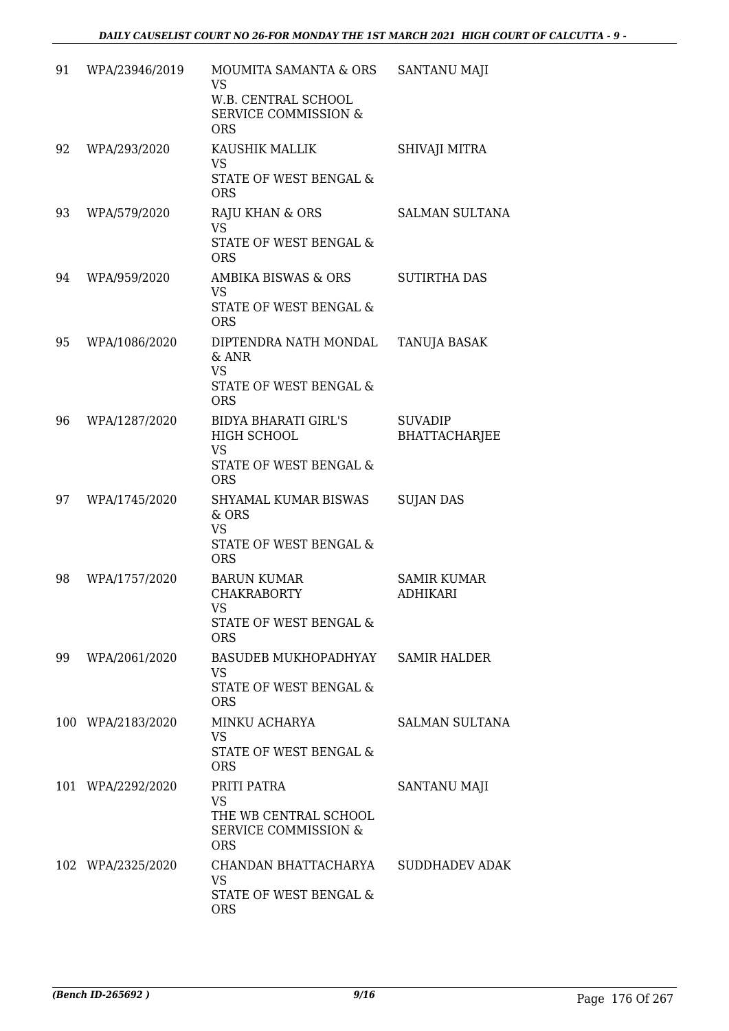| 91 | WPA/23946/2019    | MOUMITA SAMANTA & ORS<br><b>VS</b><br>W.B. CENTRAL SCHOOL<br><b>SERVICE COMMISSION &amp;</b><br><b>ORS</b> | <b>SANTANU MAJI</b>                    |
|----|-------------------|------------------------------------------------------------------------------------------------------------|----------------------------------------|
| 92 | WPA/293/2020      | KAUSHIK MALLIK<br><b>VS</b><br>STATE OF WEST BENGAL &<br><b>ORS</b>                                        | SHIVAJI MITRA                          |
| 93 | WPA/579/2020      | <b>RAJU KHAN &amp; ORS</b><br><b>VS</b><br>STATE OF WEST BENGAL &<br><b>ORS</b>                            | <b>SALMAN SULTANA</b>                  |
| 94 | WPA/959/2020      | AMBIKA BISWAS & ORS<br><b>VS</b><br>STATE OF WEST BENGAL &<br><b>ORS</b>                                   | <b>SUTIRTHA DAS</b>                    |
| 95 | WPA/1086/2020     | DIPTENDRA NATH MONDAL<br>& ANR<br><b>VS</b><br><b>STATE OF WEST BENGAL &amp;</b><br><b>ORS</b>             | TANUJA BASAK                           |
| 96 | WPA/1287/2020     | <b>BIDYA BHARATI GIRL'S</b><br>HIGH SCHOOL<br><b>VS</b><br>STATE OF WEST BENGAL &<br><b>ORS</b>            | <b>SUVADIP</b><br><b>BHATTACHARJEE</b> |
| 97 | WPA/1745/2020     | SHYAMAL KUMAR BISWAS<br>& ORS<br><b>VS</b><br>STATE OF WEST BENGAL &<br><b>ORS</b>                         | <b>SUJAN DAS</b>                       |
| 98 | WPA/1757/2020     | <b>BARUN KUMAR</b><br><b>CHAKRABORTY</b><br>VS<br><b>STATE OF WEST BENGAL &amp;</b><br><b>ORS</b>          | <b>SAMIR KUMAR</b><br><b>ADHIKARI</b>  |
| 99 | WPA/2061/2020     | BASUDEB MUKHOPADHYAY SAMIR HALDER<br><b>VS</b><br>STATE OF WEST BENGAL &<br><b>ORS</b>                     |                                        |
|    | 100 WPA/2183/2020 | MINKU ACHARYA<br><b>VS</b><br>STATE OF WEST BENGAL &<br><b>ORS</b>                                         | SALMAN SULTANA                         |
|    | 101 WPA/2292/2020 | PRITI PATRA<br><b>VS</b><br>THE WB CENTRAL SCHOOL<br><b>SERVICE COMMISSION &amp;</b><br><b>ORS</b>         | SANTANU MAJI                           |
|    | 102 WPA/2325/2020 | CHANDAN BHATTACHARYA<br><b>VS</b><br>STATE OF WEST BENGAL &<br><b>ORS</b>                                  | SUDDHADEV ADAK                         |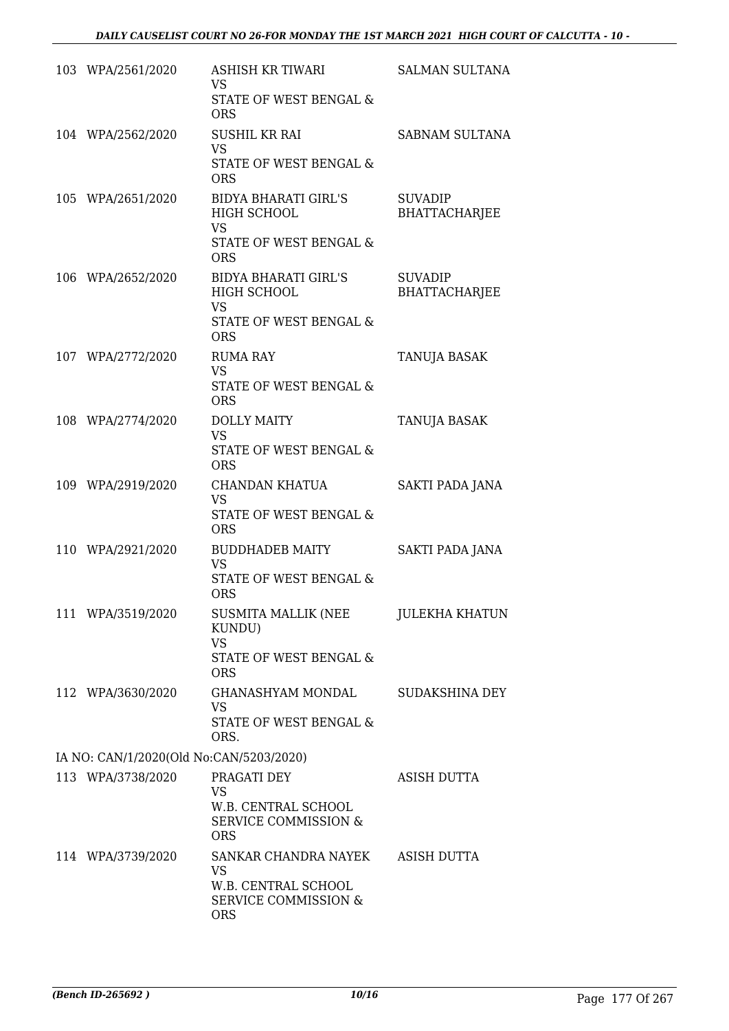| 103 WPA/2561/2020                       | <b>ASHISH KR TIWARI</b><br><b>VS</b><br>STATE OF WEST BENGAL &       | <b>SALMAN SULTANA</b>                  |
|-----------------------------------------|----------------------------------------------------------------------|----------------------------------------|
|                                         | <b>ORS</b>                                                           |                                        |
| 104 WPA/2562/2020                       | <b>SUSHIL KR RAI</b><br><b>VS</b>                                    | <b>SABNAM SULTANA</b>                  |
|                                         | STATE OF WEST BENGAL &<br><b>ORS</b>                                 |                                        |
| 105 WPA/2651/2020                       | <b>BIDYA BHARATI GIRL'S</b><br>HIGH SCHOOL                           | <b>SUVADIP</b><br><b>BHATTACHARJEE</b> |
|                                         | <b>VS</b>                                                            |                                        |
|                                         | STATE OF WEST BENGAL &<br><b>ORS</b>                                 |                                        |
| 106 WPA/2652/2020                       | <b>BIDYA BHARATI GIRL'S</b><br>HIGH SCHOOL<br><b>VS</b>              | <b>SUVADIP</b><br><b>BHATTACHARJEE</b> |
|                                         | STATE OF WEST BENGAL &<br><b>ORS</b>                                 |                                        |
| 107 WPA/2772/2020                       | <b>RUMA RAY</b><br><b>VS</b>                                         | <b>TANUJA BASAK</b>                    |
|                                         | STATE OF WEST BENGAL &<br><b>ORS</b>                                 |                                        |
| 108 WPA/2774/2020                       | <b>DOLLY MAITY</b><br><b>VS</b>                                      | TANUJA BASAK                           |
|                                         | STATE OF WEST BENGAL &<br><b>ORS</b>                                 |                                        |
| 109 WPA/2919/2020                       | CHANDAN KHATUA<br><b>VS</b>                                          | SAKTI PADA JANA                        |
|                                         | STATE OF WEST BENGAL &<br><b>ORS</b>                                 |                                        |
| 110 WPA/2921/2020                       | <b>BUDDHADEB MAITY</b><br><b>VS</b>                                  | SAKTI PADA JANA                        |
|                                         | STATE OF WEST BENGAL &<br><b>ORS</b>                                 |                                        |
| 111 WPA/3519/2020                       | SUSMITA MALLIK (NEE<br>KUNDU)<br><b>VS</b>                           | <b>JULEKHA KHATUN</b>                  |
|                                         | STATE OF WEST BENGAL &<br><b>ORS</b>                                 |                                        |
| 112 WPA/3630/2020                       | GHANASHYAM MONDAL                                                    | <b>SUDAKSHINA DEY</b>                  |
|                                         | <b>VS</b><br>STATE OF WEST BENGAL &<br>ORS.                          |                                        |
| IA NO: CAN/1/2020(Old No:CAN/5203/2020) |                                                                      |                                        |
| 113 WPA/3738/2020                       | PRAGATI DEY<br><b>VS</b>                                             | <b>ASISH DUTTA</b>                     |
|                                         | W.B. CENTRAL SCHOOL<br><b>SERVICE COMMISSION &amp;</b><br><b>ORS</b> |                                        |
| 114 WPA/3739/2020                       | SANKAR CHANDRA NAYEK<br><b>VS</b>                                    | ASISH DUTTA                            |
|                                         | W.B. CENTRAL SCHOOL<br><b>SERVICE COMMISSION &amp;</b><br><b>ORS</b> |                                        |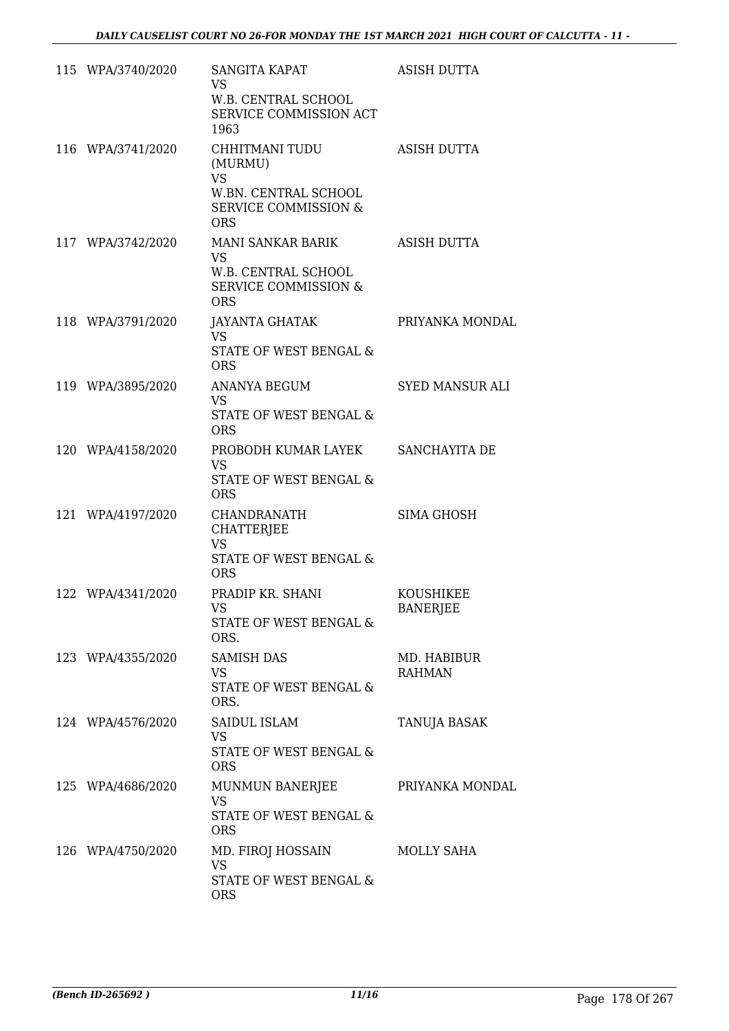| 115 WPA/3740/2020 | SANGITA KAPAT<br><b>VS</b><br>W.B. CENTRAL SCHOOL<br>SERVICE COMMISSION ACT<br>1963                             | <b>ASISH DUTTA</b>           |
|-------------------|-----------------------------------------------------------------------------------------------------------------|------------------------------|
| 116 WPA/3741/2020 | CHHITMANI TUDU<br>(MURMU)<br><b>VS</b><br>W.BN. CENTRAL SCHOOL<br><b>SERVICE COMMISSION &amp;</b><br><b>ORS</b> | <b>ASISH DUTTA</b>           |
| 117 WPA/3742/2020 | MANI SANKAR BARIK<br><b>VS</b><br>W.B. CENTRAL SCHOOL<br><b>SERVICE COMMISSION &amp;</b><br><b>ORS</b>          | ASISH DUTTA                  |
| 118 WPA/3791/2020 | <b>JAYANTA GHATAK</b><br>VS<br><b>STATE OF WEST BENGAL &amp;</b><br><b>ORS</b>                                  | PRIYANKA MONDAL              |
| 119 WPA/3895/2020 | <b>ANANYA BEGUM</b><br><b>VS</b><br>STATE OF WEST BENGAL &<br><b>ORS</b>                                        | <b>SYED MANSUR ALI</b>       |
| 120 WPA/4158/2020 | PROBODH KUMAR LAYEK<br>VS<br>STATE OF WEST BENGAL &<br><b>ORS</b>                                               | SANCHAYITA DE                |
| 121 WPA/4197/2020 | CHANDRANATH<br><b>CHATTERJEE</b><br><b>VS</b><br>STATE OF WEST BENGAL &<br><b>ORS</b>                           | <b>SIMA GHOSH</b>            |
| 122 WPA/4341/2020 | PRADIP KR. SHANI<br><b>VS</b><br>STATE OF WEST BENGAL &<br>ORS.                                                 | KOUSHIKEE<br><b>BANERJEE</b> |
| 123 WPA/4355/2020 | <b>SAMISH DAS</b><br><b>VS</b><br>STATE OF WEST BENGAL &<br>ORS.                                                | MD. HABIBUR<br><b>RAHMAN</b> |
| 124 WPA/4576/2020 | <b>SAIDUL ISLAM</b><br>VS<br>STATE OF WEST BENGAL &<br><b>ORS</b>                                               | TANUJA BASAK                 |
| 125 WPA/4686/2020 | MUNMUN BANERJEE<br>VS<br>STATE OF WEST BENGAL &<br><b>ORS</b>                                                   | PRIYANKA MONDAL              |
| 126 WPA/4750/2020 | MD. FIROJ HOSSAIN<br><b>VS</b><br>STATE OF WEST BENGAL &<br><b>ORS</b>                                          | MOLLY SAHA                   |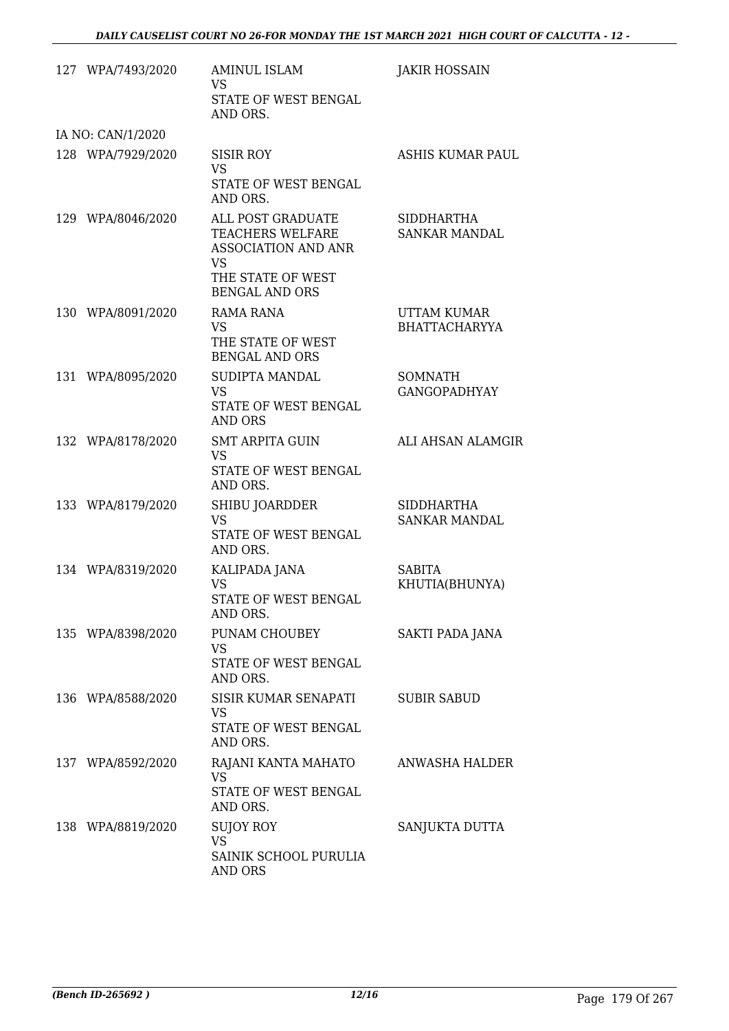| 127 WPA/7493/2020 | <b>AMINUL ISLAM</b><br><b>VS</b><br>STATE OF WEST BENGAL<br>AND ORS.                                                    | <b>JAKIR HOSSAIN</b>                      |
|-------------------|-------------------------------------------------------------------------------------------------------------------------|-------------------------------------------|
| IA NO: CAN/1/2020 |                                                                                                                         |                                           |
| 128 WPA/7929/2020 | SISIR ROY<br><b>VS</b><br>STATE OF WEST BENGAL<br>AND ORS.                                                              | ASHIS KUMAR PAUL                          |
| 129 WPA/8046/2020 | ALL POST GRADUATE<br>TEACHERS WELFARE<br><b>ASSOCIATION AND ANR</b><br>VS<br>THE STATE OF WEST<br><b>BENGAL AND ORS</b> | <b>SIDDHARTHA</b><br><b>SANKAR MANDAL</b> |
| 130 WPA/8091/2020 | <b>RAMA RANA</b><br><b>VS</b><br>THE STATE OF WEST<br><b>BENGAL AND ORS</b>                                             | UTTAM KUMAR<br><b>BHATTACHARYYA</b>       |
| 131 WPA/8095/2020 | SUDIPTA MANDAL<br><b>VS</b><br>STATE OF WEST BENGAL<br><b>AND ORS</b>                                                   | SOMNATH<br><b>GANGOPADHYAY</b>            |
| 132 WPA/8178/2020 | <b>SMT ARPITA GUIN</b><br><b>VS</b><br>STATE OF WEST BENGAL<br>AND ORS.                                                 | ALI AHSAN ALAMGIR                         |
| 133 WPA/8179/2020 | SHIBU JOARDDER<br><b>VS</b><br>STATE OF WEST BENGAL<br>AND ORS.                                                         | <b>SIDDHARTHA</b><br><b>SANKAR MANDAL</b> |
| 134 WPA/8319/2020 | KALIPADA JANA<br>VS<br>STATE OF WEST BENGAL<br>AND ORS.                                                                 | SABITA<br>KHUTIA(BHUNYA)                  |
| 135 WPA/8398/2020 | PUNAM CHOUBEY<br>VS<br>STATE OF WEST BENGAL<br>AND ORS.                                                                 | SAKTI PADA JANA                           |
| 136 WPA/8588/2020 | SISIR KUMAR SENAPATI<br>VS<br>STATE OF WEST BENGAL<br>AND ORS.                                                          | <b>SUBIR SABUD</b>                        |
| 137 WPA/8592/2020 | RAJANI KANTA MAHATO<br><b>VS</b><br>STATE OF WEST BENGAL<br>AND ORS.                                                    | ANWASHA HALDER                            |
| 138 WPA/8819/2020 | SUJOY ROY<br><b>VS</b><br>SAINIK SCHOOL PURULIA<br>AND ORS                                                              | SANJUKTA DUTTA                            |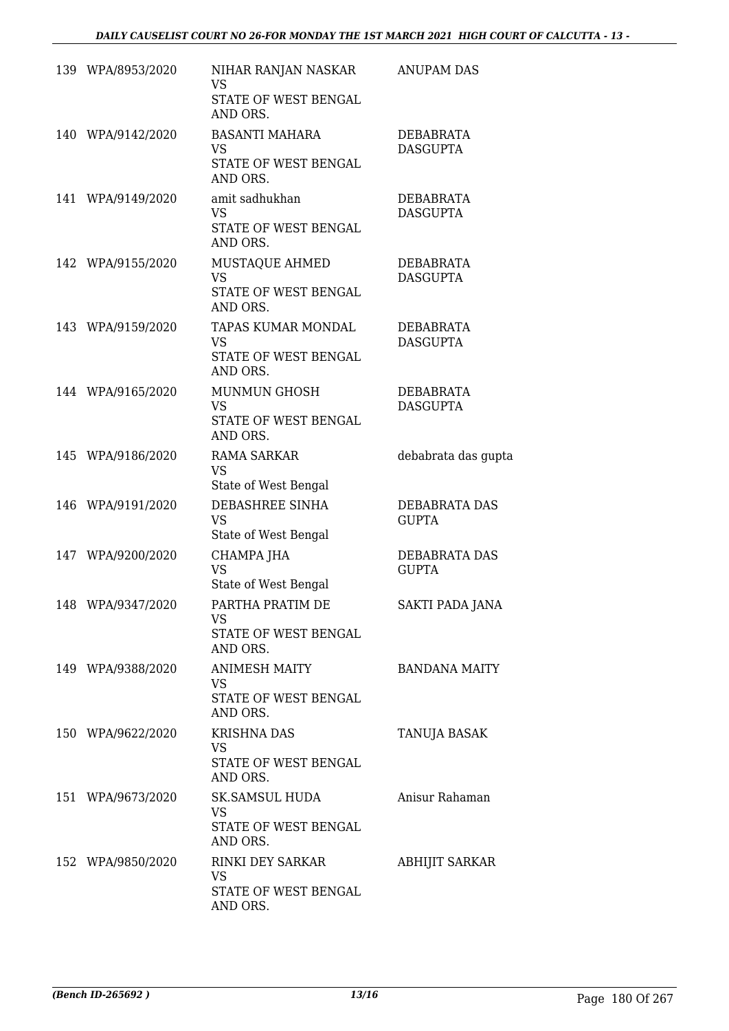| 139 WPA/8953/2020 | NIHAR RANJAN NASKAR<br>VS<br>STATE OF WEST BENGAL<br>AND ORS.         | <b>ANUPAM DAS</b>                   |
|-------------------|-----------------------------------------------------------------------|-------------------------------------|
| 140 WPA/9142/2020 | <b>BASANTI MAHARA</b><br>VS.<br>STATE OF WEST BENGAL<br>AND ORS.      | <b>DEBABRATA</b><br><b>DASGUPTA</b> |
| 141 WPA/9149/2020 | amit sadhukhan<br><b>VS</b><br>STATE OF WEST BENGAL<br>AND ORS.       | DEBABRATA<br><b>DASGUPTA</b>        |
| 142 WPA/9155/2020 | MUSTAQUE AHMED<br><b>VS</b><br>STATE OF WEST BENGAL<br>AND ORS.       | DEBABRATA<br><b>DASGUPTA</b>        |
| 143 WPA/9159/2020 | TAPAS KUMAR MONDAL<br><b>VS</b><br>STATE OF WEST BENGAL<br>AND ORS.   | <b>DEBABRATA</b><br><b>DASGUPTA</b> |
| 144 WPA/9165/2020 | <b>MUNMUN GHOSH</b><br><b>VS</b><br>STATE OF WEST BENGAL<br>AND ORS.  | <b>DEBABRATA</b><br><b>DASGUPTA</b> |
| 145 WPA/9186/2020 | <b>RAMA SARKAR</b><br><b>VS</b><br>State of West Bengal               | debabrata das gupta                 |
| 146 WPA/9191/2020 | DEBASHREE SINHA<br><b>VS</b><br>State of West Bengal                  | DEBABRATA DAS<br><b>GUPTA</b>       |
| 147 WPA/9200/2020 | CHAMPA JHA<br><b>VS</b><br>State of West Bengal                       | DEBABRATA DAS<br><b>GUPTA</b>       |
| 148 WPA/9347/2020 | PARTHA PRATIM DE<br><b>VS</b><br>STATE OF WEST BENGAL<br>AND ORS.     | <b>SAKTI PADA JANA</b>              |
| 149 WPA/9388/2020 | <b>ANIMESH MAITY</b><br><b>VS</b><br>STATE OF WEST BENGAL<br>AND ORS. | <b>BANDANA MAITY</b>                |
| 150 WPA/9622/2020 | <b>KRISHNA DAS</b><br><b>VS</b><br>STATE OF WEST BENGAL<br>AND ORS.   | TANUJA BASAK                        |
| 151 WPA/9673/2020 | SK.SAMSUL HUDA<br>VS<br>STATE OF WEST BENGAL<br>AND ORS.              | Anisur Rahaman                      |
| 152 WPA/9850/2020 | RINKI DEY SARKAR<br>VS.<br>STATE OF WEST BENGAL<br>AND ORS.           | <b>ABHIJIT SARKAR</b>               |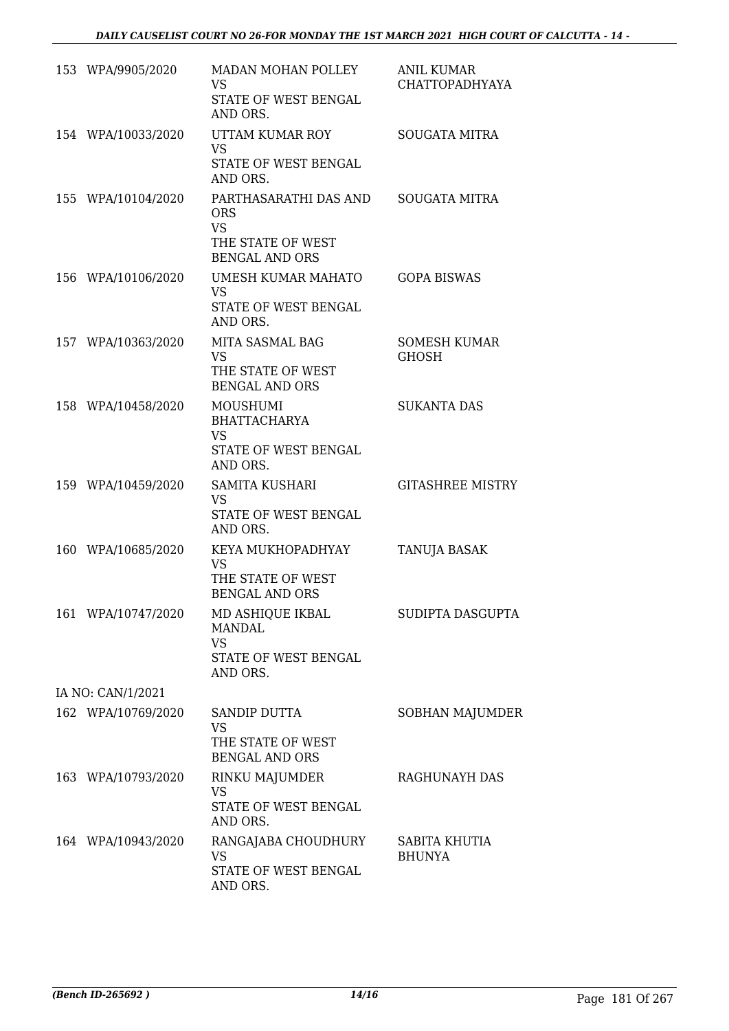| 153 WPA/9905/2020  | MADAN MOHAN POLLEY<br><b>VS</b><br>STATE OF WEST BENGAL                                                     | <b>ANIL KUMAR</b><br><b>CHATTOPADHYAYA</b> |
|--------------------|-------------------------------------------------------------------------------------------------------------|--------------------------------------------|
|                    | AND ORS.                                                                                                    |                                            |
| 154 WPA/10033/2020 | UTTAM KUMAR ROY<br><b>VS</b>                                                                                | <b>SOUGATA MITRA</b>                       |
|                    | STATE OF WEST BENGAL<br>AND ORS.                                                                            |                                            |
| 155 WPA/10104/2020 | PARTHASARATHI DAS AND<br><b>ORS</b><br><b>VS</b><br>THE STATE OF WEST                                       | <b>SOUGATA MITRA</b>                       |
|                    | <b>BENGAL AND ORS</b>                                                                                       |                                            |
| 156 WPA/10106/2020 | <b>UMESH KUMAR MAHATO</b><br><b>VS</b><br>STATE OF WEST BENGAL<br>AND ORS.                                  | <b>GOPA BISWAS</b>                         |
| 157 WPA/10363/2020 | MITA SASMAL BAG<br><b>VS</b><br>THE STATE OF WEST<br><b>BENGAL AND ORS</b>                                  | <b>SOMESH KUMAR</b><br><b>GHOSH</b>        |
| 158 WPA/10458/2020 | <b>MOUSHUMI</b><br><b>BHATTACHARYA</b><br><b>VS</b>                                                         | <b>SUKANTA DAS</b>                         |
|                    | STATE OF WEST BENGAL<br>AND ORS.                                                                            |                                            |
| 159 WPA/10459/2020 | <b>SAMITA KUSHARI</b><br><b>VS</b>                                                                          | <b>GITASHREE MISTRY</b>                    |
|                    | STATE OF WEST BENGAL<br>AND ORS.                                                                            |                                            |
| 160 WPA/10685/2020 | KEYA MUKHOPADHYAY<br><b>VS</b><br>THE STATE OF WEST                                                         | TANUJA BASAK                               |
| 161 WPA/10747/2020 | <b>BENGAL AND ORS</b><br>MD ASHIQUE IKBAL<br><b>MANDAL</b><br><b>VS</b><br>STATE OF WEST BENGAL<br>AND ORS. | SUDIPTA DASGUPTA                           |
| IA NO: CAN/1/2021  |                                                                                                             |                                            |
| 162 WPA/10769/2020 | <b>SANDIP DUTTA</b><br><b>VS</b><br>THE STATE OF WEST<br><b>BENGAL AND ORS</b>                              | <b>SOBHAN MAJUMDER</b>                     |
| 163 WPA/10793/2020 | RINKU MAJUMDER<br><b>VS</b><br>STATE OF WEST BENGAL                                                         | RAGHUNAYH DAS                              |
| 164 WPA/10943/2020 | AND ORS.<br>RANGAJABA CHOUDHURY<br><b>VS</b><br>STATE OF WEST BENGAL<br>AND ORS.                            | SABITA KHUTIA<br><b>BHUNYA</b>             |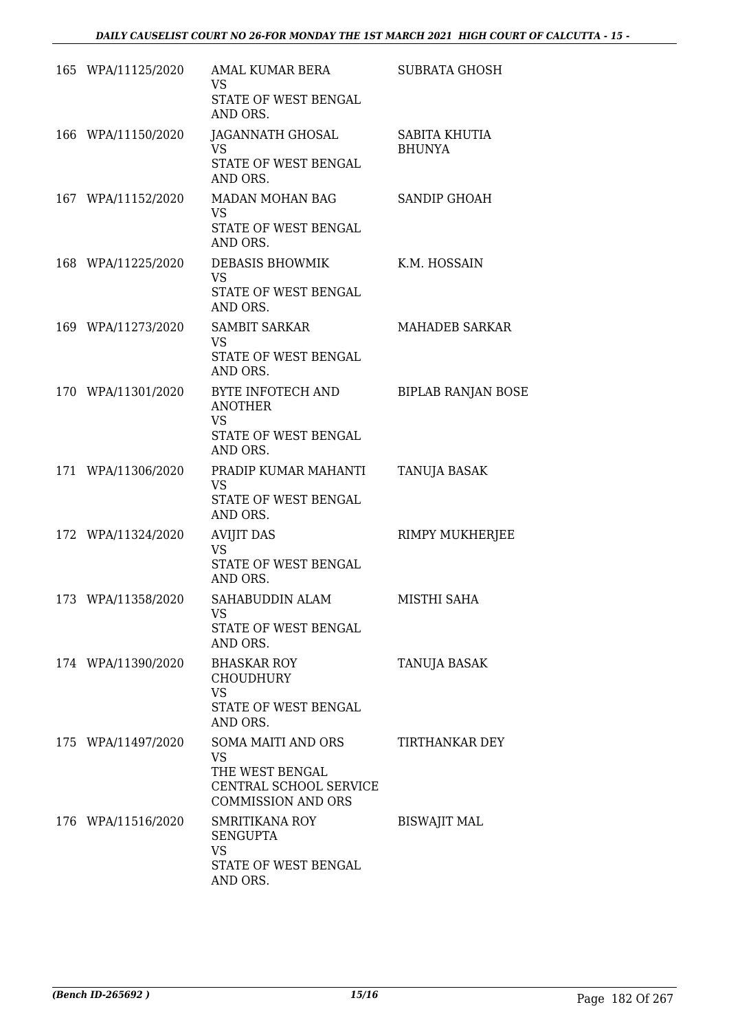| 165 WPA/11125/2020 | AMAL KUMAR BERA<br>VS<br>STATE OF WEST BENGAL<br>AND ORS.                                                        | <b>SUBRATA GHOSH</b>                  |
|--------------------|------------------------------------------------------------------------------------------------------------------|---------------------------------------|
| 166 WPA/11150/2020 | JAGANNATH GHOSAL<br><b>VS</b><br>STATE OF WEST BENGAL<br>AND ORS.                                                | <b>SABITA KHUTIA</b><br><b>BHUNYA</b> |
| 167 WPA/11152/2020 | MADAN MOHAN BAG<br><b>VS</b><br>STATE OF WEST BENGAL<br>AND ORS.                                                 | SANDIP GHOAH                          |
| 168 WPA/11225/2020 | DEBASIS BHOWMIK<br><b>VS</b><br>STATE OF WEST BENGAL<br>AND ORS.                                                 | K.M. HOSSAIN                          |
| 169 WPA/11273/2020 | <b>SAMBIT SARKAR</b><br><b>VS</b><br>STATE OF WEST BENGAL<br>AND ORS.                                            | <b>MAHADEB SARKAR</b>                 |
| 170 WPA/11301/2020 | BYTE INFOTECH AND<br><b>ANOTHER</b><br><b>VS</b><br>STATE OF WEST BENGAL<br>AND ORS.                             | <b>BIPLAB RANJAN BOSE</b>             |
| 171 WPA/11306/2020 | PRADIP KUMAR MAHANTI<br><b>VS</b><br>STATE OF WEST BENGAL<br>AND ORS.                                            | TANUJA BASAK                          |
| 172 WPA/11324/2020 | <b>AVIJIT DAS</b><br><b>VS</b><br>STATE OF WEST BENGAL<br>AND ORS.                                               | RIMPY MUKHERJEE                       |
| 173 WPA/11358/2020 | SAHABUDDIN ALAM<br><b>VS</b><br>STATE OF WEST BENGAL<br>AND ORS.                                                 | MISTHI SAHA                           |
| 174 WPA/11390/2020 | <b>BHASKAR ROY</b><br><b>CHOUDHURY</b><br><b>VS</b><br>STATE OF WEST BENGAL<br>AND ORS.                          | TANUJA BASAK                          |
| 175 WPA/11497/2020 | <b>SOMA MAITI AND ORS</b><br><b>VS</b><br>THE WEST BENGAL<br>CENTRAL SCHOOL SERVICE<br><b>COMMISSION AND ORS</b> | TIRTHANKAR DEY                        |
| 176 WPA/11516/2020 | SMRITIKANA ROY<br><b>SENGUPTA</b><br><b>VS</b><br>STATE OF WEST BENGAL<br>AND ORS.                               | <b>BISWAJIT MAL</b>                   |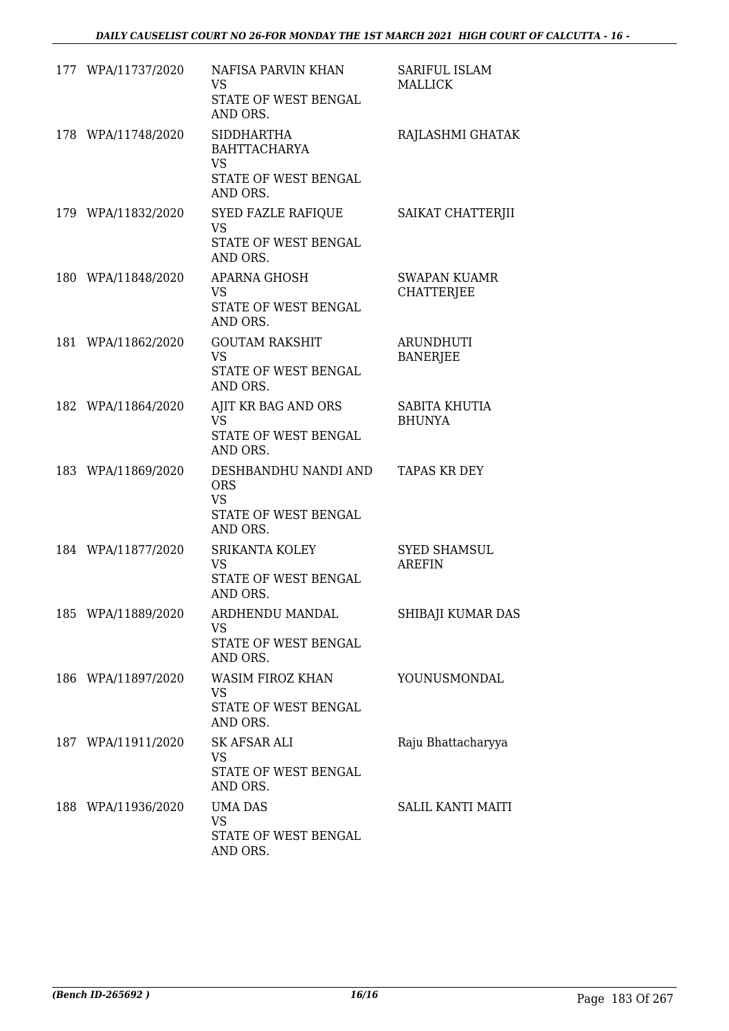| 177 WPA/11737/2020 | NAFISA PARVIN KHAN<br><b>VS</b><br>STATE OF WEST BENGAL<br>AND ORS.                       | SARIFUL ISLAM<br><b>MALLICK</b>          |
|--------------------|-------------------------------------------------------------------------------------------|------------------------------------------|
| 178 WPA/11748/2020 | <b>SIDDHARTHA</b><br><b>BAHTTACHARYA</b><br><b>VS</b><br>STATE OF WEST BENGAL<br>AND ORS. | RAJLASHMI GHATAK                         |
| 179 WPA/11832/2020 | SYED FAZLE RAFIQUE<br><b>VS</b><br>STATE OF WEST BENGAL<br>AND ORS.                       | SAIKAT CHATTERJII                        |
| 180 WPA/11848/2020 | APARNA GHOSH<br><b>VS</b><br>STATE OF WEST BENGAL<br>AND ORS.                             | <b>SWAPAN KUAMR</b><br><b>CHATTERJEE</b> |
| 181 WPA/11862/2020 | <b>GOUTAM RAKSHIT</b><br><b>VS</b><br>STATE OF WEST BENGAL<br>AND ORS.                    | <b>ARUNDHUTI</b><br><b>BANERJEE</b>      |
| 182 WPA/11864/2020 | AJIT KR BAG AND ORS<br><b>VS</b><br>STATE OF WEST BENGAL<br>AND ORS.                      | SABITA KHUTIA<br><b>BHUNYA</b>           |
| 183 WPA/11869/2020 | DESHBANDHU NANDI AND<br><b>ORS</b><br><b>VS</b><br>STATE OF WEST BENGAL<br>AND ORS.       | <b>TAPAS KR DEY</b>                      |
| 184 WPA/11877/2020 | SRIKANTA KOLEY<br><b>VS</b><br>STATE OF WEST BENGAL<br>AND ORS.                           | <b>SYED SHAMSUL</b><br><b>AREFIN</b>     |
| 185 WPA/11889/2020 | ARDHENDU MANDAL<br><b>VS</b><br>STATE OF WEST BENGAL<br>AND ORS.                          | SHIBAJI KUMAR DAS                        |
| 186 WPA/11897/2020 | WASIM FIROZ KHAN<br><b>VS</b><br>STATE OF WEST BENGAL<br>AND ORS.                         | YOUNUSMONDAL                             |
| 187 WPA/11911/2020 | SK AFSAR ALI<br><b>VS</b><br>STATE OF WEST BENGAL<br>AND ORS.                             | Raju Bhattacharyya                       |
| 188 WPA/11936/2020 | <b>UMA DAS</b><br><b>VS</b><br>STATE OF WEST BENGAL<br>AND ORS.                           | <b>SALIL KANTI MAITI</b>                 |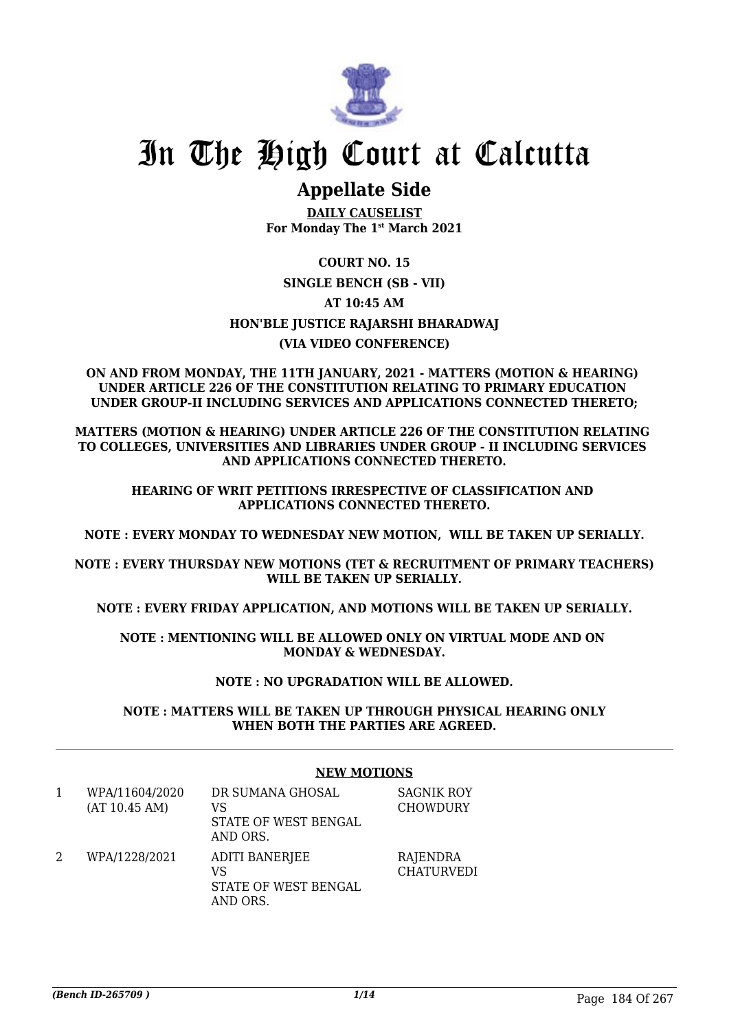

# In The High Court at Calcutta

## **Appellate Side**

**DAILY CAUSELIST For Monday The 1st March 2021**

### **COURT NO. 15 SINGLE BENCH (SB - VII) AT 10:45 AM HON'BLE JUSTICE RAJARSHI BHARADWAJ (VIA VIDEO CONFERENCE)**

#### **ON AND FROM MONDAY, THE 11TH JANUARY, 2021 - MATTERS (MOTION & HEARING) UNDER ARTICLE 226 OF THE CONSTITUTION RELATING TO PRIMARY EDUCATION UNDER GROUP-II INCLUDING SERVICES AND APPLICATIONS CONNECTED THERETO;**

**MATTERS (MOTION & HEARING) UNDER ARTICLE 226 OF THE CONSTITUTION RELATING TO COLLEGES, UNIVERSITIES AND LIBRARIES UNDER GROUP - II INCLUDING SERVICES AND APPLICATIONS CONNECTED THERETO.**

**HEARING OF WRIT PETITIONS IRRESPECTIVE OF CLASSIFICATION AND APPLICATIONS CONNECTED THERETO.**

**NOTE : EVERY MONDAY TO WEDNESDAY NEW MOTION, WILL BE TAKEN UP SERIALLY.**

**NOTE : EVERY THURSDAY NEW MOTIONS (TET & RECRUITMENT OF PRIMARY TEACHERS) WILL BE TAKEN UP SERIALLY.**

**NOTE : EVERY FRIDAY APPLICATION, AND MOTIONS WILL BE TAKEN UP SERIALLY.**

**NOTE : MENTIONING WILL BE ALLOWED ONLY ON VIRTUAL MODE AND ON MONDAY & WEDNESDAY.**

#### **NOTE : NO UPGRADATION WILL BE ALLOWED.**

**NOTE : MATTERS WILL BE TAKEN UP THROUGH PHYSICAL HEARING ONLY WHEN BOTH THE PARTIES ARE AGREED.**

#### **NEW MOTIONS**

1 WPA/11604/2020 (AT 10.45 AM) DR SUMANA GHOSAL VS STATE OF WEST BENGAL AND ORS. SAGNIK ROY **CHOWDURY** 2 WPA/1228/2021 ADITI BANERJEE VS STATE OF WEST BENGAL **RAJENDRA CHATURVEDI** 

AND ORS.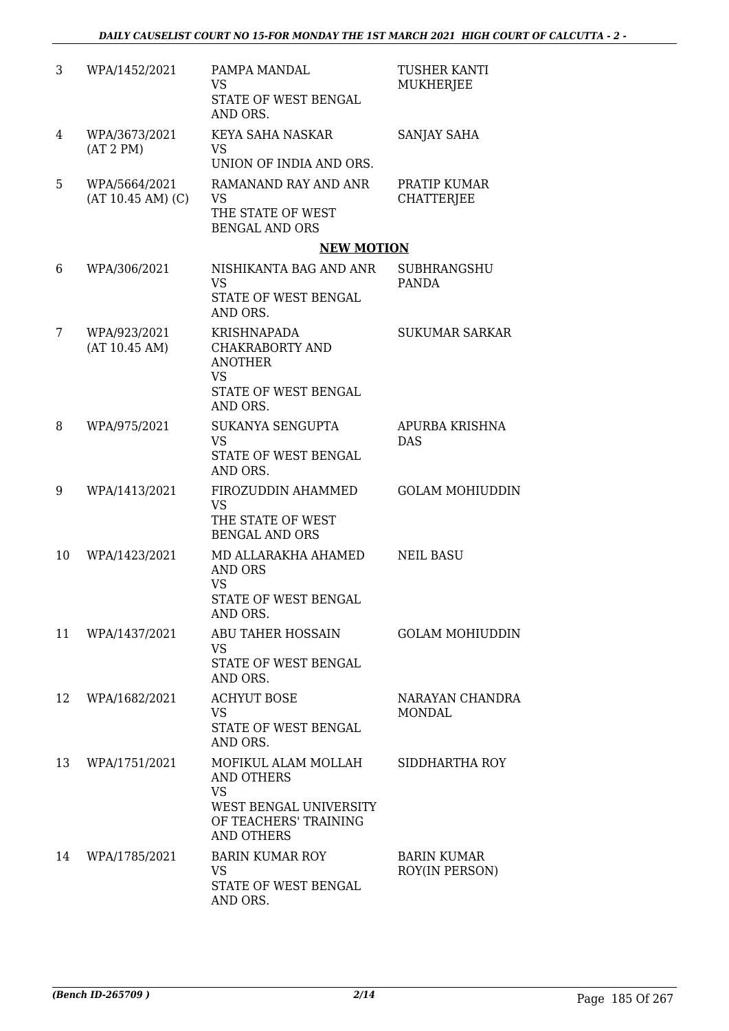| 3  | WPA/1452/2021                      | PAMPA MANDAL<br><b>VS</b><br>STATE OF WEST BENGAL<br>AND ORS.                                                          | <b>TUSHER KANTI</b><br><b>MUKHERJEE</b> |
|----|------------------------------------|------------------------------------------------------------------------------------------------------------------------|-----------------------------------------|
| 4  | WPA/3673/2021<br>(AT 2 PM)         | KEYA SAHA NASKAR<br><b>VS</b><br>UNION OF INDIA AND ORS.                                                               | SANJAY SAHA                             |
| 5  | WPA/5664/2021<br>(AT 10.45 AM) (C) | RAMANAND RAY AND ANR<br><b>VS</b><br>THE STATE OF WEST<br><b>BENGAL AND ORS</b>                                        | PRATIP KUMAR<br><b>CHATTERJEE</b>       |
|    |                                    | <b>NEW MOTION</b>                                                                                                      |                                         |
| 6  | WPA/306/2021                       | NISHIKANTA BAG AND ANR<br><b>VS</b><br>STATE OF WEST BENGAL                                                            | <b>SUBHRANGSHU</b><br><b>PANDA</b>      |
|    |                                    | AND ORS.                                                                                                               |                                         |
| 7  | WPA/923/2021<br>(AT 10.45 AM)      | <b>KRISHNAPADA</b><br>CHAKRABORTY AND<br><b>ANOTHER</b><br><b>VS</b><br>STATE OF WEST BENGAL                           | <b>SUKUMAR SARKAR</b>                   |
|    |                                    | AND ORS.                                                                                                               |                                         |
| 8  | WPA/975/2021                       | SUKANYA SENGUPTA<br><b>VS</b>                                                                                          | APURBA KRISHNA<br><b>DAS</b>            |
|    |                                    | STATE OF WEST BENGAL<br>AND ORS.                                                                                       |                                         |
| 9  | WPA/1413/2021                      | FIROZUDDIN AHAMMED<br><b>VS</b><br>THE STATE OF WEST<br><b>BENGAL AND ORS</b>                                          | <b>GOLAM MOHIUDDIN</b>                  |
| 10 | WPA/1423/2021                      | MD ALLARAKHA AHAMED<br><b>AND ORS</b><br><b>VS</b><br>STATE OF WEST BENGAL                                             | <b>NEIL BASU</b>                        |
|    |                                    | AND ORS.                                                                                                               |                                         |
| 11 | WPA/1437/2021                      | ABU TAHER HOSSAIN<br><b>VS</b><br>STATE OF WEST BENGAL<br>AND ORS.                                                     | <b>GOLAM MOHIUDDIN</b>                  |
| 12 | WPA/1682/2021                      | <b>ACHYUT BOSE</b><br><b>VS</b><br>STATE OF WEST BENGAL                                                                | NARAYAN CHANDRA<br><b>MONDAL</b>        |
|    |                                    | AND ORS.                                                                                                               |                                         |
| 13 | WPA/1751/2021                      | MOFIKUL ALAM MOLLAH<br>AND OTHERS<br><b>VS</b><br>WEST BENGAL UNIVERSITY<br>OF TEACHERS' TRAINING<br><b>AND OTHERS</b> | SIDDHARTHA ROY                          |
| 14 | WPA/1785/2021                      | <b>BARIN KUMAR ROY</b><br><b>VS</b><br>STATE OF WEST BENGAL<br>AND ORS.                                                | <b>BARIN KUMAR</b><br>ROY(IN PERSON)    |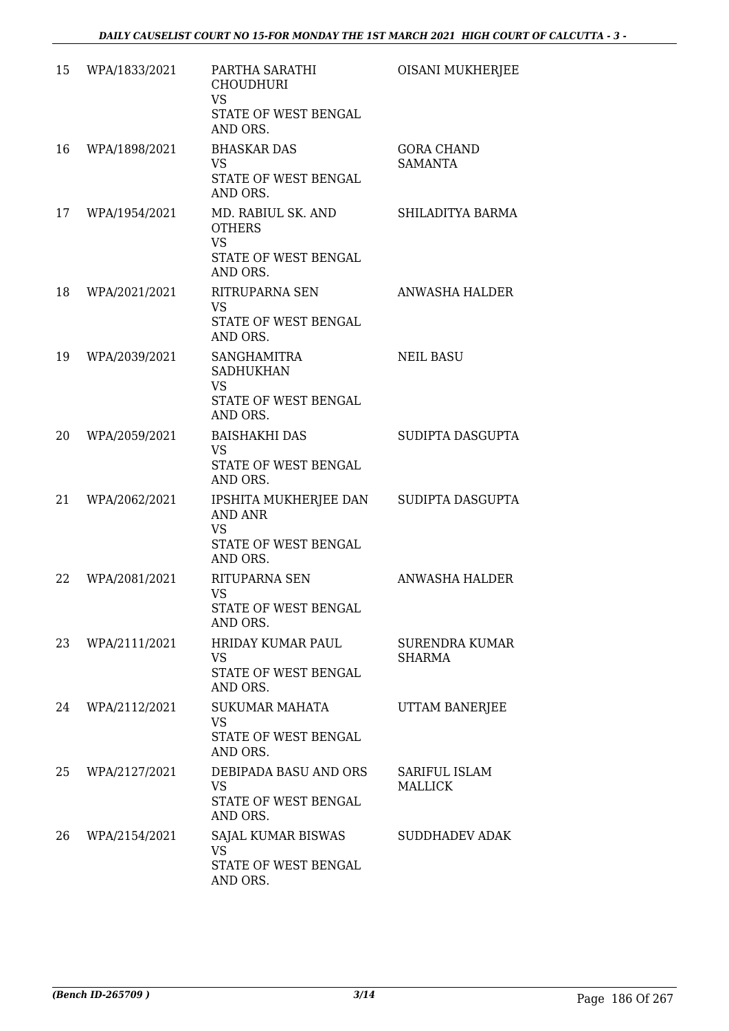| 15 | WPA/1833/2021 | PARTHA SARATHI<br><b>CHOUDHURI</b><br><b>VS</b><br>STATE OF WEST BENGAL<br>AND ORS.      | OISANI MUKHERJEE                    |
|----|---------------|------------------------------------------------------------------------------------------|-------------------------------------|
| 16 | WPA/1898/2021 | <b>BHASKAR DAS</b><br>VS<br>STATE OF WEST BENGAL<br>AND ORS.                             | <b>GORA CHAND</b><br><b>SAMANTA</b> |
| 17 | WPA/1954/2021 | MD. RABIUL SK. AND<br><b>OTHERS</b><br><b>VS</b><br>STATE OF WEST BENGAL<br>AND ORS.     | SHILADITYA BARMA                    |
| 18 | WPA/2021/2021 | RITRUPARNA SEN<br><b>VS</b><br>STATE OF WEST BENGAL<br>AND ORS.                          | <b>ANWASHA HALDER</b>               |
| 19 | WPA/2039/2021 | <b>SANGHAMITRA</b><br><b>SADHUKHAN</b><br><b>VS</b><br>STATE OF WEST BENGAL<br>AND ORS.  | <b>NEIL BASU</b>                    |
| 20 | WPA/2059/2021 | <b>BAISHAKHI DAS</b><br>VS<br>STATE OF WEST BENGAL<br>AND ORS.                           | SUDIPTA DASGUPTA                    |
| 21 | WPA/2062/2021 | IPSHITA MUKHERJEE DAN<br><b>AND ANR</b><br><b>VS</b><br>STATE OF WEST BENGAL<br>AND ORS. | SUDIPTA DASGUPTA                    |
| 22 | WPA/2081/2021 | RITUPARNA SEN<br><b>VS</b><br>STATE OF WEST BENGAL<br>AND ORS.                           | ANWASHA HALDER                      |
| 23 | WPA/2111/2021 | <b>HRIDAY KUMAR PAUL</b><br>VS<br>STATE OF WEST BENGAL<br>AND ORS.                       | SURENDRA KUMAR<br>SHARMA            |
| 24 | WPA/2112/2021 | SUKUMAR MAHATA<br><b>VS</b><br>STATE OF WEST BENGAL<br>AND ORS.                          | UTTAM BANERJEE                      |
| 25 | WPA/2127/2021 | DEBIPADA BASU AND ORS<br>VS.<br>STATE OF WEST BENGAL<br>AND ORS.                         | SARIFUL ISLAM<br><b>MALLICK</b>     |
| 26 | WPA/2154/2021 | SAJAL KUMAR BISWAS<br><b>VS</b><br>STATE OF WEST BENGAL<br>AND ORS.                      | <b>SUDDHADEV ADAK</b>               |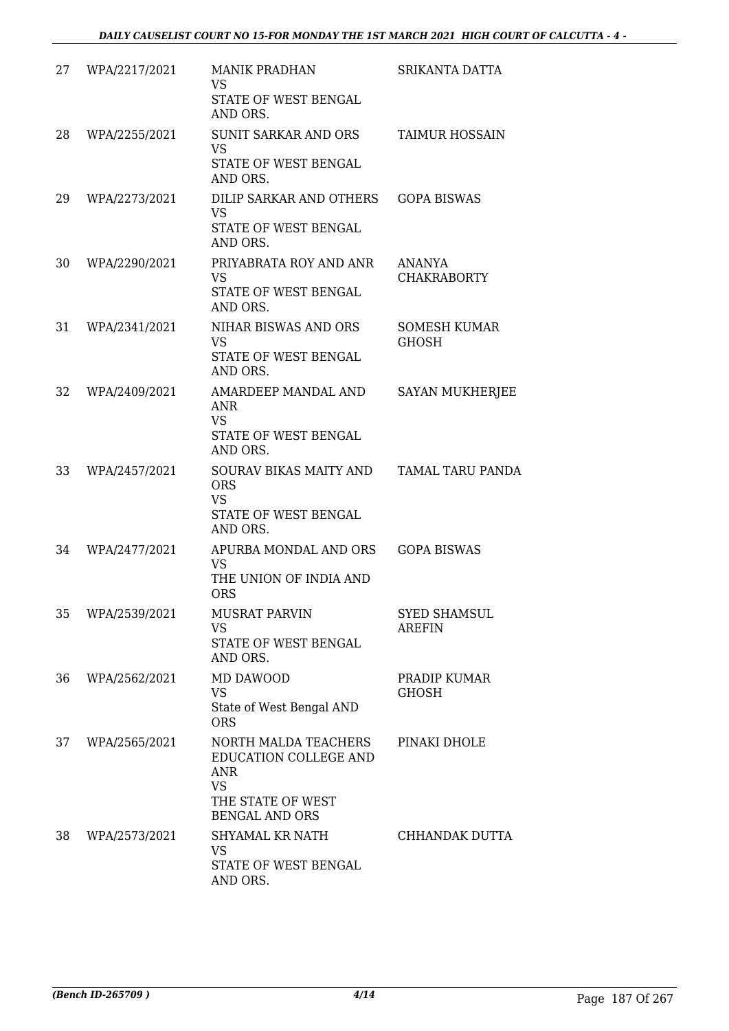| 27 | WPA/2217/2021 | <b>MANIK PRADHAN</b><br><b>VS</b><br><b>STATE OF WEST BENGAL</b><br>AND ORS.                                           | SRIKANTA DATTA                       |
|----|---------------|------------------------------------------------------------------------------------------------------------------------|--------------------------------------|
| 28 | WPA/2255/2021 | <b>SUNIT SARKAR AND ORS</b><br><b>VS</b><br>STATE OF WEST BENGAL<br>AND ORS.                                           | <b>TAIMUR HOSSAIN</b>                |
| 29 | WPA/2273/2021 | DILIP SARKAR AND OTHERS<br><b>VS</b><br>STATE OF WEST BENGAL<br>AND ORS.                                               | <b>GOPA BISWAS</b>                   |
| 30 | WPA/2290/2021 | PRIYABRATA ROY AND ANR<br><b>VS</b><br>STATE OF WEST BENGAL<br>AND ORS.                                                | ANANYA<br><b>CHAKRABORTY</b>         |
| 31 | WPA/2341/2021 | NIHAR BISWAS AND ORS<br><b>VS</b><br><b>STATE OF WEST BENGAL</b><br>AND ORS.                                           | <b>SOMESH KUMAR</b><br><b>GHOSH</b>  |
| 32 | WPA/2409/2021 | AMARDEEP MANDAL AND<br><b>ANR</b><br><b>VS</b><br>STATE OF WEST BENGAL<br>AND ORS.                                     | <b>SAYAN MUKHERJEE</b>               |
| 33 | WPA/2457/2021 | SOURAV BIKAS MAITY AND<br><b>ORS</b><br><b>VS</b><br>STATE OF WEST BENGAL<br>AND ORS.                                  | <b>TAMAL TARU PANDA</b>              |
| 34 | WPA/2477/2021 | APURBA MONDAL AND ORS<br>VS<br>THE UNION OF INDIA AND<br><b>ORS</b>                                                    | <b>GOPA BISWAS</b>                   |
| 35 | WPA/2539/2021 | <b>MUSRAT PARVIN</b><br><b>VS</b><br>STATE OF WEST BENGAL<br>AND ORS.                                                  | <b>SYED SHAMSUL</b><br><b>AREFIN</b> |
| 36 | WPA/2562/2021 | MD DAWOOD<br><b>VS</b><br>State of West Bengal AND<br><b>ORS</b>                                                       | PRADIP KUMAR<br><b>GHOSH</b>         |
| 37 | WPA/2565/2021 | NORTH MALDA TEACHERS<br>EDUCATION COLLEGE AND<br><b>ANR</b><br><b>VS</b><br>THE STATE OF WEST<br><b>BENGAL AND ORS</b> | PINAKI DHOLE                         |
| 38 | WPA/2573/2021 | SHYAMAL KR NATH<br><b>VS</b><br>STATE OF WEST BENGAL<br>AND ORS.                                                       | CHHANDAK DUTTA                       |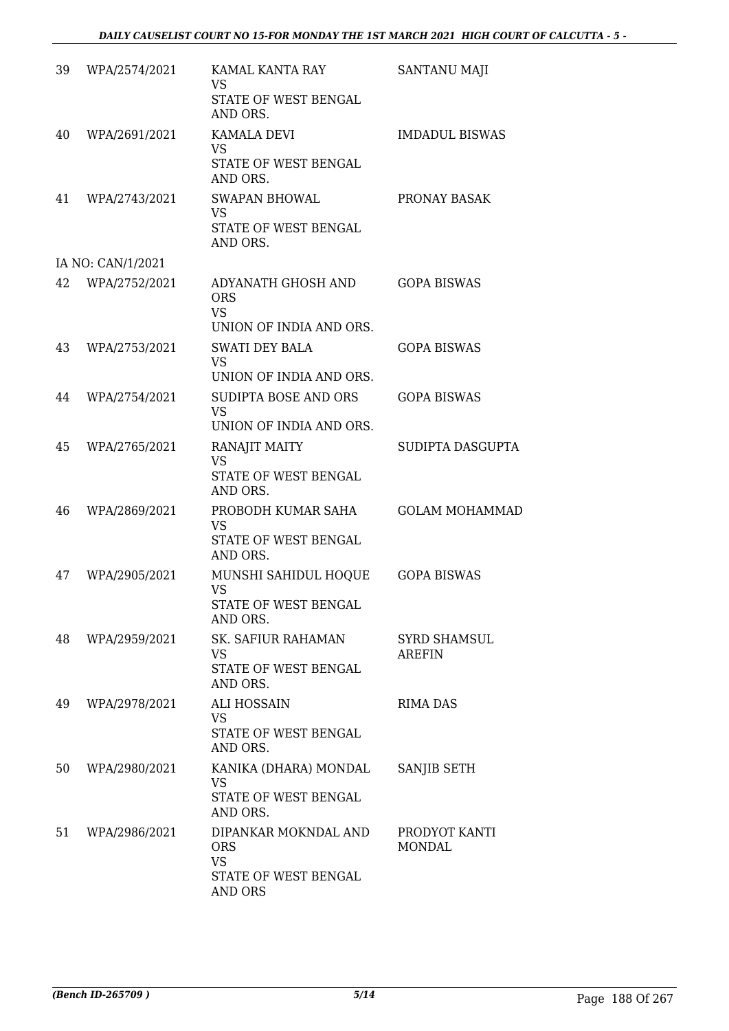| 39 | WPA/2574/2021     | KAMAL KANTA RAY<br><b>VS</b><br>STATE OF WEST BENGAL          | SANTANU MAJI                   |
|----|-------------------|---------------------------------------------------------------|--------------------------------|
|    |                   | AND ORS.                                                      |                                |
| 40 | WPA/2691/2021     | <b>KAMALA DEVI</b><br><b>VS</b><br>STATE OF WEST BENGAL       | <b>IMDADUL BISWAS</b>          |
|    |                   | AND ORS.                                                      |                                |
| 41 | WPA/2743/2021     | <b>SWAPAN BHOWAL</b><br><b>VS</b><br>STATE OF WEST BENGAL     | PRONAY BASAK                   |
|    |                   | AND ORS.                                                      |                                |
|    | IA NO: CAN/1/2021 |                                                               |                                |
| 42 | WPA/2752/2021     | ADYANATH GHOSH AND<br><b>ORS</b><br><b>VS</b>                 | <b>GOPA BISWAS</b>             |
|    |                   | UNION OF INDIA AND ORS.                                       |                                |
| 43 | WPA/2753/2021     | <b>SWATI DEY BALA</b><br><b>VS</b><br>UNION OF INDIA AND ORS. | <b>GOPA BISWAS</b>             |
| 44 | WPA/2754/2021     | SUDIPTA BOSE AND ORS                                          | <b>GOPA BISWAS</b>             |
|    |                   | <b>VS</b><br>UNION OF INDIA AND ORS.                          |                                |
| 45 | WPA/2765/2021     | <b>RANAJIT MAITY</b>                                          | SUDIPTA DASGUPTA               |
|    |                   | <b>VS</b><br>STATE OF WEST BENGAL<br>AND ORS.                 |                                |
| 46 | WPA/2869/2021     | PROBODH KUMAR SAHA<br><b>VS</b>                               | <b>GOLAM MOHAMMAD</b>          |
|    |                   | STATE OF WEST BENGAL<br>AND ORS.                              |                                |
| 47 | WPA/2905/2021     | MUNSHI SAHIDUL HOQUE<br><b>VS</b>                             | <b>GOPA BISWAS</b>             |
|    |                   | STATE OF WEST BENGAL<br>AND ORS.                              |                                |
| 48 | WPA/2959/2021     | SK. SAFIUR RAHAMAN                                            | <b>SYRD SHAMSUL</b>            |
|    |                   | <b>VS</b><br>STATE OF WEST BENGAL<br>AND ORS.                 | <b>AREFIN</b>                  |
| 49 | WPA/2978/2021     | <b>ALI HOSSAIN</b><br><b>VS</b>                               | <b>RIMA DAS</b>                |
|    |                   | STATE OF WEST BENGAL<br>AND ORS.                              |                                |
| 50 | WPA/2980/2021     | KANIKA (DHARA) MONDAL<br><b>VS</b>                            | SANJIB SETH                    |
|    |                   | STATE OF WEST BENGAL<br>AND ORS.                              |                                |
| 51 | WPA/2986/2021     | DIPANKAR MOKNDAL AND<br><b>ORS</b><br><b>VS</b>               | PRODYOT KANTI<br><b>MONDAL</b> |
|    |                   | STATE OF WEST BENGAL<br><b>AND ORS</b>                        |                                |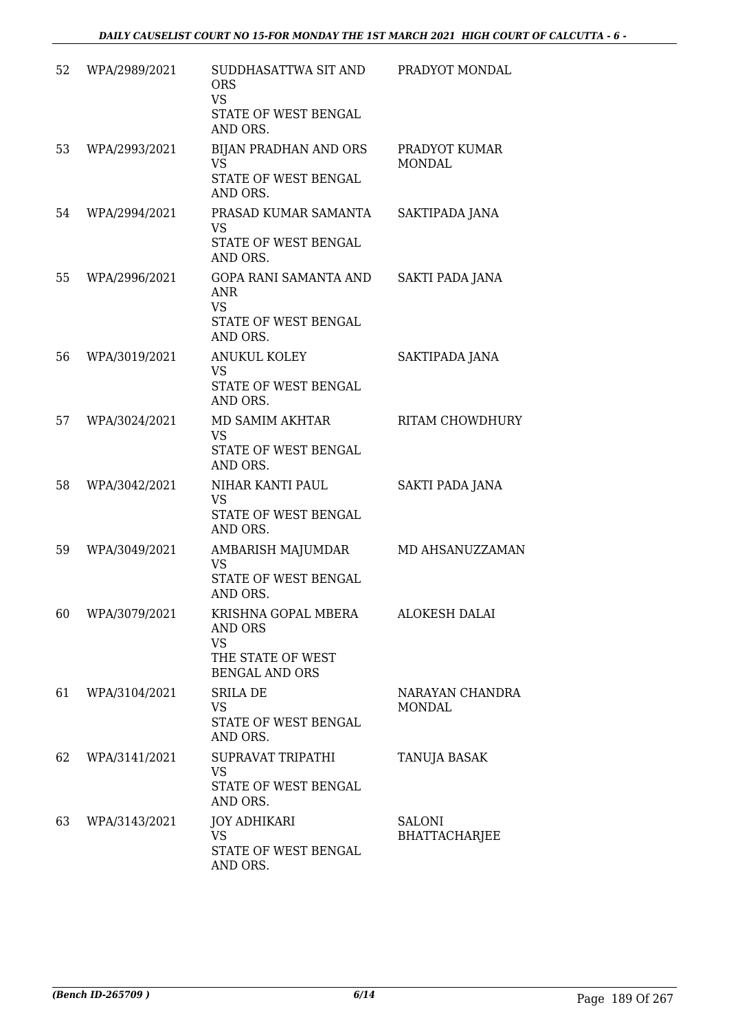| 52 | WPA/2989/2021 | SUDDHASATTWA SIT AND<br><b>ORS</b><br><b>VS</b><br>STATE OF WEST BENGAL<br>AND ORS.              | PRADYOT MONDAL                        |
|----|---------------|--------------------------------------------------------------------------------------------------|---------------------------------------|
| 53 | WPA/2993/2021 | BIJAN PRADHAN AND ORS<br><b>VS</b><br>STATE OF WEST BENGAL<br>AND ORS.                           | PRADYOT KUMAR<br><b>MONDAL</b>        |
| 54 | WPA/2994/2021 | PRASAD KUMAR SAMANTA<br><b>VS</b><br>STATE OF WEST BENGAL<br>AND ORS.                            | SAKTIPADA JANA                        |
| 55 | WPA/2996/2021 | GOPA RANI SAMANTA AND<br><b>ANR</b><br><b>VS</b><br><b>STATE OF WEST BENGAL</b><br>AND ORS.      | SAKTI PADA JANA                       |
| 56 | WPA/3019/2021 | <b>ANUKUL KOLEY</b><br><b>VS</b><br>STATE OF WEST BENGAL<br>AND ORS.                             | SAKTIPADA JANA                        |
| 57 | WPA/3024/2021 | MD SAMIM AKHTAR<br><b>VS</b><br>STATE OF WEST BENGAL<br>AND ORS.                                 | RITAM CHOWDHURY                       |
| 58 | WPA/3042/2021 | NIHAR KANTI PAUL<br><b>VS</b><br>STATE OF WEST BENGAL<br>AND ORS.                                | SAKTI PADA JANA                       |
| 59 | WPA/3049/2021 | AMBARISH MAJUMDAR<br><b>VS</b><br>STATE OF WEST BENGAL<br>AND ORS.                               | MD AHSANUZZAMAN                       |
| 60 | WPA/3079/2021 | KRISHNA GOPAL MBERA<br><b>AND ORS</b><br><b>VS</b><br>THE STATE OF WEST<br><b>BENGAL AND ORS</b> | <b>ALOKESH DALAI</b>                  |
| 61 | WPA/3104/2021 | <b>SRILA DE</b><br><b>VS</b><br>STATE OF WEST BENGAL<br>AND ORS.                                 | NARAYAN CHANDRA<br><b>MONDAL</b>      |
| 62 | WPA/3141/2021 | SUPRAVAT TRIPATHI<br><b>VS</b><br>STATE OF WEST BENGAL<br>AND ORS.                               | <b>TANUJA BASAK</b>                   |
| 63 | WPA/3143/2021 | <b>JOY ADHIKARI</b><br><b>VS</b><br>STATE OF WEST BENGAL<br>AND ORS.                             | <b>SALONI</b><br><b>BHATTACHARJEE</b> |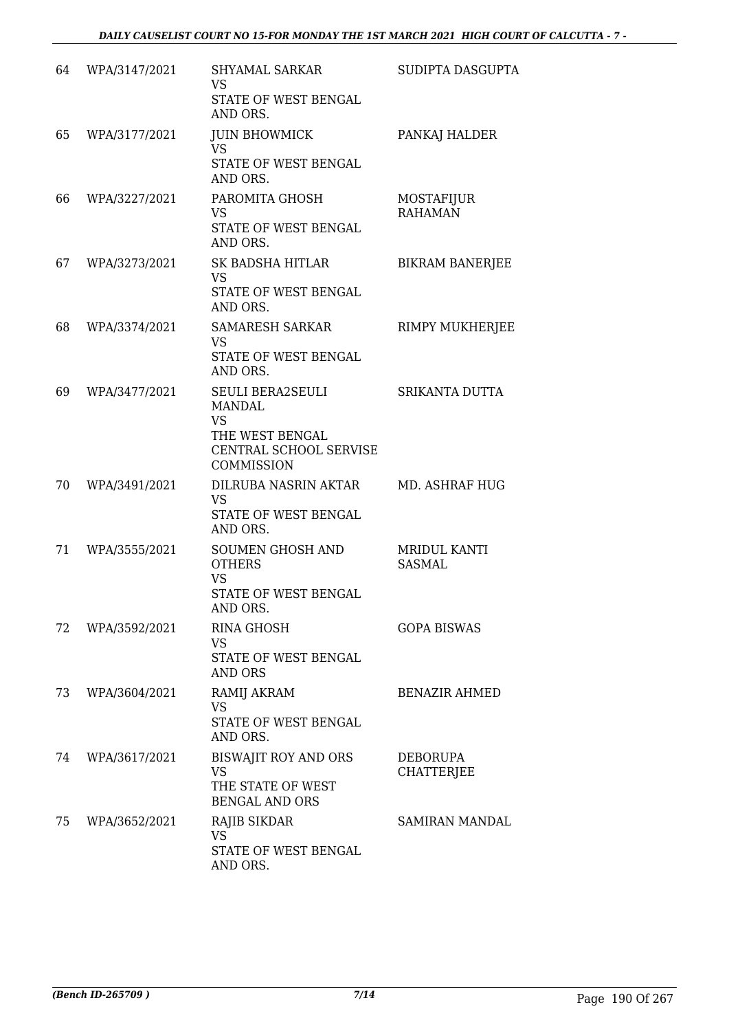| 64 | WPA/3147/2021 | <b>SHYAMAL SARKAR</b><br><b>VS</b><br>STATE OF WEST BENGAL<br>AND ORS.                                    | SUDIPTA DASGUPTA                     |
|----|---------------|-----------------------------------------------------------------------------------------------------------|--------------------------------------|
| 65 | WPA/3177/2021 | <b>JUIN BHOWMICK</b><br><b>VS</b><br>STATE OF WEST BENGAL<br>AND ORS.                                     | PANKAJ HALDER                        |
| 66 | WPA/3227/2021 | PAROMITA GHOSH<br><b>VS</b><br>STATE OF WEST BENGAL<br>AND ORS.                                           | MOSTAFIJUR<br><b>RAHAMAN</b>         |
| 67 | WPA/3273/2021 | SK BADSHA HITLAR<br><b>VS</b><br>STATE OF WEST BENGAL<br>AND ORS.                                         | <b>BIKRAM BANERJEE</b>               |
| 68 | WPA/3374/2021 | <b>SAMARESH SARKAR</b><br><b>VS</b><br>STATE OF WEST BENGAL<br>AND ORS.                                   | RIMPY MUKHERJEE                      |
| 69 | WPA/3477/2021 | SEULI BERA2SEULI<br><b>MANDAL</b><br><b>VS</b><br>THE WEST BENGAL<br>CENTRAL SCHOOL SERVISE<br>COMMISSION | SRIKANTA DUTTA                       |
| 70 | WPA/3491/2021 | DILRUBA NASRIN AKTAR<br><b>VS</b><br>STATE OF WEST BENGAL<br>AND ORS.                                     | <b>MD. ASHRAF HUG</b>                |
| 71 | WPA/3555/2021 | <b>SOUMEN GHOSH AND</b><br><b>OTHERS</b><br><b>VS</b><br><b>STATE OF WEST BENGAL</b><br>AND ORS.          | MRIDUL KANTI<br><b>SASMAL</b>        |
| 72 | WPA/3592/2021 | <b>RINA GHOSH</b><br><b>VS</b><br>STATE OF WEST BENGAL<br><b>AND ORS</b>                                  | <b>GOPA BISWAS</b>                   |
| 73 | WPA/3604/2021 | RAMIJ AKRAM<br>VS<br>STATE OF WEST BENGAL<br>AND ORS.                                                     | <b>BENAZIR AHMED</b>                 |
| 74 | WPA/3617/2021 | <b>BISWAJIT ROY AND ORS</b><br><b>VS</b><br>THE STATE OF WEST<br><b>BENGAL AND ORS</b>                    | <b>DEBORUPA</b><br><b>CHATTERJEE</b> |
| 75 | WPA/3652/2021 | RAJIB SIKDAR<br><b>VS</b><br>STATE OF WEST BENGAL<br>AND ORS.                                             | SAMIRAN MANDAL                       |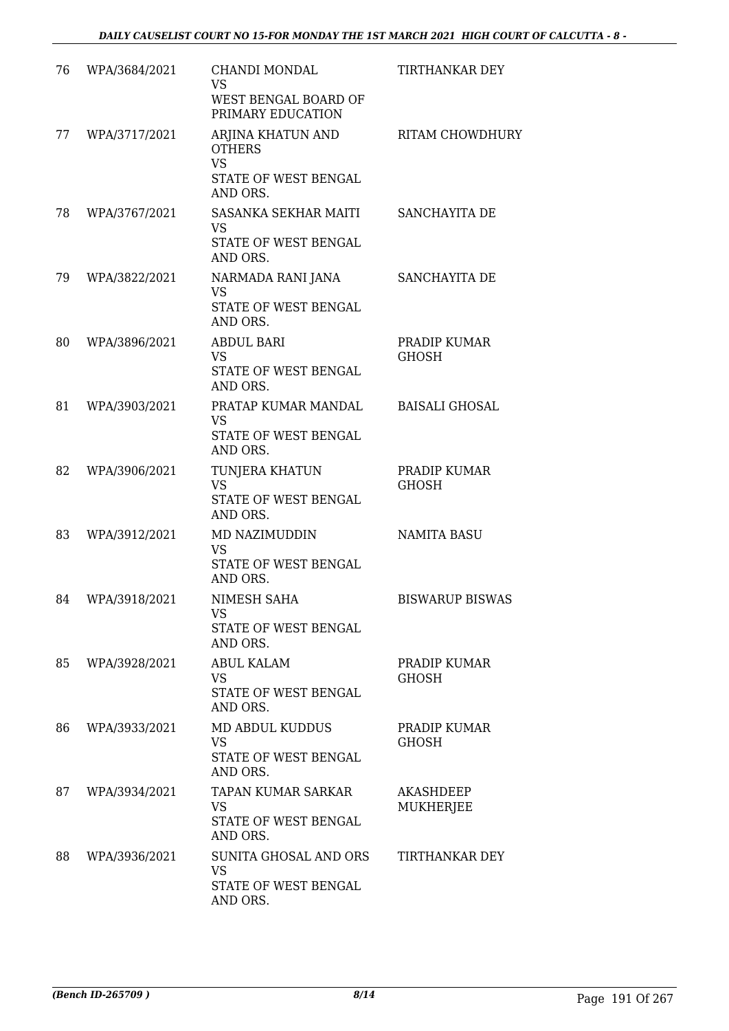| 76 | WPA/3684/2021 | CHANDI MONDAL<br>VS<br>WEST BENGAL BOARD OF<br>PRIMARY EDUCATION                    | TIRTHANKAR DEY                |
|----|---------------|-------------------------------------------------------------------------------------|-------------------------------|
| 77 | WPA/3717/2021 | ARJINA KHATUN AND<br><b>OTHERS</b><br><b>VS</b><br>STATE OF WEST BENGAL<br>AND ORS. | RITAM CHOWDHURY               |
| 78 | WPA/3767/2021 | SASANKA SEKHAR MAITI<br><b>VS</b><br>STATE OF WEST BENGAL<br>AND ORS.               | SANCHAYITA DE                 |
| 79 | WPA/3822/2021 | NARMADA RANI JANA<br><b>VS</b><br>STATE OF WEST BENGAL<br>AND ORS.                  | SANCHAYITA DE                 |
| 80 | WPA/3896/2021 | ABDUL BARI<br><b>VS</b><br><b>STATE OF WEST BENGAL</b><br>AND ORS.                  | PRADIP KUMAR<br><b>GHOSH</b>  |
| 81 | WPA/3903/2021 | PRATAP KUMAR MANDAL<br><b>VS</b><br>STATE OF WEST BENGAL<br>AND ORS.                | <b>BAISALI GHOSAL</b>         |
| 82 | WPA/3906/2021 | TUNJERA KHATUN<br><b>VS</b><br>STATE OF WEST BENGAL<br>AND ORS.                     | PRADIP KUMAR<br><b>GHOSH</b>  |
| 83 | WPA/3912/2021 | MD NAZIMUDDIN<br><b>VS</b><br>STATE OF WEST BENGAL<br>AND ORS.                      | <b>NAMITA BASU</b>            |
| 84 | WPA/3918/2021 | NIMESH SAHA<br><b>VS</b><br>STATE OF WEST BENGAL<br>AND ORS.                        | <b>BISWARUP BISWAS</b>        |
| 85 | WPA/3928/2021 | <b>ABUL KALAM</b><br><b>VS</b><br>STATE OF WEST BENGAL<br>AND ORS.                  | PRADIP KUMAR<br><b>GHOSH</b>  |
| 86 | WPA/3933/2021 | <b>MD ABDUL KUDDUS</b><br><b>VS</b><br>STATE OF WEST BENGAL<br>AND ORS.             | PRADIP KUMAR<br>GHOSH         |
| 87 | WPA/3934/2021 | TAPAN KUMAR SARKAR<br><b>VS</b><br>STATE OF WEST BENGAL<br>AND ORS.                 | <b>AKASHDEEP</b><br>MUKHERJEE |
| 88 | WPA/3936/2021 | SUNITA GHOSAL AND ORS<br><b>VS</b><br>STATE OF WEST BENGAL<br>AND ORS.              | TIRTHANKAR DEY                |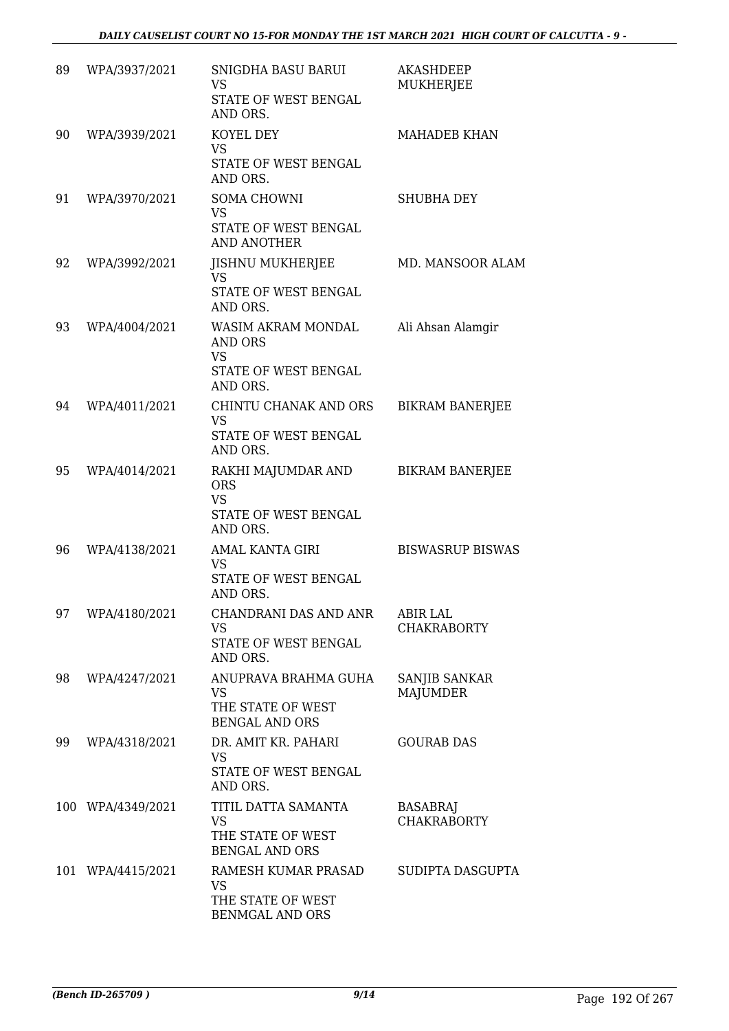| 89 | WPA/3937/2021     | SNIGDHA BASU BARUI<br><b>VS</b><br>STATE OF WEST BENGAL<br>AND ORS.                          | <b>AKASHDEEP</b><br><b>MUKHERJEE</b>  |
|----|-------------------|----------------------------------------------------------------------------------------------|---------------------------------------|
| 90 | WPA/3939/2021     | KOYEL DEY<br><b>VS</b><br>STATE OF WEST BENGAL<br>AND ORS.                                   | <b>MAHADEB KHAN</b>                   |
| 91 | WPA/3970/2021     | SOMA CHOWNI<br><b>VS</b><br>STATE OF WEST BENGAL<br><b>AND ANOTHER</b>                       | <b>SHUBHA DEY</b>                     |
| 92 | WPA/3992/2021     | <b>JISHNU MUKHERJEE</b><br><b>VS</b><br>STATE OF WEST BENGAL<br>AND ORS.                     | MD. MANSOOR ALAM                      |
| 93 | WPA/4004/2021     | WASIM AKRAM MONDAL<br><b>AND ORS</b><br><b>VS</b><br><b>STATE OF WEST BENGAL</b><br>AND ORS. | Ali Ahsan Alamgir                     |
| 94 | WPA/4011/2021     | CHINTU CHANAK AND ORS<br><b>VS</b><br>STATE OF WEST BENGAL<br>AND ORS.                       | <b>BIKRAM BANERJEE</b>                |
| 95 | WPA/4014/2021     | RAKHI MAJUMDAR AND<br><b>ORS</b><br><b>VS</b><br>STATE OF WEST BENGAL<br>AND ORS.            | <b>BIKRAM BANERJEE</b>                |
| 96 | WPA/4138/2021     | AMAL KANTA GIRI<br><b>VS</b><br>STATE OF WEST BENGAL<br>AND ORS.                             | <b>BISWASRUP BISWAS</b>               |
| 97 | WPA/4180/2021     | CHANDRANI DAS AND ANR<br><b>VS</b><br>STATE OF WEST BENGAL<br>AND ORS.                       | <b>ABIR LAL</b><br><b>CHAKRABORTY</b> |
| 98 | WPA/4247/2021     | ANUPRAVA BRAHMA GUHA<br><b>VS</b><br>THE STATE OF WEST<br><b>BENGAL AND ORS</b>              | SANJIB SANKAR<br><b>MAJUMDER</b>      |
| 99 | WPA/4318/2021     | DR. AMIT KR. PAHARI<br><b>VS</b><br>STATE OF WEST BENGAL<br>AND ORS.                         | <b>GOURAB DAS</b>                     |
|    | 100 WPA/4349/2021 | TITIL DATTA SAMANTA<br><b>VS</b><br>THE STATE OF WEST<br><b>BENGAL AND ORS</b>               | <b>BASABRAJ</b><br><b>CHAKRABORTY</b> |
|    | 101 WPA/4415/2021 | RAMESH KUMAR PRASAD<br><b>VS</b><br>THE STATE OF WEST<br><b>BENMGAL AND ORS</b>              | SUDIPTA DASGUPTA                      |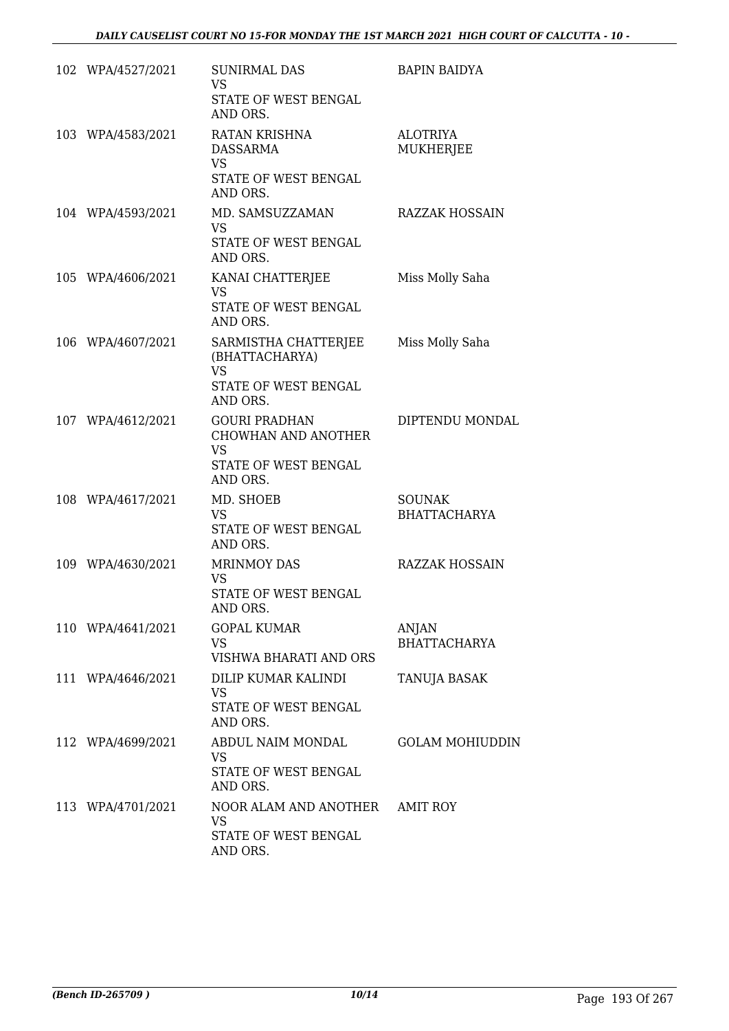| 102 WPA/4527/2021 | <b>SUNIRMAL DAS</b><br><b>VS</b><br>STATE OF WEST BENGAL                                            | <b>BAPIN BAIDYA</b>                  |
|-------------------|-----------------------------------------------------------------------------------------------------|--------------------------------------|
| 103 WPA/4583/2021 | AND ORS.<br>RATAN KRISHNA<br><b>DASSARMA</b><br><b>VS</b><br>STATE OF WEST BENGAL<br>AND ORS.       | <b>ALOTRIYA</b><br>MUKHERJEE         |
| 104 WPA/4593/2021 | MD. SAMSUZZAMAN<br><b>VS</b><br>STATE OF WEST BENGAL<br>AND ORS.                                    | <b>RAZZAK HOSSAIN</b>                |
| 105 WPA/4606/2021 | KANAI CHATTERJEE<br><b>VS</b><br>STATE OF WEST BENGAL<br>AND ORS.                                   | Miss Molly Saha                      |
| 106 WPA/4607/2021 | SARMISTHA CHATTERJEE<br>(BHATTACHARYA)<br><b>VS</b><br>STATE OF WEST BENGAL<br>AND ORS.             | Miss Molly Saha                      |
| 107 WPA/4612/2021 | <b>GOURI PRADHAN</b><br><b>CHOWHAN AND ANOTHER</b><br><b>VS</b><br>STATE OF WEST BENGAL<br>AND ORS. | DIPTENDU MONDAL                      |
| 108 WPA/4617/2021 | MD. SHOEB<br><b>VS</b><br>STATE OF WEST BENGAL<br>AND ORS.                                          | <b>SOUNAK</b><br><b>BHATTACHARYA</b> |
| 109 WPA/4630/2021 | <b>MRINMOY DAS</b><br><b>VS</b><br>STATE OF WEST BENGAL<br>AND ORS.                                 | <b>RAZZAK HOSSAIN</b>                |
| 110 WPA/4641/2021 | <b>GOPAL KUMAR</b><br><b>VS</b><br>VISHWA BHARATI AND ORS                                           | ANJAN<br><b>BHATTACHARYA</b>         |
| 111 WPA/4646/2021 | DILIP KUMAR KALINDI<br><b>VS</b><br>STATE OF WEST BENGAL<br>AND ORS.                                | TANUJA BASAK                         |
| 112 WPA/4699/2021 | ABDUL NAIM MONDAL<br><b>VS</b><br>STATE OF WEST BENGAL<br>AND ORS.                                  | <b>GOLAM MOHIUDDIN</b>               |
| 113 WPA/4701/2021 | NOOR ALAM AND ANOTHER AMIT ROY<br><b>VS</b><br>STATE OF WEST BENGAL<br>AND ORS.                     |                                      |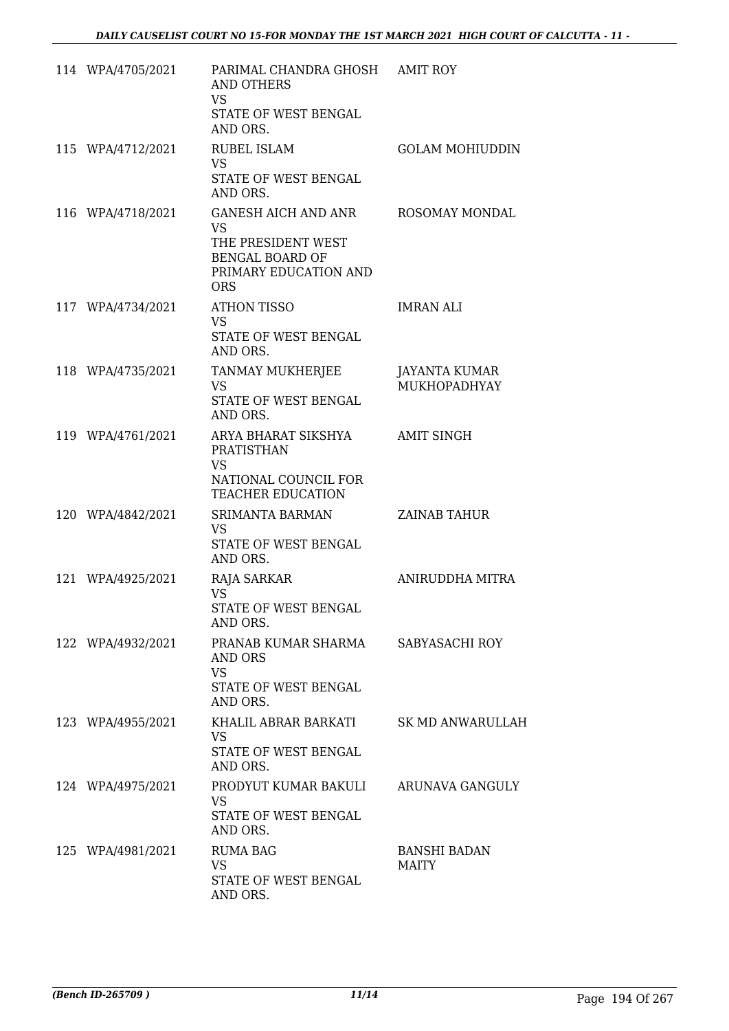| 114 WPA/4705/2021 | PARIMAL CHANDRA GHOSH AMIT ROY<br><b>AND OTHERS</b><br><b>VS</b><br>STATE OF WEST BENGAL<br>AND ORS.             |                                      |
|-------------------|------------------------------------------------------------------------------------------------------------------|--------------------------------------|
| 115 WPA/4712/2021 | <b>RUBEL ISLAM</b><br><b>VS</b><br>STATE OF WEST BENGAL<br>AND ORS.                                              | <b>GOLAM MOHIUDDIN</b>               |
| 116 WPA/4718/2021 | GANESH AICH AND ANR<br><b>VS</b><br>THE PRESIDENT WEST<br>BENGAL BOARD OF<br>PRIMARY EDUCATION AND<br><b>ORS</b> | ROSOMAY MONDAL                       |
| 117 WPA/4734/2021 | <b>ATHON TISSO</b><br><b>VS</b><br>STATE OF WEST BENGAL<br>AND ORS.                                              | IMRAN ALI                            |
| 118 WPA/4735/2021 | TANMAY MUKHERJEE<br><b>VS</b><br>STATE OF WEST BENGAL<br>AND ORS.                                                | JAYANTA KUMAR<br><b>MUKHOPADHYAY</b> |
| 119 WPA/4761/2021 | ARYA BHARAT SIKSHYA<br>PRATISTHAN<br><b>VS</b><br>NATIONAL COUNCIL FOR<br><b>TEACHER EDUCATION</b>               | <b>AMIT SINGH</b>                    |
| 120 WPA/4842/2021 | SRIMANTA BARMAN<br><b>VS</b><br>STATE OF WEST BENGAL<br>AND ORS.                                                 | <b>ZAINAB TAHUR</b>                  |
| 121 WPA/4925/2021 | RAJA SARKAR<br>VS<br>STATE OF WEST BENGAL<br>AND ORS.                                                            | ANIRUDDHA MITRA                      |
| 122 WPA/4932/2021 | PRANAB KUMAR SHARMA<br>AND ORS<br><b>VS</b><br>STATE OF WEST BENGAL<br>AND ORS.                                  | SABYASACHI ROY                       |
| 123 WPA/4955/2021 | KHALIL ABRAR BARKATI<br><b>VS</b><br>STATE OF WEST BENGAL<br>AND ORS.                                            | <b>SK MD ANWARULLAH</b>              |
| 124 WPA/4975/2021 | PRODYUT KUMAR BAKULI<br>VS<br>STATE OF WEST BENGAL<br>AND ORS.                                                   | ARUNAVA GANGULY                      |
| 125 WPA/4981/2021 | <b>RUMA BAG</b><br><b>VS</b><br>STATE OF WEST BENGAL<br>AND ORS.                                                 | <b>BANSHI BADAN</b><br><b>MAITY</b>  |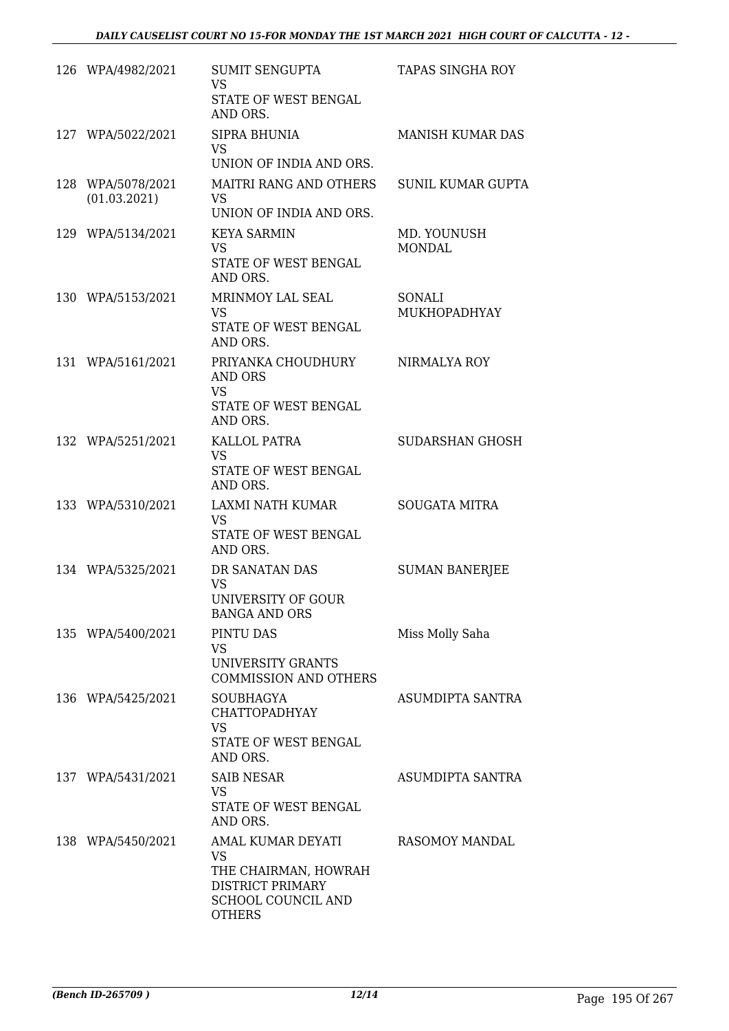| 126 WPA/4982/2021                 | <b>SUMIT SENGUPTA</b><br>VS<br>STATE OF WEST BENGAL<br>AND ORS.                                            | TAPAS SINGHA ROY             |
|-----------------------------------|------------------------------------------------------------------------------------------------------------|------------------------------|
| 127 WPA/5022/2021                 | SIPRA BHUNIA<br><b>VS</b><br>UNION OF INDIA AND ORS.                                                       | <b>MANISH KUMAR DAS</b>      |
| 128 WPA/5078/2021<br>(01.03.2021) | <b>MAITRI RANG AND OTHERS</b><br>VS.<br>UNION OF INDIA AND ORS.                                            | SUNIL KUMAR GUPTA            |
| 129 WPA/5134/2021                 | <b>KEYA SARMIN</b><br>VS<br>STATE OF WEST BENGAL<br>AND ORS.                                               | MD. YOUNUSH<br><b>MONDAL</b> |
| 130 WPA/5153/2021                 | MRINMOY LAL SEAL<br><b>VS</b><br>STATE OF WEST BENGAL<br>AND ORS.                                          | SONALI<br>MUKHOPADHYAY       |
| 131 WPA/5161/2021                 | PRIYANKA CHOUDHURY<br>AND ORS<br><b>VS</b><br><b>STATE OF WEST BENGAL</b><br>AND ORS.                      | NIRMALYA ROY                 |
| 132 WPA/5251/2021                 | KALLOL PATRA<br>VS.<br>STATE OF WEST BENGAL<br>AND ORS.                                                    | <b>SUDARSHAN GHOSH</b>       |
| 133 WPA/5310/2021                 | LAXMI NATH KUMAR<br>VS<br>STATE OF WEST BENGAL<br>AND ORS.                                                 | <b>SOUGATA MITRA</b>         |
| 134 WPA/5325/2021                 | DR SANATAN DAS<br><b>VS</b><br>UNIVERSITY OF GOUR<br><b>BANGA AND ORS</b>                                  | <b>SUMAN BANERJEE</b>        |
| 135 WPA/5400/2021                 | PINTU DAS<br>VS<br>UNIVERSITY GRANTS<br><b>COMMISSION AND OTHERS</b>                                       | Miss Molly Saha              |
| 136 WPA/5425/2021                 | <b>SOUBHAGYA</b><br><b>CHATTOPADHYAY</b><br>VS<br>STATE OF WEST BENGAL<br>AND ORS.                         | ASUMDIPTA SANTRA             |
| 137 WPA/5431/2021                 | <b>SAIB NESAR</b><br>VS<br>STATE OF WEST BENGAL<br>AND ORS.                                                | ASUMDIPTA SANTRA             |
| 138 WPA/5450/2021                 | AMAL KUMAR DEYATI<br>VS<br>THE CHAIRMAN, HOWRAH<br>DISTRICT PRIMARY<br>SCHOOL COUNCIL AND<br><b>OTHERS</b> | RASOMOY MANDAL               |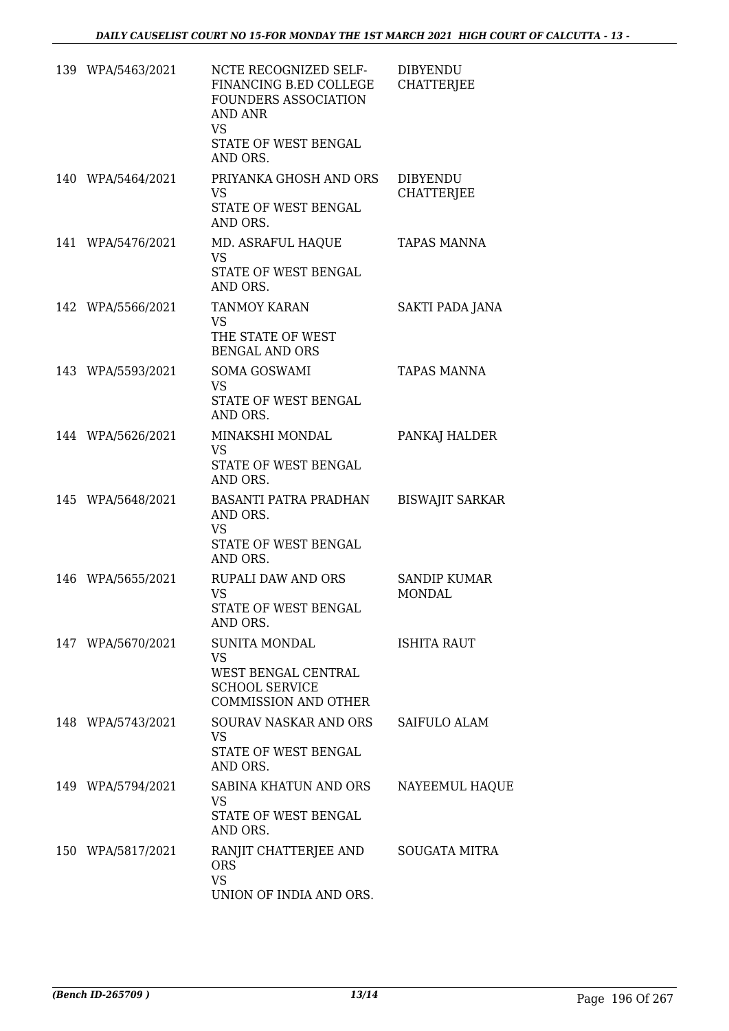| 139 WPA/5463/2021 | NCTE RECOGNIZED SELF-<br>FINANCING B.ED COLLEGE<br>FOUNDERS ASSOCIATION<br><b>AND ANR</b><br><b>VS</b><br>STATE OF WEST BENGAL | <b>DIBYENDU</b><br><b>CHATTERJEE</b> |
|-------------------|--------------------------------------------------------------------------------------------------------------------------------|--------------------------------------|
|                   | AND ORS.                                                                                                                       |                                      |
| 140 WPA/5464/2021 | PRIYANKA GHOSH AND ORS<br><b>VS</b><br>STATE OF WEST BENGAL<br>AND ORS.                                                        | <b>DIBYENDU</b><br><b>CHATTERJEE</b> |
| 141 WPA/5476/2021 | MD. ASRAFUL HAQUE<br><b>VS</b><br>STATE OF WEST BENGAL<br>AND ORS.                                                             | <b>TAPAS MANNA</b>                   |
| 142 WPA/5566/2021 | <b>TANMOY KARAN</b><br>VS.<br>THE STATE OF WEST                                                                                | SAKTI PADA JANA                      |
|                   | <b>BENGAL AND ORS</b>                                                                                                          |                                      |
| 143 WPA/5593/2021 | <b>SOMA GOSWAMI</b><br><b>VS</b><br><b>STATE OF WEST BENGAL</b><br>AND ORS.                                                    | <b>TAPAS MANNA</b>                   |
| 144 WPA/5626/2021 | MINAKSHI MONDAL<br><b>VS</b><br>STATE OF WEST BENGAL<br>AND ORS.                                                               | PANKAJ HALDER                        |
| 145 WPA/5648/2021 | <b>BASANTI PATRA PRADHAN</b><br>AND ORS.<br><b>VS</b><br>STATE OF WEST BENGAL<br>AND ORS.                                      | <b>BISWAJIT SARKAR</b>               |
| 146 WPA/5655/2021 | <b>RUPALI DAW AND ORS</b><br><b>VS</b><br>STATE OF WEST BENGAL<br>AND ORS.                                                     | <b>SANDIP KUMAR</b><br><b>MONDAL</b> |
| 147 WPA/5670/2021 | <b>SUNITA MONDAL</b><br><b>VS</b><br>WEST BENGAL CENTRAL<br><b>SCHOOL SERVICE</b><br><b>COMMISSION AND OTHER</b>               | <b>ISHITA RAUT</b>                   |
| 148 WPA/5743/2021 | SOURAV NASKAR AND ORS<br><b>VS</b><br>STATE OF WEST BENGAL<br>AND ORS.                                                         | SAIFULO ALAM                         |
| 149 WPA/5794/2021 | SABINA KHATUN AND ORS<br><b>VS</b><br>STATE OF WEST BENGAL<br>AND ORS.                                                         | NAYEEMUL HAQUE                       |
| 150 WPA/5817/2021 | RANJIT CHATTERJEE AND<br><b>ORS</b><br><b>VS</b><br>UNION OF INDIA AND ORS.                                                    | SOUGATA MITRA                        |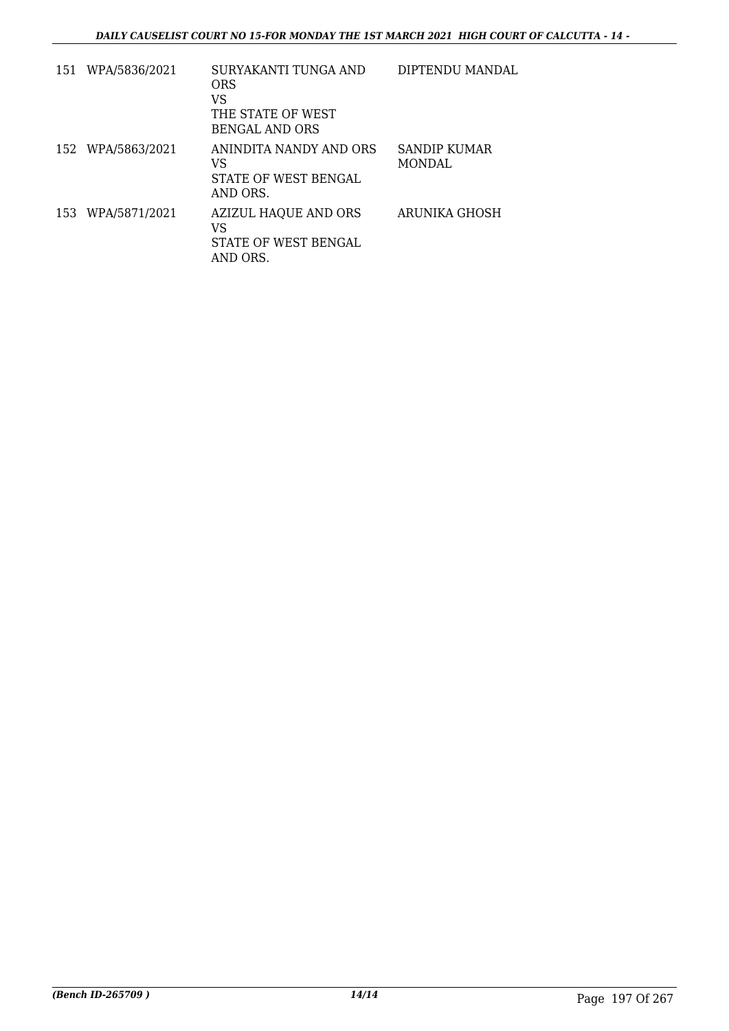| 151 | WPA/5836/2021     | SURYAKANTI TUNGA AND<br>ORS<br>VS<br>THE STATE OF WEST<br>BENGAL AND ORS | DIPTENDU MANDAL         |
|-----|-------------------|--------------------------------------------------------------------------|-------------------------|
|     | 152 WPA/5863/2021 | ANINDITA NANDY AND ORS<br>VS<br>STATE OF WEST BENGAL<br>AND ORS.         | SANDIP KUMAR<br>MONDAL. |
|     | 153 WPA/5871/2021 | <b>AZIZUL HAQUE AND ORS</b><br>VS<br>STATE OF WEST BENGAL<br>AND ORS.    | ARUNIKA GHOSH           |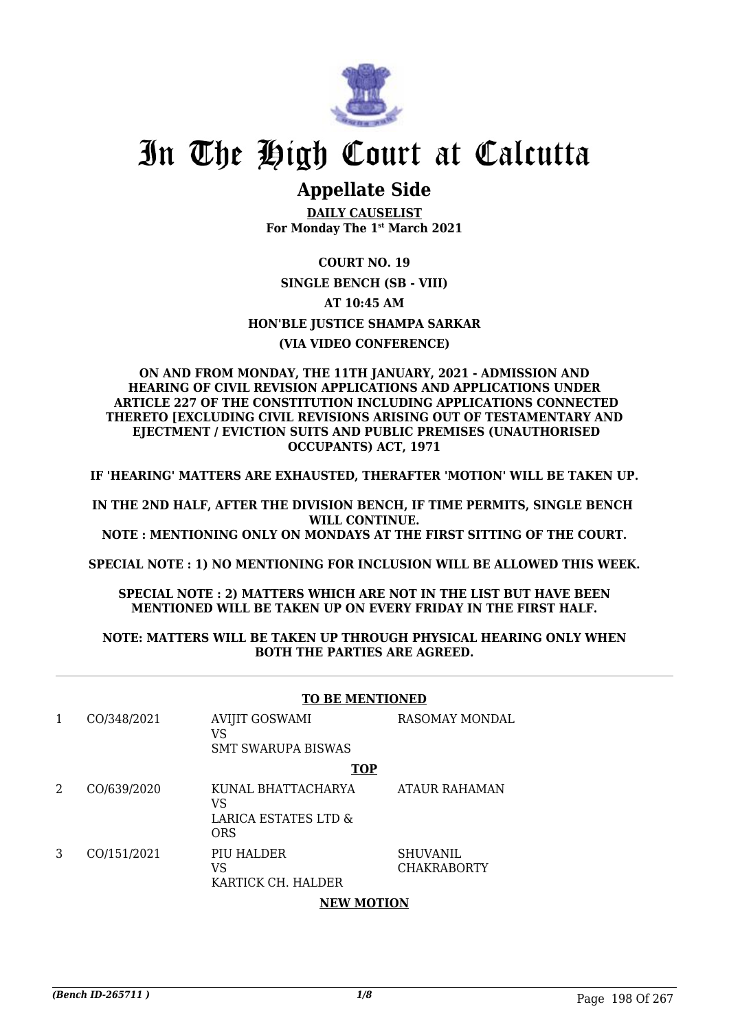

# In The High Court at Calcutta

## **Appellate Side**

**DAILY CAUSELIST For Monday The 1st March 2021**

**COURT NO. 19 SINGLE BENCH (SB - VIII) AT 10:45 AM HON'BLE JUSTICE SHAMPA SARKAR (VIA VIDEO CONFERENCE)**

#### **ON AND FROM MONDAY, THE 11TH JANUARY, 2021 - ADMISSION AND HEARING OF CIVIL REVISION APPLICATIONS AND APPLICATIONS UNDER ARTICLE 227 OF THE CONSTITUTION INCLUDING APPLICATIONS CONNECTED THERETO [EXCLUDING CIVIL REVISIONS ARISING OUT OF TESTAMENTARY AND EJECTMENT / EVICTION SUITS AND PUBLIC PREMISES (UNAUTHORISED OCCUPANTS) ACT, 1971**

**IF 'HEARING' MATTERS ARE EXHAUSTED, THERAFTER 'MOTION' WILL BE TAKEN UP.**

**IN THE 2ND HALF, AFTER THE DIVISION BENCH, IF TIME PERMITS, SINGLE BENCH WILL CONTINUE. NOTE : MENTIONING ONLY ON MONDAYS AT THE FIRST SITTING OF THE COURT.**

**SPECIAL NOTE : 1) NO MENTIONING FOR INCLUSION WILL BE ALLOWED THIS WEEK.**

**SPECIAL NOTE : 2) MATTERS WHICH ARE NOT IN THE LIST BUT HAVE BEEN MENTIONED WILL BE TAKEN UP ON EVERY FRIDAY IN THE FIRST HALF.**

#### **NOTE: MATTERS WILL BE TAKEN UP THROUGH PHYSICAL HEARING ONLY WHEN BOTH THE PARTIES ARE AGREED.**

#### **TO BE MENTIONED**

|   | CO/348/2021 | <b>AVIJIT GOSWAMI</b><br>VS<br><b>SMT SWARUPA BISWAS</b>       | RASOMAY MONDAL                        |
|---|-------------|----------------------------------------------------------------|---------------------------------------|
|   |             | <b>TOP</b>                                                     |                                       |
| 2 | CO/639/2020 | KUNAL BHATTACHARYA<br>VS<br>LARICA ESTATES LTD &<br><b>ORS</b> | ATAUR RAHAMAN                         |
| 3 | CO/151/2021 | PIU HALDER<br>VS<br>KARTICK CH. HALDER                         | <b>SHUVANIL</b><br><b>CHAKRABORTY</b> |
|   |             | <b>NIEMI MAOTIONI</b>                                          |                                       |

#### **NEW MOTION**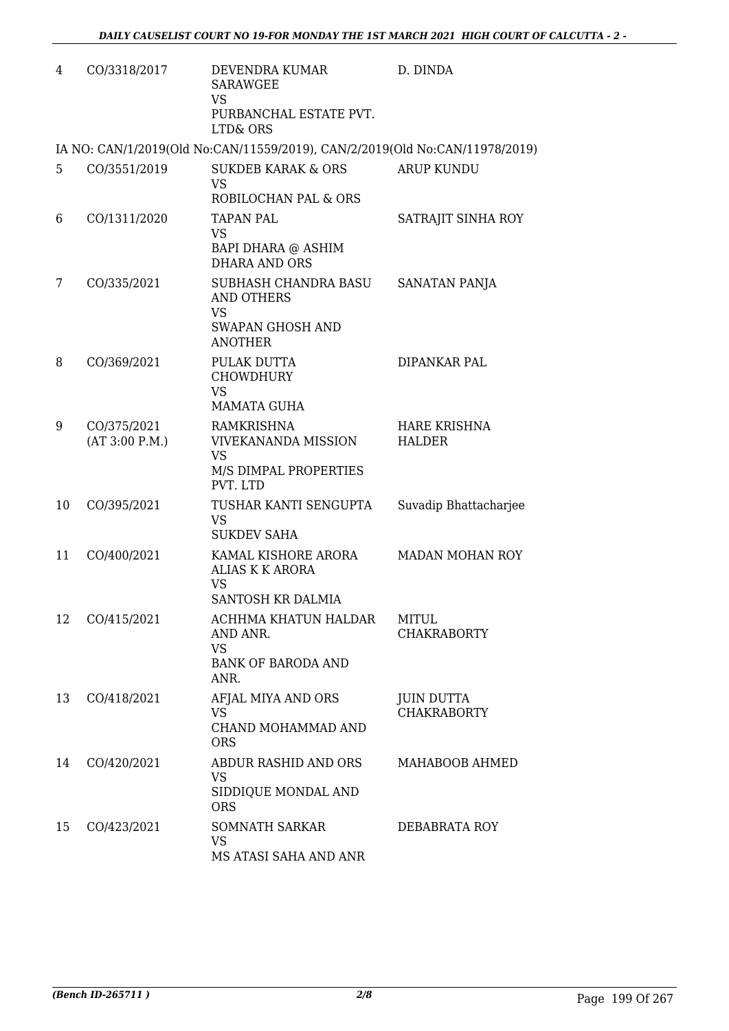| 4  | CO/3318/2017                  | DEVENDRA KUMAR<br><b>SARAWGEE</b><br><b>VS</b><br>PURBANCHAL ESTATE PVT.<br><b>LTD&amp; ORS</b>   | D. DINDA                                |
|----|-------------------------------|---------------------------------------------------------------------------------------------------|-----------------------------------------|
|    |                               | IA NO: CAN/1/2019(Old No:CAN/11559/2019), CAN/2/2019(Old No:CAN/11978/2019)                       |                                         |
| 5  | CO/3551/2019                  | SUKDEB KARAK & ORS<br><b>VS</b><br>ROBILOCHAN PAL & ORS                                           | <b>ARUP KUNDU</b>                       |
| 6  | CO/1311/2020                  | <b>TAPAN PAL</b><br><b>VS</b><br>BAPI DHARA @ ASHIM<br><b>DHARA AND ORS</b>                       | SATRAJIT SINHA ROY                      |
| 7  | CO/335/2021                   | SUBHASH CHANDRA BASU<br><b>AND OTHERS</b><br><b>VS</b><br>SWAPAN GHOSH AND<br><b>ANOTHER</b>      | SANATAN PANJA                           |
| 8  | CO/369/2021                   | PULAK DUTTA<br><b>CHOWDHURY</b><br><b>VS</b><br><b>MAMATA GUHA</b>                                | DIPANKAR PAL                            |
| 9  | CO/375/2021<br>(AT 3:00 P.M.) | <b>RAMKRISHNA</b><br><b>VIVEKANANDA MISSION</b><br><b>VS</b><br>M/S DIMPAL PROPERTIES<br>PVT. LTD | <b>HARE KRISHNA</b><br><b>HALDER</b>    |
| 10 | CO/395/2021                   | TUSHAR KANTI SENGUPTA<br><b>VS</b><br><b>SUKDEV SAHA</b>                                          | Suvadip Bhattacharjee                   |
| 11 | CO/400/2021                   | KAMAL KISHORE ARORA<br><b>ALIAS K K ARORA</b><br><b>VS</b><br>SANTOSH KR DALMIA                   | <b>MADAN MOHAN ROY</b>                  |
| 12 | CO/415/2021                   | ACHHMA KHATUN HALDAR<br>AND ANR.<br><b>VS</b><br><b>BANK OF BARODA AND</b><br>ANR.                | <b>MITUL</b><br><b>CHAKRABORTY</b>      |
| 13 | CO/418/2021                   | AFJAL MIYA AND ORS<br><b>VS</b><br>CHAND MOHAMMAD AND<br><b>ORS</b>                               | <b>JUIN DUTTA</b><br><b>CHAKRABORTY</b> |
| 14 | CO/420/2021                   | ABDUR RASHID AND ORS<br><b>VS</b><br>SIDDIQUE MONDAL AND<br><b>ORS</b>                            | MAHABOOB AHMED                          |
| 15 | CO/423/2021                   | SOMNATH SARKAR<br><b>VS</b><br>MS ATASI SAHA AND ANR                                              | DEBABRATA ROY                           |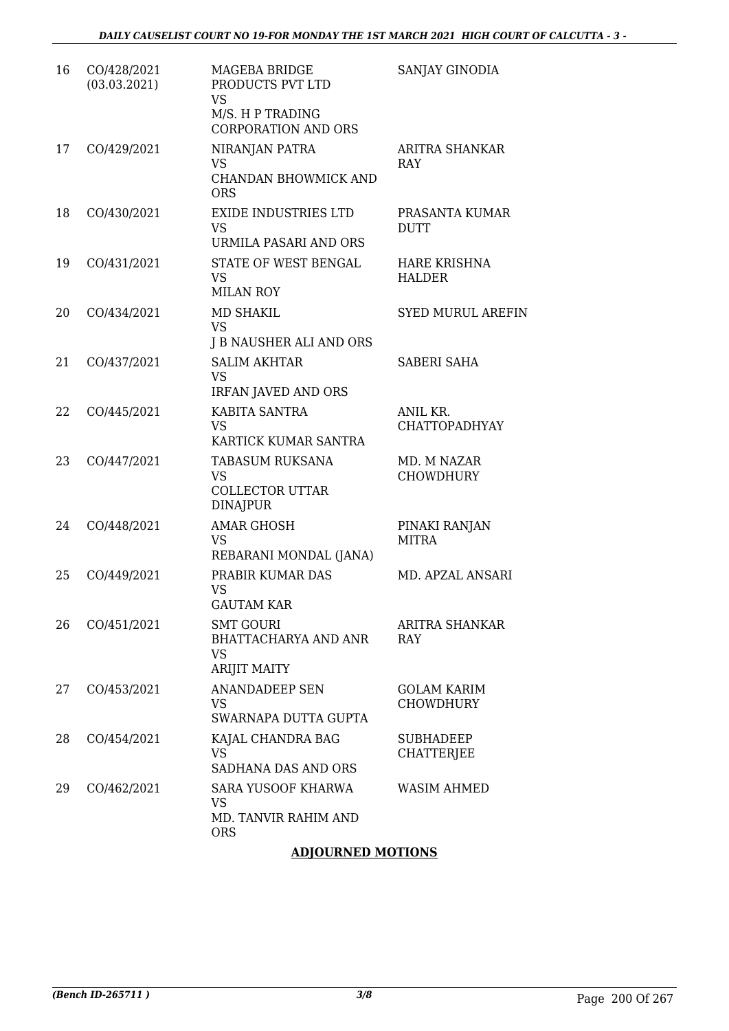| 16 | CO/428/2021<br>(03.03.2021) | <b>MAGEBA BRIDGE</b><br>PRODUCTS PVT LTD<br><b>VS</b><br>M/S. H P TRADING<br><b>CORPORATION AND ORS</b> | SANJAY GINODIA                         |
|----|-----------------------------|---------------------------------------------------------------------------------------------------------|----------------------------------------|
| 17 | CO/429/2021                 | NIRANJAN PATRA<br><b>VS</b><br>CHANDAN BHOWMICK AND<br><b>ORS</b>                                       | <b>ARITRA SHANKAR</b><br>RAY           |
| 18 | CO/430/2021                 | <b>EXIDE INDUSTRIES LTD</b><br><b>VS</b><br>URMILA PASARI AND ORS                                       | PRASANTA KUMAR<br><b>DUTT</b>          |
| 19 | CO/431/2021                 | STATE OF WEST BENGAL<br><b>VS</b><br><b>MILAN ROY</b>                                                   | <b>HARE KRISHNA</b><br><b>HALDER</b>   |
| 20 | CO/434/2021                 | <b>MD SHAKIL</b><br><b>VS</b><br>J B NAUSHER ALI AND ORS                                                | <b>SYED MURUL AREFIN</b>               |
| 21 | CO/437/2021                 | <b>SALIM AKHTAR</b><br><b>VS</b><br><b>IRFAN JAVED AND ORS</b>                                          | <b>SABERI SAHA</b>                     |
| 22 | CO/445/2021                 | KABITA SANTRA<br><b>VS</b><br>KARTICK KUMAR SANTRA                                                      | ANIL KR.<br><b>CHATTOPADHYAY</b>       |
| 23 | CO/447/2021                 | <b>TABASUM RUKSANA</b><br><b>VS</b><br><b>COLLECTOR UTTAR</b><br><b>DINAJPUR</b>                        | MD. M NAZAR<br><b>CHOWDHURY</b>        |
| 24 | CO/448/2021                 | <b>AMAR GHOSH</b><br><b>VS</b><br>REBARANI MONDAL (JANA)                                                | PINAKI RANJAN<br><b>MITRA</b>          |
| 25 | CO/449/2021                 | PRABIR KUMAR DAS<br><b>VS</b><br><b>GAUTAM KAR</b>                                                      | MD. APZAL ANSARI                       |
| 26 | CO/451/2021                 | <b>SMT GOURI</b><br><b>BHATTACHARYA AND ANR</b><br><b>VS</b><br><b>ARIJIT MAITY</b>                     | ARITRA SHANKAR<br><b>RAY</b>           |
| 27 | CO/453/2021                 | <b>ANANDADEEP SEN</b><br><b>VS</b><br>SWARNAPA DUTTA GUPTA                                              | <b>GOLAM KARIM</b><br><b>CHOWDHURY</b> |
| 28 | CO/454/2021                 | KAJAL CHANDRA BAG<br><b>VS</b><br>SADHANA DAS AND ORS                                                   | <b>SUBHADEEP</b><br><b>CHATTERJEE</b>  |
| 29 | CO/462/2021                 | <b>SARA YUSOOF KHARWA</b><br><b>VS</b><br>MD. TANVIR RAHIM AND<br><b>ORS</b>                            | <b>WASIM AHMED</b>                     |

### **ADJOURNED MOTIONS**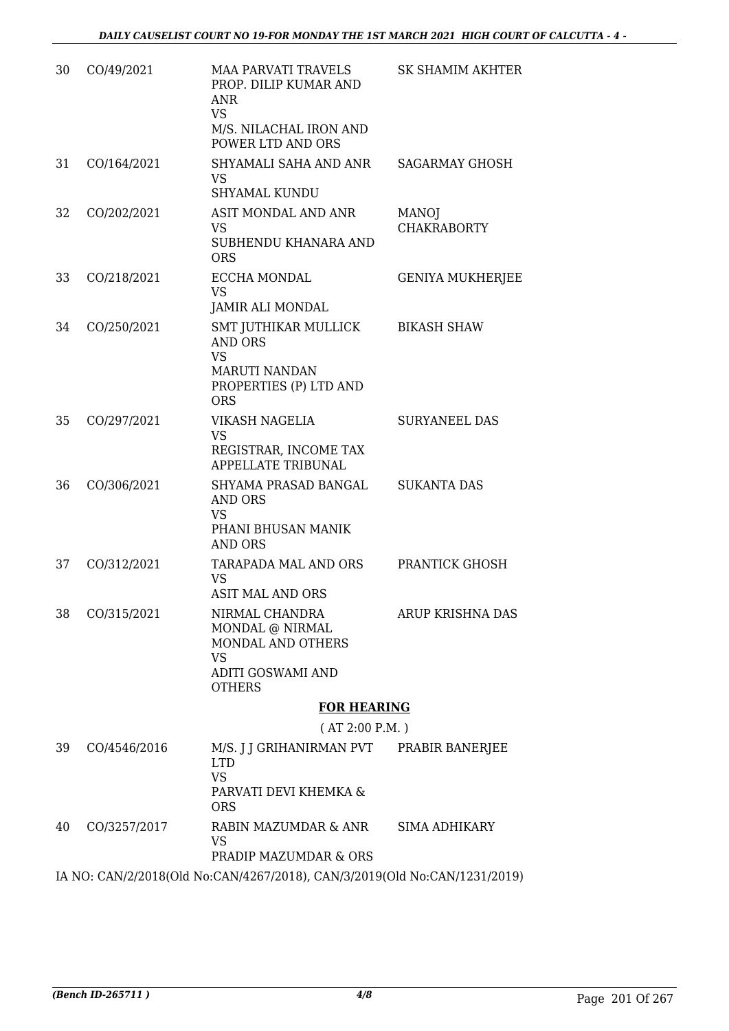| 30 | CO/49/2021   | <b>MAA PARVATI TRAVELS</b><br>PROP. DILIP KUMAR AND<br><b>ANR</b><br><b>VS</b><br>M/S. NILACHAL IRON AND<br>POWER LTD AND ORS | <b>SK SHAMIM AKHTER</b>            |
|----|--------------|-------------------------------------------------------------------------------------------------------------------------------|------------------------------------|
| 31 | CO/164/2021  | SHYAMALI SAHA AND ANR<br><b>VS</b><br><b>SHYAMAL KUNDU</b>                                                                    | <b>SAGARMAY GHOSH</b>              |
| 32 | CO/202/2021  | ASIT MONDAL AND ANR<br>VS<br>SUBHENDU KHANARA AND<br><b>ORS</b>                                                               | <b>MANOJ</b><br><b>CHAKRABORTY</b> |
| 33 | CO/218/2021  | ECCHA MONDAL<br><b>VS</b><br>JAMIR ALI MONDAL                                                                                 | <b>GENIYA MUKHERJEE</b>            |
| 34 | CO/250/2021  | SMT JUTHIKAR MULLICK<br><b>AND ORS</b><br><b>VS</b><br>MARUTI NANDAN<br>PROPERTIES (P) LTD AND<br><b>ORS</b>                  | <b>BIKASH SHAW</b>                 |
| 35 | CO/297/2021  | VIKASH NAGELIA<br>VS<br>REGISTRAR, INCOME TAX<br>APPELLATE TRIBUNAL                                                           | <b>SURYANEEL DAS</b>               |
| 36 | CO/306/2021  | SHYAMA PRASAD BANGAL<br><b>AND ORS</b><br><b>VS</b><br>PHANI BHUSAN MANIK<br><b>AND ORS</b>                                   | <b>SUKANTA DAS</b>                 |
| 37 | CO/312/2021  | TARAPADA MAL AND ORS<br>VS<br><b>ASIT MAL AND ORS</b>                                                                         | <b>PRANTICK GHOSH</b>              |
| 38 | CO/315/2021  | NIRMAL CHANDRA<br>MONDAL @ NIRMAL<br>MONDAL AND OTHERS<br><b>VS</b><br>ADITI GOSWAMI AND<br><b>OTHERS</b>                     | <b>ARUP KRISHNA DAS</b>            |
|    |              | <b>FOR HEARING</b>                                                                                                            |                                    |
| 39 | CO/4546/2016 | (AT 2:00 P.M. )<br>M/S. J J GRIHANIRMAN PVT<br><b>LTD</b><br><b>VS</b><br>PARVATI DEVI KHEMKA &<br><b>ORS</b>                 | PRABIR BANERJEE                    |
| 40 | CO/3257/2017 | RABIN MAZUMDAR & ANR<br><b>VS</b>                                                                                             | <b>SIMA ADHIKARY</b>               |

PRADIP MAZUMDAR & ORS

IA NO: CAN/2/2018(Old No:CAN/4267/2018), CAN/3/2019(Old No:CAN/1231/2019)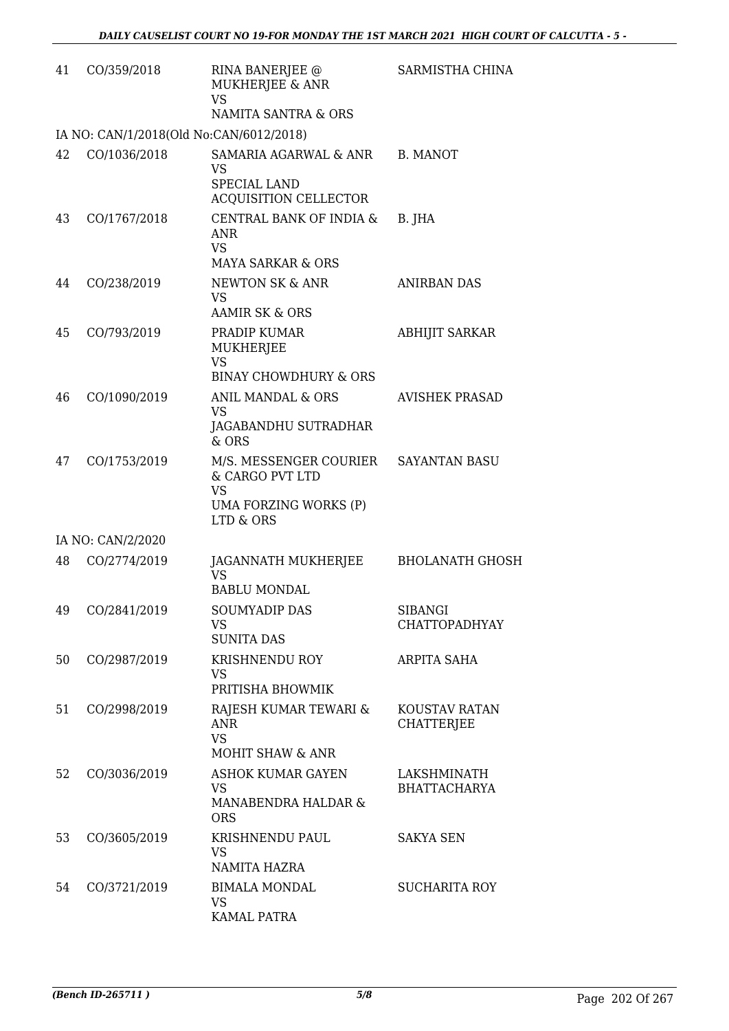| 41 | CO/359/2018                             | RINA BANERJEE @<br>MUKHERJEE & ANR<br><b>VS</b><br>NAMITA SANTRA & ORS                                     | SARMISTHA CHINA                        |
|----|-----------------------------------------|------------------------------------------------------------------------------------------------------------|----------------------------------------|
|    | IA NO: CAN/1/2018(Old No:CAN/6012/2018) |                                                                                                            |                                        |
| 42 | CO/1036/2018                            | SAMARIA AGARWAL & ANR<br><b>VS</b><br>SPECIAL LAND<br><b>ACQUISITION CELLECTOR</b>                         | B. MANOT                               |
| 43 | CO/1767/2018                            | CENTRAL BANK OF INDIA &<br>ANR<br><b>VS</b><br><b>MAYA SARKAR &amp; ORS</b>                                | B. JHA                                 |
| 44 | CO/238/2019                             | NEWTON SK & ANR<br><b>VS</b><br><b>AAMIR SK &amp; ORS</b>                                                  | <b>ANIRBAN DAS</b>                     |
| 45 | CO/793/2019                             | PRADIP KUMAR<br><b>MUKHERJEE</b><br><b>VS</b>                                                              | <b>ABHIJIT SARKAR</b>                  |
|    |                                         | <b>BINAY CHOWDHURY &amp; ORS</b>                                                                           |                                        |
| 46 | CO/1090/2019                            | ANIL MANDAL & ORS<br><b>VS</b><br>JAGABANDHU SUTRADHAR<br>$&$ ORS                                          | <b>AVISHEK PRASAD</b>                  |
| 47 | CO/1753/2019                            | M/S. MESSENGER COURIER SAYANTAN BASU<br>& CARGO PVT LTD<br><b>VS</b><br>UMA FORZING WORKS (P)<br>LTD & ORS |                                        |
|    | IA NO: CAN/2/2020                       |                                                                                                            |                                        |
| 48 | CO/2774/2019                            | JAGANNATH MUKHERJEE<br>VS<br><b>BABLU MONDAL</b>                                                           | <b>BHOLANATH GHOSH</b>                 |
| 49 | CO/2841/2019                            | <b>SOUMYADIP DAS</b><br><b>VS</b><br><b>SUNITA DAS</b>                                                     | <b>SIBANGI</b><br><b>CHATTOPADHYAY</b> |
| 50 | CO/2987/2019                            | KRISHNENDU ROY<br>VS.<br>PRITISHA BHOWMIK                                                                  | ARPITA SAHA                            |
| 51 | CO/2998/2019                            | RAJESH KUMAR TEWARI &<br>ANR<br><b>VS</b><br><b>MOHIT SHAW &amp; ANR</b>                                   | KOUSTAV RATAN<br><b>CHATTERJEE</b>     |
| 52 | CO/3036/2019                            | <b>ASHOK KUMAR GAYEN</b><br><b>VS</b><br>MANABENDRA HALDAR &<br><b>ORS</b>                                 | LAKSHMINATH<br><b>BHATTACHARYA</b>     |
| 53 | CO/3605/2019                            | KRISHNENDU PAUL<br><b>VS</b><br>NAMITA HAZRA                                                               | <b>SAKYA SEN</b>                       |
| 54 | CO/3721/2019                            | <b>BIMALA MONDAL</b><br><b>VS</b><br>KAMAL PATRA                                                           | <b>SUCHARITA ROY</b>                   |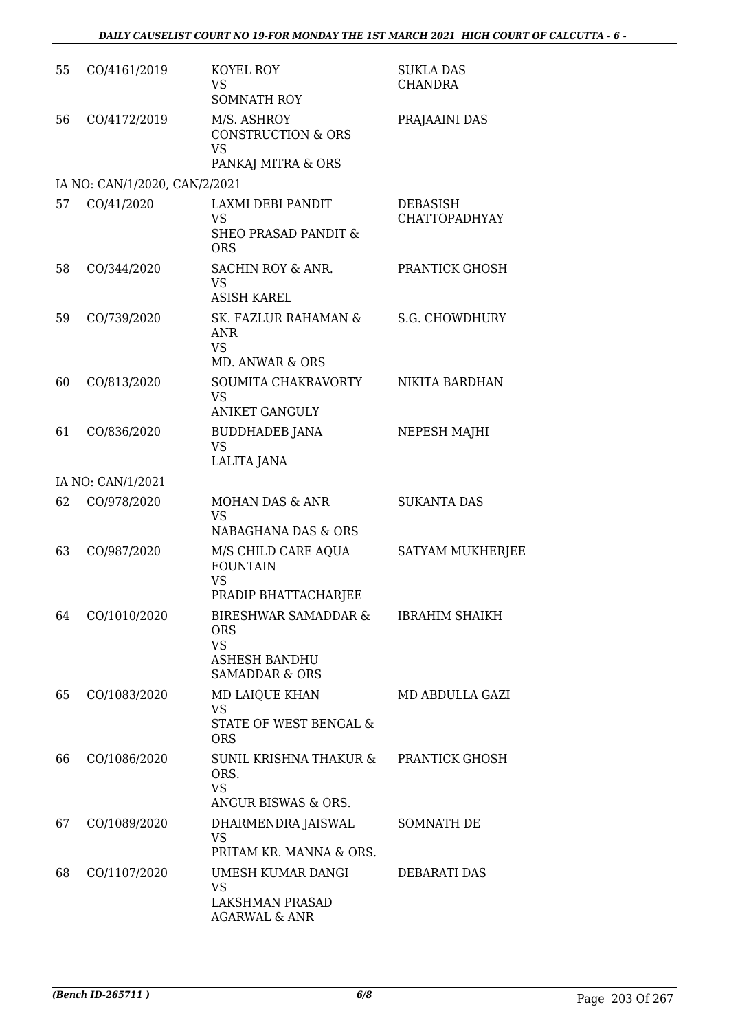| 55 | CO/4161/2019                  | KOYEL ROY<br><b>VS</b><br><b>SOMNATH ROY</b>                                                                    | <b>SUKLA DAS</b><br><b>CHANDRA</b>      |
|----|-------------------------------|-----------------------------------------------------------------------------------------------------------------|-----------------------------------------|
| 56 | CO/4172/2019                  | M/S. ASHROY<br><b>CONSTRUCTION &amp; ORS</b><br><b>VS</b><br>PANKAJ MITRA & ORS                                 | PRAJAAINI DAS                           |
|    | IA NO: CAN/1/2020, CAN/2/2021 |                                                                                                                 |                                         |
| 57 | CO/41/2020                    | <b>LAXMI DEBI PANDIT</b><br><b>VS</b><br><b>SHEO PRASAD PANDIT &amp;</b><br><b>ORS</b>                          | <b>DEBASISH</b><br><b>CHATTOPADHYAY</b> |
| 58 | CO/344/2020                   | SACHIN ROY & ANR.<br><b>VS</b><br><b>ASISH KAREL</b>                                                            | PRANTICK GHOSH                          |
| 59 | CO/739/2020                   | SK. FAZLUR RAHAMAN &<br><b>ANR</b><br><b>VS</b><br><b>MD. ANWAR &amp; ORS</b>                                   | <b>S.G. CHOWDHURY</b>                   |
| 60 | CO/813/2020                   | SOUMITA CHAKRAVORTY<br><b>VS</b><br><b>ANIKET GANGULY</b>                                                       | NIKITA BARDHAN                          |
| 61 | CO/836/2020                   | <b>BUDDHADEB JANA</b><br><b>VS</b><br>LALITA JANA                                                               | NEPESH MAJHI                            |
|    | IA NO: CAN/1/2021             |                                                                                                                 |                                         |
| 62 | CO/978/2020                   | MOHAN DAS & ANR<br><b>VS</b><br>NABAGHANA DAS & ORS                                                             | <b>SUKANTA DAS</b>                      |
| 63 | CO/987/2020                   | M/S CHILD CARE AQUA<br><b>FOUNTAIN</b><br><b>VS</b>                                                             | SATYAM MUKHERJEE                        |
|    |                               | PRADIP BHATTACHARJEE                                                                                            |                                         |
| 64 | CO/1010/2020                  | <b>BIRESHWAR SAMADDAR &amp;</b><br><b>ORS</b><br><b>VS</b><br><b>ASHESH BANDHU</b><br><b>SAMADDAR &amp; ORS</b> | <b>IBRAHIM SHAIKH</b>                   |
| 65 | CO/1083/2020                  | MD LAIQUE KHAN<br><b>VS</b><br>STATE OF WEST BENGAL &<br><b>ORS</b>                                             | MD ABDULLA GAZI                         |
| 66 | CO/1086/2020                  | SUNIL KRISHNA THAKUR &<br>ORS.<br><b>VS</b><br>ANGUR BISWAS & ORS.                                              | PRANTICK GHOSH                          |
| 67 | CO/1089/2020                  | DHARMENDRA JAISWAL<br><b>VS</b><br>PRITAM KR. MANNA & ORS.                                                      | SOMNATH DE                              |
| 68 | CO/1107/2020                  | UMESH KUMAR DANGI<br><b>VS</b><br>LAKSHMAN PRASAD<br><b>AGARWAL &amp; ANR</b>                                   | DEBARATI DAS                            |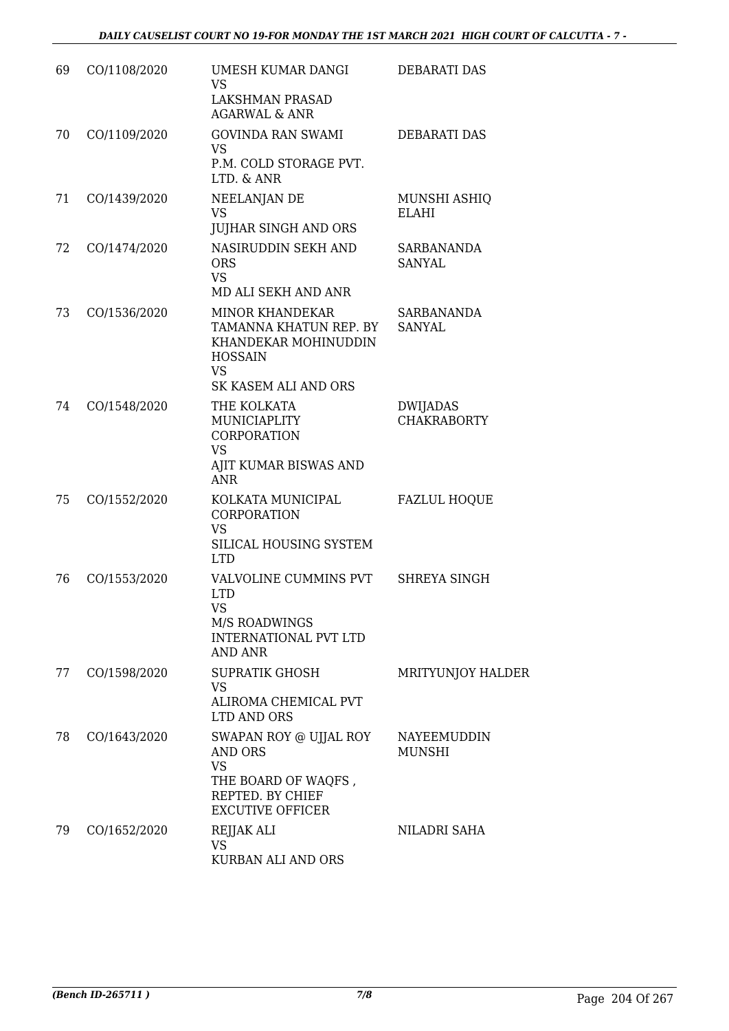| 69 | CO/1108/2020 | UMESH KUMAR DANGI<br><b>VS</b><br><b>LAKSHMAN PRASAD</b><br><b>AGARWAL &amp; ANR</b>                                                   | <b>DEBARATI DAS</b>                   |
|----|--------------|----------------------------------------------------------------------------------------------------------------------------------------|---------------------------------------|
| 70 | CO/1109/2020 | <b>GOVINDA RAN SWAMI</b><br><b>VS</b><br>P.M. COLD STORAGE PVT.<br>LTD. & ANR                                                          | <b>DEBARATI DAS</b>                   |
| 71 | CO/1439/2020 | NEELANJAN DE<br><b>VS</b><br><b>JUJHAR SINGH AND ORS</b>                                                                               | MUNSHI ASHIQ<br><b>ELAHI</b>          |
| 72 | CO/1474/2020 | NASIRUDDIN SEKH AND<br><b>ORS</b><br><b>VS</b><br>MD ALI SEKH AND ANR                                                                  | SARBANANDA<br><b>SANYAL</b>           |
| 73 | CO/1536/2020 | <b>MINOR KHANDEKAR</b><br>TAMANNA KHATUN REP. BY<br>KHANDEKAR MOHINUDDIN<br><b>HOSSAIN</b><br><b>VS</b><br><b>SK KASEM ALI AND ORS</b> | <b>SARBANANDA</b><br><b>SANYAL</b>    |
| 74 | CO/1548/2020 | THE KOLKATA<br><b>MUNICIAPLITY</b><br><b>CORPORATION</b><br><b>VS</b><br>AJIT KUMAR BISWAS AND<br><b>ANR</b>                           | <b>DWIJADAS</b><br><b>CHAKRABORTY</b> |
| 75 | CO/1552/2020 | KOLKATA MUNICIPAL<br><b>CORPORATION</b><br><b>VS</b><br>SILICAL HOUSING SYSTEM<br><b>LTD</b>                                           | <b>FAZLUL HOQUE</b>                   |
| 76 | CO/1553/2020 | VALVOLINE CUMMINS PVT<br><b>LTD</b><br><b>VS</b><br>M/S ROADWINGS<br><b>INTERNATIONAL PVT LTD</b><br><b>AND ANR</b>                    | <b>SHREYA SINGH</b>                   |
| 77 | CO/1598/2020 | SUPRATIK GHOSH<br><b>VS</b><br>ALIROMA CHEMICAL PVT<br>LTD AND ORS                                                                     | MRITYUNJOY HALDER                     |
| 78 | CO/1643/2020 | SWAPAN ROY @ UJJAL ROY<br>AND ORS<br><b>VS</b><br>THE BOARD OF WAQFS,<br>REPTED. BY CHIEF<br><b>EXCUTIVE OFFICER</b>                   | NAYEEMUDDIN<br><b>MUNSHI</b>          |
| 79 | CO/1652/2020 | REJJAK ALI<br><b>VS</b><br>KURBAN ALI AND ORS                                                                                          | <b>NILADRI SAHA</b>                   |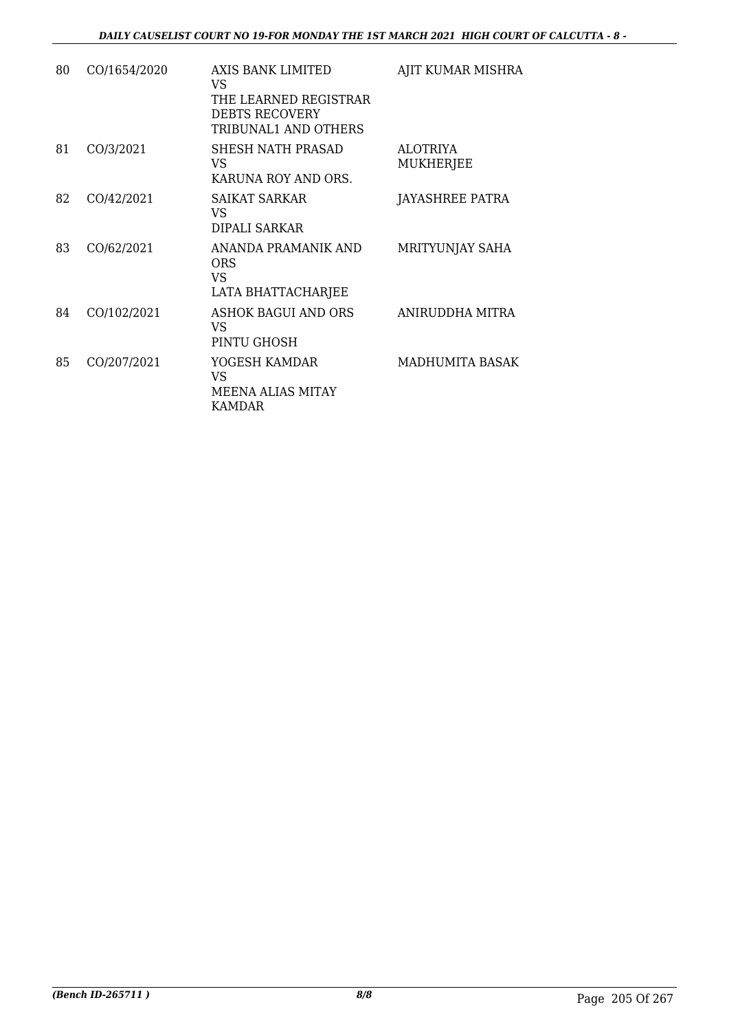| 80 | CO/1654/2020 | AXIS BANK LIMITED<br>VS.<br>THE LEARNED REGISTRAR<br><b>DEBTS RECOVERY</b><br>TRIBUNAL1 AND OTHERS | AJIT KUMAR MISHRA                   |
|----|--------------|----------------------------------------------------------------------------------------------------|-------------------------------------|
| 81 | CO/3/2021    | SHESH NATH PRASAD<br>VS<br>KARUNA ROY AND ORS.                                                     | <b>ALOTRIYA</b><br><b>MUKHERJEE</b> |
| 82 | CO/42/2021   | SAIKAT SARKAR<br>VS.<br>DIPALI SARKAR                                                              | JAYASHREE PATRA                     |
| 83 | CO/62/2021   | ANANDA PRAMANIK AND<br><b>ORS</b><br>VS<br>LATA BHATTACHARJEE                                      | MRITYUNJAY SAHA                     |
| 84 | CO/102/2021  | ASHOK BAGUI AND ORS<br>VS<br>PINTU GHOSH                                                           | ANIRUDDHA MITRA                     |
| 85 | CO/207/2021  | YOGESH KAMDAR<br><b>VS</b><br>MEENA ALIAS MITAY<br><b>KAMDAR</b>                                   | MADHUMITA BASAK                     |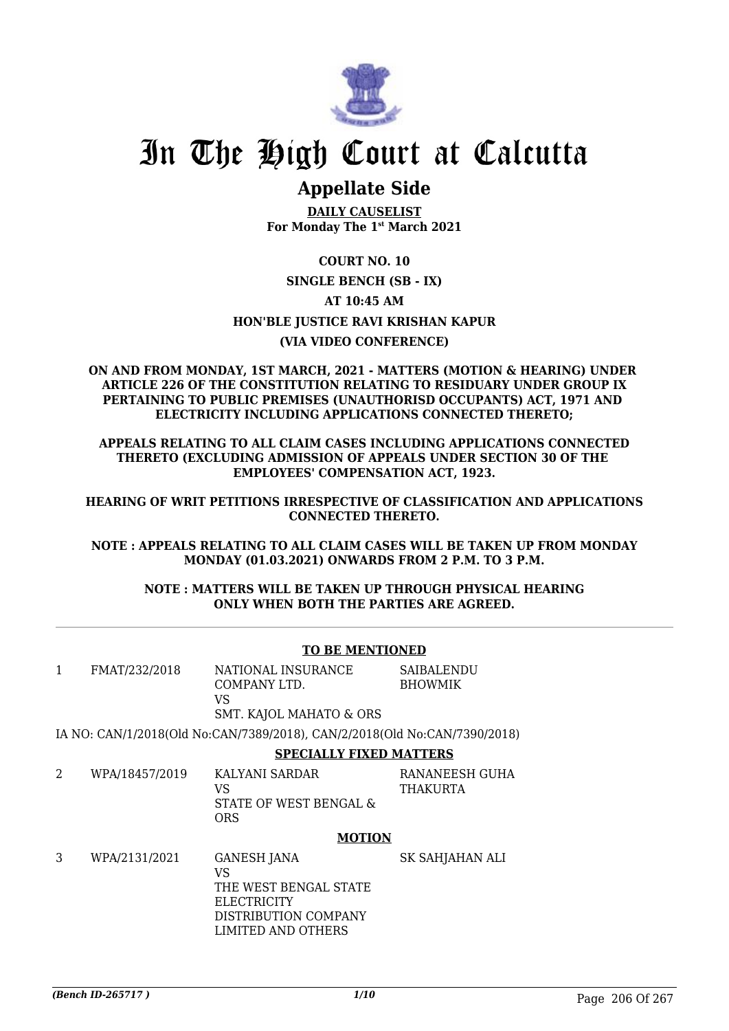

# In The High Court at Calcutta

## **Appellate Side**

**DAILY CAUSELIST For Monday The 1st March 2021**

### **COURT NO. 10 SINGLE BENCH (SB - IX) AT 10:45 AM HON'BLE JUSTICE RAVI KRISHAN KAPUR (VIA VIDEO CONFERENCE)**

#### **ON AND FROM MONDAY, 1ST MARCH, 2021 - MATTERS (MOTION & HEARING) UNDER ARTICLE 226 OF THE CONSTITUTION RELATING TO RESIDUARY UNDER GROUP IX PERTAINING TO PUBLIC PREMISES (UNAUTHORISD OCCUPANTS) ACT, 1971 AND ELECTRICITY INCLUDING APPLICATIONS CONNECTED THERETO;**

**APPEALS RELATING TO ALL CLAIM CASES INCLUDING APPLICATIONS CONNECTED THERETO (EXCLUDING ADMISSION OF APPEALS UNDER SECTION 30 OF THE EMPLOYEES' COMPENSATION ACT, 1923.**

**HEARING OF WRIT PETITIONS IRRESPECTIVE OF CLASSIFICATION AND APPLICATIONS CONNECTED THERETO.**

**NOTE : APPEALS RELATING TO ALL CLAIM CASES WILL BE TAKEN UP FROM MONDAY MONDAY (01.03.2021) ONWARDS FROM 2 P.M. TO 3 P.M.**

#### **NOTE : MATTERS WILL BE TAKEN UP THROUGH PHYSICAL HEARING ONLY WHEN BOTH THE PARTIES ARE AGREED.**

|                |                | <b>TO BE MENTIONED</b>                                                                                                |                                     |
|----------------|----------------|-----------------------------------------------------------------------------------------------------------------------|-------------------------------------|
| 1              | FMAT/232/2018  | NATIONAL INSURANCE<br>COMPANY LTD.<br>VS<br><b>SMT. KAJOL MAHATO &amp; ORS</b>                                        | <b>SAIBALENDU</b><br><b>BHOWMIK</b> |
|                |                | IA NO: CAN/1/2018(Old No:CAN/7389/2018), CAN/2/2018(Old No:CAN/7390/2018)                                             |                                     |
|                |                | <b>SPECIALLY FIXED MATTERS</b>                                                                                        |                                     |
| $\overline{2}$ | WPA/18457/2019 | KALYANI SARDAR<br>VS<br>STATE OF WEST BENGAL &<br><b>ORS</b>                                                          | RANANEESH GUHA<br>THAKURTA          |
|                |                | <b>MOTION</b>                                                                                                         |                                     |
| 3              | WPA/2131/2021  | <b>GANESH JANA</b><br>VS<br>THE WEST BENGAL STATE<br><b>ELECTRICITY</b><br>DISTRIBUTION COMPANY<br>LIMITED AND OTHERS | SK SAHJAHAN ALI                     |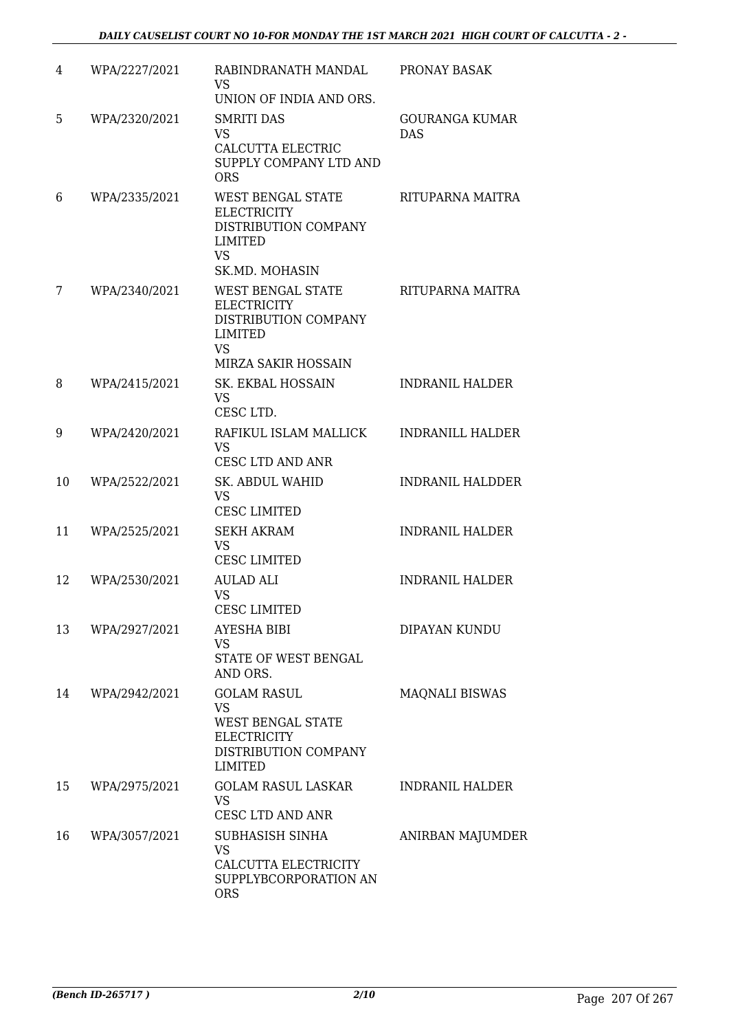| 4  | WPA/2227/2021 | RABINDRANATH MANDAL<br><b>VS</b><br>UNION OF INDIA AND ORS.                                                                 | PRONAY BASAK                        |
|----|---------------|-----------------------------------------------------------------------------------------------------------------------------|-------------------------------------|
| 5  | WPA/2320/2021 | <b>SMRITI DAS</b><br><b>VS</b><br><b>CALCUTTA ELECTRIC</b><br>SUPPLY COMPANY LTD AND<br><b>ORS</b>                          | <b>GOURANGA KUMAR</b><br><b>DAS</b> |
| 6  | WPA/2335/2021 | WEST BENGAL STATE<br><b>ELECTRICITY</b><br>DISTRIBUTION COMPANY<br><b>LIMITED</b><br><b>VS</b><br>SK.MD. MOHASIN            | RITUPARNA MAITRA                    |
| 7  | WPA/2340/2021 | <b>WEST BENGAL STATE</b><br><b>ELECTRICITY</b><br>DISTRIBUTION COMPANY<br>LIMITED<br><b>VS</b><br>MIRZA SAKIR HOSSAIN       | RITUPARNA MAITRA                    |
| 8  | WPA/2415/2021 | SK. EKBAL HOSSAIN<br><b>VS</b><br>CESC LTD.                                                                                 | <b>INDRANIL HALDER</b>              |
| 9  | WPA/2420/2021 | RAFIKUL ISLAM MALLICK<br><b>VS</b><br>CESC LTD AND ANR                                                                      | <b>INDRANILL HALDER</b>             |
| 10 | WPA/2522/2021 | <b>SK. ABDUL WAHID</b><br><b>VS</b><br><b>CESC LIMITED</b>                                                                  | <b>INDRANIL HALDDER</b>             |
| 11 | WPA/2525/2021 | <b>SEKH AKRAM</b><br><b>VS</b><br><b>CESC LIMITED</b>                                                                       | <b>INDRANIL HALDER</b>              |
| 12 | WPA/2530/2021 | AULAD ALI<br>VS<br>CESC LIMITED                                                                                             | <b>INDRANIL HALDER</b>              |
| 13 | WPA/2927/2021 | <b>AYESHA BIBI</b><br><b>VS</b><br>STATE OF WEST BENGAL<br>AND ORS.                                                         | DIPAYAN KUNDU                       |
| 14 | WPA/2942/2021 | <b>GOLAM RASUL</b><br><b>VS</b><br><b>WEST BENGAL STATE</b><br><b>ELECTRICITY</b><br>DISTRIBUTION COMPANY<br><b>LIMITED</b> | <b>MAQNALI BISWAS</b>               |
| 15 | WPA/2975/2021 | <b>GOLAM RASUL LASKAR</b><br><b>VS</b><br><b>CESC LTD AND ANR</b>                                                           | <b>INDRANIL HALDER</b>              |
| 16 | WPA/3057/2021 | SUBHASISH SINHA<br><b>VS</b><br>CALCUTTA ELECTRICITY<br>SUPPLYBCORPORATION AN<br><b>ORS</b>                                 | ANIRBAN MAJUMDER                    |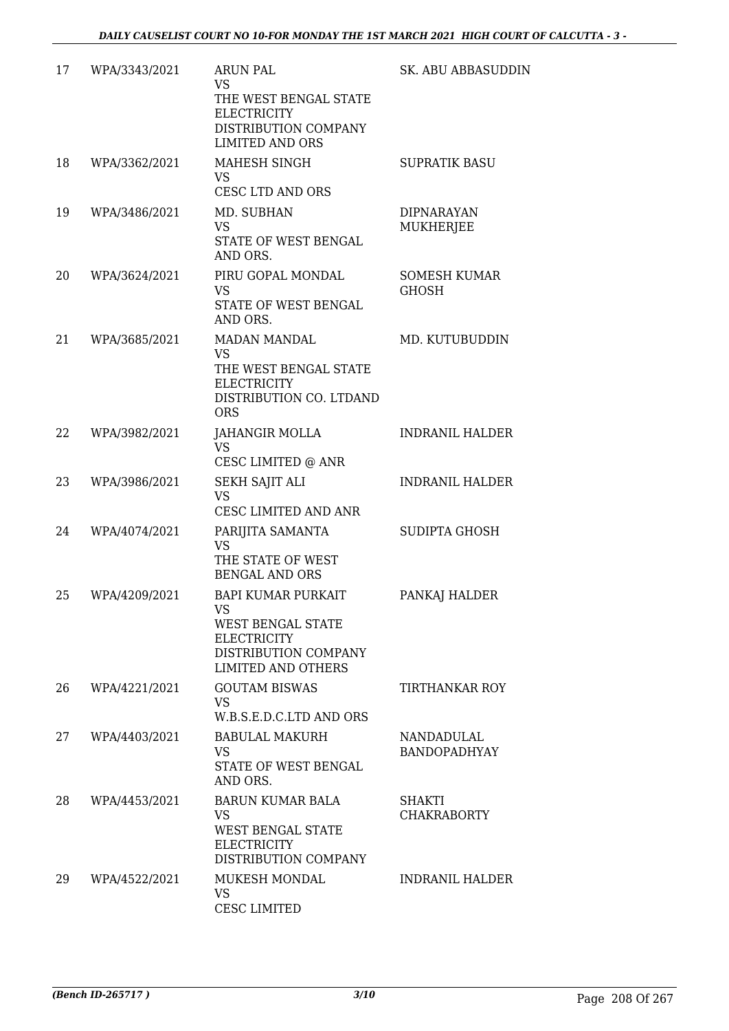| 17 | WPA/3343/2021 | <b>ARUN PAL</b><br><b>VS</b><br>THE WEST BENGAL STATE<br><b>ELECTRICITY</b><br>DISTRIBUTION COMPANY<br><b>LIMITED AND ORS</b>          | SK. ABU ABBASUDDIN                       |
|----|---------------|----------------------------------------------------------------------------------------------------------------------------------------|------------------------------------------|
| 18 | WPA/3362/2021 | MAHESH SINGH<br><b>VS</b><br>CESC LTD AND ORS                                                                                          | <b>SUPRATIK BASU</b>                     |
| 19 | WPA/3486/2021 | MD. SUBHAN<br><b>VS</b><br>STATE OF WEST BENGAL<br>AND ORS.                                                                            | <b>DIPNARAYAN</b><br>MUKHERJEE           |
| 20 | WPA/3624/2021 | PIRU GOPAL MONDAL<br><b>VS</b><br>STATE OF WEST BENGAL<br>AND ORS.                                                                     | <b>SOMESH KUMAR</b><br>GHOSH             |
| 21 | WPA/3685/2021 | <b>MADAN MANDAL</b><br><b>VS</b><br>THE WEST BENGAL STATE<br><b>ELECTRICITY</b><br>DISTRIBUTION CO. LTDAND<br><b>ORS</b>               | MD. KUTUBUDDIN                           |
| 22 | WPA/3982/2021 | JAHANGIR MOLLA<br><b>VS</b><br>CESC LIMITED @ ANR                                                                                      | <b>INDRANIL HALDER</b>                   |
| 23 | WPA/3986/2021 | <b>SEKH SAJIT ALI</b><br><b>VS</b><br>CESC LIMITED AND ANR                                                                             | <b>INDRANIL HALDER</b>                   |
| 24 | WPA/4074/2021 | PARIJITA SAMANTA<br><b>VS</b><br>THE STATE OF WEST<br><b>BENGAL AND ORS</b>                                                            | <b>SUDIPTA GHOSH</b>                     |
| 25 | WPA/4209/2021 | <b>BAPI KUMAR PURKAIT</b><br>VS<br><b>WEST BENGAL STATE</b><br><b>ELECTRICITY</b><br>DISTRIBUTION COMPANY<br><b>LIMITED AND OTHERS</b> | PANKAJ HALDER                            |
| 26 | WPA/4221/2021 | <b>GOUTAM BISWAS</b><br><b>VS</b><br>W.B.S.E.D.C.LTD AND ORS                                                                           | TIRTHANKAR ROY                           |
| 27 | WPA/4403/2021 | <b>BABULAL MAKURH</b><br><b>VS</b><br>STATE OF WEST BENGAL<br>AND ORS.                                                                 | <b>NANDADULAL</b><br><b>BANDOPADHYAY</b> |
| 28 | WPA/4453/2021 | <b>BARUN KUMAR BALA</b><br><b>VS</b><br>WEST BENGAL STATE<br><b>ELECTRICITY</b><br>DISTRIBUTION COMPANY                                | SHAKTI<br><b>CHAKRABORTY</b>             |
| 29 | WPA/4522/2021 | MUKESH MONDAL<br><b>VS</b><br><b>CESC LIMITED</b>                                                                                      | <b>INDRANIL HALDER</b>                   |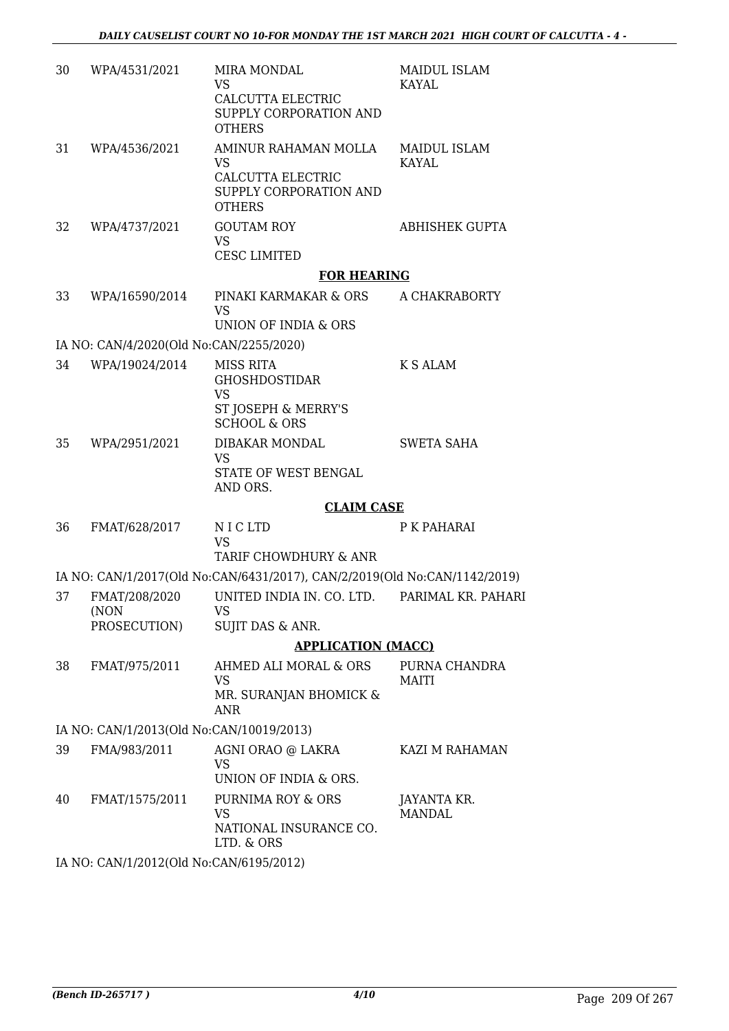| 30 | WPA/4531/2021                            | <b>MIRA MONDAL</b><br>VS                                                                          | <b>MAIDUL ISLAM</b><br><b>KAYAL</b> |
|----|------------------------------------------|---------------------------------------------------------------------------------------------------|-------------------------------------|
|    |                                          | CALCUTTA ELECTRIC<br>SUPPLY CORPORATION AND<br><b>OTHERS</b>                                      |                                     |
| 31 | WPA/4536/2021                            | AMINUR RAHAMAN MOLLA<br><b>VS</b><br>CALCUTTA ELECTRIC<br>SUPPLY CORPORATION AND<br><b>OTHERS</b> | MAIDUL ISLAM<br><b>KAYAL</b>        |
| 32 | WPA/4737/2021                            | <b>GOUTAM ROY</b><br><b>VS</b><br><b>CESC LIMITED</b>                                             | ABHISHEK GUPTA                      |
|    |                                          | <b>FOR HEARING</b>                                                                                |                                     |
| 33 | WPA/16590/2014                           | PINAKI KARMAKAR & ORS<br>VS                                                                       | A CHAKRABORTY                       |
|    | IA NO: CAN/4/2020(Old No:CAN/2255/2020)  | UNION OF INDIA & ORS                                                                              |                                     |
| 34 | WPA/19024/2014                           | MISS RITA                                                                                         | <b>K S ALAM</b>                     |
|    |                                          | <b>GHOSHDOSTIDAR</b><br><b>VS</b><br>ST JOSEPH & MERRY'S<br><b>SCHOOL &amp; ORS</b>               |                                     |
| 35 | WPA/2951/2021                            | DIBAKAR MONDAL<br><b>VS</b><br>STATE OF WEST BENGAL<br>AND ORS.                                   | <b>SWETA SAHA</b>                   |
|    |                                          | <b>CLAIM CASE</b>                                                                                 |                                     |
| 36 | FMAT/628/2017                            | N I C LTD<br><b>VS</b><br>TARIF CHOWDHURY & ANR                                                   | P K PAHARAI                         |
|    |                                          | IA NO: CAN/1/2017(Old No:CAN/6431/2017), CAN/2/2019(Old No:CAN/1142/2019)                         |                                     |
| 37 | FMAT/208/2020<br>(NON                    | UNITED INDIA IN. CO. LTD.<br><b>VS</b>                                                            | PARIMAL KR. PAHARI                  |
|    | PROSECUTION)                             | SUJIT DAS & ANR.                                                                                  |                                     |
|    |                                          | <b>APPLICATION (MACC)</b>                                                                         |                                     |
| 38 | FMAT/975/2011                            | AHMED ALI MORAL & ORS<br><b>VS</b><br>MR. SURANJAN BHOMICK &                                      | PURNA CHANDRA<br><b>MAITI</b>       |
|    |                                          | <b>ANR</b>                                                                                        |                                     |
|    | IA NO: CAN/1/2013(Old No:CAN/10019/2013) |                                                                                                   |                                     |
| 39 | FMA/983/2011                             | AGNI ORAO @ LAKRA<br><b>VS</b><br>UNION OF INDIA & ORS.                                           | KAZI M RAHAMAN                      |
| 40 | FMAT/1575/2011                           | PURNIMA ROY & ORS<br><b>VS</b><br>NATIONAL INSURANCE CO.<br>LTD. & ORS                            | JAYANTA KR.<br><b>MANDAL</b>        |
|    |                                          |                                                                                                   |                                     |

IA NO: CAN/1/2012(Old No:CAN/6195/2012)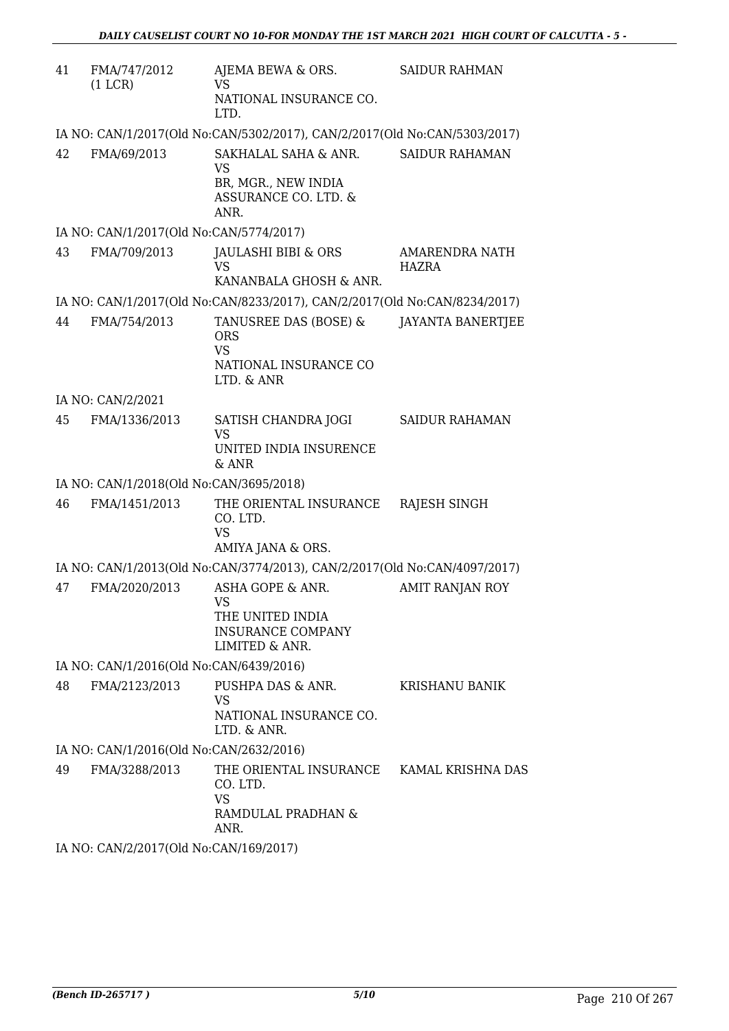| 41 | FMA/747/2012<br>(1 LCR)                 | AJEMA BEWA & ORS.<br>VS<br>NATIONAL INSURANCE CO.<br>LTD.                                | <b>SAIDUR RAHMAN</b>                  |
|----|-----------------------------------------|------------------------------------------------------------------------------------------|---------------------------------------|
|    |                                         | IA NO: CAN/1/2017(Old No:CAN/5302/2017), CAN/2/2017(Old No:CAN/5303/2017)                |                                       |
| 42 | FMA/69/2013                             | SAKHALAL SAHA & ANR.<br><b>VS</b><br>BR, MGR., NEW INDIA<br>ASSURANCE CO. LTD. &<br>ANR. | <b>SAIDUR RAHAMAN</b>                 |
|    | IA NO: CAN/1/2017(Old No:CAN/5774/2017) |                                                                                          |                                       |
| 43 | FMA/709/2013                            | JAULASHI BIBI & ORS<br><b>VS</b>                                                         | <b>AMARENDRA NATH</b><br><b>HAZRA</b> |
|    |                                         | KANANBALA GHOSH & ANR.                                                                   |                                       |
|    |                                         | IA NO: CAN/1/2017(Old No:CAN/8233/2017), CAN/2/2017(Old No:CAN/8234/2017)                |                                       |
| 44 | FMA/754/2013                            | TANUSREE DAS (BOSE) &<br><b>ORS</b><br><b>VS</b><br>NATIONAL INSURANCE CO                | <b>JAYANTA BANERTJEE</b>              |
|    |                                         | LTD. & ANR                                                                               |                                       |
|    | IA NO: CAN/2/2021                       |                                                                                          |                                       |
| 45 | FMA/1336/2013                           | SATISH CHANDRA JOGI<br><b>VS</b><br>UNITED INDIA INSURENCE<br>& ANR                      | <b>SAIDUR RAHAMAN</b>                 |
|    | IA NO: CAN/1/2018(Old No:CAN/3695/2018) |                                                                                          |                                       |
| 46 | FMA/1451/2013                           | THE ORIENTAL INSURANCE<br>CO. LTD.<br><b>VS</b><br>AMIYA JANA & ORS.                     | RAJESH SINGH                          |
|    |                                         | IA NO: CAN/1/2013(Old No:CAN/3774/2013), CAN/2/2017(Old No:CAN/4097/2017)                |                                       |
| 47 | FMA/2020/2013                           | ASHA GOPE & ANR.<br>VS<br>THE UNITED INDIA<br><b>INSURANCE COMPANY</b><br>LIMITED & ANR. | <b>AMIT RANJAN ROY</b>                |
|    | IA NO: CAN/1/2016(Old No:CAN/6439/2016) |                                                                                          |                                       |
| 48 | FMA/2123/2013                           | PUSHPA DAS & ANR.<br><b>VS</b><br>NATIONAL INSURANCE CO.<br>LTD. & ANR.                  | <b>KRISHANU BANIK</b>                 |
|    | IA NO: CAN/1/2016(Old No:CAN/2632/2016) |                                                                                          |                                       |
| 49 | FMA/3288/2013                           | THE ORIENTAL INSURANCE<br>CO. LTD.<br><b>VS</b><br>RAMDULAL PRADHAN &<br>ANR.            | KAMAL KRISHNA DAS                     |

IA NO: CAN/2/2017(Old No:CAN/169/2017)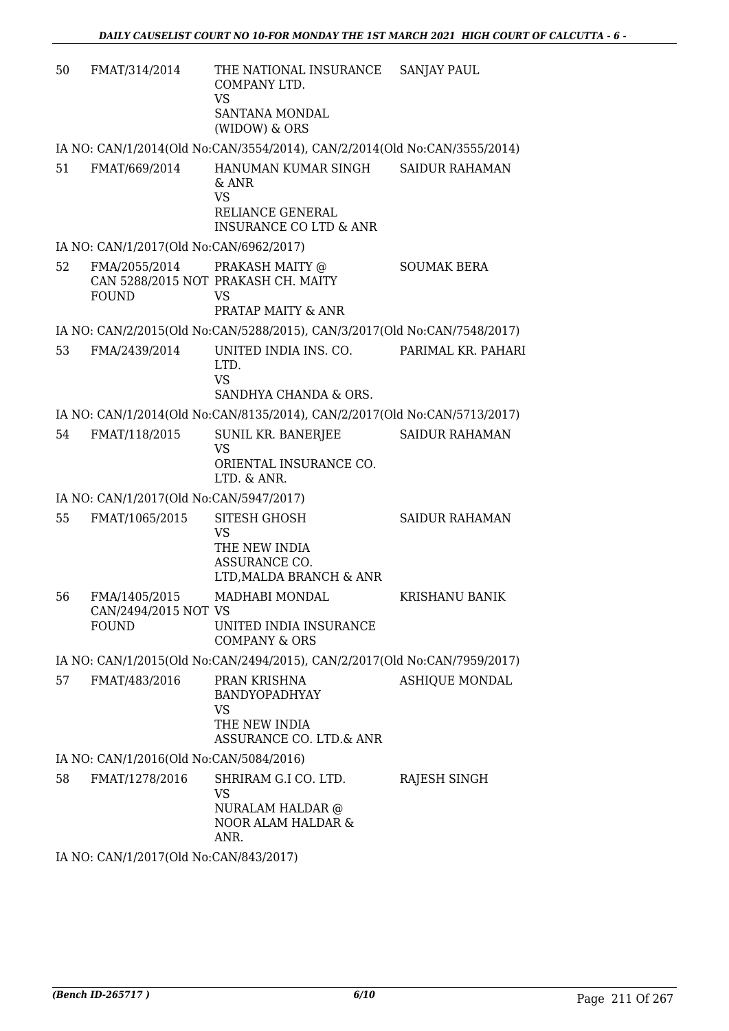| 50 | FMAT/314/2014                                         | THE NATIONAL INSURANCE<br>COMPANY LTD.<br><b>VS</b><br>SANTANA MONDAL<br>(WIDOW) & ORS             | <b>SANJAY PAUL</b>    |
|----|-------------------------------------------------------|----------------------------------------------------------------------------------------------------|-----------------------|
|    |                                                       | IA NO: CAN/1/2014(Old No:CAN/3554/2014), CAN/2/2014(Old No:CAN/3555/2014)                          |                       |
| 51 | FMAT/669/2014                                         | HANUMAN KUMAR SINGH<br>& ANR<br><b>VS</b><br>RELIANCE GENERAL<br><b>INSURANCE CO LTD &amp; ANR</b> | <b>SAIDUR RAHAMAN</b> |
|    | IA NO: CAN/1/2017(Old No:CAN/6962/2017)               |                                                                                                    |                       |
| 52 | FMA/2055/2014 PRAKASH MAITY @<br><b>FOUND</b>         | CAN 5288/2015 NOT PRAKASH CH. MAITY<br><b>VS</b><br>PRATAP MAITY & ANR                             | <b>SOUMAK BERA</b>    |
|    |                                                       | IA NO: CAN/2/2015(Old No:CAN/5288/2015), CAN/3/2017(Old No:CAN/7548/2017)                          |                       |
| 53 | FMA/2439/2014                                         | UNITED INDIA INS. CO.<br>LTD.<br><b>VS</b><br>SANDHYA CHANDA & ORS.                                | PARIMAL KR. PAHARI    |
|    |                                                       | IA NO: CAN/1/2014(Old No:CAN/8135/2014), CAN/2/2017(Old No:CAN/5713/2017)                          |                       |
| 54 | FMAT/118/2015                                         | SUNIL KR. BANERJEE<br><b>VS</b><br>ORIENTAL INSURANCE CO.<br>LTD. & ANR.                           | <b>SAIDUR RAHAMAN</b> |
|    | IA NO: CAN/1/2017(Old No:CAN/5947/2017)               |                                                                                                    |                       |
| 55 | FMAT/1065/2015                                        | <b>SITESH GHOSH</b><br><b>VS</b><br>THE NEW INDIA<br>ASSURANCE CO.<br>LTD, MALDA BRANCH & ANR      | <b>SAIDUR RAHAMAN</b> |
| 56 | FMA/1405/2015<br>CAN/2494/2015 NOT VS<br><b>FOUND</b> | MADHABI MONDAL<br>UNITED INDIA INSURANCE<br><b>COMPANY &amp; ORS</b>                               | <b>KRISHANU BANIK</b> |
|    |                                                       | IA NO: CAN/1/2015(Old No:CAN/2494/2015), CAN/2/2017(Old No:CAN/7959/2017)                          |                       |
| 57 | FMAT/483/2016                                         | PRAN KRISHNA<br><b>BANDYOPADHYAY</b><br>VS<br>THE NEW INDIA<br><b>ASSURANCE CO. LTD.&amp; ANR</b>  | <b>ASHIQUE MONDAL</b> |
|    | IA NO: CAN/1/2016(Old No:CAN/5084/2016)               |                                                                                                    |                       |
| 58 | FMAT/1278/2016                                        | SHRIRAM G.I CO. LTD.<br><b>VS</b><br>NURALAM HALDAR @<br>NOOR ALAM HALDAR &<br>ANR.                | RAJESH SINGH          |
|    | IA NO: CAN/1/2017(Old No:CAN/843/2017)                |                                                                                                    |                       |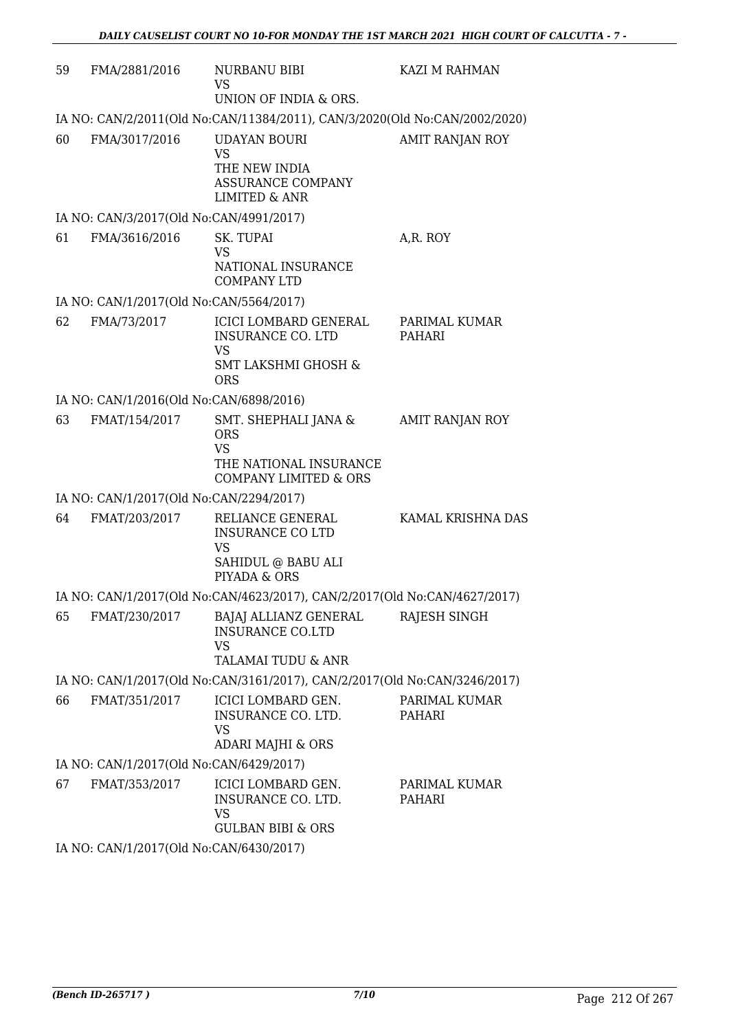| 59 | FMA/2881/2016                           | NURBANU BIBI<br>VS.<br>UNION OF INDIA & ORS.                                                                   | KAZI M RAHMAN           |  |
|----|-----------------------------------------|----------------------------------------------------------------------------------------------------------------|-------------------------|--|
|    |                                         | IA NO: CAN/2/2011(Old No:CAN/11384/2011), CAN/3/2020(Old No:CAN/2002/2020)                                     |                         |  |
| 60 | FMA/3017/2016                           | <b>UDAYAN BOURI</b><br><b>VS</b><br>THE NEW INDIA<br><b>ASSURANCE COMPANY</b><br><b>LIMITED &amp; ANR</b>      | <b>AMIT RANJAN ROY</b>  |  |
|    | IA NO: CAN/3/2017(Old No:CAN/4991/2017) |                                                                                                                |                         |  |
| 61 | FMA/3616/2016                           | SK. TUPAI<br><b>VS</b><br>NATIONAL INSURANCE<br><b>COMPANY LTD</b>                                             | A,R. ROY                |  |
|    | IA NO: CAN/1/2017(Old No:CAN/5564/2017) |                                                                                                                |                         |  |
| 62 | FMA/73/2017                             | ICICI LOMBARD GENERAL<br><b>INSURANCE CO. LTD</b><br><b>VS</b><br><b>SMT LAKSHMI GHOSH &amp;</b><br><b>ORS</b> | PARIMAL KUMAR<br>PAHARI |  |
|    | IA NO: CAN/1/2016(Old No:CAN/6898/2016) |                                                                                                                |                         |  |
| 63 | FMAT/154/2017                           | SMT. SHEPHALI JANA &<br><b>ORS</b><br><b>VS</b><br>THE NATIONAL INSURANCE<br><b>COMPANY LIMITED &amp; ORS</b>  | <b>AMIT RANJAN ROY</b>  |  |
|    | IA NO: CAN/1/2017(Old No:CAN/2294/2017) |                                                                                                                |                         |  |
| 64 | FMAT/203/2017                           | RELIANCE GENERAL<br><b>INSURANCE CO LTD</b><br><b>VS</b><br>SAHIDUL @ BABU ALI<br>PIYADA & ORS                 | KAMAL KRISHNA DAS       |  |
|    |                                         | IA NO: CAN/1/2017(Old No:CAN/4623/2017), CAN/2/2017(Old No:CAN/4627/2017)                                      |                         |  |
| 65 | FMAT/230/2017                           | BAJAJ ALLIANZ GENERAL<br><b>INSURANCE CO.LTD</b><br><b>VS</b><br>TALAMAI TUDU & ANR                            | <b>RAJESH SINGH</b>     |  |
|    |                                         | IA NO: CAN/1/2017(Old No:CAN/3161/2017), CAN/2/2017(Old No:CAN/3246/2017)                                      |                         |  |
| 66 | FMAT/351/2017                           | ICICI LOMBARD GEN.<br>INSURANCE CO. LTD.<br><b>VS</b><br>ADARI MAJHI & ORS                                     | PARIMAL KUMAR<br>PAHARI |  |
|    | IA NO: CAN/1/2017(Old No:CAN/6429/2017) |                                                                                                                |                         |  |
| 67 | FMAT/353/2017                           | ICICI LOMBARD GEN.<br>INSURANCE CO. LTD.<br><b>VS</b><br><b>GULBAN BIBI &amp; ORS</b>                          | PARIMAL KUMAR<br>PAHARI |  |
|    | IA NO: CAN/1/2017(Old No:CAN/6430/2017) |                                                                                                                |                         |  |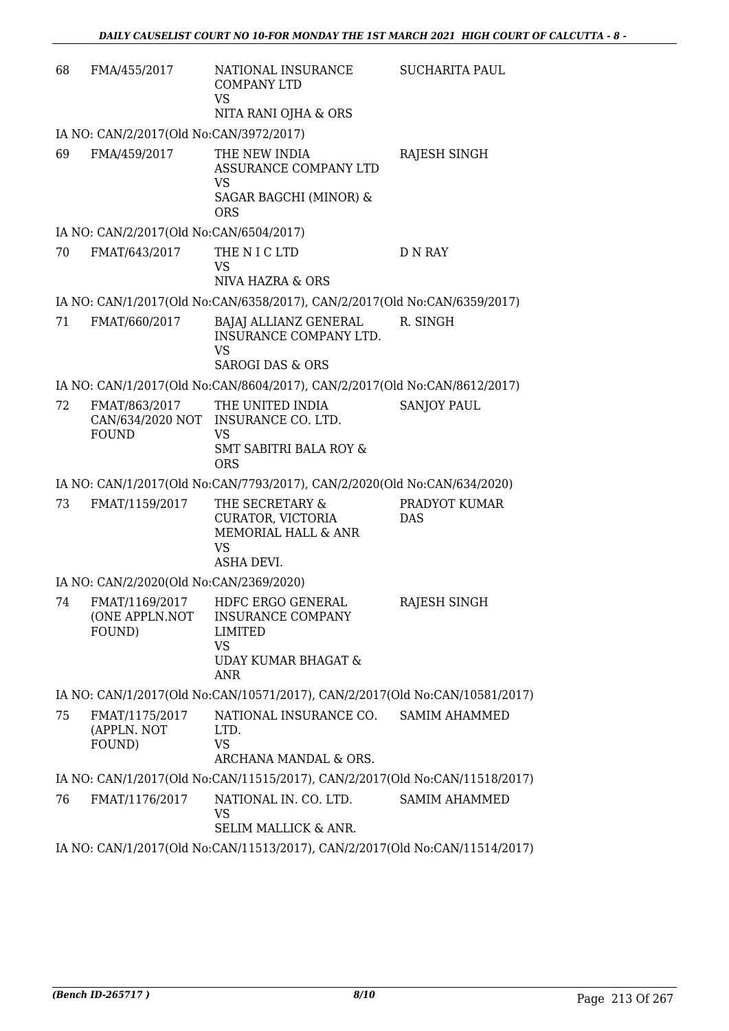| 68 | FMA/455/2017                                                                | NATIONAL INSURANCE<br><b>COMPANY LTD</b><br><b>VS</b><br>NITA RANI OJHA & ORS                                           | <b>SUCHARITA PAUL</b>       |  |
|----|-----------------------------------------------------------------------------|-------------------------------------------------------------------------------------------------------------------------|-----------------------------|--|
|    | IA NO: CAN/2/2017(Old No:CAN/3972/2017)                                     |                                                                                                                         |                             |  |
| 69 | FMA/459/2017                                                                | THE NEW INDIA<br>ASSURANCE COMPANY LTD<br><b>VS</b><br>SAGAR BAGCHI (MINOR) &<br><b>ORS</b>                             | RAJESH SINGH                |  |
|    | IA NO: CAN/2/2017(Old No:CAN/6504/2017)                                     |                                                                                                                         |                             |  |
| 70 | FMAT/643/2017                                                               | THE N I C LTD<br><b>VS</b><br>NIVA HAZRA & ORS                                                                          | <b>D N RAY</b>              |  |
|    |                                                                             | IA NO: CAN/1/2017(Old No:CAN/6358/2017), CAN/2/2017(Old No:CAN/6359/2017)                                               |                             |  |
| 71 | FMAT/660/2017                                                               | BAJAJ ALLIANZ GENERAL<br>INSURANCE COMPANY LTD.<br><b>VS</b><br><b>SAROGI DAS &amp; ORS</b>                             | R. SINGH                    |  |
|    |                                                                             | IA NO: CAN/1/2017(Old No:CAN/8604/2017), CAN/2/2017(Old No:CAN/8612/2017)                                               |                             |  |
| 72 | FMAT/863/2017<br><b>FOUND</b>                                               | THE UNITED INDIA<br>CAN/634/2020 NOT INSURANCE CO. LTD.<br><b>VS</b><br><b>SMT SABITRI BALA ROY &amp;</b><br><b>ORS</b> | <b>SANJOY PAUL</b>          |  |
|    |                                                                             | IA NO: CAN/1/2017(Old No:CAN/7793/2017), CAN/2/2020(Old No:CAN/634/2020)                                                |                             |  |
| 73 | FMAT/1159/2017                                                              | THE SECRETARY &<br>CURATOR, VICTORIA<br>MEMORIAL HALL & ANR<br><b>VS</b><br>ASHA DEVI.                                  | PRADYOT KUMAR<br><b>DAS</b> |  |
|    | IA NO: CAN/2/2020(Old No:CAN/2369/2020)                                     |                                                                                                                         |                             |  |
| 74 | FMAT/1169/2017<br>(ONE APPLN.NOT<br>FOUND)                                  | HDFC ERGO GENERAL<br><b>INSURANCE COMPANY</b><br>LIMITED<br><b>VS</b><br>UDAY KUMAR BHAGAT &<br><b>ANR</b>              | RAJESH SINGH                |  |
|    | IA NO: CAN/1/2017(Old No:CAN/10571/2017), CAN/2/2017(Old No:CAN/10581/2017) |                                                                                                                         |                             |  |
| 75 | FMAT/1175/2017<br>(APPLN. NOT<br>FOUND)                                     | NATIONAL INSURANCE CO.<br>LTD.<br><b>VS</b><br>ARCHANA MANDAL & ORS.                                                    | <b>SAMIM AHAMMED</b>        |  |
|    |                                                                             | IA NO: CAN/1/2017(Old No:CAN/11515/2017), CAN/2/2017(Old No:CAN/11518/2017)                                             |                             |  |
| 76 | FMAT/1176/2017                                                              | NATIONAL IN. CO. LTD.<br>VS<br>SELIM MALLICK & ANR.                                                                     | <b>SAMIM AHAMMED</b>        |  |
|    | IA NO: CAN/1/2017(Old No:CAN/11513/2017), CAN/2/2017(Old No:CAN/11514/2017) |                                                                                                                         |                             |  |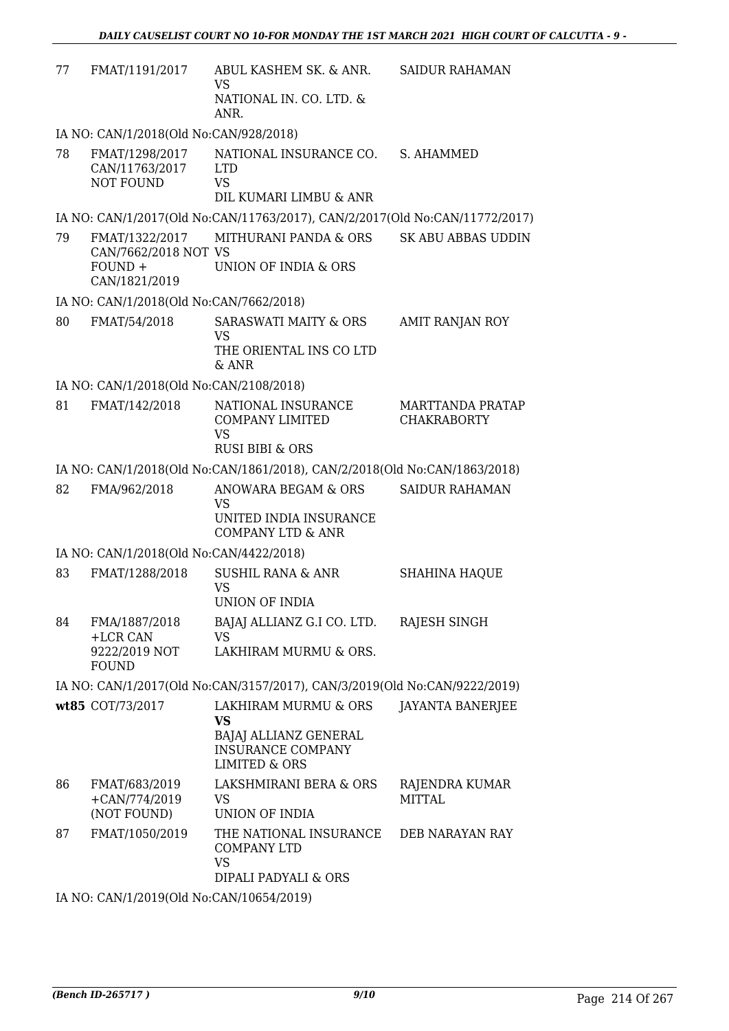| 77 | FMAT/1191/2017                                       | ABUL KASHEM SK. & ANR.<br><b>VS</b><br>NATIONAL IN. CO. LTD. &                          | <b>SAIDUR RAHAMAN</b>                  |
|----|------------------------------------------------------|-----------------------------------------------------------------------------------------|----------------------------------------|
|    |                                                      | ANR.                                                                                    |                                        |
|    | IA NO: CAN/1/2018(Old No:CAN/928/2018)               |                                                                                         |                                        |
| 78 | FMAT/1298/2017<br>CAN/11763/2017<br><b>NOT FOUND</b> | NATIONAL INSURANCE CO.<br><b>LTD</b><br><b>VS</b><br>DIL KUMARI LIMBU & ANR             | S. AHAMMED                             |
|    |                                                      | IA NO: CAN/1/2017(Old No:CAN/11763/2017), CAN/2/2017(Old No:CAN/11772/2017)             |                                        |
| 79 | FMAT/1322/2017<br>CAN/7662/2018 NOT VS<br>$FOUND +$  | MITHURANI PANDA & ORS<br>UNION OF INDIA & ORS                                           | <b>SK ABU ABBAS UDDIN</b>              |
|    | CAN/1821/2019                                        |                                                                                         |                                        |
|    | IA NO: CAN/1/2018(Old No:CAN/7662/2018)              |                                                                                         |                                        |
| 80 | FMAT/54/2018                                         | <b>SARASWATI MAITY &amp; ORS</b><br>VS<br>THE ORIENTAL INS CO LTD                       | <b>AMIT RANJAN ROY</b>                 |
|    |                                                      | $&$ ANR                                                                                 |                                        |
|    | IA NO: CAN/1/2018(Old No:CAN/2108/2018)              |                                                                                         |                                        |
| 81 | FMAT/142/2018                                        | NATIONAL INSURANCE<br><b>COMPANY LIMITED</b><br><b>VS</b><br><b>RUSI BIBI &amp; ORS</b> | MARTTANDA PRATAP<br><b>CHAKRABORTY</b> |
|    |                                                      | IA NO: CAN/1/2018(Old No:CAN/1861/2018), CAN/2/2018(Old No:CAN/1863/2018)               |                                        |
| 82 | FMA/962/2018                                         | ANOWARA BEGAM & ORS                                                                     | <b>SAIDUR RAHAMAN</b>                  |
|    |                                                      | <b>VS</b><br>UNITED INDIA INSURANCE<br><b>COMPANY LTD &amp; ANR</b>                     |                                        |
|    | IA NO: CAN/1/2018(Old No:CAN/4422/2018)              |                                                                                         |                                        |
| 83 | FMAT/1288/2018                                       | <b>SUSHIL RANA &amp; ANR</b><br><b>VS</b><br>UNION OF INDIA                             | <b>SHAHINA HAQUE</b>                   |
| 84 | FMA/1887/2018<br>+LCR CAN                            | BAJAJ ALLIANZ G.I CO. LTD.<br><b>VS</b>                                                 | RAJESH SINGH                           |
|    | 9222/2019 NOT<br><b>FOUND</b>                        | LAKHIRAM MURMU & ORS.                                                                   |                                        |
|    |                                                      | IA NO: CAN/1/2017(Old No:CAN/3157/2017), CAN/3/2019(Old No:CAN/9222/2019)               |                                        |
|    | wt85 COT/73/2017                                     | LAKHIRAM MURMU & ORS<br><b>VS</b>                                                       | <b>JAYANTA BANERJEE</b>                |
|    |                                                      | BAJAJ ALLIANZ GENERAL<br><b>INSURANCE COMPANY</b><br><b>LIMITED &amp; ORS</b>           |                                        |
| 86 | FMAT/683/2019<br>$+CAN/774/2019$<br>(NOT FOUND)      | LAKSHMIRANI BERA & ORS<br>VS<br>UNION OF INDIA                                          | RAJENDRA KUMAR<br><b>MITTAL</b>        |
| 87 | FMAT/1050/2019                                       | THE NATIONAL INSURANCE<br><b>COMPANY LTD</b><br><b>VS</b><br>DIPALI PADYALI & ORS       | DEB NARAYAN RAY                        |
|    | IA NO: CAN/1/2019(Old No:CAN/10654/2019)             |                                                                                         |                                        |
|    |                                                      |                                                                                         |                                        |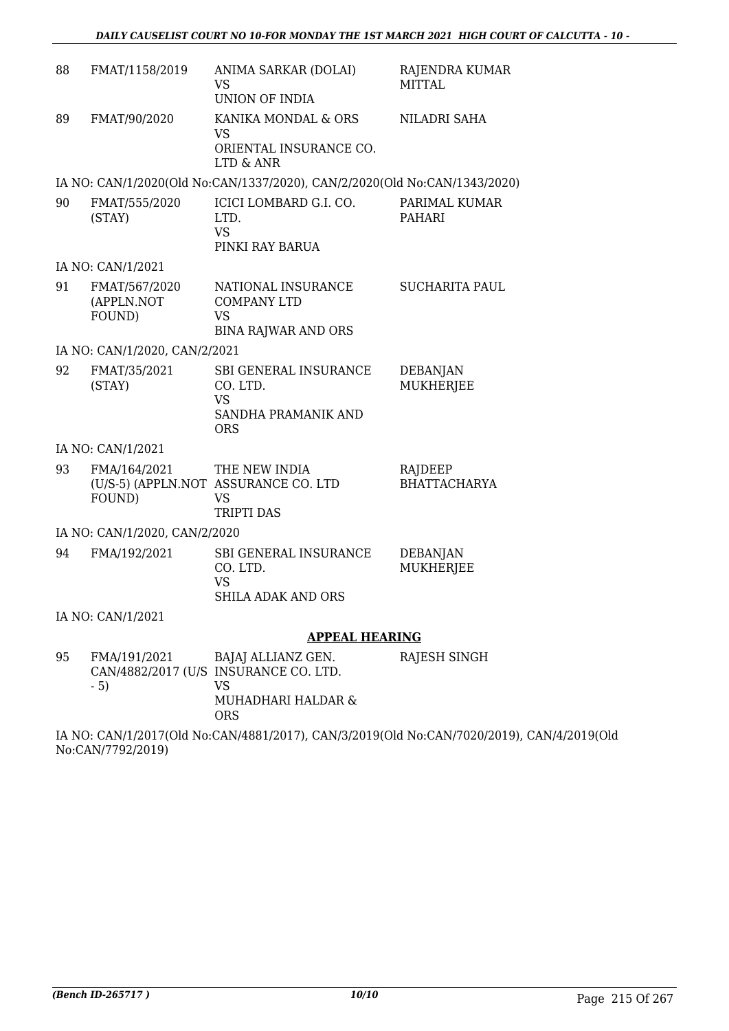| 88 | FMAT/1158/2019                        | ANIMA SARKAR (DOLAI)<br>VS<br>UNION OF INDIA                                            | RAJENDRA KUMAR<br><b>MITTAL</b>     |
|----|---------------------------------------|-----------------------------------------------------------------------------------------|-------------------------------------|
| 89 | FMAT/90/2020                          | KANIKA MONDAL & ORS<br>VS<br>ORIENTAL INSURANCE CO.<br>LTD & ANR                        | NILADRI SAHA                        |
|    |                                       | IA NO: CAN/1/2020(Old No:CAN/1337/2020), CAN/2/2020(Old No:CAN/1343/2020)               |                                     |
| 90 | FMAT/555/2020<br>(STAY)               | ICICI LOMBARD G.I. CO.<br>LTD.<br><b>VS</b><br>PINKI RAY BARUA                          | PARIMAL KUMAR<br>PAHARI             |
|    | IA NO: CAN/1/2021                     |                                                                                         |                                     |
| 91 | FMAT/567/2020<br>(APPLN.NOT<br>FOUND) | NATIONAL INSURANCE<br><b>COMPANY LTD</b><br>VS<br><b>BINA RAJWAR AND ORS</b>            | <b>SUCHARITA PAUL</b>               |
|    | IA NO: CAN/1/2020, CAN/2/2021         |                                                                                         |                                     |
| 92 | FMAT/35/2021<br>(STAY)                | SBI GENERAL INSURANCE<br>CO. LTD.<br><b>VS</b><br>SANDHA PRAMANIK AND<br>ORS            | <b>DEBANJAN</b><br><b>MUKHERJEE</b> |
|    | IA NO: CAN/1/2021                     |                                                                                         |                                     |
| 93 | FMA/164/2021<br>FOUND)                | THE NEW INDIA<br>(U/S-5) (APPLN.NOT ASSURANCE CO. LTD<br><b>VS</b><br><b>TRIPTI DAS</b> | RAJDEEP<br><b>BHATTACHARYA</b>      |
|    | IA NO: CAN/1/2020, CAN/2/2020         |                                                                                         |                                     |
| 94 | FMA/192/2021                          | SBI GENERAL INSURANCE<br>CO. LTD.<br><b>VS</b><br><b>SHILA ADAK AND ORS</b>             | <b>DEBANJAN</b><br><b>MUKHERJEE</b> |
|    | IA NO: CAN/1/2021                     |                                                                                         |                                     |
|    |                                       | <b>APPEAL HEARING</b>                                                                   |                                     |
| 95 | FMA/191/2021                          | BAJAJ ALLIANZ GEN.<br>CAN/4882/2017 (U/S INSURANCE CO. LTD.                             | RAJESH SINGH                        |

- 5) VS MUHADHARI HALDAR & ORS

IA NO: CAN/1/2017(Old No:CAN/4881/2017), CAN/3/2019(Old No:CAN/7020/2019), CAN/4/2019(Old No:CAN/7792/2019)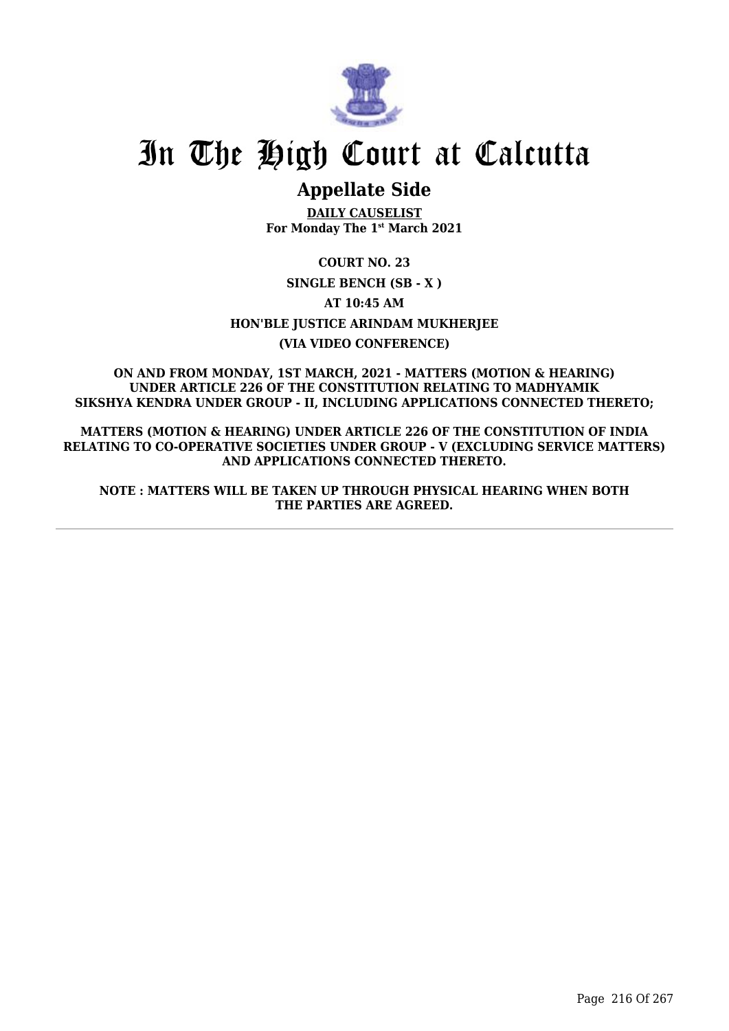

## **Appellate Side**

**DAILY CAUSELIST For Monday The 1st March 2021**

**COURT NO. 23 SINGLE BENCH (SB - X ) AT 10:45 AM HON'BLE JUSTICE ARINDAM MUKHERJEE (VIA VIDEO CONFERENCE)**

**ON AND FROM MONDAY, 1ST MARCH, 2021 - MATTERS (MOTION & HEARING) UNDER ARTICLE 226 OF THE CONSTITUTION RELATING TO MADHYAMIK SIKSHYA KENDRA UNDER GROUP - II, INCLUDING APPLICATIONS CONNECTED THERETO;**

**MATTERS (MOTION & HEARING) UNDER ARTICLE 226 OF THE CONSTITUTION OF INDIA RELATING TO CO-OPERATIVE SOCIETIES UNDER GROUP - V (EXCLUDING SERVICE MATTERS) AND APPLICATIONS CONNECTED THERETO.**

**NOTE : MATTERS WILL BE TAKEN UP THROUGH PHYSICAL HEARING WHEN BOTH THE PARTIES ARE AGREED.**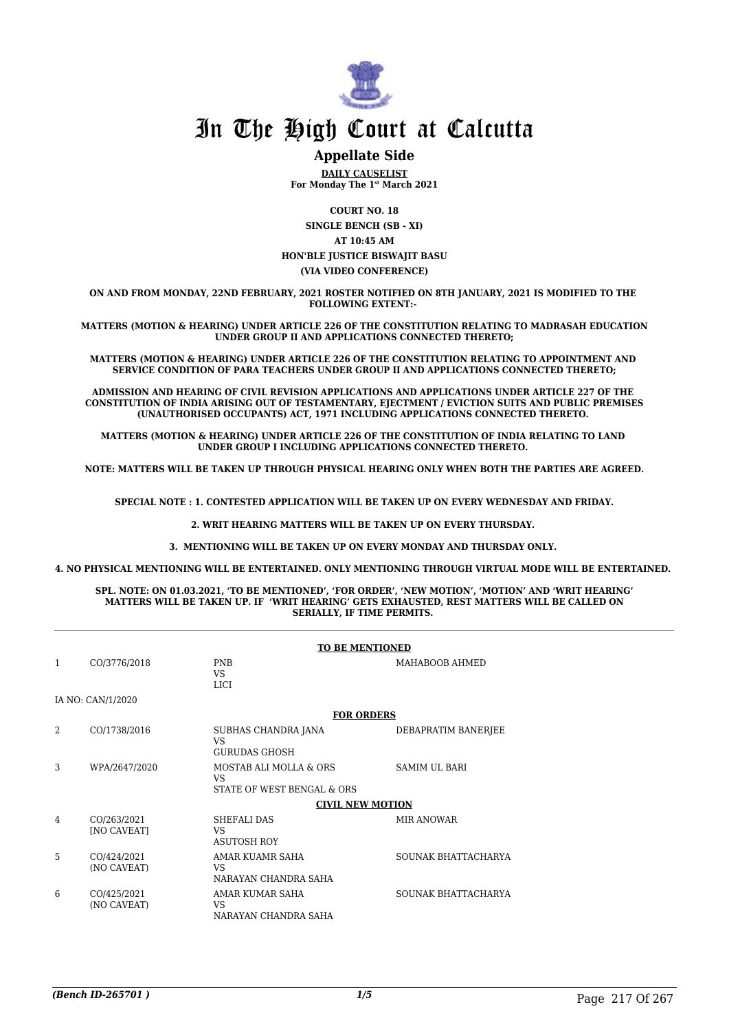

### **Appellate Side**

**DAILY CAUSELIST For Monday The 1st March 2021**

**COURT NO. 18**

**SINGLE BENCH (SB - XI) AT 10:45 AM HON'BLE JUSTICE BISWAJIT BASU (VIA VIDEO CONFERENCE)**

**ON AND FROM MONDAY, 22ND FEBRUARY, 2021 ROSTER NOTIFIED ON 8TH JANUARY, 2021 IS MODIFIED TO THE FOLLOWING EXTENT:-** 

**MATTERS (MOTION & HEARING) UNDER ARTICLE 226 OF THE CONSTITUTION RELATING TO MADRASAH EDUCATION UNDER GROUP II AND APPLICATIONS CONNECTED THERETO;**

**MATTERS (MOTION & HEARING) UNDER ARTICLE 226 OF THE CONSTITUTION RELATING TO APPOINTMENT AND SERVICE CONDITION OF PARA TEACHERS UNDER GROUP II AND APPLICATIONS CONNECTED THERETO;**

**ADMISSION AND HEARING OF CIVIL REVISION APPLICATIONS AND APPLICATIONS UNDER ARTICLE 227 OF THE CONSTITUTION OF INDIA ARISING OUT OF TESTAMENTARY, EJECTMENT / EVICTION SUITS AND PUBLIC PREMISES (UNAUTHORISED OCCUPANTS) ACT, 1971 INCLUDING APPLICATIONS CONNECTED THERETO.** 

**MATTERS (MOTION & HEARING) UNDER ARTICLE 226 OF THE CONSTITUTION OF INDIA RELATING TO LAND UNDER GROUP I INCLUDING APPLICATIONS CONNECTED THERETO.** 

**NOTE: MATTERS WILL BE TAKEN UP THROUGH PHYSICAL HEARING ONLY WHEN BOTH THE PARTIES ARE AGREED.**

**SPECIAL NOTE : 1. CONTESTED APPLICATION WILL BE TAKEN UP ON EVERY WEDNESDAY AND FRIDAY.**

**2. WRIT HEARING MATTERS WILL BE TAKEN UP ON EVERY THURSDAY.** 

**3. MENTIONING WILL BE TAKEN UP ON EVERY MONDAY AND THURSDAY ONLY.** 

**4. NO PHYSICAL MENTIONING WILL BE ENTERTAINED. ONLY MENTIONING THROUGH VIRTUAL MODE WILL BE ENTERTAINED.** 

#### **SPL. NOTE: ON 01.03.2021, 'TO BE MENTIONED', 'FOR ORDER', 'NEW MOTION', 'MOTION' AND 'WRIT HEARING' MATTERS WILL BE TAKEN UP. IF 'WRIT HEARING' GETS EXHAUSTED, REST MATTERS WILL BE CALLED ON SERIALLY, IF TIME PERMITS.**

|   |                                   | <b>TO BE MENTIONED</b>                                      |                      |  |
|---|-----------------------------------|-------------------------------------------------------------|----------------------|--|
| 1 | CO/3776/2018                      | <b>PNB</b><br>VS<br><b>LICI</b>                             | MAHABOOB AHMED       |  |
|   | IA NO: CAN/1/2020                 |                                                             |                      |  |
|   |                                   | <b>FOR ORDERS</b>                                           |                      |  |
| 2 | CO/1738/2016                      | SUBHAS CHANDRA JANA<br><b>VS</b><br><b>GURUDAS GHOSH</b>    | DEBAPRATIM BANERJEE  |  |
| 3 | WPA/2647/2020                     | MOSTAB ALI MOLLA & ORS<br>VS.<br>STATE OF WEST BENGAL & ORS | <b>SAMIM UL BARI</b> |  |
|   |                                   | <b>CIVIL NEW MOTION</b>                                     |                      |  |
| 4 | CO/263/2021<br><b>[NO CAVEAT]</b> | <b>SHEFALI DAS</b><br><b>VS</b><br><b>ASUTOSH ROY</b>       | <b>MIR ANOWAR</b>    |  |
| 5 | CO/424/2021<br>(NO CAVEAT)        | AMAR KUAMR SAHA<br><b>VS</b><br>NARAYAN CHANDRA SAHA        | SOUNAK BHATTACHARYA  |  |
| 6 | CO/425/2021<br>(NO CAVEAT)        | AMAR KUMAR SAHA<br><b>VS</b><br>NARAYAN CHANDRA SAHA        | SOUNAK BHATTACHARYA  |  |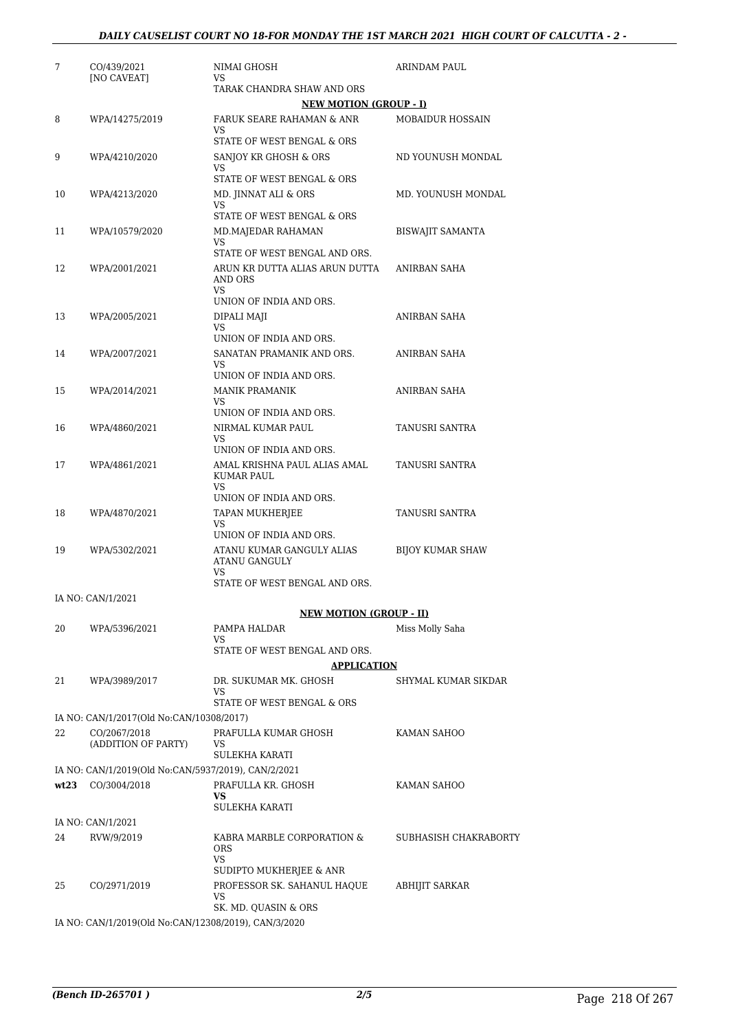| 7    | CO/439/2021<br>[NO CAVEAT]                               | NIMAI GHOSH<br>VS                                         | ARINDAM PAUL            |
|------|----------------------------------------------------------|-----------------------------------------------------------|-------------------------|
|      |                                                          | TARAK CHANDRA SHAW AND ORS                                |                         |
|      |                                                          | <b>NEW MOTION (GROUP - I)</b>                             |                         |
| 8    | WPA/14275/2019                                           | FARUK SEARE RAHAMAN & ANR<br>VS                           | <b>MOBAIDUR HOSSAIN</b> |
|      |                                                          | STATE OF WEST BENGAL & ORS                                |                         |
| 9    | WPA/4210/2020                                            | SANJOY KR GHOSH & ORS<br>VS                               | ND YOUNUSH MONDAL       |
|      |                                                          | STATE OF WEST BENGAL & ORS                                |                         |
| 10   | WPA/4213/2020                                            | MD. JINNAT ALI & ORS<br>VS                                | MD. YOUNUSH MONDAL      |
|      |                                                          | STATE OF WEST BENGAL & ORS                                |                         |
| 11   | WPA/10579/2020                                           | MD.MAJEDAR RAHAMAN<br>VS                                  | <b>BISWAJIT SAMANTA</b> |
|      |                                                          | STATE OF WEST BENGAL AND ORS.                             |                         |
| 12   | WPA/2001/2021                                            | ARUN KR DUTTA ALIAS ARUN DUTTA<br>AND ORS<br>VS           | ANIRBAN SAHA            |
|      |                                                          | UNION OF INDIA AND ORS.                                   |                         |
| 13   | WPA/2005/2021                                            | DIPALI MAJI<br>VS                                         | ANIRBAN SAHA            |
|      |                                                          | UNION OF INDIA AND ORS.                                   |                         |
| 14   | WPA/2007/2021                                            | SANATAN PRAMANIK AND ORS.<br>VS                           | <b>ANIRBAN SAHA</b>     |
|      |                                                          | UNION OF INDIA AND ORS.                                   |                         |
| 15   | WPA/2014/2021                                            | <b>MANIK PRAMANIK</b><br>VS                               | ANIRBAN SAHA            |
| 16   |                                                          | UNION OF INDIA AND ORS.<br>NIRMAL KUMAR PAUL              | <b>TANUSRI SANTRA</b>   |
|      | WPA/4860/2021                                            | VS<br>UNION OF INDIA AND ORS.                             |                         |
| 17   | WPA/4861/2021                                            | AMAL KRISHNA PAUL ALIAS AMAL                              | TANUSRI SANTRA          |
|      |                                                          | KUMAR PAUL<br>VS                                          |                         |
|      |                                                          | UNION OF INDIA AND ORS.                                   |                         |
| 18   | WPA/4870/2021                                            | TAPAN MUKHERJEE<br>VS                                     | TANUSRI SANTRA          |
|      |                                                          | UNION OF INDIA AND ORS.                                   |                         |
| 19   | WPA/5302/2021                                            | ATANU KUMAR GANGULY ALIAS<br>ATANU GANGULY<br>VS          | <b>BIJOY KUMAR SHAW</b> |
|      |                                                          | STATE OF WEST BENGAL AND ORS.                             |                         |
|      | IA NO: CAN/1/2021                                        | <b>NEW MOTION (GROUP - II)</b>                            |                         |
| 20   | WPA/5396/2021                                            | PAMPA HALDAR                                              | Miss Molly Saha         |
|      |                                                          | VS                                                        |                         |
|      |                                                          | STATE OF WEST BENGAL AND ORS.                             |                         |
|      |                                                          | <b>APPLICATION</b>                                        |                         |
| 21   | WPA/3989/2017                                            | DR. SUKUMAR MK. GHOSH<br>VS                               | SHYMAL KUMAR SIKDAR     |
|      |                                                          | STATE OF WEST BENGAL & ORS                                |                         |
| 22   | IA NO: CAN/1/2017(Old No:CAN/10308/2017)<br>CO/2067/2018 | PRAFULLA KUMAR GHOSH                                      |                         |
|      | (ADDITION OF PARTY)                                      | VS<br>SULEKHA KARATI                                      | KAMAN SAHOO             |
|      | IA NO: CAN/1/2019(Old No:CAN/5937/2019), CAN/2/2021      |                                                           |                         |
| wt23 | CO/3004/2018                                             | PRAFULLA KR. GHOSH                                        | KAMAN SAHOO             |
|      |                                                          | VS.<br>SULEKHA KARATI                                     |                         |
|      | IA NO: CAN/1/2021                                        |                                                           |                         |
| 24   | RVW/9/2019                                               | KABRA MARBLE CORPORATION &<br><b>ORS</b><br>VS            | SUBHASISH CHAKRABORTY   |
|      |                                                          | SUDIPTO MUKHERJEE & ANR                                   |                         |
| 25   | CO/2971/2019                                             | PROFESSOR SK. SAHANUL HAQUE<br>VS<br>SK. MD. QUASIN & ORS | ABHIJIT SARKAR          |
|      |                                                          |                                                           |                         |

IA NO: CAN/1/2019(Old No:CAN/12308/2019), CAN/3/2020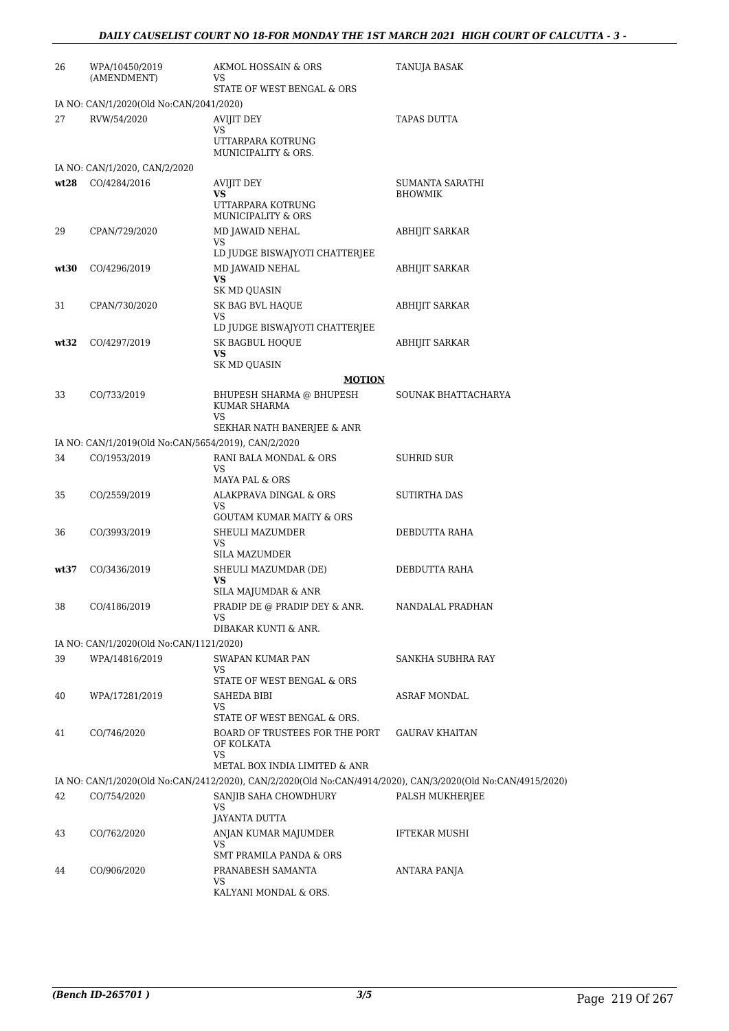| 26   | WPA/10450/2019<br>(AMENDMENT)                          | AKMOL HOSSAIN & ORS<br>VS                                                                                   | <b>TANUJA BASAK</b>   |
|------|--------------------------------------------------------|-------------------------------------------------------------------------------------------------------------|-----------------------|
|      |                                                        | STATE OF WEST BENGAL & ORS                                                                                  |                       |
| 27   | IA NO: CAN/1/2020(Old No:CAN/2041/2020)<br>RVW/54/2020 | AVIJIT DEY                                                                                                  | TAPAS DUTTA           |
|      |                                                        | VS<br>UTTARPARA KOTRUNG<br>MUNICIPALITY & ORS.                                                              |                       |
|      | IA NO: CAN/1/2020, CAN/2/2020                          |                                                                                                             |                       |
| wt28 | CO/4284/2016                                           | <b>AVIJIT DEY</b>                                                                                           | SUMANTA SARATHI       |
|      |                                                        | <b>VS</b><br>UTTARPARA KOTRUNG<br><b>MUNICIPALITY &amp; ORS</b>                                             | <b>BHOWMIK</b>        |
| 29   | CPAN/729/2020                                          | MD JAWAID NEHAL<br><b>VS</b>                                                                                | <b>ABHIJIT SARKAR</b> |
|      |                                                        | LD JUDGE BISWAJYOTI CHATTERJEE                                                                              |                       |
| wt30 | CO/4296/2019                                           | MD JAWAID NEHAL<br>VS                                                                                       | ABHIJIT SARKAR        |
|      |                                                        | SK MD QUASIN                                                                                                |                       |
| 31   | CPAN/730/2020                                          | SK BAG BVL HAQUE<br>VS                                                                                      | ABHIJIT SARKAR        |
|      |                                                        | LD JUDGE BISWAJYOTI CHATTERJEE                                                                              |                       |
| wt32 | CO/4297/2019                                           | <b>SK BAGBUL HOOUE</b>                                                                                      | <b>ABHIJIT SARKAR</b> |
|      |                                                        | VS<br>SK MD QUASIN                                                                                          |                       |
|      |                                                        | <b>MOTION</b>                                                                                               |                       |
| 33   | CO/733/2019                                            | BHUPESH SHARMA @ BHUPESH<br>KUMAR SHARMA<br><b>VS</b>                                                       | SOUNAK BHATTACHARYA   |
|      |                                                        | SEKHAR NATH BANERJEE & ANR                                                                                  |                       |
|      | IA NO: CAN/1/2019(Old No:CAN/5654/2019), CAN/2/2020    |                                                                                                             |                       |
| 34   | CO/1953/2019                                           | RANI BALA MONDAL & ORS<br>VS<br>MAYA PAL & ORS                                                              | SUHRID SUR            |
| 35   | CO/2559/2019                                           | ALAKPRAVA DINGAL & ORS<br>VS                                                                                | SUTIRTHA DAS          |
| 36   | CO/3993/2019                                           | <b>GOUTAM KUMAR MAITY &amp; ORS</b><br>SHEULI MAZUMDER                                                      | DEBDUTTA RAHA         |
|      |                                                        | VS<br><b>SILA MAZUMDER</b>                                                                                  |                       |
| wt37 | CO/3436/2019                                           | SHEULI MAZUMDAR (DE)                                                                                        | DEBDUTTA RAHA         |
|      |                                                        | VS                                                                                                          |                       |
| 38   | CO/4186/2019                                           | SILA MAJUMDAR & ANR<br>PRADIP DE @ PRADIP DEY & ANR.                                                        | NANDALAL PRADHAN      |
|      |                                                        | VS                                                                                                          |                       |
|      | IA NO: CAN/1/2020(Old No:CAN/1121/2020)                | DIBAKAR KUNTI & ANR.                                                                                        |                       |
| 39   | WPA/14816/2019                                         | SWAPAN KUMAR PAN                                                                                            | SANKHA SUBHRA RAY     |
|      |                                                        | <b>VS</b>                                                                                                   |                       |
|      |                                                        | STATE OF WEST BENGAL & ORS<br>SAHEDA BIBI                                                                   | ASRAF MONDAL          |
| 40   | WPA/17281/2019                                         | <b>VS</b>                                                                                                   |                       |
|      |                                                        | STATE OF WEST BENGAL & ORS.                                                                                 |                       |
| 41   | CO/746/2020                                            | BOARD OF TRUSTEES FOR THE PORT<br>OF KOLKATA<br>VS                                                          | <b>GAURAV KHAITAN</b> |
|      |                                                        | METAL BOX INDIA LIMITED & ANR                                                                               |                       |
|      |                                                        | IA NO: CAN/1/2020(Old No:CAN/2412/2020), CAN/2/2020(Old No:CAN/4914/2020), CAN/3/2020(Old No:CAN/4915/2020) |                       |
| 42   | CO/754/2020                                            | SANJIB SAHA CHOWDHURY<br>VS.                                                                                | PALSH MUKHERJEE       |
|      |                                                        | JAYANTA DUTTA                                                                                               |                       |
| 43   | CO/762/2020                                            | ANJAN KUMAR MAJUMDER<br>VS                                                                                  | <b>IFTEKAR MUSHI</b>  |
|      |                                                        | <b>SMT PRAMILA PANDA &amp; ORS</b>                                                                          |                       |
| 44   | CO/906/2020                                            | PRANABESH SAMANTA<br>VS                                                                                     | ANTARA PANJA          |
|      |                                                        | KALYANI MONDAL & ORS.                                                                                       |                       |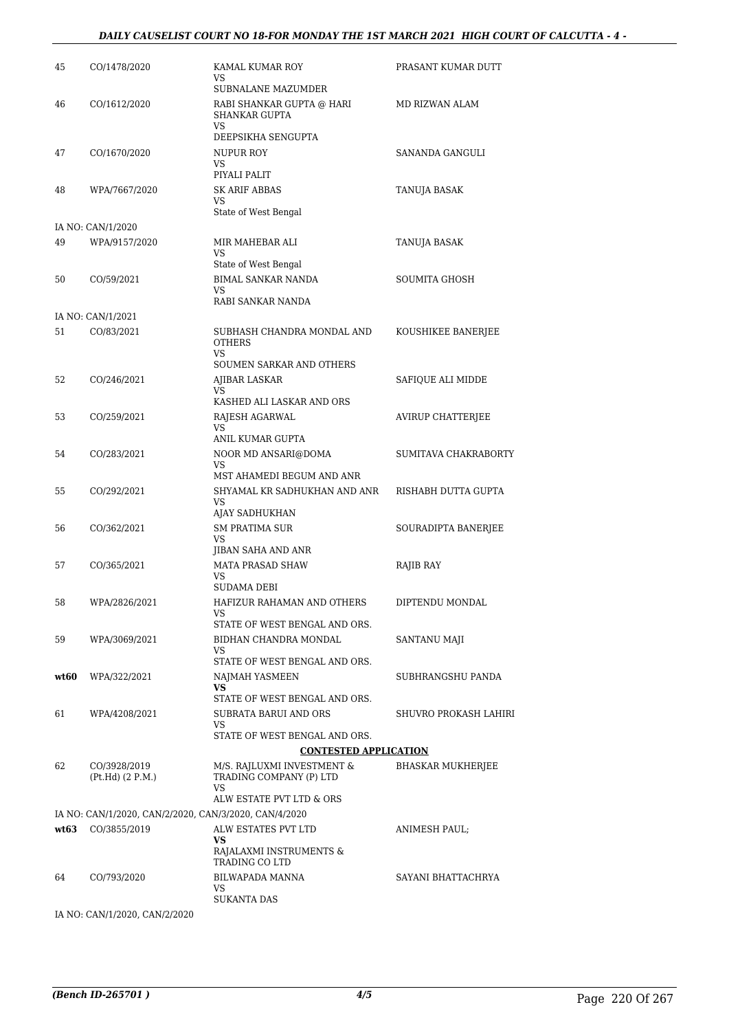#### *DAILY CAUSELIST COURT NO 18-FOR MONDAY THE 1ST MARCH 2021 HIGH COURT OF CALCUTTA - 4 -*

| 45   | CO/1478/2020                                          | KAMAL KUMAR ROY<br>VS                                       | PRASANT KUMAR DUTT       |
|------|-------------------------------------------------------|-------------------------------------------------------------|--------------------------|
|      |                                                       | SUBNALANE MAZUMDER                                          |                          |
| 46   | CO/1612/2020                                          | RABI SHANKAR GUPTA @ HARI<br>SHANKAR GUPTA<br><b>VS</b>     | MD RIZWAN ALAM           |
|      |                                                       | DEEPSIKHA SENGUPTA                                          |                          |
| 47   | CO/1670/2020                                          | NUPUR ROY                                                   | SANANDA GANGULI          |
|      |                                                       | VS<br>PIYALI PALIT                                          |                          |
| 48   | WPA/7667/2020                                         | <b>SK ARIF ABBAS</b>                                        | TANUJA BASAK             |
|      |                                                       | VS                                                          |                          |
|      |                                                       | State of West Bengal                                        |                          |
|      | IA NO: CAN/1/2020                                     |                                                             |                          |
| 49   | WPA/9157/2020                                         | MIR MAHEBAR ALI<br><b>VS</b>                                | TANUJA BASAK             |
|      |                                                       | State of West Bengal                                        |                          |
| 50   | CO/59/2021                                            | BIMAL SANKAR NANDA                                          | SOUMITA GHOSH            |
|      |                                                       | VS                                                          |                          |
|      |                                                       | RABI SANKAR NANDA                                           |                          |
|      | IA NO: CAN/1/2021                                     |                                                             |                          |
| 51   | CO/83/2021                                            | SUBHASH CHANDRA MONDAL AND<br><b>OTHERS</b><br>VS           | KOUSHIKEE BANERJEE       |
|      |                                                       | SOUMEN SARKAR AND OTHERS                                    |                          |
| 52   | CO/246/2021                                           | AJIBAR LASKAR                                               | SAFIQUE ALI MIDDE        |
|      |                                                       | VS.<br>KASHED ALI LASKAR AND ORS                            |                          |
| 53   | CO/259/2021                                           | RAJESH AGARWAL                                              | <b>AVIRUP CHATTERJEE</b> |
|      |                                                       | <b>VS</b>                                                   |                          |
|      |                                                       | ANIL KUMAR GUPTA                                            |                          |
| 54   | CO/283/2021                                           | NOOR MD ANSARI@DOMA<br>VS                                   | SUMITAVA CHAKRABORTY     |
|      |                                                       | MST AHAMEDI BEGUM AND ANR                                   |                          |
| 55   | CO/292/2021                                           | SHYAMAL KR SADHUKHAN AND ANR                                | RISHABH DUTTA GUPTA      |
|      |                                                       | VS<br>AJAY SADHUKHAN                                        |                          |
| 56   | CO/362/2021                                           | <b>SM PRATIMA SUR</b>                                       | SOURADIPTA BANERJEE      |
|      |                                                       | VS                                                          |                          |
|      |                                                       | JIBAN SAHA AND ANR                                          |                          |
| 57   | CO/365/2021                                           | <b>MATA PRASAD SHAW</b><br>VS                               | RAJIB RAY                |
|      |                                                       | SUDAMA DEBI                                                 |                          |
| 58   | WPA/2826/2021                                         | HAFIZUR RAHAMAN AND OTHERS                                  | DIPTENDU MONDAL          |
|      |                                                       | VS                                                          |                          |
|      |                                                       | STATE OF WEST BENGAL AND ORS.                               |                          |
| 59   | WPA/3069/2021                                         | BIDHAN CHANDRA MONDAL<br>VS                                 | <b>SANTANU MAJI</b>      |
|      |                                                       | STATE OF WEST BENGAL AND ORS.                               |                          |
| wt60 | WPA/322/2021                                          | NAJMAH YASMEEN                                              | SUBHRANGSHU PANDA        |
|      |                                                       | <b>VS</b><br>STATE OF WEST BENGAL AND ORS.                  |                          |
| 61   | WPA/4208/2021                                         | SUBRATA BARUI AND ORS                                       | SHUVRO PROKASH LAHIRI    |
|      |                                                       | VS                                                          |                          |
|      |                                                       | STATE OF WEST BENGAL AND ORS.                               |                          |
|      |                                                       | <b>CONTESTED APPLICATION</b>                                |                          |
| 62   | CO/3928/2019<br>(Pt.Hd) (2 P.M.)                      | M/S. RAJLUXMI INVESTMENT &<br>TRADING COMPANY (P) LTD<br>VS | BHASKAR MUKHERJEE        |
|      |                                                       | ALW ESTATE PVT LTD & ORS                                    |                          |
|      | IA NO: CAN/1/2020, CAN/2/2020, CAN/3/2020, CAN/4/2020 |                                                             |                          |
| wt63 | CO/3855/2019                                          | ALW ESTATES PVT LTD                                         | ANIMESH PAUL;            |
|      |                                                       | VS<br>RAJALAXMI INSTRUMENTS &<br>TRADING CO LTD             |                          |
| 64   | CO/793/2020                                           | BILWAPADA MANNA                                             | SAYANI BHATTACHRYA       |
|      |                                                       | VS<br><b>SUKANTA DAS</b>                                    |                          |
|      | IA NO: CAN/1/2020, CAN/2/2020                         |                                                             |                          |
|      |                                                       |                                                             |                          |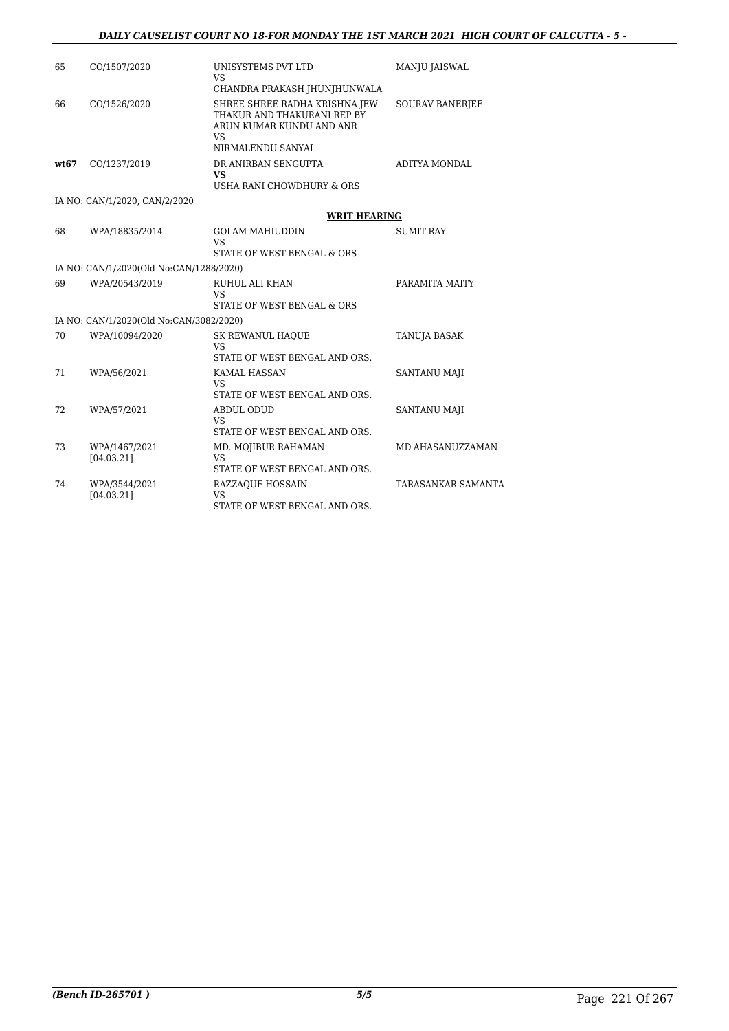| 65   | CO/1507/2020                            | UNISYSTEMS PVT LTD<br>VS.                                                                                           | <b>MANJU JAISWAL</b>      |
|------|-----------------------------------------|---------------------------------------------------------------------------------------------------------------------|---------------------------|
|      |                                         | CHANDRA PRAKASH JHUNJHUNWALA                                                                                        |                           |
| 66   | CO/1526/2020                            | SHREE SHREE RADHA KRISHNA JEW<br>THAKUR AND THAKURANI REP BY<br>ARUN KUMAR KUNDU AND ANR<br>VS<br>NIRMALENDU SANYAL | <b>SOURAV BANERIEE</b>    |
| wt67 | CO/1237/2019                            | DR ANIRBAN SENGUPTA                                                                                                 | ADITYA MONDAL             |
|      |                                         | <b>VS</b><br>USHA RANI CHOWDHURY & ORS                                                                              |                           |
|      | IA NO: CAN/1/2020, CAN/2/2020           |                                                                                                                     |                           |
|      |                                         | <b>WRIT HEARING</b>                                                                                                 |                           |
| 68   | WPA/18835/2014                          | <b>GOLAM MAHIUDDIN</b><br>VS.                                                                                       | <b>SUMIT RAY</b>          |
|      |                                         | STATE OF WEST BENGAL & ORS                                                                                          |                           |
|      | IA NO: CAN/1/2020(Old No:CAN/1288/2020) |                                                                                                                     |                           |
| 69   | WPA/20543/2019                          | RUHUL ALI KHAN<br>VS<br>STATE OF WEST BENGAL & ORS                                                                  | PARAMITA MAITY            |
|      | IA NO: CAN/1/2020(Old No:CAN/3082/2020) |                                                                                                                     |                           |
| 70   | WPA/10094/2020                          | <b>SK REWANUL HAQUE</b><br>VS<br>STATE OF WEST BENGAL AND ORS.                                                      | TANUJA BASAK              |
| 71   | WPA/56/2021                             | <b>KAMAL HASSAN</b><br><b>VS</b><br>STATE OF WEST BENGAL AND ORS.                                                   | <b>SANTANU MAJI</b>       |
| 72   | WPA/57/2021                             | <b>ABDUL ODUD</b><br>VS.<br>STATE OF WEST BENGAL AND ORS.                                                           | <b>SANTANU MAJI</b>       |
| 73   | WPA/1467/2021<br>[04.03.21]             | MD. MOJIBUR RAHAMAN<br><b>VS</b><br>STATE OF WEST BENGAL AND ORS.                                                   | MD AHASANUZZAMAN          |
| 74   | WPA/3544/2021<br>[04.03.21]             | <b>RAZZAQUE HOSSAIN</b><br><b>VS</b><br>STATE OF WEST BENGAL AND ORS.                                               | <b>TARASANKAR SAMANTA</b> |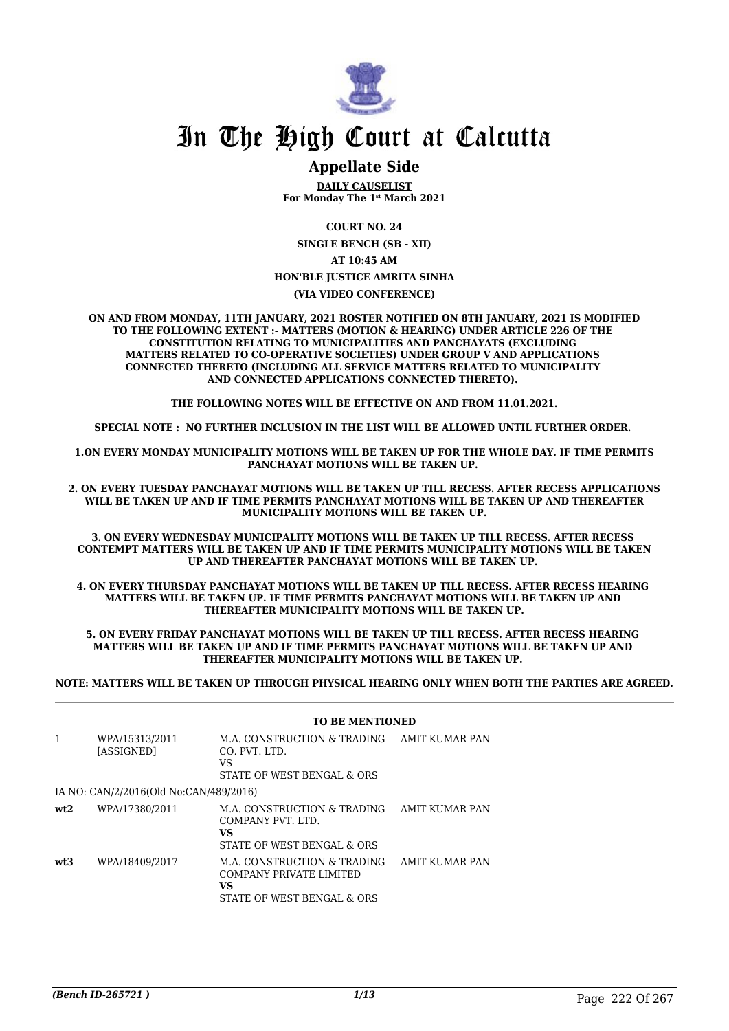

### **Appellate Side**

**DAILY CAUSELIST For Monday The 1st March 2021**

**COURT NO. 24**

**SINGLE BENCH (SB - XII) AT 10:45 AM HON'BLE JUSTICE AMRITA SINHA (VIA VIDEO CONFERENCE)**

**ON AND FROM MONDAY, 11TH JANUARY, 2021 ROSTER NOTIFIED ON 8TH JANUARY, 2021 IS MODIFIED TO THE FOLLOWING EXTENT :- MATTERS (MOTION & HEARING) UNDER ARTICLE 226 OF THE CONSTITUTION RELATING TO MUNICIPALITIES AND PANCHAYATS (EXCLUDING MATTERS RELATED TO CO-OPERATIVE SOCIETIES) UNDER GROUP V AND APPLICATIONS CONNECTED THERETO (INCLUDING ALL SERVICE MATTERS RELATED TO MUNICIPALITY AND CONNECTED APPLICATIONS CONNECTED THERETO).** 

**THE FOLLOWING NOTES WILL BE EFFECTIVE ON AND FROM 11.01.2021.**

**SPECIAL NOTE : NO FURTHER INCLUSION IN THE LIST WILL BE ALLOWED UNTIL FURTHER ORDER.** 

**1.ON EVERY MONDAY MUNICIPALITY MOTIONS WILL BE TAKEN UP FOR THE WHOLE DAY. IF TIME PERMITS PANCHAYAT MOTIONS WILL BE TAKEN UP.** 

**2. ON EVERY TUESDAY PANCHAYAT MOTIONS WILL BE TAKEN UP TILL RECESS. AFTER RECESS APPLICATIONS WILL BE TAKEN UP AND IF TIME PERMITS PANCHAYAT MOTIONS WILL BE TAKEN UP AND THEREAFTER MUNICIPALITY MOTIONS WILL BE TAKEN UP.**

**3. ON EVERY WEDNESDAY MUNICIPALITY MOTIONS WILL BE TAKEN UP TILL RECESS. AFTER RECESS CONTEMPT MATTERS WILL BE TAKEN UP AND IF TIME PERMITS MUNICIPALITY MOTIONS WILL BE TAKEN UP AND THEREAFTER PANCHAYAT MOTIONS WILL BE TAKEN UP.** 

**4. ON EVERY THURSDAY PANCHAYAT MOTIONS WILL BE TAKEN UP TILL RECESS. AFTER RECESS HEARING MATTERS WILL BE TAKEN UP. IF TIME PERMITS PANCHAYAT MOTIONS WILL BE TAKEN UP AND THEREAFTER MUNICIPALITY MOTIONS WILL BE TAKEN UP.**

**5. ON EVERY FRIDAY PANCHAYAT MOTIONS WILL BE TAKEN UP TILL RECESS. AFTER RECESS HEARING MATTERS WILL BE TAKEN UP AND IF TIME PERMITS PANCHAYAT MOTIONS WILL BE TAKEN UP AND THEREAFTER MUNICIPALITY MOTIONS WILL BE TAKEN UP.** 

**NOTE: MATTERS WILL BE TAKEN UP THROUGH PHYSICAL HEARING ONLY WHEN BOTH THE PARTIES ARE AGREED.**

#### **TO BE MENTIONED**

| 1   | WPA/15313/2011<br>[ASSIGNED]           | M.A. CONSTRUCTION & TRADING<br>CO. PVT. LTD.<br>VS<br>STATE OF WEST BENGAL & ORS           | AMIT KUMAR PAN        |
|-----|----------------------------------------|--------------------------------------------------------------------------------------------|-----------------------|
|     | IA NO: CAN/2/2016(Old No:CAN/489/2016) |                                                                                            |                       |
| wt2 | WPA/17380/2011                         | M.A. CONSTRUCTION & TRADING<br>COMPANY PVT. LTD.<br>VS<br>STATE OF WEST BENGAL & ORS       | AMIT KUMAR PAN        |
| wt3 | WPA/18409/2017                         | M.A. CONSTRUCTION & TRADING<br>COMPANY PRIVATE LIMITED<br>VS<br>STATE OF WEST BENGAL & ORS | <b>AMIT KUMAR PAN</b> |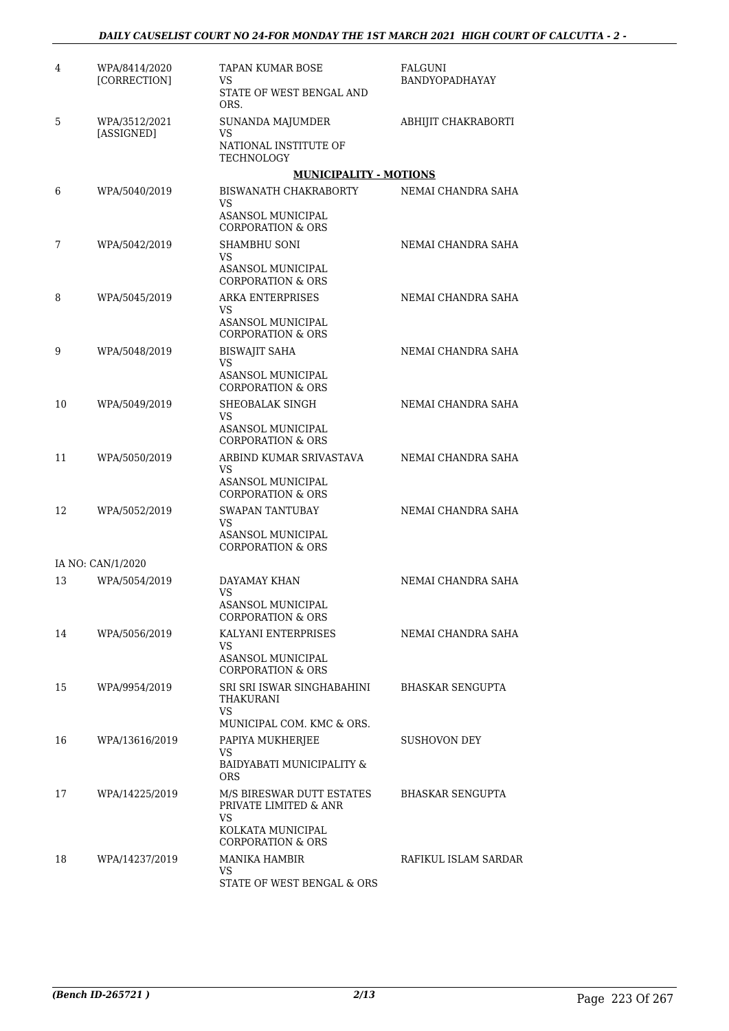| 4  | WPA/8414/2020<br>[CORRECTION]      | TAPAN KUMAR BOSE<br>VS<br>STATE OF WEST BENGAL AND<br>ORS.           | FALGUNI<br>BANDYOPADHAYAY |
|----|------------------------------------|----------------------------------------------------------------------|---------------------------|
| 5  | WPA/3512/2021<br><b>[ASSIGNED]</b> | <b>SUNANDA MAJUMDER</b><br>VS<br>NATIONAL INSTITUTE OF<br>TECHNOLOGY | ABHIJIT CHAKRABORTI       |
|    |                                    | <b>MUNICIPALITY - MOTIONS</b>                                        |                           |
| 6  | WPA/5040/2019                      | BISWANATH CHAKRABORTY<br>VS<br>ASANSOL MUNICIPAL                     | NEMAI CHANDRA SAHA        |
|    |                                    | <b>CORPORATION &amp; ORS</b>                                         |                           |
| 7  | WPA/5042/2019                      | SHAMBHU SONI<br>VS<br>ASANSOL MUNICIPAL                              | NEMAI CHANDRA SAHA        |
|    |                                    | <b>CORPORATION &amp; ORS</b>                                         |                           |
| 8  | WPA/5045/2019                      | <b>ARKA ENTERPRISES</b><br>VS<br>ASANSOL MUNICIPAL                   | NEMAI CHANDRA SAHA        |
|    |                                    | <b>CORPORATION &amp; ORS</b>                                         |                           |
| 9  | WPA/5048/2019                      | <b>BISWAJIT SAHA</b><br>VS                                           | NEMAI CHANDRA SAHA        |
|    |                                    | ASANSOL MUNICIPAL<br><b>CORPORATION &amp; ORS</b>                    |                           |
| 10 | WPA/5049/2019                      | SHEOBALAK SINGH<br>VS                                                | NEMAI CHANDRA SAHA        |
|    |                                    | ASANSOL MUNICIPAL<br><b>CORPORATION &amp; ORS</b>                    |                           |
| 11 | WPA/5050/2019                      | ARBIND KUMAR SRIVASTAVA<br>VS                                        | NEMAI CHANDRA SAHA        |
|    |                                    | <b>ASANSOL MUNICIPAL</b><br><b>CORPORATION &amp; ORS</b>             |                           |
| 12 | WPA/5052/2019                      | <b>SWAPAN TANTUBAY</b><br>VS                                         | NEMAI CHANDRA SAHA        |
|    |                                    | ASANSOL MUNICIPAL<br>CORPORATION & ORS                               |                           |
|    | IA NO: CAN/1/2020                  |                                                                      |                           |
| 13 | WPA/5054/2019                      | DAYAMAY KHAN<br>VS                                                   | NEMAI CHANDRA SAHA        |
|    |                                    | <b>ASANSOL MUNICIPAL</b><br>CORPORATION & ORS                        |                           |
| 14 | WPA/5056/2019                      | KALYANI ENTERPRISES<br>VS.                                           | NEMAI CHANDRA SAHA        |
|    |                                    | ASANSOL MUNICIPAL<br><b>CORPORATION &amp; ORS</b>                    |                           |
| 15 | WPA/9954/2019                      | SRI SRI ISWAR SINGHABAHINI<br>THAKURANI<br>VS.                       | BHASKAR SENGUPTA          |
|    |                                    | MUNICIPAL COM. KMC & ORS.                                            |                           |
| 16 | WPA/13616/2019                     | PAPIYA MUKHERJEE<br>VS                                               | SUSHOVON DEY              |
|    |                                    | BAIDYABATI MUNICIPALITY &<br><b>ORS</b>                              |                           |
| 17 | WPA/14225/2019                     | M/S BIRESWAR DUTT ESTATES<br>PRIVATE LIMITED & ANR                   | BHASKAR SENGUPTA          |
|    |                                    | VS.<br>KOLKATA MUNICIPAL<br><b>CORPORATION &amp; ORS</b>             |                           |
| 18 | WPA/14237/2019                     | <b>MANIKA HAMBIR</b>                                                 | RAFIKUL ISLAM SARDAR      |
|    |                                    | VS.<br>STATE OF WEST BENGAL & ORS                                    |                           |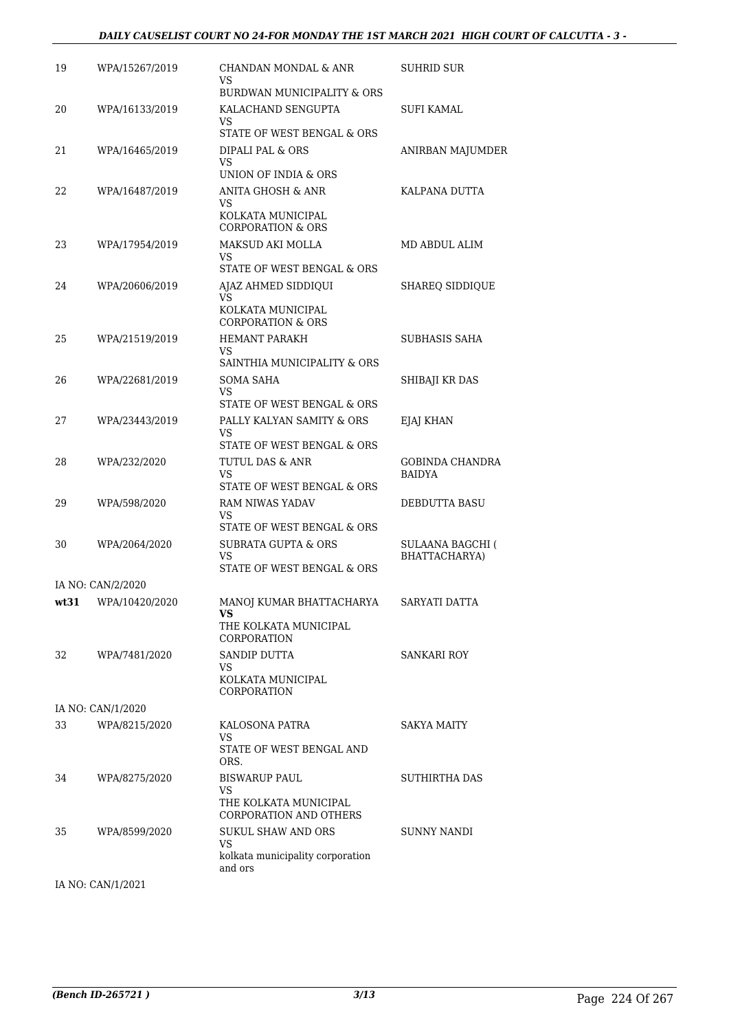| 19 | WPA/15267/2019      | CHANDAN MONDAL & ANR<br>VS<br>BURDWAN MUNICIPALITY & ORS                       | SUHRID SUR                               |
|----|---------------------|--------------------------------------------------------------------------------|------------------------------------------|
| 20 | WPA/16133/2019      | KALACHAND SENGUPTA<br>VS                                                       | SUFI KAMAL                               |
|    |                     | STATE OF WEST BENGAL & ORS                                                     |                                          |
| 21 | WPA/16465/2019      | DIPALI PAL & ORS<br>VS                                                         | ANIRBAN MAJUMDER                         |
|    |                     | UNION OF INDIA & ORS                                                           |                                          |
| 22 | WPA/16487/2019      | <b>ANITA GHOSH &amp; ANR</b><br>VS<br>KOLKATA MUNICIPAL                        | KALPANA DUTTA                            |
|    |                     | <b>CORPORATION &amp; ORS</b>                                                   |                                          |
| 23 | WPA/17954/2019      | MAKSUD AKI MOLLA<br>VS                                                         | MD ABDUL ALIM                            |
|    |                     | STATE OF WEST BENGAL & ORS                                                     |                                          |
| 24 | WPA/20606/2019      | AJAZ AHMED SIDDIQUI<br>VS<br>KOLKATA MUNICIPAL<br><b>CORPORATION &amp; ORS</b> | <b>SHAREQ SIDDIQUE</b>                   |
| 25 | WPA/21519/2019      | <b>HEMANT PARAKH</b>                                                           | SUBHASIS SAHA                            |
|    |                     | VS<br>SAINTHIA MUNICIPALITY & ORS                                              |                                          |
| 26 | WPA/22681/2019      | SOMA SAHA                                                                      | SHIBAJI KR DAS                           |
|    |                     | VS<br>STATE OF WEST BENGAL & ORS                                               |                                          |
| 27 | WPA/23443/2019      | PALLY KALYAN SAMITY & ORS                                                      | EJAJ KHAN                                |
|    |                     | VS<br>STATE OF WEST BENGAL & ORS                                               |                                          |
| 28 | WPA/232/2020        | TUTUL DAS & ANR<br>VS<br>STATE OF WEST BENGAL & ORS                            | <b>GOBINDA CHANDRA</b><br><b>BAIDYA</b>  |
| 29 | WPA/598/2020        | <b>RAM NIWAS YADAV</b><br>VS                                                   | DEBDUTTA BASU                            |
|    |                     | STATE OF WEST BENGAL & ORS                                                     |                                          |
| 30 | WPA/2064/2020       | <b>SUBRATA GUPTA &amp; ORS</b><br>VS                                           | <b>SULAANA BAGCHI (</b><br>BHATTACHARYA) |
|    |                     | STATE OF WEST BENGAL & ORS                                                     |                                          |
|    | IA NO: CAN/2/2020   |                                                                                |                                          |
|    | wt31 WPA/10420/2020 | MANOJ KUMAR BHATTACHARYA<br>VS<br>THE KOLKATA MUNICIPAL                        | SARYATI DATTA                            |
|    |                     | CORPORATION                                                                    |                                          |
| 32 | WPA/7481/2020       | SANDIP DUTTA<br>VS                                                             | <b>SANKARI ROY</b>                       |
|    |                     | KOLKATA MUNICIPAL<br>CORPORATION                                               |                                          |
|    | IA NO: CAN/1/2020   |                                                                                |                                          |
| 33 | WPA/8215/2020       | KALOSONA PATRA                                                                 | SAKYA MAITY                              |
|    |                     | VS<br>STATE OF WEST BENGAL AND<br>ORS.                                         |                                          |
| 34 | WPA/8275/2020       | <b>BISWARUP PAUL</b>                                                           | <b>SUTHIRTHA DAS</b>                     |
|    |                     | VS<br>THE KOLKATA MUNICIPAL                                                    |                                          |
|    |                     | <b>CORPORATION AND OTHERS</b>                                                  |                                          |
| 35 | WPA/8599/2020       | <b>SUKUL SHAW AND ORS</b><br>VS<br>kolkata municipality corporation            | <b>SUNNY NANDI</b>                       |
|    |                     | and ors                                                                        |                                          |
|    |                     |                                                                                |                                          |

IA NO: CAN/1/2021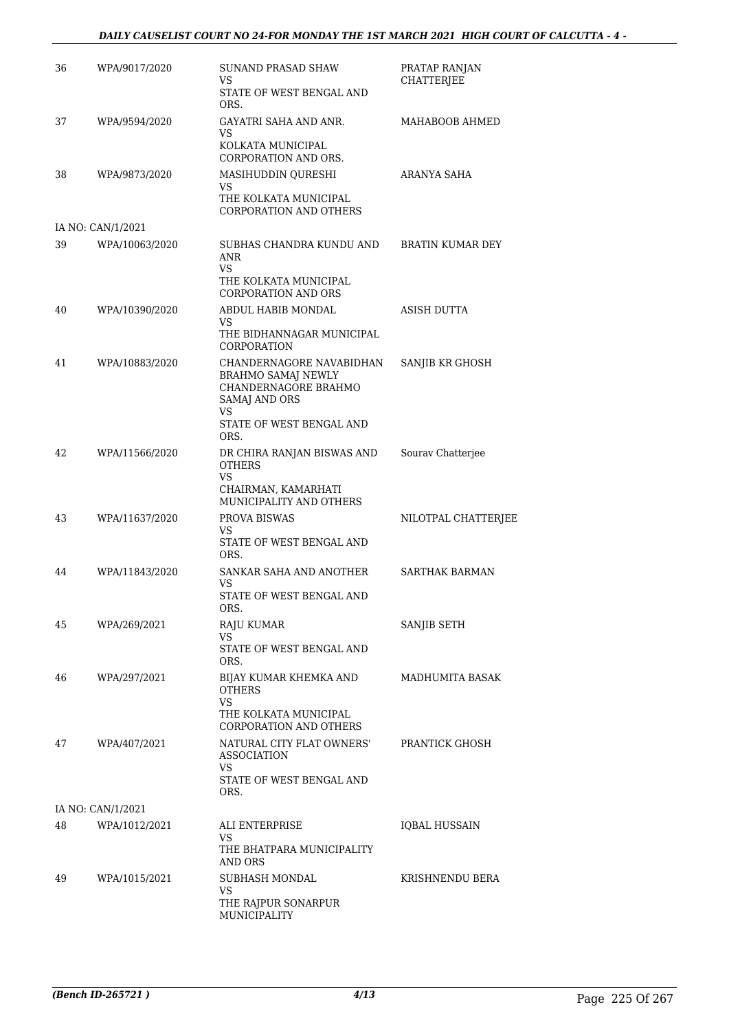#### *DAILY CAUSELIST COURT NO 24-FOR MONDAY THE 1ST MARCH 2021 HIGH COURT OF CALCUTTA - 4 -*

| 36 | WPA/9017/2020     | SUNAND PRASAD SHAW<br>VS<br>STATE OF WEST BENGAL AND                                                       | PRATAP RANJAN<br><b>CHATTERJEE</b> |
|----|-------------------|------------------------------------------------------------------------------------------------------------|------------------------------------|
| 37 | WPA/9594/2020     | ORS.<br>GAYATRI SAHA AND ANR.                                                                              | MAHABOOB AHMED                     |
|    |                   | VS.<br>KOLKATA MUNICIPAL<br>CORPORATION AND ORS.                                                           |                                    |
| 38 | WPA/9873/2020     | MASIHUDDIN QURESHI<br>VS.<br>THE KOLKATA MUNICIPAL<br><b>CORPORATION AND OTHERS</b>                        | ARANYA SAHA                        |
|    | IA NO: CAN/1/2021 |                                                                                                            |                                    |
| 39 | WPA/10063/2020    | SUBHAS CHANDRA KUNDU AND<br>ANR<br>VS.                                                                     | BRATIN KUMAR DEY                   |
|    |                   | THE KOLKATA MUNICIPAL<br><b>CORPORATION AND ORS</b>                                                        |                                    |
| 40 | WPA/10390/2020    | ABDUL HABIB MONDAL<br>VS                                                                                   | <b>ASISH DUTTA</b>                 |
|    |                   | THE BIDHANNAGAR MUNICIPAL<br>CORPORATION                                                                   |                                    |
| 41 | WPA/10883/2020    | CHANDERNAGORE NAVABIDHAN<br><b>BRAHMO SAMAJ NEWLY</b><br>CHANDERNAGORE BRAHMO<br>SAMAJ AND ORS<br>VS       | SANJIB KR GHOSH                    |
|    |                   | STATE OF WEST BENGAL AND<br>ORS.                                                                           |                                    |
| 42 | WPA/11566/2020    | DR CHIRA RANJAN BISWAS AND<br><b>OTHERS</b><br><b>VS</b><br>CHAIRMAN, KAMARHATI<br>MUNICIPALITY AND OTHERS | Sourav Chatterjee                  |
| 43 | WPA/11637/2020    | <b>PROVA BISWAS</b><br>VS<br>STATE OF WEST BENGAL AND<br>ORS.                                              | NILOTPAL CHATTERJEE                |
| 44 | WPA/11843/2020    | SANKAR SAHA AND ANOTHER<br>VS<br>STATE OF WEST BENGAL AND<br>ORS.                                          | SARTHAK BARMAN                     |
| 45 | WPA/269/2021      | <b>RAJU KUMAR</b>                                                                                          | SANJIB SETH                        |
|    |                   | VS.<br>STATE OF WEST BENGAL AND<br>ORS.                                                                    |                                    |
| 46 | WPA/297/2021      | BIJAY KUMAR KHEMKA AND<br><b>OTHERS</b>                                                                    | MADHUMITA BASAK                    |
|    |                   | VS.<br>THE KOLKATA MUNICIPAL<br><b>CORPORATION AND OTHERS</b>                                              |                                    |
| 47 | WPA/407/2021      | NATURAL CITY FLAT OWNERS'<br><b>ASSOCIATION</b><br>VS.<br>STATE OF WEST BENGAL AND<br>ORS.                 | PRANTICK GHOSH                     |
|    | IA NO: CAN/1/2021 |                                                                                                            |                                    |
| 48 | WPA/1012/2021     | ALI ENTERPRISE<br>VS<br>THE BHATPARA MUNICIPALITY<br>AND ORS                                               | <b>IQBAL HUSSAIN</b>               |
| 49 | WPA/1015/2021     | SUBHASH MONDAL<br>VS<br>THE RAJPUR SONARPUR<br>MUNICIPALITY                                                | KRISHNENDU BERA                    |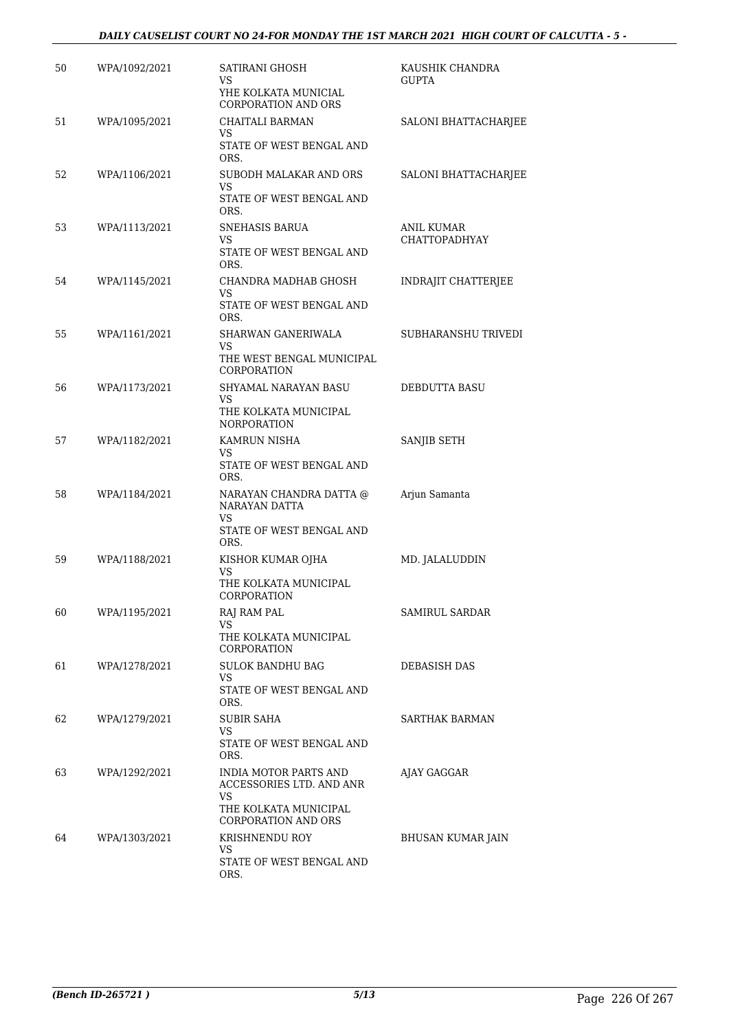#### *DAILY CAUSELIST COURT NO 24-FOR MONDAY THE 1ST MARCH 2021 HIGH COURT OF CALCUTTA - 5 -*

| 50 | WPA/1092/2021 | SATIRANI GHOSH<br>VS<br>YHE KOLKATA MUNICIAL<br>CORPORATION AND ORS       | KAUSHIK CHANDRA<br><b>GUPTA</b>    |
|----|---------------|---------------------------------------------------------------------------|------------------------------------|
| 51 | WPA/1095/2021 | CHAITALI BARMAN<br>VS<br>STATE OF WEST BENGAL AND                         | SALONI BHATTACHARJEE               |
| 52 | WPA/1106/2021 | ORS.<br>SUBODH MALAKAR AND ORS<br>VS                                      | SALONI BHATTACHARJEE               |
|    |               | STATE OF WEST BENGAL AND<br>ORS.                                          |                                    |
| 53 | WPA/1113/2021 | SNEHASIS BARUA<br>VS                                                      | <b>ANIL KUMAR</b><br>CHATTOPADHYAY |
|    |               | STATE OF WEST BENGAL AND<br>ORS.                                          |                                    |
| 54 | WPA/1145/2021 | CHANDRA MADHAB GHOSH<br>VS<br>STATE OF WEST BENGAL AND                    | INDRAJIT CHATTERJEE                |
|    |               | ORS.                                                                      |                                    |
| 55 | WPA/1161/2021 | SHARWAN GANERIWALA<br>VS<br>THE WEST BENGAL MUNICIPAL                     | SUBHARANSHU TRIVEDI                |
|    |               | <b>CORPORATION</b>                                                        |                                    |
| 56 | WPA/1173/2021 | SHYAMAL NARAYAN BASU<br>VS<br>THE KOLKATA MUNICIPAL<br><b>NORPORATION</b> | DEBDUTTA BASU                      |
| 57 | WPA/1182/2021 | KAMRUN NISHA<br>VS<br>STATE OF WEST BENGAL AND                            | SANJIB SETH                        |
| 58 | WPA/1184/2021 | ORS.<br>NARAYAN CHANDRA DATTA @<br>NARAYAN DATTA                          | Arjun Samanta                      |
|    |               | VS<br>STATE OF WEST BENGAL AND<br>ORS.                                    |                                    |
| 59 | WPA/1188/2021 | KISHOR KUMAR OJHA<br>VS<br>THE KOLKATA MUNICIPAL                          | MD. JALALUDDIN                     |
|    |               | CORPORATION                                                               |                                    |
| 60 | WPA/1195/2021 | RAJ RAM PAL<br>VS<br>THE KOLKATA MUNICIPAL<br>CORPORATION                 | SAMIRUL SARDAR                     |
| 61 | WPA/1278/2021 | <b>SULOK BANDHU BAG</b><br>VS.<br>STATE OF WEST BENGAL AND                | DEBASISH DAS                       |
|    |               | ORS.                                                                      |                                    |
| 62 | WPA/1279/2021 | <b>SUBIR SAHA</b><br>VS.<br>STATE OF WEST BENGAL AND<br>ORS.              | SARTHAK BARMAN                     |
| 63 | WPA/1292/2021 | INDIA MOTOR PARTS AND<br>ACCESSORIES LTD. AND ANR<br>VS                   | AJAY GAGGAR                        |
|    |               | THE KOLKATA MUNICIPAL<br>CORPORATION AND ORS                              |                                    |
| 64 | WPA/1303/2021 | KRISHNENDU ROY<br>VS<br>STATE OF WEST BENGAL AND<br>ORS.                  | BHUSAN KUMAR JAIN                  |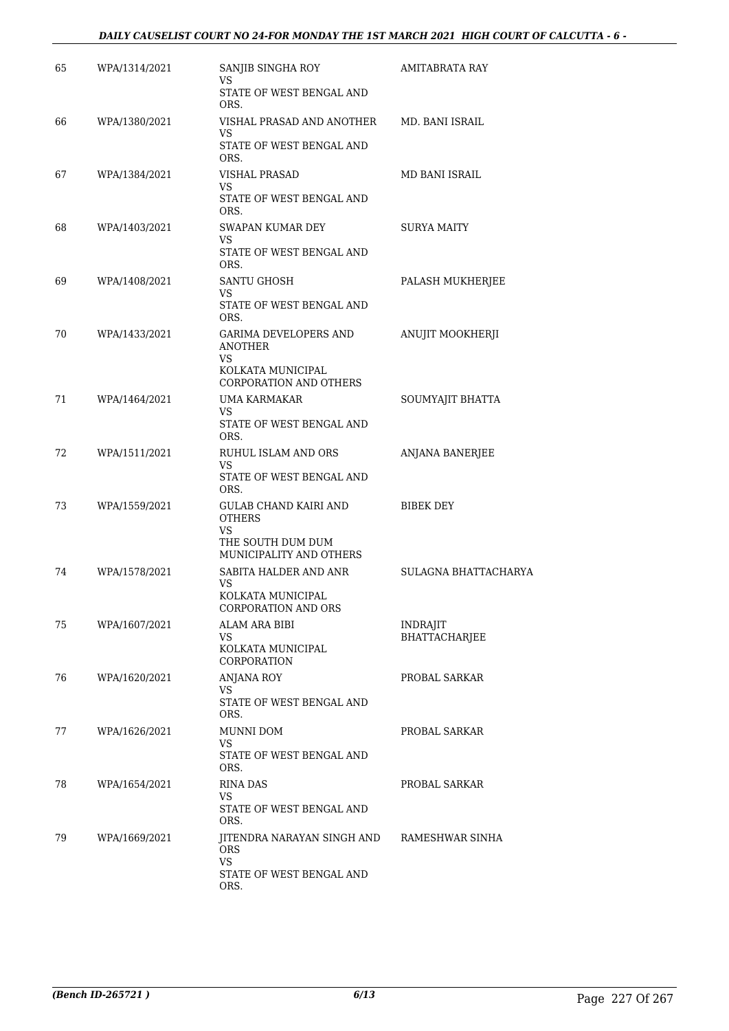#### *DAILY CAUSELIST COURT NO 24-FOR MONDAY THE 1ST MARCH 2021 HIGH COURT OF CALCUTTA - 6 -*

| 65 | WPA/1314/2021 | SANJIB SINGHA ROY<br>VS.                                 | <b>AMITABRATA RAY</b> |
|----|---------------|----------------------------------------------------------|-----------------------|
|    |               | STATE OF WEST BENGAL AND<br>ORS.                         |                       |
| 66 | WPA/1380/2021 | VISHAL PRASAD AND ANOTHER<br>VS.                         | MD. BANI ISRAIL       |
|    |               | STATE OF WEST BENGAL AND<br>ORS.                         |                       |
| 67 | WPA/1384/2021 | <b>VISHAL PRASAD</b><br>VS.                              | MD BANI ISRAIL        |
|    |               | STATE OF WEST BENGAL AND<br>ORS.                         |                       |
| 68 | WPA/1403/2021 | SWAPAN KUMAR DEY<br>VS<br>STATE OF WEST BENGAL AND       | SURYA MAITY           |
|    |               | ORS.                                                     |                       |
| 69 | WPA/1408/2021 | <b>SANTU GHOSH</b><br>VS                                 | PALASH MUKHERJEE      |
|    |               | STATE OF WEST BENGAL AND<br>ORS.                         |                       |
| 70 | WPA/1433/2021 | GARIMA DEVELOPERS AND<br><b>ANOTHER</b>                  | ANUJIT MOOKHERJI      |
|    |               | VS<br>KOLKATA MUNICIPAL<br><b>CORPORATION AND OTHERS</b> |                       |
| 71 | WPA/1464/2021 | UMA KARMAKAR                                             | SOUMYAJIT BHATTA      |
|    |               | VS.<br>STATE OF WEST BENGAL AND<br>ORS.                  |                       |
| 72 | WPA/1511/2021 | RUHUL ISLAM AND ORS<br>VS.                               | ANJANA BANERJEE       |
|    |               | STATE OF WEST BENGAL AND<br>ORS.                         |                       |
| 73 | WPA/1559/2021 | <b>GULAB CHAND KAIRI AND</b><br><b>OTHERS</b>            | <b>BIBEK DEY</b>      |
|    |               | VS.<br>THE SOUTH DUM DUM<br>MUNICIPALITY AND OTHERS      |                       |
| 74 | WPA/1578/2021 | SABITA HALDER AND ANR                                    | SULAGNA BHATTACHARYA  |
|    |               | VS.<br>KOLKATA MUNICIPAL<br><b>CORPORATION AND ORS</b>   |                       |
| 75 | WPA/1607/2021 | ALAM ARA BIBI                                            | <b>INDRAJIT</b>       |
|    |               | VS<br>KOLKATA MUNICIPAL<br>CORPORATION                   | BHATTACHARJEE         |
| 76 | WPA/1620/2021 | ANJANA ROY                                               | PROBAL SARKAR         |
|    |               | VS.<br>STATE OF WEST BENGAL AND<br>ORS.                  |                       |
| 77 | WPA/1626/2021 | MUNNI DOM                                                | PROBAL SARKAR         |
|    |               | VS.<br>STATE OF WEST BENGAL AND<br>ORS.                  |                       |
| 78 | WPA/1654/2021 | <b>RINA DAS</b><br>VS.                                   | PROBAL SARKAR         |
|    |               | STATE OF WEST BENGAL AND<br>ORS.                         |                       |
| 79 | WPA/1669/2021 | JITENDRA NARAYAN SINGH AND<br><b>ORS</b><br><b>VS</b>    | RAMESHWAR SINHA       |
|    |               | STATE OF WEST BENGAL AND<br>ORS.                         |                       |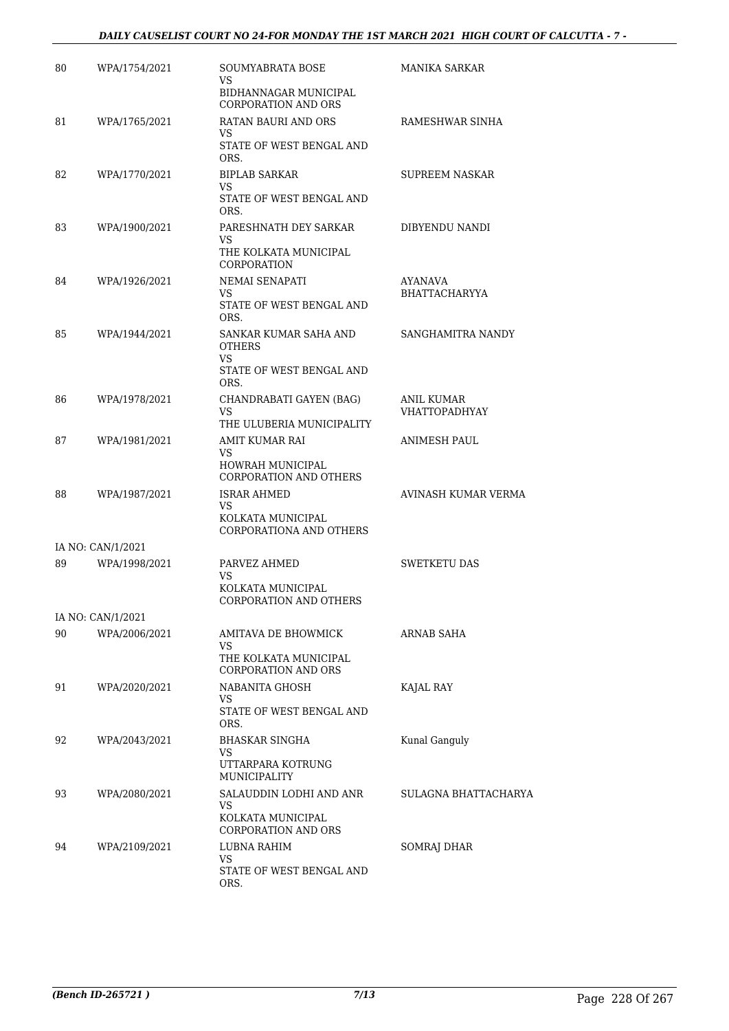#### *DAILY CAUSELIST COURT NO 24-FOR MONDAY THE 1ST MARCH 2021 HIGH COURT OF CALCUTTA - 7 -*

| 80 | WPA/1754/2021     | SOUMYABRATA BOSE<br>VS.                                                           | MANIKA SARKAR                      |
|----|-------------------|-----------------------------------------------------------------------------------|------------------------------------|
|    |                   | BIDHANNAGAR MUNICIPAL<br><b>CORPORATION AND ORS</b>                               |                                    |
| 81 | WPA/1765/2021     | RATAN BAURI AND ORS<br>VS.                                                        | RAMESHWAR SINHA                    |
|    |                   | STATE OF WEST BENGAL AND<br>ORS.                                                  |                                    |
| 82 | WPA/1770/2021     | <b>BIPLAB SARKAR</b><br>VS                                                        | <b>SUPREEM NASKAR</b>              |
|    |                   | STATE OF WEST BENGAL AND<br>ORS.                                                  |                                    |
| 83 | WPA/1900/2021     | PARESHNATH DEY SARKAR<br>VS                                                       | DIBYENDU NANDI                     |
|    |                   | THE KOLKATA MUNICIPAL<br>CORPORATION                                              |                                    |
| 84 | WPA/1926/2021     | NEMAI SENAPATI<br>VS.                                                             | AYANAVA<br>BHATTACHARYYA           |
|    |                   | STATE OF WEST BENGAL AND<br>ORS.                                                  |                                    |
| 85 | WPA/1944/2021     | SANKAR KUMAR SAHA AND<br><b>OTHERS</b><br>VS.                                     | SANGHAMITRA NANDY                  |
|    |                   | STATE OF WEST BENGAL AND<br>ORS.                                                  |                                    |
| 86 | WPA/1978/2021     | CHANDRABATI GAYEN (BAG)<br>VS.<br>THE ULUBERIA MUNICIPALITY                       | ANIL KUMAR<br><b>VHATTOPADHYAY</b> |
| 87 | WPA/1981/2021     | AMIT KUMAR RAI                                                                    | <b>ANIMESH PAUL</b>                |
|    |                   | VS<br>HOWRAH MUNICIPAL<br><b>CORPORATION AND OTHERS</b>                           |                                    |
| 88 | WPA/1987/2021     | <b>ISRAR AHMED</b><br>VS.                                                         | AVINASH KUMAR VERMA                |
|    |                   | KOLKATA MUNICIPAL<br>CORPORATIONA AND OTHERS                                      |                                    |
|    | IA NO: CAN/1/2021 |                                                                                   |                                    |
| 89 | WPA/1998/2021     | PARVEZ AHMED<br>VS.                                                               | SWETKETU DAS                       |
|    |                   | KOLKATA MUNICIPAL<br><b>CORPORATION AND OTHERS</b>                                |                                    |
|    | IA NO: CAN/1/2021 |                                                                                   |                                    |
| 90 | WPA/2006/2021     | AMITAVA DE BHOWMICK<br>VS.                                                        | ARNAB SAHA                         |
|    |                   | THE KOLKATA MUNICIPAL<br><b>CORPORATION AND ORS</b>                               |                                    |
| 91 | WPA/2020/2021     | NABANITA GHOSH<br>VS.                                                             | KAJAL RAY                          |
|    |                   | STATE OF WEST BENGAL AND<br>ORS.                                                  |                                    |
| 92 | WPA/2043/2021     | BHASKAR SINGHA<br>VS<br>UTTARPARA KOTRUNG                                         | Kunal Ganguly                      |
|    |                   | MUNICIPALITY                                                                      |                                    |
| 93 | WPA/2080/2021     | SALAUDDIN LODHI AND ANR<br>VS.<br>KOLKATA MUNICIPAL<br><b>CORPORATION AND ORS</b> | SULAGNA BHATTACHARYA               |
| 94 | WPA/2109/2021     | LUBNA RAHIM<br>VS                                                                 | SOMRAJ DHAR                        |
|    |                   | STATE OF WEST BENGAL AND<br>ORS.                                                  |                                    |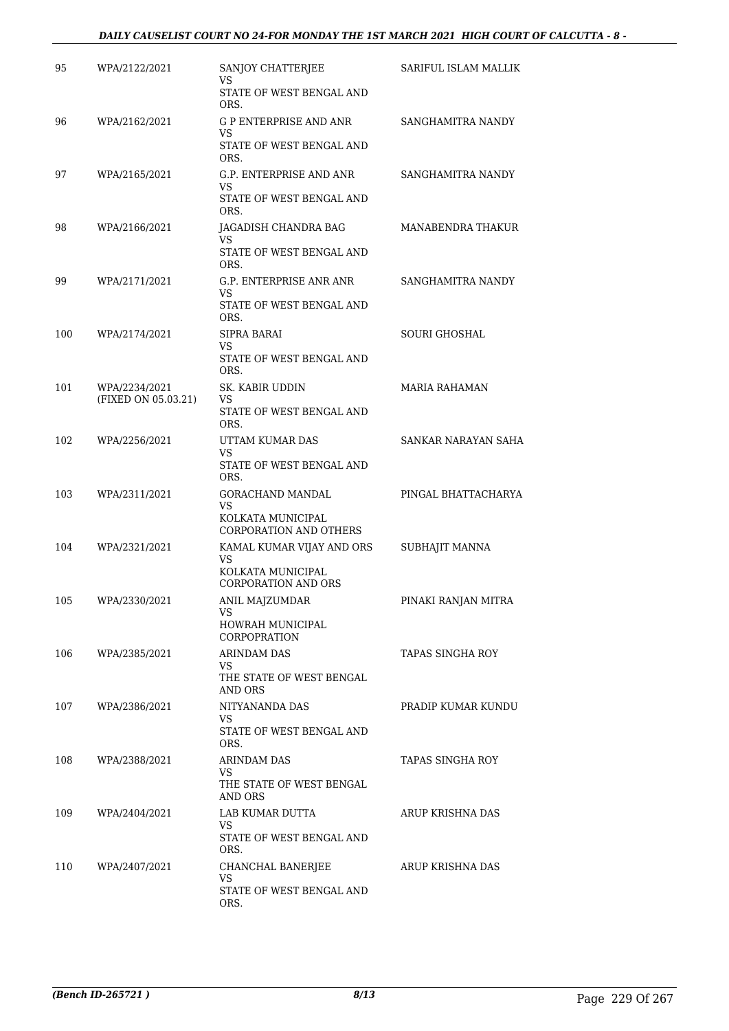#### *DAILY CAUSELIST COURT NO 24-FOR MONDAY THE 1ST MARCH 2021 HIGH COURT OF CALCUTTA - 8 -*

| 95  | WPA/2122/2021                        | SANJOY CHATTERJEE<br>VS<br>STATE OF WEST BENGAL AND                                       | SARIFUL ISLAM MALLIK |
|-----|--------------------------------------|-------------------------------------------------------------------------------------------|----------------------|
| 96  | WPA/2162/2021                        | ORS.<br><b>G P ENTERPRISE AND ANR</b><br>VS<br>STATE OF WEST BENGAL AND                   | SANGHAMITRA NANDY    |
| 97  | WPA/2165/2021                        | ORS.<br>G.P. ENTERPRISE AND ANR<br>VS.<br>STATE OF WEST BENGAL AND<br>ORS.                | SANGHAMITRA NANDY    |
| 98  | WPA/2166/2021                        | JAGADISH CHANDRA BAG<br>VS<br>STATE OF WEST BENGAL AND<br>ORS.                            | MANABENDRA THAKUR    |
| 99  | WPA/2171/2021                        | G.P. ENTERPRISE ANR ANR<br>VS<br>STATE OF WEST BENGAL AND<br>ORS.                         | SANGHAMITRA NANDY    |
| 100 | WPA/2174/2021                        | SIPRA BARAI<br>VS<br>STATE OF WEST BENGAL AND<br>ORS.                                     | <b>SOURI GHOSHAL</b> |
| 101 | WPA/2234/2021<br>(FIXED ON 05.03.21) | SK. KABIR UDDIN<br>VS<br>STATE OF WEST BENGAL AND<br>ORS.                                 | <b>MARIA RAHAMAN</b> |
| 102 | WPA/2256/2021                        | UTTAM KUMAR DAS<br>VS<br>STATE OF WEST BENGAL AND<br>ORS.                                 | SANKAR NARAYAN SAHA  |
| 103 | WPA/2311/2021                        | GORACHAND MANDAL<br>VS<br>KOLKATA MUNICIPAL<br><b>CORPORATION AND OTHERS</b>              | PINGAL BHATTACHARYA  |
| 104 | WPA/2321/2021                        | KAMAL KUMAR VIJAY AND ORS<br><b>VS</b><br>KOLKATA MUNICIPAL<br><b>CORPORATION AND ORS</b> | SUBHAJIT MANNA       |
| 105 | WPA/2330/2021                        | ANIL MAJZUMDAR<br>VS<br>HOWRAH MUNICIPAL<br>CORPOPRATION                                  | PINAKI RANJAN MITRA  |
| 106 | WPA/2385/2021                        | <b>ARINDAM DAS</b><br>VS.<br>THE STATE OF WEST BENGAL<br>AND ORS                          | TAPAS SINGHA ROY     |
| 107 | WPA/2386/2021                        | NITYANANDA DAS<br>VS.<br>STATE OF WEST BENGAL AND<br>ORS.                                 | PRADIP KUMAR KUNDU   |
| 108 | WPA/2388/2021                        | ARINDAM DAS<br>VS.<br>THE STATE OF WEST BENGAL<br>AND ORS                                 | TAPAS SINGHA ROY     |
| 109 | WPA/2404/2021                        | LAB KUMAR DUTTA<br>VS.<br>STATE OF WEST BENGAL AND<br>ORS.                                | ARUP KRISHNA DAS     |
| 110 | WPA/2407/2021                        | CHANCHAL BANERJEE<br>VS<br>STATE OF WEST BENGAL AND<br>ORS.                               | ARUP KRISHNA DAS     |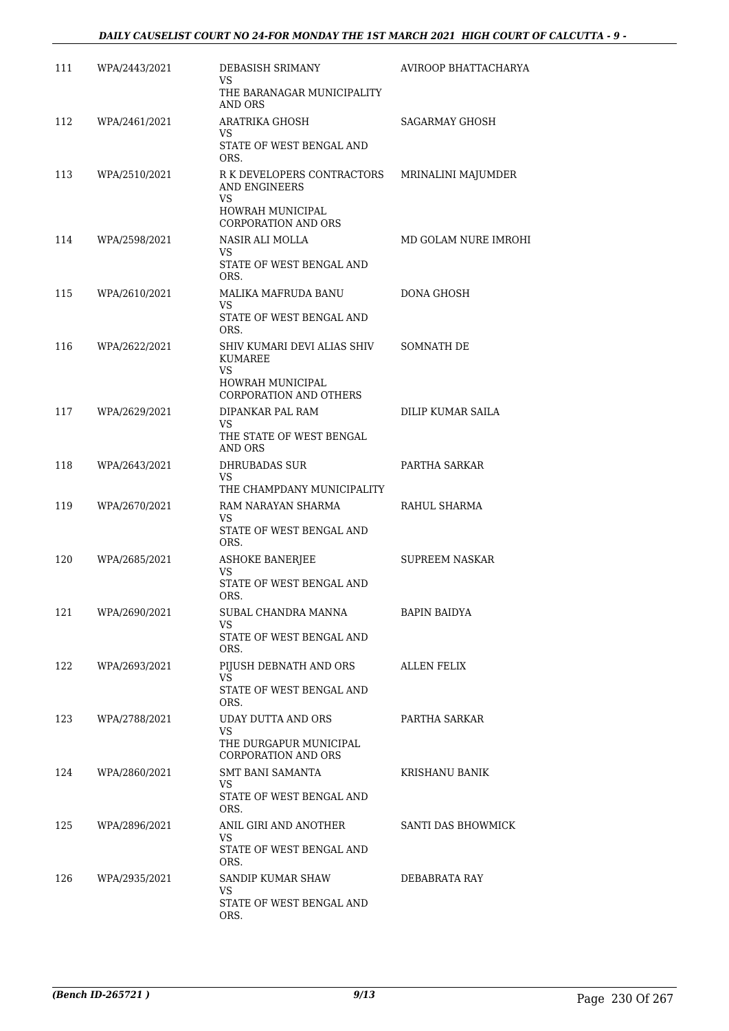| 111 | WPA/2443/2021 | DEBASISH SRIMANY<br>VS                                   | AVIROOP BHATTACHARYA  |
|-----|---------------|----------------------------------------------------------|-----------------------|
|     |               | THE BARANAGAR MUNICIPALITY<br>AND ORS                    |                       |
| 112 | WPA/2461/2021 | ARATRIKA GHOSH<br>VS.                                    | SAGARMAY GHOSH        |
|     |               | STATE OF WEST BENGAL AND<br>ORS.                         |                       |
| 113 | WPA/2510/2021 | R K DEVELOPERS CONTRACTORS<br><b>AND ENGINEERS</b><br>VS | MRINALINI MAJUMDER    |
|     |               | HOWRAH MUNICIPAL<br><b>CORPORATION AND ORS</b>           |                       |
| 114 | WPA/2598/2021 | NASIR ALI MOLLA<br>VS.                                   | MD GOLAM NURE IMROHI  |
|     |               | STATE OF WEST BENGAL AND<br>ORS.                         |                       |
| 115 | WPA/2610/2021 | MALIKA MAFRUDA BANU<br>VS.                               | DONA GHOSH            |
|     |               | STATE OF WEST BENGAL AND<br>ORS.                         |                       |
| 116 | WPA/2622/2021 | SHIV KUMARI DEVI ALIAS SHIV<br><b>KUMAREE</b>            | SOMNATH DE            |
|     |               | <b>VS</b><br>HOWRAH MUNICIPAL                            |                       |
|     |               | <b>CORPORATION AND OTHERS</b>                            |                       |
| 117 | WPA/2629/2021 | DIPANKAR PAL RAM<br>VS                                   | DILIP KUMAR SAILA     |
|     |               | THE STATE OF WEST BENGAL<br>AND ORS                      |                       |
| 118 | WPA/2643/2021 | <b>DHRUBADAS SUR</b><br>VS<br>THE CHAMPDANY MUNICIPALITY | PARTHA SARKAR         |
| 119 | WPA/2670/2021 | RAM NARAYAN SHARMA                                       | RAHUL SHARMA          |
|     |               | VS.<br>STATE OF WEST BENGAL AND<br>ORS.                  |                       |
| 120 | WPA/2685/2021 | <b>ASHOKE BANERJEE</b><br>VS.                            | <b>SUPREEM NASKAR</b> |
|     |               | STATE OF WEST BENGAL AND<br>ORS.                         |                       |
| 121 | WPA/2690/2021 | SUBAL CHANDRA MANNA<br>VS.                               | BAPIN BAIDYA          |
|     |               | STATE OF WEST BENGAL AND<br>ORS.                         |                       |
| 122 | WPA/2693/2021 | PIJUSH DEBNATH AND ORS<br>VS.                            | ALLEN FELIX           |
|     |               | STATE OF WEST BENGAL AND<br>ORS.                         |                       |
| 123 | WPA/2788/2021 | UDAY DUTTA AND ORS<br>VS                                 | PARTHA SARKAR         |
|     |               | THE DURGAPUR MUNICIPAL<br><b>CORPORATION AND ORS</b>     |                       |
| 124 | WPA/2860/2021 | <b>SMT BANI SAMANTA</b><br>VS                            | <b>KRISHANU BANIK</b> |
|     |               | STATE OF WEST BENGAL AND<br>ORS.                         |                       |
| 125 | WPA/2896/2021 | ANIL GIRI AND ANOTHER<br>VS.                             | SANTI DAS BHOWMICK    |
|     |               | STATE OF WEST BENGAL AND<br>ORS.                         |                       |
| 126 | WPA/2935/2021 | SANDIP KUMAR SHAW<br>VS                                  | DEBABRATA RAY         |
|     |               | STATE OF WEST BENGAL AND<br>ORS.                         |                       |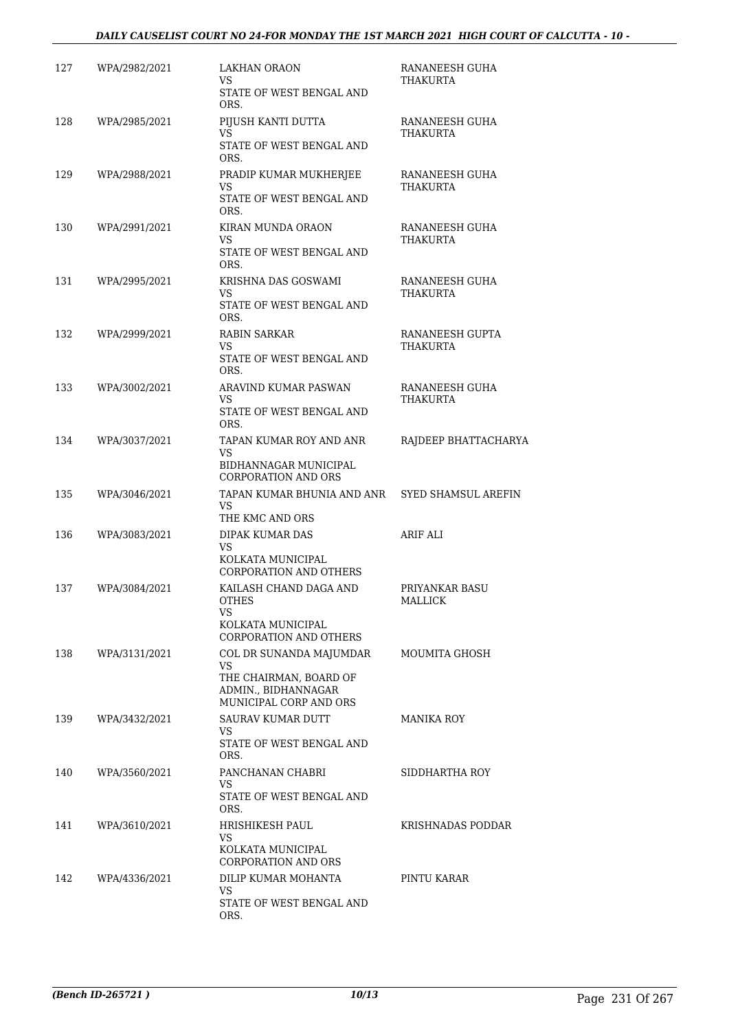| 127 | WPA/2982/2021 | LAKHAN ORAON<br>VS<br>STATE OF WEST BENGAL AND<br>ORS.                                                   | RANANEESH GUHA<br>THAKURTA  |
|-----|---------------|----------------------------------------------------------------------------------------------------------|-----------------------------|
| 128 | WPA/2985/2021 | PIJUSH KANTI DUTTA<br>VS<br>STATE OF WEST BENGAL AND<br>ORS.                                             | RANANEESH GUHA<br>THAKURTA  |
| 129 | WPA/2988/2021 | PRADIP KUMAR MUKHERJEE<br>VS<br>STATE OF WEST BENGAL AND<br>ORS.                                         | RANANEESH GUHA<br>THAKURTA  |
| 130 | WPA/2991/2021 | <b>KIRAN MUNDA ORAON</b><br>VS.<br>STATE OF WEST BENGAL AND<br>ORS.                                      | RANANEESH GUHA<br>THAKURTA  |
| 131 | WPA/2995/2021 | KRISHNA DAS GOSWAMI<br>VS<br>STATE OF WEST BENGAL AND<br>ORS.                                            | RANANEESH GUHA<br>THAKURTA  |
| 132 | WPA/2999/2021 | RABIN SARKAR<br>VS<br>STATE OF WEST BENGAL AND<br>ORS.                                                   | RANANEESH GUPTA<br>THAKURTA |
| 133 | WPA/3002/2021 | ARAVIND KUMAR PASWAN<br>VS.<br>STATE OF WEST BENGAL AND<br>ORS.                                          | RANANEESH GUHA<br>THAKURTA  |
| 134 | WPA/3037/2021 | TAPAN KUMAR ROY AND ANR<br>VS.<br>BIDHANNAGAR MUNICIPAL<br><b>CORPORATION AND ORS</b>                    | RAJDEEP BHATTACHARYA        |
| 135 | WPA/3046/2021 | TAPAN KUMAR BHUNIA AND ANR<br>VS<br>THE KMC AND ORS                                                      | SYED SHAMSUL AREFIN         |
| 136 | WPA/3083/2021 | DIPAK KUMAR DAS<br>VS.<br>KOLKATA MUNICIPAL<br><b>CORPORATION AND OTHERS</b>                             | ARIF ALI                    |
| 137 | WPA/3084/2021 | KAILASH CHAND DAGA AND<br><b>OTHES</b><br>VS<br>KOLKATA MUNICIPAL<br><b>CORPORATION AND OTHERS</b>       | PRIYANKAR BASU<br>MALLICK   |
| 138 | WPA/3131/2021 | COL DR SUNANDA MAJUMDAR<br>VS<br>THE CHAIRMAN, BOARD OF<br>ADMIN., BIDHANNAGAR<br>MUNICIPAL CORP AND ORS | MOUMITA GHOSH               |
| 139 | WPA/3432/2021 | SAURAV KUMAR DUTT<br>VS<br>STATE OF WEST BENGAL AND<br>ORS.                                              | MANIKA ROY                  |
| 140 | WPA/3560/2021 | PANCHANAN CHABRI<br>VS.<br>STATE OF WEST BENGAL AND<br>ORS.                                              | SIDDHARTHA ROY              |
| 141 | WPA/3610/2021 | HRISHIKESH PAUL<br>VS<br>KOLKATA MUNICIPAL<br><b>CORPORATION AND ORS</b>                                 | KRISHNADAS PODDAR           |
| 142 | WPA/4336/2021 | DILIP KUMAR MOHANTA<br>VS<br>STATE OF WEST BENGAL AND<br>ORS.                                            | PINTU KARAR                 |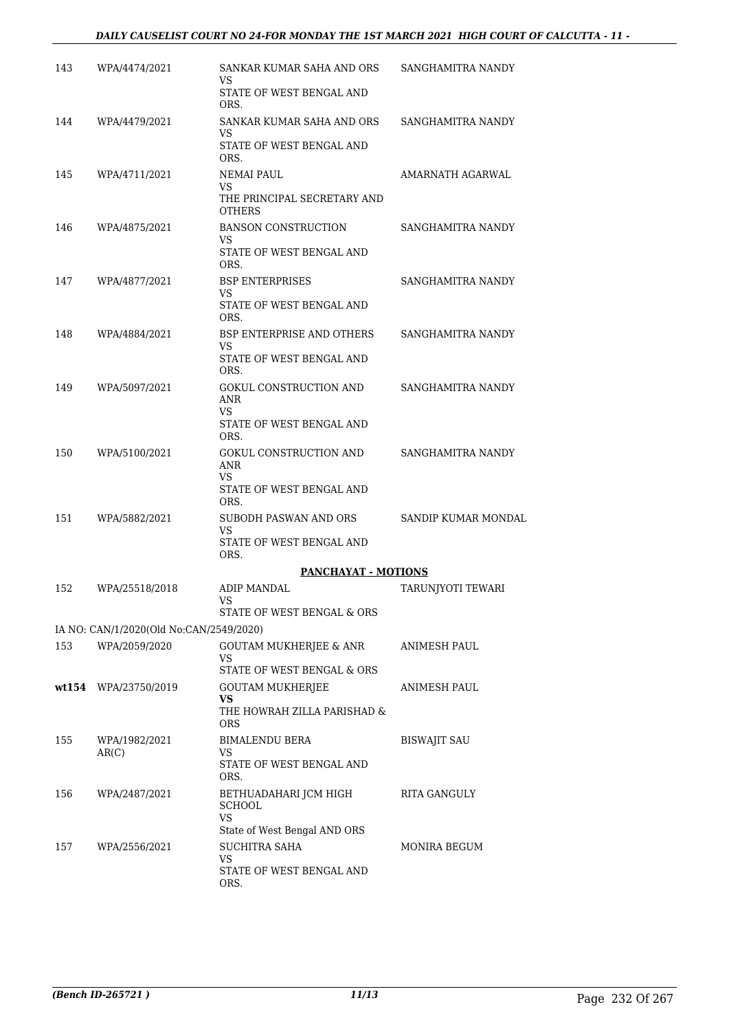#### *DAILY CAUSELIST COURT NO 24-FOR MONDAY THE 1ST MARCH 2021 HIGH COURT OF CALCUTTA - 11 -*

| 143 | WPA/4474/2021                           | SANKAR KUMAR SAHA AND ORS<br>VS                                         | SANGHAMITRA NANDY   |
|-----|-----------------------------------------|-------------------------------------------------------------------------|---------------------|
|     |                                         | STATE OF WEST BENGAL AND<br>ORS.                                        |                     |
| 144 | WPA/4479/2021                           | SANKAR KUMAR SAHA AND ORS<br>VS.                                        | SANGHAMITRA NANDY   |
|     |                                         | STATE OF WEST BENGAL AND<br>ORS.                                        |                     |
| 145 | WPA/4711/2021                           | <b>NEMAI PAUL</b><br>VS                                                 | AMARNATH AGARWAL    |
|     |                                         | THE PRINCIPAL SECRETARY AND<br><b>OTHERS</b>                            |                     |
| 146 | WPA/4875/2021                           | <b>BANSON CONSTRUCTION</b><br>VS                                        | SANGHAMITRA NANDY   |
|     |                                         | STATE OF WEST BENGAL AND<br>ORS.                                        |                     |
| 147 | WPA/4877/2021                           | <b>BSP ENTERPRISES</b><br>VS                                            | SANGHAMITRA NANDY   |
|     |                                         | STATE OF WEST BENGAL AND<br>ORS.                                        |                     |
| 148 | WPA/4884/2021                           | <b>BSP ENTERPRISE AND OTHERS</b><br>VS.                                 | SANGHAMITRA NANDY   |
|     |                                         | STATE OF WEST BENGAL AND<br>ORS.                                        |                     |
| 149 | WPA/5097/2021                           | GOKUL CONSTRUCTION AND<br>ANR<br>VS.                                    | SANGHAMITRA NANDY   |
|     |                                         | STATE OF WEST BENGAL AND<br>ORS.                                        |                     |
| 150 | WPA/5100/2021                           | GOKUL CONSTRUCTION AND<br>ANR<br>VS<br>STATE OF WEST BENGAL AND<br>ORS. | SANGHAMITRA NANDY   |
| 151 | WPA/5882/2021                           | SUBODH PASWAN AND ORS                                                   | SANDIP KUMAR MONDAL |
|     |                                         | VS<br>STATE OF WEST BENGAL AND<br>ORS.                                  |                     |
|     |                                         | <b>PANCHAYAT - MOTIONS</b>                                              |                     |
| 152 | WPA/25518/2018                          | ADIP MANDAL<br>VS                                                       | TARUNJYOTI TEWARI   |
|     |                                         | STATE OF WEST BENGAL & ORS                                              |                     |
|     | IA NO: CAN/1/2020(Old No:CAN/2549/2020) |                                                                         |                     |
| 153 | WPA/2059/2020                           | <b>GOUTAM MUKHERJEE &amp; ANR</b><br>VS<br>STATE OF WEST BENGAL & ORS   | <b>ANIMESH PAUL</b> |
|     | wt154 WPA/23750/2019                    | GOUTAM MUKHERJEE                                                        | ANIMESH PAUL        |
|     |                                         | VS<br>THE HOWRAH ZILLA PARISHAD &<br><b>ORS</b>                         |                     |
| 155 | WPA/1982/2021                           | <b>BIMALENDU BERA</b>                                                   | <b>BISWAJIT SAU</b> |
|     | AR(C)                                   | VS<br>STATE OF WEST BENGAL AND<br>ORS.                                  |                     |
| 156 | WPA/2487/2021                           | BETHUADAHARI JCM HIGH<br><b>SCHOOL</b><br>VS.                           | RITA GANGULY        |
|     |                                         | State of West Bengal AND ORS                                            |                     |
| 157 | WPA/2556/2021                           | <b>SUCHITRA SAHA</b><br>VS.                                             | MONIRA BEGUM        |
|     |                                         | STATE OF WEST BENGAL AND<br>ORS.                                        |                     |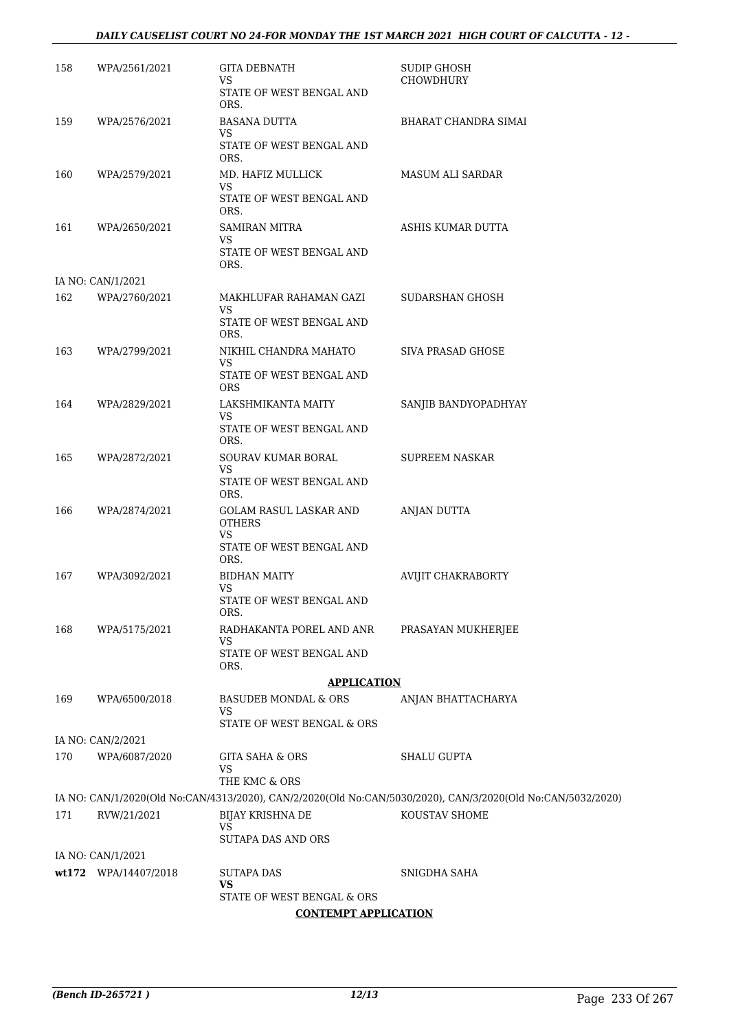#### *DAILY CAUSELIST COURT NO 24-FOR MONDAY THE 1ST MARCH 2021 HIGH COURT OF CALCUTTA - 12 -*

| 158 | WPA/2561/2021        | <b>GITA DEBNATH</b><br>VS<br>STATE OF WEST BENGAL AND<br>ORS.  | SUDIP GHOSH<br><b>CHOWDHURY</b>                                                                             |
|-----|----------------------|----------------------------------------------------------------|-------------------------------------------------------------------------------------------------------------|
| 159 | WPA/2576/2021        | <b>BASANA DUTTA</b><br>VS<br>STATE OF WEST BENGAL AND<br>ORS.  | BHARAT CHANDRA SIMAI                                                                                        |
| 160 | WPA/2579/2021        | MD. HAFIZ MULLICK<br>VS.<br>STATE OF WEST BENGAL AND<br>ORS.   | <b>MASUM ALI SARDAR</b>                                                                                     |
| 161 | WPA/2650/2021        | <b>SAMIRAN MITRA</b><br>VS<br>STATE OF WEST BENGAL AND<br>ORS. | ASHIS KUMAR DUTTA                                                                                           |
|     | IA NO: CAN/1/2021    |                                                                |                                                                                                             |
| 162 | WPA/2760/2021        | MAKHLUFAR RAHAMAN GAZI<br>VS.<br>STATE OF WEST BENGAL AND      | SUDARSHAN GHOSH                                                                                             |
|     |                      | ORS.                                                           |                                                                                                             |
| 163 | WPA/2799/2021        | NIKHIL CHANDRA MAHATO<br>VS.<br>STATE OF WEST BENGAL AND       | <b>SIVA PRASAD GHOSE</b>                                                                                    |
|     |                      | <b>ORS</b>                                                     |                                                                                                             |
| 164 | WPA/2829/2021        | LAKSHMIKANTA MAITY<br>VS.                                      | SANJIB BANDYOPADHYAY                                                                                        |
|     |                      | STATE OF WEST BENGAL AND<br>ORS.                               |                                                                                                             |
| 165 | WPA/2872/2021        | SOURAV KUMAR BORAL<br>VS                                       | <b>SUPREEM NASKAR</b>                                                                                       |
|     |                      | STATE OF WEST BENGAL AND<br>ORS.                               |                                                                                                             |
| 166 | WPA/2874/2021        | GOLAM RASUL LASKAR AND<br><b>OTHERS</b>                        | ANJAN DUTTA                                                                                                 |
|     |                      | VS.<br>STATE OF WEST BENGAL AND<br>ORS.                        |                                                                                                             |
| 167 | WPA/3092/2021        | <b>BIDHAN MAITY</b>                                            | <b>AVIJIT CHAKRABORTY</b>                                                                                   |
|     |                      | VS.<br>STATE OF WEST BENGAL AND<br>ORS.                        |                                                                                                             |
| 168 | WPA/5175/2021        | RADHAKANTA POREL AND ANR                                       | PRASAYAN MUKHERJEE                                                                                          |
|     |                      | VS<br>STATE OF WEST BENGAL AND<br>ORS.                         |                                                                                                             |
|     |                      | <b>APPLICATION</b>                                             |                                                                                                             |
| 169 | WPA/6500/2018        | BASUDEB MONDAL & ORS<br>VS<br>STATE OF WEST BENGAL & ORS       | ANJAN BHATTACHARYA                                                                                          |
|     | IA NO: CAN/2/2021    |                                                                |                                                                                                             |
| 170 | WPA/6087/2020        | GITA SAHA & ORS<br>VS<br>THE KMC & ORS                         | <b>SHALU GUPTA</b>                                                                                          |
|     |                      |                                                                | IA NO: CAN/1/2020(Old No:CAN/4313/2020), CAN/2/2020(Old No:CAN/5030/2020), CAN/3/2020(Old No:CAN/5032/2020) |
| 171 | RVW/21/2021          | BIJAY KRISHNA DE<br>VS                                         | KOUSTAV SHOME                                                                                               |
|     |                      | SUTAPA DAS AND ORS                                             |                                                                                                             |
|     | IA NO: CAN/1/2021    |                                                                |                                                                                                             |
|     | wt172 WPA/14407/2018 | SUTAPA DAS<br>VS<br>STATE OF WEST BENGAL & ORS                 | SNIGDHA SAHA                                                                                                |
|     |                      |                                                                |                                                                                                             |

**CONTEMPT APPLICATION**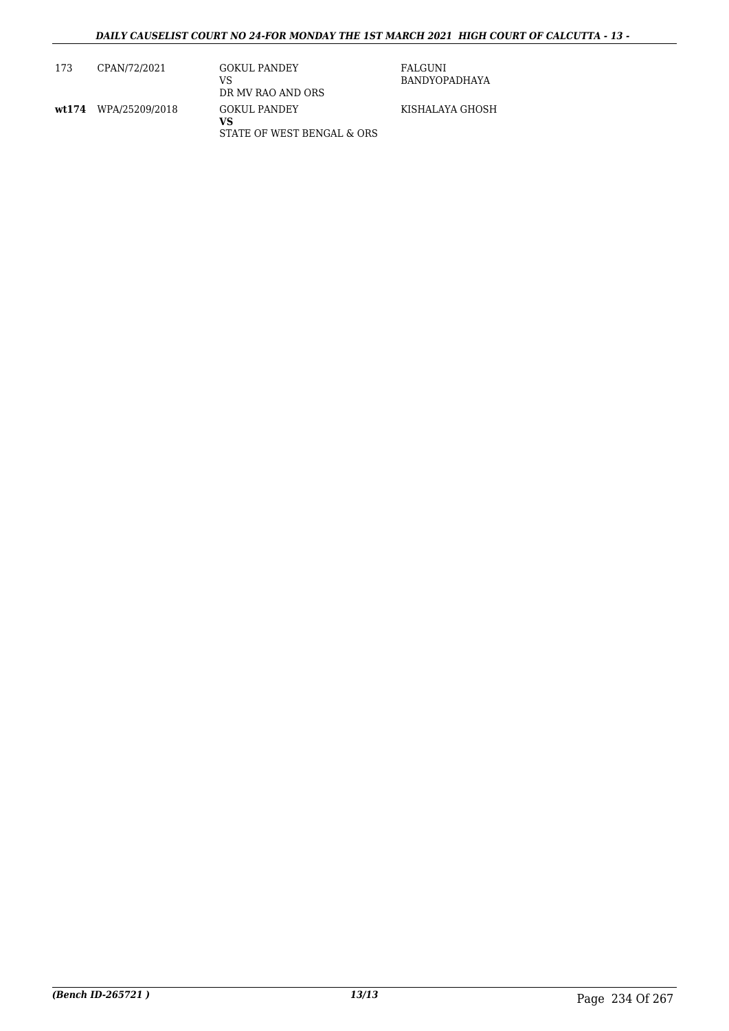| 173 | CPAN/72/2021         | <b>GOKUL PANDEY</b><br>VS<br>DR MV RAO AND ORS          | FALGUNI<br>BANDYOPADHAYA |
|-----|----------------------|---------------------------------------------------------|--------------------------|
|     | wt174 WPA/25209/2018 | <b>GOKUL PANDEY</b><br>vs<br>STATE OF WEST BENGAL & ORS | KISHALAYA GHOSH          |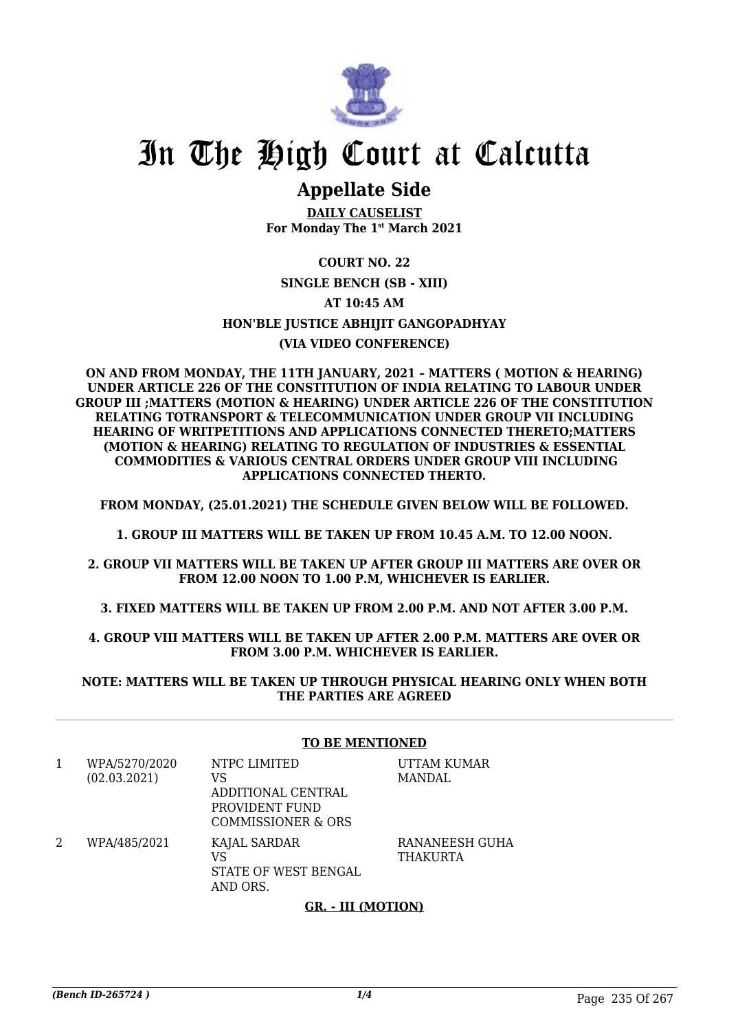

## **Appellate Side**

**DAILY CAUSELIST For Monday The 1st March 2021**

### **COURT NO. 22 SINGLE BENCH (SB - XIII) AT 10:45 AM HON'BLE JUSTICE ABHIJIT GANGOPADHYAY (VIA VIDEO CONFERENCE)**

**ON AND FROM MONDAY, THE 11TH JANUARY, 2021 – MATTERS ( MOTION & HEARING) UNDER ARTICLE 226 OF THE CONSTITUTION OF INDIA RELATING TO LABOUR UNDER GROUP III ;MATTERS (MOTION & HEARING) UNDER ARTICLE 226 OF THE CONSTITUTION RELATING TOTRANSPORT & TELECOMMUNICATION UNDER GROUP VII INCLUDING HEARING OF WRITPETITIONS AND APPLICATIONS CONNECTED THERETO;MATTERS (MOTION & HEARING) RELATING TO REGULATION OF INDUSTRIES & ESSENTIAL COMMODITIES & VARIOUS CENTRAL ORDERS UNDER GROUP VIII INCLUDING APPLICATIONS CONNECTED THERTO.**

**FROM MONDAY, (25.01.2021) THE SCHEDULE GIVEN BELOW WILL BE FOLLOWED.**

**1. GROUP III MATTERS WILL BE TAKEN UP FROM 10.45 A.M. TO 12.00 NOON.**

**2. GROUP VII MATTERS WILL BE TAKEN UP AFTER GROUP III MATTERS ARE OVER OR FROM 12.00 NOON TO 1.00 P.M, WHICHEVER IS EARLIER.**

**3. FIXED MATTERS WILL BE TAKEN UP FROM 2.00 P.M. AND NOT AFTER 3.00 P.M.**

**4. GROUP VIII MATTERS WILL BE TAKEN UP AFTER 2.00 P.M. MATTERS ARE OVER OR FROM 3.00 P.M. WHICHEVER IS EARLIER.**

**NOTE: MATTERS WILL BE TAKEN UP THROUGH PHYSICAL HEARING ONLY WHEN BOTH THE PARTIES ARE AGREED**

#### **TO BE MENTIONED**

1 WPA/5270/2020 (02.03.2021) NTPC LIMITED VS ADDITIONAL CENTRAL PROVIDENT FUND COMMISSIONER & ORS UTTAM KUMAR MANDAL 2 WPA/485/2021 KAJAL SARDAR VS STATE OF WEST BENGAL AND ORS. RANANEESH GUHA **THAKURTA** 

#### **GR. - III (MOTION)**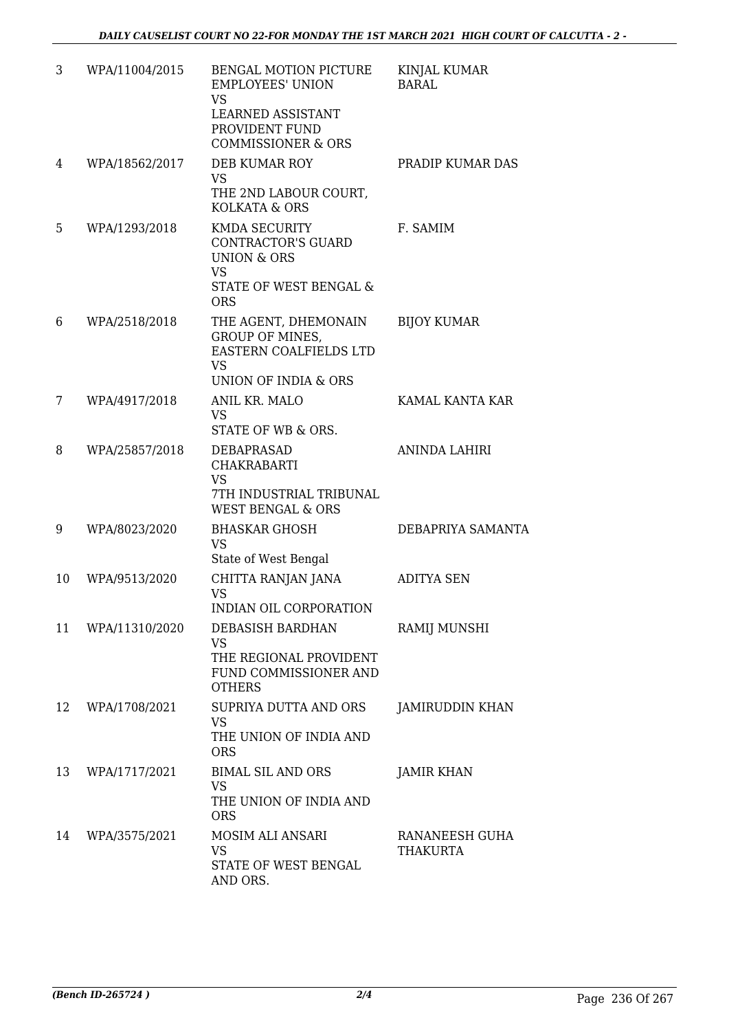| 3  | WPA/11004/2015 | BENGAL MOTION PICTURE<br><b>EMPLOYEES' UNION</b><br><b>VS</b><br>LEARNED ASSISTANT<br>PROVIDENT FUND<br><b>COMMISSIONER &amp; ORS</b> | KINJAL KUMAR<br><b>BARAL</b>      |
|----|----------------|---------------------------------------------------------------------------------------------------------------------------------------|-----------------------------------|
| 4  | WPA/18562/2017 | DEB KUMAR ROY<br><b>VS</b><br>THE 2ND LABOUR COURT,<br><b>KOLKATA &amp; ORS</b>                                                       | PRADIP KUMAR DAS                  |
| 5  | WPA/1293/2018  | KMDA SECURITY<br><b>CONTRACTOR'S GUARD</b><br><b>UNION &amp; ORS</b><br><b>VS</b><br>STATE OF WEST BENGAL &<br><b>ORS</b>             | F. SAMIM                          |
| 6  | WPA/2518/2018  | THE AGENT, DHEMONAIN<br><b>GROUP OF MINES,</b><br>EASTERN COALFIELDS LTD<br><b>VS</b><br>UNION OF INDIA & ORS                         | <b>BIJOY KUMAR</b>                |
| 7  | WPA/4917/2018  | ANIL KR. MALO<br><b>VS</b><br>STATE OF WB & ORS.                                                                                      | KAMAL KANTA KAR                   |
| 8  | WPA/25857/2018 | DEBAPRASAD<br>CHAKRABARTI<br><b>VS</b><br>7TH INDUSTRIAL TRIBUNAL<br><b>WEST BENGAL &amp; ORS</b>                                     | <b>ANINDA LAHIRI</b>              |
| 9  | WPA/8023/2020  | <b>BHASKAR GHOSH</b><br><b>VS</b><br>State of West Bengal                                                                             | DEBAPRIYA SAMANTA                 |
| 10 | WPA/9513/2020  | CHITTA RANJAN JANA<br><b>VS</b><br>INDIAN OIL CORPORATION                                                                             | <b>ADITYA SEN</b>                 |
| 11 | WPA/11310/2020 | DEBASISH BARDHAN<br><b>VS</b><br>THE REGIONAL PROVIDENT<br>FUND COMMISSIONER AND<br><b>OTHERS</b>                                     | RAMIJ MUNSHI                      |
| 12 | WPA/1708/2021  | SUPRIYA DUTTA AND ORS<br><b>VS</b><br>THE UNION OF INDIA AND<br><b>ORS</b>                                                            | JAMIRUDDIN KHAN                   |
| 13 | WPA/1717/2021  | <b>BIMAL SIL AND ORS</b><br><b>VS</b><br>THE UNION OF INDIA AND<br><b>ORS</b>                                                         | <b>JAMIR KHAN</b>                 |
| 14 | WPA/3575/2021  | MOSIM ALI ANSARI<br><b>VS</b><br>STATE OF WEST BENGAL<br>AND ORS.                                                                     | RANANEESH GUHA<br><b>THAKURTA</b> |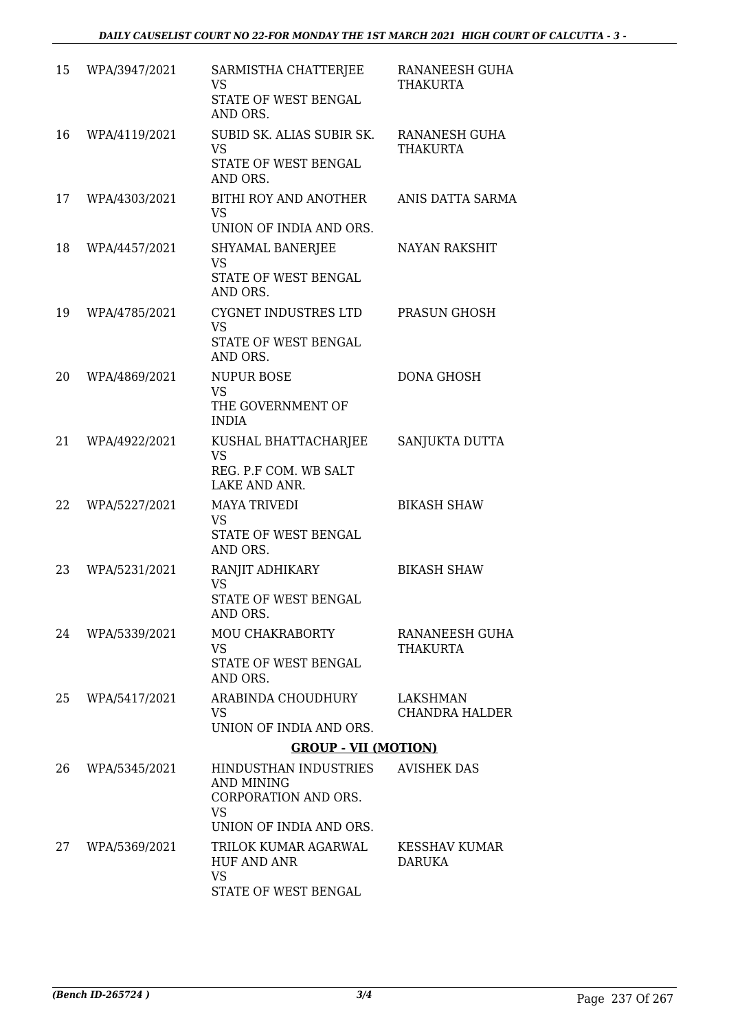| 15 | WPA/3947/2021 | SARMISTHA CHATTERJEE<br><b>VS</b><br>STATE OF WEST BENGAL<br>AND ORS.                                      | RANANEESH GUHA<br><b>THAKURTA</b>       |
|----|---------------|------------------------------------------------------------------------------------------------------------|-----------------------------------------|
| 16 | WPA/4119/2021 | SUBID SK. ALIAS SUBIR SK.<br><b>VS</b><br>STATE OF WEST BENGAL<br>AND ORS.                                 | <b>RANANESH GUHA</b><br><b>THAKURTA</b> |
| 17 | WPA/4303/2021 | BITHI ROY AND ANOTHER<br><b>VS</b><br>UNION OF INDIA AND ORS.                                              | ANIS DATTA SARMA                        |
| 18 | WPA/4457/2021 | SHYAMAL BANERJEE<br><b>VS</b><br>STATE OF WEST BENGAL<br>AND ORS.                                          | <b>NAYAN RAKSHIT</b>                    |
| 19 | WPA/4785/2021 | CYGNET INDUSTRES LTD<br><b>VS</b><br>STATE OF WEST BENGAL<br>AND ORS.                                      | PRASUN GHOSH                            |
| 20 | WPA/4869/2021 | <b>NUPUR BOSE</b><br><b>VS</b><br>THE GOVERNMENT OF<br><b>INDIA</b>                                        | <b>DONA GHOSH</b>                       |
| 21 | WPA/4922/2021 | KUSHAL BHATTACHARJEE<br><b>VS</b><br>REG. P.F COM. WB SALT<br>LAKE AND ANR.                                | SANJUKTA DUTTA                          |
| 22 | WPA/5227/2021 | <b>MAYA TRIVEDI</b><br><b>VS</b><br>STATE OF WEST BENGAL<br>AND ORS.                                       | <b>BIKASH SHAW</b>                      |
| 23 | WPA/5231/2021 | RANJIT ADHIKARY<br><b>VS</b><br>STATE OF WEST BENGAL<br>AND ORS.                                           | <b>BIKASH SHAW</b>                      |
| 24 | WPA/5339/2021 | <b>MOU CHAKRABORTY</b><br><b>VS</b><br>STATE OF WEST BENGAL<br>AND ORS.                                    | RANANEESH GUHA<br><b>THAKURTA</b>       |
| 25 | WPA/5417/2021 | ARABINDA CHOUDHURY<br><b>VS</b><br>UNION OF INDIA AND ORS.                                                 | LAKSHMAN<br><b>CHANDRA HALDER</b>       |
|    |               | <b>GROUP - VII (MOTION)</b>                                                                                |                                         |
| 26 | WPA/5345/2021 | HINDUSTHAN INDUSTRIES<br><b>AND MINING</b><br>CORPORATION AND ORS.<br><b>VS</b><br>UNION OF INDIA AND ORS. | <b>AVISHEK DAS</b>                      |
| 27 | WPA/5369/2021 | TRILOK KUMAR AGARWAL<br><b>HUF AND ANR</b><br><b>VS</b><br>STATE OF WEST BENGAL                            | <b>KESSHAV KUMAR</b><br><b>DARUKA</b>   |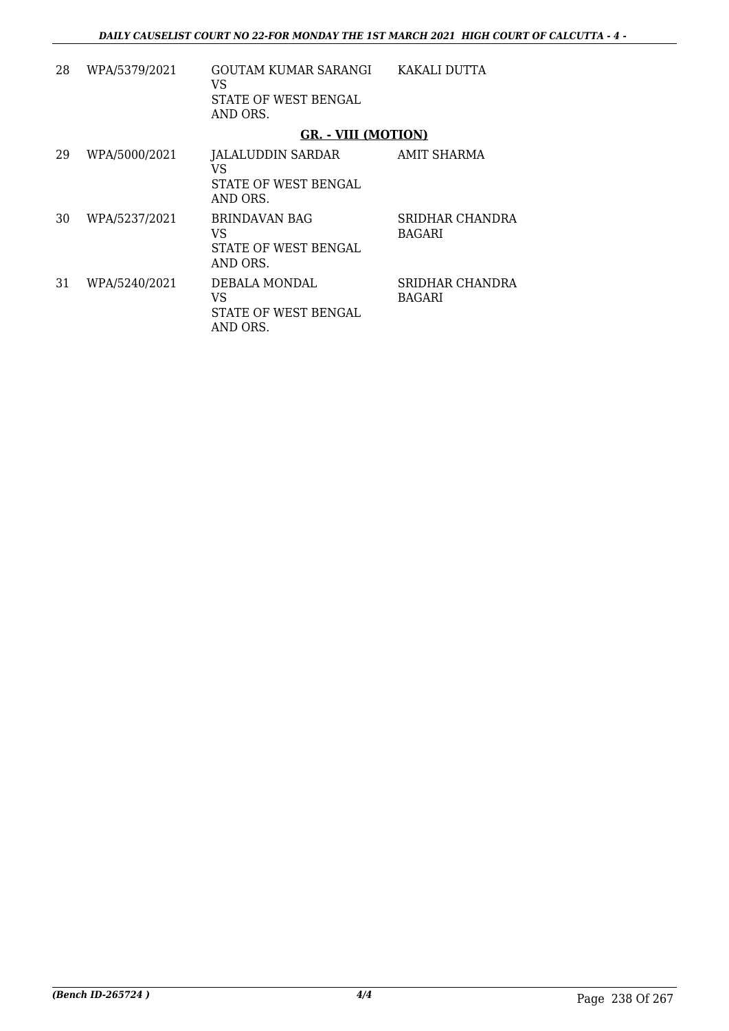| 28 | WPA/5379/2021 | GOUTAM KUMAR SARANGI<br>VS<br>STATE OF WEST BENGAL<br>AND ORS. | KAKALI DUTTA                     |
|----|---------------|----------------------------------------------------------------|----------------------------------|
|    |               | <b>GR. - VIII (MOTION)</b>                                     |                                  |
| 29 | WPA/5000/2021 | JALALUDDIN SARDAR<br>VS<br>STATE OF WEST BENGAL<br>AND ORS.    | AMIT SHARMA                      |
| 30 | WPA/5237/2021 | <b>BRINDAVAN BAG</b><br>VS<br>STATE OF WEST BENGAL<br>AND ORS. | SRIDHAR CHANDRA<br><b>BAGARI</b> |
| 31 | WPA/5240/2021 | DEBALA MONDAL<br>VS<br>STATE OF WEST BENGAL<br>AND ORS.        | SRIDHAR CHANDRA<br><b>BAGARI</b> |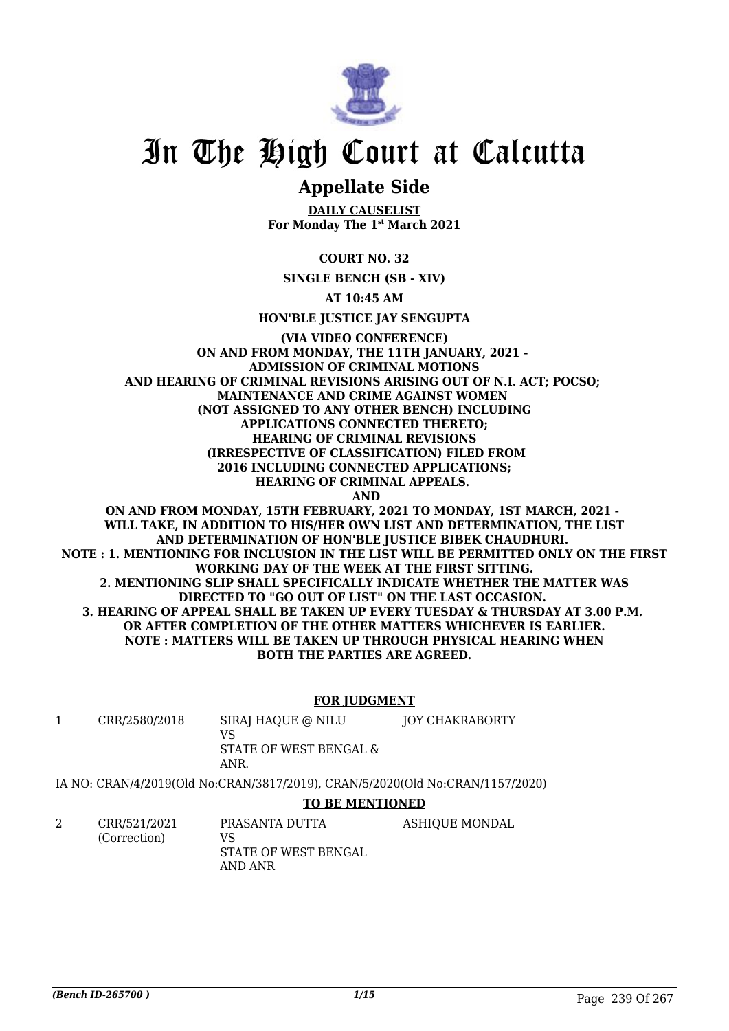

## **Appellate Side**

**DAILY CAUSELIST For Monday The 1st March 2021**

**COURT NO. 32**

**SINGLE BENCH (SB - XIV)**

**AT 10:45 AM**

**HON'BLE JUSTICE JAY SENGUPTA**

#### **(VIA VIDEO CONFERENCE) ON AND FROM MONDAY, THE 11TH JANUARY, 2021 - ADMISSION OF CRIMINAL MOTIONS AND HEARING OF CRIMINAL REVISIONS ARISING OUT OF N.I. ACT; POCSO; MAINTENANCE AND CRIME AGAINST WOMEN (NOT ASSIGNED TO ANY OTHER BENCH) INCLUDING APPLICATIONS CONNECTED THERETO; HEARING OF CRIMINAL REVISIONS (IRRESPECTIVE OF CLASSIFICATION) FILED FROM 2016 INCLUDING CONNECTED APPLICATIONS; HEARING OF CRIMINAL APPEALS. AND ON AND FROM MONDAY, 15TH FEBRUARY, 2021 TO MONDAY, 1ST MARCH, 2021 -**

**WILL TAKE, IN ADDITION TO HIS/HER OWN LIST AND DETERMINATION, THE LIST AND DETERMINATION OF HON'BLE JUSTICE BIBEK CHAUDHURI. NOTE : 1. MENTIONING FOR INCLUSION IN THE LIST WILL BE PERMITTED ONLY ON THE FIRST WORKING DAY OF THE WEEK AT THE FIRST SITTING. 2. MENTIONING SLIP SHALL SPECIFICALLY INDICATE WHETHER THE MATTER WAS DIRECTED TO "GO OUT OF LIST" ON THE LAST OCCASION. 3. HEARING OF APPEAL SHALL BE TAKEN UP EVERY TUESDAY & THURSDAY AT 3.00 P.M. OR AFTER COMPLETION OF THE OTHER MATTERS WHICHEVER IS EARLIER. NOTE : MATTERS WILL BE TAKEN UP THROUGH PHYSICAL HEARING WHEN BOTH THE PARTIES ARE AGREED.**

#### **FOR JUDGMENT**

1 CRR/2580/2018 SIRAJ HAQUE @ NILU VS STATE OF WEST BENGAL & ANR. JOY CHAKRABORTY

IA NO: CRAN/4/2019(Old No:CRAN/3817/2019), CRAN/5/2020(Old No:CRAN/1157/2020)

#### **TO BE MENTIONED**

2 CRR/521/2021 (Correction) PRASANTA DUTTA VS STATE OF WEST BENGAL AND ANR ASHIQUE MONDAL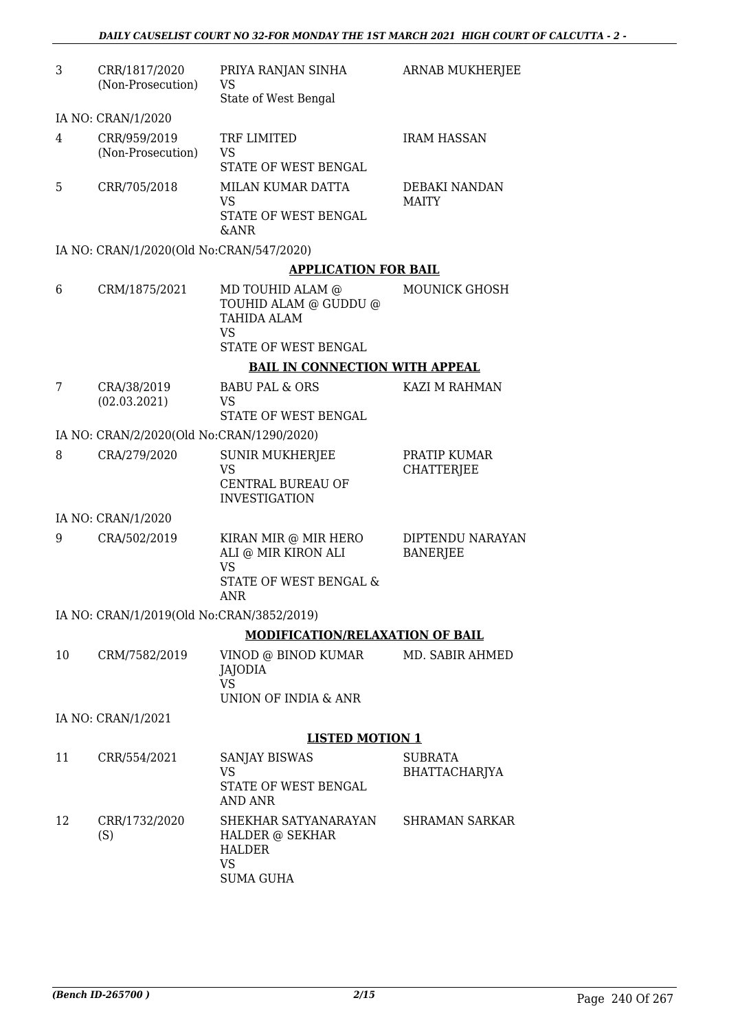| 3  | CRR/1817/2020<br>(Non-Prosecution)        | PRIYA RANJAN SINHA<br><b>VS</b>                                                                      | <b>ARNAB MUKHERJEE</b>              |
|----|-------------------------------------------|------------------------------------------------------------------------------------------------------|-------------------------------------|
|    |                                           | State of West Bengal                                                                                 |                                     |
|    | IA NO: CRAN/1/2020                        |                                                                                                      |                                     |
| 4  | CRR/959/2019<br>(Non-Prosecution)         | TRF LIMITED<br><b>VS</b>                                                                             | <b>IRAM HASSAN</b>                  |
|    |                                           | STATE OF WEST BENGAL                                                                                 |                                     |
| 5  | CRR/705/2018                              | MILAN KUMAR DATTA<br><b>VS</b><br>STATE OF WEST BENGAL                                               | DEBAKI NANDAN<br><b>MAITY</b>       |
|    |                                           | &ANR                                                                                                 |                                     |
|    | IA NO: CRAN/1/2020(Old No:CRAN/547/2020)  |                                                                                                      |                                     |
|    |                                           | <b>APPLICATION FOR BAIL</b>                                                                          |                                     |
| 6  | CRM/1875/2021                             | MD TOUHID ALAM @<br>TOUHID ALAM @ GUDDU @<br><b>TAHIDA ALAM</b><br><b>VS</b><br>STATE OF WEST BENGAL | <b>MOUNICK GHOSH</b>                |
|    |                                           | <b>BAIL IN CONNECTION WITH APPEAL</b>                                                                |                                     |
| 7  | CRA/38/2019                               | <b>BABU PAL &amp; ORS</b>                                                                            | <b>KAZI M RAHMAN</b>                |
|    | (02.03.2021)                              | <b>VS</b><br>STATE OF WEST BENGAL                                                                    |                                     |
|    | IA NO: CRAN/2/2020(Old No:CRAN/1290/2020) |                                                                                                      |                                     |
| 8  | CRA/279/2020                              | <b>SUNIR MUKHERJEE</b>                                                                               | PRATIP KUMAR                        |
|    |                                           | <b>VS</b><br><b>CENTRAL BUREAU OF</b><br><b>INVESTIGATION</b>                                        | <b>CHATTERJEE</b>                   |
|    | IA NO: CRAN/1/2020                        |                                                                                                      |                                     |
| 9  | CRA/502/2019                              | KIRAN MIR @ MIR HERO<br>ALI @ MIR KIRON ALI<br><b>VS</b><br>STATE OF WEST BENGAL &                   | DIPTENDU NARAYAN<br><b>BANERJEE</b> |
|    |                                           | ANR                                                                                                  |                                     |
|    | IA NO: CRAN/1/2019(Old No:CRAN/3852/2019) |                                                                                                      |                                     |
|    |                                           | <b>MODIFICATION/RELAXATION OF BAIL</b>                                                               |                                     |
| 10 | CRM/7582/2019                             | VINOD @ BINOD KUMAR<br>JAJODIA<br>VS<br>UNION OF INDIA & ANR                                         | MD. SABIR AHMED                     |
|    | IA NO: CRAN/1/2021                        |                                                                                                      |                                     |
|    |                                           | <b>LISTED MOTION 1</b>                                                                               |                                     |
| 11 | CRR/554/2021                              | SANJAY BISWAS                                                                                        | SUBRATA                             |
|    |                                           | VS<br>STATE OF WEST BENGAL<br>AND ANR                                                                | BHATTACHARJYA                       |
| 12 | CRR/1732/2020<br>(S)                      | SHEKHAR SATYANARAYAN<br>HALDER @ SEKHAR<br>HALDER<br>VS<br><b>SUMA GUHA</b>                          | <b>SHRAMAN SARKAR</b>               |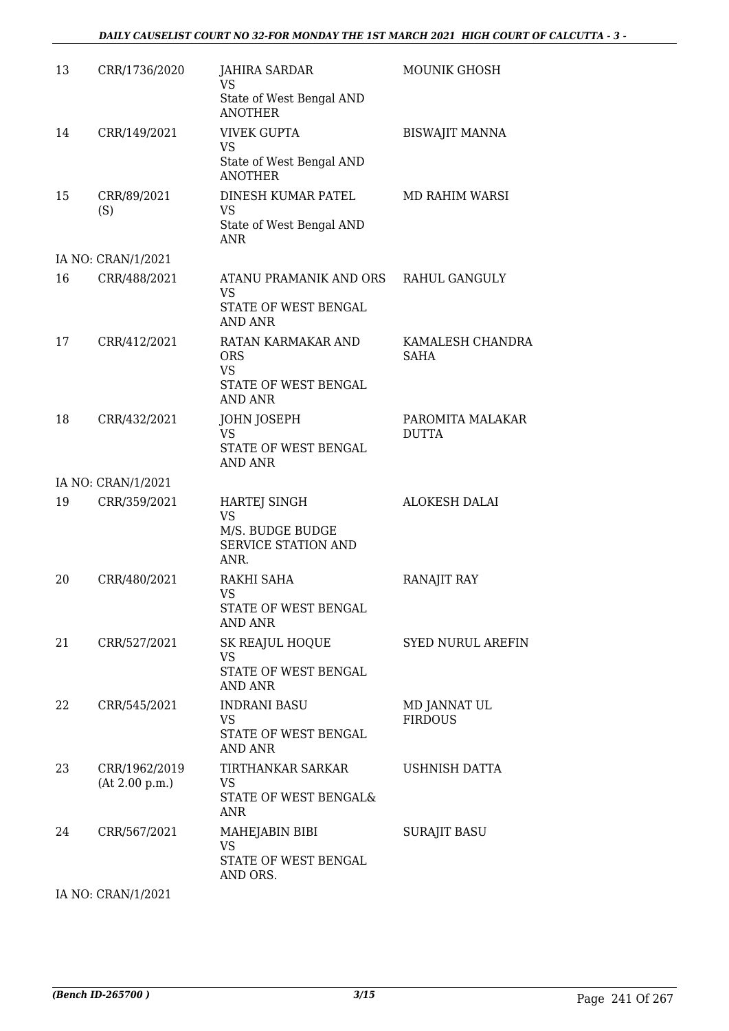#### *DAILY CAUSELIST COURT NO 32-FOR MONDAY THE 1ST MARCH 2021 HIGH COURT OF CALCUTTA - 3 -*

| <b>JAHIRA SARDAR</b><br>VS                                                          | <b>MOUNIK GHOSH</b>                                                                                                 |
|-------------------------------------------------------------------------------------|---------------------------------------------------------------------------------------------------------------------|
|                                                                                     |                                                                                                                     |
| <b>ANOTHER</b>                                                                      |                                                                                                                     |
| <b>VIVEK GUPTA</b><br><b>VS</b><br>State of West Bengal AND                         | <b>BISWAJIT MANNA</b>                                                                                               |
| DINESH KUMAR PATEL<br>VS<br>State of West Bengal AND                                | MD RAHIM WARSI                                                                                                      |
|                                                                                     |                                                                                                                     |
| ATANU PRAMANIK AND ORS<br>VS<br>STATE OF WEST BENGAL                                | RAHUL GANGULY                                                                                                       |
| RATAN KARMAKAR AND<br><b>ORS</b><br><b>VS</b><br>STATE OF WEST BENGAL               | KAMALESH CHANDRA<br><b>SAHA</b>                                                                                     |
| JOHN JOSEPH<br><b>VS</b><br>STATE OF WEST BENGAL<br>AND ANR                         | PAROMITA MALAKAR<br><b>DUTTA</b>                                                                                    |
|                                                                                     |                                                                                                                     |
| <b>HARTEJ SINGH</b><br><b>VS</b><br>M/S. BUDGE BUDGE<br>SERVICE STATION AND<br>ANR. | <b>ALOKESH DALAI</b>                                                                                                |
| RAKHI SAHA<br>VS<br>STATE OF WEST BENGAL<br><b>AND ANR</b>                          | <b>RANAJIT RAY</b>                                                                                                  |
| SK REAJUL HOQUE<br><b>VS</b><br>STATE OF WEST BENGAL                                | <b>SYED NURUL AREFIN</b>                                                                                            |
| <b>INDRANI BASU</b><br><b>VS</b><br>STATE OF WEST BENGAL<br><b>AND ANR</b>          | MD JANNAT UL<br><b>FIRDOUS</b>                                                                                      |
| TIRTHANKAR SARKAR<br><b>VS</b><br>STATE OF WEST BENGAL&<br><b>ANR</b>               | USHNISH DATTA                                                                                                       |
| MAHEJABIN BIBI<br><b>VS</b><br>STATE OF WEST BENGAL                                 | <b>SURAJIT BASU</b>                                                                                                 |
|                                                                                     |                                                                                                                     |
|                                                                                     | State of West Bengal AND<br><b>ANOTHER</b><br>ANR<br><b>AND ANR</b><br><b>AND ANR</b><br><b>AND ANR</b><br>AND ORS. |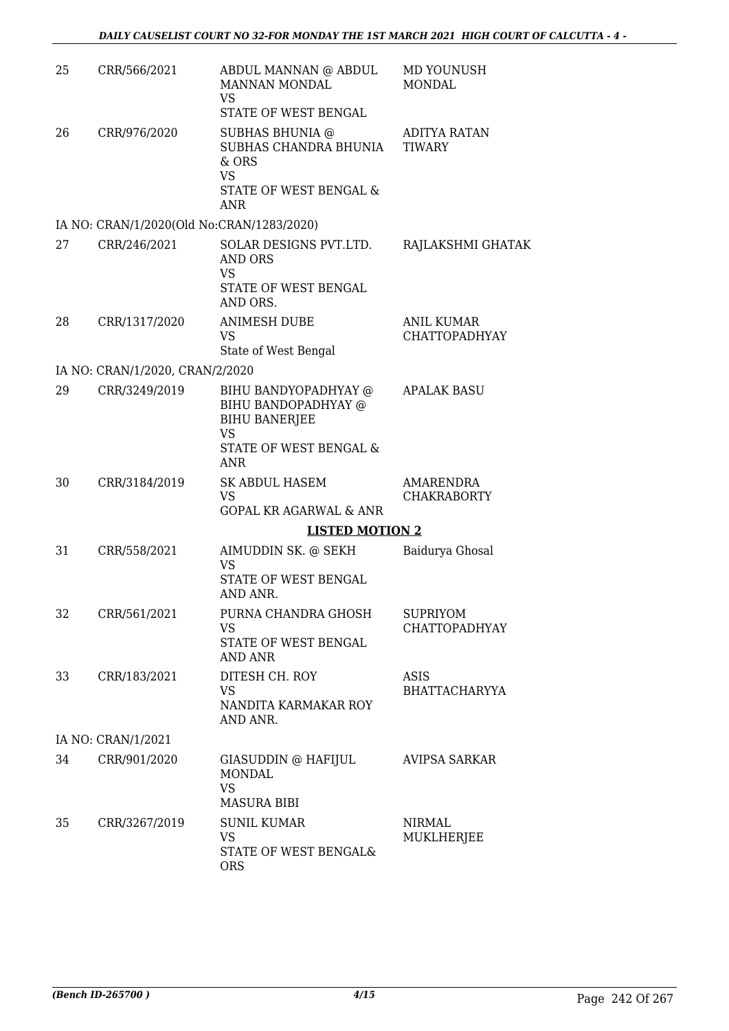| 25 | CRR/566/2021                              | ABDUL MANNAN @ ABDUL<br>MANNAN MONDAL<br><b>VS</b><br>STATE OF WEST BENGAL                                        | MD YOUNUSH<br><b>MONDAL</b>               |
|----|-------------------------------------------|-------------------------------------------------------------------------------------------------------------------|-------------------------------------------|
| 26 | CRR/976/2020                              | SUBHAS BHUNIA @<br>SUBHAS CHANDRA BHUNIA<br>$&$ ORS<br><b>VS</b><br>STATE OF WEST BENGAL &<br><b>ANR</b>          | ADITYA RATAN<br><b>TIWARY</b>             |
|    | IA NO: CRAN/1/2020(Old No:CRAN/1283/2020) |                                                                                                                   |                                           |
| 27 | CRR/246/2021                              | SOLAR DESIGNS PVT.LTD.<br><b>AND ORS</b><br><b>VS</b><br>STATE OF WEST BENGAL<br>AND ORS.                         | RAJLAKSHMI GHATAK                         |
| 28 | CRR/1317/2020                             | <b>ANIMESH DUBE</b><br><b>VS</b><br>State of West Bengal                                                          | <b>ANIL KUMAR</b><br><b>CHATTOPADHYAY</b> |
|    | IA NO: CRAN/1/2020, CRAN/2/2020           |                                                                                                                   |                                           |
| 29 | CRR/3249/2019                             | BIHU BANDYOPADHYAY @<br>BIHU BANDOPADHYAY @<br><b>BIHU BANERJEE</b><br><b>VS</b><br>STATE OF WEST BENGAL &<br>ANR | <b>APALAK BASU</b>                        |
| 30 | CRR/3184/2019                             | <b>SK ABDUL HASEM</b><br>VS<br><b>GOPAL KR AGARWAL &amp; ANR</b>                                                  | AMARENDRA<br><b>CHAKRABORTY</b>           |
|    |                                           | <b>LISTED MOTION 2</b>                                                                                            |                                           |
| 31 | CRR/558/2021                              | AIMUDDIN SK. @ SEKH<br>VS<br>STATE OF WEST BENGAL<br>AND ANR.                                                     | Baidurya Ghosal                           |
| 32 | CRR/561/2021                              | PURNA CHANDRA GHOSH<br><b>VS</b><br>STATE OF WEST BENGAL<br><b>AND ANR</b>                                        | <b>SUPRIYOM</b><br><b>CHATTOPADHYAY</b>   |
| 33 | CRR/183/2021                              | DITESH CH. ROY<br><b>VS</b><br>NANDITA KARMAKAR ROY<br>AND ANR.                                                   | <b>ASIS</b><br>BHATTACHARYYA              |
|    | IA NO: CRAN/1/2021                        |                                                                                                                   |                                           |
| 34 | CRR/901/2020                              | GIASUDDIN @ HAFIJUL<br>MONDAL<br><b>VS</b><br><b>MASURA BIBI</b>                                                  | <b>AVIPSA SARKAR</b>                      |
| 35 | CRR/3267/2019                             | <b>SUNIL KUMAR</b><br><b>VS</b><br>STATE OF WEST BENGAL&<br><b>ORS</b>                                            | <b>NIRMAL</b><br>MUKLHERJEE               |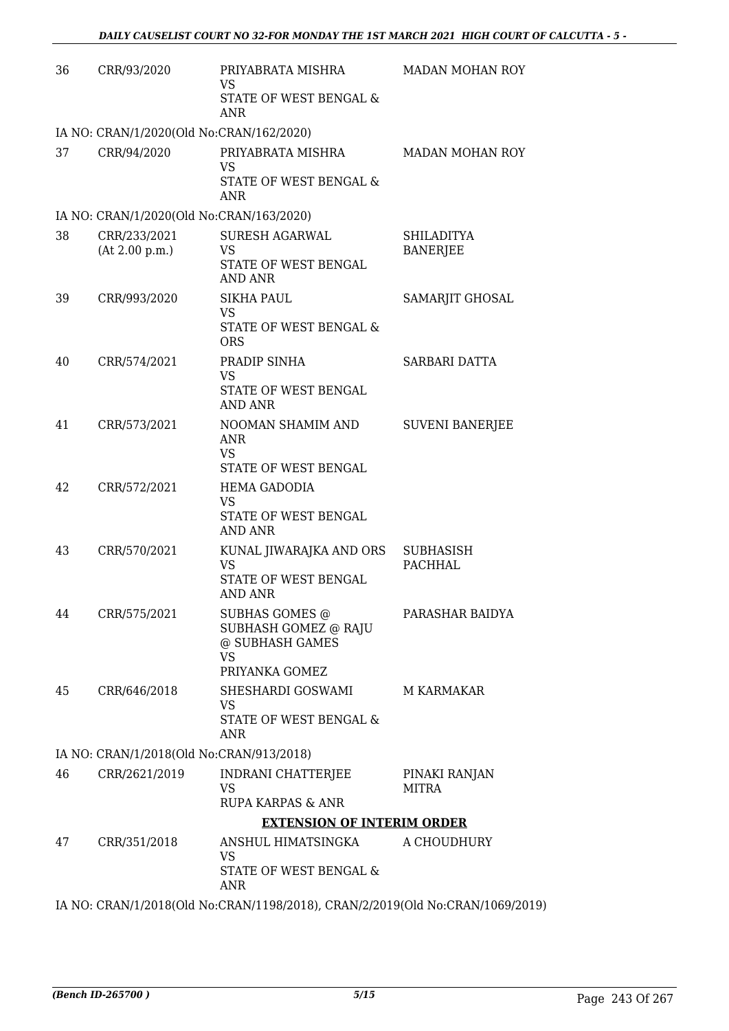| 36 | CRR/93/2020                              | PRIYABRATA MISHRA<br><b>VS</b><br>STATE OF WEST BENGAL &<br>ANR                                 | <b>MADAN MOHAN ROY</b>               |
|----|------------------------------------------|-------------------------------------------------------------------------------------------------|--------------------------------------|
|    | IA NO: CRAN/1/2020(Old No:CRAN/162/2020) |                                                                                                 |                                      |
| 37 | CRR/94/2020                              | PRIYABRATA MISHRA<br><b>VS</b><br>STATE OF WEST BENGAL &<br><b>ANR</b>                          | <b>MADAN MOHAN ROY</b>               |
|    | IA NO: CRAN/1/2020(Old No:CRAN/163/2020) |                                                                                                 |                                      |
| 38 | CRR/233/2021<br>(At 2.00 p.m.)           | <b>SURESH AGARWAL</b><br>VS<br>STATE OF WEST BENGAL<br><b>AND ANR</b>                           | <b>SHILADITYA</b><br><b>BANERJEE</b> |
| 39 | CRR/993/2020                             | <b>SIKHA PAUL</b><br>VS<br>STATE OF WEST BENGAL &<br><b>ORS</b>                                 | SAMARJIT GHOSAL                      |
| 40 | CRR/574/2021                             | PRADIP SINHA<br><b>VS</b><br>STATE OF WEST BENGAL<br><b>AND ANR</b>                             | SARBARI DATTA                        |
| 41 | CRR/573/2021                             | NOOMAN SHAMIM AND<br>ANR<br><b>VS</b><br>STATE OF WEST BENGAL                                   | <b>SUVENI BANERJEE</b>               |
| 42 | CRR/572/2021                             | <b>HEMA GADODIA</b><br><b>VS</b><br>STATE OF WEST BENGAL<br><b>AND ANR</b>                      |                                      |
| 43 | CRR/570/2021                             | KUNAL JIWARAJKA AND ORS<br><b>VS</b><br>STATE OF WEST BENGAL<br>AND ANR                         | <b>SUBHASISH</b><br><b>PACHHAL</b>   |
| 44 | CRR/575/2021                             | <b>SUBHAS GOMES @</b><br>SUBHASH GOMEZ @ RAJU<br>@ SUBHASH GAMES<br><b>VS</b><br>PRIYANKA GOMEZ | PARASHAR BAIDYA                      |
| 45 | CRR/646/2018                             | SHESHARDI GOSWAMI<br>VS<br>STATE OF WEST BENGAL &<br><b>ANR</b>                                 | M KARMAKAR                           |
|    | IA NO: CRAN/1/2018(Old No:CRAN/913/2018) |                                                                                                 |                                      |
| 46 | CRR/2621/2019                            | INDRANI CHATTERJEE<br><b>VS</b>                                                                 | PINAKI RANJAN<br><b>MITRA</b>        |
|    |                                          | RUPA KARPAS & ANR<br><b>EXTENSION OF INTERIM ORDER</b>                                          |                                      |
| 47 | CRR/351/2018                             | ANSHUL HIMATSINGKA                                                                              | A CHOUDHURY                          |
|    |                                          | VS<br>STATE OF WEST BENGAL &<br>ANR                                                             |                                      |
|    |                                          | IA NO: CRAN/1/2018(Old No:CRAN/1198/2018), CRAN/2/2019(Old No:CRAN/1069/2019)                   |                                      |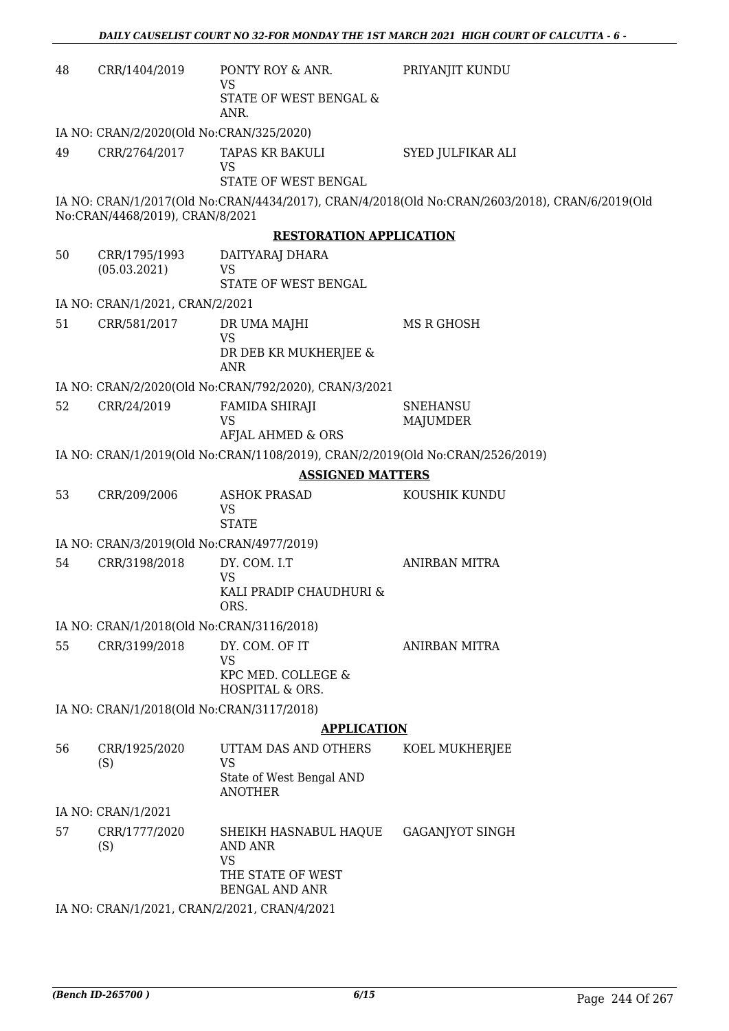| 48 | CRR/1404/2019                                | PONTY ROY & ANR.<br>VS<br>STATE OF WEST BENGAL &                              | PRIYANJIT KUNDU                                                                                |
|----|----------------------------------------------|-------------------------------------------------------------------------------|------------------------------------------------------------------------------------------------|
|    |                                              | ANR.                                                                          |                                                                                                |
|    | IA NO: CRAN/2/2020(Old No:CRAN/325/2020)     |                                                                               |                                                                                                |
| 49 | CRR/2764/2017                                | TAPAS KR BAKULI<br><b>VS</b>                                                  | SYED JULFIKAR ALI                                                                              |
|    |                                              | STATE OF WEST BENGAL                                                          |                                                                                                |
|    | No:CRAN/4468/2019), CRAN/8/2021              |                                                                               | IA NO: CRAN/1/2017(Old No:CRAN/4434/2017), CRAN/4/2018(Old No:CRAN/2603/2018), CRAN/6/2019(Old |
|    |                                              | <b>RESTORATION APPLICATION</b>                                                |                                                                                                |
| 50 | CRR/1795/1993<br>(05.03.2021)                | DAITYARAJ DHARA<br><b>VS</b>                                                  |                                                                                                |
|    |                                              | STATE OF WEST BENGAL                                                          |                                                                                                |
|    | IA NO: CRAN/1/2021, CRAN/2/2021              |                                                                               |                                                                                                |
| 51 | CRR/581/2017                                 | DR UMA MAJHI<br><b>VS</b>                                                     | MS R GHOSH                                                                                     |
|    |                                              | DR DEB KR MUKHERJEE &<br><b>ANR</b>                                           |                                                                                                |
|    |                                              | IA NO: CRAN/2/2020(Old No:CRAN/792/2020), CRAN/3/2021                         |                                                                                                |
| 52 | CRR/24/2019                                  | FAMIDA SHIRAJI<br><b>VS</b><br>AFJAL AHMED & ORS                              | <b>SNEHANSU</b><br>MAJUMDER                                                                    |
|    |                                              | IA NO: CRAN/1/2019(Old No:CRAN/1108/2019), CRAN/2/2019(Old No:CRAN/2526/2019) |                                                                                                |
|    |                                              | <b>ASSIGNED MATTERS</b>                                                       |                                                                                                |
| 53 | CRR/209/2006                                 | <b>ASHOK PRASAD</b>                                                           | KOUSHIK KUNDU                                                                                  |
|    |                                              | VS<br><b>STATE</b>                                                            |                                                                                                |
|    | IA NO: CRAN/3/2019(Old No:CRAN/4977/2019)    |                                                                               |                                                                                                |
| 54 | CRR/3198/2018                                | DY. COM. I.T                                                                  | <b>ANIRBAN MITRA</b>                                                                           |
|    |                                              | <b>VS</b><br>KALI PRADIP CHAUDHURI &<br>ORS.                                  |                                                                                                |
|    | IA NO: CRAN/1/2018(Old No:CRAN/3116/2018)    |                                                                               |                                                                                                |
| 55 | CRR/3199/2018                                | DY. COM. OF IT<br><b>VS</b>                                                   | <b>ANIRBAN MITRA</b>                                                                           |
|    |                                              | KPC MED. COLLEGE &<br>HOSPITAL & ORS.                                         |                                                                                                |
|    | IA NO: CRAN/1/2018(Old No:CRAN/3117/2018)    |                                                                               |                                                                                                |
|    |                                              | <b>APPLICATION</b>                                                            |                                                                                                |
| 56 | CRR/1925/2020<br>(S)                         | UTTAM DAS AND OTHERS<br><b>VS</b>                                             | KOEL MUKHERJEE                                                                                 |
|    |                                              | State of West Bengal AND<br><b>ANOTHER</b>                                    |                                                                                                |
|    | IA NO: CRAN/1/2021                           |                                                                               |                                                                                                |
| 57 | CRR/1777/2020<br>(S)                         | SHEIKH HASNABUL HAQUE<br><b>AND ANR</b><br><b>VS</b>                          | <b>GAGANJYOT SINGH</b>                                                                         |
|    |                                              | THE STATE OF WEST<br><b>BENGAL AND ANR</b>                                    |                                                                                                |
|    | IA NO: CRAN/1/2021, CRAN/2/2021, CRAN/4/2021 |                                                                               |                                                                                                |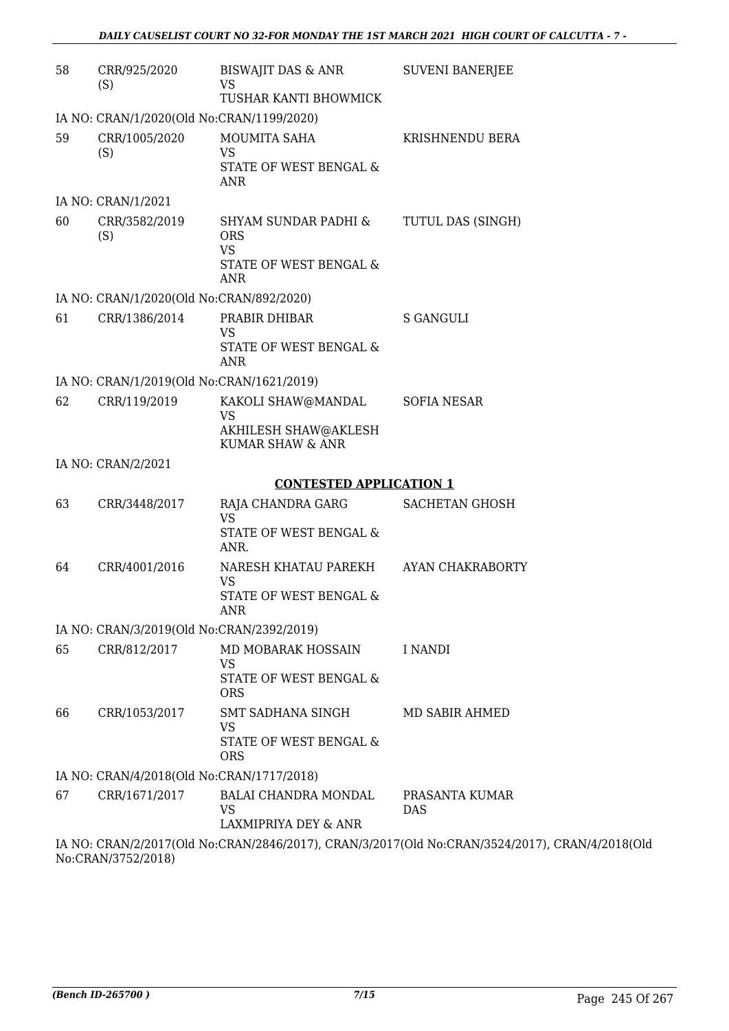| 58 | CRR/925/2020<br>(S)                                       | BISWAJIT DAS & ANR<br><b>VS</b><br>TUSHAR KANTI BHOWMICK                     | <b>SUVENI BANERJEE</b>       |
|----|-----------------------------------------------------------|------------------------------------------------------------------------------|------------------------------|
|    | IA NO: CRAN/1/2020(Old No:CRAN/1199/2020)                 |                                                                              |                              |
| 59 | CRR/1005/2020<br>(S)                                      | <b>MOUMITA SAHA</b><br>VS                                                    | KRISHNENDU BERA              |
|    |                                                           | STATE OF WEST BENGAL &<br><b>ANR</b>                                         |                              |
|    | IA NO: CRAN/1/2021                                        |                                                                              |                              |
| 60 | CRR/3582/2019<br>(S)                                      | SHYAM SUNDAR PADHI &<br><b>ORS</b><br><b>VS</b><br>STATE OF WEST BENGAL &    | TUTUL DAS (SINGH)            |
|    |                                                           | <b>ANR</b>                                                                   |                              |
| 61 | IA NO: CRAN/1/2020(Old No:CRAN/892/2020)<br>CRR/1386/2014 | PRABIR DHIBAR                                                                | <b>S GANGULI</b>             |
|    |                                                           | <b>VS</b>                                                                    |                              |
|    |                                                           | STATE OF WEST BENGAL &<br><b>ANR</b>                                         |                              |
|    | IA NO: CRAN/1/2019(Old No:CRAN/1621/2019)                 |                                                                              |                              |
| 62 | CRR/119/2019                                              | KAKOLI SHAW@MANDAL<br><b>VS</b>                                              | SOFIA NESAR                  |
|    |                                                           | AKHILESH SHAW@AKLESH<br><b>KUMAR SHAW &amp; ANR</b>                          |                              |
|    | IA NO: CRAN/2/2021                                        |                                                                              |                              |
|    |                                                           | <b>CONTESTED APPLICATION 1</b>                                               |                              |
| 63 | CRR/3448/2017                                             | RAJA CHANDRA GARG<br><b>VS</b><br>STATE OF WEST BENGAL &<br>ANR.             | <b>SACHETAN GHOSH</b>        |
| 64 | CRR/4001/2016                                             | NARESH KHATAU PAREKH<br><b>VS</b>                                            | AYAN CHAKRABORTY             |
|    |                                                           | STATE OF WEST BENGAL &<br>ANR                                                |                              |
|    | IA NO: CRAN/3/2019(Old No:CRAN/2392/2019)                 |                                                                              |                              |
| 65 | CRR/812/2017                                              | MD MOBARAK HOSSAIN<br>VS                                                     | I NANDI                      |
|    |                                                           | STATE OF WEST BENGAL &<br><b>ORS</b>                                         |                              |
| 66 | CRR/1053/2017                                             | SMT SADHANA SINGH<br>VS                                                      | MD SABIR AHMED               |
|    |                                                           | STATE OF WEST BENGAL &<br><b>ORS</b>                                         |                              |
|    | IA NO: CRAN/4/2018(Old No:CRAN/1717/2018)                 |                                                                              |                              |
| 67 | CRR/1671/2017                                             | BALAI CHANDRA MONDAL<br>VS<br>LAXMIPRIYA DEY & ANR                           | PRASANTA KUMAR<br><b>DAS</b> |
|    |                                                           | IA NO. CRANI212017(OId No.CRANI2846/2017) CRANI312017(OId No.CRANI3524/2017) |                              |

IA NO: CRAN/2/2017(Old No:CRAN/2846/2017), CRAN/3/2017(Old No:CRAN/3524/2017), CRAN/4/2018(Old No:CRAN/3752/2018)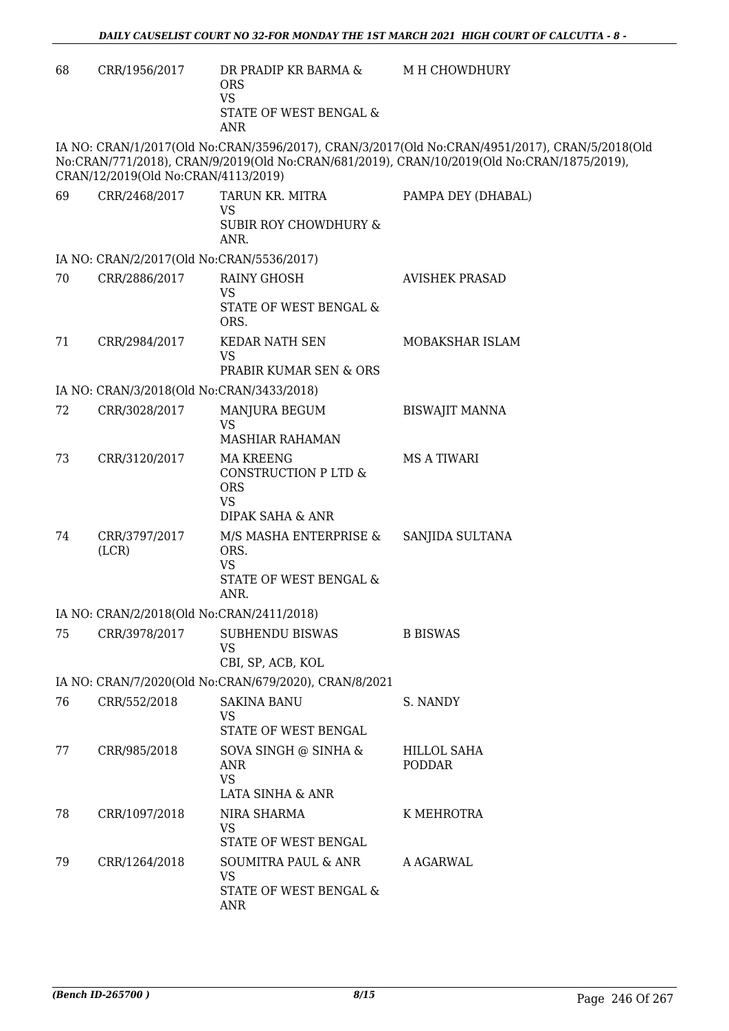| 68 | CRR/1956/2017                             | DR PRADIP KR BARMA &<br><b>ORS</b><br><b>VS</b><br>STATE OF WEST BENGAL &<br>ANR                  | M H CHOWDHURY                                                                                                                                                                                |
|----|-------------------------------------------|---------------------------------------------------------------------------------------------------|----------------------------------------------------------------------------------------------------------------------------------------------------------------------------------------------|
|    | CRAN/12/2019(Old No:CRAN/4113/2019)       |                                                                                                   | IA NO: CRAN/1/2017(Old No:CRAN/3596/2017), CRAN/3/2017(Old No:CRAN/4951/2017), CRAN/5/2018(Old<br>No:CRAN/771/2018), CRAN/9/2019(Old No:CRAN/681/2019), CRAN/10/2019(Old No:CRAN/1875/2019), |
| 69 | CRR/2468/2017                             | TARUN KR. MITRA<br>VS<br><b>SUBIR ROY CHOWDHURY &amp;</b><br>ANR.                                 | PAMPA DEY (DHABAL)                                                                                                                                                                           |
|    | IA NO: CRAN/2/2017(Old No:CRAN/5536/2017) |                                                                                                   |                                                                                                                                                                                              |
| 70 | CRR/2886/2017                             | <b>RAINY GHOSH</b><br><b>VS</b><br>STATE OF WEST BENGAL &<br>ORS.                                 | <b>AVISHEK PRASAD</b>                                                                                                                                                                        |
| 71 | CRR/2984/2017                             | KEDAR NATH SEN<br><b>VS</b><br>PRABIR KUMAR SEN & ORS                                             | MOBAKSHAR ISLAM                                                                                                                                                                              |
|    | IA NO: CRAN/3/2018(Old No:CRAN/3433/2018) |                                                                                                   |                                                                                                                                                                                              |
| 72 | CRR/3028/2017                             | MANJURA BEGUM<br>VS<br><b>MASHIAR RAHAMAN</b>                                                     | <b>BISWAJIT MANNA</b>                                                                                                                                                                        |
| 73 | CRR/3120/2017                             | MA KREENG<br>CONSTRUCTION P LTD &<br><b>ORS</b><br><b>VS</b>                                      | MS A TIWARI                                                                                                                                                                                  |
| 74 | CRR/3797/2017<br>(LCR)                    | DIPAK SAHA & ANR<br>M/S MASHA ENTERPRISE &<br>ORS.<br><b>VS</b><br>STATE OF WEST BENGAL &<br>ANR. | SANJIDA SULTANA                                                                                                                                                                              |
|    | IA NO: CRAN/2/2018(Old No:CRAN/2411/2018) |                                                                                                   |                                                                                                                                                                                              |
| 75 | CRR/3978/2017                             | <b>SUBHENDU BISWAS</b><br><b>VS</b><br>CBI, SP, ACB, KOL                                          | <b>B BISWAS</b>                                                                                                                                                                              |
|    |                                           | IA NO: CRAN/7/2020(Old No:CRAN/679/2020), CRAN/8/2021                                             |                                                                                                                                                                                              |
| 76 | CRR/552/2018                              | <b>SAKINA BANU</b><br><b>VS</b><br>STATE OF WEST BENGAL                                           | S. NANDY                                                                                                                                                                                     |
| 77 | CRR/985/2018                              | SOVA SINGH @ SINHA &<br><b>ANR</b><br><b>VS</b><br>LATA SINHA & ANR                               | <b>HILLOL SAHA</b><br><b>PODDAR</b>                                                                                                                                                          |
| 78 | CRR/1097/2018                             | NIRA SHARMA<br>VS<br>STATE OF WEST BENGAL                                                         | K MEHROTRA                                                                                                                                                                                   |
| 79 | CRR/1264/2018                             | <b>SOUMITRA PAUL &amp; ANR</b><br><b>VS</b><br>STATE OF WEST BENGAL &<br>ANR                      | A AGARWAL                                                                                                                                                                                    |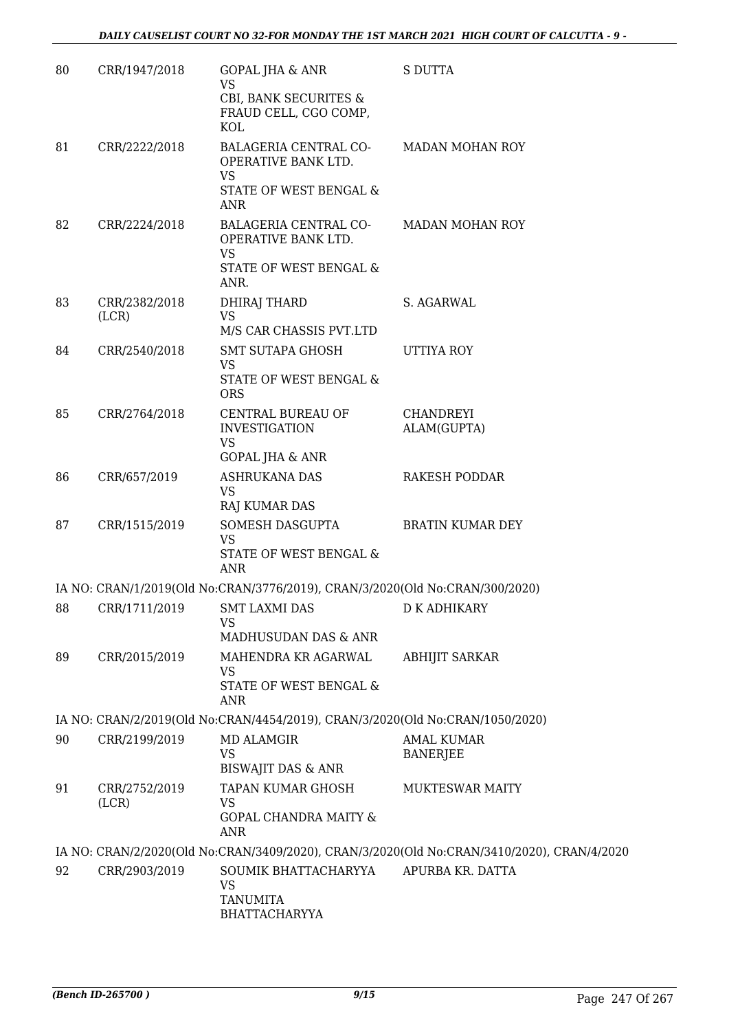| 80 | CRR/1947/2018          | <b>GOPAL JHA &amp; ANR</b><br><b>VS</b><br>CBI, BANK SECURITES &<br>FRAUD CELL, CGO COMP,<br>KOL  | <b>S DUTTA</b>                                                                             |
|----|------------------------|---------------------------------------------------------------------------------------------------|--------------------------------------------------------------------------------------------|
| 81 | CRR/2222/2018          | BALAGERIA CENTRAL CO-<br>OPERATIVE BANK LTD.<br><b>VS</b><br>STATE OF WEST BENGAL &<br><b>ANR</b> | <b>MADAN MOHAN ROY</b>                                                                     |
| 82 | CRR/2224/2018          | BALAGERIA CENTRAL CO-<br>OPERATIVE BANK LTD.<br>VS<br>STATE OF WEST BENGAL &<br>ANR.              | <b>MADAN MOHAN ROY</b>                                                                     |
| 83 | CRR/2382/2018<br>(LCR) | <b>DHIRAJ THARD</b><br><b>VS</b><br>M/S CAR CHASSIS PVT.LTD                                       | S. AGARWAL                                                                                 |
| 84 | CRR/2540/2018          | <b>SMT SUTAPA GHOSH</b><br>VS<br>STATE OF WEST BENGAL &<br><b>ORS</b>                             | UTTIYA ROY                                                                                 |
| 85 | CRR/2764/2018          | CENTRAL BUREAU OF<br><b>INVESTIGATION</b><br><b>VS</b><br><b>GOPAL JHA &amp; ANR</b>              | <b>CHANDREYI</b><br>ALAM(GUPTA)                                                            |
| 86 | CRR/657/2019           | <b>ASHRUKANA DAS</b><br><b>VS</b><br>RAJ KUMAR DAS                                                | <b>RAKESH PODDAR</b>                                                                       |
| 87 | CRR/1515/2019          | SOMESH DASGUPTA<br><b>VS</b><br>STATE OF WEST BENGAL &<br><b>ANR</b>                              | <b>BRATIN KUMAR DEY</b>                                                                    |
|    |                        | IA NO: CRAN/1/2019(Old No:CRAN/3776/2019), CRAN/3/2020(Old No:CRAN/300/2020)                      |                                                                                            |
| 88 |                        | CRR/1711/2019 SMT LAXMI DAS<br>VS<br>MADHUSUDAN DAS & ANR                                         | D K ADHIKARY                                                                               |
| 89 | CRR/2015/2019          | MAHENDRA KR AGARWAL<br>VS<br>STATE OF WEST BENGAL &<br><b>ANR</b>                                 | <b>ABHIJIT SARKAR</b>                                                                      |
|    |                        | IA NO: CRAN/2/2019(Old No:CRAN/4454/2019), CRAN/3/2020(Old No:CRAN/1050/2020)                     |                                                                                            |
| 90 | CRR/2199/2019          | <b>MD ALAMGIR</b><br><b>VS</b><br><b>BISWAJIT DAS &amp; ANR</b>                                   | <b>AMAL KUMAR</b><br><b>BANERJEE</b>                                                       |
| 91 | CRR/2752/2019<br>(LCR) | TAPAN KUMAR GHOSH<br><b>VS</b><br><b>GOPAL CHANDRA MAITY &amp;</b><br><b>ANR</b>                  | <b>MUKTESWAR MAITY</b>                                                                     |
|    |                        |                                                                                                   | IA NO: CRAN/2/2020(Old No:CRAN/3409/2020), CRAN/3/2020(Old No:CRAN/3410/2020), CRAN/4/2020 |
| 92 | CRR/2903/2019          | SOUMIK BHATTACHARYYA<br>VS<br><b>TANUMITA</b><br>BHATTACHARYYA                                    | APURBA KR. DATTA                                                                           |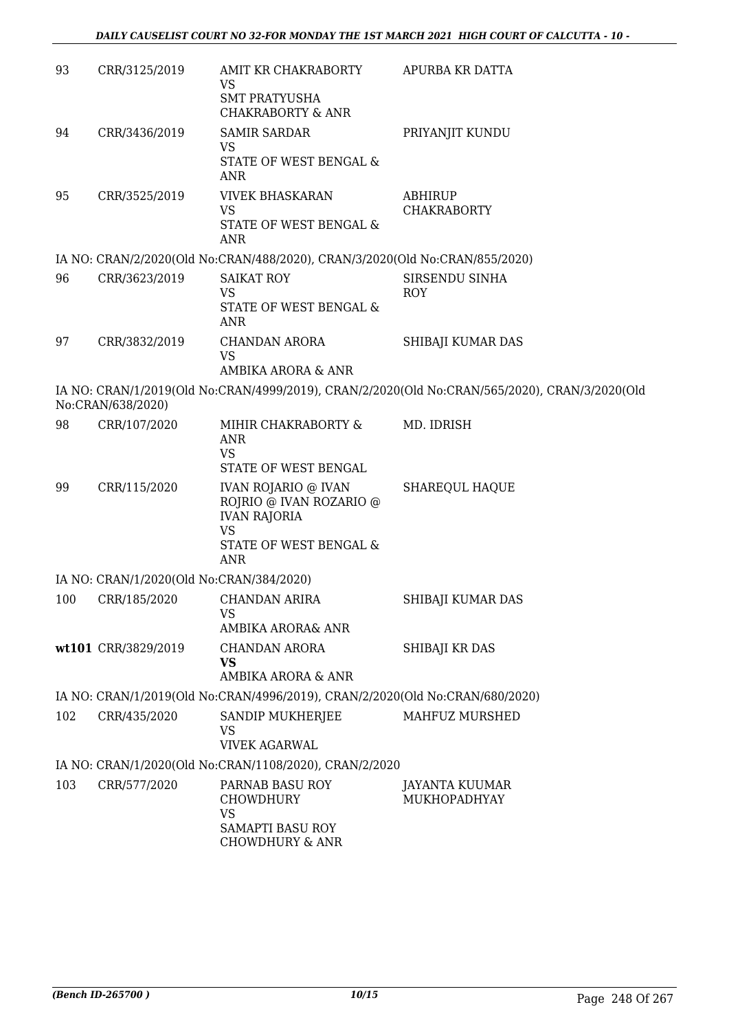| 93  | CRR/3125/2019                            | AMIT KR CHAKRABORTY<br>VS<br><b>SMT PRATYUSHA</b><br><b>CHAKRABORTY &amp; ANR</b>                                                 | APURBA KR DATTA                                                                               |
|-----|------------------------------------------|-----------------------------------------------------------------------------------------------------------------------------------|-----------------------------------------------------------------------------------------------|
| 94  | CRR/3436/2019                            | <b>SAMIR SARDAR</b><br>VS<br>STATE OF WEST BENGAL &                                                                               | PRIYANJIT KUNDU                                                                               |
| 95  | CRR/3525/2019                            | ANR<br><b>VIVEK BHASKARAN</b><br><b>VS</b><br>STATE OF WEST BENGAL &<br><b>ANR</b>                                                | ABHIRUP<br><b>CHAKRABORTY</b>                                                                 |
|     |                                          | IA NO: CRAN/2/2020(Old No:CRAN/488/2020), CRAN/3/2020(Old No:CRAN/855/2020)                                                       |                                                                                               |
| 96  | CRR/3623/2019                            | <b>SAIKAT ROY</b><br><b>VS</b><br>STATE OF WEST BENGAL &<br><b>ANR</b>                                                            | SIRSENDU SINHA<br><b>ROY</b>                                                                  |
| 97  | CRR/3832/2019                            | <b>CHANDAN ARORA</b><br><b>VS</b><br>AMBIKA ARORA & ANR                                                                           | SHIBAJI KUMAR DAS                                                                             |
|     | No:CRAN/638/2020)                        |                                                                                                                                   | IA NO: CRAN/1/2019(Old No:CRAN/4999/2019), CRAN/2/2020(Old No:CRAN/565/2020), CRAN/3/2020(Old |
| 98  | CRR/107/2020                             | MIHIR CHAKRABORTY &<br><b>ANR</b><br><b>VS</b><br>STATE OF WEST BENGAL                                                            | MD. IDRISH                                                                                    |
| 99  | CRR/115/2020                             | <b>IVAN ROJARIO @ IVAN</b><br>ROJRIO @ IVAN ROZARIO @<br><b>IVAN RAJORIA</b><br><b>VS</b><br>STATE OF WEST BENGAL &<br><b>ANR</b> | <b>SHAREQUL HAQUE</b>                                                                         |
|     | IA NO: CRAN/1/2020(Old No:CRAN/384/2020) |                                                                                                                                   |                                                                                               |
| 100 | CRR/185/2020                             | <b>CHANDAN ARIRA</b><br><b>VS</b><br>AMBIKA ARORA& ANR                                                                            | SHIBAJI KUMAR DAS                                                                             |
|     | wt101 CRR/3829/2019                      | <b>CHANDAN ARORA</b><br>VS<br>AMBIKA ARORA & ANR                                                                                  | SHIBAJI KR DAS                                                                                |
|     |                                          | IA NO: CRAN/1/2019(Old No:CRAN/4996/2019), CRAN/2/2020(Old No:CRAN/680/2020)                                                      |                                                                                               |
| 102 | CRR/435/2020                             | SANDIP MUKHERJEE<br><b>VS</b><br><b>VIVEK AGARWAL</b>                                                                             | MAHFUZ MURSHED                                                                                |
|     |                                          | IA NO: CRAN/1/2020(Old No:CRAN/1108/2020), CRAN/2/2020                                                                            |                                                                                               |
| 103 | CRR/577/2020                             | PARNAB BASU ROY<br>CHOWDHURY<br><b>VS</b><br>SAMAPTI BASU ROY<br><b>CHOWDHURY &amp; ANR</b>                                       | JAYANTA KUUMAR<br>MUKHOPADHYAY                                                                |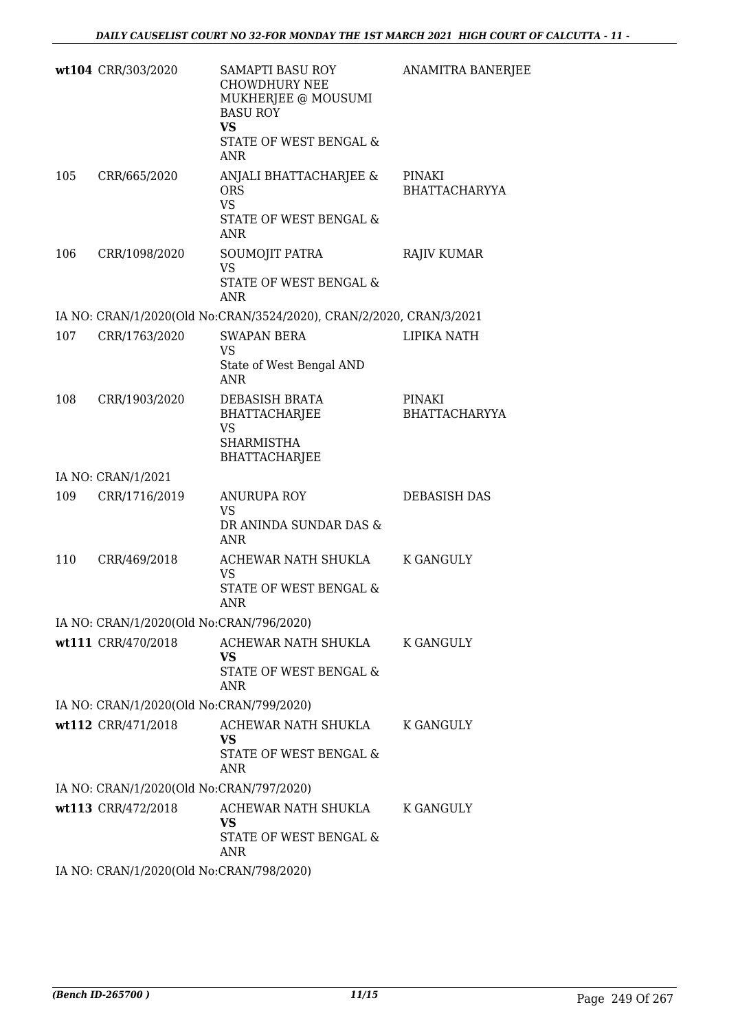|     | wt104 CRR/303/2020                       | SAMAPTI BASU ROY<br><b>CHOWDHURY NEE</b><br>MUKHERJEE @ MOUSUMI<br><b>BASU ROY</b><br><b>VS</b><br>STATE OF WEST BENGAL &<br>ANR | ANAMITRA BANERJEE              |
|-----|------------------------------------------|----------------------------------------------------------------------------------------------------------------------------------|--------------------------------|
| 105 | CRR/665/2020                             | ANJALI BHATTACHARJEE &<br><b>ORS</b><br><b>VS</b><br>STATE OF WEST BENGAL &<br><b>ANR</b>                                        | PINAKI<br><b>BHATTACHARYYA</b> |
| 106 | CRR/1098/2020                            | SOUMOJIT PATRA<br><b>VS</b><br>STATE OF WEST BENGAL &<br>ANR                                                                     | <b>RAJIV KUMAR</b>             |
|     |                                          | IA NO: CRAN/1/2020(Old No:CRAN/3524/2020), CRAN/2/2020, CRAN/3/2021                                                              |                                |
| 107 | CRR/1763/2020                            | <b>SWAPAN BERA</b><br>VS<br>State of West Bengal AND<br>ANR                                                                      | LIPIKA NATH                    |
| 108 | CRR/1903/2020                            | DEBASISH BRATA<br>BHATTACHARJEE<br><b>VS</b><br><b>SHARMISTHA</b><br>BHATTACHARJEE                                               | PINAKI<br><b>BHATTACHARYYA</b> |
|     | IA NO: CRAN/1/2021                       |                                                                                                                                  |                                |
| 109 | CRR/1716/2019                            | <b>ANURUPA ROY</b><br>VS.<br>DR ANINDA SUNDAR DAS &<br>ANR                                                                       | DEBASISH DAS                   |
| 110 | CRR/469/2018                             | ACHEWAR NATH SHUKLA<br><b>VS</b><br>STATE OF WEST BENGAL &<br>ANR                                                                | K GANGULY                      |
|     | IA NO: CRAN/1/2020(Old No:CRAN/796/2020) |                                                                                                                                  |                                |
|     | wt111 CRR/470/2018                       | ACHEWAR NATH SHUKLA<br>VS.<br>STATE OF WEST BENGAL &<br><b>ANR</b>                                                               | K GANGULY                      |
|     | IA NO: CRAN/1/2020(Old No:CRAN/799/2020) |                                                                                                                                  |                                |
|     | wt112 CRR/471/2018                       | ACHEWAR NATH SHUKLA<br>VS.<br>STATE OF WEST BENGAL &<br>ANR                                                                      | K GANGULY                      |
|     | IA NO: CRAN/1/2020(Old No:CRAN/797/2020) |                                                                                                                                  |                                |
|     | wt113 CRR/472/2018                       | ACHEWAR NATH SHUKLA<br>VS.<br>STATE OF WEST BENGAL &<br>ANR                                                                      | K GANGULY                      |
|     | IA NO: CRAN/1/2020(Old No:CRAN/798/2020) |                                                                                                                                  |                                |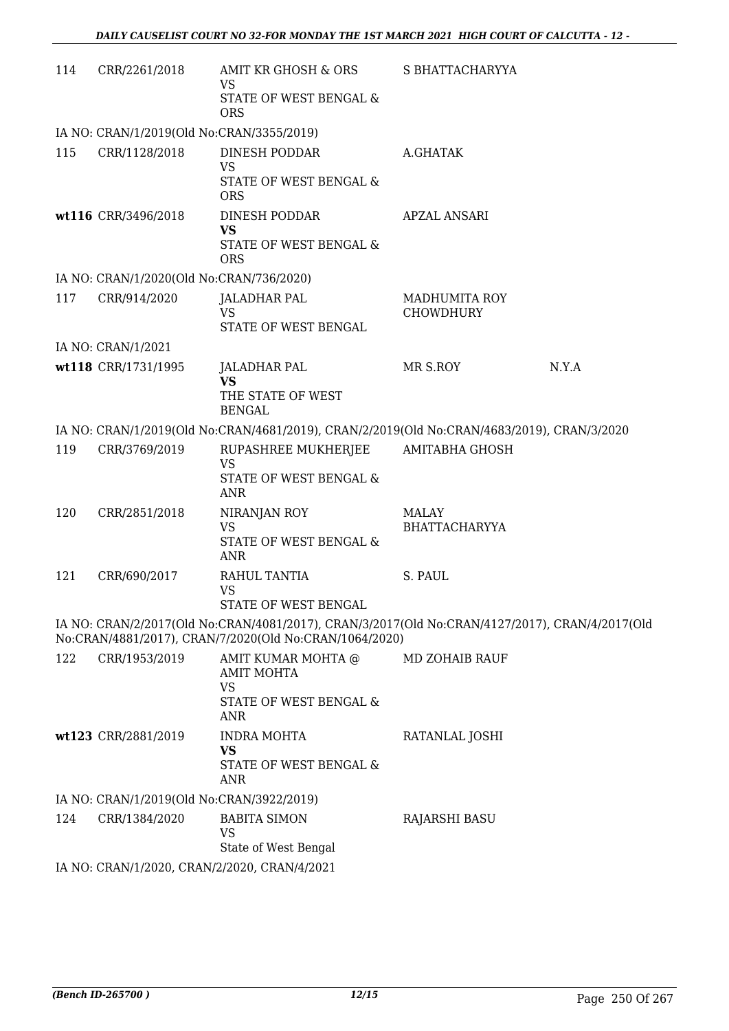| 114 | CRR/2261/2018                                | AMIT KR GHOSH & ORS<br><b>VS</b>                                                                                                                         | S BHATTACHARYYA                          |       |  |
|-----|----------------------------------------------|----------------------------------------------------------------------------------------------------------------------------------------------------------|------------------------------------------|-------|--|
|     |                                              | STATE OF WEST BENGAL &<br><b>ORS</b>                                                                                                                     |                                          |       |  |
|     | IA NO: CRAN/1/2019(Old No:CRAN/3355/2019)    |                                                                                                                                                          |                                          |       |  |
| 115 | CRR/1128/2018                                | DINESH PODDAR<br><b>VS</b><br>STATE OF WEST BENGAL &                                                                                                     | A.GHATAK                                 |       |  |
|     |                                              | <b>ORS</b>                                                                                                                                               |                                          |       |  |
|     | wt116 CRR/3496/2018                          | <b>DINESH PODDAR</b><br><b>VS</b><br>STATE OF WEST BENGAL &<br><b>ORS</b>                                                                                | <b>APZAL ANSARI</b>                      |       |  |
|     | IA NO: CRAN/1/2020(Old No:CRAN/736/2020)     |                                                                                                                                                          |                                          |       |  |
| 117 | CRR/914/2020                                 | JALADHAR PAL<br><b>VS</b><br>STATE OF WEST BENGAL                                                                                                        | <b>MADHUMITA ROY</b><br><b>CHOWDHURY</b> |       |  |
|     | IA NO: CRAN/1/2021                           |                                                                                                                                                          |                                          |       |  |
|     | wt118 CRR/1731/1995                          | <b>JALADHAR PAL</b>                                                                                                                                      | MR S.ROY                                 | N.Y.A |  |
|     |                                              | <b>VS</b><br>THE STATE OF WEST<br><b>BENGAL</b>                                                                                                          |                                          |       |  |
|     |                                              | IA NO: CRAN/1/2019(Old No:CRAN/4681/2019), CRAN/2/2019(Old No:CRAN/4683/2019), CRAN/3/2020                                                               |                                          |       |  |
| 119 | CRR/3769/2019                                | RUPASHREE MUKHERJEE<br><b>VS</b><br>STATE OF WEST BENGAL &<br>ANR                                                                                        | AMITABHA GHOSH                           |       |  |
| 120 | CRR/2851/2018                                | NIRANJAN ROY<br><b>VS</b><br>STATE OF WEST BENGAL &<br>ANR                                                                                               | MALAY<br><b>BHATTACHARYYA</b>            |       |  |
| 121 | CRR/690/2017                                 | RAHUL TANTIA<br><b>VS</b><br>STATE OF WEST BENGAL                                                                                                        | S. PAUL                                  |       |  |
|     |                                              | IA NO: CRAN/2/2017(Old No:CRAN/4081/2017), CRAN/3/2017(Old No:CRAN/4127/2017), CRAN/4/2017(Old<br>No:CRAN/4881/2017), CRAN/7/2020(Old No:CRAN/1064/2020) |                                          |       |  |
| 122 | CRR/1953/2019                                | AMIT KUMAR MOHTA @<br><b>AMIT MOHTA</b><br><b>VS</b><br>STATE OF WEST BENGAL &<br><b>ANR</b>                                                             | <b>MD ZOHAIB RAUF</b>                    |       |  |
|     | wt123 CRR/2881/2019                          | <b>INDRA MOHTA</b><br><b>VS</b><br>STATE OF WEST BENGAL &<br>ANR                                                                                         | RATANLAL JOSHI                           |       |  |
|     | IA NO: CRAN/1/2019(Old No:CRAN/3922/2019)    |                                                                                                                                                          |                                          |       |  |
| 124 | CRR/1384/2020                                | <b>BABITA SIMON</b><br><b>VS</b><br>State of West Bengal                                                                                                 | <b>RAJARSHI BASU</b>                     |       |  |
|     | IA NO: CRAN/1/2020, CRAN/2/2020, CRAN/4/2021 |                                                                                                                                                          |                                          |       |  |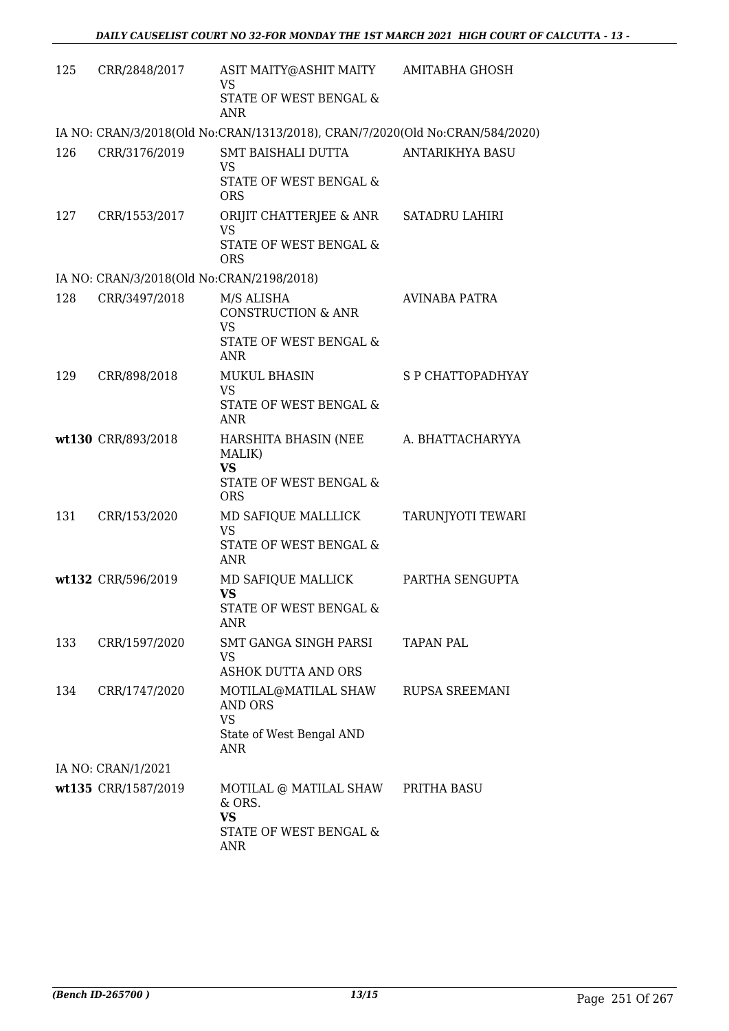| 125 | CRR/2848/2017                             | ASIT MAITY@ASHIT MAITY<br><b>VS</b>                                          | AMITABHA GHOSH         |
|-----|-------------------------------------------|------------------------------------------------------------------------------|------------------------|
|     |                                           | STATE OF WEST BENGAL &<br><b>ANR</b>                                         |                        |
|     |                                           | IA NO: CRAN/3/2018(Old No:CRAN/1313/2018), CRAN/7/2020(Old No:CRAN/584/2020) |                        |
| 126 | CRR/3176/2019                             | SMT BAISHALI DUTTA                                                           | <b>ANTARIKHYA BASU</b> |
|     |                                           | <b>VS</b><br>STATE OF WEST BENGAL &                                          |                        |
|     |                                           | <b>ORS</b>                                                                   |                        |
| 127 | CRR/1553/2017                             | ORIJIT CHATTERJEE & ANR                                                      | <b>SATADRU LAHIRI</b>  |
|     |                                           | <b>VS</b><br>STATE OF WEST BENGAL &                                          |                        |
|     |                                           | <b>ORS</b>                                                                   |                        |
|     | IA NO: CRAN/3/2018(Old No:CRAN/2198/2018) |                                                                              |                        |
| 128 | CRR/3497/2018                             | M/S ALISHA                                                                   | <b>AVINABA PATRA</b>   |
|     |                                           | <b>CONSTRUCTION &amp; ANR</b><br><b>VS</b>                                   |                        |
|     |                                           | <b>STATE OF WEST BENGAL &amp;</b>                                            |                        |
|     |                                           | ANR                                                                          |                        |
| 129 | CRR/898/2018                              | <b>MUKUL BHASIN</b><br><b>VS</b>                                             | S P CHATTOPADHYAY      |
|     |                                           | STATE OF WEST BENGAL &                                                       |                        |
|     |                                           | <b>ANR</b>                                                                   |                        |
|     | wt130 CRR/893/2018                        | HARSHITA BHASIN (NEE<br>MALIK)                                               | A. BHATTACHARYYA       |
|     |                                           | <b>VS</b>                                                                    |                        |
|     |                                           | STATE OF WEST BENGAL &<br><b>ORS</b>                                         |                        |
| 131 | CRR/153/2020                              | MD SAFIQUE MALLLICK                                                          | TARUNJYOTI TEWARI      |
|     |                                           | <b>VS</b>                                                                    |                        |
|     |                                           | STATE OF WEST BENGAL &<br><b>ANR</b>                                         |                        |
|     | wt132 CRR/596/2019                        | MD SAFIQUE MALLICK                                                           | PARTHA SENGUPTA        |
|     |                                           | <b>VS</b>                                                                    |                        |
|     |                                           | STATE OF WEST BENGAL &<br>ANR                                                |                        |
| 133 | CRR/1597/2020                             | SMT GANGA SINGH PARSI                                                        | <b>TAPAN PAL</b>       |
|     |                                           | <b>VS</b>                                                                    |                        |
|     |                                           | <b>ASHOK DUTTA AND ORS</b>                                                   |                        |
| 134 | CRR/1747/2020                             | MOTILAL@MATILAL SHAW<br><b>AND ORS</b>                                       | RUPSA SREEMANI         |
|     |                                           | <b>VS</b>                                                                    |                        |
|     |                                           | State of West Bengal AND<br><b>ANR</b>                                       |                        |
|     | IA NO: CRAN/1/2021                        |                                                                              |                        |
|     | wt135 CRR/1587/2019                       | MOTILAL @ MATILAL SHAW                                                       | PRITHA BASU            |
|     |                                           | & ORS.<br><b>VS</b>                                                          |                        |
|     |                                           | STATE OF WEST BENGAL &                                                       |                        |
|     |                                           | ANR                                                                          |                        |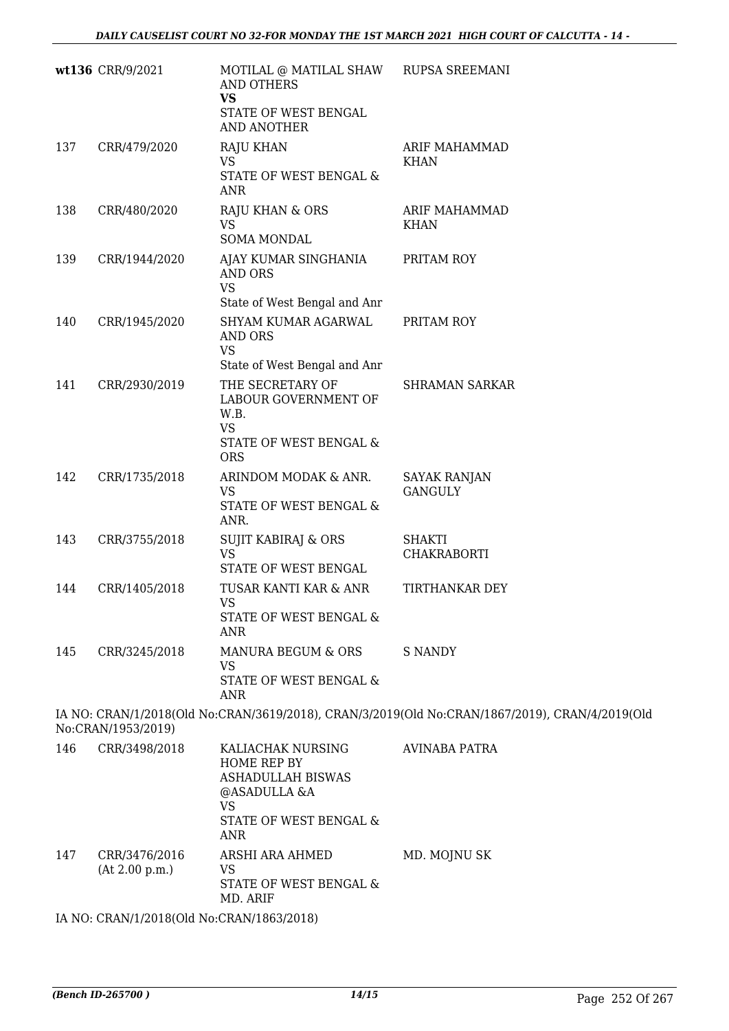|     | wt136 CRR/9/2021   | MOTILAL @ MATILAL SHAW<br>AND OTHERS<br><b>VS</b><br>STATE OF WEST BENGAL<br><b>AND ANOTHER</b>                    | <b>RUPSA SREEMANI</b>                                                                          |
|-----|--------------------|--------------------------------------------------------------------------------------------------------------------|------------------------------------------------------------------------------------------------|
| 137 | CRR/479/2020       | <b>RAJU KHAN</b><br>VS<br>STATE OF WEST BENGAL &<br>ANR                                                            | <b>ARIF MAHAMMAD</b><br><b>KHAN</b>                                                            |
| 138 | CRR/480/2020       | RAJU KHAN & ORS<br><b>VS</b><br><b>SOMA MONDAL</b>                                                                 | ARIF MAHAMMAD<br><b>KHAN</b>                                                                   |
| 139 | CRR/1944/2020      | AJAY KUMAR SINGHANIA<br>AND ORS<br><b>VS</b>                                                                       | PRITAM ROY                                                                                     |
| 140 | CRR/1945/2020      | State of West Bengal and Anr<br>SHYAM KUMAR AGARWAL<br><b>AND ORS</b><br><b>VS</b><br>State of West Bengal and Anr | PRITAM ROY                                                                                     |
| 141 | CRR/2930/2019      | THE SECRETARY OF<br>LABOUR GOVERNMENT OF<br>W.B.<br><b>VS</b><br>STATE OF WEST BENGAL &<br><b>ORS</b>              | <b>SHRAMAN SARKAR</b>                                                                          |
| 142 | CRR/1735/2018      | ARINDOM MODAK & ANR.<br><b>VS</b><br>STATE OF WEST BENGAL &<br>ANR.                                                | SAYAK RANJAN<br><b>GANGULY</b>                                                                 |
| 143 | CRR/3755/2018      | SUJIT KABIRAJ & ORS<br><b>VS</b><br>STATE OF WEST BENGAL                                                           | SHAKTI<br><b>CHAKRABORTI</b>                                                                   |
| 144 | CRR/1405/2018      | TUSAR KANTI KAR & ANR<br><b>VS</b><br>STATE OF WEST BENGAL &<br>ANR                                                | TIRTHANKAR DEY                                                                                 |
| 145 | CRR/3245/2018      | MANURA BEGUM & ORS<br>VS<br>STATE OF WEST BENGAL &<br><b>ANR</b>                                                   | <b>S NANDY</b>                                                                                 |
|     | No:CRAN/1953/2019) |                                                                                                                    | IA NO: CRAN/1/2018(Old No:CRAN/3619/2018), CRAN/3/2019(Old No:CRAN/1867/2019), CRAN/4/2019(Old |
| 146 | CRR/3498/2018      | KALIACHAK NURSING<br>HOME REP BY<br><b>ASHADULLAH BISWAS</b><br>@ASADULLA &A                                       | <b>AVINABA PATRA</b>                                                                           |

STATE OF WEST BENGAL & ANR 147 CRR/3476/2016 (At 2.00 p.m.) ARSHI ARA AHMED VS STATE OF WEST BENGAL & MD. ARIF MD. MOJNU SK

VS

IA NO: CRAN/1/2018(Old No:CRAN/1863/2018)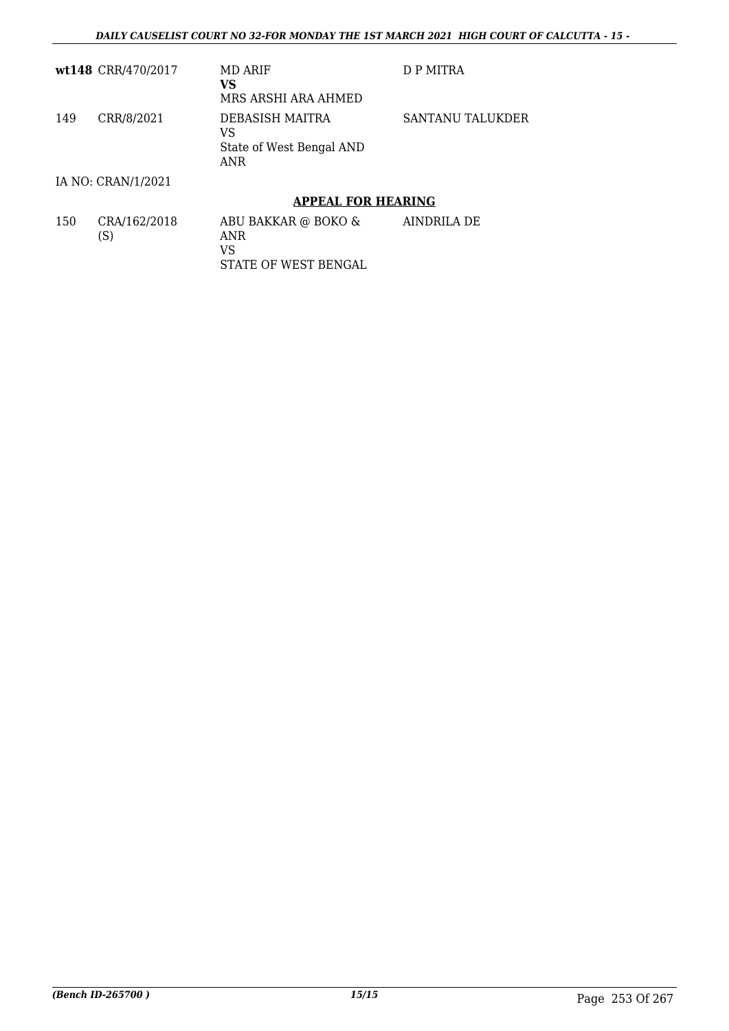|     | wt148 CRR/470/2017  | MD ARIF<br>VS<br>MRS ARSHI ARA AHMED                     | D P MITRA        |
|-----|---------------------|----------------------------------------------------------|------------------|
| 149 | CRR/8/2021          | DEBASISH MAITRA<br>VS<br>State of West Bengal AND<br>ANR | SANTANU TALUKDER |
|     | IA NO: CRAN/1/2021  |                                                          |                  |
|     |                     | <b>APPEAL FOR HEARING</b>                                |                  |
| 150 | CRA/162/2018<br>(S) | ABU BAKKAR @ BOKO &<br>ANR                               | AINDRILA DE      |

STATE OF WEST BENGAL

VS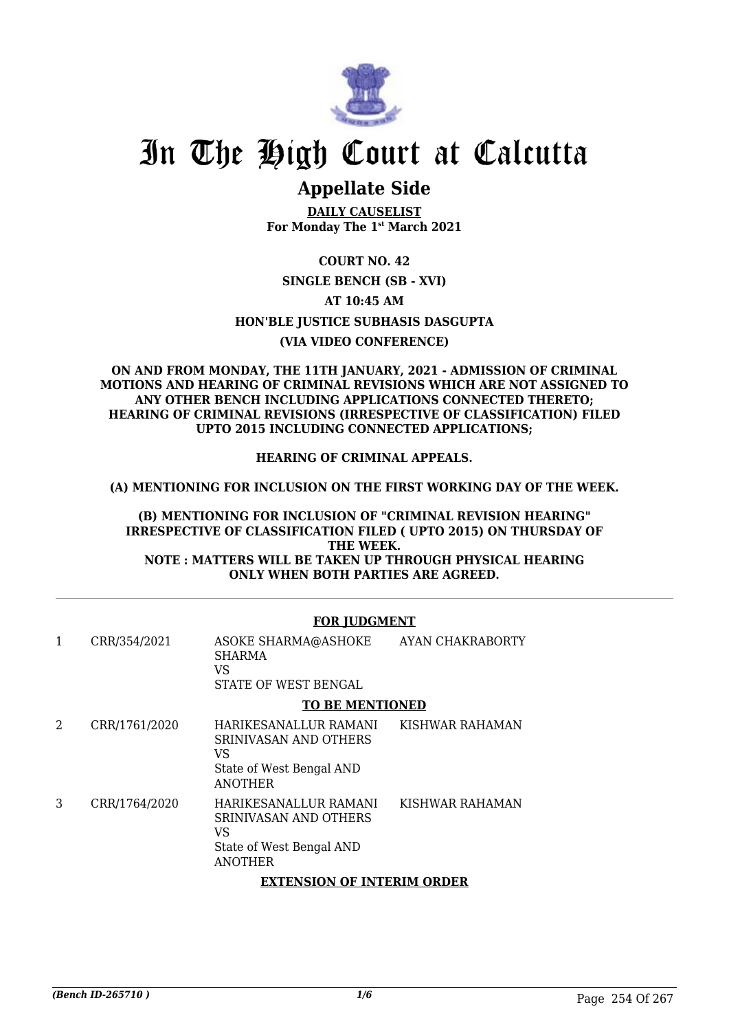

# In The High Court at Calcutta

# **Appellate Side**

**DAILY CAUSELIST For Monday The 1st March 2021**

**COURT NO. 42**

## **SINGLE BENCH (SB - XVI)**

**AT 10:45 AM**

**HON'BLE JUSTICE SUBHASIS DASGUPTA**

## **(VIA VIDEO CONFERENCE)**

### **ON AND FROM MONDAY, THE 11TH JANUARY, 2021 - ADMISSION OF CRIMINAL MOTIONS AND HEARING OF CRIMINAL REVISIONS WHICH ARE NOT ASSIGNED TO ANY OTHER BENCH INCLUDING APPLICATIONS CONNECTED THERETO; HEARING OF CRIMINAL REVISIONS (IRRESPECTIVE OF CLASSIFICATION) FILED UPTO 2015 INCLUDING CONNECTED APPLICATIONS;**

### **HEARING OF CRIMINAL APPEALS.**

**(A) MENTIONING FOR INCLUSION ON THE FIRST WORKING DAY OF THE WEEK.**

**(B) MENTIONING FOR INCLUSION OF "CRIMINAL REVISION HEARING" IRRESPECTIVE OF CLASSIFICATION FILED ( UPTO 2015) ON THURSDAY OF THE WEEK. NOTE : MATTERS WILL BE TAKEN UP THROUGH PHYSICAL HEARING ONLY WHEN BOTH PARTIES ARE AGREED.**

### **FOR JUDGMENT**

| 1 | CRR/354/2021  | ASOKE SHARMA@ASHOKE<br>SHARMA<br>VS<br>STATE OF WEST BENGAL                                        | AYAN CHAKRABORTY |
|---|---------------|----------------------------------------------------------------------------------------------------|------------------|
|   |               | <b>TO BE MENTIONED</b>                                                                             |                  |
| 2 | CRR/1761/2020 | HARIKESANALLUR RAMANI<br>SRINIVASAN AND OTHERS<br>VS<br>State of West Bengal AND<br><b>ANOTHER</b> | KISHWAR RAHAMAN  |
| 3 | CRR/1764/2020 | HARIKESANALLUR RAMANI<br>SRINIVASAN AND OTHERS<br>VS<br>State of West Bengal AND<br><b>ANOTHER</b> | KISHWAR RAHAMAN  |
|   |               | <b>EXTENSION OF INTERIM ORDER</b>                                                                  |                  |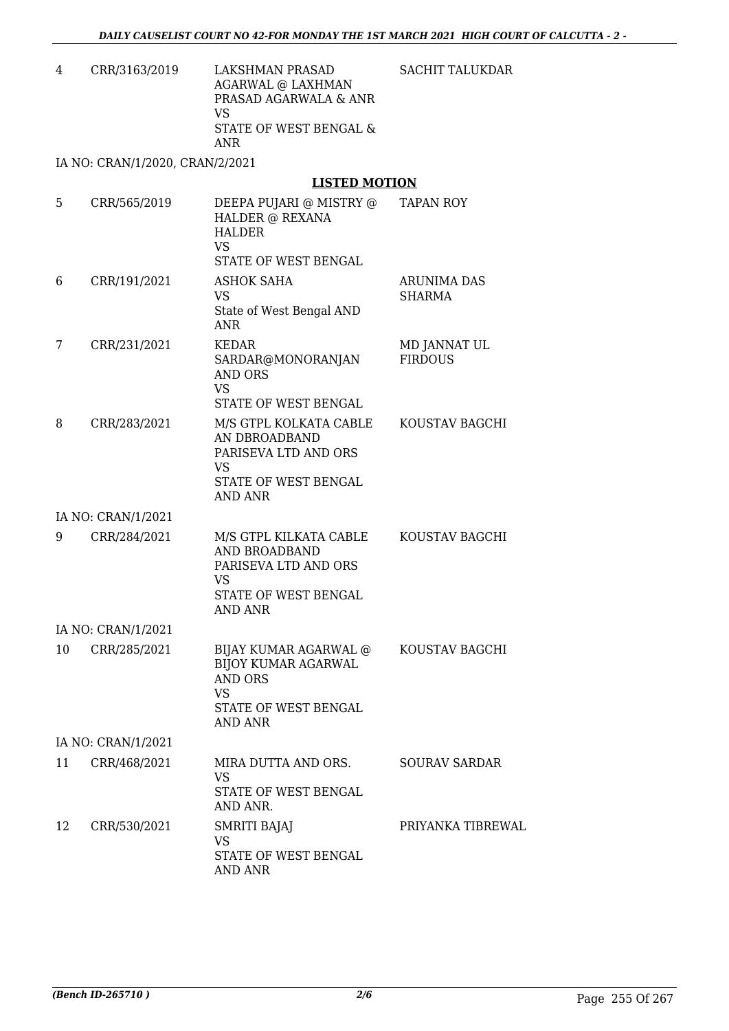SACHIT TALUKDAR

4 CRR/3163/2019 LAKSHMAN PRASAD AGARWAL @ LAXHMAN PRASAD AGARWALA & ANR VS STATE OF WEST BENGAL & ANR

IA NO: CRAN/1/2020, CRAN/2/2021

## **LISTED MOTION**

| 5  | CRR/565/2019       | DEEPA PUJARI @ MISTRY @<br>HALDER @ REXANA<br><b>HALDER</b><br><b>VS</b><br>STATE OF WEST BENGAL                       | <b>TAPAN ROY</b>                    |
|----|--------------------|------------------------------------------------------------------------------------------------------------------------|-------------------------------------|
| 6  | CRR/191/2021       | ASHOK SAHA<br><b>VS</b><br>State of West Bengal AND<br><b>ANR</b>                                                      | <b>ARUNIMA DAS</b><br><b>SHARMA</b> |
| 7  | CRR/231/2021       | <b>KEDAR</b><br>SARDAR@MONORANJAN<br><b>AND ORS</b><br><b>VS</b><br>STATE OF WEST BENGAL                               | MD JANNAT UL<br><b>FIRDOUS</b>      |
| 8  | CRR/283/2021       | M/S GTPL KOLKATA CABLE<br>AN DBROADBAND<br>PARISEVA LTD AND ORS<br>VS<br>STATE OF WEST BENGAL<br>AND ANR               | KOUSTAV BAGCHI                      |
|    | IA NO: CRAN/1/2021 |                                                                                                                        |                                     |
| 9  | CRR/284/2021       | M/S GTPL KILKATA CABLE<br>AND BROADBAND<br>PARISEVA LTD AND ORS<br><b>VS</b><br>STATE OF WEST BENGAL<br><b>AND ANR</b> | KOUSTAV BAGCHI                      |
|    | IA NO: CRAN/1/2021 |                                                                                                                        |                                     |
| 10 | CRR/285/2021       | BIJAY KUMAR AGARWAL @<br><b>BIJOY KUMAR AGARWAL</b><br><b>AND ORS</b><br>VS<br>STATE OF WEST BENGAL<br><b>AND ANR</b>  | KOUSTAV BAGCHI                      |
|    | IA NO: CRAN/1/2021 |                                                                                                                        |                                     |
| 11 | CRR/468/2021       | MIRA DUTTA AND ORS.<br><b>VS</b><br>STATE OF WEST BENGAL<br>AND ANR.                                                   | <b>SOURAV SARDAR</b>                |
| 12 | CRR/530/2021       | SMRITI BAJAJ<br><b>VS</b><br>STATE OF WEST BENGAL<br>AND ANR                                                           | PRIYANKA TIBREWAL                   |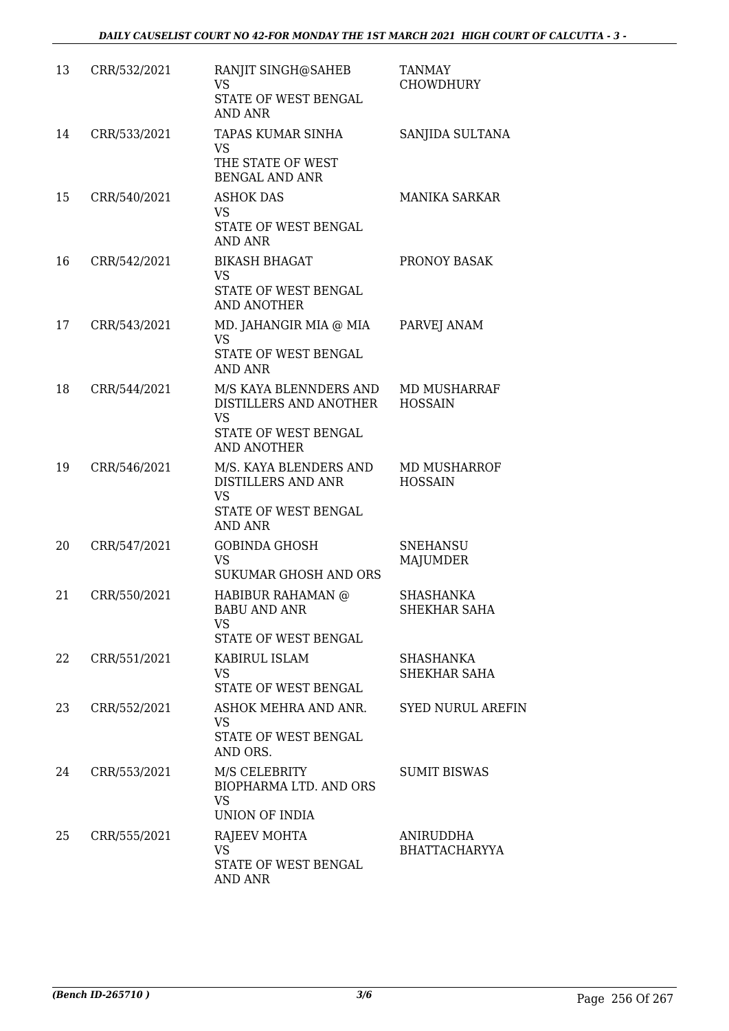| 13 | CRR/532/2021 | RANJIT SINGH@SAHEB<br><b>VS</b><br><b>STATE OF WEST BENGAL</b><br><b>AND ANR</b>                            | <b>TANMAY</b><br><b>CHOWDHURY</b> |
|----|--------------|-------------------------------------------------------------------------------------------------------------|-----------------------------------|
| 14 | CRR/533/2021 | TAPAS KUMAR SINHA<br><b>VS</b><br>THE STATE OF WEST<br><b>BENGAL AND ANR</b>                                | SANJIDA SULTANA                   |
| 15 | CRR/540/2021 | <b>ASHOK DAS</b><br>VS<br>STATE OF WEST BENGAL<br>AND ANR                                                   | <b>MANIKA SARKAR</b>              |
| 16 | CRR/542/2021 | <b>BIKASH BHAGAT</b><br><b>VS</b><br>STATE OF WEST BENGAL<br><b>AND ANOTHER</b>                             | PRONOY BASAK                      |
| 17 | CRR/543/2021 | MD. JAHANGIR MIA @ MIA<br><b>VS</b><br>STATE OF WEST BENGAL<br><b>AND ANR</b>                               | PARVEJ ANAM                       |
| 18 | CRR/544/2021 | M/S KAYA BLENNDERS AND<br>DISTILLERS AND ANOTHER<br><b>VS</b><br>STATE OF WEST BENGAL<br><b>AND ANOTHER</b> | MD MUSHARRAF<br><b>HOSSAIN</b>    |
| 19 | CRR/546/2021 | M/S. KAYA BLENDERS AND<br>DISTILLERS AND ANR<br><b>VS</b><br>STATE OF WEST BENGAL<br><b>AND ANR</b>         | MD MUSHARROF<br><b>HOSSAIN</b>    |
| 20 | CRR/547/2021 | <b>GOBINDA GHOSH</b><br><b>VS</b><br>SUKUMAR GHOSH AND ORS                                                  | <b>SNEHANSU</b><br>MAJUMDER       |
| 21 | CRR/550/2021 | HABIBUR RAHAMAN @<br><b>BABU AND ANR</b><br><b>VS</b><br>STATE OF WEST BENGAL                               | <b>SHASHANKA</b><br>SHEKHAR SAHA  |
| 22 | CRR/551/2021 | KABIRUL ISLAM<br><b>VS</b><br>STATE OF WEST BENGAL                                                          | SHASHANKA<br>SHEKHAR SAHA         |
| 23 | CRR/552/2021 | ASHOK MEHRA AND ANR.<br>VS<br>STATE OF WEST BENGAL<br>AND ORS.                                              | <b>SYED NURUL AREFIN</b>          |
| 24 | CRR/553/2021 | M/S CELEBRITY<br>BIOPHARMA LTD. AND ORS<br><b>VS</b><br>UNION OF INDIA                                      | <b>SUMIT BISWAS</b>               |
| 25 | CRR/555/2021 | RAJEEV MOHTA<br><b>VS</b><br>STATE OF WEST BENGAL<br>AND ANR                                                | ANIRUDDHA<br><b>BHATTACHARYYA</b> |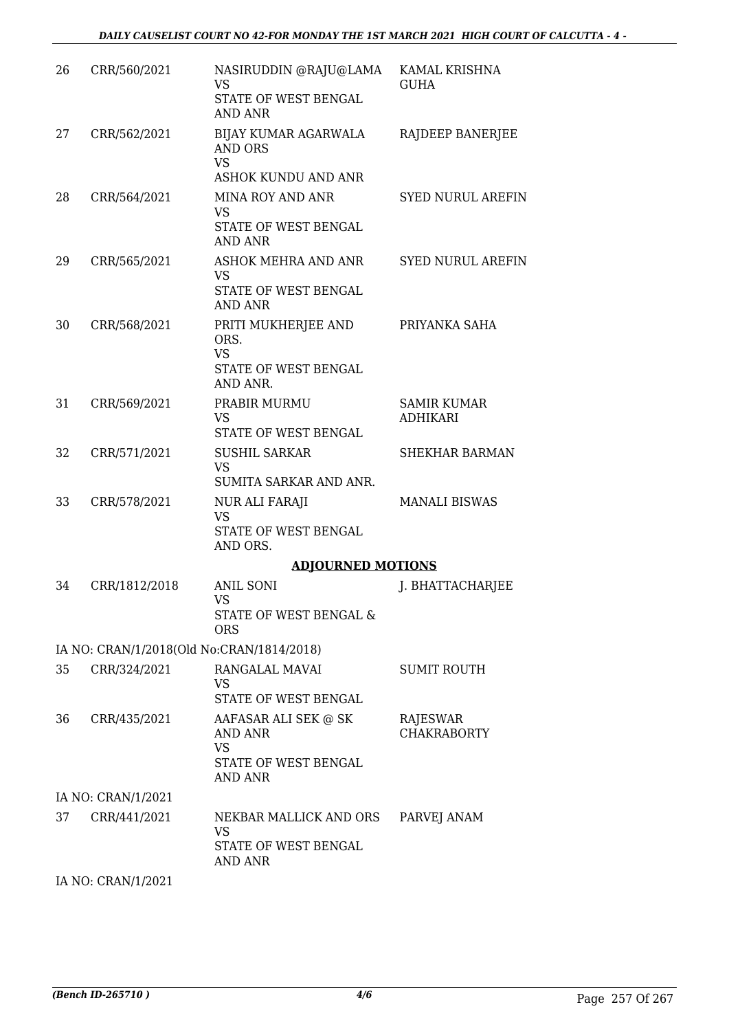| 26 | CRR/560/2021                              | NASIRUDDIN @RAJU@LAMA<br><b>VS</b><br>STATE OF WEST BENGAL<br><b>AND ANR</b>           | KAMAL KRISHNA<br><b>GUHA</b>          |
|----|-------------------------------------------|----------------------------------------------------------------------------------------|---------------------------------------|
| 27 | CRR/562/2021                              | BIJAY KUMAR AGARWALA<br><b>AND ORS</b><br><b>VS</b><br>ASHOK KUNDU AND ANR             | RAJDEEP BANERJEE                      |
| 28 | CRR/564/2021                              | MINA ROY AND ANR<br><b>VS</b><br>STATE OF WEST BENGAL<br><b>AND ANR</b>                | <b>SYED NURUL AREFIN</b>              |
| 29 | CRR/565/2021                              | ASHOK MEHRA AND ANR<br>VS<br>STATE OF WEST BENGAL<br>AND ANR                           | <b>SYED NURUL AREFIN</b>              |
| 30 | CRR/568/2021                              | PRITI MUKHERJEE AND<br>ORS.<br><b>VS</b><br>STATE OF WEST BENGAL<br>AND ANR.           | PRIYANKA SAHA                         |
| 31 | CRR/569/2021                              | PRABIR MURMU<br><b>VS</b><br>STATE OF WEST BENGAL                                      | <b>SAMIR KUMAR</b><br><b>ADHIKARI</b> |
| 32 | CRR/571/2021                              | <b>SUSHIL SARKAR</b><br><b>VS</b><br>SUMITA SARKAR AND ANR.                            | <b>SHEKHAR BARMAN</b>                 |
| 33 | CRR/578/2021                              | <b>NUR ALI FARAJI</b><br><b>VS</b><br>STATE OF WEST BENGAL<br>AND ORS.                 | <b>MANALI BISWAS</b>                  |
|    |                                           | <b>ADJOURNED MOTIONS</b>                                                               |                                       |
| 34 | CRR/1812/2018                             | <b>ANIL SONI</b><br><b>VS</b><br>STATE OF WEST BENGAL &<br><b>ORS</b>                  | J. BHATTACHARJEE                      |
|    | IA NO: CRAN/1/2018(Old No:CRAN/1814/2018) |                                                                                        |                                       |
| 35 | CRR/324/2021                              | RANGALAL MAVAI<br><b>VS</b><br>STATE OF WEST BENGAL                                    | <b>SUMIT ROUTH</b>                    |
| 36 | CRR/435/2021                              | AAFASAR ALI SEK @ SK<br>AND ANR<br><b>VS</b><br>STATE OF WEST BENGAL<br><b>AND ANR</b> | RAJESWAR<br><b>CHAKRABORTY</b>        |
|    | IA NO: CRAN/1/2021                        |                                                                                        |                                       |
| 37 | CRR/441/2021                              | NEKBAR MALLICK AND ORS<br><b>VS</b><br>STATE OF WEST BENGAL<br>AND ANR                 | PARVEJ ANAM                           |
|    | IA NO: CRAN/1/2021                        |                                                                                        |                                       |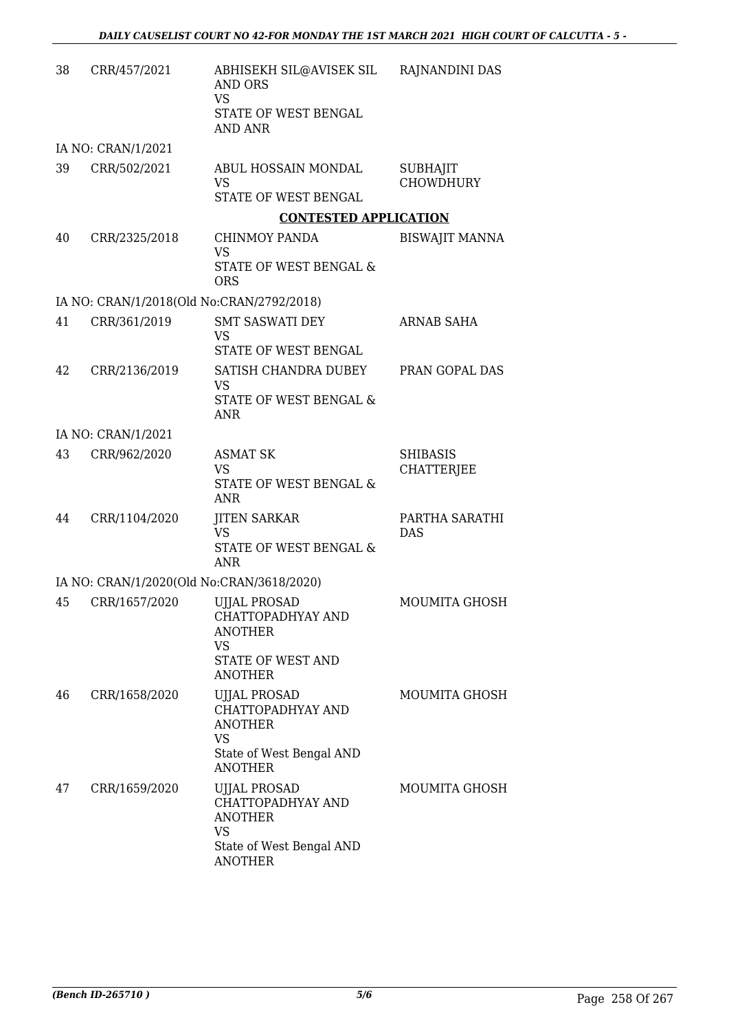| 38 | CRR/457/2021       | ABHISEKH SIL@AVISEK SIL RAJNANDINI DAS<br><b>AND ORS</b><br><b>VS</b><br>STATE OF WEST BENGAL<br><b>AND ANR</b>                         |                                      |
|----|--------------------|-----------------------------------------------------------------------------------------------------------------------------------------|--------------------------------------|
|    | IA NO: CRAN/1/2021 |                                                                                                                                         |                                      |
| 39 | CRR/502/2021       | ABUL HOSSAIN MONDAL<br><b>VS</b><br>STATE OF WEST BENGAL                                                                                | <b>SUBHAJIT</b><br><b>CHOWDHURY</b>  |
|    |                    | <b>CONTESTED APPLICATION</b>                                                                                                            |                                      |
| 40 | CRR/2325/2018      | CHINMOY PANDA<br><b>VS</b><br>STATE OF WEST BENGAL &<br><b>ORS</b>                                                                      | <b>BISWAJIT MANNA</b>                |
|    |                    | IA NO: CRAN/1/2018(Old No:CRAN/2792/2018)                                                                                               |                                      |
| 41 | CRR/361/2019       | <b>SMT SASWATI DEY</b><br><b>VS</b><br>STATE OF WEST BENGAL                                                                             | <b>ARNAB SAHA</b>                    |
| 42 | CRR/2136/2019      | SATISH CHANDRA DUBEY<br><b>VS</b><br>STATE OF WEST BENGAL &<br><b>ANR</b>                                                               | PRAN GOPAL DAS                       |
|    | IA NO: CRAN/1/2021 |                                                                                                                                         |                                      |
| 43 | CRR/962/2020       | <b>ASMAT SK</b><br><b>VS</b><br>STATE OF WEST BENGAL &<br><b>ANR</b>                                                                    | <b>SHIBASIS</b><br><b>CHATTERJEE</b> |
| 44 | CRR/1104/2020      | <b>JITEN SARKAR</b><br><b>VS</b><br>STATE OF WEST BENGAL &<br><b>ANR</b>                                                                | PARTHA SARATHI<br><b>DAS</b>         |
|    |                    | IA NO: CRAN/1/2020(Old No:CRAN/3618/2020)                                                                                               |                                      |
| 45 | CRR/1657/2020      | <b>UJJAL PROSAD</b><br>CHATTOPADHYAY AND<br><b>ANOTHER</b><br>VS<br><b>STATE OF WEST AND</b>                                            | MOUMITA GHOSH                        |
| 46 | CRR/1658/2020      | <b>ANOTHER</b><br><b>UJJAL PROSAD</b><br>CHATTOPADHYAY AND<br><b>ANOTHER</b><br><b>VS</b><br>State of West Bengal AND<br><b>ANOTHER</b> | <b>MOUMITA GHOSH</b>                 |
| 47 | CRR/1659/2020      | <b>UJJAL PROSAD</b><br>CHATTOPADHYAY AND<br><b>ANOTHER</b><br><b>VS</b><br>State of West Bengal AND<br><b>ANOTHER</b>                   | <b>MOUMITA GHOSH</b>                 |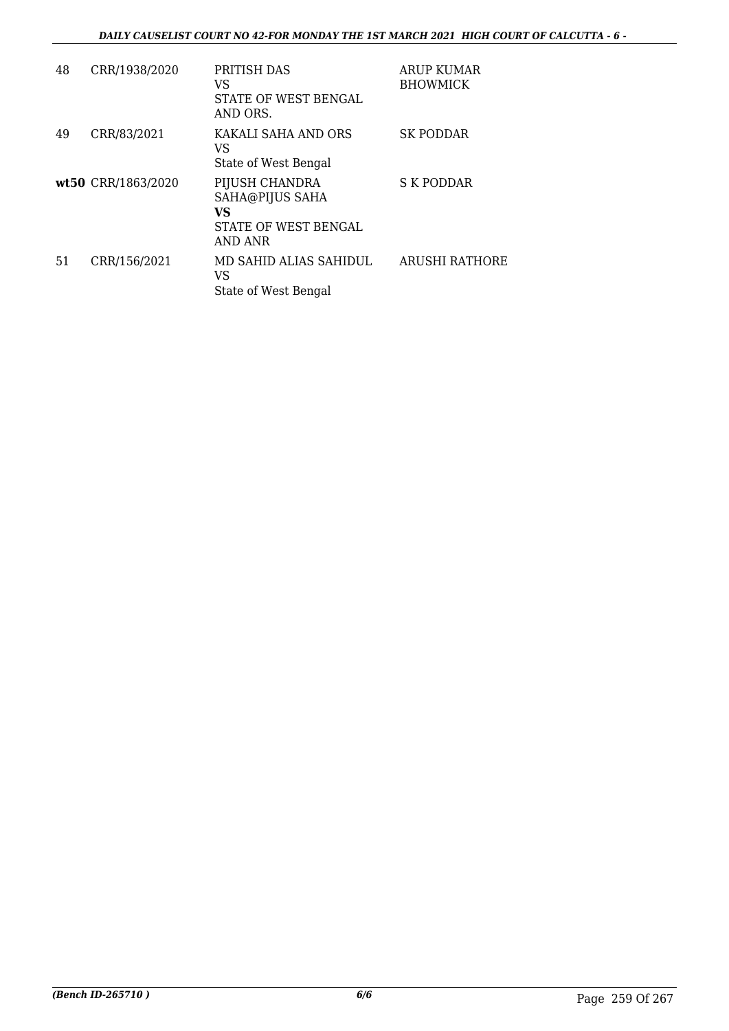| 48 | CRR/1938/2020      | PRITISH DAS<br>VS<br>STATE OF WEST BENGAL<br>AND ORS.                      | <b>ARUP KUMAR</b><br><b>BHOWMICK</b> |
|----|--------------------|----------------------------------------------------------------------------|--------------------------------------|
| 49 | CRR/83/2021        | KAKALI SAHA AND ORS<br>VS<br>State of West Bengal                          | <b>SK PODDAR</b>                     |
|    | wt50 CRR/1863/2020 | PIJUSH CHANDRA<br>SAHA@PIJUS SAHA<br>VS<br>STATE OF WEST BENGAL<br>AND ANR | S K PODDAR                           |
| 51 | CRR/156/2021       | MD SAHID ALIAS SAHIDUL<br>VS<br>State of West Bengal                       | <b>ARUSHI RATHORE</b>                |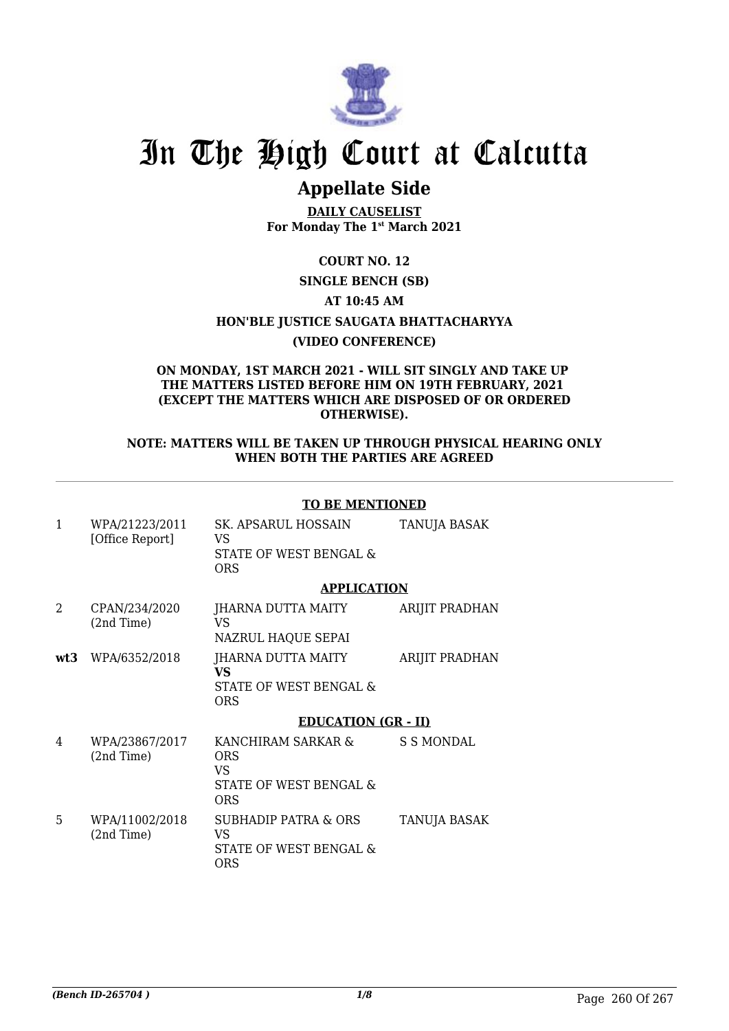

# In The High Court at Calcutta

# **Appellate Side**

**DAILY CAUSELIST For Monday The 1st March 2021**

## **COURT NO. 12**

**SINGLE BENCH (SB)**

### **AT 10:45 AM**

**HON'BLE JUSTICE SAUGATA BHATTACHARYYA**

### **(VIDEO CONFERENCE)**

#### **ON MONDAY, 1ST MARCH 2021 - WILL SIT SINGLY AND TAKE UP THE MATTERS LISTED BEFORE HIM ON 19TH FEBRUARY, 2021 (EXCEPT THE MATTERS WHICH ARE DISPOSED OF OR ORDERED OTHERWISE).**

#### **NOTE: MATTERS WILL BE TAKEN UP THROUGH PHYSICAL HEARING ONLY WHEN BOTH THE PARTIES ARE AGREED**

### **TO BE MENTIONED**

| 1   | WPA/21223/2011<br>[Office Report] | SK. APSARUL HOSSAIN<br>VS<br>STATE OF WEST BENGAL &<br><b>ORS</b> | TANUJA BASAK          |
|-----|-----------------------------------|-------------------------------------------------------------------|-----------------------|
|     |                                   | <b>APPLICATION</b>                                                |                       |
| 2   | CPAN/234/2020<br>(2nd Time)       | JHARNA DUTTA MAITY<br>VS<br>NAZRUL HAQUE SEPAI                    | ARIJIT PRADHAN        |
| wt3 | WPA/6352/2018                     | JHARNA DUTTA MAITY<br>VS<br>STATE OF WEST BENGAL &<br><b>ORS</b>  | <b>ARIJIT PRADHAN</b> |
|     |                                   | <b>EDUCATION (GR - II)</b>                                        |                       |

| 4 | WPA/23867/2017<br>(2nd Time) | KANCHIRAM SARKAR &<br>ORS<br>VS<br>STATE OF WEST BENGAL &<br>ORS       | S S MONDAL          |
|---|------------------------------|------------------------------------------------------------------------|---------------------|
| 5 | WPA/11002/2018<br>(2nd Time) | <b>SUBHADIP PATRA &amp; ORS</b><br>VS<br>STATE OF WEST BENGAL &<br>ORS | <b>TANUJA BASAK</b> |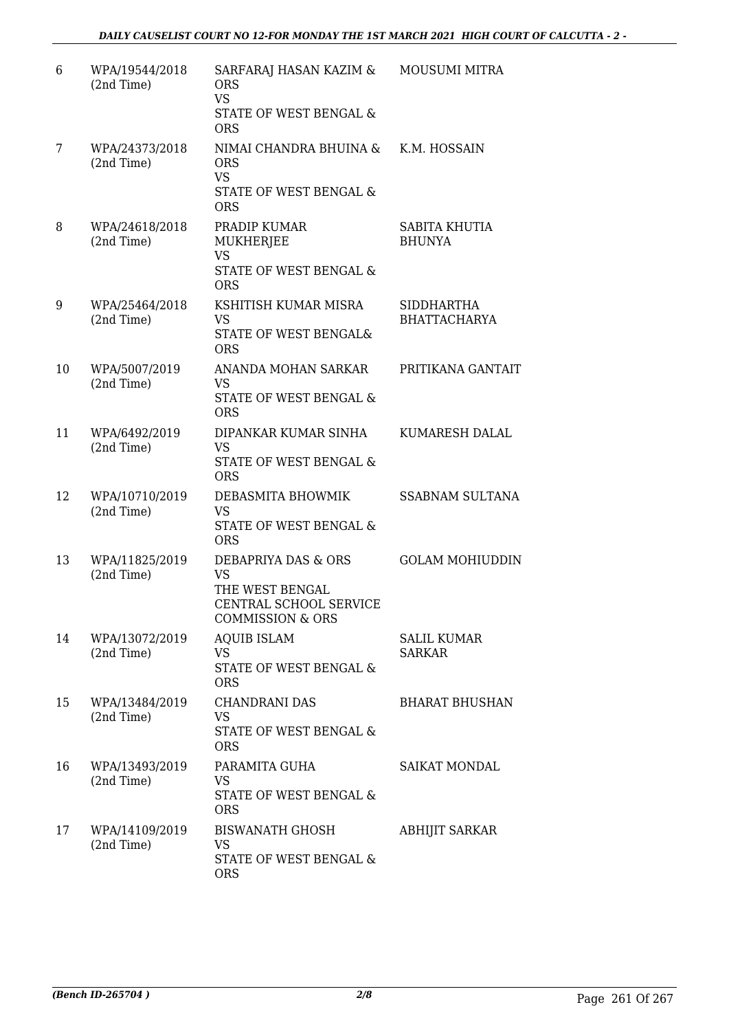| 6  | WPA/19544/2018<br>(2nd Time) | SARFARAJ HASAN KAZIM &<br><b>ORS</b><br><b>VS</b><br>STATE OF WEST BENGAL &<br><b>ORS</b>                    | <b>MOUSUMI MITRA</b>                     |
|----|------------------------------|--------------------------------------------------------------------------------------------------------------|------------------------------------------|
| 7  | WPA/24373/2018<br>(2nd Time) | NIMAI CHANDRA BHUINA &<br><b>ORS</b><br><b>VS</b><br>STATE OF WEST BENGAL &<br><b>ORS</b>                    | K.M. HOSSAIN                             |
| 8  | WPA/24618/2018<br>(2nd Time) | PRADIP KUMAR<br>MUKHERJEE<br><b>VS</b><br>STATE OF WEST BENGAL &<br><b>ORS</b>                               | SABITA KHUTIA<br><b>BHUNYA</b>           |
| 9  | WPA/25464/2018<br>(2nd Time) | KSHITISH KUMAR MISRA<br><b>VS</b><br>STATE OF WEST BENGAL&<br><b>ORS</b>                                     | <b>SIDDHARTHA</b><br><b>BHATTACHARYA</b> |
| 10 | WPA/5007/2019<br>(2nd Time)  | ANANDA MOHAN SARKAR<br><b>VS</b><br>STATE OF WEST BENGAL &<br><b>ORS</b>                                     | PRITIKANA GANTAIT                        |
| 11 | WPA/6492/2019<br>(2nd Time)  | DIPANKAR KUMAR SINHA<br><b>VS</b><br>STATE OF WEST BENGAL &<br><b>ORS</b>                                    | KUMARESH DALAL                           |
| 12 | WPA/10710/2019<br>(2nd Time) | DEBASMITA BHOWMIK<br><b>VS</b><br>STATE OF WEST BENGAL &<br><b>ORS</b>                                       | <b>SSABNAM SULTANA</b>                   |
| 13 | WPA/11825/2019<br>(2nd Time) | DEBAPRIYA DAS & ORS<br><b>VS</b><br>THE WEST BENGAL<br>CENTRAL SCHOOL SERVICE<br><b>COMMISSION &amp; ORS</b> | <b>GOLAM MOHIUDDIN</b>                   |
| 14 | WPA/13072/2019<br>(2nd Time) | <b>AQUIB ISLAM</b><br><b>VS</b><br>STATE OF WEST BENGAL &<br><b>ORS</b>                                      | <b>SALIL KUMAR</b><br><b>SARKAR</b>      |
| 15 | WPA/13484/2019<br>(2nd Time) | <b>CHANDRANI DAS</b><br><b>VS</b><br>STATE OF WEST BENGAL &<br><b>ORS</b>                                    | <b>BHARAT BHUSHAN</b>                    |
| 16 | WPA/13493/2019<br>(2nd Time) | PARAMITA GUHA<br>VS.<br>STATE OF WEST BENGAL &<br><b>ORS</b>                                                 | <b>SAIKAT MONDAL</b>                     |
| 17 | WPA/14109/2019<br>(2nd Time) | BISWANATH GHOSH<br><b>VS</b><br>STATE OF WEST BENGAL &<br><b>ORS</b>                                         | <b>ABHIJIT SARKAR</b>                    |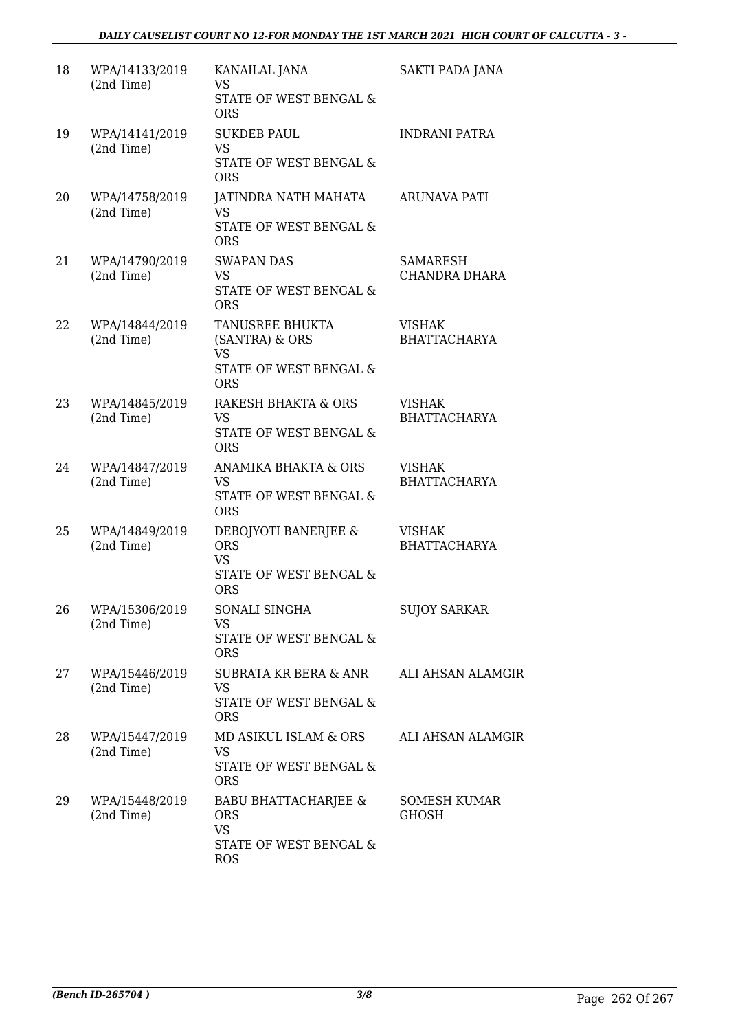| 18 | WPA/14133/2019<br>(2nd Time) | KANAILAL JANA<br><b>VS</b><br><b>STATE OF WEST BENGAL &amp;</b><br><b>ORS</b>                      | SAKTI PADA JANA                      |
|----|------------------------------|----------------------------------------------------------------------------------------------------|--------------------------------------|
| 19 | WPA/14141/2019<br>(2nd Time) | <b>SUKDEB PAUL</b><br><b>VS</b><br>STATE OF WEST BENGAL &<br><b>ORS</b>                            | <b>INDRANI PATRA</b>                 |
| 20 | WPA/14758/2019<br>(2nd Time) | JATINDRA NATH MAHATA<br><b>VS</b><br>STATE OF WEST BENGAL &<br><b>ORS</b>                          | <b>ARUNAVA PATI</b>                  |
| 21 | WPA/14790/2019<br>(2nd Time) | <b>SWAPAN DAS</b><br>VS<br>STATE OF WEST BENGAL &<br><b>ORS</b>                                    | SAMARESH<br>CHANDRA DHARA            |
| 22 | WPA/14844/2019<br>(2nd Time) | <b>TANUSREE BHUKTA</b><br>(SANTRA) & ORS<br>VS.<br><b>STATE OF WEST BENGAL &amp;</b><br><b>ORS</b> | <b>VISHAK</b><br><b>BHATTACHARYA</b> |
| 23 | WPA/14845/2019<br>(2nd Time) | <b>RAKESH BHAKTA &amp; ORS</b><br><b>VS</b><br>STATE OF WEST BENGAL &<br><b>ORS</b>                | <b>VISHAK</b><br><b>BHATTACHARYA</b> |
| 24 | WPA/14847/2019<br>(2nd Time) | ANAMIKA BHAKTA & ORS<br><b>VS</b><br>STATE OF WEST BENGAL &<br><b>ORS</b>                          | <b>VISHAK</b><br><b>BHATTACHARYA</b> |
| 25 | WPA/14849/2019<br>(2nd Time) | DEBOJYOTI BANERJEE &<br><b>ORS</b><br>VS.<br>STATE OF WEST BENGAL &<br><b>ORS</b>                  | <b>VISHAK</b><br><b>BHATTACHARYA</b> |
| 26 | WPA/15306/2019<br>(2nd Time) | SONALI SINGHA<br>VS<br>STATE OF WEST BENGAL &<br><b>ORS</b>                                        | <b>SUJOY SARKAR</b>                  |
| 27 | WPA/15446/2019<br>(2nd Time) | SUBRATA KR BERA & ANR<br><b>VS</b><br>STATE OF WEST BENGAL &<br><b>ORS</b>                         | <b>ALI AHSAN ALAMGIR</b>             |
| 28 | WPA/15447/2019<br>(2nd Time) | MD ASIKUL ISLAM & ORS<br>VS<br>STATE OF WEST BENGAL &<br><b>ORS</b>                                | <b>ALI AHSAN ALAMGIR</b>             |
| 29 | WPA/15448/2019<br>(2nd Time) | <b>BABU BHATTACHARJEE &amp;</b><br><b>ORS</b><br><b>VS</b><br>STATE OF WEST BENGAL &<br><b>ROS</b> | SOMESH KUMAR<br><b>GHOSH</b>         |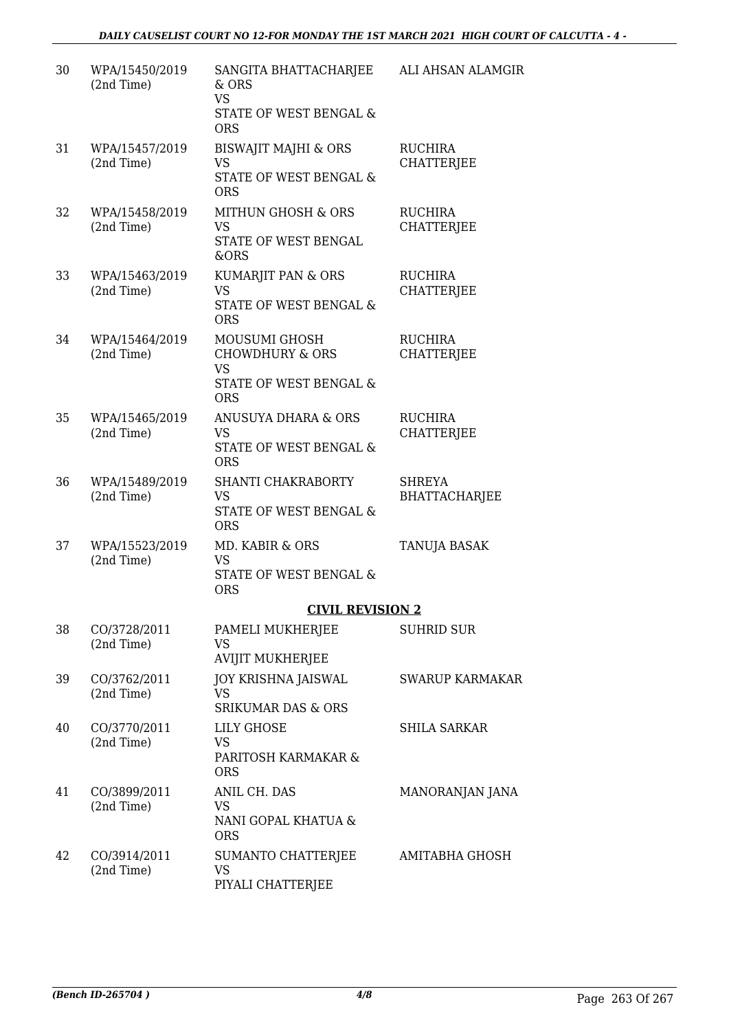| 30 | WPA/15450/2019<br>(2nd Time) | SANGITA BHATTACHARJEE<br>& ORS<br><b>VS</b><br>STATE OF WEST BENGAL &<br><b>ORS</b>    | ALI AHSAN ALAMGIR                   |
|----|------------------------------|----------------------------------------------------------------------------------------|-------------------------------------|
| 31 | WPA/15457/2019<br>(2nd Time) | <b>BISWAJIT MAJHI &amp; ORS</b><br>VS<br>STATE OF WEST BENGAL &<br><b>ORS</b>          | <b>RUCHIRA</b><br>CHATTERJEE        |
| 32 | WPA/15458/2019<br>(2nd Time) | MITHUN GHOSH & ORS<br><b>VS</b><br>STATE OF WEST BENGAL<br>&ORS                        | <b>RUCHIRA</b><br><b>CHATTERJEE</b> |
| 33 | WPA/15463/2019<br>(2nd Time) | KUMARJIT PAN & ORS<br><b>VS</b><br>STATE OF WEST BENGAL &<br><b>ORS</b>                | <b>RUCHIRA</b><br><b>CHATTERJEE</b> |
| 34 | WPA/15464/2019<br>(2nd Time) | MOUSUMI GHOSH<br><b>CHOWDHURY &amp; ORS</b><br>VS<br>STATE OF WEST BENGAL &            | <b>RUCHIRA</b><br><b>CHATTERJEE</b> |
| 35 | WPA/15465/2019<br>(2nd Time) | <b>ORS</b><br>ANUSUYA DHARA & ORS<br><b>VS</b><br>STATE OF WEST BENGAL &<br><b>ORS</b> | <b>RUCHIRA</b><br>CHATTERJEE        |
| 36 | WPA/15489/2019<br>(2nd Time) | SHANTI CHAKRABORTY<br><b>VS</b><br>STATE OF WEST BENGAL &<br><b>ORS</b>                | SHREYA<br><b>BHATTACHARJEE</b>      |
| 37 | WPA/15523/2019<br>(2nd Time) | MD. KABIR & ORS<br>VS<br><b>STATE OF WEST BENGAL &amp;</b><br><b>ORS</b>               | TANUJA BASAK                        |
|    |                              | <b>CIVIL REVISION 2</b>                                                                |                                     |
| 38 | CO/3728/2011<br>(2nd Time)   | PAMELI MUKHERJEE<br><b>VS</b><br><b>AVIJIT MUKHERJEE</b>                               | <b>SUHRID SUR</b>                   |
| 39 | CO/3762/2011<br>(2nd Time)   | <b>JOY KRISHNA JAISWAL</b><br><b>VS</b><br><b>SRIKUMAR DAS &amp; ORS</b>               | <b>SWARUP KARMAKAR</b>              |
| 40 | CO/3770/2011<br>(2nd Time)   | <b>LILY GHOSE</b><br>VS<br>PARITOSH KARMAKAR &<br><b>ORS</b>                           | <b>SHILA SARKAR</b>                 |
| 41 | CO/3899/2011<br>(2nd Time)   | ANIL CH. DAS<br>VS<br>NANI GOPAL KHATUA &<br><b>ORS</b>                                | MANORANJAN JANA                     |
| 42 | CO/3914/2011<br>(2nd Time)   | SUMANTO CHATTERJEE<br>VS<br>PIYALI CHATTERJEE                                          | AMITABHA GHOSH                      |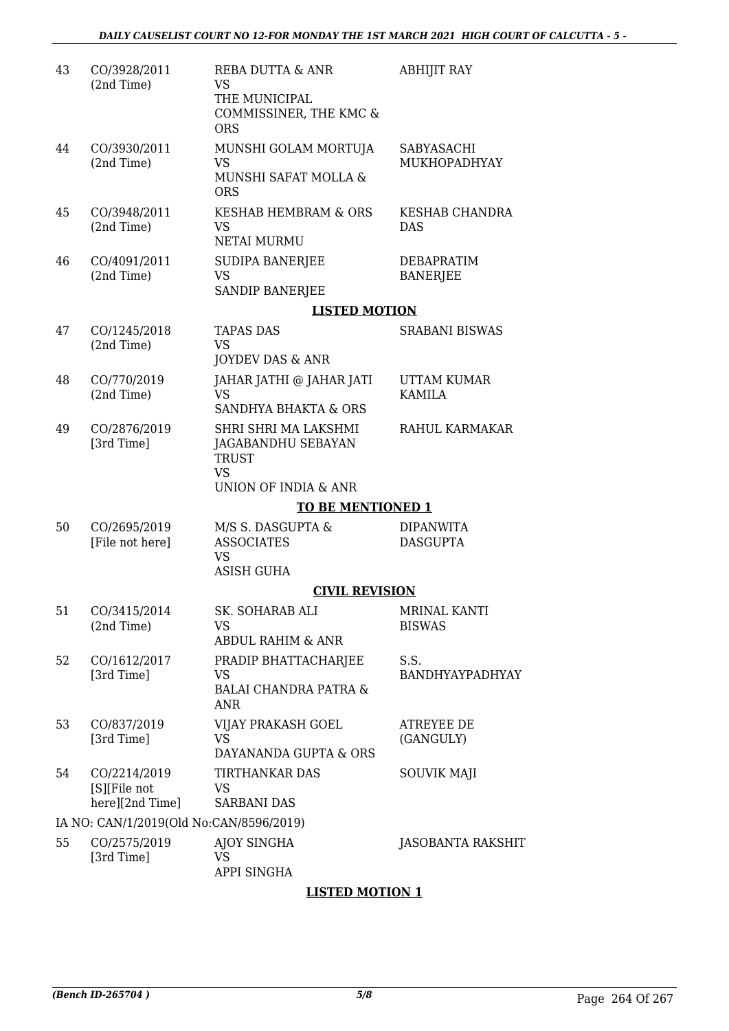| 43 | CO/3928/2011<br>(2nd Time)                      | REBA DUTTA & ANR<br>VS<br>THE MUNICIPAL<br>COMMISSINER, THE KMC &<br>ORS                        | <b>ABHIJIT RAY</b>                   |
|----|-------------------------------------------------|-------------------------------------------------------------------------------------------------|--------------------------------------|
| 44 | CO/3930/2011<br>(2nd Time)                      | MUNSHI GOLAM MORTUJA<br><b>VS</b><br>MUNSHI SAFAT MOLLA &<br><b>ORS</b>                         | SABYASACHI<br>MUKHOPADHYAY           |
| 45 | CO/3948/2011<br>(2nd Time)                      | KESHAB HEMBRAM & ORS<br><b>VS</b><br><b>NETAI MURMU</b>                                         | <b>KESHAB CHANDRA</b><br><b>DAS</b>  |
| 46 | CO/4091/2011<br>(2nd Time)                      | SUDIPA BANERJEE<br>VS<br>SANDIP BANERJEE                                                        | <b>DEBAPRATIM</b><br><b>BANERJEE</b> |
|    |                                                 | <b>LISTED MOTION</b>                                                                            |                                      |
| 47 | CO/1245/2018<br>(2nd Time)                      | <b>TAPAS DAS</b><br><b>VS</b><br>JOYDEV DAS & ANR                                               | <b>SRABANI BISWAS</b>                |
| 48 | CO/770/2019<br>(2nd Time)                       | JAHAR JATHI @ JAHAR JATI<br><b>VS</b><br>SANDHYA BHAKTA & ORS                                   | UTTAM KUMAR<br><b>KAMILA</b>         |
| 49 | CO/2876/2019<br>[3rd Time]                      | SHRI SHRI MA LAKSHMI<br>JAGABANDHU SEBAYAN<br><b>TRUST</b><br><b>VS</b><br>UNION OF INDIA & ANR | RAHUL KARMAKAR                       |
|    |                                                 | <b>TO BE MENTIONED 1</b>                                                                        |                                      |
| 50 | CO/2695/2019<br>[File not here]                 | M/S S. DASGUPTA &<br><b>ASSOCIATES</b><br><b>VS</b><br><b>ASISH GUHA</b>                        | <b>DIPANWITA</b><br><b>DASGUPTA</b>  |
|    |                                                 | <b>CIVIL REVISION</b>                                                                           |                                      |
| 51 | CO/3415/2014<br>(2nd Time)                      | SK. SOHARAB ALI<br><b>VS</b><br><b>ABDUL RAHIM &amp; ANR</b>                                    | <b>MRINAL KANTI</b><br><b>BISWAS</b> |
| 52 | CO/1612/2017<br>[3rd Time]                      | PRADIP BHATTACHARJEE<br>VS<br><b>BALAI CHANDRA PATRA &amp;</b><br><b>ANR</b>                    | S.S.<br>BANDHYAYPADHYAY              |
| 53 | CO/837/2019<br>[3rd Time]                       | VIJAY PRAKASH GOEL<br>VS.<br>DAYANANDA GUPTA & ORS                                              | ATREYEE DE<br>(GANGULY)              |
| 54 | CO/2214/2019<br>[S][File not<br>here][2nd Time] | TIRTHANKAR DAS<br><b>VS</b><br><b>SARBANI DAS</b>                                               | <b>SOUVIK MAJI</b>                   |
|    | IA NO: CAN/1/2019(Old No:CAN/8596/2019)         |                                                                                                 |                                      |
| 55 | CO/2575/2019<br>[3rd Time]                      | <b>AJOY SINGHA</b><br>VS                                                                        | <b>JASOBANTA RAKSHIT</b>             |

APPI SINGHA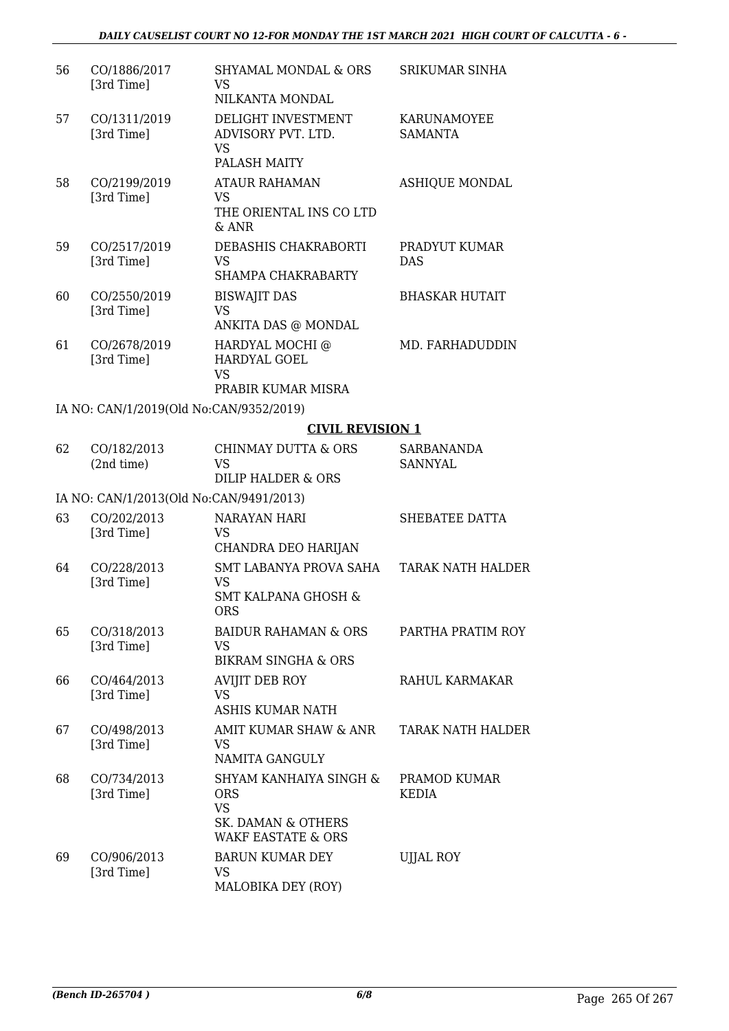| 56 | CO/1886/2017<br>[3rd Time]              | <b>SHYAMAL MONDAL &amp; ORS</b><br><b>VS</b><br>NILKANTA MONDAL                                          | SRIKUMAR SINHA                       |
|----|-----------------------------------------|----------------------------------------------------------------------------------------------------------|--------------------------------------|
| 57 | CO/1311/2019<br>[3rd Time]              | DELIGHT INVESTMENT<br>ADVISORY PVT. LTD.<br><b>VS</b><br>PALASH MAITY                                    | <b>KARUNAMOYEE</b><br><b>SAMANTA</b> |
| 58 | CO/2199/2019<br>[3rd Time]              | <b>ATAUR RAHAMAN</b><br><b>VS</b><br>THE ORIENTAL INS CO LTD<br>$&$ ANR                                  | <b>ASHIQUE MONDAL</b>                |
| 59 | CO/2517/2019<br>[3rd Time]              | DEBASHIS CHAKRABORTI<br><b>VS</b><br>SHAMPA CHAKRABARTY                                                  | PRADYUT KUMAR<br><b>DAS</b>          |
| 60 | CO/2550/2019<br>[3rd Time]              | <b>BISWAJIT DAS</b><br><b>VS</b><br>ANKITA DAS @ MONDAL                                                  | <b>BHASKAR HUTAIT</b>                |
| 61 | CO/2678/2019<br>[3rd Time]              | HARDYAL MOCHI @<br><b>HARDYAL GOEL</b><br><b>VS</b>                                                      | MD. FARHADUDDIN                      |
|    |                                         | PRABIR KUMAR MISRA                                                                                       |                                      |
|    | IA NO: CAN/1/2019(Old No:CAN/9352/2019) |                                                                                                          |                                      |
|    |                                         | <b>CIVIL REVISION 1</b>                                                                                  |                                      |
| 62 | CO/182/2013<br>(2nd time)               | <b>CHINMAY DUTTA &amp; ORS</b><br><b>VS</b><br>DILIP HALDER & ORS                                        | SARBANANDA<br><b>SANNYAL</b>         |
|    | IA NO: CAN/1/2013(Old No:CAN/9491/2013) |                                                                                                          |                                      |
| 63 | CO/202/2013<br>[3rd Time]               | <b>NARAYAN HARI</b><br><b>VS</b><br>CHANDRA DEO HARIJAN                                                  | SHEBATEE DATTA                       |
| 64 | CO/228/2013<br>[3rd Time]               | SMT LABANYA PROVA SAHA<br><b>VS</b><br><b>SMT KALPANA GHOSH &amp;</b><br><b>ORS</b>                      | <b>TARAK NATH HALDER</b>             |
| 65 | CO/318/2013<br>[3rd Time]               | BAIDUR RAHAMAN & ORS<br>VS<br><b>BIKRAM SINGHA &amp; ORS</b>                                             | PARTHA PRATIM ROY                    |
| 66 | CO/464/2013<br>[3rd Time]               | <b>AVIJIT DEB ROY</b><br><b>VS</b><br><b>ASHIS KUMAR NATH</b>                                            | RAHUL KARMAKAR                       |
| 67 | CO/498/2013<br>[3rd Time]               | AMIT KUMAR SHAW & ANR<br><b>VS</b><br>NAMITA GANGULY                                                     | <b>TARAK NATH HALDER</b>             |
| 68 | CO/734/2013<br>[3rd Time]               | SHYAM KANHAIYA SINGH &<br><b>ORS</b><br><b>VS</b><br>SK. DAMAN & OTHERS<br><b>WAKF EASTATE &amp; ORS</b> | PRAMOD KUMAR<br><b>KEDIA</b>         |
| 69 | CO/906/2013<br>[3rd Time]               | <b>BARUN KUMAR DEY</b><br>VS<br>MALOBIKA DEY (ROY)                                                       | <b>UJJAL ROY</b>                     |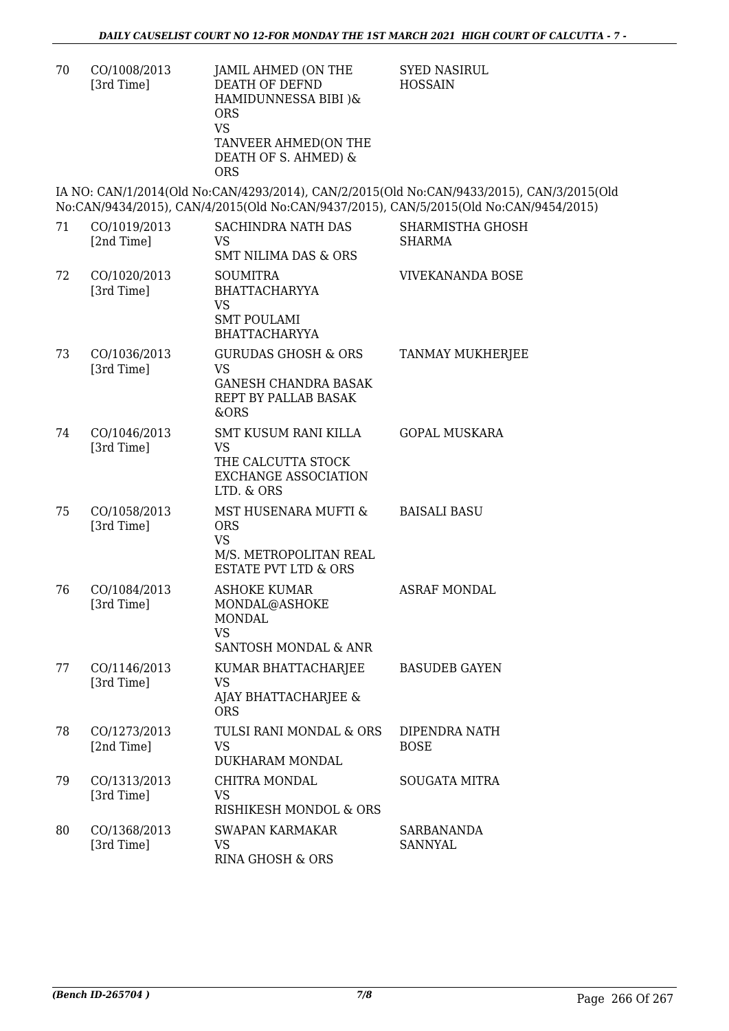| CO/1008/2013<br>70<br>[3rd Time] | JAMIL AHMED (ON THE<br>DEATH OF DEFND<br>HAMIDUNNESSA BIBI )&<br><b>ORS</b><br>VS<br>TANVEER AHMED(ON THE<br>DEATH OF S. AHMED) &<br>ORS |
|----------------------------------|------------------------------------------------------------------------------------------------------------------------------------------|
|----------------------------------|------------------------------------------------------------------------------------------------------------------------------------------|

SYED NASIRUL HOSSAIN

IA NO: CAN/1/2014(Old No:CAN/4293/2014), CAN/2/2015(Old No:CAN/9433/2015), CAN/3/2015(Old No:CAN/9434/2015), CAN/4/2015(Old No:CAN/9437/2015), CAN/5/2015(Old No:CAN/9454/2015)

| 71 | CO/1019/2013<br>[2nd Time] | <b>SACHINDRA NATH DAS</b><br><b>VS</b><br><b>SMT NILIMA DAS &amp; ORS</b>                                    | <b>SHARMISTHA GHOSH</b><br><b>SHARMA</b> |
|----|----------------------------|--------------------------------------------------------------------------------------------------------------|------------------------------------------|
| 72 | CO/1020/2013<br>[3rd Time] | <b>SOUMITRA</b><br><b>BHATTACHARYYA</b><br><b>VS</b><br><b>SMT POULAMI</b><br><b>BHATTACHARYYA</b>           | VIVEKANANDA BOSE                         |
| 73 | CO/1036/2013<br>[3rd Time] | <b>GURUDAS GHOSH &amp; ORS</b><br><b>VS</b><br><b>GANESH CHANDRA BASAK</b><br>REPT BY PALLAB BASAK<br>&ORS   | <b>TANMAY MUKHERJEE</b>                  |
| 74 | CO/1046/2013<br>[3rd Time] | SMT KUSUM RANI KILLA<br><b>VS</b><br>THE CALCUTTA STOCK<br><b>EXCHANGE ASSOCIATION</b><br>LTD. & ORS         | <b>GOPAL MUSKARA</b>                     |
| 75 | CO/1058/2013<br>[3rd Time] | MST HUSENARA MUFTI &<br><b>ORS</b><br><b>VS</b><br>M/S. METROPOLITAN REAL<br><b>ESTATE PVT LTD &amp; ORS</b> | <b>BAISALI BASU</b>                      |
| 76 | CO/1084/2013<br>[3rd Time] | <b>ASHOKE KUMAR</b><br>MONDAL@ASHOKE<br><b>MONDAL</b><br><b>VS</b><br>SANTOSH MONDAL & ANR                   | <b>ASRAF MONDAL</b>                      |
| 77 | CO/1146/2013<br>[3rd Time] | KUMAR BHATTACHARJEE<br><b>VS</b><br>AJAY BHATTACHARJEE &<br><b>ORS</b>                                       | <b>BASUDEB GAYEN</b>                     |
| 78 | CO/1273/2013<br>[2nd Time] | TULSI RANI MONDAL & ORS<br><b>VS</b><br>DUKHARAM MONDAL                                                      | DIPENDRA NATH<br><b>BOSE</b>             |
| 79 | CO/1313/2013<br>[3rd Time] | CHITRA MONDAL<br><b>VS</b><br>RISHIKESH MONDOL & ORS                                                         | <b>SOUGATA MITRA</b>                     |
| 80 | CO/1368/2013<br>[3rd Time] | <b>SWAPAN KARMAKAR</b><br>VS<br>RINA GHOSH & ORS                                                             | SARBANANDA<br><b>SANNYAL</b>             |